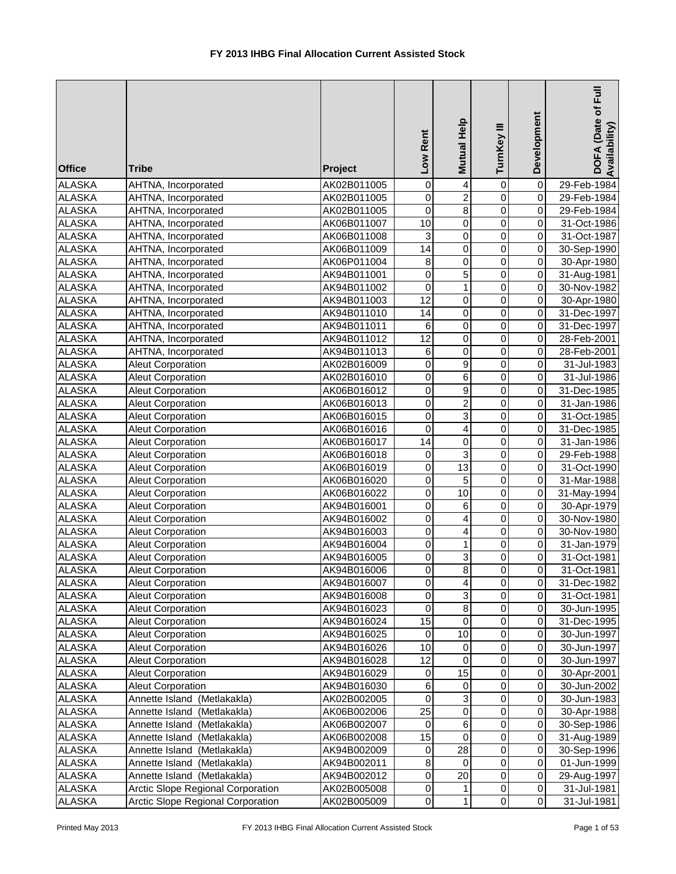| <b>Office</b>                  | <b>Tribe</b>                                         | Project                    | Low Rent          | Mutual Help             | TurnKey III      | Development              | DOFA (Date of Full<br>Availability) |
|--------------------------------|------------------------------------------------------|----------------------------|-------------------|-------------------------|------------------|--------------------------|-------------------------------------|
| <b>ALASKA</b>                  | AHTNA, Incorporated                                  | AK02B011005                | 0                 | $\overline{\mathbf{4}}$ | $\mathbf 0$      | $\pmb{0}$                | 29-Feb-1984                         |
| <b>ALASKA</b>                  | AHTNA, Incorporated                                  | AK02B011005                | $\mathbf 0$       | $\overline{c}$          | $\mathbf 0$      | $\overline{0}$           | 29-Feb-1984                         |
| <b>ALASKA</b>                  | AHTNA, Incorporated                                  | AK02B011005                | $\overline{0}$    | $\overline{8}$          | $\overline{0}$   | $\pmb{0}$                | 29-Feb-1984                         |
| <b>ALASKA</b>                  | AHTNA, Incorporated                                  | AK06B011007                | $\overline{10}$   | $\mathsf 0$             | $\overline{0}$   | $\pmb{0}$                | 31-Oct-1986                         |
| <b>ALASKA</b>                  | AHTNA, Incorporated                                  | AK06B011008                | 3                 | $\mathsf 0$             | $\mathbf 0$      | 0                        | 31-Oct-1987                         |
| <b>ALASKA</b>                  | AHTNA, Incorporated                                  | AK06B011009                | $\overline{14}$   | $\mathsf 0$             | $\mathbf 0$      | 0                        | 30-Sep-1990                         |
| <b>ALASKA</b>                  | AHTNA, Incorporated                                  | AK06P011004                | 8                 | 0                       | 0                | 0                        | 30-Apr-1980                         |
| <b>ALASKA</b>                  | AHTNA, Incorporated                                  | AK94B011001                | 0                 | 5                       | 0                | $\pmb{0}$                | 31-Aug-1981                         |
| <b>ALASKA</b>                  | AHTNA, Incorporated                                  | AK94B011002                | 0                 | $\mathbf{1}$            | $\mathbf 0$      | 0                        | 30-Nov-1982                         |
| <b>ALASKA</b>                  | AHTNA, Incorporated                                  | AK94B011003                | $\overline{12}$   | $\mathsf 0$             | $\mathbf 0$      | $\overline{\mathsf{o}}$  | 30-Apr-1980                         |
| <b>ALASKA</b>                  | AHTNA, Incorporated                                  | AK94B011010                | 14                | 0                       | 0                | $\mathsf{O}\xspace$      | 31-Dec-1997                         |
| <b>ALASKA</b>                  | AHTNA, Incorporated                                  | AK94B011011                | 6                 | $\mathsf 0$             | $\mathbf 0$      | $\pmb{0}$                | 31-Dec-1997                         |
| <b>ALASKA</b>                  | AHTNA, Incorporated                                  | AK94B011012                | 12                | 0                       | $\mathbf 0$      | $\pmb{0}$                | 28-Feb-2001                         |
| <b>ALASKA</b>                  | AHTNA, Incorporated                                  | AK94B011013                | 6                 | $\mathbf 0$             | $\mathbf 0$      | 0                        | 28-Feb-2001                         |
| <b>ALASKA</b>                  | <b>Aleut Corporation</b>                             | AK02B016009                | 0                 | 9                       | $\mathbf 0$      | $\pmb{0}$                | 31-Jul-1983                         |
| <b>ALASKA</b>                  | Aleut Corporation                                    | AK02B016010                | 0                 | 6                       | 0                | $\mathbf 0$              | 31-Jul-1986                         |
| <b>ALASKA</b>                  | Aleut Corporation                                    | AK06B016012                | 0                 | $\boldsymbol{9}$        | $\mathbf 0$      | 0                        | 31-Dec-1985                         |
| <b>ALASKA</b>                  | <b>Aleut Corporation</b>                             | AK06B016013                | $\mathbf 0$       | $\overline{2}$          | $\mathbf 0$      | 0                        | 31-Jan-1986                         |
| <b>ALASKA</b>                  | <b>Aleut Corporation</b>                             | AK06B016015                | $\mathbf 0$       | $\overline{3}$          | $\mathbf 0$      | 0                        | 31-Oct-1985                         |
| <b>ALASKA</b>                  | Aleut Corporation                                    | AK06B016016                | $\overline{0}$    | $\overline{4}$          | $\overline{0}$   | $\overline{0}$           | 31-Dec-1985                         |
| <b>ALASKA</b>                  | <b>Aleut Corporation</b>                             | AK06B016017                | $\overline{14}$   | $\mathbf 0$             | $\overline{0}$   | $\overline{\mathsf{o}}$  | 31-Jan-1986                         |
| <b>ALASKA</b>                  | <b>Aleut Corporation</b>                             | AK06B016018                | $\pmb{0}$         | $\overline{3}$          | $\mathbf 0$      | 0                        | 29-Feb-1988                         |
| <b>ALASKA</b>                  | <b>Aleut Corporation</b>                             | AK06B016019                | $\mathbf 0$       | 13                      | $\mathbf 0$      | 0                        | 31-Oct-1990                         |
| <b>ALASKA</b>                  | <b>Aleut Corporation</b>                             | AK06B016020                | 0                 | 5                       | 0                | 0                        | 31-Mar-1988                         |
| <b>ALASKA</b>                  | <b>Aleut Corporation</b>                             | AK06B016022                | 0                 | 10                      | 0                | 0                        | 31-May-1994                         |
| <b>ALASKA</b>                  | <b>Aleut Corporation</b>                             | AK94B016001                | 0                 | 6                       | $\mathbf 0$      | $\overline{\mathsf{o}}$  | 30-Apr-1979                         |
| <b>ALASKA</b>                  | <b>Aleut Corporation</b>                             | AK94B016002                | $\mathbf 0$       | $\overline{4}$          | $\mathbf 0$      | $\overline{0}$           | 30-Nov-1980                         |
| <b>ALASKA</b>                  | <b>Aleut Corporation</b>                             | AK94B016003                | $\mathsf 0$       | $\overline{\mathbf{4}}$ | 0                | $\overline{\mathsf{o}}$  | 30-Nov-1980                         |
| <b>ALASKA</b>                  | <b>Aleut Corporation</b>                             | AK94B016004                | 0                 | $\mathbf{1}$            | $\mathbf 0$      | $\overline{\mathsf{o}}$  | 31-Jan-1979                         |
| <b>ALASKA</b>                  | <b>Aleut Corporation</b>                             | AK94B016005                | 0                 | 3                       | $\mathbf 0$      | $\pmb{0}$                | 31-Oct-1981                         |
| <b>ALASKA</b>                  | <b>Aleut Corporation</b>                             | AK94B016006                | 0                 | $\overline{\infty}$     | $\Omega$         | $\overline{0}$           | 31-Oct-1981                         |
| <b>ALASKA</b>                  | <b>Aleut Corporation</b>                             | AK94B016007                | 0                 | 4                       | 0                | $\mathbf 0$              | 31-Dec-1982                         |
| <b>ALASKA</b>                  | Aleut Corporation                                    | AK94B016008                | 0                 | 3                       | 0                | $\mathbf 0$              | 31-Oct-1981                         |
| <b>ALASKA</b>                  | <b>Aleut Corporation</b>                             | AK94B016023                | 0<br>15           | $\bf 8$                 | 0<br>$\pmb{0}$   | $\mathbf 0$              | 30-Jun-1995                         |
| <b>ALASKA</b>                  | <b>Aleut Corporation</b>                             | AK94B016024                |                   | 0<br>10                 | $\pmb{0}$        | 0                        | 31-Dec-1995                         |
| <b>ALASKA</b>                  | <b>Aleut Corporation</b>                             | AK94B016025                | $\mathbf 0$<br>10 |                         | $\pmb{0}$        | $\mathbf 0$              | 30-Jun-1997                         |
| <b>ALASKA</b>                  | <b>Aleut Corporation</b>                             | AK94B016026                | 12                | $\pmb{0}$               |                  | $\mathbf 0$<br>$\pmb{0}$ | 30-Jun-1997                         |
| <b>ALASKA</b>                  | <b>Aleut Corporation</b>                             | AK94B016028                |                   | 0<br>15                 | 0<br>$\mathbf 0$ | $\mathsf{O}\xspace$      | 30-Jun-1997                         |
| <b>ALASKA</b>                  | <b>Aleut Corporation</b><br><b>Aleut Corporation</b> | AK94B016029                | $\pmb{0}$<br>6    | 0                       | 0                | $\pmb{0}$                | 30-Apr-2001                         |
| <b>ALASKA</b><br><b>ALASKA</b> | Annette Island (Metlakakla)                          | AK94B016030<br>AK02B002005 | 0                 | 3                       | 0                | 0                        | 30-Jun-2002<br>30-Jun-1983          |
| <b>ALASKA</b>                  | Annette Island<br>(Metlakakla)                       | AK06B002006                | 25                | 0                       | 0                | $\mathbf 0$              |                                     |
| <b>ALASKA</b>                  | Annette Island<br>(Metlakakla)                       | AK06B002007                | 0                 | 6                       | 0                | $\pmb{0}$                | 30-Apr-1988<br>30-Sep-1986          |
| <b>ALASKA</b>                  | (Metlakakla)<br>Annette Island                       | AK06B002008                | 15                | 0                       | 0                | $\pmb{0}$                | 31-Aug-1989                         |
| <b>ALASKA</b>                  | Annette Island<br>(Metlakakla)                       | AK94B002009                | $\pmb{0}$         | 28                      | 0                | $\pmb{0}$                | 30-Sep-1996                         |
| <b>ALASKA</b>                  | Annette Island (Metlakakla)                          | AK94B002011                | 8                 | 0                       | 0                | $\pmb{0}$                | 01-Jun-1999                         |
| <b>ALASKA</b>                  | Annette Island (Metlakakla)                          | AK94B002012                | 0                 | 20                      | 0                | $\mathbf 0$              | 29-Aug-1997                         |
| <b>ALASKA</b>                  | Arctic Slope Regional Corporation                    | AK02B005008                | 0                 | 1                       | 0                | $\pmb{0}$                | 31-Jul-1981                         |
| <b>ALASKA</b>                  | Arctic Slope Regional Corporation                    | AK02B005009                | 0                 | 1                       | 0                | $\mathbf 0$              | 31-Jul-1981                         |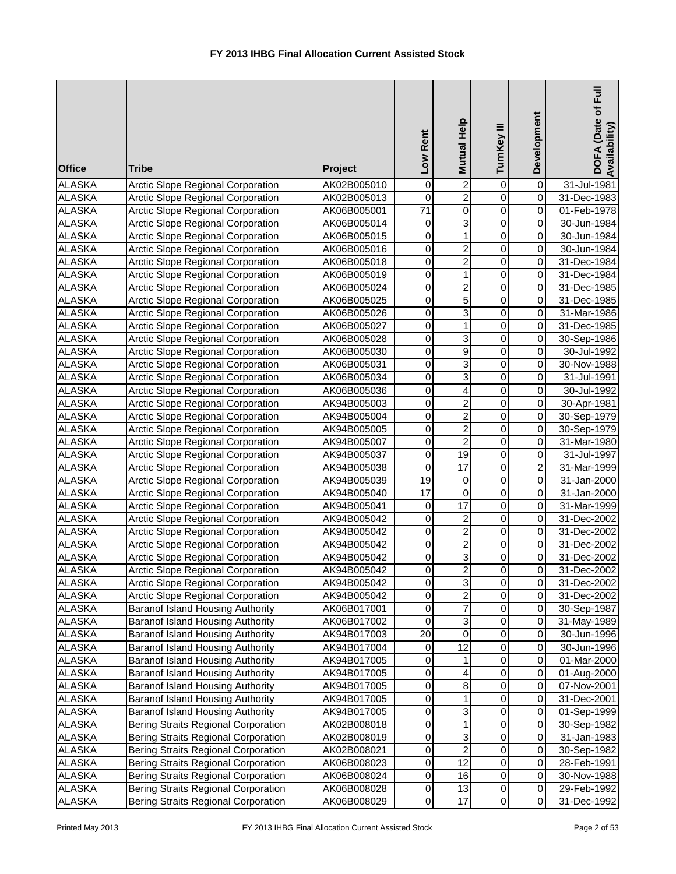| <b>Office</b>                  | <b>Tribe</b>                                                                  | Project                    | Low Rent        | Mutual Help                               | TurnKey III                   | Development                      | DOFA (Date of Full<br>Availability) |
|--------------------------------|-------------------------------------------------------------------------------|----------------------------|-----------------|-------------------------------------------|-------------------------------|----------------------------------|-------------------------------------|
| <b>ALASKA</b>                  | <b>Arctic Slope Regional Corporation</b>                                      | AK02B005010                | 0               | $\overline{\mathbf{c}}$                   | 0                             | $\overline{\mathsf{o}}$          | 31-Jul-1981                         |
| <b>ALASKA</b>                  | <b>Arctic Slope Regional Corporation</b>                                      | AK02B005013                | 0               | $\overline{2}$                            | $\mathbf 0$                   | $\overline{\mathsf{o}}$          | 31-Dec-1983                         |
| <b>ALASKA</b>                  | <b>Arctic Slope Regional Corporation</b>                                      | AK06B005001                | $\overline{71}$ | $\overline{0}$                            | $\overline{0}$                | $\pmb{0}$                        | 01-Feb-1978                         |
| <b>ALASKA</b>                  | Arctic Slope Regional Corporation                                             | AK06B005014                | 0               | 3                                         | $\overline{0}$                | $\mathbf 0$                      | 30-Jun-1984                         |
| <b>ALASKA</b>                  | Arctic Slope Regional Corporation                                             | AK06B005015                | $\mathsf 0$     | $\mathbf{1}$                              | $\overline{0}$                | $\pmb{0}$                        | 30-Jun-1984                         |
| <b>ALASKA</b>                  | Arctic Slope Regional Corporation                                             | AK06B005016                | 0               | $\overline{2}$                            | $\overline{0}$                | $\pmb{0}$                        | 30-Jun-1984                         |
| <b>ALASKA</b>                  | <b>Arctic Slope Regional Corporation</b>                                      | AK06B005018                | 0               | $\overline{\mathbf{c}}$                   | 0                             | $\pmb{0}$                        | 31-Dec-1984                         |
| <b>ALASKA</b>                  | <b>Arctic Slope Regional Corporation</b>                                      | AK06B005019                | 0               | 1                                         | 0                             | $\pmb{0}$                        | 31-Dec-1984                         |
| <b>ALASKA</b>                  | Arctic Slope Regional Corporation                                             | AK06B005024                | 0               | $\overline{c}$                            | 0                             | $\pmb{0}$                        | 31-Dec-1985                         |
| <b>ALASKA</b>                  | Arctic Slope Regional Corporation                                             | AK06B005025                | $\mathsf 0$     | $\overline{5}$                            | $\mathbf 0$                   | $\pmb{0}$                        | 31-Dec-1985                         |
| <b>ALASKA</b>                  | <b>Arctic Slope Regional Corporation</b>                                      | AK06B005026                | 0               | 3                                         | $\mathsf 0$                   | $\overline{0}$                   | 31-Mar-1986                         |
| <b>ALASKA</b>                  | Arctic Slope Regional Corporation                                             | AK06B005027                | $\mathsf 0$     | 1                                         | $\mathsf 0$                   | $\overline{0}$                   | 31-Dec-1985                         |
| <b>ALASKA</b>                  | Arctic Slope Regional Corporation                                             | AK06B005028                | 0               | 3                                         | $\pmb{0}$                     | $\overline{0}$                   | 30-Sep-1986                         |
| <b>ALASKA</b>                  | <b>Arctic Slope Regional Corporation</b>                                      | AK06B005030                | 0               | 9                                         | $\mathbf 0$                   | $\mathbf 0$                      | 30-Jul-1992                         |
| <b>ALASKA</b>                  | Arctic Slope Regional Corporation                                             | AK06B005031                | 0               | 3                                         | $\pmb{0}$                     | 0                                | 30-Nov-1988                         |
| <b>ALASKA</b>                  | Arctic Slope Regional Corporation                                             | AK06B005034                | 0               | 3                                         | 0                             | $\overline{0}$                   | 31-Jul-1991                         |
| <b>ALASKA</b>                  | Arctic Slope Regional Corporation                                             | AK06B005036                | 0               | 4                                         | $\mathbf 0$                   | $\overline{0}$                   | 30-Jul-1992                         |
| <b>ALASKA</b>                  | Arctic Slope Regional Corporation                                             | AK94B005003                | $\mathsf 0$     | $\overline{2}$                            | $\overline{0}$                | $\overline{0}$                   | 30-Apr-1981                         |
| <b>ALASKA</b>                  | Arctic Slope Regional Corporation                                             | AK94B005004                | $\mathsf 0$     | $\overline{2}$                            | $\overline{0}$                | $\overline{\mathsf{o}}$          | 30-Sep-1979                         |
| <b>ALASKA</b>                  | Arctic Slope Regional Corporation                                             | AK94B005005                | $\mathsf 0$     | $\overline{\mathbf{c}}$                   | $\overline{0}$                | $\pmb{0}$                        | 30-Sep-1979                         |
| <b>ALASKA</b>                  | Arctic Slope Regional Corporation                                             | AK94B005007                | $\mathsf 0$     | $\overline{2}$                            | $\overline{0}$                | $\pmb{0}$                        | 31-Mar-1980                         |
| <b>ALASKA</b>                  | Arctic Slope Regional Corporation                                             | AK94B005037                | 0               | $\overline{19}$                           | $\overline{0}$                | $\pmb{0}$                        | 31-Jul-1997                         |
| <b>ALASKA</b>                  | <b>Arctic Slope Regional Corporation</b>                                      | AK94B005038                | 0               | 17                                        | $\mathbf 0$                   | $\overline{2}$                   | 31-Mar-1999                         |
| <b>ALASKA</b>                  | Arctic Slope Regional Corporation                                             | AK94B005039                | $\overline{19}$ | $\pmb{0}$                                 | 0                             | $\overline{0}$                   | 31-Jan-2000                         |
| <b>ALASKA</b>                  | Arctic Slope Regional Corporation                                             | AK94B005040                | $\overline{17}$ | 0                                         | $\mathbf 0$                   | $\overline{0}$                   | 31-Jan-2000                         |
| <b>ALASKA</b>                  | <b>Arctic Slope Regional Corporation</b>                                      | AK94B005041                | 0               | 17                                        | $\mathbf 0$                   | $\overline{0}$<br>$\overline{0}$ | 31-Mar-1999                         |
| <b>ALASKA</b>                  | <b>Arctic Slope Regional Corporation</b>                                      | AK94B005042                | $\mathbf 0$     | $\overline{2}$                            | $\mathbf 0$<br>$\overline{0}$ | $\overline{0}$                   | 31-Dec-2002                         |
| <b>ALASKA</b><br><b>ALASKA</b> | Arctic Slope Regional Corporation                                             | AK94B005042                | 0               | $\overline{\mathbf{c}}$<br>$\overline{2}$ |                               | $\overline{0}$                   | 31-Dec-2002<br>31-Dec-2002          |
| <b>ALASKA</b>                  | Arctic Slope Regional Corporation<br>Arctic Slope Regional Corporation        | AK94B005042<br>AK94B005042 | 0<br>0          | $\overline{3}$                            | 0<br>$\pmb{0}$                | $\overline{0}$                   | 31-Dec-2002                         |
| <b>ALASKA</b>                  |                                                                               | AK94B005042                | 0               | $\overline{2}$                            | $\overline{0}$                | $\overline{0}$                   | 31-Dec-2002                         |
| <b>ALASKA</b>                  | <b>Arctic Slope Regional Corporation</b><br>Arctic Slope Regional Corporation | AK94B005042                | 0               | 3                                         | 0                             | $\overline{0}$                   |                                     |
| <b>ALASKA</b>                  | Arctic Slope Regional Corporation                                             | AK94B005042                | 0               | 2                                         | $\mathbf 0$                   | $\overline{0}$                   | 31-Dec-2002                         |
| <b>ALASKA</b>                  | Baranof Island Housing Authority                                              | AK06B017001                | 0               | $\overline{\mathbf{7}}$                   | $\pmb{0}$                     | $\overline{0}$                   | 31-Dec-2002<br>30-Sep-1987          |
| ALASKA                         | <b>Baranof Island Housing Authority</b>                                       | AK06B017002                | 0               | 3                                         | $\pmb{0}$                     | 0                                | 31-May-1989                         |
| ALASKA                         | Baranof Island Housing Authority                                              | AK94B017003                | 20              | $\pmb{0}$                                 | $\pmb{0}$                     | $\Omega$                         | 30-Jun-1996                         |
| ALASKA                         | <b>Baranof Island Housing Authority</b>                                       | AK94B017004                | 0               | 12                                        | $\pmb{0}$                     | $\Omega$                         | 30-Jun-1996                         |
| <b>ALASKA</b>                  | <b>Baranof Island Housing Authority</b>                                       | AK94B017005                | 0               | 1                                         | $\pmb{0}$                     | $\Omega$                         | 01-Mar-2000                         |
| <b>ALASKA</b>                  | <b>Baranof Island Housing Authority</b>                                       | AK94B017005                | $\pmb{0}$       | 4                                         | $\mathbf 0$                   | $\Omega$                         | 01-Aug-2000                         |
| <b>ALASKA</b>                  | <b>Baranof Island Housing Authority</b>                                       | AK94B017005                | 0               | $\bf8$                                    | $\pmb{0}$                     | $\Omega$                         | 07-Nov-2001                         |
| <b>ALASKA</b>                  | <b>Baranof Island Housing Authority</b>                                       | AK94B017005                | 0               | 1                                         | 0                             | $\mathbf 0$                      | 31-Dec-2001                         |
| <b>ALASKA</b>                  | <b>Baranof Island Housing Authority</b>                                       | AK94B017005                | 0               | 3                                         | 0                             | $\Omega$                         | 01-Sep-1999                         |
| <b>ALASKA</b>                  | Bering Straits Regional Corporation                                           | AK02B008018                | 0               | 1                                         | 0                             | $\Omega$                         | 30-Sep-1982                         |
| <b>ALASKA</b>                  | Bering Straits Regional Corporation                                           | AK02B008019                | 0               | 3                                         | 0                             | $\overline{0}$                   | 31-Jan-1983                         |
| <b>ALASKA</b>                  | Bering Straits Regional Corporation                                           | AK02B008021                | $\pmb{0}$       | $\overline{\mathbf{c}}$                   | $\pmb{0}$                     | $\overline{0}$                   | 30-Sep-1982                         |
| <b>ALASKA</b>                  | Bering Straits Regional Corporation                                           | AK06B008023                | 0               | 12                                        | $\pmb{0}$                     | $\overline{0}$                   | 28-Feb-1991                         |
| <b>ALASKA</b>                  | Bering Straits Regional Corporation                                           | AK06B008024                | 0               | 16                                        | $\pmb{0}$                     | $\overline{0}$                   | 30-Nov-1988                         |
| <b>ALASKA</b>                  | <b>Bering Straits Regional Corporation</b>                                    | AK06B008028                | 0               | 13                                        | $\pmb{0}$                     | $\overline{0}$                   | 29-Feb-1992                         |
| ALASKA                         | Bering Straits Regional Corporation                                           | AK06B008029                | $\mathbf 0$     | 17                                        | $\mathbf 0$                   | $\overline{0}$                   | 31-Dec-1992                         |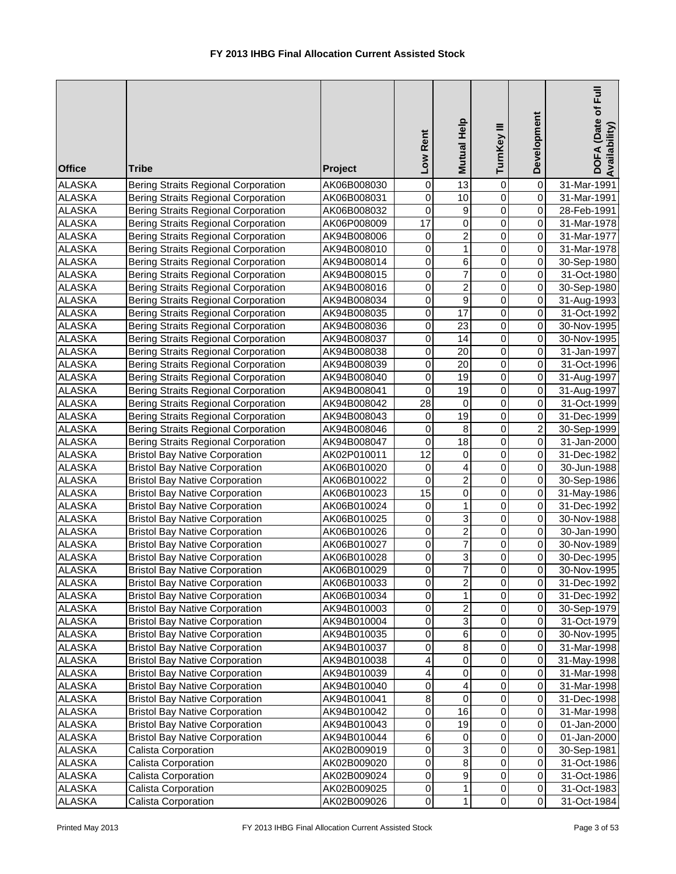| <b>Office</b>                  | <b>Tribe</b>                                                                   | Project                    | Low Rent         | Mutual Help             | TurnKey III                | Development             | DOFA (Date of Full<br>Availability) |
|--------------------------------|--------------------------------------------------------------------------------|----------------------------|------------------|-------------------------|----------------------------|-------------------------|-------------------------------------|
| <b>ALASKA</b>                  | <b>Bering Straits Regional Corporation</b>                                     | AK06B008030                | $\mathbf 0$      | $\overline{13}$         | $\boldsymbol{0}$           | 0                       | 31-Mar-1991                         |
| <b>ALASKA</b>                  | Bering Straits Regional Corporation                                            | AK06B008031                | $\mathbf 0$      | 10                      | $\mathbf 0$                | $\boldsymbol{0}$        | 31-Mar-1991                         |
| <b>ALASKA</b>                  | <b>Bering Straits Regional Corporation</b>                                     | AK06B008032                | 0                | $\boldsymbol{9}$        | $\overline{0}$             | $\boldsymbol{0}$        | 28-Feb-1991                         |
| <b>ALASKA</b>                  | Bering Straits Regional Corporation                                            | AK06P008009                | $\overline{17}$  | $\overline{0}$          | $\mathbf 0$                | 0                       | 31-Mar-1978                         |
| <b>ALASKA</b>                  | Bering Straits Regional Corporation                                            | AK94B008006                | $\mathbf 0$      | $\overline{\mathbf{c}}$ | $\mathbf 0$                | 0                       | 31-Mar-1977                         |
| <b>ALASKA</b>                  | Bering Straits Regional Corporation                                            | AK94B008010                | $\mathbf 0$      | 1                       | $\mathbf 0$                | $\boldsymbol{0}$        | 31-Mar-1978                         |
| <b>ALASKA</b>                  | Bering Straits Regional Corporation                                            | AK94B008014                | 0                | $\overline{6}$          | $\mathbf 0$                | 0                       | 30-Sep-1980                         |
| <b>ALASKA</b>                  | Bering Straits Regional Corporation                                            | AK94B008015                | 0                | 7                       | 0                          | 0                       | 31-Oct-1980                         |
| <b>ALASKA</b>                  | Bering Straits Regional Corporation                                            | AK94B008016                | 0                | $\overline{\mathbf{c}}$ | 0                          | $\mathbf 0$             | 30-Sep-1980                         |
| <b>ALASKA</b>                  | Bering Straits Regional Corporation                                            | AK94B008034                | $\mathbf 0$      | $\overline{9}$          | $\mathbf 0$                | $\mathbf 0$             | 31-Aug-1993                         |
| <b>ALASKA</b>                  | Bering Straits Regional Corporation                                            | AK94B008035                | 0                | 17                      | $\pmb{0}$                  | $\boldsymbol{0}$        | 31-Oct-1992                         |
| <b>ALASKA</b>                  | Bering Straits Regional Corporation                                            | AK94B008036                | $\mathbf 0$      | 23                      | $\pmb{0}$                  | $\boldsymbol{0}$        | 30-Nov-1995                         |
| <b>ALASKA</b>                  | <b>Bering Straits Regional Corporation</b>                                     | AK94B008037                | 0                | 14                      | 0                          | $\pmb{0}$               | 30-Nov-1995                         |
| <b>ALASKA</b>                  | <b>Bering Straits Regional Corporation</b>                                     | AK94B008038                | 0                | 20                      | $\mathbf 0$                | $\boldsymbol{0}$        | 31-Jan-1997                         |
| <b>ALASKA</b>                  | <b>Bering Straits Regional Corporation</b>                                     | AK94B008039                | 0                | 20                      | 0                          | 0                       | 31-Oct-1996                         |
| <b>ALASKA</b>                  | Bering Straits Regional Corporation                                            | AK94B008040                | 0                | 19                      | 0                          | 0                       | 31-Aug-1997                         |
| <b>ALASKA</b>                  | Bering Straits Regional Corporation                                            | AK94B008041                | $\mathbf 0$      | 19                      | $\mathbf 0$                | 0                       | 31-Aug-1997                         |
| <b>ALASKA</b>                  | Bering Straits Regional Corporation                                            | AK94B008042                | 28               | $\mathbf 0$             | $\overline{0}$             | $\boldsymbol{0}$        | 31-Oct-1999                         |
| <b>ALASKA</b>                  | <b>Bering Straits Regional Corporation</b>                                     | AK94B008043                | $\boldsymbol{0}$ | $\overline{19}$         | $\overline{0}$             | $\boldsymbol{0}$        | 31-Dec-1999                         |
| <b>ALASKA</b>                  | Bering Straits Regional Corporation                                            | AK94B008046                | $\boldsymbol{0}$ | 8                       | $\overline{0}$             | $\overline{\mathbf{c}}$ | 30-Sep-1999                         |
| <b>ALASKA</b>                  | <b>Bering Straits Regional Corporation</b>                                     | AK94B008047                | $\boldsymbol{0}$ | $\overline{18}$         | $\overline{0}$             | $\boldsymbol{0}$        | 31-Jan-2000                         |
| <b>ALASKA</b>                  | <b>Bristol Bay Native Corporation</b>                                          | AK02P010011                | 12               | $\pmb{0}$               | $\overline{0}$             | $\boldsymbol{0}$        | 31-Dec-1982                         |
| <b>ALASKA</b>                  | <b>Bristol Bay Native Corporation</b>                                          | AK06B010020                | $\mathbf 0$      | $\overline{4}$          | $\overline{0}$             | $\boldsymbol{0}$        | 30-Jun-1988                         |
| <b>ALASKA</b>                  | <b>Bristol Bay Native Corporation</b>                                          | AK06B010022                | $\mathbf 0$      | $\overline{\mathbf{c}}$ | 0                          | $\boldsymbol{0}$        | 30-Sep-1986                         |
| <b>ALASKA</b>                  | <b>Bristol Bay Native Corporation</b>                                          | AK06B010023                | $\overline{15}$  | $\pmb{0}$               | 0                          | 0                       | 31-May-1986                         |
| <b>ALASKA</b>                  | <b>Bristol Bay Native Corporation</b>                                          | AK06B010024                | 0                | 1                       | 0                          | $\boldsymbol{0}$        | 31-Dec-1992                         |
| <b>ALASKA</b>                  | <b>Bristol Bay Native Corporation</b>                                          | AK06B010025                | $\mathbf 0$      | 3                       | $\mathbf 0$                | $\mathbf 0$             | 30-Nov-1988                         |
| <b>ALASKA</b>                  | <b>Bristol Bay Native Corporation</b>                                          | AK06B010026                | 0                | $\overline{\mathbf{c}}$ | $\pmb{0}$                  | $\pmb{0}$               | 30-Jan-1990                         |
| <b>ALASKA</b>                  | <b>Bristol Bay Native Corporation</b>                                          | AK06B010027                | 0                | $\overline{7}$          | 0                          | $\pmb{0}$               | 30-Nov-1989                         |
| <b>ALASKA</b>                  | <b>Bristol Bay Native Corporation</b>                                          | AK06B010028                | 0                | $\overline{3}$          | 0                          | $\pmb{0}$               | 30-Dec-1995                         |
| <b>ALASKA</b>                  | <b>Bristol Bay Native Corporation</b>                                          | AK06B010029                | $\overline{0}$   | $\overline{7}$          | 0                          | $\mathbf 0$             | 30-Nov-1995                         |
| <b>ALASKA</b>                  | <b>Bristol Bay Native Corporation</b>                                          | AK06B010033                | 0                | $\overline{\mathbf{c}}$ | $\,0\,$                    | $\mathbf 0$             | 31-Dec-1992                         |
| <b>ALASKA</b>                  | <b>Bristol Bay Native Corporation</b>                                          | AK06B010034                | 0                | 1                       | 0                          | 0                       | 31-Dec-1992                         |
| <b>ALASKA</b>                  | <b>Bristol Bay Native Corporation</b>                                          | AK94B010003                | 0                | $\overline{\mathbf{c}}$ | $\,0\,$                    | 0                       | 30-Sep-1979                         |
| ALASKA                         | <b>Bristol Bay Native Corporation</b>                                          | AK94B010004                | $\mathbf 0$      | 3                       | 0                          | 0                       | 31-Oct-1979                         |
| ALASKA                         | <b>Bristol Bay Native Corporation</b>                                          | AK94B010035                | $\pmb{0}$        | $\,6$<br>$\bf 8$        | $\mathbf 0$<br>$\mathbf 0$ | 0                       | 30-Nov-1995                         |
| <b>ALASKA</b>                  | <b>Bristol Bay Native Corporation</b>                                          | AK94B010037                | $\,0\,$          |                         | $\pmb{0}$                  | 0                       | 31-Mar-1998                         |
| <b>ALASKA</b>                  | <b>Bristol Bay Native Corporation</b>                                          | AK94B010038                | 4                | 0<br>$\pmb{0}$          | $\mathbf 0$                | $\mathsf{O}\xspace$     | 31-May-1998                         |
| <b>ALASKA</b>                  | <b>Bristol Bay Native Corporation</b>                                          | AK94B010039                | 4                |                         |                            | $\pmb{0}$               | 31-Mar-1998                         |
| <b>ALASKA</b>                  | <b>Bristol Bay Native Corporation</b>                                          | AK94B010040                | 0                | 4                       | 0                          | $\mathsf{O}\xspace$     | 31-Mar-1998                         |
| <b>ALASKA</b>                  | <b>Bristol Bay Native Corporation</b><br><b>Bristol Bay Native Corporation</b> | AK94B010041                | 8<br>0           | $\mathbf 0$<br>16       | 0<br>0                     | 0<br>0                  | 31-Dec-1998                         |
| <b>ALASKA</b>                  | <b>Bristol Bay Native Corporation</b>                                          | AK94B010042                | 0                | 19                      | 0                          | 0                       | 31-Mar-1998                         |
| <b>ALASKA</b>                  | <b>Bristol Bay Native Corporation</b>                                          | AK94B010043                | 6                | $\pmb{0}$               | $\pmb{0}$                  | $\boldsymbol{0}$        | 01-Jan-2000                         |
| <b>ALASKA</b>                  | Calista Corporation                                                            | AK94B010044                | 0                |                         | $\pmb{0}$                  | 0                       | 01-Jan-2000                         |
| <b>ALASKA</b>                  | Calista Corporation                                                            | AK02B009019                |                  | 3<br>8                  |                            | 0                       | 30-Sep-1981                         |
| <b>ALASKA</b><br><b>ALASKA</b> | Calista Corporation                                                            | AK02B009020<br>AK02B009024 | 0<br>0           | 9                       | 0<br>$\mathbf 0$           | 0                       | 31-Oct-1986<br>31-Oct-1986          |
| <b>ALASKA</b>                  | Calista Corporation                                                            | AK02B009025                | 0                | 1                       | $\,0\,$                    | $\overline{0}$          | 31-Oct-1983                         |
| <b>ALASKA</b>                  | Calista Corporation                                                            | AK02B009026                | $\pmb{0}$        | 1                       | $\mathbf 0$                | $\overline{0}$          | 31-Oct-1984                         |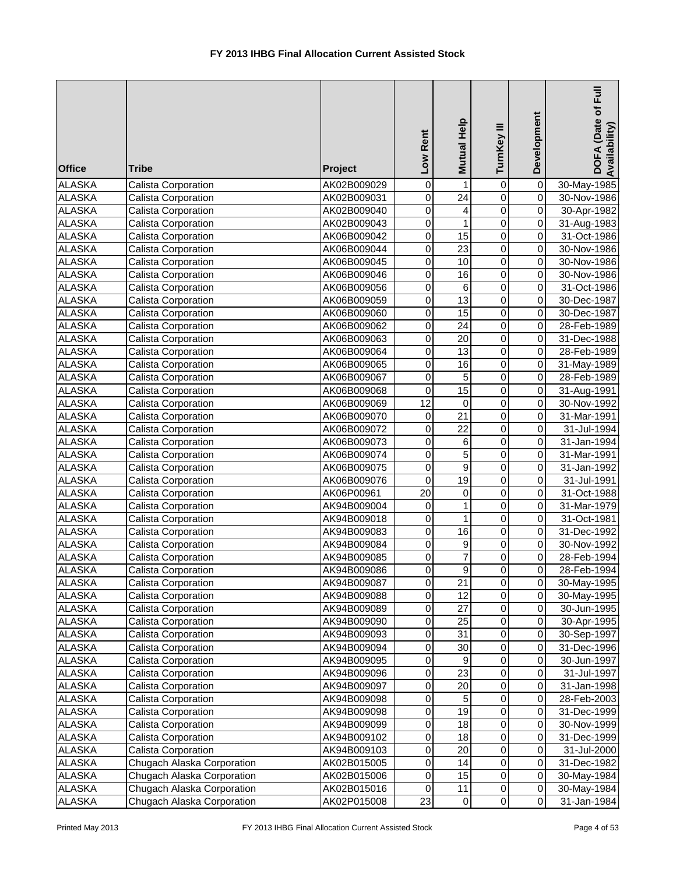| <b>Office</b> | <b>Tribe</b>               | Project     | Low Rent        | Mutual Help     | TurnKey III    | Development             | DOFA (Date of Full<br>Availability) |
|---------------|----------------------------|-------------|-----------------|-----------------|----------------|-------------------------|-------------------------------------|
| <b>ALASKA</b> | Calista Corporation        | AK02B009029 | 0               | 1               | 0              | 0                       | 30-May-1985                         |
| <b>ALASKA</b> | Calista Corporation        | AK02B009031 | 0               | $\overline{24}$ | $\mathbf 0$    | $\overline{\mathsf{o}}$ | 30-Nov-1986                         |
| <b>ALASKA</b> | Calista Corporation        | AK02B009040 | 0               | 4               | $\overline{0}$ | $\overline{0}$          | 30-Apr-1982                         |
| <b>ALASKA</b> | Calista Corporation        | AK02B009043 | $\mathsf 0$     | $\mathbf{1}$    | $\overline{0}$ | $\overline{0}$          | 31-Aug-1983                         |
| <b>ALASKA</b> | Calista Corporation        | AK06B009042 | $\mathsf 0$     | 15              | $\overline{0}$ | $\overline{0}$          | 31-Oct-1986                         |
| <b>ALASKA</b> | Calista Corporation        | AK06B009044 | 0               | $\overline{23}$ | $\overline{0}$ | $\pmb{0}$               | 30-Nov-1986                         |
| <b>ALASKA</b> | Calista Corporation        | AK06B009045 | $\mathsf 0$     | $\overline{10}$ | $\overline{0}$ | $\overline{\mathsf{o}}$ | 30-Nov-1986                         |
| <b>ALASKA</b> | Calista Corporation        | AK06B009046 | 0               | 16              | 0              | $\pmb{0}$               | 30-Nov-1986                         |
| <b>ALASKA</b> | Calista Corporation        | AK06B009056 | 0               | $\,6$           | 0              | $\overline{\mathsf{o}}$ | 31-Oct-1986                         |
| <b>ALASKA</b> | Calista Corporation        | AK06B009059 | 0               | $\overline{13}$ | $\mathbf 0$    | $\overline{0}$          | 30-Dec-1987                         |
| <b>ALASKA</b> | Calista Corporation        | AK06B009060 | 0               | 15              | $\mathbf 0$    | $\overline{0}$          | 30-Dec-1987                         |
| <b>ALASKA</b> | Calista Corporation        | AK06B009062 | 0               | 24              | $\mathsf 0$    | $\overline{0}$          | 28-Feb-1989                         |
| <b>ALASKA</b> | Calista Corporation        | AK06B009063 | 0               | 20              | $\mathsf 0$    | $\overline{0}$          | 31-Dec-1988                         |
| <b>ALASKA</b> | Calista Corporation        | AK06B009064 | 0               | 13              | $\pmb{0}$      | $\overline{0}$          | 28-Feb-1989                         |
| <b>ALASKA</b> | Calista Corporation        | AK06B009065 | 0               | 16              | $\mathbf 0$    | $\mathbf 0$             | 31-May-1989                         |
| <b>ALASKA</b> | Calista Corporation        | AK06B009067 | 0               | 5               | $\pmb{0}$      | $\overline{0}$          | 28-Feb-1989                         |
| <b>ALASKA</b> | Calista Corporation        | AK06B009068 | 0               | 15              | $\pmb{0}$      | $\overline{0}$          | 31-Aug-1991                         |
| <b>ALASKA</b> | Calista Corporation        | AK06B009069 | 12              | 0               | $\mathbf 0$    | $\overline{\mathsf{o}}$ | 30-Nov-1992                         |
| <b>ALASKA</b> | Calista Corporation        | AK06B009070 | 0               | $\overline{21}$ | $\overline{0}$ | $\overline{\mathsf{o}}$ | 31-Mar-1991                         |
| <b>ALASKA</b> | Calista Corporation        | AK06B009072 | $\mathsf 0$     | $\overline{22}$ | $\overline{0}$ | $\overline{0}$          | 31-Jul-1994                         |
| <b>ALASKA</b> | Calista Corporation        | AK06B009073 | $\mathsf 0$     | $\,6$           | $\overline{0}$ | $\overline{0}$          | $\overline{31}$ -Jan-1994           |
| <b>ALASKA</b> | Calista Corporation        | AK06B009074 | $\mathsf 0$     | $\overline{5}$  | $\overline{0}$ | $\overline{0}$          | 31-Mar-1991                         |
| <b>ALASKA</b> | Calista Corporation        | AK06B009075 | 0               | $\overline{9}$  | $\overline{0}$ | $\pmb{0}$               | 31-Jan-1992                         |
| <b>ALASKA</b> | Calista Corporation        | AK06B009076 | 0               | $\overline{19}$ | $\overline{0}$ | $\overline{0}$          | 31-Jul-1991                         |
| <b>ALASKA</b> | Calista Corporation        | AK06P00961  | $\overline{20}$ | $\pmb{0}$       | 0              | $\overline{0}$          | 31-Oct-1988                         |
| <b>ALASKA</b> | Calista Corporation        | AK94B009004 | 0               | 1               | $\mathbf 0$    | $\overline{0}$          | 31-Mar-1979                         |
| <b>ALASKA</b> | Calista Corporation        | AK94B009018 | 0               | 1               | $\mathbf 0$    | $\overline{0}$          | 31-Oct-1981                         |
| <b>ALASKA</b> | Calista Corporation        | AK94B009083 | $\mathbf 0$     | 16              | $\mathbf 0$    | $\overline{0}$          | 31-Dec-1992                         |
| <b>ALASKA</b> | Calista Corporation        | AK94B009084 | 0               | 9               | $\pmb{0}$      | $\overline{0}$          | 30-Nov-1992                         |
| <b>ALASKA</b> | Calista Corporation        | AK94B009085 | 0               | $\overline{7}$  | $\pmb{0}$      | $\overline{0}$          | 28-Feb-1994                         |
| <b>ALASKA</b> | Calista Corporation        | AK94B009086 | $\Omega$        | $\overline{9}$  | $\overline{0}$ | $\overline{0}$          | 28-Feb-1994                         |
| <b>ALASKA</b> | Calista Corporation        | AK94B009087 | 0               | 21              | $\mathbf 0$    | $\overline{0}$          | 30-May-1995                         |
| <b>ALASKA</b> | Calista Corporation        | AK94B009088 | 0               | 12              | $\pmb{0}$      | $\overline{0}$          | 30-May-1995                         |
| <b>ALASKA</b> | Calista Corporation        | AK94B009089 | 0               | 27              | $\pmb{0}$      | $\overline{0}$          | 30-Jun-1995                         |
| <b>ALASKA</b> | Calista Corporation        | AK94B009090 | 0               | 25              | $\pmb{0}$      | $\overline{0}$          | 30-Apr-1995                         |
| <b>ALASKA</b> | Calista Corporation        | AK94B009093 | 0               | 31              | $\mathbf 0$    | $\overline{0}$          | 30-Sep-1997                         |
| <b>ALASKA</b> | Calista Corporation        | AK94B009094 | 0               | 30              | $\mathbf 0$    | $\overline{0}$          | 31-Dec-1996                         |
| <b>ALASKA</b> | Calista Corporation        | AK94B009095 | 0               | 9               | $\mathbf 0$    | $\Omega$                | 30-Jun-1997                         |
| <b>ALASKA</b> | Calista Corporation        | AK94B009096 | $\pmb{0}$       | 23              | $\mathbf 0$    | $\overline{0}$          | 31-Jul-1997                         |
| <b>ALASKA</b> | Calista Corporation        | AK94B009097 | $\pmb{0}$       | 20              | $\overline{0}$ | $\overline{0}$          | 31-Jan-1998                         |
| <b>ALASKA</b> | Calista Corporation        | AK94B009098 | 0               | $\overline{5}$  | $\overline{0}$ | $\overline{0}$          | 28-Feb-2003                         |
| <b>ALASKA</b> | Calista Corporation        | AK94B009098 | 0               | 19              | 0              | $\mathsf{O}\xspace$     | 31-Dec-1999                         |
| <b>ALASKA</b> | Calista Corporation        | AK94B009099 | 0               | 18              | 0              | $\overline{0}$          | 30-Nov-1999                         |
| <b>ALASKA</b> | Calista Corporation        | AK94B009102 | 0               | 18              | 0              | $\overline{0}$          | 31-Dec-1999                         |
| <b>ALASKA</b> | Calista Corporation        | AK94B009103 | 0               | 20              | $\mathbf 0$    | $\overline{0}$          | 31-Jul-2000                         |
| <b>ALASKA</b> | Chugach Alaska Corporation | AK02B015005 | 0               | 14              | $\pmb{0}$      | $\overline{0}$          | 31-Dec-1982                         |
| <b>ALASKA</b> | Chugach Alaska Corporation | AK02B015006 | 0               | 15              | $\pmb{0}$      | $\overline{0}$          | 30-May-1984                         |
| <b>ALASKA</b> | Chugach Alaska Corporation | AK02B015016 | $\mathbf 0$     | 11              | $\pmb{0}$      | $\overline{0}$          | 30-May-1984                         |
| <b>ALASKA</b> | Chugach Alaska Corporation | AK02P015008 | 23              | $\overline{0}$  | $\pmb{0}$      | $\overline{O}$          | 31-Jan-1984                         |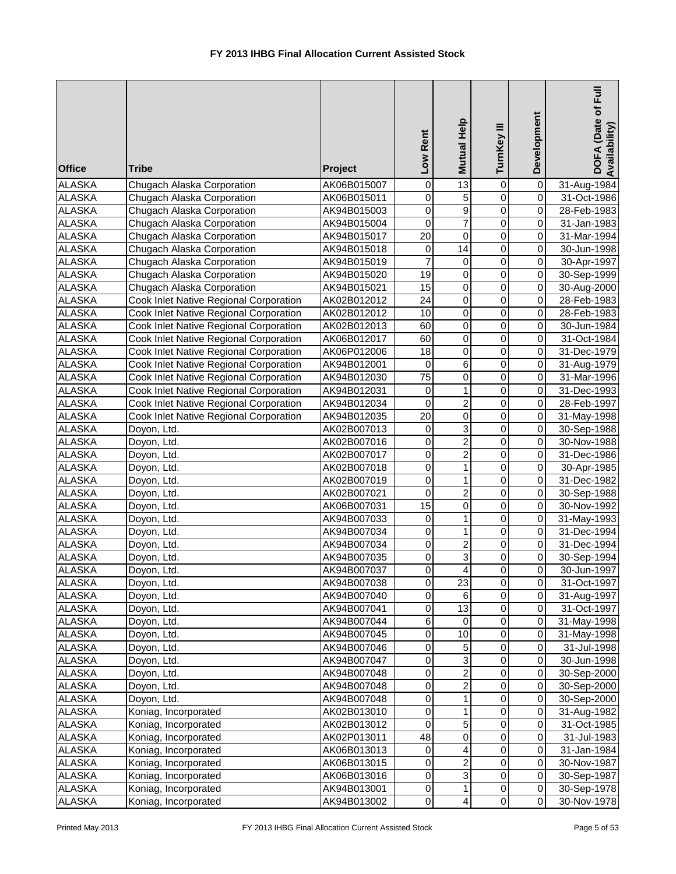| <b>Office</b>                  | <b>Tribe</b>                           | Project                    | Low Rent            | Mutual Help               | TurnKey III         | Development             | DOFA (Date of Full<br>Availability) |
|--------------------------------|----------------------------------------|----------------------------|---------------------|---------------------------|---------------------|-------------------------|-------------------------------------|
| <b>ALASKA</b>                  | Chugach Alaska Corporation             | AK06B015007                | 0                   | 13                        | 0                   | 0                       | 31-Aug-1984                         |
| <b>ALASKA</b>                  | Chugach Alaska Corporation             | AK06B015011                | $\mathbf 0$         | $\overline{5}$            | $\overline{0}$      | $\mathsf 0$             | 31-Oct-1986                         |
| <b>ALASKA</b>                  | Chugach Alaska Corporation             | AK94B015003                | $\overline{0}$      | $\overline{9}$            | $\overline{0}$      | $\pmb{0}$               | 28-Feb-1983                         |
| <b>ALASKA</b>                  | Chugach Alaska Corporation             | AK94B015004                | $\overline{0}$      | $\overline{7}$            | 0                   | 0                       | 31-Jan-1983                         |
| <b>ALASKA</b>                  | Chugach Alaska Corporation             | AK94B015017                | $\overline{20}$     | $\overline{0}$            | $\mathbf 0$         | 0                       | 31-Mar-1994                         |
| <b>ALASKA</b>                  | Chugach Alaska Corporation             | AK94B015018                | $\pmb{0}$           | $\overline{14}$           | $\mathbf 0$         | 0                       | 30-Jun-1998                         |
| <b>ALASKA</b>                  | Chugach Alaska Corporation             | AK94B015019                | $\overline{7}$      | $\overline{0}$            | $\mathbf 0$         | $\mathbf 0$             | 30-Apr-1997                         |
| <b>ALASKA</b>                  | Chugach Alaska Corporation             | AK94B015020                | 19                  | 0                         | $\mathbf 0$         | $\mathbf 0$             | 30-Sep-1999                         |
| <b>ALASKA</b>                  | Chugach Alaska Corporation             | AK94B015021                | $\overline{15}$     | $\mathbf 0$               | $\mathbf 0$         | $\overline{\mathsf{o}}$ | 30-Aug-2000                         |
| <b>ALASKA</b>                  | Cook Inlet Native Regional Corporation | AK02B012012                | $\overline{24}$     | $\overline{0}$            | $\overline{0}$      | $\overline{\mathsf{o}}$ | 28-Feb-1983                         |
| <b>ALASKA</b>                  | Cook Inlet Native Regional Corporation | AK02B012012                | 10                  | $\mathsf 0$               | 0                   | 0                       | 28-Feb-1983                         |
| <b>ALASKA</b>                  | Cook Inlet Native Regional Corporation | AK02B012013                | 60                  | $\mathsf 0$               | 0                   | $\mathbf 0$             | 30-Jun-1984                         |
| <b>ALASKA</b>                  | Cook Inlet Native Regional Corporation | AK06B012017                | 60                  | $\pmb{0}$                 | 0                   | 0                       | 31-Oct-1984                         |
| <b>ALASKA</b>                  | Cook Inlet Native Regional Corporation | AK06P012006                | 18                  | $\mathbf 0$               | 0                   | 0                       | 31-Dec-1979                         |
| <b>ALASKA</b>                  | Cook Inlet Native Regional Corporation | AK94B012001                | $\mathbf 0$         | 6                         | 0                   | 0                       | 31-Aug-1979                         |
| <b>ALASKA</b>                  | Cook Inlet Native Regional Corporation | AK94B012030                | 75                  | 0                         | 0                   | 0                       | 31-Mar-1996                         |
| <b>ALASKA</b>                  | Cook Inlet Native Regional Corporation | AK94B012031                | 0                   | $\mathbf{1}$              | $\mathbf 0$         | $\mathbf 0$             | 31-Dec-1993                         |
| <b>ALASKA</b>                  | Cook Inlet Native Regional Corporation | AK94B012034                | $\overline{0}$      | $\overline{2}$            | $\overline{0}$      | 0                       | 28-Feb-1997                         |
| <b>ALASKA</b>                  | Cook Inlet Native Regional Corporation | AK94B012035                | $\overline{20}$     | $\overline{0}$            | $\overline{0}$      | $\mathsf 0$             | 31-May-1998                         |
| <b>ALASKA</b>                  | Doyon, Ltd.                            | AK02B007013                | $\pmb{0}$           | $\overline{3}$            | $\overline{0}$      | $\pmb{0}$               | 30-Sep-1988                         |
| <b>ALASKA</b>                  | Doyon, Ltd.                            | AK02B007016                | $\overline{0}$      | $\overline{2}$            | 0                   | 0                       | 30-Nov-1988                         |
| <b>ALASKA</b>                  | Doyon, Ltd.                            | AK02B007017                | $\overline{0}$      | $\overline{2}$            | $\mathbf 0$         | 0                       | 31-Dec-1986                         |
| <b>ALASKA</b>                  | Doyon, Ltd.                            | AK02B007018                | $\overline{0}$      | $\overline{1}$            | 0                   | 0                       | 30-Apr-1985                         |
| <b>ALASKA</b>                  | Doyon, Ltd.                            | AK02B007019                | $\overline{0}$      | $\overline{1}$            | $\overline{0}$      | $\overline{\mathsf{o}}$ | 31-Dec-1982                         |
| <b>ALASKA</b>                  | Doyon, Ltd.                            | AK02B007021                | $\mathbf 0$         | $\overline{2}$            | $\mathbf 0$         | $\mathbf 0$             | 30-Sep-1988                         |
| <b>ALASKA</b>                  | Doyon, Ltd.                            | AK06B007031                | 15                  | $\overline{0}$            | $\mathbf 0$         | $\overline{0}$          | 30-Nov-1992                         |
| <b>ALASKA</b>                  | Doyon, Ltd.                            | AK94B007033                | $\overline{0}$      | $\overline{1}$            | $\overline{0}$      | $\overline{\mathsf{o}}$ | 31-May-1993                         |
| <b>ALASKA</b><br><b>ALASKA</b> | Doyon, Ltd.                            | AK94B007034                | $\pmb{0}$           | 1                         | 0                   | $\overline{0}$          | 31-Dec-1994                         |
|                                | Doyon, Ltd.                            | AK94B007034                | $\pmb{0}$           | $\boldsymbol{2}$          | 0                   | $\mathbf 0$             | 31-Dec-1994                         |
| <b>ALASKA</b><br><b>ALASKA</b> | Doyon, Ltd.                            | AK94B007035<br>AK94B007037 | 0<br>$\overline{0}$ | 3<br>$\overline{4}$       | 0<br>$\overline{0}$ | 0<br>$\overline{0}$     | 30-Sep-1994                         |
|                                | Doyon, Ltd.                            |                            | 0                   | 23                        | 0                   | 0                       | 30-Jun-1997                         |
| <b>ALASKA</b><br><b>ALASKA</b> | Doyon, Ltd.<br>Doyon, Ltd.             | AK94B007038                | 0                   | 6                         | 0                   | 0                       | 31-Oct-1997                         |
| <b>ALASKA</b>                  | Doyon, Ltd.                            | AK94B007040<br>AK94B007041 | $\pmb{0}$           | 13                        | 0                   | 0                       | 31-Aug-1997<br>31-Oct-1997          |
| <b>ALASKA</b>                  | Doyon, Ltd.                            | AK94B007044                | $\,6\,$             | $\mathbf 0$               | 0                   | 0                       | 31-May-1998                         |
| <b>ALASKA</b>                  | Doyon, Ltd.                            | AK94B007045                | $\mathbf 0$         | 10                        | 0                   | $\mathbf 0$             | 31-May-1998                         |
| <b>ALASKA</b>                  | Doyon, Ltd.                            | AK94B007046                | $\pmb{0}$           | $\sqrt{5}$                | 0                   | $\pmb{0}$               | 31-Jul-1998                         |
| <b>ALASKA</b>                  | Doyon, Ltd.                            | AK94B007047                | $\pmb{0}$           | $\overline{3}$            | 0                   | 0                       | 30-Jun-1998                         |
| <b>ALASKA</b>                  | Doyon, Ltd.                            | AK94B007048                | $\pmb{0}$           | $\overline{2}$            | 0                   | 0                       | 30-Sep-2000                         |
| <b>ALASKA</b>                  | Doyon, Ltd.                            | AK94B007048                | $\pmb{0}$           | $\overline{2}$            | 0                   | 0                       | 30-Sep-2000                         |
| <b>ALASKA</b>                  | Doyon, Ltd.                            | AK94B007048                | 0                   | $\mathbf{1}$              | $\mathbf 0$         | 0                       | 30-Sep-2000                         |
| <b>ALASKA</b>                  | Koniag, Incorporated                   | AK02B013010                | 0                   | $\mathbf{1}$              | 0                   | 0                       | 31-Aug-1982                         |
| <b>ALASKA</b>                  | Koniag, Incorporated                   | AK02B013012                | 0                   | $\overline{5}$            | 0                   | $\overline{0}$          | 31-Oct-1985                         |
| <b>ALASKA</b>                  | Koniag, Incorporated                   | AK02P013011                | $\overline{48}$     | $\overline{0}$            | $\mathbf 0$         | $\overline{0}$          | 31-Jul-1983                         |
| <b>ALASKA</b>                  | Koniag, Incorporated                   | AK06B013013                | $\mathbf 0$         | $\overline{\mathbf{4}}$   | 0                   | $\overline{0}$          | 31-Jan-1984                         |
| <b>ALASKA</b>                  | Koniag, Incorporated                   | AK06B013015                | $\mathbf 0$         | $\overline{2}$            | 0                   | $\overline{0}$          | 30-Nov-1987                         |
| <b>ALASKA</b>                  | Koniag, Incorporated                   | AK06B013016                | $\pmb{0}$           | $\ensuremath{\mathsf{3}}$ | 0                   | 0                       | 30-Sep-1987                         |
| <b>ALASKA</b>                  | Koniag, Incorporated                   | AK94B013001                | $\pmb{0}$           | $\mathbf{1}$              | 0                   | 0                       | 30-Sep-1978                         |
| <b>ALASKA</b>                  | Koniag, Incorporated                   | AK94B013002                | $\pmb{0}$           | $\overline{4}$            | $\pmb{0}$           | $\overline{0}$          | 30-Nov-1978                         |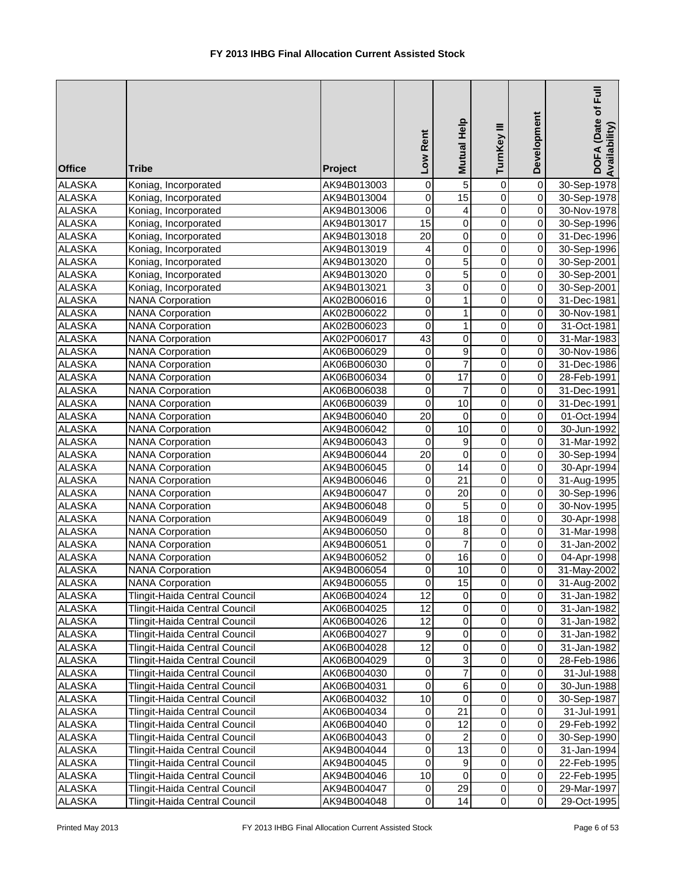| <b>Office</b> | <b>Tribe</b>                  | Project     | Low Rent         | <b>Mutual Help</b>        | TurnKey III    | Development             | DOFA (Date of Full<br>Availability) |
|---------------|-------------------------------|-------------|------------------|---------------------------|----------------|-------------------------|-------------------------------------|
| <b>ALASKA</b> | Koniag, Incorporated          | AK94B013003 | $\mathbf 0$      | $\overline{5}$            | $\mathbf 0$    | $\overline{0}$          | 30-Sep-1978                         |
| <b>ALASKA</b> | Koniag, Incorporated          | AK94B013004 | $\mathbf 0$      | 15                        | $\overline{0}$ | $\overline{0}$          | 30-Sep-1978                         |
| <b>ALASKA</b> | Koniag, Incorporated          | AK94B013006 | $\mathbf 0$      | 4                         | $\overline{0}$ | $\pmb{0}$               | 30-Nov-1978                         |
| <b>ALASKA</b> | Koniag, Incorporated          | AK94B013017 | $\overline{15}$  | $\overline{0}$            | $\mathbf 0$    | 0                       | 30-Sep-1996                         |
| <b>ALASKA</b> | Koniag, Incorporated          | AK94B013018 | $\overline{20}$  | $\mathbf 0$               | $\mathbf 0$    | 0                       | 31-Dec-1996                         |
| <b>ALASKA</b> | Koniag, Incorporated          | AK94B013019 | 4                | 0                         | 0              | 0                       | 30-Sep-1996                         |
| <b>ALASKA</b> | Koniag, Incorporated          | AK94B013020 | 0                | 5                         | 0              | 0                       | 30-Sep-2001                         |
| <b>ALASKA</b> | Koniag, Incorporated          | AK94B013020 | 0                | 5                         | 0              | $\overline{\mathsf{o}}$ | 30-Sep-2001                         |
| <b>ALASKA</b> | Koniag, Incorporated          | AK94B013021 | 3                | $\mathbf 0$               | $\mathbf 0$    | $\overline{\mathsf{o}}$ | 30-Sep-2001                         |
| <b>ALASKA</b> | <b>NANA Corporation</b>       | AK02B006016 | 0                | $\mathbf{1}$              | 0              | $\pmb{0}$               | 31-Dec-1981                         |
| <b>ALASKA</b> | <b>NANA Corporation</b>       | AK02B006022 | $\mathbf 0$      | $\mathbf{1}$              | $\mathbf 0$    | 0                       | 30-Nov-1981                         |
| <b>ALASKA</b> | <b>NANA Corporation</b>       | AK02B006023 | 0                | $\mathbf{1}$              | $\mathbf 0$    | $\pmb{0}$               | 31-Oct-1981                         |
| <b>ALASKA</b> | <b>NANA Corporation</b>       | AK02P006017 | 43               | 0                         | $\mathbf 0$    | $\mathbf 0$             | 31-Mar-1983                         |
| <b>ALASKA</b> | <b>NANA Corporation</b>       | AK06B006029 | $\mathbf 0$      | $\boldsymbol{9}$          | $\mathbf 0$    | $\pmb{0}$               | 30-Nov-1986                         |
| <b>ALASKA</b> | <b>NANA Corporation</b>       | AK06B006030 | 0                | $\overline{7}$            | 0              | $\mathbf 0$             | 31-Dec-1986                         |
| <b>ALASKA</b> | <b>NANA Corporation</b>       | AK06B006034 | 0                | 17                        | $\mathbf 0$    | $\pmb{0}$               | 28-Feb-1991                         |
| <b>ALASKA</b> | <b>NANA Corporation</b>       | AK06B006038 | $\mathbf 0$      | $\overline{7}$            | $\mathsf 0$    | 0                       | 31-Dec-1991                         |
| <b>ALASKA</b> | <b>NANA Corporation</b>       | AK06B006039 | $\mathbf 0$      | $\overline{10}$           | $\mathbf 0$    | $\overline{0}$          | 31-Dec-1991                         |
| <b>ALASKA</b> | <b>NANA Corporation</b>       | AK94B006040 | $\overline{20}$  | $\pmb{0}$                 | $\overline{0}$ | $\overline{0}$          | 01-Oct-1994                         |
| <b>ALASKA</b> | <b>NANA Corporation</b>       | AK94B006042 | $\mathbf 0$      | $\overline{10}$           | $\overline{0}$ | $\pmb{0}$               | 30-Jun-1992                         |
| <b>ALASKA</b> | <b>NANA</b> Corporation       | AK94B006043 | $\mathbf 0$      | 9                         | $\mathbf 0$    | 0                       | 31-Mar-1992                         |
| <b>ALASKA</b> | <b>NANA Corporation</b>       | AK94B006044 | $\overline{20}$  | $\mathbf 0$               | $\mathbf 0$    | 0                       | 30-Sep-1994                         |
| <b>ALASKA</b> | <b>NANA Corporation</b>       | AK94B006045 | 0                | 14                        | 0              | 0                       | 30-Apr-1994                         |
| <b>ALASKA</b> | <b>NANA</b> Corporation       | AK94B006046 | 0                | $\overline{21}$           | 0              | $\overline{\mathsf{o}}$ | 31-Aug-1995                         |
| <b>ALASKA</b> | <b>NANA Corporation</b>       | AK94B006047 | 0                | $\overline{20}$           | $\mathbf 0$    | $\overline{\mathsf{o}}$ | 30-Sep-1996                         |
| <b>ALASKA</b> | <b>NANA Corporation</b>       | AK94B006048 | $\mathbf 0$      | 5                         | $\mathbf 0$    | $\overline{\mathsf{o}}$ | 30-Nov-1995                         |
| <b>ALASKA</b> | <b>NANA Corporation</b>       | AK94B006049 | 0                | 18                        | 0              | $\overline{\mathsf{o}}$ | 30-Apr-1998                         |
| <b>ALASKA</b> | <b>NANA Corporation</b>       | AK94B006050 | 0                | 8                         | 0              | $\overline{\mathsf{o}}$ | 31-Mar-1998                         |
| <b>ALASKA</b> | <b>NANA</b> Corporation       | AK94B006051 | 0                | $\overline{7}$            | $\mathbf 0$    | $\pmb{0}$               | 31-Jan-2002                         |
| <b>ALASKA</b> | <b>NANA Corporation</b>       | AK94B006052 | 0                | 16                        | 0              | $\pmb{0}$               | 04-Apr-1998                         |
| <b>ALASKA</b> | <b>NANA Corporation</b>       | AK94B006054 | $\Omega$         | 10                        | $\Omega$       | $\Omega$                | 31-May-2002                         |
| <b>ALASKA</b> | <b>NANA Corporation</b>       | AK94B006055 | 0                | 15                        | 0              | $\mathbf 0$             | 31-Aug-2002                         |
| <b>ALASKA</b> | Tlingit-Haida Central Council | AK06B004024 | 12               | 0                         | $\mathbf 0$    | $\overline{0}$          | 31-Jan-1982                         |
| <b>ALASKA</b> | Tlingit-Haida Central Council | AK06B004025 | 12               | 0                         | $\pmb{0}$      | $\mathbf 0$             | 31-Jan-1982                         |
| <b>ALASKA</b> | Tlingit-Haida Central Council | AK06B004026 | 12               | 0                         | $\pmb{0}$      | $\mathbf 0$             | 31-Jan-1982                         |
| <b>ALASKA</b> | Tlingit-Haida Central Council | AK06B004027 | $\boldsymbol{9}$ | $\pmb{0}$                 | $\pmb{0}$      | $\mathbf 0$             | 31-Jan-1982                         |
| <b>ALASKA</b> | Tlingit-Haida Central Council | AK06B004028 | 12               | $\pmb{0}$                 | 0              | $\pmb{0}$               | 31-Jan-1982                         |
| <b>ALASKA</b> | Tlingit-Haida Central Council | AK06B004029 | $\pmb{0}$        | $\ensuremath{\mathsf{3}}$ | $\mathsf 0$    | 0                       | 28-Feb-1986                         |
| <b>ALASKA</b> | Tlingit-Haida Central Council | AK06B004030 | 0                | $\overline{7}$            | 0              | $\mathbf 0$             | 31-Jul-1988                         |
| <b>ALASKA</b> | Tlingit-Haida Central Council | AK06B004031 | 0                | $\overline{6}$            | 0              | $\mathbf 0$             | 30-Jun-1988                         |
| <b>ALASKA</b> | Tlingit-Haida Central Council | AK06B004032 | 10               | 0                         | 0              | $\pmb{0}$               | 30-Sep-1987                         |
| <b>ALASKA</b> | Tlingit-Haida Central Council | AK06B004034 | $\pmb{0}$        | 21                        | 0              | $\pmb{0}$               | 31-Jul-1991                         |
| <b>ALASKA</b> | Tlingit-Haida Central Council | AK06B004040 | $\pmb{0}$        | 12                        | 0              | $\pmb{0}$               | 29-Feb-1992                         |
| <b>ALASKA</b> | Tlingit-Haida Central Council | AK06B004043 | $\pmb{0}$        | $\overline{c}$            | 0              | $\mathbf 0$             | 30-Sep-1990                         |
| <b>ALASKA</b> | Tlingit-Haida Central Council | AK94B004044 | 0                | $\overline{13}$           | 0              | $\mathbf 0$             | 31-Jan-1994                         |
| <b>ALASKA</b> | Tlingit-Haida Central Council | AK94B004045 | 0                | 9                         | 0              | $\mathbf 0$             | 22-Feb-1995                         |
| <b>ALASKA</b> | Tlingit-Haida Central Council | AK94B004046 | 10               | 0                         | 0              | $\mathbf 0$             | 22-Feb-1995                         |
| <b>ALASKA</b> | Tlingit-Haida Central Council | AK94B004047 | 0                | 29                        | $\pmb{0}$      | $\mathbf 0$             | 29-Mar-1997                         |
| <b>ALASKA</b> | Tlingit-Haida Central Council | AK94B004048 | $\pmb{0}$        | 14                        | $\pmb{0}$      | $\overline{0}$          | 29-Oct-1995                         |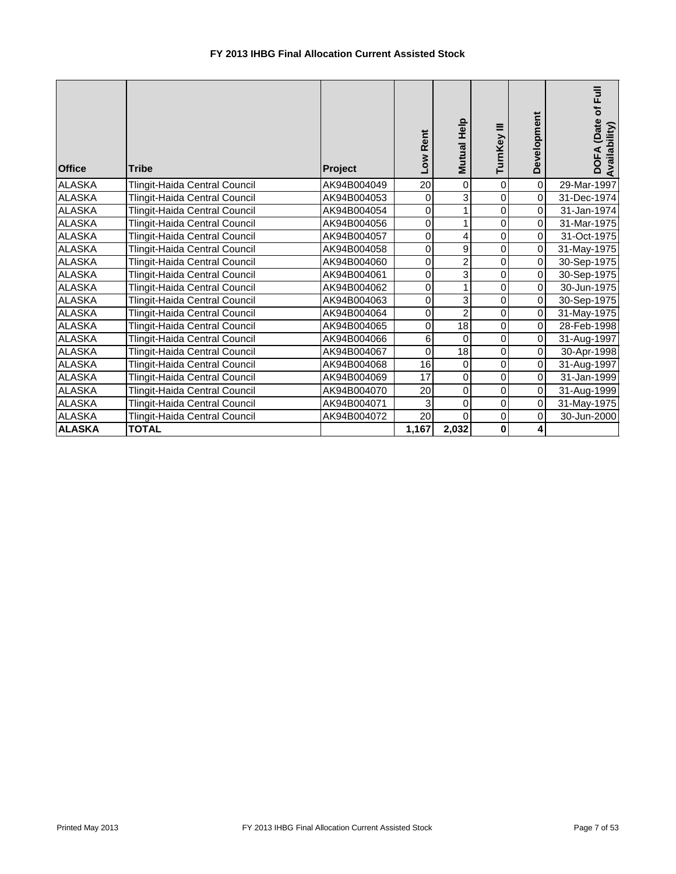| <b>Office</b> | <b>Tribe</b>                  | Project     | Rent<br><b>MOT</b> | Mutual Help    | TurnKey III | Development    | $\bar{E}$<br>DOFA (Date of<br>Availability) |
|---------------|-------------------------------|-------------|--------------------|----------------|-------------|----------------|---------------------------------------------|
| <b>ALASKA</b> | Tlingit-Haida Central Council | AK94B004049 | 20                 | $\mathbf 0$    | $\mathbf 0$ | $\overline{0}$ | 29-Mar-1997                                 |
| <b>ALASKA</b> | Tlingit-Haida Central Council | AK94B004053 | 0                  | 3              | $\mathbf 0$ | $\overline{0}$ | 31-Dec-1974                                 |
| <b>ALASKA</b> | Tlingit-Haida Central Council | AK94B004054 | 0                  | 1              | $\mathbf 0$ | $\overline{0}$ | 31-Jan-1974                                 |
| <b>ALASKA</b> | Tlingit-Haida Central Council | AK94B004056 | 0                  | 1              | $\mathbf 0$ | $\overline{0}$ | 31-Mar-1975                                 |
| <b>ALASKA</b> | Tlingit-Haida Central Council | AK94B004057 | 0                  | 4              | $\mathbf 0$ | $\overline{0}$ | 31-Oct-1975                                 |
| <b>ALASKA</b> | Tlingit-Haida Central Council | AK94B004058 | 0                  | 9              | $\mathbf 0$ | $\overline{0}$ | 31-May-1975                                 |
| <b>ALASKA</b> | Tlingit-Haida Central Council | AK94B004060 | 0                  | $\overline{2}$ | $\mathbf 0$ | $\overline{0}$ | 30-Sep-1975                                 |
| <b>ALASKA</b> | Tlingit-Haida Central Council | AK94B004061 | 0                  | 3              | $\pmb{0}$   | $\overline{0}$ | 30-Sep-1975                                 |
| <b>ALASKA</b> | Tlingit-Haida Central Council | AK94B004062 | 0                  | 1              | $\pmb{0}$   | $\overline{O}$ | 30-Jun-1975                                 |
| <b>ALASKA</b> | Tlingit-Haida Central Council | AK94B004063 | 0                  | 3              | $\mathbf 0$ | $\overline{0}$ | 30-Sep-1975                                 |
| <b>ALASKA</b> | Tlingit-Haida Central Council | AK94B004064 | 0                  | $\overline{c}$ | $\mathbf 0$ | $\overline{0}$ | 31-May-1975                                 |
| <b>ALASKA</b> | Tlingit-Haida Central Council | AK94B004065 | 0                  | 18             | $\mathbf 0$ | $\overline{0}$ | 28-Feb-1998                                 |
| <b>ALASKA</b> | Tlingit-Haida Central Council | AK94B004066 | 6                  | $\mathbf 0$    | $\mathbf 0$ | $\overline{0}$ | 31-Aug-1997                                 |
| <b>ALASKA</b> | Tlingit-Haida Central Council | AK94B004067 | 0                  | 18             | $\pmb{0}$   | $\overline{0}$ | 30-Apr-1998                                 |
| <b>ALASKA</b> | Tlingit-Haida Central Council | AK94B004068 | 16                 | $\pmb{0}$      | $\mathbf 0$ | $\overline{O}$ | 31-Aug-1997                                 |
| <b>ALASKA</b> | Tlingit-Haida Central Council | AK94B004069 | 17                 | $\mathbf 0$    | $\mathbf 0$ | $\overline{0}$ | 31-Jan-1999                                 |
| <b>ALASKA</b> | Tlingit-Haida Central Council | AK94B004070 | 20                 | $\mathbf 0$    | $\mathbf 0$ | $\overline{0}$ | 31-Aug-1999                                 |
| <b>ALASKA</b> | Tlingit-Haida Central Council | AK94B004071 | 3                  | $\pmb{0}$      | $\mathbf 0$ | $\overline{0}$ | 31-May-1975                                 |
| <b>ALASKA</b> | Tlingit-Haida Central Council | AK94B004072 | $\overline{20}$    | $\Omega$       | $\mathbf 0$ | $\overline{O}$ | 30-Jun-2000                                 |
| <b>ALASKA</b> | <b>TOTAL</b>                  |             | 1,167              | 2,032          | $\pmb{0}$   | 4 <sup>1</sup> |                                             |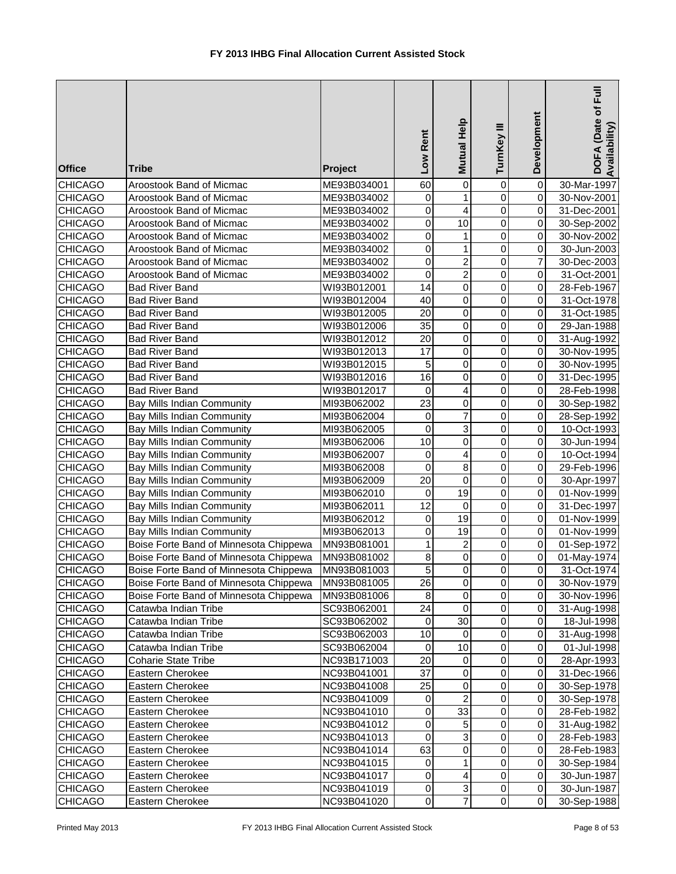| <b>Office</b>                    | <b>Tribe</b>                           | Project                    | Low Rent        | Mutual Help               | TurnKey III    | Development                | DOFA (Date of Full<br>Availability) |
|----------------------------------|----------------------------------------|----------------------------|-----------------|---------------------------|----------------|----------------------------|-------------------------------------|
| <b>CHICAGO</b>                   | Aroostook Band of Micmac               | ME93B034001                | 60              | 0                         | $\mathbf 0$    | $\pmb{0}$                  | 30-Mar-1997                         |
| <b>CHICAGO</b>                   | Aroostook Band of Micmac               | ME93B034002                | 0               | $\mathbf{1}$              | $\mathbf 0$    | $\overline{0}$             | 30-Nov-2001                         |
| <b>CHICAGO</b>                   | Aroostook Band of Micmac               | ME93B034002                | $\overline{0}$  | $\overline{\mathbf{4}}$   | $\mathbf 0$    | $\pmb{0}$                  | 31-Dec-2001                         |
| <b>CHICAGO</b>                   | Aroostook Band of Micmac               | ME93B034002                | $\mathbf 0$     | $\overline{10}$           | 0              | $\pmb{0}$                  | 30-Sep-2002                         |
| <b>CHICAGO</b>                   | Aroostook Band of Micmac               | ME93B034002                | 0               | $\mathbf{1}$              | $\mathbf 0$    | 0                          | 30-Nov-2002                         |
| <b>CHICAGO</b>                   | Aroostook Band of Micmac               | ME93B034002                | $\mathbf 0$     | $\mathbf{1}$              | $\mathbf 0$    | 0                          | 30-Jun-2003                         |
| <b>CHICAGO</b>                   | Aroostook Band of Micmac               | ME93B034002                | 0               | $\overline{c}$            | $\mathbf 0$    | $\overline{7}$             | 30-Dec-2003                         |
| <b>CHICAGO</b>                   | Aroostook Band of Micmac               | ME93B034002                | 0               | $\overline{c}$            | $\mathbf 0$    | $\mathbf 0$                | 31-Oct-2001                         |
| <b>CHICAGO</b>                   | <b>Bad River Band</b>                  | WI93B012001                | $\overline{14}$ | 0                         | $\mathbf 0$    | 0                          | 28-Feb-1967                         |
| <b>CHICAGO</b>                   | <b>Bad River Band</b>                  | WI93B012004                | 40              | $\mathbf 0$               | $\mathbf 0$    | 0                          | 31-Oct-1978                         |
| <b>CHICAGO</b>                   | <b>Bad River Band</b>                  | WI93B012005                | 20              | 0                         | $\mathbf 0$    | $\mathbf 0$                | 31-Oct-1985                         |
| <b>CHICAGO</b>                   | <b>Bad River Band</b>                  | WI93B012006                | 35              | 0                         | $\mathbf 0$    | $\mathbf 0$                | 29-Jan-1988                         |
| <b>CHICAGO</b>                   | <b>Bad River Band</b>                  | WI93B012012                | 20              | 0                         | $\mathbf 0$    | $\overline{0}$             | 31-Aug-1992                         |
| <b>CHICAGO</b>                   | <b>Bad River Band</b>                  | WI93B012013                | 17              | 0                         | $\mathbf 0$    | $\mathbf 0$                | 30-Nov-1995                         |
| <b>CHICAGO</b>                   | <b>Bad River Band</b>                  | WI93B012015                | 5               | 0                         | $\mathbf 0$    | $\pmb{0}$                  | 30-Nov-1995                         |
| <b>CHICAGO</b>                   | <b>Bad River Band</b>                  | WI93B012016                | 16              | 0                         | 0              | $\overline{0}$             | 31-Dec-1995                         |
| <b>CHICAGO</b>                   | <b>Bad River Band</b>                  | WI93B012017                | 0               | 4                         | $\mathbf 0$    | $\mathbf 0$                | 28-Feb-1998                         |
| <b>CHICAGO</b>                   | Bay Mills Indian Community             | MI93B062002                | 23              | $\mathbf 0$               | $\mathbf 0$    | $\mathbf 0$                | 30-Sep-1982                         |
| <b>CHICAGO</b>                   | Bay Mills Indian Community             | MI93B062004                | $\mathbf 0$     | $\overline{7}$            | $\mathbf 0$    | 0                          | 28-Sep-1992                         |
| <b>CHICAGO</b>                   | Bay Mills Indian Community             | MI93B062005                | $\mathbf 0$     | $\overline{3}$            | $\mathbf 0$    | $\pmb{0}$                  | 10-Oct-1993                         |
| <b>CHICAGO</b>                   | Bay Mills Indian Community             | MI93B062006                | $\overline{10}$ | $\mathbf 0$               | $\mathbf 0$    | $\pmb{0}$                  | 30-Jun-1994                         |
| <b>CHICAGO</b>                   | <b>Bay Mills Indian Community</b>      | MI93B062007                | $\mathbf 0$     | 4                         | $\mathbf 0$    | $\pmb{0}$                  | 10-Oct-1994                         |
| <b>CHICAGO</b>                   | Bay Mills Indian Community             | MI93B062008                | $\mathbf 0$     | 8                         | $\mathbf 0$    | 0                          | 29-Feb-1996                         |
| <b>CHICAGO</b>                   | Bay Mills Indian Community             | MI93B062009                | $\overline{20}$ | 0                         | 0              | 0                          | 30-Apr-1997                         |
| <b>CHICAGO</b>                   | Bay Mills Indian Community             | MI93B062010                | 0               | 19                        | $\mathbf 0$    | $\mathbf 0$                | 01-Nov-1999                         |
| <b>CHICAGO</b>                   | Bay Mills Indian Community             | MI93B062011                | $\overline{12}$ | $\mathbf 0$               | $\mathbf 0$    | $\overline{\mathsf{o}}$    | 31-Dec-1997                         |
| <b>CHICAGO</b>                   | Bay Mills Indian Community             | MI93B062012                | $\mathbf 0$     | $\overline{19}$           | $\mathbf 0$    | $\overline{\mathsf{o}}$    | 01-Nov-1999                         |
| <b>CHICAGO</b>                   | Bay Mills Indian Community             | MI93B062013                | 0               | 19                        | 0              | $\pmb{0}$                  | 01-Nov-1999                         |
| <b>CHICAGO</b>                   | Boise Forte Band of Minnesota Chippewa | MN93B081001                | 1               | $\overline{c}$            | $\mathbf 0$    | $\pmb{0}$                  | 01-Sep-1972                         |
| <b>CHICAGO</b>                   | Boise Forte Band of Minnesota Chippewa | MN93B081002                | 8<br>5          | $\pmb{0}$<br>$\Omega$     | 0<br>$\Omega$  | $\mathbf 0$                | 01-May-1974                         |
| <b>CHICAGO</b>                   | Boise Forte Band of Minnesota Chippewa | MN93B081003                |                 |                           |                | $\overline{0}$             | 31-Oct-1974                         |
| <b>CHICAGO</b>                   | Boise Forte Band of Minnesota Chippewa | MN93B081005                | 26              | 0                         | 0              | $\mathbf 0$                | 30-Nov-1979                         |
| <b>CHICAGO</b>                   | Boise Forte Band of Minnesota Chippewa | MN93B081006                | 8               | 0                         | 0              | $\mathbf 0$                | 30-Nov-1996                         |
| <b>CHICAGO</b>                   | Catawba Indian Tribe                   | SC93B062001                | 24              | 0                         | 0              | 0<br>$\overline{0}$        | 31-Aug-1998                         |
| <b>CHICAGO</b>                   | Catawba Indian Tribe                   | SC93B062002                | 0<br>10         | 30                        | 0              |                            | 18-Jul-1998                         |
| <b>CHICAGO</b><br><b>CHICAGO</b> | Catawba Indian Tribe                   | SC93B062003                | $\pmb{0}$       | 0<br>10                   | 0<br>$\pmb{0}$ | $\mathbf 0$<br>$\mathbf 0$ | 31-Aug-1998                         |
|                                  | Catawba Indian Tribe                   | SC93B062004                | 20              |                           | 0              | $\Omega$                   | 01-Jul-1998                         |
| <b>CHICAGO</b><br><b>CHICAGO</b> | <b>Coharie State Tribe</b>             | NC93B171003                | 37              | 0<br>$\mathbf 0$          | 0              | $\pmb{0}$                  | 28-Apr-1993<br>31-Dec-1966          |
| <b>CHICAGO</b>                   | Eastern Cherokee                       | NC93B041001                | 25              | 0                         | 0              | $\pmb{0}$                  |                                     |
| <b>CHICAGO</b>                   | Eastern Cherokee<br>Eastern Cherokee   | NC93B041008<br>NC93B041009 | 0               | $\overline{c}$            | 0              | 0                          | 30-Sep-1978<br>30-Sep-1978          |
| <b>CHICAGO</b>                   | Eastern Cherokee                       | NC93B041010                | 0               | 33                        | 0              | $\mathbf 0$                | 28-Feb-1982                         |
| <b>CHICAGO</b>                   | Eastern Cherokee                       | NC93B041012                | 0               | 5                         | 0              | $\mathbf 0$                | 31-Aug-1982                         |
| <b>CHICAGO</b>                   | Eastern Cherokee                       | NC93B041013                | $\mathbf 0$     | 3                         | 0              | $\pmb{0}$                  | 28-Feb-1983                         |
| <b>CHICAGO</b>                   | Eastern Cherokee                       | NC93B041014                | 63              | $\pmb{0}$                 | 0              | $\mathbf 0$                | 28-Feb-1983                         |
| <b>CHICAGO</b>                   | Eastern Cherokee                       | NC93B041015                | 0               | 1                         | 0              | $\mathbf 0$                | 30-Sep-1984                         |
| <b>CHICAGO</b>                   | Eastern Cherokee                       | NC93B041017                | 0               | 4                         | 0              | $\mathbf 0$                | 30-Jun-1987                         |
| CHICAGO                          | Eastern Cherokee                       | NC93B041019                | 0               | $\ensuremath{\mathsf{3}}$ | 0              | $\overline{0}$             | 30-Jun-1987                         |
| <b>CHICAGO</b>                   | Eastern Cherokee                       | NC93B041020                | $\pmb{0}$       | $\boldsymbol{7}$          | $\pmb{0}$      | $\overline{0}$             | 30-Sep-1988                         |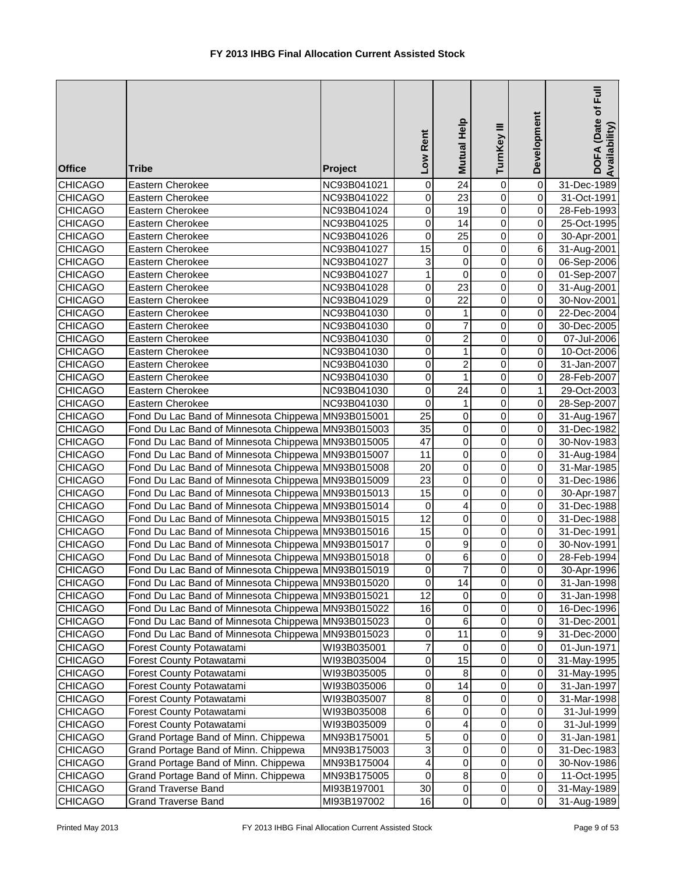| Mutual Help<br>TurnKey III<br>Low Rent<br><b>Tribe</b><br><b>Office</b><br>Project                                              | Development                                             | DOFA (Date of Full<br>Availability) |
|---------------------------------------------------------------------------------------------------------------------------------|---------------------------------------------------------|-------------------------------------|
| $\overline{24}$<br><b>CHICAGO</b><br>Eastern Cherokee<br>0<br>NC93B041021                                                       | $\overline{\mathsf{o}}$<br>0                            | 31-Dec-1989                         |
| $\overline{23}$<br>$\mathbf 0$<br><b>CHICAGO</b><br>Eastern Cherokee<br>NC93B041022                                             | $\mathbf 0$<br>$\overline{0}$                           | 31-Oct-1991                         |
| $\mathbf 0$<br>19<br><b>CHICAGO</b><br>Eastern Cherokee<br>NC93B041024                                                          | $\overline{0}$<br>$\overline{0}$                        | 28-Feb-1993                         |
| $\mathbf 0$<br>$\overline{14}$<br><b>CHICAGO</b><br>Eastern Cherokee<br>NC93B041025                                             | $\overline{0}$<br>$\overline{0}$                        | 25-Oct-1995                         |
| $\overline{25}$<br><b>CHICAGO</b><br>$\mathbf 0$<br>Eastern Cherokee<br>NC93B041026                                             | $\overline{0}$<br>$\overline{0}$                        | 30-Apr-2001                         |
| 15<br><b>CHICAGO</b><br>$\pmb{0}$<br>Eastern Cherokee<br>NC93B041027                                                            | $\overline{0}$<br>$\overline{6}$                        | 31-Aug-2001                         |
| 3<br><b>CHICAGO</b><br>$\pmb{0}$<br>Eastern Cherokee<br>NC93B041027                                                             | $\mathbf 0$<br>$\overline{0}$                           | 06-Sep-2006                         |
| <b>CHICAGO</b><br>$\mathbf 0$<br>Eastern Cherokee<br>NC93B041027<br>1                                                           | $\overline{0}$<br>$\mathbf 0$                           | 01-Sep-2007                         |
| $\overline{23}$<br><b>CHICAGO</b><br>0<br>Eastern Cherokee<br>NC93B041028                                                       | $\mathbf 0$<br>$\overline{0}$                           | 31-Aug-2001                         |
| $\mathbf 0$<br>$\overline{22}$<br><b>CHICAGO</b><br>NC93B041029<br>Eastern Cherokee                                             | $\mathbf 0$<br>$\overline{0}$                           | 30-Nov-2001                         |
| <b>CHICAGO</b><br>NC93B041030<br>0<br>Eastern Cherokee<br>1                                                                     | $\mathbf 0$<br>$\overline{0}$                           | 22-Dec-2004                         |
| $\mathbf 0$<br>$\overline{7}$<br><b>CHICAGO</b><br>NC93B041030<br>Eastern Cherokee                                              | $\mathbf 0$<br>$\overline{0}$                           | 30-Dec-2005                         |
| $\overline{\mathbf{c}}$<br><b>CHICAGO</b><br>0<br>Eastern Cherokee<br>NC93B041030                                               | $\mathbf 0$<br>$\overline{0}$                           | 07-Jul-2006                         |
| $\mathbf 0$<br><b>CHICAGO</b><br>1<br>Eastern Cherokee<br>NC93B041030                                                           | $\mathbf 0$<br>$\overline{0}$                           | 10-Oct-2006                         |
| $\overline{\mathbf{c}}$<br><b>CHICAGO</b><br>0<br>Eastern Cherokee<br>NC93B041030                                               | $\mathbf 0$<br>$\overline{0}$                           | 31-Jan-2007                         |
| <b>CHICAGO</b><br>0<br>Eastern Cherokee<br>NC93B041030<br>1                                                                     | $\mathbf 0$<br>$\overline{0}$                           | 28-Feb-2007                         |
| $\mathbf 0$<br>24<br><b>CHICAGO</b><br>Eastern Cherokee<br>NC93B041030                                                          | 1<br>$\mathbf 0$                                        | 29-Oct-2003                         |
| 0<br><b>CHICAGO</b><br>Eastern Cherokee<br>NC93B041030<br>1                                                                     | $\mathbf 0$<br>$\overline{0}$                           | 28-Sep-2007                         |
| $\overline{25}$<br>$\overline{0}$<br><b>CHICAGO</b><br>Fond Du Lac Band of Minnesota Chippewa<br>MN93B015001                    | $\mathbf 0$<br>$\overline{0}$                           | 31-Aug-1967                         |
| $\overline{35}$<br>$\overline{0}$<br><b>CHICAGO</b><br>Fond Du Lac Band of Minnesota Chippewa MN93B015003                       | $\overline{0}$<br>$\overline{0}$                        | 31-Dec-1982                         |
| $\overline{47}$<br>$\overline{0}$<br>Fond Du Lac Band of Minnesota Chippewa MN93B015005<br><b>CHICAGO</b>                       | $\overline{0}$<br>$\overline{0}$                        | 30-Nov-1983                         |
| $\overline{11}$<br>$\overline{0}$<br><b>CHICAGO</b><br>Fond Du Lac Band of Minnesota Chippewa MN93B015007                       | $\overline{0}$<br>$\overline{0}$                        | 31-Aug-1984                         |
| $\overline{20}$<br>$\overline{0}$<br><b>CHICAGO</b><br>Fond Du Lac Band of Minnesota Chippewa MN93B015008                       | $\overline{0}$<br>$\overline{0}$                        | 31-Mar-1985                         |
| 23<br><b>CHICAGO</b><br>Fond Du Lac Band of Minnesota Chippewa MN93B015009<br>$\pmb{0}$                                         | $\mathbf 0$<br>$\overline{0}$                           | 31-Dec-1986                         |
| $\overline{15}$<br><b>CHICAGO</b><br>Fond Du Lac Band of Minnesota Chippewa MN93B015013<br>$\pmb{0}$                            | $\overline{0}$<br>0                                     | 30-Apr-1987                         |
| 4<br><b>CHICAGO</b><br>Fond Du Lac Band of Minnesota Chippewa MN93B015014<br>0                                                  | $\overline{0}$<br>$\mathbf 0$                           | 31-Dec-1988                         |
| $\overline{12}$<br>$\overline{0}$<br><b>CHICAGO</b><br>Fond Du Lac Band of Minnesota Chippewa MN93B015015                       | $\mathbf 0$<br>$\overline{0}$                           | 31-Dec-1988                         |
| Fond Du Lac Band of Minnesota Chippewa MN93B015016<br>15<br>$\pmb{0}$<br><b>CHICAGO</b>                                         | $\pmb{0}$<br>$\overline{0}$                             | 31-Dec-1991                         |
| 9<br><b>CHICAGO</b><br>Fond Du Lac Band of Minnesota Chippewa MN93B015017<br>0                                                  | 0<br>$\overline{0}$                                     | 30-Nov-1991                         |
| <b>CHICAGO</b><br>Fond Du Lac Band of Minnesota Chippewa MN93B015018<br>0<br>6<br>$\overline{\mathsf{o}}$<br>7                  | $\overline{0}$<br>0<br>$\overline{0}$<br>$\overline{0}$ | 28-Feb-1994                         |
| CHICAGO<br>Fond Du Lac Band of Minnesota Chippewa MN93B015019                                                                   |                                                         | 30-Apr-1996                         |
| <b>CHICAGO</b><br>$\,0\,$<br>14<br>Fond Du Lac Band of Minnesota Chippewa MN93B015020<br>12                                     | 0<br>$\overline{0}$                                     | 31-Jan-1998                         |
| <b>CHICAGO</b><br>Fond Du Lac Band of Minnesota Chippewa MN93B015021<br>0<br>Fond Du Lac Band of Minnesota Chippewa MN93B015022 | 0<br>$\overline{O}$                                     | 31-Jan-1998                         |
| 16<br><b>CHICAGO</b><br>0                                                                                                       | 0<br>$\overline{0}$                                     | 16-Dec-1996                         |
| 6<br>Fond Du Lac Band of Minnesota Chippewa<br><b>CHICAGO</b><br>0<br>MN93B015023<br>$\,0\,$<br>11                              | 0<br>0<br>0                                             | 31-Dec-2001                         |
| <b>CHICAGO</b><br>Fond Du Lac Band of Minnesota Chippewa<br>MN93B015023<br>$\overline{7}$<br>$\mathbf 0$                        | 9<br>0<br>$\Omega$                                      | 31-Dec-2000                         |
| <b>CHICAGO</b><br>Forest County Potawatami<br>WI93B035001<br>0<br>15<br><b>CHICAGO</b><br>Forest County Potawatami              | $\pmb{0}$<br>$\overline{0}$                             | 01-Jun-1971<br>31-May-1995          |
| WI93B035004<br>8<br>0<br><b>CHICAGO</b><br>Forest County Potawatami                                                             | $\pmb{0}$<br>$\Omega$                                   |                                     |
| WI93B035005<br>0<br>14<br><b>CHICAGO</b><br>Forest County Potawatami<br>WI93B035006                                             | $\,0\,$<br>$\Omega$                                     | 31-May-1995                         |
| 8<br><b>CHICAGO</b><br>Forest County Potawatami<br>0                                                                            | 0<br>$\Omega$                                           | 31-Jan-1997                         |
| WI93B035007<br>6<br><b>CHICAGO</b><br>Forest County Potawatami<br>0<br>WI93B035008                                              | 0<br>$\Omega$                                           | 31-Mar-1998<br>31-Jul-1999          |
| 0<br>4<br><b>CHICAGO</b><br>Forest County Potawatami<br>WI93B035009                                                             | 0<br>$\overline{0}$                                     | 31-Jul-1999                         |
| 5<br>$\pmb{0}$<br>Grand Portage Band of Minn. Chippewa<br><b>CHICAGO</b><br>MN93B175001                                         | 0<br>$\overline{0}$                                     | 31-Jan-1981                         |
| 3<br>$\mathbf 0$<br><b>CHICAGO</b><br>Grand Portage Band of Minn. Chippewa<br>MN93B175003                                       | $\pmb{0}$<br>$\overline{0}$                             | 31-Dec-1983                         |
| 4<br>0<br><b>CHICAGO</b><br>Grand Portage Band of Minn. Chippewa<br>MN93B175004                                                 | $\,0\,$<br>$\overline{0}$                               | 30-Nov-1986                         |
| $\mathbf 0$<br>8<br><b>CHICAGO</b><br>Grand Portage Band of Minn. Chippewa<br>MN93B175005                                       | 0<br>$\overline{0}$                                     | 11-Oct-1995                         |
| 30<br><b>CHICAGO</b><br>$\pmb{0}$<br>Grand Traverse Band<br>MI93B197001                                                         | 0<br>$\overline{0}$                                     | 31-May-1989                         |
| <b>CHICAGO</b><br>16<br>$\pmb{0}$<br><b>Grand Traverse Band</b><br>MI93B197002                                                  | $\pmb{0}$<br>$\overline{0}$                             | 31-Aug-1989                         |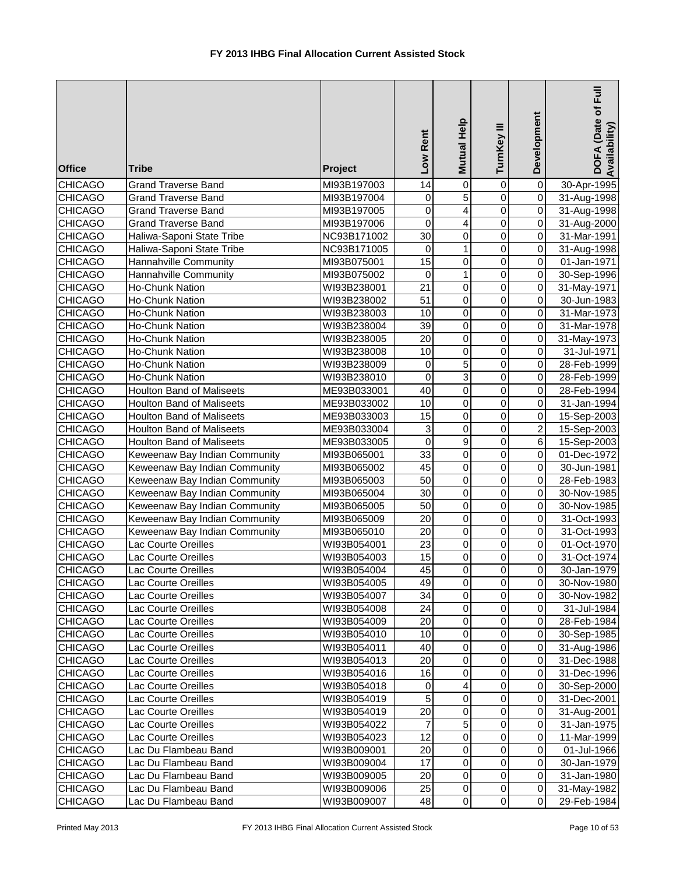| <b>Office</b>  | <b>Tribe</b>                     | Project     | Low Rent        | Mutual Help    | TurnKey III             | Development    | DOFA (Date of Full<br>Availability |
|----------------|----------------------------------|-------------|-----------------|----------------|-------------------------|----------------|------------------------------------|
| <b>CHICAGO</b> | <b>Grand Traverse Band</b>       | MI93B197003 | 14              | $\pmb{0}$      | 0                       | $\overline{0}$ | 30-Apr-1995                        |
| <b>CHICAGO</b> | <b>Grand Traverse Band</b>       | MI93B197004 | 0               | $\overline{5}$ | $\mathbf 0$             | $\overline{0}$ | 31-Aug-1998                        |
| <b>CHICAGO</b> | <b>Grand Traverse Band</b>       | MI93B197005 | $\mathbf 0$     | 4              | $\mathbf 0$             | $\overline{0}$ | 31-Aug-1998                        |
| <b>CHICAGO</b> | <b>Grand Traverse Band</b>       | MI93B197006 | $\overline{0}$  | $\overline{4}$ | $\overline{0}$          | $\overline{0}$ | 31-Aug-2000                        |
| <b>CHICAGO</b> | Haliwa-Saponi State Tribe        | NC93B171002 | $\overline{30}$ | $\pmb{0}$      | $\overline{0}$          | $\overline{0}$ | 31-Mar-1991                        |
| CHICAGO        | Haliwa-Saponi State Tribe        | NC93B171005 | 0               | $\mathbf{1}$   | $\overline{0}$          | $\overline{0}$ | 31-Aug-1998                        |
| <b>CHICAGO</b> | Hannahville Community            | MI93B075001 | 15              | 0              | $\pmb{0}$               | $\overline{0}$ | 01-Jan-1971                        |
| <b>CHICAGO</b> | Hannahville Community            | MI93B075002 | 0               | $\mathbf{1}$   | $\mathbf 0$             | $\overline{0}$ | 30-Sep-1996                        |
| <b>CHICAGO</b> | Ho-Chunk Nation                  | WI93B238001 | $\overline{21}$ | $\pmb{0}$      | $\mathbf 0$             | $\overline{0}$ | 31-May-1971                        |
| <b>CHICAGO</b> | <b>Ho-Chunk Nation</b>           | WI93B238002 | $\overline{51}$ | 0              | $\mathbf 0$             | $\overline{0}$ | 30-Jun-1983                        |
| <b>CHICAGO</b> | Ho-Chunk Nation                  | WI93B238003 | 10              | $\mathbf 0$    | $\mathbf 0$             | $\overline{0}$ | 31-Mar-1973                        |
| <b>CHICAGO</b> | Ho-Chunk Nation                  | WI93B238004 | 39              | $\pmb{0}$      | $\mathbf 0$             | $\overline{0}$ | 31-Mar-1978                        |
| <b>CHICAGO</b> | Ho-Chunk Nation                  | WI93B238005 | 20              | $\pmb{0}$      | $\mathbf 0$             | $\overline{0}$ | 31-May-1973                        |
| <b>CHICAGO</b> | Ho-Chunk Nation                  | WI93B238008 | 10              | 0              | $\mathbf 0$             | $\overline{0}$ | 31-Jul-1971                        |
| <b>CHICAGO</b> | Ho-Chunk Nation                  | WI93B238009 | $\mathbf 0$     | 5              | $\mathbf 0$             | $\overline{0}$ | 28-Feb-1999                        |
| <b>CHICAGO</b> | Ho-Chunk Nation                  | WI93B238010 | 0               | 3              | 0                       | $\overline{0}$ | 28-Feb-1999                        |
| CHICAGO        | <b>Houlton Band of Maliseets</b> | ME93B033001 | 40              | $\mathbf 0$    | 0                       | $\overline{0}$ | 28-Feb-1994                        |
| <b>CHICAGO</b> | <b>Houlton Band of Maliseets</b> | ME93B033002 | 10              | $\pmb{0}$      | $\mathbf 0$             | $\overline{0}$ | 31-Jan-1994                        |
| <b>CHICAGO</b> | <b>Houlton Band of Maliseets</b> | ME93B033003 | 15              | $\overline{0}$ | $\mathbf 0$             | $\overline{0}$ | 15-Sep-2003                        |
| <b>CHICAGO</b> | <b>Houlton Band of Maliseets</b> | ME93B033004 | 3               | $\overline{0}$ | $\overline{0}$          | $\overline{2}$ | 15-Sep-2003                        |
| <b>CHICAGO</b> | <b>Houlton Band of Maliseets</b> | ME93B033005 | $\overline{0}$  | $\overline{9}$ | $\overline{0}$          | $6 \mid$       | 15-Sep-2003                        |
| <b>CHICAGO</b> | Keweenaw Bay Indian Community    | MI93B065001 | 33              | $\overline{0}$ | $\overline{0}$          | $\overline{0}$ | 01-Dec-1972                        |
| <b>CHICAGO</b> | Keweenaw Bay Indian Community    | MI93B065002 | 45              | $\overline{0}$ | $\overline{0}$          | $\overline{0}$ | 30-Jun-1981                        |
| <b>CHICAGO</b> | Keweenaw Bay Indian Community    | MI93B065003 | 50              | $\overline{0}$ | $\overline{0}$          | $\overline{0}$ | 28-Feb-1983                        |
| <b>CHICAGO</b> | Keweenaw Bay Indian Community    | MI93B065004 | $\overline{30}$ | $\overline{0}$ | $\mathbf 0$             | $\overline{0}$ | 30-Nov-1985                        |
| <b>CHICAGO</b> | Keweenaw Bay Indian Community    | MI93B065005 | $\overline{50}$ | $\pmb{0}$      | 0                       | $\overline{0}$ | 30-Nov-1985                        |
| <b>CHICAGO</b> | Keweenaw Bay Indian Community    | MI93B065009 | $\overline{20}$ | $\pmb{0}$      | $\mathbf 0$             | $\overline{0}$ | 31-Oct-1993                        |
| <b>CHICAGO</b> | Keweenaw Bay Indian Community    | MI93B065010 | $\overline{20}$ | $\overline{0}$ | $\mathbf 0$             | $\overline{0}$ | 31-Oct-1993                        |
| <b>CHICAGO</b> | Lac Courte Oreilles              | WI93B054001 | $\overline{23}$ | $\pmb{0}$      | $\pmb{0}$               | $\overline{0}$ | 01-Oct-1970                        |
| <b>CHICAGO</b> | Lac Courte Oreilles              | WI93B054003 | $\overline{15}$ | $\pmb{0}$      | $\pmb{0}$               | $\overline{0}$ | 31-Oct-1974                        |
| <b>CHICAGO</b> | Lac Courte Oreilles              | WI93B054004 | 45              | $\overline{0}$ | $\overline{\mathsf{o}}$ | $\overline{0}$ | 30-Jan-1979                        |
| <b>CHICAGO</b> | Lac Courte Oreilles              | WI93B054005 | 49              | 0              | 0                       | 01             | 30-Nov-1980                        |
| <b>CHICAGO</b> | Lac Courte Oreilles              | WI93B054007 | 34              | 0              | $\pmb{0}$               | $\overline{O}$ | 30-Nov-1982                        |
| <b>CHICAGO</b> | Lac Courte Oreilles              | WI93B054008 | 24              | 0              | $\pmb{0}$               | $\overline{0}$ | 31-Jul-1984                        |
| <b>CHICAGO</b> | Lac Courte Oreilles              | WI93B054009 | 20              | 0              | 0                       | $\overline{0}$ | 28-Feb-1984                        |
| <b>CHICAGO</b> | Lac Courte Oreilles              | WI93B054010 | 10              | $\mathbf 0$    | $\pmb{0}$               | $\overline{0}$ | 30-Sep-1985                        |
| <b>CHICAGO</b> | Lac Courte Oreilles              | WI93B054011 | 40              | $\pmb{0}$      | $\pmb{0}$               | $\overline{0}$ | 31-Aug-1986                        |
| <b>CHICAGO</b> | Lac Courte Oreilles              | WI93B054013 | 20              | $\mathbf 0$    | $\pmb{0}$               | $\overline{0}$ | 31-Dec-1988                        |
| <b>CHICAGO</b> | Lac Courte Oreilles              | WI93B054016 | 16              | $\mathbf 0$    | $\pmb{0}$               | 0              | 31-Dec-1996                        |
| <b>CHICAGO</b> | Lac Courte Oreilles              | WI93B054018 | 0               | 4              | $\pmb{0}$               | $\overline{0}$ | 30-Sep-2000                        |
| <b>CHICAGO</b> | Lac Courte Oreilles              | WI93B054019 | 5               | $\mathbf 0$    | 0                       | $\overline{0}$ | 31-Dec-2001                        |
| <b>CHICAGO</b> | Lac Courte Oreilles              | WI93B054019 | 20              | 0              | 0                       | $\overline{0}$ | 31-Aug-2001                        |
| <b>CHICAGO</b> | Lac Courte Oreilles              | WI93B054022 | $\overline{7}$  | 5              | 0                       | $\overline{0}$ | 31-Jan-1975                        |
| <b>CHICAGO</b> | Lac Courte Oreilles              | WI93B054023 | 12              | 0              | 0                       | $\overline{0}$ | 11-Mar-1999                        |
| <b>CHICAGO</b> | Lac Du Flambeau Band             | WI93B009001 | 20              | $\pmb{0}$      | 0                       | $\overline{0}$ | 01-Jul-1966                        |
| <b>CHICAGO</b> | Lac Du Flambeau Band             | WI93B009004 | 17              | $\mathbf 0$    | $\pmb{0}$               | $\overline{0}$ | 30-Jan-1979                        |
| <b>CHICAGO</b> | Lac Du Flambeau Band             | WI93B009005 | 20              | $\pmb{0}$      | $\pmb{0}$               | $\overline{0}$ | 31-Jan-1980                        |
| <b>CHICAGO</b> | Lac Du Flambeau Band             | WI93B009006 | 25              | $\mathbf 0$    | $\pmb{0}$               | $\overline{0}$ | 31-May-1982                        |
| <b>CHICAGO</b> | Lac Du Flambeau Band             | WI93B009007 | 48              | $\pmb{0}$      | $\pmb{0}$               | $\overline{0}$ | 29-Feb-1984                        |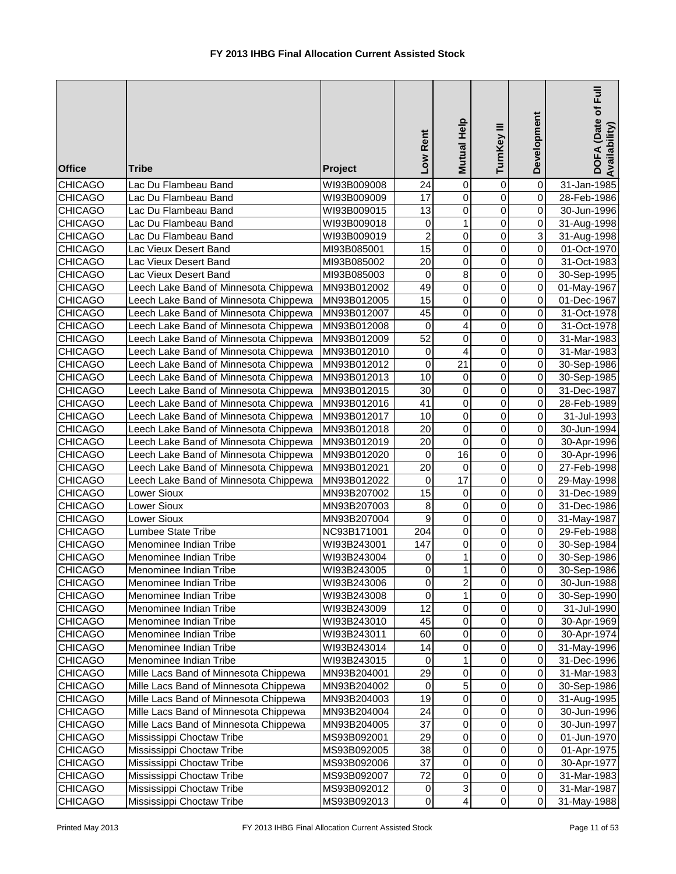| <b>Office</b>                    | <b>Tribe</b>                                                                   | Project                    | Low Rent                     | <b>Mutual Help</b>            | TurnKey III                | Development         | DOFA (Date of Full<br>Availability) |
|----------------------------------|--------------------------------------------------------------------------------|----------------------------|------------------------------|-------------------------------|----------------------------|---------------------|-------------------------------------|
| <b>CHICAGO</b>                   | Lac Du Flambeau Band                                                           | WI93B009008                | 24                           | 0                             | 0                          | 0                   | 31-Jan-1985                         |
| <b>CHICAGO</b>                   | Lac Du Flambeau Band                                                           | WI93B009009                | $\overline{17}$              | $\mathbf 0$                   | $\mathbf 0$                | 0                   | 28-Feb-1986                         |
| <b>CHICAGO</b>                   | Lac Du Flambeau Band                                                           | WI93B009015                | 13                           | $\mathbf 0$                   | $\mathbf 0$                | 0                   | 30-Jun-1996                         |
| <b>CHICAGO</b>                   | Lac Du Flambeau Band                                                           | WI93B009018                | 0                            | $\mathbf{1}$                  | $\mathbf 0$                | 0                   | 31-Aug-1998                         |
| <b>CHICAGO</b>                   | Lac Du Flambeau Band                                                           | WI93B009019                | $\overline{2}$               | $\pmb{0}$                     | $\mathbf 0$                | 3                   | 31-Aug-1998                         |
| CHICAGO                          | Lac Vieux Desert Band                                                          | MI93B085001                | $\overline{15}$              | $\overline{0}$                | $\mathbf 0$                | 0                   | 01-Oct-1970                         |
| <b>CHICAGO</b>                   | Lac Vieux Desert Band                                                          | MI93B085002                | $\overline{20}$              | $\mathbf 0$                   | $\mathbf 0$                | 0                   | 31-Oct-1983                         |
| <b>CHICAGO</b>                   | Lac Vieux Desert Band                                                          | MI93B085003                | 0                            | 8                             | $\mathbf 0$                | 0                   | 30-Sep-1995                         |
| <b>CHICAGO</b>                   | Leech Lake Band of Minnesota Chippewa                                          | MN93B012002                | 49                           | 0                             | $\mathbf 0$                | 0                   | 01-May-1967                         |
| <b>CHICAGO</b>                   | Leech Lake Band of Minnesota Chippewa                                          | MN93B012005                | $\overline{15}$              | 0                             | $\mathbf 0$                | 0                   | 01-Dec-1967                         |
| <b>CHICAGO</b>                   | Leech Lake Band of Minnesota Chippewa                                          | MN93B012007                | 45                           | $\mathsf 0$                   | $\mathbf 0$                | 0                   | 31-Oct-1978                         |
| <b>CHICAGO</b>                   | Leech Lake Band of Minnesota Chippewa                                          | MN93B012008                | 0                            | $\overline{\mathbf{4}}$       | 0                          | 0                   | 31-Oct-1978                         |
| <b>CHICAGO</b>                   | Leech Lake Band of Minnesota Chippewa                                          | MN93B012009                | 52                           | $\pmb{0}$                     | 0                          | 0                   | 31-Mar-1983                         |
| <b>CHICAGO</b>                   | Leech Lake Band of Minnesota Chippewa                                          | MN93B012010                | $\mathbf 0$                  | 4                             | 0                          | 0                   | 31-Mar-1983                         |
| <b>CHICAGO</b>                   | Leech Lake Band of Minnesota Chippewa                                          | MN93B012012                | 0                            | 21                            | 0                          | 0                   | 30-Sep-1986                         |
| CHICAGO                          | Leech Lake Band of Minnesota Chippewa                                          | MN93B012013                | 10                           | 0                             | 0                          | 0                   | 30-Sep-1985                         |
| <b>CHICAGO</b>                   | Leech Lake Band of Minnesota Chippewa                                          | MN93B012015                | 30                           | 0                             | 0                          | 0                   | 31-Dec-1987                         |
| <b>CHICAGO</b>                   | Leech Lake Band of Minnesota Chippewa                                          | MN93B012016                | 41                           | 0                             | 0                          | 0                   | 28-Feb-1989                         |
| <b>CHICAGO</b>                   | Leech Lake Band of Minnesota Chippewa                                          | MN93B012017                | 10                           | $\mathbf 0$                   | $\mathbf 0$                | 0                   | 31-Jul-1993                         |
| <b>CHICAGO</b>                   | Leech Lake Band of Minnesota Chippewa                                          | MN93B012018                | 20                           | $\mathsf 0$<br>$\overline{0}$ | $\overline{0}$             | 0                   | 30-Jun-1994                         |
| <b>CHICAGO</b>                   | Leech Lake Band of Minnesota Chippewa                                          | MN93B012019                | $\overline{20}$<br>$\pmb{0}$ | $\overline{16}$               | $\mathbf 0$<br>$\mathbf 0$ | 0                   | 30-Apr-1996                         |
| <b>CHICAGO</b><br><b>CHICAGO</b> | Leech Lake Band of Minnesota Chippewa<br>Leech Lake Band of Minnesota Chippewa | MN93B012020<br>MN93B012021 | $\overline{20}$              | 0                             | $\mathbf 0$                | 0<br>0              | 30-Apr-1996<br>27-Feb-1998          |
| <b>CHICAGO</b>                   | Leech Lake Band of Minnesota Chippewa                                          | MN93B012022                | 0                            | 17                            | $\mathbf 0$                | 0                   | 29-May-1998                         |
| <b>CHICAGO</b>                   | Lower Sioux                                                                    | MN93B207002                | $\overline{15}$              | 0                             | $\mathbf 0$                | 0                   | 31-Dec-1989                         |
| <b>CHICAGO</b>                   | Lower Sioux                                                                    | MN93B207003                | 8                            | $\mathsf 0$                   | $\mathbf 0$                | 0                   | 31-Dec-1986                         |
| <b>CHICAGO</b>                   | Lower Sioux                                                                    | MN93B207004                | 9                            | $\mathsf 0$                   | $\mathbf 0$                | 0                   | 31-May-1987                         |
| <b>CHICAGO</b>                   | Lumbee State Tribe                                                             | NC93B171001                | $\overline{204}$             | $\overline{0}$                | 0                          | $\overline{0}$      | 29-Feb-1988                         |
| <b>CHICAGO</b>                   | Menominee Indian Tribe                                                         | WI93B243001                | 147                          | $\pmb{0}$                     | 0                          | 0                   | 30-Sep-1984                         |
| <b>CHICAGO</b>                   | Menominee Indian Tribe                                                         | WI93B243004                | 0                            | 1                             | 0                          | 0                   | 30-Sep-1986                         |
| <b>CHICAGO</b>                   | Menominee Indian Tribe                                                         | WI93B243005                | $\overline{\mathsf{o}}$      | $\mathbf{1}$                  | 0                          | $\overline{0}$      | 30-Sep-1986                         |
| <b>CHICAGO</b>                   | Menominee Indian Tribe                                                         | WI93B243006                | 0                            | $\overline{2}$                | 0                          | 0                   | 30-Jun-1988                         |
| <b>CHICAGO</b>                   | Menominee Indian Tribe                                                         | WI93B243008                | $\pmb{0}$                    | 1                             | 0                          | 0                   | 30-Sep-1990                         |
| <b>CHICAGO</b>                   | Menominee Indian Tribe                                                         | WI93B243009                | 12                           | $\pmb{0}$                     | 0                          | 0                   | 31-Jul-1990                         |
| <b>CHICAGO</b>                   | Menominee Indian Tribe                                                         | WI93B243010                | 45                           | $\pmb{0}$                     | 0                          | 0                   | 30-Apr-1969                         |
| <b>CHICAGO</b>                   | Menominee Indian Tribe                                                         | WI93B243011                | 60                           | $\mathbf 0$                   | 0                          | 0                   | 30-Apr-1974                         |
| <b>CHICAGO</b>                   | Menominee Indian Tribe                                                         | WI93B243014                | 14                           | $\pmb{0}$                     | 0                          | $\pmb{0}$           | 31-May-1996                         |
| <b>CHICAGO</b>                   | Menominee Indian Tribe                                                         | WI93B243015                | $\mathbf 0$                  | $\mathbf{1}$                  | 0                          | $\pmb{0}$           | 31-Dec-1996                         |
| <b>CHICAGO</b>                   | Mille Lacs Band of Minnesota Chippewa                                          | MN93B204001                | 29                           | $\pmb{0}$                     | 0                          | $\mathbf 0$         | 31-Mar-1983                         |
| <b>CHICAGO</b>                   | Mille Lacs Band of Minnesota Chippewa                                          | MN93B204002                | $\pmb{0}$                    | $\overline{5}$                | 0                          | 0                   | 30-Sep-1986                         |
| <b>CHICAGO</b>                   | Mille Lacs Band of Minnesota Chippewa                                          | MN93B204003                | 19                           | $\pmb{0}$                     | 0                          | 0                   | 31-Aug-1995                         |
| <b>CHICAGO</b>                   | Mille Lacs Band of Minnesota Chippewa                                          | MN93B204004                | 24                           | $\pmb{0}$                     | 0                          | $\mathsf{O}\xspace$ | 30-Jun-1996                         |
| <b>CHICAGO</b>                   | Mille Lacs Band of Minnesota Chippewa                                          | MN93B204005                | 37                           | 0                             | 0                          | 0                   | 30-Jun-1997                         |
| <b>CHICAGO</b>                   | Mississippi Choctaw Tribe                                                      | MS93B092001                | 29                           | 0                             | 0                          | 0                   | 01-Jun-1970                         |
| <b>CHICAGO</b>                   | Mississippi Choctaw Tribe                                                      | MS93B092005                | 38                           | $\overline{0}$                | $\mathbf 0$                | 0                   | 01-Apr-1975                         |
| <b>CHICAGO</b>                   | Mississippi Choctaw Tribe                                                      | MS93B092006                | 37                           | $\pmb{0}$                     | 0                          | $\overline{0}$      | 30-Apr-1977                         |
| <b>CHICAGO</b>                   | Mississippi Choctaw Tribe                                                      | MS93B092007                | 72                           | $\pmb{0}$                     | 0                          | $\overline{0}$      | 31-Mar-1983                         |
| <b>CHICAGO</b>                   | Mississippi Choctaw Tribe                                                      | MS93B092012                | $\pmb{0}$                    | $\ensuremath{\mathsf{3}}$     | 0                          | $\overline{0}$      | 31-Mar-1987                         |
| <b>CHICAGO</b>                   | Mississippi Choctaw Tribe                                                      | MS93B092013                | $\pmb{0}$                    | $\overline{\mathbf{4}}$       | $\mathsf 0$                | $\overline{0}$      | 31-May-1988                         |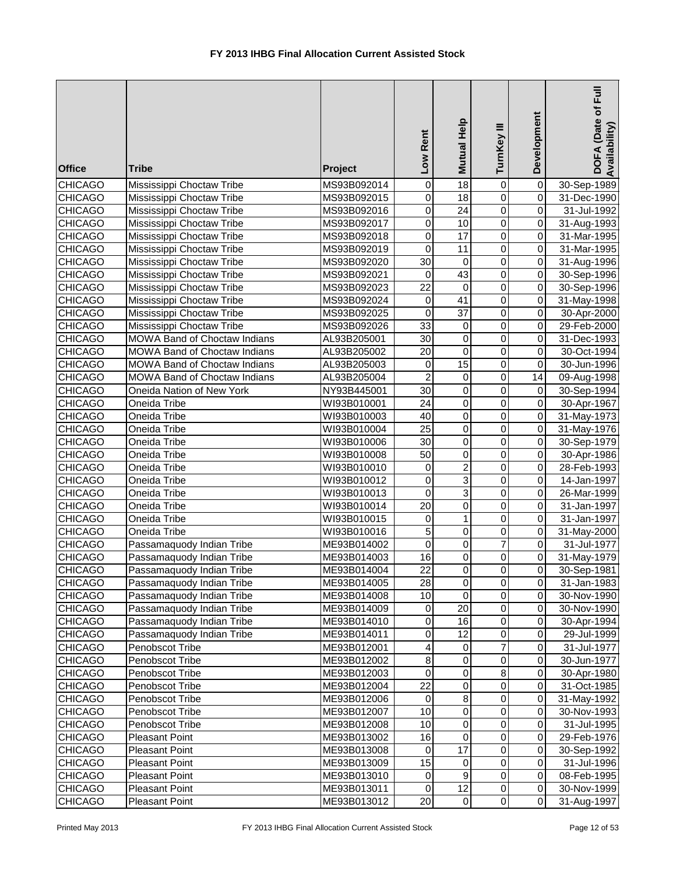| <b>Office</b>  | <b>Tribe</b>                 | Project     | Low Rent         | Mutual Help     | TurnKey III    | Development             | DOFA (Date of Full<br>Availability) |
|----------------|------------------------------|-------------|------------------|-----------------|----------------|-------------------------|-------------------------------------|
| <b>CHICAGO</b> | Mississippi Choctaw Tribe    | MS93B092014 | $\mathbf 0$      | $\overline{18}$ | 0              | $\overline{\mathsf{o}}$ | 30-Sep-1989                         |
| <b>CHICAGO</b> | Mississippi Choctaw Tribe    | MS93B092015 | $\mathbf 0$      | $\overline{18}$ | $\mathbf 0$    | $\overline{\mathsf{o}}$ | 31-Dec-1990                         |
| <b>CHICAGO</b> | Mississippi Choctaw Tribe    | MS93B092016 | $\mathbf 0$      | $\overline{24}$ | $\overline{0}$ | $\overline{0}$          | 31-Jul-1992                         |
| <b>CHICAGO</b> | Mississippi Choctaw Tribe    | MS93B092017 | $\mathbf 0$      | $\overline{10}$ | $\overline{0}$ | $\overline{0}$          | 31-Aug-1993                         |
| <b>CHICAGO</b> | Mississippi Choctaw Tribe    | MS93B092018 | 0                | 17              | $\overline{0}$ | $\overline{0}$          | 31-Mar-1995                         |
| <b>CHICAGO</b> | Mississippi Choctaw Tribe    | MS93B092019 | $\mathbf 0$      | $\overline{11}$ | $\overline{0}$ | $\overline{0}$          | 31-Mar-1995                         |
| <b>CHICAGO</b> | Mississippi Choctaw Tribe    | MS93B092020 | $\overline{30}$  | $\pmb{0}$       | $\mathbf 0$    | $\overline{0}$          | 31-Aug-1996                         |
| <b>CHICAGO</b> | Mississippi Choctaw Tribe    | MS93B092021 | 0                | 43              | 0              | $\overline{0}$          | 30-Sep-1996                         |
| <b>CHICAGO</b> | Mississippi Choctaw Tribe    | MS93B092023 | $\overline{22}$  | $\mathbf 0$     | $\mathbf 0$    | $\overline{0}$          | 30-Sep-1996                         |
| <b>CHICAGO</b> | Mississippi Choctaw Tribe    | MS93B092024 | $\mathbf 0$      | 41              | $\mathbf 0$    | $\overline{0}$          | 31-May-1998                         |
| <b>CHICAGO</b> | Mississippi Choctaw Tribe    | MS93B092025 | $\boldsymbol{0}$ | 37              | $\pmb{0}$      | $\overline{0}$          | 30-Apr-2000                         |
| <b>CHICAGO</b> | Mississippi Choctaw Tribe    | MS93B092026 | 33               | $\pmb{0}$       | $\pmb{0}$      | $\overline{0}$          | 29-Feb-2000                         |
| <b>CHICAGO</b> | MOWA Band of Choctaw Indians | AL93B205001 | 30               | $\pmb{0}$       | $\pmb{0}$      | $\overline{0}$          | 31-Dec-1993                         |
| <b>CHICAGO</b> | MOWA Band of Choctaw Indians | AL93B205002 | 20               | $\pmb{0}$       | $\mathbf 0$    | $\overline{0}$          | 30-Oct-1994                         |
| <b>CHICAGO</b> | MOWA Band of Choctaw Indians | AL93B205003 | 0                | 15              | $\pmb{0}$      | $\overline{0}$          | 30-Jun-1996                         |
| <b>CHICAGO</b> | MOWA Band of Choctaw Indians | AL93B205004 | $\overline{c}$   | $\mathbf 0$     | $\mathbf 0$    | 14                      | 09-Aug-1998                         |
| <b>CHICAGO</b> | Oneida Nation of New York    | NY93B445001 | 30               | $\pmb{0}$       | $\mathbf 0$    | $\overline{0}$          | 30-Sep-1994                         |
| <b>CHICAGO</b> | Oneida Tribe                 | WI93B010001 | 24               | $\pmb{0}$       | $\mathbf 0$    | $\overline{0}$          | 30-Apr-1967                         |
| <b>CHICAGO</b> | Oneida Tribe                 | WI93B010003 | 40               | $\overline{0}$  | $\overline{0}$ | $\overline{0}$          | 31-May-1973                         |
| <b>CHICAGO</b> | Oneida Tribe                 | WI93B010004 | $\overline{25}$  | $\overline{0}$  | $\overline{0}$ | $\overline{0}$          | 31-May-1976                         |
| <b>CHICAGO</b> | Oneida Tribe                 | WI93B010006 | $\overline{30}$  | $\overline{0}$  | $\overline{0}$ | $\overline{0}$          | 30-Sep-1979                         |
| <b>CHICAGO</b> | Oneida Tribe                 | WI93B010008 | $\overline{50}$  | $\overline{0}$  | $\overline{0}$ | $\overline{0}$          | 30-Apr-1986                         |
| <b>CHICAGO</b> | Oneida Tribe                 | WI93B010010 | 0                | $\overline{2}$  | $\overline{0}$ | $\overline{0}$          | 28-Feb-1993                         |
| <b>CHICAGO</b> | Oneida Tribe                 | WI93B010012 | $\mathbf 0$      | 3               | $\mathbf 0$    | $\overline{0}$          | 14-Jan-1997                         |
| <b>CHICAGO</b> | Oneida Tribe                 | WI93B010013 | $\mathbf 0$      | $\overline{3}$  | 0              | $\overline{0}$          | 26-Mar-1999                         |
| <b>CHICAGO</b> | Oneida Tribe                 | WI93B010014 | $\overline{20}$  | $\pmb{0}$       | 0              | $\overline{0}$          | 31-Jan-1997                         |
| <b>CHICAGO</b> | Oneida Tribe                 | WI93B010015 | $\mathbf 0$      | $\mathbf{1}$    | $\mathbf 0$    | $\overline{0}$          | 31-Jan-1997                         |
| <b>CHICAGO</b> | Oneida Tribe                 | WI93B010016 | 5                | $\pmb{0}$       | $\pmb{0}$      | $\overline{0}$          | 31-May-2000                         |
| <b>CHICAGO</b> | Passamaquody Indian Tribe    | ME93B014002 | $\mathbf 0$      | $\pmb{0}$       | $\overline{7}$ | $\overline{0}$          | 31-Jul-1977                         |
| <b>CHICAGO</b> | Passamaquody Indian Tribe    | ME93B014003 | 16               | $\pmb{0}$       | $\pmb{0}$      | $\overline{0}$          | 31-May-1979                         |
| CHICAGO        | Passamaquody Indian Tribe    | ME93B014004 | $\overline{22}$  | $\overline{0}$  | $\Omega$       | $\overline{0}$          | 30-Sep-1981                         |
| <b>CHICAGO</b> | Passamaquody Indian Tribe    | ME93B014005 | 28               | 0               | 0              | $\overline{0}$          | 31-Jan-1983                         |
| <b>CHICAGO</b> | Passamaquody Indian Tribe    | ME93B014008 | 10               | 0               | $\pmb{0}$      | $\overline{0}$          | 30-Nov-1990                         |
| <b>CHICAGO</b> | Passamaquody Indian Tribe    | ME93B014009 | 0                | 20              | $\pmb{0}$      | $\overline{0}$          | 30-Nov-1990                         |
| <b>CHICAGO</b> | Passamaquody Indian Tribe    | ME93B014010 | 0                | 16              | $\pmb{0}$      | $\overline{0}$          | 30-Apr-1994                         |
| <b>CHICAGO</b> | Passamaquody Indian Tribe    | ME93B014011 | 0                | 12              | $\pmb{0}$      | $\overline{0}$          | 29-Jul-1999                         |
| <b>CHICAGO</b> | Penobscot Tribe              | ME93B012001 | 4                | $\mathbf 0$     | $\overline{7}$ | $\overline{0}$          | 31-Jul-1977                         |
| <b>CHICAGO</b> | Penobscot Tribe              | ME93B012002 | $\bf 8$          | $\mathbf 0$     | $\pmb{0}$      | $\overline{0}$          | 30-Jun-1977                         |
| <b>CHICAGO</b> | Penobscot Tribe              | ME93B012003 | $\mathbf 0$      | $\pmb{0}$       | 8              | $\overline{0}$          | 30-Apr-1980                         |
| <b>CHICAGO</b> | Penobscot Tribe              | ME93B012004 | $\overline{22}$  | $\mathbf 0$     | $\pmb{0}$      | $\overline{0}$          | 31-Oct-1985                         |
| <b>CHICAGO</b> | Penobscot Tribe              | ME93B012006 | $\mathbf 0$      | 8               | 0              | $\overline{0}$          | 31-May-1992                         |
| <b>CHICAGO</b> | Penobscot Tribe              | ME93B012007 | 10               | $\mathbf 0$     | 0              | $\overline{0}$          | 30-Nov-1993                         |
| <b>CHICAGO</b> | Penobscot Tribe              | ME93B012008 | 10               | $\mathbf 0$     | 0              | $\overline{0}$          | 31-Jul-1995                         |
| <b>CHICAGO</b> | <b>Pleasant Point</b>        | ME93B013002 | 16               | $\mathbf 0$     | 0              | $\overline{0}$          | 29-Feb-1976                         |
| <b>CHICAGO</b> | <b>Pleasant Point</b>        | ME93B013008 | 0                | 17              | $\pmb{0}$      | $\overline{0}$          | 30-Sep-1992                         |
| <b>CHICAGO</b> | <b>Pleasant Point</b>        | ME93B013009 | 15               | 0               | $\pmb{0}$      | $\overline{0}$          | 31-Jul-1996                         |
| <b>CHICAGO</b> | <b>Pleasant Point</b>        | ME93B013010 | $\mathbf 0$      | 9               | $\pmb{0}$      | οI                      | 08-Feb-1995                         |
| <b>CHICAGO</b> | <b>Pleasant Point</b>        | ME93B013011 | 0                | $\overline{12}$ | $\,0\,$        | $\overline{0}$          | 30-Nov-1999                         |
| <b>CHICAGO</b> | <b>Pleasant Point</b>        | ME93B013012 | 20               | 0               | $\mathbf 0$    | $\overline{0}$          | 31-Aug-1997                         |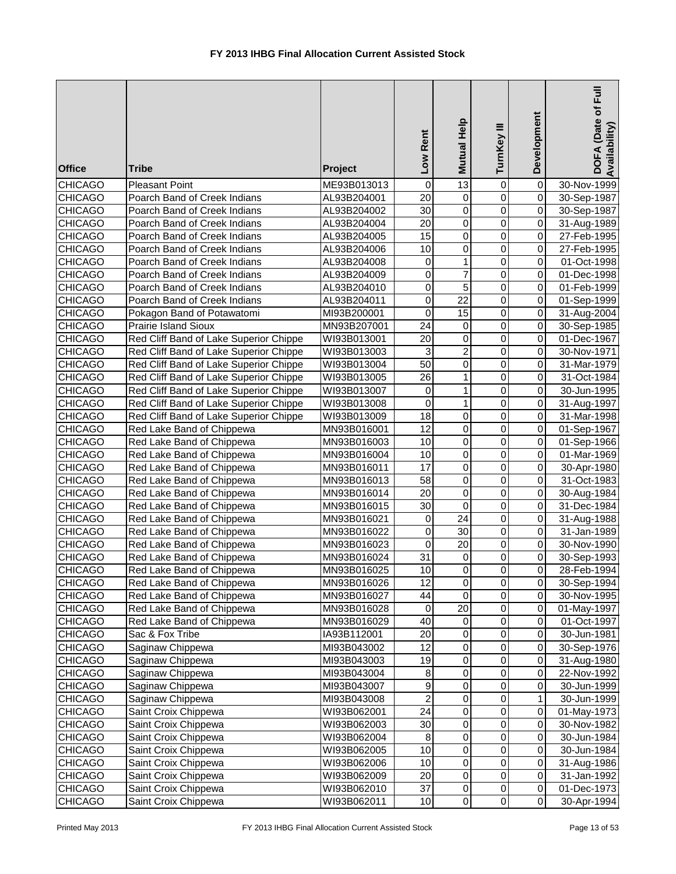| <b>Office</b>                    | <b>Tribe</b>                                           | Project                    | Low Rent         | Mutual Help           | TurnKey III            | Development                      | DOFA (Date of Full<br>Availability) |
|----------------------------------|--------------------------------------------------------|----------------------------|------------------|-----------------------|------------------------|----------------------------------|-------------------------------------|
| <b>CHICAGO</b>                   | <b>Pleasant Point</b>                                  | ME93B013013                | 0                | 13                    | 0                      | $\overline{\mathsf{o}}$          | 30-Nov-1999                         |
| <b>CHICAGO</b>                   | Poarch Band of Creek Indians                           | AL93B204001                | $\overline{20}$  | $\pmb{0}$             | $\overline{0}$         | $\overline{0}$                   | 30-Sep-1987                         |
| <b>CHICAGO</b>                   | Poarch Band of Creek Indians                           | AL93B204002                | $\overline{30}$  | $\overline{0}$        | $\overline{0}$         | $\overline{0}$                   | 30-Sep-1987                         |
| <b>CHICAGO</b>                   | Poarch Band of Creek Indians                           | AL93B204004                | $\overline{20}$  | $\overline{0}$        | $\overline{0}$         | $\overline{0}$                   | 31-Aug-1989                         |
| <b>CHICAGO</b>                   | Poarch Band of Creek Indians                           | AL93B204005                | $\overline{15}$  | 0                     | $\overline{0}$         | $\overline{0}$                   | 27-Feb-1995                         |
| <b>CHICAGO</b>                   | Poarch Band of Creek Indians                           | AL93B204006                | $\overline{10}$  | 0                     | 0                      | $\pmb{0}$                        | 27-Feb-1995                         |
| <b>CHICAGO</b>                   | Poarch Band of Creek Indians                           | AL93B204008                | 0                | 1                     | $\mathbf 0$            | $\overline{0}$                   | 01-Oct-1998                         |
| <b>CHICAGO</b>                   | Poarch Band of Creek Indians                           | AL93B204009                | 0                | $\overline{7}$        | $\mathbf 0$            | $\overline{0}$                   | 01-Dec-1998                         |
| <b>CHICAGO</b>                   | Poarch Band of Creek Indians                           | AL93B204010                | $\mathbf 0$      | 5                     | $\mathbf 0$            | $\overline{0}$                   | 01-Feb-1999                         |
| <b>CHICAGO</b>                   | Poarch Band of Creek Indians                           | AL93B204011                | $\mathbf 0$      | 22                    | $\pmb{0}$              | $\overline{0}$                   | 01-Sep-1999                         |
| <b>CHICAGO</b>                   | Pokagon Band of Potawatomi                             | MI93B200001                | 0                | 15                    | $\pmb{0}$              | $\overline{0}$                   | 31-Aug-2004                         |
| <b>CHICAGO</b>                   | Prairie Island Sioux                                   | MN93B207001                | 24               | 0                     | $\pmb{0}$              | $\overline{0}$                   | 30-Sep-1985                         |
| <b>CHICAGO</b>                   | Red Cliff Band of Lake Superior Chippe                 | WI93B013001                | 20               | 0                     | $\mathbf 0$            | $\overline{0}$                   | 01-Dec-1967                         |
| <b>CHICAGO</b>                   | Red Cliff Band of Lake Superior Chippe                 | WI93B013003                | 3                | $\overline{c}$        | 0                      | $\overline{0}$                   | 30-Nov-1971                         |
| <b>CHICAGO</b>                   | Red Cliff Band of Lake Superior Chippe                 | WI93B013004                | 50               | 0                     | 0                      | $\overline{0}$                   | 31-Mar-1979                         |
| <b>CHICAGO</b>                   | Red Cliff Band of Lake Superior Chippe                 | WI93B013005                | 26               | 1                     | $\mathbf 0$            | $\overline{0}$                   | 31-Oct-1984                         |
| CHICAGO                          | Red Cliff Band of Lake Superior Chippe                 | WI93B013007                | 0                | $\mathbf{1}$          | $\mathbf 0$            | $\overline{0}$                   | 30-Jun-1995                         |
| <b>CHICAGO</b>                   | Red Cliff Band of Lake Superior Chippe                 | WI93B013008                | $\overline{0}$   | 1                     | $\mathbf 0$            | $\overline{0}$                   | 31-Aug-1997                         |
| <b>CHICAGO</b>                   | Red Cliff Band of Lake Superior Chippe                 | WI93B013009                | $\overline{18}$  | $\overline{0}$        | $\overline{0}$         | $\overline{0}$                   | 31-Mar-1998                         |
| <b>CHICAGO</b>                   | Red Lake Band of Chippewa                              | MN93B016001                | $\overline{12}$  | $\overline{0}$        | $\overline{0}$         | $\overline{0}$                   | 01-Sep-1967                         |
| <b>CHICAGO</b>                   | Red Lake Band of Chippewa                              | MN93B016003                | 10               | $\overline{0}$        | $\overline{0}$         | $\overline{0}$                   | 01-Sep-1966                         |
| <b>CHICAGO</b>                   | Red Lake Band of Chippewa                              | MN93B016004                | $\overline{10}$  | $\pmb{0}$             | $\overline{0}$         | $\overline{0}$                   | 01-Mar-1969                         |
| <b>CHICAGO</b>                   | Red Lake Band of Chippewa                              | MN93B016011                | 17               | $\overline{0}$        | $\mathbf 0$            | $\overline{0}$                   | 30-Apr-1980                         |
| <b>CHICAGO</b>                   | Red Lake Band of Chippewa                              | MN93B016013                | $\overline{58}$  | $\pmb{0}$             | 0                      | $\overline{0}$                   | 31-Oct-1983                         |
| CHICAGO                          | Red Lake Band of Chippewa                              | MN93B016014                | $\overline{20}$  | 0                     | $\mathbf 0$            | $\overline{0}$                   | 30-Aug-1984                         |
| <b>CHICAGO</b>                   | Red Lake Band of Chippewa                              | MN93B016015                | $\overline{30}$  | $\mathbf 0$           | $\mathbf 0$            | $\overline{0}$                   | 31-Dec-1984                         |
| <b>CHICAGO</b>                   | Red Lake Band of Chippewa                              | MN93B016021                | 0                | 24<br>$\overline{30}$ | $\pmb{0}$<br>$\pmb{0}$ | $\overline{0}$<br>$\overline{0}$ | 31-Aug-1988                         |
| <b>CHICAGO</b><br><b>CHICAGO</b> | Red Lake Band of Chippewa<br>Red Lake Band of Chippewa | MN93B016022                | 0<br>$\mathbf 0$ | 20                    | $\pmb{0}$              | $\overline{0}$                   | 31-Jan-1989                         |
| <b>CHICAGO</b>                   |                                                        | MN93B016023<br>MN93B016024 | $\overline{31}$  | 0                     | 0                      | $\overline{0}$                   | 30-Nov-1990<br>30-Sep-1993          |
| <b>CHICAGO</b>                   | Red Lake Band of Chippewa<br>Red Lake Band of Chippewa | MN93B016025                | $\overline{10}$  | $\Omega$              | $\Omega$               | οI                               | 28-Feb-1994                         |
| <b>CHICAGO</b>                   | Red Lake Band of Chippewa                              | MN93B016026                | 12               | 0                     | 0                      | $\overline{0}$                   | 30-Sep-1994                         |
| <b>CHICAGO</b>                   | Red Lake Band of Chippewa                              |                            | 44               | 0                     | $\,0\,$                | $\overline{0}$                   |                                     |
| <b>CHICAGO</b>                   | Red Lake Band of Chippewa                              | MN93B016027<br>MN93B016028 | $\boldsymbol{0}$ | 20                    | $\mathbf 0$            | 0                                | 30-Nov-1995<br>01-May-1997          |
| <b>CHICAGO</b>                   | Red Lake Band of Chippewa                              | MN93B016029                | 40               | $\pmb{0}$             | $\mathbf 0$            | $\Omega$                         | 01-Oct-1997                         |
| <b>CHICAGO</b>                   | Sac & Fox Tribe                                        | IA93B112001                | 20               | $\pmb{0}$             | $\mathbf 0$            | $\Omega$                         | 30-Jun-1981                         |
| <b>CHICAGO</b>                   | Saginaw Chippewa                                       | MI93B043002                | 12               | $\pmb{0}$             | $\pmb{0}$              | $\mathbf 0$                      | 30-Sep-1976                         |
| <b>CHICAGO</b>                   | Saginaw Chippewa                                       | MI93B043003                | 19               | $\pmb{0}$             | $\mathbf 0$            | $\pmb{0}$                        | 31-Aug-1980                         |
| <b>CHICAGO</b>                   | Saginaw Chippewa                                       | MI93B043004                | 8                | 0                     | 0                      | $\mathbf 0$                      | 22-Nov-1992                         |
| <b>CHICAGO</b>                   | Saginaw Chippewa                                       | MI93B043007                | $\boldsymbol{9}$ | $\pmb{0}$             | $\mathbf 0$            | $\overline{0}$                   | 30-Jun-1999                         |
| <b>CHICAGO</b>                   | Saginaw Chippewa                                       | MI93B043008                | $\overline{2}$   | $\pmb{0}$             | 0                      | 1                                | 30-Jun-1999                         |
| <b>CHICAGO</b>                   | Saint Croix Chippewa                                   | WI93B062001                | $\overline{24}$  | $\pmb{0}$             | 0                      | $\overline{0}$                   | 01-May-1973                         |
| <b>CHICAGO</b>                   | Saint Croix Chippewa                                   | WI93B062003                | $\overline{30}$  | $\overline{0}$        | $\mathbf 0$            | $\overline{0}$                   | 30-Nov-1982                         |
| <b>CHICAGO</b>                   | Saint Croix Chippewa                                   | WI93B062004                | 8                | $\pmb{0}$             | $\pmb{0}$              | $\Omega$                         | 30-Jun-1984                         |
| CHICAGO                          | Saint Croix Chippewa                                   | WI93B062005                | 10               | 0                     | $\pmb{0}$              | $\overline{0}$                   | 30-Jun-1984                         |
| <b>CHICAGO</b>                   | Saint Croix Chippewa                                   | WI93B062006                | 10               | $\pmb{0}$             | $\pmb{0}$              | $\overline{0}$                   | 31-Aug-1986                         |
| <b>CHICAGO</b>                   | Saint Croix Chippewa                                   | WI93B062009                | 20               | 0                     | $\,0\,$                | $\overline{0}$                   | 31-Jan-1992                         |
| <b>CHICAGO</b>                   | Saint Croix Chippewa                                   | WI93B062010                | 37               | $\pmb{0}$             | $\,0\,$                | $\Omega$                         | 01-Dec-1973                         |
| <b>CHICAGO</b>                   | Saint Croix Chippewa                                   | WI93B062011                | 10               | $\pmb{0}$             | $\pmb{0}$              | $\overline{0}$                   | 30-Apr-1994                         |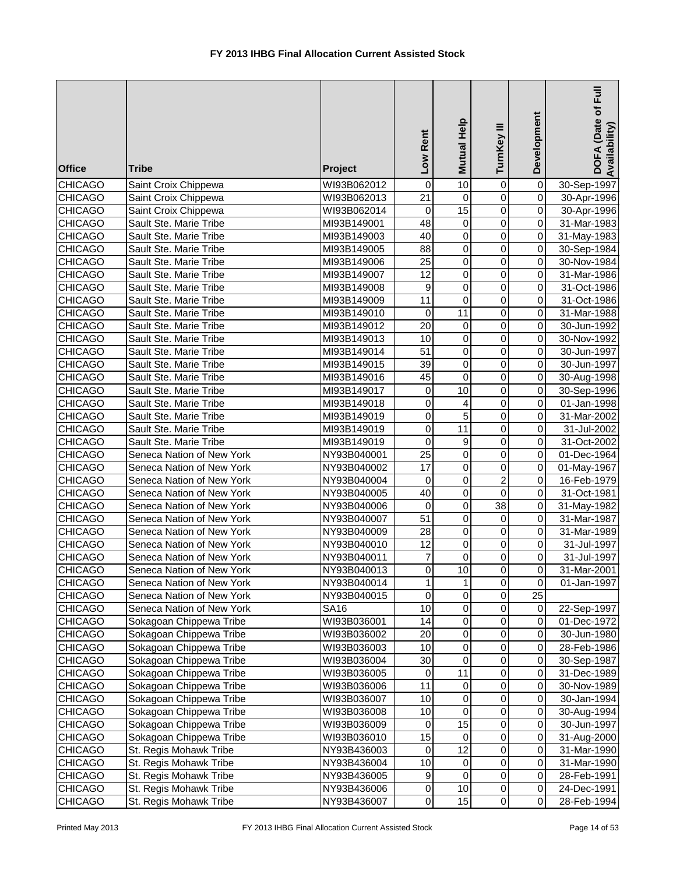| <b>Office</b>                    | <b>Tribe</b>                                         | Project             | Rent<br>Low      | Mutual Help          | TurnKey III                   | Development                      | DOFA (Date of Full<br>Availability) |
|----------------------------------|------------------------------------------------------|---------------------|------------------|----------------------|-------------------------------|----------------------------------|-------------------------------------|
| <b>CHICAGO</b>                   | Saint Croix Chippewa                                 | WI93B062012         | 0                | $\overline{10}$      | 0                             | $\overline{\mathsf{o}}$          | 30-Sep-1997                         |
| <b>CHICAGO</b>                   | Saint Croix Chippewa                                 | WI93B062013         | $\overline{21}$  | $\pmb{0}$            | $\mathbf 0$                   | $\overline{0}$                   | 30-Apr-1996                         |
| <b>CHICAGO</b>                   | Saint Croix Chippewa                                 | WI93B062014         | $\boldsymbol{0}$ | $\overline{15}$      | $\overline{0}$                | $\overline{0}$                   | 30-Apr-1996                         |
| <b>CHICAGO</b>                   | Sault Ste. Marie Tribe                               | MI93B149001         | 48               | $\pmb{0}$            | $\overline{0}$                | $\Omega$                         | 31-Mar-1983                         |
| <b>CHICAGO</b>                   | Sault Ste. Marie Tribe                               | MI93B149003         | 40               | $\pmb{0}$            | $\overline{0}$                | $\pmb{0}$                        | 31-May-1983                         |
| <b>CHICAGO</b>                   | Sault Ste. Marie Tribe                               | MI93B149005         | $\overline{88}$  | $\overline{0}$       | $\overline{0}$                | $\pmb{0}$                        | 30-Sep-1984                         |
| <b>CHICAGO</b>                   | Sault Ste. Marie Tribe                               | MI93B149006         | $\overline{25}$  | $\pmb{0}$            | 0                             | $\pmb{0}$                        | 30-Nov-1984                         |
| <b>CHICAGO</b>                   | Sault Ste. Marie Tribe                               | MI93B149007         | 12               | 0                    | 0                             | $\pmb{0}$                        | 31-Mar-1986                         |
| <b>CHICAGO</b>                   | Sault Ste. Marie Tribe                               | MI93B149008         | 9                | $\pmb{0}$            | $\mathbf 0$                   | $\overline{0}$                   | 31-Oct-1986                         |
| <b>CHICAGO</b>                   | Sault Ste. Marie Tribe                               | MI93B149009         | 11               | $\mathbf 0$          | $\mathbf 0$                   | $\overline{0}$                   | 31-Oct-1986                         |
| <b>CHICAGO</b>                   | Sault Ste. Marie Tribe                               | MI93B149010         | 0                | 11                   | $\pmb{0}$                     | $\overline{0}$                   | 31-Mar-1988                         |
| <b>CHICAGO</b>                   | Sault Ste. Marie Tribe                               | MI93B149012         | 20               | $\pmb{0}$            | 0                             | $\overline{0}$                   | 30-Jun-1992                         |
| <b>CHICAGO</b>                   | Sault Ste. Marie Tribe                               | MI93B149013         | 10               | $\pmb{0}$            | $\pmb{0}$                     | $\overline{0}$                   | 30-Nov-1992                         |
| <b>CHICAGO</b>                   | Sault Ste. Marie Tribe                               | MI93B149014         | 51               | $\pmb{0}$            | 0                             | $\overline{0}$                   | 30-Jun-1997                         |
| <b>CHICAGO</b>                   | Sault Ste. Marie Tribe                               | MI93B149015         | 39               | $\pmb{0}$            | 0                             | $\overline{0}$                   | 30-Jun-1997                         |
| <b>CHICAGO</b>                   | Sault Ste. Marie Tribe                               | MI93B149016         | 45               | $\mathbf 0$          | $\mathbf 0$                   | $\overline{0}$                   | 30-Aug-1998                         |
| <b>CHICAGO</b>                   | Sault Ste. Marie Tribe                               | MI93B149017         | 0                | 10                   | $\mathbf 0$                   | $\overline{0}$                   | 30-Sep-1996                         |
| <b>CHICAGO</b>                   | Sault Ste. Marie Tribe                               | MI93B149018         | 0                | 4                    | $\overline{0}$                | $\overline{0}$                   | 01-Jan-1998                         |
| <b>CHICAGO</b>                   | Sault Ste. Marie Tribe                               | MI93B149019         | $\mathsf 0$      | $\overline{5}$       | $\overline{0}$                | $\overline{0}$                   | 31-Mar-2002                         |
| <b>CHICAGO</b>                   | Sault Ste. Marie Tribe                               | MI93B149019         | $\mathsf 0$      | $\overline{11}$      | $\overline{0}$                | $\overline{0}$                   | 31-Jul-2002                         |
| <b>CHICAGO</b>                   | Sault Ste. Marie Tribe                               | MI93B149019         | 0                | $\boldsymbol{9}$     | $\overline{0}$                | $\overline{0}$                   | 31-Oct-2002                         |
| CHICAGO                          | Seneca Nation of New York                            | NY93B040001         | $\overline{25}$  | $\overline{0}$       | $\mathbf 0$                   | $\pmb{0}$                        | 01-Dec-1964                         |
| <b>CHICAGO</b>                   | Seneca Nation of New York                            | NY93B040002         | $\overline{17}$  | $\overline{0}$       | $\mathbf 0$                   | $\overline{\mathsf{o}}$          | 01-May-1967                         |
| <b>CHICAGO</b>                   | Seneca Nation of New York                            | NY93B040004         | 0                | $\pmb{0}$            | $\overline{c}$                | $\overline{0}$                   | 16-Feb-1979                         |
| <b>CHICAGO</b>                   | Seneca Nation of New York                            | NY93B040005         | 40               | $\pmb{0}$            | $\mathbf 0$                   | $\overline{0}$                   | 31-Oct-1981                         |
| <b>CHICAGO</b>                   | Seneca Nation of New York                            | NY93B040006         | 0                | $\overline{0}$       | $\overline{38}$               | $\overline{0}$                   | 31-May-1982                         |
| <b>CHICAGO</b>                   | Seneca Nation of New York                            | NY93B040007         | $\overline{51}$  | $\overline{0}$       | 0                             | $\overline{0}$                   | 31-Mar-1987                         |
| <b>CHICAGO</b>                   | Seneca Nation of New York                            | NY93B040009         | 28               | $\pmb{0}$            | 0                             | $\overline{0}$                   | 31-Mar-1989                         |
| <b>CHICAGO</b>                   | Seneca Nation of New York                            | NY93B040010         | 12               | $\pmb{0}$            | 0                             | $\overline{0}$                   | 31-Jul-1997                         |
| <b>CHICAGO</b>                   | Seneca Nation of New York                            | NY93B040011         | 7<br>$\Omega$    | $\pmb{0}$<br>10      | $\mathbf 0$<br>$\overline{0}$ | $\overline{0}$<br>$\overline{0}$ | 31-Jul-1997                         |
| <b>CHICAGO</b>                   | Seneca Nation of New York                            | NY93B040013         |                  |                      |                               |                                  | 31-Mar-2001                         |
| <b>CHICAGO</b>                   | Seneca Nation of New York                            | NY93B040014         | 1                | 1                    | $\mathbf 0$                   | $\Omega$<br>25                   | 01-Jan-1997                         |
| <b>CHICAGO</b>                   | Seneca Nation of New York                            | NY93B040015         | $\mathbf 0$      | $\pmb{0}$            | $\mathbf 0$                   |                                  |                                     |
| <b>CHICAGO</b>                   | Seneca Nation of New York<br>Sokagoan Chippewa Tribe | SA16<br>WI93B036001 | 10<br>14         | $\,0\,$<br>$\pmb{0}$ | $\pmb{0}$<br>$\mathsf 0$      | $\overline{0}$<br>$\pmb{0}$      | 22-Sep-1997                         |
| <b>CHICAGO</b><br><b>CHICAGO</b> | Sokagoan Chippewa Tribe                              | WI93B036002         | 20               | $\pmb{0}$            | $\mathsf 0$                   | $\Omega$                         | 01-Dec-1972                         |
| CHICAGO                          | Sokagoan Chippewa Tribe                              | WI93B036003         | 10               | $\mathbf 0$          | $\pmb{0}$                     | $\Omega$                         | 30-Jun-1980<br>28-Feb-1986          |
| <b>CHICAGO</b>                   | Sokagoan Chippewa Tribe                              | WI93B036004         | 30               | $\pmb{0}$            | $\pmb{0}$                     | $\Omega$                         | 30-Sep-1987                         |
| CHICAGO                          | Sokagoan Chippewa Tribe                              | WI93B036005         | 0                | 11                   | $\mathsf 0$                   | $\Omega$                         | 31-Dec-1989                         |
| CHICAGO                          | Sokagoan Chippewa Tribe                              | WI93B036006         | 11               | $\,0\,$              | $\pmb{0}$                     | $\Omega$                         | 30-Nov-1989                         |
| <b>CHICAGO</b>                   | Sokagoan Chippewa Tribe                              | WI93B036007         | 10               | $\,0\,$              | $\pmb{0}$                     | $\Omega$                         | 30-Jan-1994                         |
| <b>CHICAGO</b>                   | Sokagoan Chippewa Tribe                              | WI93B036008         | 10               | $\pmb{0}$            | 0                             | $\Omega$                         | 30-Aug-1994                         |
| <b>CHICAGO</b>                   | Sokagoan Chippewa Tribe                              | WI93B036009         | 0                | 15                   | 0                             | $\overline{0}$                   | 30-Jun-1997                         |
| <b>CHICAGO</b>                   | Sokagoan Chippewa Tribe                              | WI93B036010         | $\overline{15}$  | $\pmb{0}$            | 0                             | $\overline{0}$                   | 31-Aug-2000                         |
| <b>CHICAGO</b>                   | St. Regis Mohawk Tribe                               | NY93B436003         | 0                | 12                   | $\pmb{0}$                     | $\overline{0}$                   | 31-Mar-1990                         |
| <b>CHICAGO</b>                   | St. Regis Mohawk Tribe                               | NY93B436004         | 10               | $\pmb{0}$            | $\pmb{0}$                     | $\overline{0}$                   | 31-Mar-1990                         |
| <b>CHICAGO</b>                   | St. Regis Mohawk Tribe                               | NY93B436005         | $\boldsymbol{9}$ | $\mathbf 0$          | $\pmb{0}$                     | $\overline{0}$                   | 28-Feb-1991                         |
| <b>CHICAGO</b>                   | St. Regis Mohawk Tribe                               | NY93B436006         | $\pmb{0}$        | 10                   | $\pmb{0}$                     | $\overline{0}$                   | 24-Dec-1991                         |
| <b>CHICAGO</b>                   | St. Regis Mohawk Tribe                               | NY93B436007         | $\pmb{0}$        | 15                   | $\pmb{0}$                     | $\overline{0}$                   | 28-Feb-1994                         |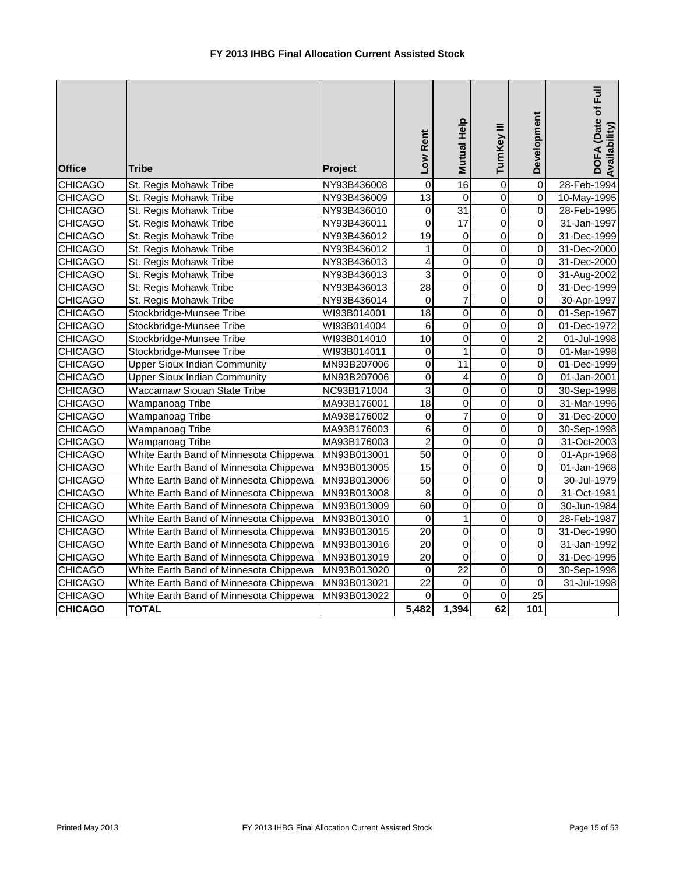| <b>Office</b>  | <b>Tribe</b>                           | Project     | Low Rent        | Mutual Help     | TurnKey III    | Development             | DOFA (Date of Full<br>Availability) |
|----------------|----------------------------------------|-------------|-----------------|-----------------|----------------|-------------------------|-------------------------------------|
| <b>CHICAGO</b> | St. Regis Mohawk Tribe                 | NY93B436008 | $\overline{0}$  | 16              | $\overline{0}$ | $\overline{0}$          | 28-Feb-1994                         |
| <b>CHICAGO</b> | St. Regis Mohawk Tribe                 | NY93B436009 | 13              | 0               | $\mathbf 0$    | $\overline{0}$          | 10-May-1995                         |
| <b>CHICAGO</b> | St. Regis Mohawk Tribe                 | NY93B436010 | $\mathbf 0$     | $\overline{31}$ | $\mathbf 0$    | 0                       | 28-Feb-1995                         |
| <b>CHICAGO</b> | St. Regis Mohawk Tribe                 | NY93B436011 | $\overline{0}$  | 17              | $\overline{0}$ | $\overline{0}$          | 31-Jan-1997                         |
| <b>CHICAGO</b> | St. Regis Mohawk Tribe                 | NY93B436012 | $\overline{19}$ | $\pmb{0}$       | $\mathbf 0$    | $\overline{\mathsf{o}}$ | 31-Dec-1999                         |
| <b>CHICAGO</b> | St. Regis Mohawk Tribe                 | NY93B436012 | 1               | 0               | $\Omega$       | $\overline{0}$          | 31-Dec-2000                         |
| <b>CHICAGO</b> | St. Regis Mohawk Tribe                 | NY93B436013 | 4               | 0               | 0              | 0                       | 31-Dec-2000                         |
| <b>CHICAGO</b> | St. Regis Mohawk Tribe                 | NY93B436013 | $\overline{3}$  | 0               | $\Omega$       | $\Omega$                | 31-Aug-2002                         |
| <b>CHICAGO</b> | St. Regis Mohawk Tribe                 | NY93B436013 | $\overline{28}$ | $\overline{0}$  | $\overline{0}$ | $\overline{0}$          | 31-Dec-1999                         |
| <b>CHICAGO</b> | St. Regis Mohawk Tribe                 | NY93B436014 | $\mathbf 0$     | $\overline{7}$  | $\overline{0}$ | $\overline{\mathsf{o}}$ | 30-Apr-1997                         |
| <b>CHICAGO</b> | Stockbridge-Munsee Tribe               | WI93B014001 | 18              | $\mathbf 0$     | $\mathbf 0$    | $\mathbf 0$             | 01-Sep-1967                         |
| <b>CHICAGO</b> | Stockbridge-Munsee Tribe               | WI93B014004 | 6               | 0               | 0              | 0                       | 01-Dec-1972                         |
| <b>CHICAGO</b> | Stockbridge-Munsee Tribe               | WI93B014010 | 10              | 0               | $\overline{0}$ | $\overline{c}$          | 01-Jul-1998                         |
| <b>CHICAGO</b> | Stockbridge-Munsee Tribe               | WI93B014011 | $\mathbf 0$     | $\overline{1}$  | $\overline{0}$ | $\overline{\mathsf{o}}$ | 01-Mar-1998                         |
| <b>CHICAGO</b> | <b>Upper Sioux Indian Community</b>    | MN93B207006 | $\mathbf 0$     | 11              | $\mathbf 0$    | 0                       | 01-Dec-1999                         |
| <b>CHICAGO</b> | <b>Upper Sioux Indian Community</b>    | MN93B207006 | $\mathbf 0$     | 4               | 0              | 0                       | 01-Jan-2001                         |
| <b>CHICAGO</b> | Waccamaw Siouan State Tribe            | NC93B171004 | 3               | $\mathbf 0$     | $\mathbf 0$    | 0                       | 30-Sep-1998                         |
| <b>CHICAGO</b> | Wampanoag Tribe                        | MA93B176001 | 18              | $\overline{0}$  | $\overline{0}$ | $\overline{0}$          | 31-Mar-1996                         |
| <b>CHICAGO</b> | Wampanoag Tribe                        | MA93B176002 | $\mathbf 0$     | $\overline{7}$  | $\overline{0}$ | $\overline{0}$          | 31-Dec-2000                         |
| <b>CHICAGO</b> | Wampanoag Tribe                        | MA93B176003 | $6\phantom{1}6$ | $\overline{0}$  | $\mathbf 0$    | $\overline{\mathsf{o}}$ | 30-Sep-1998                         |
| <b>CHICAGO</b> | Wampanoag Tribe                        | MA93B176003 | $\overline{2}$  | 0               | $\mathbf 0$    | 0                       | 31-Oct-2003                         |
| <b>CHICAGO</b> | White Earth Band of Minnesota Chippewa | MN93B013001 | 50              | $\overline{0}$  | $\overline{0}$ | $\overline{0}$          | 01-Apr-1968                         |
| <b>CHICAGO</b> | White Earth Band of Minnesota Chippewa | MN93B013005 | $\overline{15}$ | 0               | $\mathbf 0$    | $\overline{0}$          | 01-Jan-1968                         |
| <b>CHICAGO</b> | White Earth Band of Minnesota Chippewa | MN93B013006 | 50              | 0               | $\Omega$       | $\overline{0}$          | 30-Jul-1979                         |
| <b>CHICAGO</b> | White Earth Band of Minnesota Chippewa | MN93B013008 | 8               | 0               | 0              | $\mathbf 0$             | 31-Oct-1981                         |
| <b>CHICAGO</b> | White Earth Band of Minnesota Chippewa | MN93B013009 | $\overline{60}$ | 0               | $\mathbf 0$    | 0                       | 30-Jun-1984                         |
| <b>CHICAGO</b> | White Earth Band of Minnesota Chippewa | MN93B013010 | $\overline{0}$  | $\overline{1}$  | $\overline{0}$ | $\overline{0}$          | 28-Feb-1987                         |
| <b>CHICAGO</b> | White Earth Band of Minnesota Chippewa | MN93B013015 | $\overline{20}$ | $\mathbf 0$     | $\mathbf 0$    | 0                       | 31-Dec-1990                         |
| <b>CHICAGO</b> | White Earth Band of Minnesota Chippewa | MN93B013016 | $\overline{20}$ | $\overline{0}$  | $\mathbf 0$    | $\overline{0}$          | 31-Jan-1992                         |
| <b>CHICAGO</b> | White Earth Band of Minnesota Chippewa | MN93B013019 | $\overline{20}$ | 0               | $\mathbf 0$    | 0                       | 31-Dec-1995                         |
| <b>CHICAGO</b> | White Earth Band of Minnesota Chippewa | MN93B013020 | $\mathbf 0$     | $\overline{22}$ | $\overline{0}$ | $\overline{\mathsf{o}}$ | 30-Sep-1998                         |
| <b>CHICAGO</b> | White Earth Band of Minnesota Chippewa | MN93B013021 | $\overline{22}$ | $\overline{0}$  | $\overline{0}$ | $\overline{\mathsf{o}}$ | 31-Jul-1998                         |
| <b>CHICAGO</b> | White Earth Band of Minnesota Chippewa | MN93B013022 | $\mathbf 0$     | 0               | $\mathbf 0$    | $\overline{25}$         |                                     |
| <b>CHICAGO</b> | <b>TOTAL</b>                           |             | 5,482           | 1,394           | 62             | 101                     |                                     |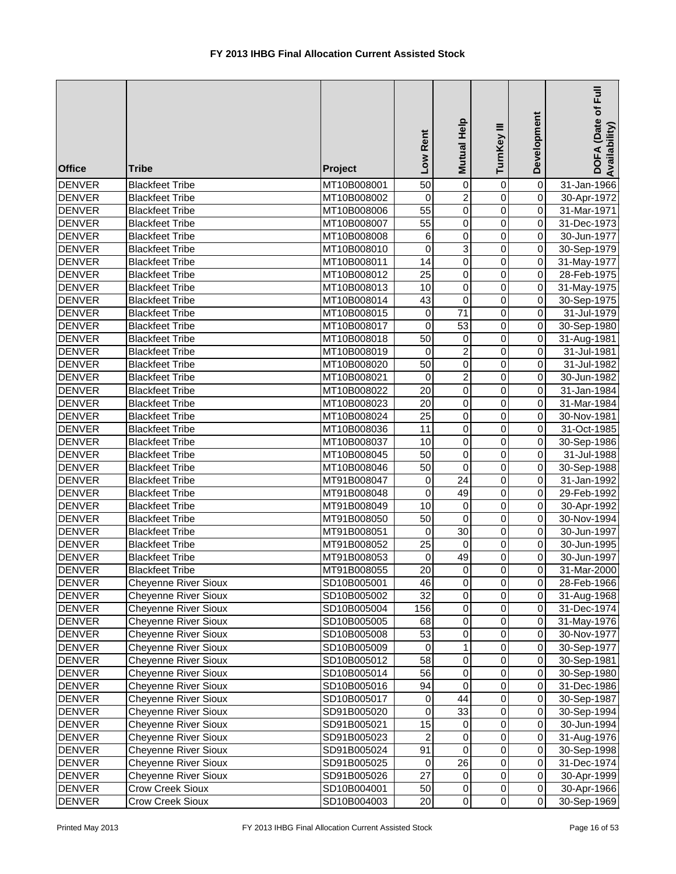| <b>Office</b>                  | <b>Tribe</b>                                     | Project                    | Low Rent        | Mutual Help              | TurnKey III                | Development                      | DOFA (Date of Full<br>Availability) |
|--------------------------------|--------------------------------------------------|----------------------------|-----------------|--------------------------|----------------------------|----------------------------------|-------------------------------------|
| <b>DENVER</b>                  | <b>Blackfeet Tribe</b>                           | MT10B008001                | 50              | $\overline{0}$           | 0                          | $\overline{\mathsf{o}}$          | 31-Jan-1966                         |
| <b>DENVER</b>                  | <b>Blackfeet Tribe</b>                           | MT10B008002                | 0               | $\overline{2}$           | $\overline{0}$             | $\overline{0}$                   | 30-Apr-1972                         |
| <b>DENVER</b>                  | <b>Blackfeet Tribe</b>                           | MT10B008006                | $\overline{55}$ | $\overline{0}$           | $\overline{0}$             | $\overline{0}$                   | 31-Mar-1971                         |
| <b>DENVER</b>                  | <b>Blackfeet Tribe</b>                           | MT10B008007                | $\overline{55}$ | $\overline{0}$           | $\overline{0}$             | $\overline{0}$                   | 31-Dec-1973                         |
| <b>DENVER</b>                  | <b>Blackfeet Tribe</b>                           | MT10B008008                | 6               | $\overline{0}$           | $\overline{0}$             | $\overline{0}$                   | 30-Jun-1977                         |
| <b>DENVER</b>                  | <b>Blackfeet Tribe</b>                           | MT10B008010                | 0               | $\overline{3}$           | $\overline{0}$             | $\overline{0}$                   | 30-Sep-1979                         |
| <b>DENVER</b>                  | <b>Blackfeet Tribe</b>                           | MT10B008011                | 14              | $\pmb{0}$                | 0                          | $\overline{0}$                   | 31-May-1977                         |
| <b>DENVER</b>                  | <b>Blackfeet Tribe</b>                           | MT10B008012                | $\overline{25}$ | 0                        | 0                          | $\overline{0}$                   | 28-Feb-1975                         |
| <b>DENVER</b>                  | <b>Blackfeet Tribe</b>                           | MT10B008013                | 10              | 0                        | $\mathbf 0$                | $\overline{0}$                   | 31-May-1975                         |
| <b>DENVER</b>                  | <b>Blackfeet Tribe</b>                           | MT10B008014                | 43              | $\mathbf 0$              | $\mathbf 0$                | $\overline{0}$                   | 30-Sep-1975                         |
| <b>DENVER</b>                  | <b>Blackfeet Tribe</b>                           | MT10B008015                | 0               | 71                       | $\mathsf 0$                | $\overline{0}$                   | 31-Jul-1979                         |
| <b>DENVER</b>                  | <b>Blackfeet Tribe</b>                           | MT10B008017                | 0               | 53                       | $\pmb{0}$                  | $\overline{0}$                   | 30-Sep-1980                         |
| <b>DENVER</b>                  | <b>Blackfeet Tribe</b>                           | MT10B008018                | 50              | $\,0\,$                  | $\pmb{0}$                  | $\overline{0}$                   | 31-Aug-1981                         |
| <b>DENVER</b>                  | <b>Blackfeet Tribe</b>                           | MT10B008019                | $\Omega$        | $\overline{c}$           | $\mathbf 0$                | $\overline{0}$                   | 31-Jul-1981                         |
| <b>DENVER</b>                  | <b>Blackfeet Tribe</b>                           | MT10B008020                | 50              | $\pmb{0}$                | $\pmb{0}$                  | $\overline{0}$                   | 31-Jul-1982                         |
| <b>DENVER</b>                  | <b>Blackfeet Tribe</b>                           | MT10B008021                | 0               | $\overline{c}$           | 0                          | $\overline{0}$                   | 30-Jun-1982                         |
| <b>DENVER</b>                  | <b>Blackfeet Tribe</b>                           | MT10B008022                | 20              | $\pmb{0}$                | $\mathbf 0$                | $\overline{0}$                   | 31-Jan-1984                         |
| <b>DENVER</b>                  | <b>Blackfeet Tribe</b>                           | MT10B008023                | 20              | $\overline{0}$           | $\overline{0}$             | $\overline{0}$                   | 31-Mar-1984                         |
| <b>DENVER</b>                  | <b>Blackfeet Tribe</b>                           | MT10B008024                | $\overline{25}$ | $\overline{0}$           | $\overline{0}$             | $\overline{0}$                   | 30-Nov-1981                         |
| <b>DENVER</b>                  | <b>Blackfeet Tribe</b>                           | MT10B008036                | 11              | $\overline{0}$           | $\overline{0}$             | $\overline{0}$                   | 31-Oct-1985                         |
| <b>DENVER</b>                  | <b>Blackfeet Tribe</b>                           | MT10B008037                | 10              | $\overline{0}$           | $\overline{0}$             | $\overline{0}$                   | 30-Sep-1986                         |
| <b>DENVER</b>                  | <b>Blackfeet Tribe</b>                           | MT10B008045                | $\overline{50}$ | $\overline{0}$           | $\overline{0}$             | $\overline{0}$                   | 31-Jul-1988                         |
| <b>DENVER</b>                  | <b>Blackfeet Tribe</b>                           | MT10B008046                | $\overline{50}$ | $\overline{0}$           | $\overline{0}$             | $\overline{0}$                   | 30-Sep-1988                         |
| <b>DENVER</b>                  | <b>Blackfeet Tribe</b>                           | MT91B008047                | 0               | $\overline{24}$          | $\pmb{0}$                  | $\overline{0}$                   | 31-Jan-1992                         |
| <b>DENVER</b>                  | <b>Blackfeet Tribe</b>                           | MT91B008048                | 0               | 49                       | $\mathbf 0$                | $\overline{0}$                   | 29-Feb-1992                         |
| <b>DENVER</b>                  | <b>Blackfeet Tribe</b>                           | MT91B008049                | 10<br>50        | $\pmb{0}$<br>$\mathbf 0$ | $\mathbf 0$<br>$\mathbf 0$ | $\overline{0}$<br>$\overline{0}$ | 30-Apr-1992                         |
| <b>DENVER</b><br><b>DENVER</b> | <b>Blackfeet Tribe</b>                           | MT91B008050                | 0               | 30                       | $\pmb{0}$                  | $\overline{0}$                   | 30-Nov-1994<br>30-Jun-1997          |
| <b>DENVER</b>                  | <b>Blackfeet Tribe</b><br><b>Blackfeet Tribe</b> | MT91B008051<br>MT91B008052 | 25              | $\mathbf 0$              | $\pmb{0}$                  | $\overline{0}$                   | 30-Jun-1995                         |
| <b>DENVER</b>                  | <b>Blackfeet Tribe</b>                           | MT91B008053                | 0               | 49                       | $\mathbf 0$                | $\overline{0}$                   | 30-Jun-1997                         |
| <b>DENVER</b>                  | <b>Blackfeet Tribe</b>                           | MT91B008055                | $\overline{20}$ | $\overline{0}$           | $\overline{0}$             | $\overline{0}$                   |                                     |
| DENVER                         | <b>Cheyenne River Sioux</b>                      | SD10B005001                | 46              | $\pmb{0}$                | $\overline{0}$             | $\Omega$                         | 31-Mar-2000<br>28-Feb-1966          |
| <b>DENVER</b>                  | <b>Cheyenne River Sioux</b>                      | SD10B005002                | 32              | $\,0\,$                  | $\mathbf 0$                | $\overline{0}$                   | 31-Aug-1968                         |
| <b>DENVER</b>                  | <b>Cheyenne River Sioux</b>                      | SD10B005004                | 156             | $\,0\,$                  | $\pmb{0}$                  | $\Omega$                         | 31-Dec-1974                         |
| <b>DENVER</b>                  | <b>Cheyenne River Sioux</b>                      | SD10B005005                | 68              | $\pmb{0}$                | $\mathsf 0$                | $\pmb{0}$                        | 31-May-1976                         |
| <b>DENVER</b>                  | <b>Cheyenne River Sioux</b>                      | SD10B005008                | 53              | $\pmb{0}$                | $\mathsf 0$                | $\Omega$                         | 30-Nov-1977                         |
| <b>DENVER</b>                  | <b>Cheyenne River Sioux</b>                      | SD10B005009                | $\mathbf 0$     | $\mathbf{1}$             | $\pmb{0}$                  | $\Omega$                         | 30-Sep-1977                         |
| <b>DENVER</b>                  | <b>Cheyenne River Sioux</b>                      | SD10B005012                | 58              | $\pmb{0}$                | $\pmb{0}$                  | $\Omega$                         | 30-Sep-1981                         |
| <b>DENVER</b>                  | <b>Cheyenne River Sioux</b>                      | SD10B005014                | 56              | $\mathbf 0$              | $\mathsf 0$                | $\overline{0}$                   | 30-Sep-1980                         |
| <b>DENVER</b>                  | <b>Cheyenne River Sioux</b>                      | SD10B005016                | 94              | $\pmb{0}$                | $\overline{0}$             | $\overline{0}$                   | 31-Dec-1986                         |
| DENVER                         | Cheyenne River Sioux                             | SD10B005017                | 0               | 44                       | $\pmb{0}$                  | $\Omega$                         | 30-Sep-1987                         |
| <b>DENVER</b>                  | <b>Cheyenne River Sioux</b>                      | SD91B005020                | 0               | 33                       | $\pmb{0}$                  | $\overline{0}$                   | 30-Sep-1994                         |
| <b>DENVER</b>                  | <b>Cheyenne River Sioux</b>                      | SD91B005021                | 15              | $\pmb{0}$                | $\pmb{0}$                  | $\overline{0}$                   | 30-Jun-1994                         |
| <b>DENVER</b>                  | <b>Cheyenne River Sioux</b>                      | SD91B005023                | $\overline{c}$  | $\pmb{0}$                | $\overline{0}$             | $\overline{0}$                   | 31-Aug-1976                         |
| <b>DENVER</b>                  | <b>Cheyenne River Sioux</b>                      | SD91B005024                | 91              | $\pmb{0}$                | $\pmb{0}$                  | $\overline{0}$                   | 30-Sep-1998                         |
| <b>DENVER</b>                  | <b>Cheyenne River Sioux</b>                      | SD91B005025                | 0               | 26                       | $\pmb{0}$                  | $\overline{0}$                   | 31-Dec-1974                         |
| <b>DENVER</b>                  | <b>Cheyenne River Sioux</b>                      | SD91B005026                | 27              | $\pmb{0}$                | $\pmb{0}$                  | $\overline{0}$                   | 30-Apr-1999                         |
| <b>DENVER</b>                  | Crow Creek Sioux                                 | SD10B004001                | 50              | $\overline{0}$           | $\pmb{0}$                  | $\overline{0}$                   | 30-Apr-1966                         |
| <b>DENVER</b>                  | Crow Creek Sioux                                 | SD10B004003                | 20              | $\mathbf 0$              | $\pmb{0}$                  | $\overline{0}$                   | 30-Sep-1969                         |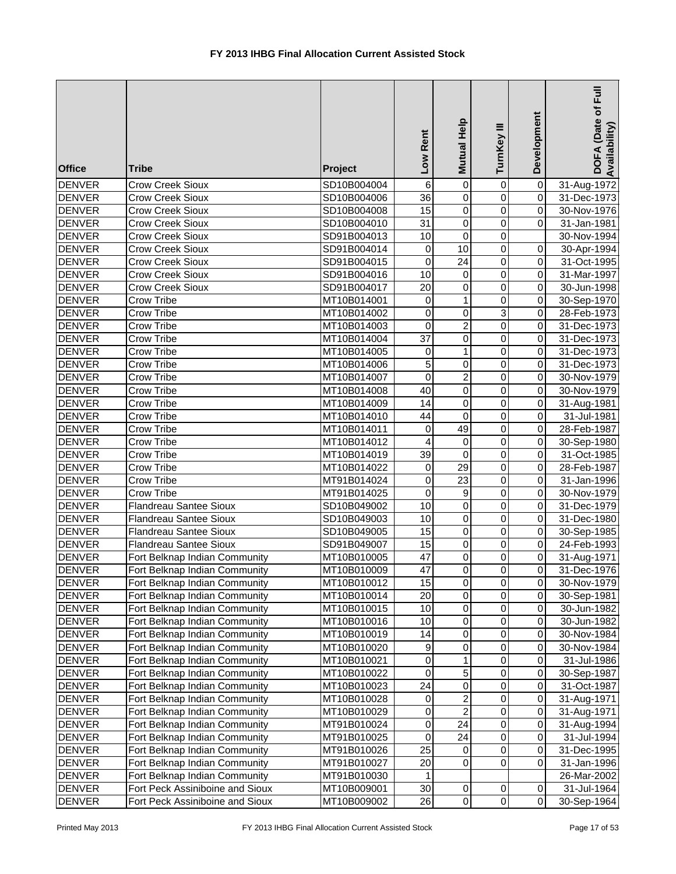| $\pmb{0}$<br>$\pmb{0}$<br><b>Crow Creek Sioux</b><br>SD10B004004<br>$\mathbf 0$<br>6<br>$\overline{36}$<br>$\mathbf 0$<br>$\overline{0}$<br>$\mathbf 0$<br><b>DENVER</b><br><b>Crow Creek Sioux</b><br>SD10B004006<br>31-Dec-1973<br>$\overline{0}$<br>$\overline{0}$<br>15<br>$\pmb{0}$<br><b>DENVER</b><br><b>Crow Creek Sioux</b><br>SD10B004008<br>30-Nov-1976<br>$\mathbf 0$<br>$\mathsf 0$<br>31<br>$\mathbf 0$<br><b>DENVER</b><br><b>Crow Creek Sioux</b><br>SD10B004010<br>31-Jan-1981<br>10<br>$\mathbf 0$<br>$\mathbf 0$<br><b>DENVER</b><br><b>Crow Creek Sioux</b><br>SD91B004013<br>30-Nov-1994<br>$\overline{10}$<br>$\mathbf 0$<br><b>DENVER</b><br>SD91B004014<br>$\mathbf 0$<br>0<br><b>Crow Creek Sioux</b><br>30-Apr-1994<br>$\overline{24}$<br>0<br>0<br><b>DENVER</b><br><b>Crow Creek Sioux</b><br>SD91B004015<br>0<br>31-Oct-1995<br><b>DENVER</b><br>10<br>$\mathbf 0$<br>$\mathbf 0$<br><b>Crow Creek Sioux</b><br>SD91B004016<br>0<br>31-Mar-1997<br><b>DENVER</b><br>20<br>0<br>$\mathbf 0$<br>0<br><b>Crow Creek Sioux</b><br>SD91B004017<br>30-Jun-1998<br>$\mathbf 0$<br>$\overline{\mathsf{o}}$<br><b>DENVER</b><br>$\mathbf 0$<br>$\mathbf{1}$<br><b>Crow Tribe</b><br>MT10B014001<br>30-Sep-1970<br><b>DENVER</b><br>$\mathbf 0$<br>0<br>3<br>$\pmb{0}$<br>Crow Tribe<br>MT10B014002<br>28-Feb-1973<br>$\boldsymbol{2}$<br><b>DENVER</b><br>$\mathbf 0$<br>$\mathbf 0$<br>$\mathbf 0$<br><b>Crow Tribe</b><br>MT10B014003<br>31-Dec-1973<br>37<br><b>DENVER</b><br>Crow Tribe<br>0<br>$\mathbf 0$<br>$\mathbf 0$<br>MT10B014004<br>31-Dec-1973<br>$\mathbf{1}$<br><b>DENVER</b><br>$\mathbf 0$<br>$\mathbf 0$<br>Crow Tribe<br>MT10B014005<br>0<br>31-Dec-1973<br>5<br><b>DENVER</b><br>0<br>$\mathbf 0$<br>$\pmb{0}$<br>Crow Tribe<br>MT10B014006<br>31-Dec-1973<br>$\overline{c}$<br><b>DENVER</b><br>Crow Tribe<br>MT10B014007<br>0<br>0<br>$\overline{0}$<br>30-Nov-1979<br>0<br>$\mathbf 0$<br>0<br><b>DENVER</b><br>Crow Tribe<br>40<br>30-Nov-1979<br>MT10B014008<br>$\mathsf 0$<br>$\mathbf 0$<br>14<br>0<br><b>DENVER</b><br><b>Crow Tribe</b><br>31-Aug-1981<br>MT10B014009<br>$\overline{0}$<br>$\mathbf 0$<br>$\overline{\mathsf{o}}$<br>44<br><b>DENVER</b><br><b>Crow Tribe</b><br>MT10B014010<br>31-Jul-1981<br>49<br>$\overline{0}$<br>$\overline{0}$<br>Crow Tribe<br>$\pmb{0}$<br><b>DENVER</b><br>MT10B014011<br>28-Feb-1987<br>$\mathsf 0$<br>$\pmb{0}$<br>$\pmb{0}$<br><b>DENVER</b><br>Crow Tribe<br>MT10B014012<br>4<br>30-Sep-1980<br>$\mathsf 0$<br><b>DENVER</b><br>39<br>$\mathbf 0$<br>$\pmb{0}$<br><b>Crow Tribe</b><br>MT10B014019<br>31-Oct-1985<br>$\overline{29}$<br>$\mathbf 0$<br>0<br><b>DENVER</b><br>Crow Tribe<br>$\mathbf 0$<br>MT10B014022<br>28-Feb-1987<br>23<br>0<br>0<br><b>DENVER</b><br>Crow Tribe<br>MT91B014024<br>0<br>31-Jan-1996<br>$\overline{0}$<br><b>DENVER</b><br>Crow Tribe<br>$\mathbf 0$<br>9<br>0<br>MT91B014025<br>30-Nov-1979<br>$\overline{10}$<br>0<br><b>DENVER</b><br><b>Flandreau Santee Sioux</b><br>0<br>$\mathbf 0$<br>SD10B049002<br>31-Dec-1979<br>$\overline{0}$<br>$\mathbf 0$<br>$\overline{\mathsf{o}}$<br><b>DENVER</b><br>10<br><b>Flandreau Santee Sioux</b><br>SD10B049003<br>31-Dec-1980<br>15<br>$\pmb{0}$<br>0<br>$\pmb{0}$<br><b>DENVER</b><br>Flandreau Santee Sioux<br>SD10B049005<br>30-Sep-1985<br><b>DENVER</b><br>15<br>0<br>$\mathbf 0$<br>$\pmb{0}$<br>Flandreau Santee Sioux<br>SD91B049007<br>24-Feb-1993<br><b>DENVER</b><br>$\pmb{0}$<br>Fort Belknap Indian Community<br>MT10B010005<br>47<br>0<br>$\mathbf 0$<br>31-Aug-1971<br>$\overline{47}$<br>$\overline{0}$<br><b>DENVER</b><br>$\Omega$<br>$\overline{0}$<br>MT10B010009<br>31-Dec-1976<br>Fort Belknap Indian Community<br>15<br>0<br>DENVER<br>Fort Belknap Indian Community<br>0<br>$\mathbf 0$<br>MT10B010012<br>30-Nov-1979<br>20<br>0<br><b>DENVER</b><br>Fort Belknap Indian Community<br>MT10B010014<br>0<br>$\mathbf 0$<br>30-Sep-1981<br>0<br>0<br><b>DENVER</b><br>Fort Belknap Indian Community<br>10<br>$\mathbf 0$<br>MT10B010015<br>30-Jun-1982<br>0<br>0<br><b>DENVER</b><br>Fort Belknap Indian Community<br>10<br>$\mathbf 0$<br>MT10B010016<br>30-Jun-1982<br>0<br>0<br>14<br>$\mathbf 0$<br><b>DENVER</b><br>Fort Belknap Indian Community<br>MT10B010019<br>30-Nov-1984<br>$\boldsymbol{9}$<br>0<br>$\pmb{0}$<br>0<br><b>DENVER</b><br>Fort Belknap Indian Community<br>MT10B010020<br>30-Nov-1984<br>$\mathbf{1}$<br>0<br>0<br>$\mathbf 0$<br><b>DENVER</b><br>Fort Belknap Indian Community<br>MT10B010021<br>31-Jul-1986<br>$\overline{5}$<br>$\mathbf 0$<br>$\mathsf 0$<br>$\pmb{0}$<br><b>DENVER</b><br>Fort Belknap Indian Community<br>30-Sep-1987<br>MT10B010022<br>$\overline{24}$<br>0<br>0<br>$\mathbf 0$<br><b>DENVER</b><br>Fort Belknap Indian Community<br>31-Oct-1987<br>MT10B010023<br>$\overline{\mathbf{c}}$<br>0<br>0<br><b>DENVER</b><br>Fort Belknap Indian Community<br>0<br>MT10B010028<br>31-Aug-1971<br>$\overline{c}$<br>0<br>0<br>$\mathbf 0$<br><b>DENVER</b><br>Fort Belknap Indian Community<br>MT10B010029<br>31-Aug-1971<br>$\pmb{0}$<br>24<br>0<br>$\pmb{0}$<br><b>DENVER</b><br>Fort Belknap Indian Community<br>MT91B010024<br>31-Aug-1994<br>$\mathbf 0$<br>0<br>$\pmb{0}$<br>Fort Belknap Indian Community<br>24<br><b>DENVER</b><br>31-Jul-1994<br>MT91B010025<br>25<br>0<br>$\mathbf 0$<br><b>DENVER</b><br>Fort Belknap Indian Community<br>0<br>MT91B010026<br>31-Dec-1995<br>$\mathbf 0$<br>Fort Belknap Indian Community<br>20<br>0<br>$\mathbf 0$<br><b>DENVER</b><br>MT91B010027<br>31-Jan-1996<br>1<br><b>DENVER</b><br>Fort Belknap Indian Community<br>26-Mar-2002<br>MT91B010030<br>30<br><b>DENVER</b><br>Fort Peck Assiniboine and Sioux<br>0<br>31-Jul-1964<br>MT10B009001<br>0<br>0<br>$\overline{0}$<br>$\pmb{0}$<br>$\overline{0}$<br>26<br><b>DENVER</b><br>Fort Peck Assiniboine and Sioux<br>MT10B009002<br>30-Sep-1964 | <b>Office</b> | Tribe | Project | Rent<br>Low | Help<br><b>Mutual</b> | Ξ<br>TurnKey | Development | Ē<br>DOFA (Date of<br>Availability) |
|-----------------------------------------------------------------------------------------------------------------------------------------------------------------------------------------------------------------------------------------------------------------------------------------------------------------------------------------------------------------------------------------------------------------------------------------------------------------------------------------------------------------------------------------------------------------------------------------------------------------------------------------------------------------------------------------------------------------------------------------------------------------------------------------------------------------------------------------------------------------------------------------------------------------------------------------------------------------------------------------------------------------------------------------------------------------------------------------------------------------------------------------------------------------------------------------------------------------------------------------------------------------------------------------------------------------------------------------------------------------------------------------------------------------------------------------------------------------------------------------------------------------------------------------------------------------------------------------------------------------------------------------------------------------------------------------------------------------------------------------------------------------------------------------------------------------------------------------------------------------------------------------------------------------------------------------------------------------------------------------------------------------------------------------------------------------------------------------------------------------------------------------------------------------------------------------------------------------------------------------------------------------------------------------------------------------------------------------------------------------------------------------------------------------------------------------------------------------------------------------------------------------------------------------------------------------------------------------------------------------------------------------------------------------------------------------------------------------------------------------------------------------------------------------------------------------------------------------------------------------------------------------------------------------------------------------------------------------------------------------------------------------------------------------------------------------------------------------------------------------------------------------------------------------------------------------------------------------------------------------------------------------------------------------------------------------------------------------------------------------------------------------------------------------------------------------------------------------------------------------------------------------------------------------------------------------------------------------------------------------------------------------------------------------------------------------------------------------------------------------------------------------------------------------------------------------------------------------------------------------------------------------------------------------------------------------------------------------------------------------------------------------------------------------------------------------------------------------------------------------------------------------------------------------------------------------------------------------------------------------------------------------------------------------------------------------------------------------------------------------------------------------------------------------------------------------------------------------------------------------------------------------------------------------------------------------------------------------------------------------------------------------------------------------------------------------------------------------------------------------------------------------------------------------------------------------------------------------------------------------------------------------------------------------------------------------------------------------------------------------------------------------------------------------------------------------------------------------------------------------------------------------------------------------------------------------------------------------------------------------------------------------------------------------------------------------------------------------------------------------------------------------------------------------------------------------------------------------------------------------------------------------------------------------------------------------------------------------------------------------------------------------------------------------------------------------------------------------------------------------------------------------------------------------------------------------------------------------------------------------------------------------------------|---------------|-------|---------|-------------|-----------------------|--------------|-------------|-------------------------------------|
|                                                                                                                                                                                                                                                                                                                                                                                                                                                                                                                                                                                                                                                                                                                                                                                                                                                                                                                                                                                                                                                                                                                                                                                                                                                                                                                                                                                                                                                                                                                                                                                                                                                                                                                                                                                                                                                                                                                                                                                                                                                                                                                                                                                                                                                                                                                                                                                                                                                                                                                                                                                                                                                                                                                                                                                                                                                                                                                                                                                                                                                                                                                                                                                                                                                                                                                                                                                                                                                                                                                                                                                                                                                                                                                                                                                                                                                                                                                                                                                                                                                                                                                                                                                                                                                                                                                                                                                                                                                                                                                                                                                                                                                                                                                                                                                                                                                                                                                                                                                                                                                                                                                                                                                                                                                                                                                                                                                                                                                                                                                                                                                                                                                                                                                                                                                                                                                                                                     | <b>DENVER</b> |       |         |             |                       |              |             | 31-Aug-1972                         |
|                                                                                                                                                                                                                                                                                                                                                                                                                                                                                                                                                                                                                                                                                                                                                                                                                                                                                                                                                                                                                                                                                                                                                                                                                                                                                                                                                                                                                                                                                                                                                                                                                                                                                                                                                                                                                                                                                                                                                                                                                                                                                                                                                                                                                                                                                                                                                                                                                                                                                                                                                                                                                                                                                                                                                                                                                                                                                                                                                                                                                                                                                                                                                                                                                                                                                                                                                                                                                                                                                                                                                                                                                                                                                                                                                                                                                                                                                                                                                                                                                                                                                                                                                                                                                                                                                                                                                                                                                                                                                                                                                                                                                                                                                                                                                                                                                                                                                                                                                                                                                                                                                                                                                                                                                                                                                                                                                                                                                                                                                                                                                                                                                                                                                                                                                                                                                                                                                                     |               |       |         |             |                       |              |             |                                     |
|                                                                                                                                                                                                                                                                                                                                                                                                                                                                                                                                                                                                                                                                                                                                                                                                                                                                                                                                                                                                                                                                                                                                                                                                                                                                                                                                                                                                                                                                                                                                                                                                                                                                                                                                                                                                                                                                                                                                                                                                                                                                                                                                                                                                                                                                                                                                                                                                                                                                                                                                                                                                                                                                                                                                                                                                                                                                                                                                                                                                                                                                                                                                                                                                                                                                                                                                                                                                                                                                                                                                                                                                                                                                                                                                                                                                                                                                                                                                                                                                                                                                                                                                                                                                                                                                                                                                                                                                                                                                                                                                                                                                                                                                                                                                                                                                                                                                                                                                                                                                                                                                                                                                                                                                                                                                                                                                                                                                                                                                                                                                                                                                                                                                                                                                                                                                                                                                                                     |               |       |         |             |                       |              |             |                                     |
|                                                                                                                                                                                                                                                                                                                                                                                                                                                                                                                                                                                                                                                                                                                                                                                                                                                                                                                                                                                                                                                                                                                                                                                                                                                                                                                                                                                                                                                                                                                                                                                                                                                                                                                                                                                                                                                                                                                                                                                                                                                                                                                                                                                                                                                                                                                                                                                                                                                                                                                                                                                                                                                                                                                                                                                                                                                                                                                                                                                                                                                                                                                                                                                                                                                                                                                                                                                                                                                                                                                                                                                                                                                                                                                                                                                                                                                                                                                                                                                                                                                                                                                                                                                                                                                                                                                                                                                                                                                                                                                                                                                                                                                                                                                                                                                                                                                                                                                                                                                                                                                                                                                                                                                                                                                                                                                                                                                                                                                                                                                                                                                                                                                                                                                                                                                                                                                                                                     |               |       |         |             |                       |              |             |                                     |
|                                                                                                                                                                                                                                                                                                                                                                                                                                                                                                                                                                                                                                                                                                                                                                                                                                                                                                                                                                                                                                                                                                                                                                                                                                                                                                                                                                                                                                                                                                                                                                                                                                                                                                                                                                                                                                                                                                                                                                                                                                                                                                                                                                                                                                                                                                                                                                                                                                                                                                                                                                                                                                                                                                                                                                                                                                                                                                                                                                                                                                                                                                                                                                                                                                                                                                                                                                                                                                                                                                                                                                                                                                                                                                                                                                                                                                                                                                                                                                                                                                                                                                                                                                                                                                                                                                                                                                                                                                                                                                                                                                                                                                                                                                                                                                                                                                                                                                                                                                                                                                                                                                                                                                                                                                                                                                                                                                                                                                                                                                                                                                                                                                                                                                                                                                                                                                                                                                     |               |       |         |             |                       |              |             |                                     |
|                                                                                                                                                                                                                                                                                                                                                                                                                                                                                                                                                                                                                                                                                                                                                                                                                                                                                                                                                                                                                                                                                                                                                                                                                                                                                                                                                                                                                                                                                                                                                                                                                                                                                                                                                                                                                                                                                                                                                                                                                                                                                                                                                                                                                                                                                                                                                                                                                                                                                                                                                                                                                                                                                                                                                                                                                                                                                                                                                                                                                                                                                                                                                                                                                                                                                                                                                                                                                                                                                                                                                                                                                                                                                                                                                                                                                                                                                                                                                                                                                                                                                                                                                                                                                                                                                                                                                                                                                                                                                                                                                                                                                                                                                                                                                                                                                                                                                                                                                                                                                                                                                                                                                                                                                                                                                                                                                                                                                                                                                                                                                                                                                                                                                                                                                                                                                                                                                                     |               |       |         |             |                       |              |             |                                     |
|                                                                                                                                                                                                                                                                                                                                                                                                                                                                                                                                                                                                                                                                                                                                                                                                                                                                                                                                                                                                                                                                                                                                                                                                                                                                                                                                                                                                                                                                                                                                                                                                                                                                                                                                                                                                                                                                                                                                                                                                                                                                                                                                                                                                                                                                                                                                                                                                                                                                                                                                                                                                                                                                                                                                                                                                                                                                                                                                                                                                                                                                                                                                                                                                                                                                                                                                                                                                                                                                                                                                                                                                                                                                                                                                                                                                                                                                                                                                                                                                                                                                                                                                                                                                                                                                                                                                                                                                                                                                                                                                                                                                                                                                                                                                                                                                                                                                                                                                                                                                                                                                                                                                                                                                                                                                                                                                                                                                                                                                                                                                                                                                                                                                                                                                                                                                                                                                                                     |               |       |         |             |                       |              |             |                                     |
|                                                                                                                                                                                                                                                                                                                                                                                                                                                                                                                                                                                                                                                                                                                                                                                                                                                                                                                                                                                                                                                                                                                                                                                                                                                                                                                                                                                                                                                                                                                                                                                                                                                                                                                                                                                                                                                                                                                                                                                                                                                                                                                                                                                                                                                                                                                                                                                                                                                                                                                                                                                                                                                                                                                                                                                                                                                                                                                                                                                                                                                                                                                                                                                                                                                                                                                                                                                                                                                                                                                                                                                                                                                                                                                                                                                                                                                                                                                                                                                                                                                                                                                                                                                                                                                                                                                                                                                                                                                                                                                                                                                                                                                                                                                                                                                                                                                                                                                                                                                                                                                                                                                                                                                                                                                                                                                                                                                                                                                                                                                                                                                                                                                                                                                                                                                                                                                                                                     |               |       |         |             |                       |              |             |                                     |
|                                                                                                                                                                                                                                                                                                                                                                                                                                                                                                                                                                                                                                                                                                                                                                                                                                                                                                                                                                                                                                                                                                                                                                                                                                                                                                                                                                                                                                                                                                                                                                                                                                                                                                                                                                                                                                                                                                                                                                                                                                                                                                                                                                                                                                                                                                                                                                                                                                                                                                                                                                                                                                                                                                                                                                                                                                                                                                                                                                                                                                                                                                                                                                                                                                                                                                                                                                                                                                                                                                                                                                                                                                                                                                                                                                                                                                                                                                                                                                                                                                                                                                                                                                                                                                                                                                                                                                                                                                                                                                                                                                                                                                                                                                                                                                                                                                                                                                                                                                                                                                                                                                                                                                                                                                                                                                                                                                                                                                                                                                                                                                                                                                                                                                                                                                                                                                                                                                     |               |       |         |             |                       |              |             |                                     |
|                                                                                                                                                                                                                                                                                                                                                                                                                                                                                                                                                                                                                                                                                                                                                                                                                                                                                                                                                                                                                                                                                                                                                                                                                                                                                                                                                                                                                                                                                                                                                                                                                                                                                                                                                                                                                                                                                                                                                                                                                                                                                                                                                                                                                                                                                                                                                                                                                                                                                                                                                                                                                                                                                                                                                                                                                                                                                                                                                                                                                                                                                                                                                                                                                                                                                                                                                                                                                                                                                                                                                                                                                                                                                                                                                                                                                                                                                                                                                                                                                                                                                                                                                                                                                                                                                                                                                                                                                                                                                                                                                                                                                                                                                                                                                                                                                                                                                                                                                                                                                                                                                                                                                                                                                                                                                                                                                                                                                                                                                                                                                                                                                                                                                                                                                                                                                                                                                                     |               |       |         |             |                       |              |             |                                     |
|                                                                                                                                                                                                                                                                                                                                                                                                                                                                                                                                                                                                                                                                                                                                                                                                                                                                                                                                                                                                                                                                                                                                                                                                                                                                                                                                                                                                                                                                                                                                                                                                                                                                                                                                                                                                                                                                                                                                                                                                                                                                                                                                                                                                                                                                                                                                                                                                                                                                                                                                                                                                                                                                                                                                                                                                                                                                                                                                                                                                                                                                                                                                                                                                                                                                                                                                                                                                                                                                                                                                                                                                                                                                                                                                                                                                                                                                                                                                                                                                                                                                                                                                                                                                                                                                                                                                                                                                                                                                                                                                                                                                                                                                                                                                                                                                                                                                                                                                                                                                                                                                                                                                                                                                                                                                                                                                                                                                                                                                                                                                                                                                                                                                                                                                                                                                                                                                                                     |               |       |         |             |                       |              |             |                                     |
|                                                                                                                                                                                                                                                                                                                                                                                                                                                                                                                                                                                                                                                                                                                                                                                                                                                                                                                                                                                                                                                                                                                                                                                                                                                                                                                                                                                                                                                                                                                                                                                                                                                                                                                                                                                                                                                                                                                                                                                                                                                                                                                                                                                                                                                                                                                                                                                                                                                                                                                                                                                                                                                                                                                                                                                                                                                                                                                                                                                                                                                                                                                                                                                                                                                                                                                                                                                                                                                                                                                                                                                                                                                                                                                                                                                                                                                                                                                                                                                                                                                                                                                                                                                                                                                                                                                                                                                                                                                                                                                                                                                                                                                                                                                                                                                                                                                                                                                                                                                                                                                                                                                                                                                                                                                                                                                                                                                                                                                                                                                                                                                                                                                                                                                                                                                                                                                                                                     |               |       |         |             |                       |              |             |                                     |
|                                                                                                                                                                                                                                                                                                                                                                                                                                                                                                                                                                                                                                                                                                                                                                                                                                                                                                                                                                                                                                                                                                                                                                                                                                                                                                                                                                                                                                                                                                                                                                                                                                                                                                                                                                                                                                                                                                                                                                                                                                                                                                                                                                                                                                                                                                                                                                                                                                                                                                                                                                                                                                                                                                                                                                                                                                                                                                                                                                                                                                                                                                                                                                                                                                                                                                                                                                                                                                                                                                                                                                                                                                                                                                                                                                                                                                                                                                                                                                                                                                                                                                                                                                                                                                                                                                                                                                                                                                                                                                                                                                                                                                                                                                                                                                                                                                                                                                                                                                                                                                                                                                                                                                                                                                                                                                                                                                                                                                                                                                                                                                                                                                                                                                                                                                                                                                                                                                     |               |       |         |             |                       |              |             |                                     |
|                                                                                                                                                                                                                                                                                                                                                                                                                                                                                                                                                                                                                                                                                                                                                                                                                                                                                                                                                                                                                                                                                                                                                                                                                                                                                                                                                                                                                                                                                                                                                                                                                                                                                                                                                                                                                                                                                                                                                                                                                                                                                                                                                                                                                                                                                                                                                                                                                                                                                                                                                                                                                                                                                                                                                                                                                                                                                                                                                                                                                                                                                                                                                                                                                                                                                                                                                                                                                                                                                                                                                                                                                                                                                                                                                                                                                                                                                                                                                                                                                                                                                                                                                                                                                                                                                                                                                                                                                                                                                                                                                                                                                                                                                                                                                                                                                                                                                                                                                                                                                                                                                                                                                                                                                                                                                                                                                                                                                                                                                                                                                                                                                                                                                                                                                                                                                                                                                                     |               |       |         |             |                       |              |             |                                     |
|                                                                                                                                                                                                                                                                                                                                                                                                                                                                                                                                                                                                                                                                                                                                                                                                                                                                                                                                                                                                                                                                                                                                                                                                                                                                                                                                                                                                                                                                                                                                                                                                                                                                                                                                                                                                                                                                                                                                                                                                                                                                                                                                                                                                                                                                                                                                                                                                                                                                                                                                                                                                                                                                                                                                                                                                                                                                                                                                                                                                                                                                                                                                                                                                                                                                                                                                                                                                                                                                                                                                                                                                                                                                                                                                                                                                                                                                                                                                                                                                                                                                                                                                                                                                                                                                                                                                                                                                                                                                                                                                                                                                                                                                                                                                                                                                                                                                                                                                                                                                                                                                                                                                                                                                                                                                                                                                                                                                                                                                                                                                                                                                                                                                                                                                                                                                                                                                                                     |               |       |         |             |                       |              |             |                                     |
|                                                                                                                                                                                                                                                                                                                                                                                                                                                                                                                                                                                                                                                                                                                                                                                                                                                                                                                                                                                                                                                                                                                                                                                                                                                                                                                                                                                                                                                                                                                                                                                                                                                                                                                                                                                                                                                                                                                                                                                                                                                                                                                                                                                                                                                                                                                                                                                                                                                                                                                                                                                                                                                                                                                                                                                                                                                                                                                                                                                                                                                                                                                                                                                                                                                                                                                                                                                                                                                                                                                                                                                                                                                                                                                                                                                                                                                                                                                                                                                                                                                                                                                                                                                                                                                                                                                                                                                                                                                                                                                                                                                                                                                                                                                                                                                                                                                                                                                                                                                                                                                                                                                                                                                                                                                                                                                                                                                                                                                                                                                                                                                                                                                                                                                                                                                                                                                                                                     |               |       |         |             |                       |              |             |                                     |
|                                                                                                                                                                                                                                                                                                                                                                                                                                                                                                                                                                                                                                                                                                                                                                                                                                                                                                                                                                                                                                                                                                                                                                                                                                                                                                                                                                                                                                                                                                                                                                                                                                                                                                                                                                                                                                                                                                                                                                                                                                                                                                                                                                                                                                                                                                                                                                                                                                                                                                                                                                                                                                                                                                                                                                                                                                                                                                                                                                                                                                                                                                                                                                                                                                                                                                                                                                                                                                                                                                                                                                                                                                                                                                                                                                                                                                                                                                                                                                                                                                                                                                                                                                                                                                                                                                                                                                                                                                                                                                                                                                                                                                                                                                                                                                                                                                                                                                                                                                                                                                                                                                                                                                                                                                                                                                                                                                                                                                                                                                                                                                                                                                                                                                                                                                                                                                                                                                     |               |       |         |             |                       |              |             |                                     |
|                                                                                                                                                                                                                                                                                                                                                                                                                                                                                                                                                                                                                                                                                                                                                                                                                                                                                                                                                                                                                                                                                                                                                                                                                                                                                                                                                                                                                                                                                                                                                                                                                                                                                                                                                                                                                                                                                                                                                                                                                                                                                                                                                                                                                                                                                                                                                                                                                                                                                                                                                                                                                                                                                                                                                                                                                                                                                                                                                                                                                                                                                                                                                                                                                                                                                                                                                                                                                                                                                                                                                                                                                                                                                                                                                                                                                                                                                                                                                                                                                                                                                                                                                                                                                                                                                                                                                                                                                                                                                                                                                                                                                                                                                                                                                                                                                                                                                                                                                                                                                                                                                                                                                                                                                                                                                                                                                                                                                                                                                                                                                                                                                                                                                                                                                                                                                                                                                                     |               |       |         |             |                       |              |             |                                     |
|                                                                                                                                                                                                                                                                                                                                                                                                                                                                                                                                                                                                                                                                                                                                                                                                                                                                                                                                                                                                                                                                                                                                                                                                                                                                                                                                                                                                                                                                                                                                                                                                                                                                                                                                                                                                                                                                                                                                                                                                                                                                                                                                                                                                                                                                                                                                                                                                                                                                                                                                                                                                                                                                                                                                                                                                                                                                                                                                                                                                                                                                                                                                                                                                                                                                                                                                                                                                                                                                                                                                                                                                                                                                                                                                                                                                                                                                                                                                                                                                                                                                                                                                                                                                                                                                                                                                                                                                                                                                                                                                                                                                                                                                                                                                                                                                                                                                                                                                                                                                                                                                                                                                                                                                                                                                                                                                                                                                                                                                                                                                                                                                                                                                                                                                                                                                                                                                                                     |               |       |         |             |                       |              |             |                                     |
|                                                                                                                                                                                                                                                                                                                                                                                                                                                                                                                                                                                                                                                                                                                                                                                                                                                                                                                                                                                                                                                                                                                                                                                                                                                                                                                                                                                                                                                                                                                                                                                                                                                                                                                                                                                                                                                                                                                                                                                                                                                                                                                                                                                                                                                                                                                                                                                                                                                                                                                                                                                                                                                                                                                                                                                                                                                                                                                                                                                                                                                                                                                                                                                                                                                                                                                                                                                                                                                                                                                                                                                                                                                                                                                                                                                                                                                                                                                                                                                                                                                                                                                                                                                                                                                                                                                                                                                                                                                                                                                                                                                                                                                                                                                                                                                                                                                                                                                                                                                                                                                                                                                                                                                                                                                                                                                                                                                                                                                                                                                                                                                                                                                                                                                                                                                                                                                                                                     |               |       |         |             |                       |              |             |                                     |
|                                                                                                                                                                                                                                                                                                                                                                                                                                                                                                                                                                                                                                                                                                                                                                                                                                                                                                                                                                                                                                                                                                                                                                                                                                                                                                                                                                                                                                                                                                                                                                                                                                                                                                                                                                                                                                                                                                                                                                                                                                                                                                                                                                                                                                                                                                                                                                                                                                                                                                                                                                                                                                                                                                                                                                                                                                                                                                                                                                                                                                                                                                                                                                                                                                                                                                                                                                                                                                                                                                                                                                                                                                                                                                                                                                                                                                                                                                                                                                                                                                                                                                                                                                                                                                                                                                                                                                                                                                                                                                                                                                                                                                                                                                                                                                                                                                                                                                                                                                                                                                                                                                                                                                                                                                                                                                                                                                                                                                                                                                                                                                                                                                                                                                                                                                                                                                                                                                     |               |       |         |             |                       |              |             |                                     |
|                                                                                                                                                                                                                                                                                                                                                                                                                                                                                                                                                                                                                                                                                                                                                                                                                                                                                                                                                                                                                                                                                                                                                                                                                                                                                                                                                                                                                                                                                                                                                                                                                                                                                                                                                                                                                                                                                                                                                                                                                                                                                                                                                                                                                                                                                                                                                                                                                                                                                                                                                                                                                                                                                                                                                                                                                                                                                                                                                                                                                                                                                                                                                                                                                                                                                                                                                                                                                                                                                                                                                                                                                                                                                                                                                                                                                                                                                                                                                                                                                                                                                                                                                                                                                                                                                                                                                                                                                                                                                                                                                                                                                                                                                                                                                                                                                                                                                                                                                                                                                                                                                                                                                                                                                                                                                                                                                                                                                                                                                                                                                                                                                                                                                                                                                                                                                                                                                                     |               |       |         |             |                       |              |             |                                     |
|                                                                                                                                                                                                                                                                                                                                                                                                                                                                                                                                                                                                                                                                                                                                                                                                                                                                                                                                                                                                                                                                                                                                                                                                                                                                                                                                                                                                                                                                                                                                                                                                                                                                                                                                                                                                                                                                                                                                                                                                                                                                                                                                                                                                                                                                                                                                                                                                                                                                                                                                                                                                                                                                                                                                                                                                                                                                                                                                                                                                                                                                                                                                                                                                                                                                                                                                                                                                                                                                                                                                                                                                                                                                                                                                                                                                                                                                                                                                                                                                                                                                                                                                                                                                                                                                                                                                                                                                                                                                                                                                                                                                                                                                                                                                                                                                                                                                                                                                                                                                                                                                                                                                                                                                                                                                                                                                                                                                                                                                                                                                                                                                                                                                                                                                                                                                                                                                                                     |               |       |         |             |                       |              |             |                                     |
|                                                                                                                                                                                                                                                                                                                                                                                                                                                                                                                                                                                                                                                                                                                                                                                                                                                                                                                                                                                                                                                                                                                                                                                                                                                                                                                                                                                                                                                                                                                                                                                                                                                                                                                                                                                                                                                                                                                                                                                                                                                                                                                                                                                                                                                                                                                                                                                                                                                                                                                                                                                                                                                                                                                                                                                                                                                                                                                                                                                                                                                                                                                                                                                                                                                                                                                                                                                                                                                                                                                                                                                                                                                                                                                                                                                                                                                                                                                                                                                                                                                                                                                                                                                                                                                                                                                                                                                                                                                                                                                                                                                                                                                                                                                                                                                                                                                                                                                                                                                                                                                                                                                                                                                                                                                                                                                                                                                                                                                                                                                                                                                                                                                                                                                                                                                                                                                                                                     |               |       |         |             |                       |              |             |                                     |
|                                                                                                                                                                                                                                                                                                                                                                                                                                                                                                                                                                                                                                                                                                                                                                                                                                                                                                                                                                                                                                                                                                                                                                                                                                                                                                                                                                                                                                                                                                                                                                                                                                                                                                                                                                                                                                                                                                                                                                                                                                                                                                                                                                                                                                                                                                                                                                                                                                                                                                                                                                                                                                                                                                                                                                                                                                                                                                                                                                                                                                                                                                                                                                                                                                                                                                                                                                                                                                                                                                                                                                                                                                                                                                                                                                                                                                                                                                                                                                                                                                                                                                                                                                                                                                                                                                                                                                                                                                                                                                                                                                                                                                                                                                                                                                                                                                                                                                                                                                                                                                                                                                                                                                                                                                                                                                                                                                                                                                                                                                                                                                                                                                                                                                                                                                                                                                                                                                     |               |       |         |             |                       |              |             |                                     |
|                                                                                                                                                                                                                                                                                                                                                                                                                                                                                                                                                                                                                                                                                                                                                                                                                                                                                                                                                                                                                                                                                                                                                                                                                                                                                                                                                                                                                                                                                                                                                                                                                                                                                                                                                                                                                                                                                                                                                                                                                                                                                                                                                                                                                                                                                                                                                                                                                                                                                                                                                                                                                                                                                                                                                                                                                                                                                                                                                                                                                                                                                                                                                                                                                                                                                                                                                                                                                                                                                                                                                                                                                                                                                                                                                                                                                                                                                                                                                                                                                                                                                                                                                                                                                                                                                                                                                                                                                                                                                                                                                                                                                                                                                                                                                                                                                                                                                                                                                                                                                                                                                                                                                                                                                                                                                                                                                                                                                                                                                                                                                                                                                                                                                                                                                                                                                                                                                                     |               |       |         |             |                       |              |             |                                     |
|                                                                                                                                                                                                                                                                                                                                                                                                                                                                                                                                                                                                                                                                                                                                                                                                                                                                                                                                                                                                                                                                                                                                                                                                                                                                                                                                                                                                                                                                                                                                                                                                                                                                                                                                                                                                                                                                                                                                                                                                                                                                                                                                                                                                                                                                                                                                                                                                                                                                                                                                                                                                                                                                                                                                                                                                                                                                                                                                                                                                                                                                                                                                                                                                                                                                                                                                                                                                                                                                                                                                                                                                                                                                                                                                                                                                                                                                                                                                                                                                                                                                                                                                                                                                                                                                                                                                                                                                                                                                                                                                                                                                                                                                                                                                                                                                                                                                                                                                                                                                                                                                                                                                                                                                                                                                                                                                                                                                                                                                                                                                                                                                                                                                                                                                                                                                                                                                                                     |               |       |         |             |                       |              |             |                                     |
|                                                                                                                                                                                                                                                                                                                                                                                                                                                                                                                                                                                                                                                                                                                                                                                                                                                                                                                                                                                                                                                                                                                                                                                                                                                                                                                                                                                                                                                                                                                                                                                                                                                                                                                                                                                                                                                                                                                                                                                                                                                                                                                                                                                                                                                                                                                                                                                                                                                                                                                                                                                                                                                                                                                                                                                                                                                                                                                                                                                                                                                                                                                                                                                                                                                                                                                                                                                                                                                                                                                                                                                                                                                                                                                                                                                                                                                                                                                                                                                                                                                                                                                                                                                                                                                                                                                                                                                                                                                                                                                                                                                                                                                                                                                                                                                                                                                                                                                                                                                                                                                                                                                                                                                                                                                                                                                                                                                                                                                                                                                                                                                                                                                                                                                                                                                                                                                                                                     |               |       |         |             |                       |              |             |                                     |
|                                                                                                                                                                                                                                                                                                                                                                                                                                                                                                                                                                                                                                                                                                                                                                                                                                                                                                                                                                                                                                                                                                                                                                                                                                                                                                                                                                                                                                                                                                                                                                                                                                                                                                                                                                                                                                                                                                                                                                                                                                                                                                                                                                                                                                                                                                                                                                                                                                                                                                                                                                                                                                                                                                                                                                                                                                                                                                                                                                                                                                                                                                                                                                                                                                                                                                                                                                                                                                                                                                                                                                                                                                                                                                                                                                                                                                                                                                                                                                                                                                                                                                                                                                                                                                                                                                                                                                                                                                                                                                                                                                                                                                                                                                                                                                                                                                                                                                                                                                                                                                                                                                                                                                                                                                                                                                                                                                                                                                                                                                                                                                                                                                                                                                                                                                                                                                                                                                     |               |       |         |             |                       |              |             |                                     |
|                                                                                                                                                                                                                                                                                                                                                                                                                                                                                                                                                                                                                                                                                                                                                                                                                                                                                                                                                                                                                                                                                                                                                                                                                                                                                                                                                                                                                                                                                                                                                                                                                                                                                                                                                                                                                                                                                                                                                                                                                                                                                                                                                                                                                                                                                                                                                                                                                                                                                                                                                                                                                                                                                                                                                                                                                                                                                                                                                                                                                                                                                                                                                                                                                                                                                                                                                                                                                                                                                                                                                                                                                                                                                                                                                                                                                                                                                                                                                                                                                                                                                                                                                                                                                                                                                                                                                                                                                                                                                                                                                                                                                                                                                                                                                                                                                                                                                                                                                                                                                                                                                                                                                                                                                                                                                                                                                                                                                                                                                                                                                                                                                                                                                                                                                                                                                                                                                                     |               |       |         |             |                       |              |             |                                     |
|                                                                                                                                                                                                                                                                                                                                                                                                                                                                                                                                                                                                                                                                                                                                                                                                                                                                                                                                                                                                                                                                                                                                                                                                                                                                                                                                                                                                                                                                                                                                                                                                                                                                                                                                                                                                                                                                                                                                                                                                                                                                                                                                                                                                                                                                                                                                                                                                                                                                                                                                                                                                                                                                                                                                                                                                                                                                                                                                                                                                                                                                                                                                                                                                                                                                                                                                                                                                                                                                                                                                                                                                                                                                                                                                                                                                                                                                                                                                                                                                                                                                                                                                                                                                                                                                                                                                                                                                                                                                                                                                                                                                                                                                                                                                                                                                                                                                                                                                                                                                                                                                                                                                                                                                                                                                                                                                                                                                                                                                                                                                                                                                                                                                                                                                                                                                                                                                                                     |               |       |         |             |                       |              |             |                                     |
|                                                                                                                                                                                                                                                                                                                                                                                                                                                                                                                                                                                                                                                                                                                                                                                                                                                                                                                                                                                                                                                                                                                                                                                                                                                                                                                                                                                                                                                                                                                                                                                                                                                                                                                                                                                                                                                                                                                                                                                                                                                                                                                                                                                                                                                                                                                                                                                                                                                                                                                                                                                                                                                                                                                                                                                                                                                                                                                                                                                                                                                                                                                                                                                                                                                                                                                                                                                                                                                                                                                                                                                                                                                                                                                                                                                                                                                                                                                                                                                                                                                                                                                                                                                                                                                                                                                                                                                                                                                                                                                                                                                                                                                                                                                                                                                                                                                                                                                                                                                                                                                                                                                                                                                                                                                                                                                                                                                                                                                                                                                                                                                                                                                                                                                                                                                                                                                                                                     |               |       |         |             |                       |              |             |                                     |
|                                                                                                                                                                                                                                                                                                                                                                                                                                                                                                                                                                                                                                                                                                                                                                                                                                                                                                                                                                                                                                                                                                                                                                                                                                                                                                                                                                                                                                                                                                                                                                                                                                                                                                                                                                                                                                                                                                                                                                                                                                                                                                                                                                                                                                                                                                                                                                                                                                                                                                                                                                                                                                                                                                                                                                                                                                                                                                                                                                                                                                                                                                                                                                                                                                                                                                                                                                                                                                                                                                                                                                                                                                                                                                                                                                                                                                                                                                                                                                                                                                                                                                                                                                                                                                                                                                                                                                                                                                                                                                                                                                                                                                                                                                                                                                                                                                                                                                                                                                                                                                                                                                                                                                                                                                                                                                                                                                                                                                                                                                                                                                                                                                                                                                                                                                                                                                                                                                     |               |       |         |             |                       |              |             |                                     |
|                                                                                                                                                                                                                                                                                                                                                                                                                                                                                                                                                                                                                                                                                                                                                                                                                                                                                                                                                                                                                                                                                                                                                                                                                                                                                                                                                                                                                                                                                                                                                                                                                                                                                                                                                                                                                                                                                                                                                                                                                                                                                                                                                                                                                                                                                                                                                                                                                                                                                                                                                                                                                                                                                                                                                                                                                                                                                                                                                                                                                                                                                                                                                                                                                                                                                                                                                                                                                                                                                                                                                                                                                                                                                                                                                                                                                                                                                                                                                                                                                                                                                                                                                                                                                                                                                                                                                                                                                                                                                                                                                                                                                                                                                                                                                                                                                                                                                                                                                                                                                                                                                                                                                                                                                                                                                                                                                                                                                                                                                                                                                                                                                                                                                                                                                                                                                                                                                                     |               |       |         |             |                       |              |             |                                     |
|                                                                                                                                                                                                                                                                                                                                                                                                                                                                                                                                                                                                                                                                                                                                                                                                                                                                                                                                                                                                                                                                                                                                                                                                                                                                                                                                                                                                                                                                                                                                                                                                                                                                                                                                                                                                                                                                                                                                                                                                                                                                                                                                                                                                                                                                                                                                                                                                                                                                                                                                                                                                                                                                                                                                                                                                                                                                                                                                                                                                                                                                                                                                                                                                                                                                                                                                                                                                                                                                                                                                                                                                                                                                                                                                                                                                                                                                                                                                                                                                                                                                                                                                                                                                                                                                                                                                                                                                                                                                                                                                                                                                                                                                                                                                                                                                                                                                                                                                                                                                                                                                                                                                                                                                                                                                                                                                                                                                                                                                                                                                                                                                                                                                                                                                                                                                                                                                                                     |               |       |         |             |                       |              |             |                                     |
|                                                                                                                                                                                                                                                                                                                                                                                                                                                                                                                                                                                                                                                                                                                                                                                                                                                                                                                                                                                                                                                                                                                                                                                                                                                                                                                                                                                                                                                                                                                                                                                                                                                                                                                                                                                                                                                                                                                                                                                                                                                                                                                                                                                                                                                                                                                                                                                                                                                                                                                                                                                                                                                                                                                                                                                                                                                                                                                                                                                                                                                                                                                                                                                                                                                                                                                                                                                                                                                                                                                                                                                                                                                                                                                                                                                                                                                                                                                                                                                                                                                                                                                                                                                                                                                                                                                                                                                                                                                                                                                                                                                                                                                                                                                                                                                                                                                                                                                                                                                                                                                                                                                                                                                                                                                                                                                                                                                                                                                                                                                                                                                                                                                                                                                                                                                                                                                                                                     |               |       |         |             |                       |              |             |                                     |
|                                                                                                                                                                                                                                                                                                                                                                                                                                                                                                                                                                                                                                                                                                                                                                                                                                                                                                                                                                                                                                                                                                                                                                                                                                                                                                                                                                                                                                                                                                                                                                                                                                                                                                                                                                                                                                                                                                                                                                                                                                                                                                                                                                                                                                                                                                                                                                                                                                                                                                                                                                                                                                                                                                                                                                                                                                                                                                                                                                                                                                                                                                                                                                                                                                                                                                                                                                                                                                                                                                                                                                                                                                                                                                                                                                                                                                                                                                                                                                                                                                                                                                                                                                                                                                                                                                                                                                                                                                                                                                                                                                                                                                                                                                                                                                                                                                                                                                                                                                                                                                                                                                                                                                                                                                                                                                                                                                                                                                                                                                                                                                                                                                                                                                                                                                                                                                                                                                     |               |       |         |             |                       |              |             |                                     |
|                                                                                                                                                                                                                                                                                                                                                                                                                                                                                                                                                                                                                                                                                                                                                                                                                                                                                                                                                                                                                                                                                                                                                                                                                                                                                                                                                                                                                                                                                                                                                                                                                                                                                                                                                                                                                                                                                                                                                                                                                                                                                                                                                                                                                                                                                                                                                                                                                                                                                                                                                                                                                                                                                                                                                                                                                                                                                                                                                                                                                                                                                                                                                                                                                                                                                                                                                                                                                                                                                                                                                                                                                                                                                                                                                                                                                                                                                                                                                                                                                                                                                                                                                                                                                                                                                                                                                                                                                                                                                                                                                                                                                                                                                                                                                                                                                                                                                                                                                                                                                                                                                                                                                                                                                                                                                                                                                                                                                                                                                                                                                                                                                                                                                                                                                                                                                                                                                                     |               |       |         |             |                       |              |             |                                     |
|                                                                                                                                                                                                                                                                                                                                                                                                                                                                                                                                                                                                                                                                                                                                                                                                                                                                                                                                                                                                                                                                                                                                                                                                                                                                                                                                                                                                                                                                                                                                                                                                                                                                                                                                                                                                                                                                                                                                                                                                                                                                                                                                                                                                                                                                                                                                                                                                                                                                                                                                                                                                                                                                                                                                                                                                                                                                                                                                                                                                                                                                                                                                                                                                                                                                                                                                                                                                                                                                                                                                                                                                                                                                                                                                                                                                                                                                                                                                                                                                                                                                                                                                                                                                                                                                                                                                                                                                                                                                                                                                                                                                                                                                                                                                                                                                                                                                                                                                                                                                                                                                                                                                                                                                                                                                                                                                                                                                                                                                                                                                                                                                                                                                                                                                                                                                                                                                                                     |               |       |         |             |                       |              |             |                                     |
|                                                                                                                                                                                                                                                                                                                                                                                                                                                                                                                                                                                                                                                                                                                                                                                                                                                                                                                                                                                                                                                                                                                                                                                                                                                                                                                                                                                                                                                                                                                                                                                                                                                                                                                                                                                                                                                                                                                                                                                                                                                                                                                                                                                                                                                                                                                                                                                                                                                                                                                                                                                                                                                                                                                                                                                                                                                                                                                                                                                                                                                                                                                                                                                                                                                                                                                                                                                                                                                                                                                                                                                                                                                                                                                                                                                                                                                                                                                                                                                                                                                                                                                                                                                                                                                                                                                                                                                                                                                                                                                                                                                                                                                                                                                                                                                                                                                                                                                                                                                                                                                                                                                                                                                                                                                                                                                                                                                                                                                                                                                                                                                                                                                                                                                                                                                                                                                                                                     |               |       |         |             |                       |              |             |                                     |
|                                                                                                                                                                                                                                                                                                                                                                                                                                                                                                                                                                                                                                                                                                                                                                                                                                                                                                                                                                                                                                                                                                                                                                                                                                                                                                                                                                                                                                                                                                                                                                                                                                                                                                                                                                                                                                                                                                                                                                                                                                                                                                                                                                                                                                                                                                                                                                                                                                                                                                                                                                                                                                                                                                                                                                                                                                                                                                                                                                                                                                                                                                                                                                                                                                                                                                                                                                                                                                                                                                                                                                                                                                                                                                                                                                                                                                                                                                                                                                                                                                                                                                                                                                                                                                                                                                                                                                                                                                                                                                                                                                                                                                                                                                                                                                                                                                                                                                                                                                                                                                                                                                                                                                                                                                                                                                                                                                                                                                                                                                                                                                                                                                                                                                                                                                                                                                                                                                     |               |       |         |             |                       |              |             |                                     |
|                                                                                                                                                                                                                                                                                                                                                                                                                                                                                                                                                                                                                                                                                                                                                                                                                                                                                                                                                                                                                                                                                                                                                                                                                                                                                                                                                                                                                                                                                                                                                                                                                                                                                                                                                                                                                                                                                                                                                                                                                                                                                                                                                                                                                                                                                                                                                                                                                                                                                                                                                                                                                                                                                                                                                                                                                                                                                                                                                                                                                                                                                                                                                                                                                                                                                                                                                                                                                                                                                                                                                                                                                                                                                                                                                                                                                                                                                                                                                                                                                                                                                                                                                                                                                                                                                                                                                                                                                                                                                                                                                                                                                                                                                                                                                                                                                                                                                                                                                                                                                                                                                                                                                                                                                                                                                                                                                                                                                                                                                                                                                                                                                                                                                                                                                                                                                                                                                                     |               |       |         |             |                       |              |             |                                     |
|                                                                                                                                                                                                                                                                                                                                                                                                                                                                                                                                                                                                                                                                                                                                                                                                                                                                                                                                                                                                                                                                                                                                                                                                                                                                                                                                                                                                                                                                                                                                                                                                                                                                                                                                                                                                                                                                                                                                                                                                                                                                                                                                                                                                                                                                                                                                                                                                                                                                                                                                                                                                                                                                                                                                                                                                                                                                                                                                                                                                                                                                                                                                                                                                                                                                                                                                                                                                                                                                                                                                                                                                                                                                                                                                                                                                                                                                                                                                                                                                                                                                                                                                                                                                                                                                                                                                                                                                                                                                                                                                                                                                                                                                                                                                                                                                                                                                                                                                                                                                                                                                                                                                                                                                                                                                                                                                                                                                                                                                                                                                                                                                                                                                                                                                                                                                                                                                                                     |               |       |         |             |                       |              |             |                                     |
|                                                                                                                                                                                                                                                                                                                                                                                                                                                                                                                                                                                                                                                                                                                                                                                                                                                                                                                                                                                                                                                                                                                                                                                                                                                                                                                                                                                                                                                                                                                                                                                                                                                                                                                                                                                                                                                                                                                                                                                                                                                                                                                                                                                                                                                                                                                                                                                                                                                                                                                                                                                                                                                                                                                                                                                                                                                                                                                                                                                                                                                                                                                                                                                                                                                                                                                                                                                                                                                                                                                                                                                                                                                                                                                                                                                                                                                                                                                                                                                                                                                                                                                                                                                                                                                                                                                                                                                                                                                                                                                                                                                                                                                                                                                                                                                                                                                                                                                                                                                                                                                                                                                                                                                                                                                                                                                                                                                                                                                                                                                                                                                                                                                                                                                                                                                                                                                                                                     |               |       |         |             |                       |              |             |                                     |
|                                                                                                                                                                                                                                                                                                                                                                                                                                                                                                                                                                                                                                                                                                                                                                                                                                                                                                                                                                                                                                                                                                                                                                                                                                                                                                                                                                                                                                                                                                                                                                                                                                                                                                                                                                                                                                                                                                                                                                                                                                                                                                                                                                                                                                                                                                                                                                                                                                                                                                                                                                                                                                                                                                                                                                                                                                                                                                                                                                                                                                                                                                                                                                                                                                                                                                                                                                                                                                                                                                                                                                                                                                                                                                                                                                                                                                                                                                                                                                                                                                                                                                                                                                                                                                                                                                                                                                                                                                                                                                                                                                                                                                                                                                                                                                                                                                                                                                                                                                                                                                                                                                                                                                                                                                                                                                                                                                                                                                                                                                                                                                                                                                                                                                                                                                                                                                                                                                     |               |       |         |             |                       |              |             |                                     |
|                                                                                                                                                                                                                                                                                                                                                                                                                                                                                                                                                                                                                                                                                                                                                                                                                                                                                                                                                                                                                                                                                                                                                                                                                                                                                                                                                                                                                                                                                                                                                                                                                                                                                                                                                                                                                                                                                                                                                                                                                                                                                                                                                                                                                                                                                                                                                                                                                                                                                                                                                                                                                                                                                                                                                                                                                                                                                                                                                                                                                                                                                                                                                                                                                                                                                                                                                                                                                                                                                                                                                                                                                                                                                                                                                                                                                                                                                                                                                                                                                                                                                                                                                                                                                                                                                                                                                                                                                                                                                                                                                                                                                                                                                                                                                                                                                                                                                                                                                                                                                                                                                                                                                                                                                                                                                                                                                                                                                                                                                                                                                                                                                                                                                                                                                                                                                                                                                                     |               |       |         |             |                       |              |             |                                     |
|                                                                                                                                                                                                                                                                                                                                                                                                                                                                                                                                                                                                                                                                                                                                                                                                                                                                                                                                                                                                                                                                                                                                                                                                                                                                                                                                                                                                                                                                                                                                                                                                                                                                                                                                                                                                                                                                                                                                                                                                                                                                                                                                                                                                                                                                                                                                                                                                                                                                                                                                                                                                                                                                                                                                                                                                                                                                                                                                                                                                                                                                                                                                                                                                                                                                                                                                                                                                                                                                                                                                                                                                                                                                                                                                                                                                                                                                                                                                                                                                                                                                                                                                                                                                                                                                                                                                                                                                                                                                                                                                                                                                                                                                                                                                                                                                                                                                                                                                                                                                                                                                                                                                                                                                                                                                                                                                                                                                                                                                                                                                                                                                                                                                                                                                                                                                                                                                                                     |               |       |         |             |                       |              |             |                                     |
|                                                                                                                                                                                                                                                                                                                                                                                                                                                                                                                                                                                                                                                                                                                                                                                                                                                                                                                                                                                                                                                                                                                                                                                                                                                                                                                                                                                                                                                                                                                                                                                                                                                                                                                                                                                                                                                                                                                                                                                                                                                                                                                                                                                                                                                                                                                                                                                                                                                                                                                                                                                                                                                                                                                                                                                                                                                                                                                                                                                                                                                                                                                                                                                                                                                                                                                                                                                                                                                                                                                                                                                                                                                                                                                                                                                                                                                                                                                                                                                                                                                                                                                                                                                                                                                                                                                                                                                                                                                                                                                                                                                                                                                                                                                                                                                                                                                                                                                                                                                                                                                                                                                                                                                                                                                                                                                                                                                                                                                                                                                                                                                                                                                                                                                                                                                                                                                                                                     |               |       |         |             |                       |              |             |                                     |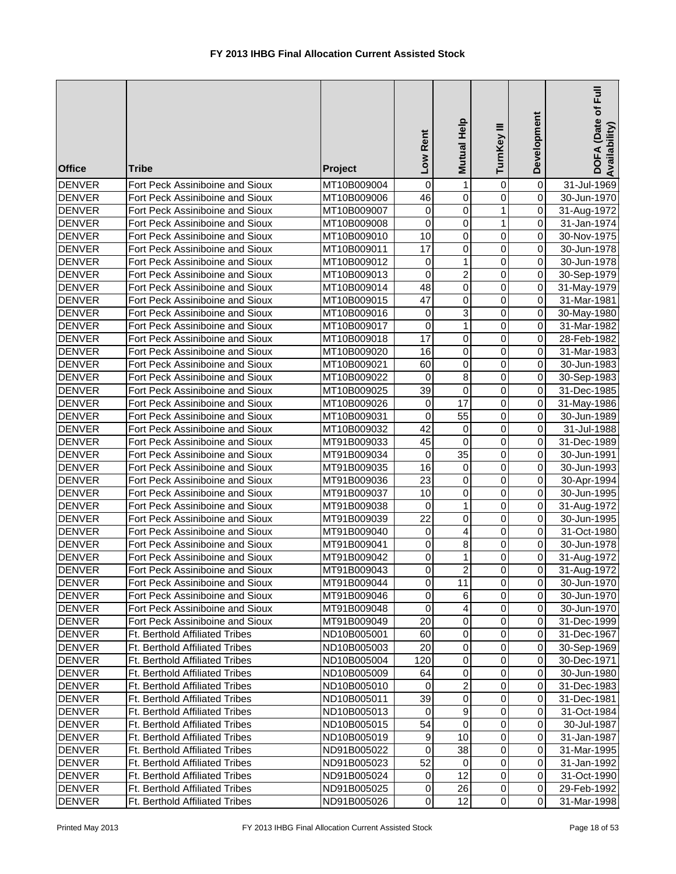| <b>Office</b>                  | <b>Tribe</b>                                                            | Project                    | Rent<br><b>Low</b> | Mutual Help                    | Ξ<br>TurnKey  | Development         | DOFA (Date of Full<br>Availability) |
|--------------------------------|-------------------------------------------------------------------------|----------------------------|--------------------|--------------------------------|---------------|---------------------|-------------------------------------|
| <b>DENVER</b>                  | Fort Peck Assiniboine and Sioux                                         | MT10B009004                | 0                  | $\mathbf{1}$                   | 0             | $\mathsf 0$         | 31-Jul-1969                         |
| <b>DENVER</b>                  | Fort Peck Assiniboine and Sioux                                         | MT10B009006                | 46                 | $\overline{0}$                 | 0             | 0                   | 30-Jun-1970                         |
| <b>DENVER</b>                  | Fort Peck Assiniboine and Sioux                                         | MT10B009007                | $\pmb{0}$          | $\overline{0}$                 | 1             | 0                   | 31-Aug-1972                         |
| <b>DENVER</b>                  | Fort Peck Assiniboine and Sioux                                         | MT10B009008                | 0                  | $\pmb{0}$                      | 1             | 0                   | 31-Jan-1974                         |
| <b>DENVER</b>                  | Fort Peck Assiniboine and Sioux                                         | MT10B009010                | $\overline{10}$    | $\pmb{0}$                      | 0             | 0                   | 30-Nov-1975                         |
| <b>DENVER</b>                  | Fort Peck Assiniboine and Sioux                                         | MT10B009011                | $\overline{17}$    | 0                              | $\mathbf 0$   | 0                   | 30-Jun-1978                         |
| <b>DENVER</b>                  | Fort Peck Assiniboine and Sioux                                         | MT10B009012                | 0                  | $\mathbf{1}$                   | 0             | 0                   | 30-Jun-1978                         |
| <b>DENVER</b>                  | Fort Peck Assiniboine and Sioux                                         | MT10B009013                | 0                  | $\overline{2}$                 | 0             | 0                   | 30-Sep-1979                         |
| <b>DENVER</b>                  | Fort Peck Assiniboine and Sioux                                         | MT10B009014                | $\overline{48}$    | $\mathsf 0$                    | 0             | $\overline{0}$      | 31-May-1979                         |
| <b>DENVER</b>                  | Fort Peck Assiniboine and Sioux                                         | MT10B009015                | 47                 | $\pmb{0}$                      | 0             | $\overline{0}$      | 31-Mar-1981                         |
| <b>DENVER</b>                  | Fort Peck Assiniboine and Sioux                                         | MT10B009016                | 0                  | 3                              | 0             | 0                   | 30-May-1980                         |
| <b>DENVER</b>                  | Fort Peck Assiniboine and Sioux                                         | MT10B009017                | 0                  | $\mathbf{1}$                   | 0             | 0                   | 31-Mar-1982                         |
| <b>DENVER</b>                  | Fort Peck Assiniboine and Sioux                                         | MT10B009018                | 17                 | $\pmb{0}$                      | 0             | 0                   | 28-Feb-1982                         |
| <b>DENVER</b>                  | Fort Peck Assiniboine and Sioux                                         | MT10B009020                | 16                 | $\pmb{0}$                      | 0             | 0                   | 31-Mar-1983                         |
| <b>DENVER</b>                  | Fort Peck Assiniboine and Sioux                                         | MT10B009021                | 60                 | $\pmb{0}$                      | 0             | 0                   | 30-Jun-1983                         |
| <b>DENVER</b>                  | Fort Peck Assiniboine and Sioux                                         | MT10B009022                | 0                  | $\bf 8$                        | 0             | 0                   | 30-Sep-1983                         |
| <b>DENVER</b>                  | Fort Peck Assiniboine and Sioux                                         | MT10B009025                | 39                 | $\mathbf 0$                    | $\mathbf 0$   | 0                   | 31-Dec-1985                         |
| <b>DENVER</b>                  | Fort Peck Assiniboine and Sioux                                         | MT10B009026                | 0                  | $\overline{17}$                | $\mathbf 0$   | 0                   | 31-May-1986                         |
| <b>DENVER</b>                  | Fort Peck Assiniboine and Sioux                                         | MT10B009031                | $\pmb{0}$          | $\overline{55}$                | 0             | 0                   | 30-Jun-1989                         |
| <b>DENVER</b>                  | Fort Peck Assiniboine and Sioux                                         | MT10B009032                | $\overline{42}$    | $\pmb{0}$                      | 0             | 0                   | 31-Jul-1988                         |
| <b>DENVER</b>                  | Fort Peck Assiniboine and Sioux                                         | MT91B009033                | 45                 | $\overline{0}$                 | 0             | 0                   | 31-Dec-1989                         |
| <b>DENVER</b>                  | Fort Peck Assiniboine and Sioux                                         | MT91B009034                | $\pmb{0}$          | 35                             | 0             | 0                   | 30-Jun-1991                         |
| <b>DENVER</b>                  | Fort Peck Assiniboine and Sioux                                         | MT91B009035                | 16                 | $\pmb{0}$                      | $\mathbf 0$   | 0                   | 30-Jun-1993                         |
| <b>DENVER</b>                  | Fort Peck Assiniboine and Sioux                                         | MT91B009036                | $\overline{23}$    | 0                              | 0             | 0                   | 30-Apr-1994                         |
| <b>DENVER</b>                  | Fort Peck Assiniboine and Sioux                                         | MT91B009037                | 10                 | 0                              | 0             | 0                   | 30-Jun-1995                         |
| <b>DENVER</b>                  | Fort Peck Assiniboine and Sioux                                         | MT91B009038                | 0                  | $\mathbf{1}$                   | 0             | 0                   | 31-Aug-1972                         |
| <b>DENVER</b>                  | Fort Peck Assiniboine and Sioux                                         | MT91B009039                | 22                 | $\pmb{0}$                      | 0             | $\overline{0}$      | 30-Jun-1995                         |
| <b>DENVER</b>                  | Fort Peck Assiniboine and Sioux                                         | MT91B009040                | 0                  | 4                              | 0             | 0                   | 31-Oct-1980                         |
| <b>DENVER</b>                  | Fort Peck Assiniboine and Sioux                                         | MT91B009041                | 0                  | $\bf 8$                        | 0             | 0                   | 30-Jun-1978                         |
| <b>DENVER</b>                  | Fort Peck Assiniboine and Sioux                                         | MT91B009042                | 0<br>$\Omega$      | $\mathbf{1}$<br>$\overline{2}$ | 0<br>$\Omega$ | 0<br>$\overline{0}$ | 31-Aug-1972<br>31-Aug-1972          |
| <b>DENVER</b><br><b>DENVER</b> | Fort Peck Assiniboine and Sioux                                         | MT91B009043                |                    |                                |               |                     |                                     |
|                                | Fort Peck Assiniboine and Sioux                                         | MT91B009044<br>MT91B009046 | 0                  | 11                             | 0             | $\overline{0}$      | 30-Jun-1970                         |
| <b>DENVER</b><br><b>DENVER</b> | Fort Peck Assiniboine and Sioux<br>Fort Peck Assiniboine and Sioux      | MT91B009048                | 0<br>0             | 6<br>$\overline{4}$            | 0<br>0        | 0<br>0              | 30-Jun-1970                         |
|                                |                                                                         |                            | 20                 | $\pmb{0}$                      |               |                     | 30-Jun-1970                         |
| <b>DENVER</b><br><b>DENVER</b> | Fort Peck Assiniboine and Sioux                                         | MT91B009049<br>ND10B005001 | 60                 | $\pmb{0}$                      | 0<br>0        | 0<br>0              | 31-Dec-1999                         |
| <b>DENVER</b>                  | <b>Ft. Berthold Affiliated Tribes</b><br>Ft. Berthold Affiliated Tribes |                            | 20                 | $\mathbf 0$                    | 0             | 0                   | 31-Dec-1967                         |
| <b>DENVER</b>                  | <b>Ft. Berthold Affiliated Tribes</b>                                   | ND10B005003<br>ND10B005004 | 120                | $\pmb{0}$                      | 0             | 0                   | 30-Sep-1969<br>30-Dec-1971          |
| <b>DENVER</b>                  | Ft. Berthold Affiliated Tribes                                          | ND10B005009                | 64                 | $\pmb{0}$                      | 0             | 0                   | 30-Jun-1980                         |
| <b>DENVER</b>                  | Ft. Berthold Affiliated Tribes                                          | ND10B005010                | 0                  | $\overline{2}$                 | 0             | 0                   | 31-Dec-1983                         |
| <b>DENVER</b>                  | <b>Ft. Berthold Affiliated Tribes</b>                                   | ND10B005011                | 39                 | $\mathbf 0$                    | 0             | 0                   | 31-Dec-1981                         |
| <b>DENVER</b>                  | Ft. Berthold Affiliated Tribes                                          | ND10B005013                | 0                  | $\boldsymbol{9}$               | 0             | 0                   | 31-Oct-1984                         |
| <b>DENVER</b>                  | Ft. Berthold Affiliated Tribes                                          | ND10B005015                | $\overline{54}$    | $\pmb{0}$                      | 0             | $\overline{0}$      | 30-Jul-1987                         |
| <b>DENVER</b>                  | Ft. Berthold Affiliated Tribes                                          | ND10B005019                | 9                  | 10                             | 0             | $\overline{0}$      | 31-Jan-1987                         |
| <b>DENVER</b>                  | Ft. Berthold Affiliated Tribes                                          | ND91B005022                | 0                  | 38                             | 0             | $\overline{0}$      | 31-Mar-1995                         |
| <b>DENVER</b>                  | Ft. Berthold Affiliated Tribes                                          | ND91B005023                | 52                 | 0                              | 0             | $\overline{0}$      | 31-Jan-1992                         |
| <b>DENVER</b>                  | Ft. Berthold Affiliated Tribes                                          | ND91B005024                | 0                  | 12                             | 0             | $\overline{0}$      | 31-Oct-1990                         |
| <b>DENVER</b>                  | Ft. Berthold Affiliated Tribes                                          | ND91B005025                | 0                  | 26                             | 0             | $\overline{0}$      | 29-Feb-1992                         |
| DENVER                         | <b>Ft. Berthold Affiliated Tribes</b>                                   | ND91B005026                | 0                  | 12                             | $\mathsf 0$   | $\overline{O}$      | 31-Mar-1998                         |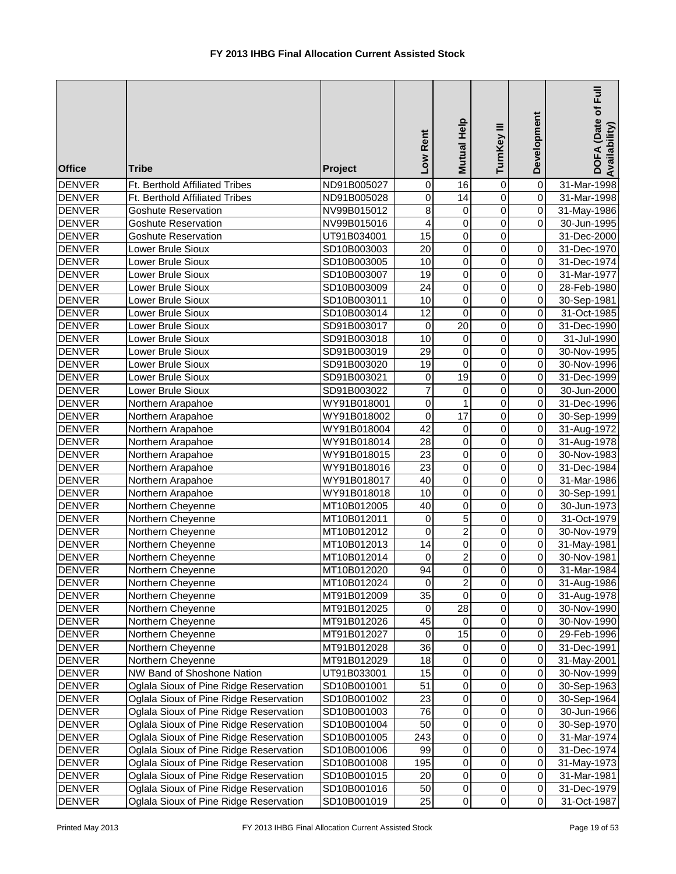| <b>Office</b>                  | <b>Tribe</b>                           | Project                    | Low Rent              | Mutual Help                      | TurnKey III                      | Development                      | DOFA (Date of Full<br>Availability) |
|--------------------------------|----------------------------------------|----------------------------|-----------------------|----------------------------------|----------------------------------|----------------------------------|-------------------------------------|
| <b>DENVER</b>                  | Ft. Berthold Affiliated Tribes         | ND91B005027                | 0                     | $\overline{16}$                  | 0                                | $\overline{\mathsf{o}}$          | 31-Mar-1998                         |
| <b>DENVER</b>                  | Ft. Berthold Affiliated Tribes         | ND91B005028                | $\mathbf 0$           | $\overline{14}$                  | $\mathbf 0$                      | $\overline{0}$                   | 31-Mar-1998                         |
| <b>DENVER</b>                  | <b>Goshute Reservation</b>             | NV99B015012                | 8                     | $\pmb{0}$                        | $\overline{0}$                   | $\overline{0}$                   | 31-May-1986                         |
| <b>DENVER</b>                  | <b>Goshute Reservation</b>             | NV99B015016                | 4                     | $\overline{0}$                   | $\overline{0}$                   | $\overline{0}$                   | 30-Jun-1995                         |
| <b>DENVER</b>                  | Goshute Reservation                    | UT91B034001                | $\overline{15}$       | $\overline{0}$                   | $\overline{0}$                   |                                  | 31-Dec-2000                         |
| <b>DENVER</b>                  | Lower Brule Sioux                      | SD10B003003                | $\overline{20}$       | $\pmb{0}$                        | $\overline{0}$                   | $\pmb{0}$                        | 31-Dec-1970                         |
| <b>DENVER</b>                  | Lower Brule Sioux                      | SD10B003005                | $\overline{10}$       | $\pmb{0}$                        | $\mathbf 0$                      | $\overline{0}$                   | 31-Dec-1974                         |
| <b>DENVER</b>                  | Lower Brule Sioux                      | SD10B003007                | $\overline{19}$       | $\pmb{0}$                        | $\mathbf 0$                      | $\overline{0}$                   | 31-Mar-1977                         |
| <b>DENVER</b>                  | Lower Brule Sioux                      | SD10B003009                | $\overline{24}$       | $\pmb{0}$                        | $\mathbf 0$                      | $\overline{0}$                   | 28-Feb-1980                         |
| <b>DENVER</b>                  | Lower Brule Sioux                      | SD10B003011                | $\overline{10}$       | $\overline{0}$                   | $\mathbf 0$                      | $\overline{0}$                   | 30-Sep-1981                         |
| <b>DENVER</b>                  | Lower Brule Sioux                      | SD10B003014                | 12                    | $\pmb{0}$                        | $\pmb{0}$                        | $\overline{0}$                   | 31-Oct-1985                         |
| <b>DENVER</b>                  | Lower Brule Sioux                      | SD91B003017                | $\mathbf 0$           | 20                               | $\pmb{0}$                        | $\overline{0}$                   | 31-Dec-1990                         |
| <b>DENVER</b>                  | Lower Brule Sioux                      | SD91B003018                | 10                    | $\mathbf 0$                      | $\pmb{0}$                        | $\overline{0}$                   | 31-Jul-1990                         |
| <b>DENVER</b>                  | Lower Brule Sioux                      | SD91B003019                | 29                    | 0                                | $\pmb{0}$                        | $\overline{0}$                   | 30-Nov-1995                         |
| <b>DENVER</b>                  | Lower Brule Sioux                      | SD91B003020                | 19                    | $\pmb{0}$                        | 0                                | $\overline{0}$                   | 30-Nov-1996                         |
| <b>DENVER</b>                  | Lower Brule Sioux                      | SD91B003021                | 0                     | 19                               | 0                                | $\overline{0}$                   | 31-Dec-1999                         |
| <b>DENVER</b>                  | Lower Brule Sioux                      | SD91B003022                | $\overline{7}$        | $\mathbf 0$                      | $\mathbf 0$                      | $\overline{0}$                   | 30-Jun-2000                         |
| <b>DENVER</b>                  | Northern Arapahoe                      | WY91B018001                | $\mathbf 0$           | $\mathbf{1}$                     | $\overline{0}$                   | $\overline{0}$                   | 31-Dec-1996                         |
| <b>DENVER</b>                  | Northern Arapahoe                      | WY91B018002                | $\overline{0}$        | 17                               | $\mathbf 0$                      | $\overline{0}$                   | 30-Sep-1999                         |
| <b>DENVER</b>                  | Northern Arapahoe                      | WY91B018004                | $\overline{42}$       | $\mathbf 0$                      | $\overline{0}$                   | $\overline{0}$                   | 31-Aug-1972                         |
| <b>DENVER</b>                  | Northern Arapahoe                      | WY91B018014                | 28<br>$\overline{23}$ | $\overline{0}$<br>$\overline{0}$ | $\overline{0}$<br>$\overline{0}$ | $\overline{0}$<br>$\overline{0}$ | 31-Aug-1978                         |
| <b>DENVER</b><br><b>DENVER</b> | Northern Arapahoe                      | WY91B018015<br>WY91B018016 | 23                    | $\overline{0}$                   | $\overline{0}$                   | $\overline{0}$                   | 30-Nov-1983                         |
| <b>DENVER</b>                  | Northern Arapahoe                      |                            | 40                    | $\overline{0}$                   | $\mathbf 0$                      | $\overline{0}$                   | 31-Dec-1984                         |
| <b>DENVER</b>                  | Northern Arapahoe                      | WY91B018017<br>WY91B018018 | $\overline{10}$       | $\pmb{0}$                        | $\mathbf 0$                      | $\overline{0}$                   | 31-Mar-1986                         |
| <b>DENVER</b>                  | Northern Arapahoe<br>Northern Cheyenne | MT10B012005                | $\overline{40}$       | $\pmb{0}$                        | $\mathbf 0$                      | $\overline{0}$                   | 30-Sep-1991<br>30-Jun-1973          |
| <b>DENVER</b>                  | Northern Cheyenne                      | MT10B012011                | $\mathbf 0$           | $\overline{5}$                   | $\mathbf 0$                      | $\overline{0}$                   | 31-Oct-1979                         |
| <b>DENVER</b>                  | Northern Cheyenne                      | MT10B012012                | 0                     | $\overline{c}$                   | $\pmb{0}$                        | $\overline{0}$                   | 30-Nov-1979                         |
| <b>DENVER</b>                  | Northern Cheyenne                      | MT10B012013                | 14                    | 0                                | $\pmb{0}$                        | $\overline{0}$                   | 31-May-1981                         |
| <b>DENVER</b>                  | Northern Cheyenne                      | MT10B012014                | 0                     | $\overline{\mathbf{c}}$          | $\pmb{0}$                        | $\overline{0}$                   | 30-Nov-1981                         |
| <b>DENVER</b>                  | Northern Cheyenne                      | MT10B012020                | 94                    | $\overline{0}$                   | $\overline{0}$                   | $\overline{0}$                   | 31-Mar-1984                         |
| <b>DENVER</b>                  | Northern Cheyenne                      | MT10B012024                | 0                     | $\overline{\mathbf{c}}$          | 0                                | $\overline{0}$                   | 31-Aug-1986                         |
| <b>DENVER</b>                  | Northern Cheyenne                      | MT91B012009                | 35                    | 0                                | $\pmb{0}$                        | $\overline{O}$                   | 31-Aug-1978                         |
| <b>DENVER</b>                  | Northern Cheyenne                      | MT91B012025                | 0                     | 28                               | $\,0\,$                          | $\overline{0}$                   | 30-Nov-1990                         |
| <b>DENVER</b>                  | Northern Cheyenne                      | MT91B012026                | 45                    | 0                                | $\pmb{0}$                        | $\overline{0}$                   | 30-Nov-1990                         |
| <b>DENVER</b>                  | Northern Cheyenne                      | MT91B012027                | $\mathbf 0$           | 15                               | $\pmb{0}$                        | $\Omega$                         | 29-Feb-1996                         |
| <b>DENVER</b>                  | Northern Cheyenne                      | MT91B012028                | 36                    | $\mathbf 0$                      | $\pmb{0}$                        | $\Omega$                         | 31-Dec-1991                         |
| <b>DENVER</b>                  | Northern Cheyenne                      | MT91B012029                | 18                    | $\mathbf 0$                      | $\pmb{0}$                        | $\overline{0}$                   | 31-May-2001                         |
| <b>DENVER</b>                  | NW Band of Shoshone Nation             | UT91B033001                | 15                    | $\pmb{0}$                        | $\pmb{0}$                        | $\Omega$                         | 30-Nov-1999                         |
| <b>DENVER</b>                  | Oglala Sioux of Pine Ridge Reservation | SD10B001001                | 51                    | $\pmb{0}$                        | $\pmb{0}$                        | $\Omega$                         | 30-Sep-1963                         |
| <b>DENVER</b>                  | Oglala Sioux of Pine Ridge Reservation | SD10B001002                | 23                    | $\pmb{0}$                        | 0                                | $\Omega$                         | 30-Sep-1964                         |
| <b>DENVER</b>                  | Oglala Sioux of Pine Ridge Reservation | SD10B001003                | 76                    | $\mathbf 0$                      | 0                                | $\overline{0}$                   | 30-Jun-1966                         |
| <b>DENVER</b>                  | Oglala Sioux of Pine Ridge Reservation | SD10B001004                | 50                    | $\pmb{0}$                        | 0                                | $\overline{0}$                   | 30-Sep-1970                         |
| <b>DENVER</b>                  | Oglala Sioux of Pine Ridge Reservation | SD10B001005                | 243                   | $\pmb{0}$                        | $\mathbf 0$                      | $\overline{0}$                   | 31-Mar-1974                         |
| <b>DENVER</b>                  | Oglala Sioux of Pine Ridge Reservation | SD10B001006                | 99                    | $\mathbf 0$                      | $\pmb{0}$                        | $\overline{0}$                   | 31-Dec-1974                         |
| DENVER                         | Oglala Sioux of Pine Ridge Reservation | SD10B001008                | 195                   | $\pmb{0}$                        | $\,0\,$                          | $\overline{O}$                   | 31-May-1973                         |
| DENVER                         | Oglala Sioux of Pine Ridge Reservation | SD10B001015                | 20                    | $\pmb{0}$                        | $\,0\,$                          | $\overline{0}$                   | 31-Mar-1981                         |
| <b>DENVER</b>                  | Oglala Sioux of Pine Ridge Reservation | SD10B001016                | 50                    | $\pmb{0}$                        | $\,0\,$                          | $\overline{0}$                   | 31-Dec-1979                         |
| <b>DENVER</b>                  | Oglala Sioux of Pine Ridge Reservation | SD10B001019                | 25                    | $\mathbf 0$                      | $\pmb{0}$                        | $\overline{0}$                   | 31-Oct-1987                         |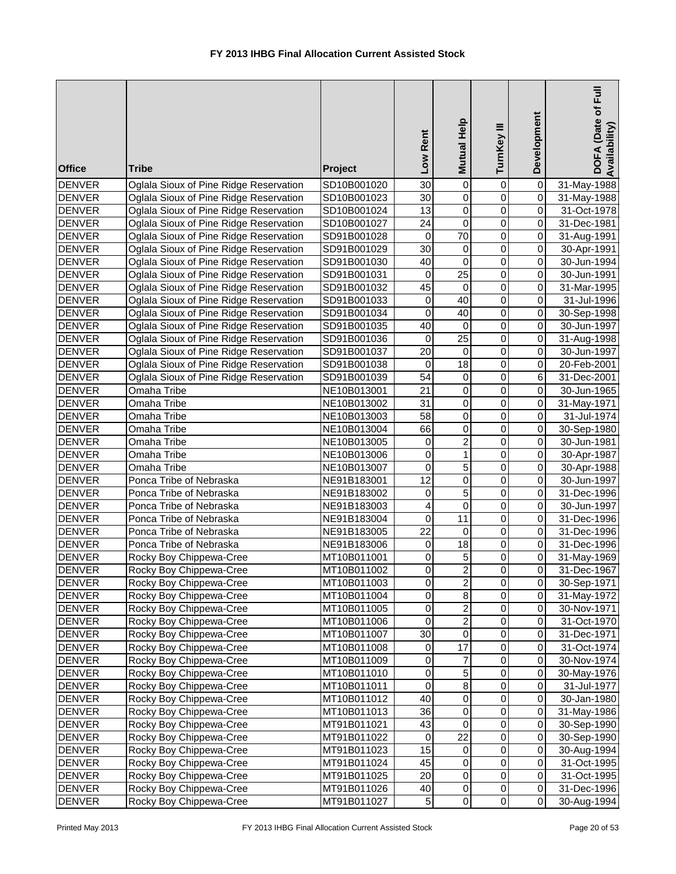| <b>Office</b>                  | <b>Tribe</b>                           | Project                    | Low Rent         | Mutual Help                             | TurnKey III                      | Development                      | DOFA (Date of Full<br>Availability |
|--------------------------------|----------------------------------------|----------------------------|------------------|-----------------------------------------|----------------------------------|----------------------------------|------------------------------------|
| <b>DENVER</b>                  | Oglala Sioux of Pine Ridge Reservation | SD10B001020                | 30               | $\pmb{0}$                               | 0                                | 0                                | 31-May-1988                        |
| <b>DENVER</b>                  | Oglala Sioux of Pine Ridge Reservation | SD10B001023                | 30               | $\pmb{0}$                               | $\mathbf 0$                      | $\overline{\mathsf{o}}$          | 31-May-1988                        |
| <b>DENVER</b>                  | Oglala Sioux of Pine Ridge Reservation | SD10B001024                | 13               | $\pmb{0}$                               | $\mathbf 0$                      | $\overline{0}$                   | 31-Oct-1978                        |
| <b>DENVER</b>                  | Oglala Sioux of Pine Ridge Reservation | SD10B001027                | $\overline{24}$  | $\overline{0}$                          | $\overline{0}$                   | $\overline{0}$                   | 31-Dec-1981                        |
| <b>DENVER</b>                  | Oglala Sioux of Pine Ridge Reservation | SD91B001028                | $\mathbf 0$      | $\overline{70}$                         | $\overline{0}$                   | $\pmb{0}$                        | 31-Aug-1991                        |
| <b>DENVER</b>                  | Oglala Sioux of Pine Ridge Reservation | SD91B001029                | $\overline{30}$  | $\pmb{0}$                               | $\overline{0}$                   | $\overline{0}$                   | 30-Apr-1991                        |
| <b>DENVER</b>                  | Oglala Sioux of Pine Ridge Reservation | SD91B001030                | 40               | $\overline{0}$                          | $\overline{0}$                   | $\overline{0}$                   | 30-Jun-1994                        |
| <b>DENVER</b>                  | Oglala Sioux of Pine Ridge Reservation | SD91B001031                | 0                | $\overline{25}$                         | 0                                | $\pmb{0}$                        | 30-Jun-1991                        |
| <b>DENVER</b>                  | Oglala Sioux of Pine Ridge Reservation | SD91B001032                | 45               | 0                                       | 0                                | $\pmb{0}$                        | 31-Mar-1995                        |
| <b>DENVER</b>                  | Oglala Sioux of Pine Ridge Reservation | SD91B001033                | 0                | 40                                      | $\mathbf 0$                      | $\overline{0}$                   | 31-Jul-1996                        |
| <b>DENVER</b>                  | Oglala Sioux of Pine Ridge Reservation | SD91B001034                | 0                | 40                                      | $\mathbf 0$                      | $\overline{0}$                   | 30-Sep-1998                        |
| <b>DENVER</b>                  | Oglala Sioux of Pine Ridge Reservation | SD91B001035                | 40               | $\pmb{0}$                               | $\mathsf 0$                      | $\overline{0}$                   | 30-Jun-1997                        |
| <b>DENVER</b>                  | Oglala Sioux of Pine Ridge Reservation | SD91B001036                | 0                | 25                                      | $\mathsf 0$                      | $\overline{0}$                   | 31-Aug-1998                        |
| <b>DENVER</b>                  | Oglala Sioux of Pine Ridge Reservation | SD91B001037                | 20               | $\pmb{0}$                               | $\pmb{0}$                        | $\overline{0}$                   | 30-Jun-1997                        |
| <b>DENVER</b>                  | Oglala Sioux of Pine Ridge Reservation | SD91B001038                | 0                | 18                                      | 0                                | $\mathbf 0$                      | 20-Feb-2001                        |
| <b>DENVER</b>                  | Oglala Sioux of Pine Ridge Reservation | SD91B001039                | 54               | 0                                       | $\pmb{0}$                        | 6                                | 31-Dec-2001                        |
| <b>DENVER</b>                  | Omaha Tribe                            | NE10B013001                | 21               | $\pmb{0}$                               | 0                                | $\overline{0}$                   | 30-Jun-1965                        |
| <b>DENVER</b>                  | Omaha Tribe                            | NE10B013002                | 31               | $\pmb{0}$                               | 0                                | $\overline{\mathsf{o}}$          | 31-May-1971                        |
| <b>DENVER</b>                  | Omaha Tribe                            | NE10B013003                | $\overline{58}$  | $\overline{0}$                          | $\overline{0}$                   | $\overline{0}$                   | 31-Jul-1974                        |
| <b>DENVER</b>                  | Omaha Tribe                            | NE10B013004                | 66               | $\overline{0}$                          | $\overline{0}$                   | $\overline{0}$                   | 30-Sep-1980                        |
| <b>DENVER</b>                  | Omaha Tribe                            | NE10B013005                | 0<br>$\mathsf 0$ | $\overline{\mathbf{c}}$<br>$\mathbf{1}$ | $\overline{0}$<br>$\overline{0}$ | $\overline{0}$<br>$\overline{0}$ | 30-Jun-1981                        |
| <b>DENVER</b><br><b>DENVER</b> | Omaha Tribe<br>Omaha Tribe             | NE10B013006                | 0                | $\overline{5}$                          | $\overline{0}$                   | $\overline{0}$                   | 30-Apr-1987                        |
| <b>DENVER</b>                  | Ponca Tribe of Nebraska                | NE10B013007<br>NE91B183001 | 12               | $\overline{0}$                          | $\overline{0}$                   | $\overline{0}$                   | 30-Apr-1988<br>30-Jun-1997         |
| <b>DENVER</b>                  | Ponca Tribe of Nebraska                | NE91B183002                | 0                | 5                                       | 0                                | $\overline{0}$                   | 31-Dec-1996                        |
| <b>DENVER</b>                  | Ponca Tribe of Nebraska                | NE91B183003                | 4                | $\pmb{0}$                               | 0                                | $\overline{0}$                   | 30-Jun-1997                        |
| <b>DENVER</b>                  | Ponca Tribe of Nebraska                | NE91B183004                | 0                | 11                                      | $\mathbf 0$                      | $\overline{0}$                   | 31-Dec-1996                        |
| <b>DENVER</b>                  | Ponca Tribe of Nebraska                | NE91B183005                | $\overline{22}$  | $\overline{0}$                          | $\mathbf 0$                      | $\overline{0}$                   | 31-Dec-1996                        |
| <b>DENVER</b>                  | Ponca Tribe of Nebraska                | NE91B183006                | 0                | 18                                      | $\pmb{0}$                        | $\overline{0}$                   | 31-Dec-1996                        |
| <b>DENVER</b>                  | Rocky Boy Chippewa-Cree                | MT10B011001                | 0                | 5                                       | $\pmb{0}$                        | $\overline{0}$                   | 31-May-1969                        |
| <b>DENVER</b>                  | Rocky Boy Chippewa-Cree                | MT10B011002                | 0                | $\overline{2}$                          | $\overline{0}$                   | $\overline{0}$                   | 31-Dec-1967                        |
| <b>DENVER</b>                  | Rocky Boy Chippewa-Cree                | MT10B011003                | 0                | $\overline{\mathbf{c}}$                 | $\mathbf 0$                      | $\overline{0}$                   | 30-Sep-1971                        |
| <b>DENVER</b>                  | Rocky Boy Chippewa-Cree                | MT10B011004                | 0                | $\bf8$                                  | $\pmb{0}$                        | $\overline{0}$                   | 31-May-1972                        |
| <b>DENVER</b>                  | Rocky Boy Chippewa-Cree                | MT10B011005                | 0                | $\overline{\mathbf{c}}$                 | $\pmb{0}$                        | $\overline{0}$                   | 30-Nov-1971                        |
| <b>DENVER</b>                  | Rocky Boy Chippewa-Cree                | MT10B011006                | 0                | $\overline{c}$                          | $\mathbf 0$                      | $\overline{0}$                   | 31-Oct-1970                        |
| <b>DENVER</b>                  | Rocky Boy Chippewa-Cree                | MT10B011007                | 30               | $\mathbf 0$                             | $\mathbf 0$                      | $\pmb{0}$                        | 31-Dec-1971                        |
| <b>DENVER</b>                  | Rocky Boy Chippewa-Cree                | MT10B011008                | 0                | $\overline{17}$                         | $\mathbf 0$                      | $\Omega$                         | 31-Oct-1974                        |
| <b>DENVER</b>                  | Rocky Boy Chippewa-Cree                | MT10B011009                | 0                | $\overline{7}$                          | $\mathbf 0$                      | $\mathbf 0$                      | 30-Nov-1974                        |
| <b>DENVER</b>                  | Rocky Boy Chippewa-Cree                | MT10B011010                | 0                | 5                                       | $\mathbf 0$                      | $\pmb{0}$                        | 30-May-1976                        |
| <b>DENVER</b>                  | Rocky Boy Chippewa-Cree                | MT10B011011                | $\mathsf 0$      | $\overline{8}$                          | $\overline{0}$                   | $\overline{0}$                   | 31-Jul-1977                        |
| <b>DENVER</b>                  | Rocky Boy Chippewa-Cree                | MT10B011012                | 40               | $\overline{0}$                          | $\overline{0}$                   | $\overline{0}$                   | 30-Jan-1980                        |
| <b>DENVER</b>                  | Rocky Boy Chippewa-Cree                | MT10B011013                | 36               | $\pmb{0}$                               | 0                                | $\overline{0}$                   | 31-May-1986                        |
| <b>DENVER</b>                  | Rocky Boy Chippewa-Cree                | MT91B011021                | 43               | 0                                       | 0                                | $\overline{0}$                   | 30-Sep-1990                        |
| <b>DENVER</b>                  | Rocky Boy Chippewa-Cree                | MT91B011022                | 0                | $\overline{22}$                         | 0                                | $\overline{0}$                   | 30-Sep-1990                        |
| <b>DENVER</b>                  | Rocky Boy Chippewa-Cree                | MT91B011023                | $\overline{15}$  | $\pmb{0}$                               | $\mathbf 0$                      | $\overline{0}$                   | 30-Aug-1994                        |
| <b>DENVER</b>                  | Rocky Boy Chippewa-Cree                | MT91B011024                | 45               | $\pmb{0}$                               | $\overline{0}$                   | $\overline{0}$                   | 31-Oct-1995                        |
| <b>DENVER</b>                  | Rocky Boy Chippewa-Cree                | MT91B011025                | 20               | $\pmb{0}$                               | $\pmb{0}$                        | $\overline{0}$                   | 31-Oct-1995                        |
| <b>DENVER</b>                  | Rocky Boy Chippewa-Cree                | MT91B011026                | 40               | $\overline{0}$                          | ${\bf 0}$                        | $\overline{0}$                   | 31-Dec-1996                        |
| <b>DENVER</b>                  | Rocky Boy Chippewa-Cree                | MT91B011027                | $\overline{5}$   | $\pmb{0}$                               | $\overline{\mathsf{o}}$          | $\overline{0}$                   | 30-Aug-1994                        |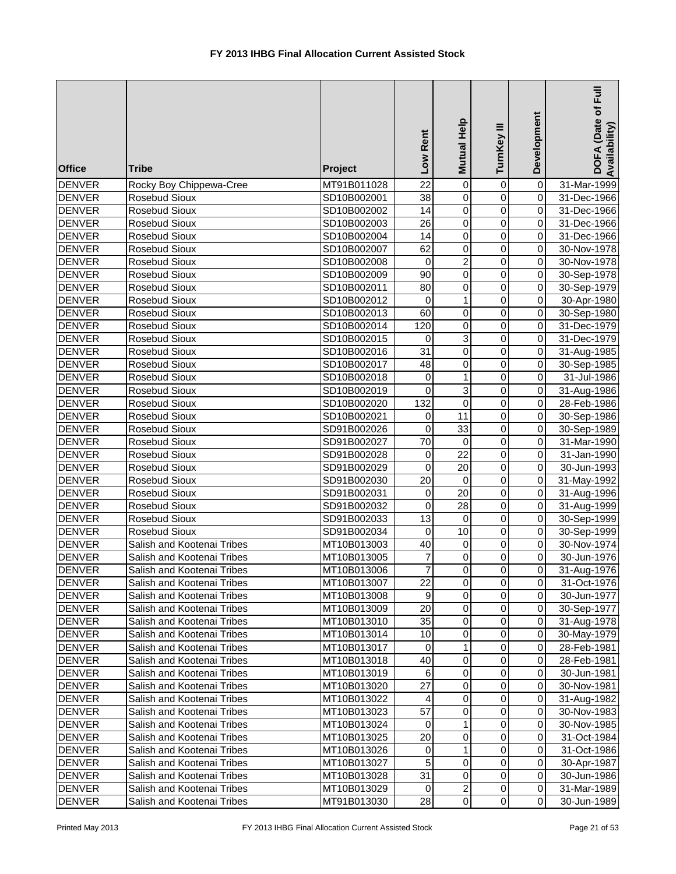| <b>Office</b> | <b>Tribe</b>               | Project     | Low Rent         | Mutual Help     | TurnKey III    | Development             | DOFA (Date of Full<br>Availability) |
|---------------|----------------------------|-------------|------------------|-----------------|----------------|-------------------------|-------------------------------------|
| <b>DENVER</b> | Rocky Boy Chippewa-Cree    | MT91B011028 | $\overline{22}$  | $\overline{0}$  | 0              | $\overline{\mathsf{o}}$ | 31-Mar-1999                         |
| <b>DENVER</b> | Rosebud Sioux              | SD10B002001 | 38               | $\overline{0}$  | $\overline{0}$ | $\overline{0}$          | 31-Dec-1966                         |
| <b>DENVER</b> | Rosebud Sioux              | SD10B002002 | 14               | $\overline{0}$  | $\overline{0}$ | $\overline{0}$          | 31-Dec-1966                         |
| <b>DENVER</b> | Rosebud Sioux              | SD10B002003 | $\overline{26}$  | $\overline{0}$  | $\overline{0}$ | $\overline{0}$          | 31-Dec-1966                         |
| <b>DENVER</b> | Rosebud Sioux              | SD10B002004 | $\overline{14}$  | 0               | $\overline{0}$ | $\pmb{0}$               | 31-Dec-1966                         |
| <b>DENVER</b> | Rosebud Sioux              | SD10B002007 | 62               | $\pmb{0}$       | $\mathbf 0$    | $\overline{0}$          | 30-Nov-1978                         |
| <b>DENVER</b> | Rosebud Sioux              | SD10B002008 | $\mathbf 0$      | $\overline{c}$  | $\mathbf 0$    | $\overline{0}$          | 30-Nov-1978                         |
| <b>DENVER</b> | Rosebud Sioux              | SD10B002009 | $\overline{90}$  | 0               | $\mathbf 0$    | $\overline{0}$          | 30-Sep-1978                         |
| <b>DENVER</b> | Rosebud Sioux              | SD10B002011 | $\overline{80}$  | 0               | $\mathbf 0$    | $\overline{0}$          | 30-Sep-1979                         |
| <b>DENVER</b> | Rosebud Sioux              | SD10B002012 | $\mathbf 0$      | 1               | $\pmb{0}$      | $\overline{0}$          | 30-Apr-1980                         |
| <b>DENVER</b> | Rosebud Sioux              | SD10B002013 | 60               | $\pmb{0}$       | $\mathbf 0$    | $\overline{0}$          | 30-Sep-1980                         |
| <b>DENVER</b> | Rosebud Sioux              | SD10B002014 | 120              | 0               | $\mathbf 0$    | $\overline{0}$          | 31-Dec-1979                         |
| <b>DENVER</b> | Rosebud Sioux              | SD10B002015 | 0                | 3               | $\mathbf 0$    | $\overline{0}$          | 31-Dec-1979                         |
| <b>DENVER</b> | Rosebud Sioux              | SD10B002016 | 31               | 0               | $\mathbf 0$    | $\overline{0}$          | 31-Aug-1985                         |
| <b>DENVER</b> | Rosebud Sioux              | SD10B002017 | 48               | 0               | 0              | $\overline{0}$          | 30-Sep-1985                         |
| <b>DENVER</b> | Rosebud Sioux              | SD10B002018 | 0                | $\mathbf{1}$    | 0              | $\overline{0}$          | 31-Jul-1986                         |
| <b>DENVER</b> | Rosebud Sioux              | SD10B002019 | $\mathbf 0$      | 3               | $\mathbf 0$    | $\overline{0}$          | 31-Aug-1986                         |
| <b>DENVER</b> | Rosebud Sioux              | SD10B002020 | 132              | $\overline{0}$  | $\mathbf 0$    | $\overline{0}$          | 28-Feb-1986                         |
| <b>DENVER</b> | Rosebud Sioux              | SD10B002021 | $\boldsymbol{0}$ | $\overline{11}$ | $\overline{0}$ | $\overline{0}$          | 30-Sep-1986                         |
| <b>DENVER</b> | Rosebud Sioux              | SD91B002026 | $\mathbf 0$      | 33              | $\overline{0}$ | $\overline{0}$          | 30-Sep-1989                         |
| <b>DENVER</b> | Rosebud Sioux              | SD91B002027 | 70               | $\mathbf 0$     | $\overline{0}$ | $\overline{0}$          | 31-Mar-1990                         |
| <b>DENVER</b> | Rosebud Sioux              | SD91B002028 | 0                | $\overline{22}$ | $\overline{0}$ | $\overline{0}$          | 31-Jan-1990                         |
| <b>DENVER</b> | Rosebud Sioux              | SD91B002029 | $\mathbf 0$      | $\overline{20}$ | $\mathbf 0$    | $\overline{0}$          | 30-Jun-1993                         |
| <b>DENVER</b> | Rosebud Sioux              | SD91B002030 | $\overline{20}$  | $\mathbf 0$     | $\mathbf 0$    | $\overline{0}$          | 31-May-1992                         |
| <b>DENVER</b> | Rosebud Sioux              | SD91B002031 | 0                | 20              | $\mathbf 0$    | $\overline{0}$          | 31-Aug-1996                         |
| <b>DENVER</b> | Rosebud Sioux              | SD91B002032 | $\mathbf 0$      | $\overline{28}$ | $\mathbf 0$    | $\overline{0}$          | 31-Aug-1999                         |
| <b>DENVER</b> | Rosebud Sioux              | SD91B002033 | 13               | $\pmb{0}$       | $\pmb{0}$      | $\overline{0}$          | 30-Sep-1999                         |
| <b>DENVER</b> | Rosebud Sioux              | SD91B002034 | $\mathbf 0$      | $\overline{10}$ | $\pmb{0}$      | $\overline{0}$          | 30-Sep-1999                         |
| <b>DENVER</b> | Salish and Kootenai Tribes | MT10B013003 | 40               | $\mathbf 0$     | $\pmb{0}$      | $\overline{0}$          | 30-Nov-1974                         |
| <b>DENVER</b> | Salish and Kootenai Tribes | MT10B013005 | 7                | $\mathbf 0$     | 0              | $\overline{0}$          | 30-Jun-1976                         |
| <b>DENVER</b> | Salish and Kootenai Tribes | MT10B013006 | $\overline{7}$   | $\Omega$        | $\Omega$       | οI                      | 31-Aug-1976                         |
| <b>DENVER</b> | Salish and Kootenai Tribes | MT10B013007 | 22               | 0               | 0              | $\overline{0}$          | 31-Oct-1976                         |
| <b>DENVER</b> | Salish and Kootenai Tribes | MT10B013008 | 9                | 0               | $\pmb{0}$      | $\overline{0}$          | 30-Jun-1977                         |
| <b>DENVER</b> | Salish and Kootenai Tribes | MT10B013009 | 20               | $\pmb{0}$       | $\pmb{0}$      | $\overline{0}$          | 30-Sep-1977                         |
| <b>DENVER</b> | Salish and Kootenai Tribes | MT10B013010 | 35               | $\pmb{0}$       | $\mathbf 0$    | $\Omega$                | 31-Aug-1978                         |
| <b>DENVER</b> | Salish and Kootenai Tribes | MT10B013014 | 10               | $\pmb{0}$       | $\pmb{0}$      | $\Omega$                | 30-May-1979                         |
| <b>DENVER</b> | Salish and Kootenai Tribes | MT10B013017 | $\mathbf 0$      | 1               | $\pmb{0}$      | $\Omega$                | 28-Feb-1981                         |
| <b>DENVER</b> | Salish and Kootenai Tribes | MT10B013018 | 40               | $\pmb{0}$       | $\pmb{0}$      | $\overline{0}$          | 28-Feb-1981                         |
| <b>DENVER</b> | Salish and Kootenai Tribes | MT10B013019 | 6                | $\pmb{0}$       | $\pmb{0}$      | $\Omega$                | 30-Jun-1981                         |
| <b>DENVER</b> | Salish and Kootenai Tribes | MT10B013020 | $\overline{27}$  | $\pmb{0}$       | 0              | $\overline{0}$          | 30-Nov-1981                         |
| <b>DENVER</b> | Salish and Kootenai Tribes | MT10B013022 | 4                | $\mathbf 0$     | 0              | $\overline{0}$          | 31-Aug-1982                         |
| <b>DENVER</b> | Salish and Kootenai Tribes | MT10B013023 | $\overline{57}$  | $\mathbf 0$     | 0              | $\overline{0}$          | 30-Nov-1983                         |
| <b>DENVER</b> | Salish and Kootenai Tribes | MT10B013024 | 0                | 1               | $\mathbf 0$    | $\overline{0}$          | 30-Nov-1985                         |
| <b>DENVER</b> | Salish and Kootenai Tribes | MT10B013025 | 20               | $\mathbf 0$     | $\pmb{0}$      | $\Omega$                | 31-Oct-1984                         |
| <b>DENVER</b> | Salish and Kootenai Tribes | MT10B013026 | 0                | 1               | $\pmb{0}$      | $\overline{0}$          | 31-Oct-1986                         |
| <b>DENVER</b> | Salish and Kootenai Tribes | MT10B013027 | 5                | $\mathbf 0$     | $\pmb{0}$      | $\overline{0}$          | 30-Apr-1987                         |
| <b>DENVER</b> | Salish and Kootenai Tribes | MT10B013028 | $\overline{31}$  | $\mathbf 0$     | $\pmb{0}$      | $\overline{O}$          | 30-Jun-1986                         |
| <b>DENVER</b> | Salish and Kootenai Tribes | MT10B013029 | 0                | $\overline{2}$  | $\,0\,$        | $\overline{0}$          | 31-Mar-1989                         |
| <b>DENVER</b> | Salish and Kootenai Tribes | MT91B013030 | 28               | $\mathbf 0$     | $\pmb{0}$      | $\overline{O}$          | 30-Jun-1989                         |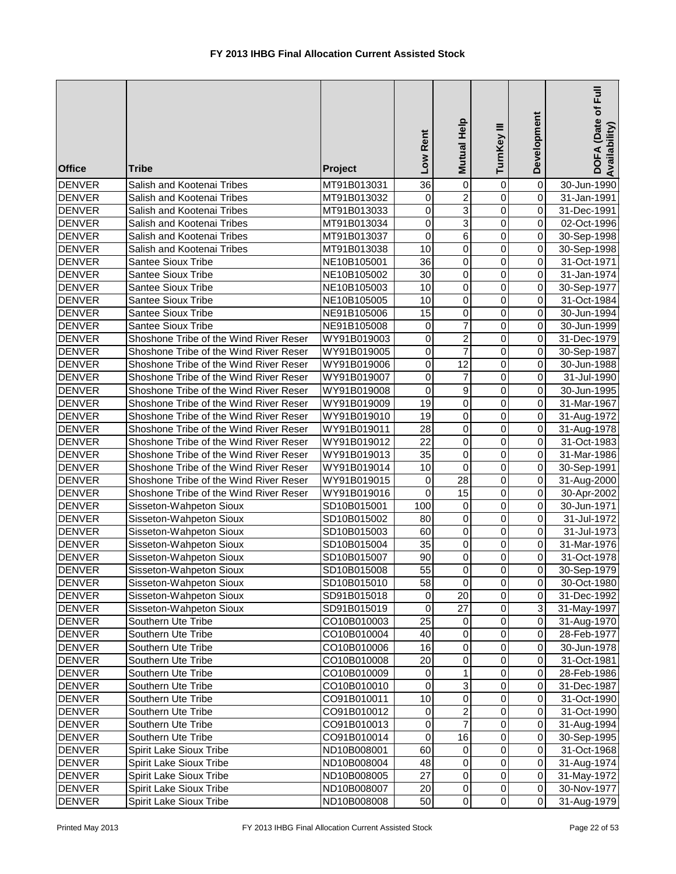| <b>Office</b> | <b>Tribe</b>                           | Project     | Rent<br>Low     | Mutual Help      | TurnKey III    | Development             | DOFA (Date of Full<br>Availability) |
|---------------|----------------------------------------|-------------|-----------------|------------------|----------------|-------------------------|-------------------------------------|
| <b>DENVER</b> | Salish and Kootenai Tribes             | MT91B013031 | 36              | $\mathbf 0$      | 0              | 0                       | 30-Jun-1990                         |
| <b>DENVER</b> | Salish and Kootenai Tribes             | MT91B013032 | $\mathbf 0$     | $\overline{2}$   | 0              | $\mathsf 0$             | 31-Jan-1991                         |
| <b>DENVER</b> | Salish and Kootenai Tribes             | MT91B013033 | $\pmb{0}$       | $\overline{3}$   | 0              | $\pmb{0}$               | 31-Dec-1991                         |
| <b>DENVER</b> | Salish and Kootenai Tribes             | MT91B013034 | $\mathbf 0$     | $\overline{3}$   | 0              | 0                       | 02-Oct-1996                         |
| <b>DENVER</b> | Salish and Kootenai Tribes             | MT91B013037 | $\mathbf 0$     | $\overline{6}$   | 0              | 0                       | 30-Sep-1998                         |
| <b>DENVER</b> | Salish and Kootenai Tribes             | MT91B013038 | 10              | $\pmb{0}$        | 0              | 0                       | 30-Sep-1998                         |
| <b>DENVER</b> | Santee Sioux Tribe                     | NE10B105001 | 36              | $\mathbf 0$      | $\mathbf 0$    | $\mathsf 0$             | 31-Oct-1971                         |
| <b>DENVER</b> | <b>Santee Sioux Tribe</b>              | NE10B105002 | 30              | 0                | 0              | 0                       | 31-Jan-1974                         |
| <b>DENVER</b> | Santee Sioux Tribe                     | NE10B105003 | 10              | 0                | 0              | $\mathbf 0$             | 30-Sep-1977                         |
| <b>DENVER</b> | Santee Sioux Tribe                     | NE10B105005 | $\overline{10}$ | $\mathsf 0$      | 0              | $\mathbf 0$             | 31-Oct-1984                         |
| <b>DENVER</b> | Santee Sioux Tribe                     | NE91B105006 | 15              | $\pmb{0}$        | 0              | 0                       | 30-Jun-1994                         |
| <b>DENVER</b> | Santee Sioux Tribe                     | NE91B105008 | $\pmb{0}$       | $\overline{7}$   | 0              | 0                       | 30-Jun-1999                         |
| <b>DENVER</b> | Shoshone Tribe of the Wind River Reser | WY91B019003 | $\mathbf 0$     | $\boldsymbol{2}$ | 0              | 0                       | 31-Dec-1979                         |
| <b>DENVER</b> | Shoshone Tribe of the Wind River Reser | WY91B019005 | $\mathbf 0$     | $\overline{7}$   | 0              | 0                       | 30-Sep-1987                         |
| <b>DENVER</b> | Shoshone Tribe of the Wind River Reser | WY91B019006 | $\mathbf 0$     | 12               | 0              | 0                       | 30-Jun-1988                         |
| <b>DENVER</b> | Shoshone Tribe of the Wind River Reser | WY91B019007 | 0               | 7                | 0              | 0                       | 31-Jul-1990                         |
| <b>DENVER</b> | Shoshone Tribe of the Wind River Reser | WY91B019008 | $\mathbf 0$     | $\boldsymbol{9}$ | $\mathbf 0$    | 0                       | 30-Jun-1995                         |
| <b>DENVER</b> | Shoshone Tribe of the Wind River Reser | WY91B019009 | 19              | $\overline{0}$   | $\mathbf 0$    | 0                       | 31-Mar-1967                         |
| <b>DENVER</b> | Shoshone Tribe of the Wind River Reser | WY91B019010 | 19              | $\overline{0}$   | $\overline{0}$ | $\mathsf 0$             | 31-Aug-1972                         |
| <b>DENVER</b> | Shoshone Tribe of the Wind River Reser | WY91B019011 | 28              | $\overline{0}$   | 0              | $\pmb{0}$               | 31-Aug-1978                         |
| <b>DENVER</b> | Shoshone Tribe of the Wind River Reser | WY91B019012 | $\overline{22}$ | $\overline{0}$   | 0              | 0                       | 31-Oct-1983                         |
| <b>DENVER</b> | Shoshone Tribe of the Wind River Reser | WY91B019013 | $\overline{35}$ | $\overline{0}$   | 0              | 0                       | 31-Mar-1986                         |
| <b>DENVER</b> | Shoshone Tribe of the Wind River Reser | WY91B019014 | 10              | $\overline{0}$   | 0              | 0                       | 30-Sep-1991                         |
| <b>DENVER</b> | Shoshone Tribe of the Wind River Reser | WY91B019015 | 0               | $\overline{28}$  | $\mathbf 0$    | $\overline{\mathsf{o}}$ | 31-Aug-2000                         |
| <b>DENVER</b> | Shoshone Tribe of the Wind River Reser | WY91B019016 | $\mathbf 0$     | $\overline{15}$  | $\mathbf 0$    | $\mathbf 0$             | 30-Apr-2002                         |
| <b>DENVER</b> | Sisseton-Wahpeton Sioux                | SD10B015001 | 100             | 0                | $\mathbf 0$    | $\mathbf 0$             | 30-Jun-1971                         |
| <b>DENVER</b> | Sisseton-Wahpeton Sioux                | SD10B015002 | 80              | $\overline{0}$   | 0              | $\overline{0}$          | 31-Jul-1972                         |
| <b>DENVER</b> | Sisseton-Wahpeton Sioux                | SD10B015003 | 60              | $\overline{0}$   | 0              | $\overline{0}$          | 31-Jul-1973                         |
| <b>DENVER</b> | Sisseton-Wahpeton Sioux                | SD10B015004 | 35              | $\pmb{0}$        | 0              | 0                       | 31-Mar-1976                         |
| <b>DENVER</b> | Sisseton-Wahpeton Sioux                | SD10B015007 | 90              | $\pmb{0}$        | 0              | 0                       | 31-Oct-1978                         |
| <b>DENVER</b> | Sisseton-Wahpeton Sioux                | SD10B015008 | 55              | $\overline{0}$   | $\overline{0}$ | $\overline{0}$          | 30-Sep-1979                         |
| <b>DENVER</b> | Sisseton-Wahpeton Sioux                | SD10B015010 | 58              | $\mathbf 0$      | 0              | $\overline{0}$          | 30-Oct-1980                         |
| <b>DENVER</b> | Sisseton-Wahpeton Sioux                | SD91B015018 | 0               | 20               | 0              | $\overline{0}$          | 31-Dec-1992                         |
| <b>DENVER</b> | Sisseton-Wahpeton Sioux                | SD91B015019 | 0               | 27               | 0              | $\overline{3}$          | 31-May-1997                         |
| <b>DENVER</b> | Southern Ute Tribe                     | CO10B010003 | 25              | 0                | 0              | 0                       | 31-Aug-1970                         |
| <b>DENVER</b> | Southern Ute Tribe                     | CO10B010004 | 40              | $\pmb{0}$        | 0              | $\Omega$                | 28-Feb-1977                         |
| <b>DENVER</b> | Southern Ute Tribe                     | CO10B010006 | 16              | $\pmb{0}$        | 0              | $\Omega$                | 30-Jun-1978                         |
| <b>DENVER</b> | Southern Ute Tribe                     | CO10B010008 | 20              | $\pmb{0}$        | 0              | $\overline{0}$          | 31-Oct-1981                         |
| <b>DENVER</b> | Southern Ute Tribe                     | CO10B010009 | $\mathbf 0$     | 1                | 0              | $\mathbf 0$             | 28-Feb-1986                         |
| <b>DENVER</b> | Southern Ute Tribe                     | CO10B010010 | $\pmb{0}$       | $\overline{3}$   | 0              | 0                       | 31-Dec-1987                         |
| <b>DENVER</b> | Southern Ute Tribe                     | CO91B010011 | 10              | $\overline{0}$   | $\mathbf 0$    | $\mathbf 0$             | 31-Oct-1990                         |
| DENVER        | Southern Ute Tribe                     | CO91B010012 | $\mathbf 0$     | $\overline{2}$   | 0              | $\overline{0}$          | 31-Oct-1990                         |
| <b>DENVER</b> | Southern Ute Tribe                     | CO91B010013 | 0               | $\overline{7}$   | 0              | $\overline{0}$          | 31-Aug-1994                         |
| <b>DENVER</b> | Southern Ute Tribe                     | CO91B010014 | 0               | 16               | $\mathbf 0$    | $\overline{0}$          | 30-Sep-1995                         |
| <b>DENVER</b> | Spirit Lake Sioux Tribe                | ND10B008001 | 60              | $\pmb{0}$        | 0              | $\overline{0}$          | 31-Oct-1968                         |
| DENVER        | Spirit Lake Sioux Tribe                | ND10B008004 | 48              | $\pmb{0}$        | 0              | $\overline{0}$          | 31-Aug-1974                         |
| <b>DENVER</b> | Spirit Lake Sioux Tribe                | ND10B008005 | 27              | $\pmb{0}$        | 0              | $\Omega$                | 31-May-1972                         |
| <b>DENVER</b> | Spirit Lake Sioux Tribe                | ND10B008007 | 20              | $\pmb{0}$        | 0              | $\overline{0}$          | 30-Nov-1977                         |
| <b>DENVER</b> | Spirit Lake Sioux Tribe                | ND10B008008 | 50              | $\pmb{0}$        | $\overline{0}$ | $\overline{0}$          | 31-Aug-1979                         |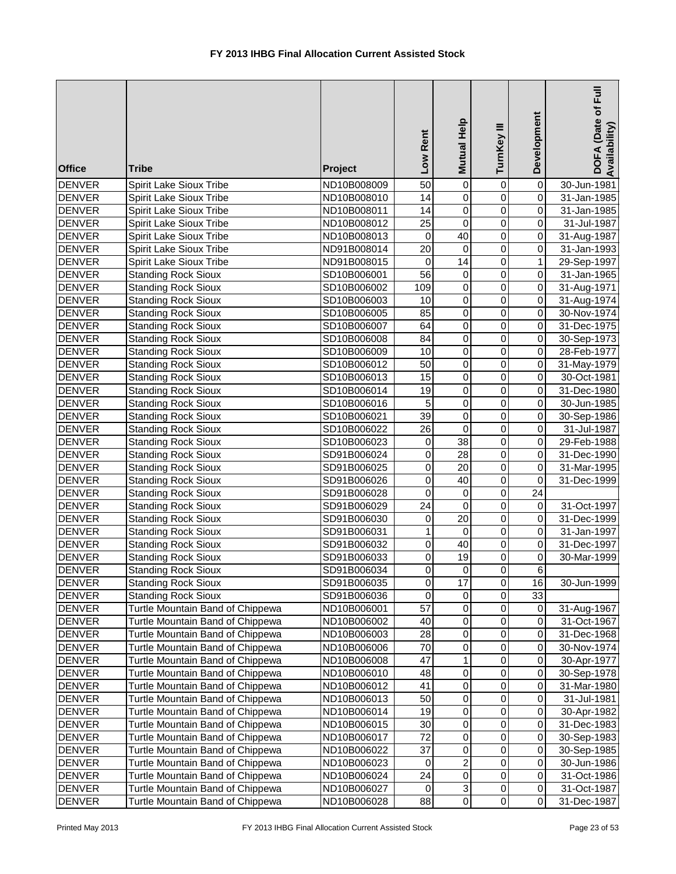| <b>Office</b> | <b>Tribe</b>                     | Project     | Low Rent        | Mutual Help             | TurnKey III    | Development             | DOFA (Date of Full<br>Availability) |
|---------------|----------------------------------|-------------|-----------------|-------------------------|----------------|-------------------------|-------------------------------------|
| <b>DENVER</b> | Spirit Lake Sioux Tribe          | ND10B008009 | 50              | $\overline{0}$          | 0              | $\overline{\mathsf{o}}$ | 30-Jun-1981                         |
| <b>DENVER</b> | Spirit Lake Sioux Tribe          | ND10B008010 | 14              | $\overline{0}$          | $\overline{0}$ | $\overline{0}$          | 31-Jan-1985                         |
| <b>DENVER</b> | Spirit Lake Sioux Tribe          | ND10B008011 | 14              | $\overline{0}$          | $\overline{0}$ | $\overline{0}$          | 31-Jan-1985                         |
| <b>DENVER</b> | Spirit Lake Sioux Tribe          | ND10B008012 | $\overline{25}$ | $\pmb{0}$               | $\overline{0}$ | $\overline{0}$          | 31-Jul-1987                         |
| <b>DENVER</b> | Spirit Lake Sioux Tribe          | ND10B008013 | 0               | 40                      | $\overline{0}$ | $\overline{0}$          | 31-Aug-1987                         |
| <b>DENVER</b> | Spirit Lake Sioux Tribe          | ND91B008014 | $\overline{20}$ | $\overline{0}$          | $\overline{0}$ | $\overline{0}$          | 31-Jan-1993                         |
| <b>DENVER</b> | Spirit Lake Sioux Tribe          | ND91B008015 | 0               | 14                      | $\mathsf 0$    | 1                       | 29-Sep-1997                         |
| <b>DENVER</b> | <b>Standing Rock Sioux</b>       | SD10B006001 | $\overline{56}$ | $\pmb{0}$               | $\mathsf 0$    | $\overline{0}$          | 31-Jan-1965                         |
| <b>DENVER</b> | <b>Standing Rock Sioux</b>       | SD10B006002 | 109             | 0                       | $\mathsf 0$    | $\overline{0}$          | 31-Aug-1971                         |
| <b>DENVER</b> | <b>Standing Rock Sioux</b>       | SD10B006003 | 10              | $\overline{0}$          | $\mathsf 0$    | $\overline{0}$          | 31-Aug-1974                         |
| <b>DENVER</b> | <b>Standing Rock Sioux</b>       | SD10B006005 | 85              | $\pmb{0}$               | $\mathsf 0$    | $\overline{0}$          | 30-Nov-1974                         |
| <b>DENVER</b> | <b>Standing Rock Sioux</b>       | SD10B006007 | 64              | $\mathbf 0$             | $\mathsf 0$    | $\overline{0}$          | 31-Dec-1975                         |
| <b>DENVER</b> | <b>Standing Rock Sioux</b>       | SD10B006008 | 84              | $\pmb{0}$               | $\pmb{0}$      | $\overline{0}$          | 30-Sep-1973                         |
| <b>DENVER</b> | <b>Standing Rock Sioux</b>       | SD10B006009 | 10              | $\mathbf 0$             | $\mathsf 0$    | 0                       | 28-Feb-1977                         |
| <b>DENVER</b> | <b>Standing Rock Sioux</b>       | SD10B006012 | 50              | $\pmb{0}$               | $\pmb{0}$      | $\overline{0}$          | 31-May-1979                         |
| <b>DENVER</b> | <b>Standing Rock Sioux</b>       | SD10B006013 | 15              | $\pmb{0}$               | 0              | $\overline{0}$          | 30-Oct-1981                         |
| <b>DENVER</b> | <b>Standing Rock Sioux</b>       | SD10B006014 | 19              | $\mathbf 0$             | $\mathsf 0$    | $\overline{0}$          | 31-Dec-1980                         |
| <b>DENVER</b> | <b>Standing Rock Sioux</b>       | SD10B006016 | 5               | $\overline{0}$          | $\overline{0}$ | $\overline{0}$          | 30-Jun-1985                         |
| <b>DENVER</b> | <b>Standing Rock Sioux</b>       | SD10B006021 | $\overline{39}$ | $\overline{0}$          | $\overline{0}$ | $\overline{0}$          | 30-Sep-1986                         |
| <b>DENVER</b> | <b>Standing Rock Sioux</b>       | SD10B006022 | $\overline{26}$ | $\overline{0}$          | $\overline{0}$ | $\overline{0}$          | 31-Jul-1987                         |
| <b>DENVER</b> | <b>Standing Rock Sioux</b>       | SD10B006023 | 0               | $\overline{38}$         | $\overline{0}$ | $\overline{0}$          | 29-Feb-1988                         |
| <b>DENVER</b> | <b>Standing Rock Sioux</b>       | SD91B006024 | 0               | $\overline{28}$         | $\overline{0}$ | $\pmb{0}$               | 31-Dec-1990                         |
| <b>DENVER</b> | <b>Standing Rock Sioux</b>       | SD91B006025 | $\mathsf 0$     | $\overline{20}$         | $\overline{0}$ | $\overline{\mathsf{o}}$ | 31-Mar-1995                         |
| <b>DENVER</b> | <b>Standing Rock Sioux</b>       | SD91B006026 | 0               | 40                      | $\overline{0}$ | $\pmb{0}$               | 31-Dec-1999                         |
| <b>DENVER</b> | <b>Standing Rock Sioux</b>       | SD91B006028 | 0               | $\pmb{0}$               | $\mathsf 0$    | $\overline{24}$         |                                     |
| <b>DENVER</b> | <b>Standing Rock Sioux</b>       | SD91B006029 | $\overline{24}$ | $\mathbf 0$             | $\mathsf 0$    | $\overline{0}$          | 31-Oct-1997                         |
| <b>DENVER</b> | <b>Standing Rock Sioux</b>       | SD91B006030 | $\mathsf 0$     | $\overline{20}$         | $\mathsf 0$    | $\overline{0}$          | 31-Dec-1999                         |
| <b>DENVER</b> | <b>Standing Rock Sioux</b>       | SD91B006031 | 1               | $\pmb{0}$               | $\overline{0}$ | $\overline{0}$          | 31-Jan-1997                         |
| <b>DENVER</b> | <b>Standing Rock Sioux</b>       | SD91B006032 | 0               | 40                      | $\pmb{0}$      | $\overline{0}$          | 31-Dec-1997                         |
| <b>DENVER</b> | <b>Standing Rock Sioux</b>       | SD91B006033 | 0               | 19                      | $\pmb{0}$      | 0                       | 30-Mar-1999                         |
| <b>DENVER</b> | <b>Standing Rock Sioux</b>       | SD91B006034 | $\mathbf 0$     | $\overline{0}$          | $\overline{0}$ | $\overline{6}$          |                                     |
| DENVER        | <b>Standing Rock Sioux</b>       | SD91B006035 | 0               | 17                      | $\pmb{0}$      | 16                      | 30-Jun-1999                         |
| <b>DENVER</b> | <b>Standing Rock Sioux</b>       | SD91B006036 | 0               | 0                       | $\pmb{0}$      | 33                      |                                     |
| <b>DENVER</b> | Turtle Mountain Band of Chippewa | ND10B006001 | 57              | 0                       | 0              | $\overline{0}$          | 31-Aug-1967                         |
| <b>DENVER</b> | Turtle Mountain Band of Chippewa | ND10B006002 | 40              | $\pmb{0}$               | $\mathbf 0$    | 0                       | 31-Oct-1967                         |
| <b>DENVER</b> | Turtle Mountain Band of Chippewa | ND10B006003 | 28              | $\pmb{0}$               | $\mathbf 0$    | $\pmb{0}$               | 31-Dec-1968                         |
| <b>DENVER</b> | Turtle Mountain Band of Chippewa | ND10B006006 | 70              | $\pmb{0}$               | $\pmb{0}$      | $\mathbf 0$             | 30-Nov-1974                         |
| <b>DENVER</b> | Turtle Mountain Band of Chippewa | ND10B006008 | 47              | 1                       | $\pmb{0}$      | $\Omega$                | 30-Apr-1977                         |
| <b>DENVER</b> | Turtle Mountain Band of Chippewa | ND10B006010 | 48              | $\pmb{0}$               | $\mathbf 0$    | $\overline{0}$          | 30-Sep-1978                         |
| <b>DENVER</b> | Turtle Mountain Band of Chippewa | ND10B006012 | 41              | $\pmb{0}$               | $\overline{0}$ | $\overline{0}$          | 31-Mar-1980                         |
| <b>DENVER</b> | Turtle Mountain Band of Chippewa | ND10B006013 | 50              | $\,0\,$                 | 0              | $\Omega$                | 31-Jul-1981                         |
| <b>DENVER</b> | Turtle Mountain Band of Chippewa | ND10B006014 | 19              | 0                       | 0              | $\overline{0}$          | 30-Apr-1982                         |
| <b>DENVER</b> | Turtle Mountain Band of Chippewa | ND10B006015 | 30              | $\,0\,$                 | 0              | $\overline{0}$          | 31-Dec-1983                         |
| <b>DENVER</b> | Turtle Mountain Band of Chippewa | ND10B006017 | 72              | $\pmb{0}$               | $\mathbf 0$    | $\overline{0}$          | 30-Sep-1983                         |
| <b>DENVER</b> | Turtle Mountain Band of Chippewa | ND10B006022 | 37              | $\pmb{0}$               | $\pmb{0}$      | $\Omega$                | 30-Sep-1985                         |
| <b>DENVER</b> | Turtle Mountain Band of Chippewa | ND10B006023 | 0               | $\overline{\mathbf{c}}$ | $\pmb{0}$      | $\overline{0}$          | 30-Jun-1986                         |
| <b>DENVER</b> | Turtle Mountain Band of Chippewa | ND10B006024 | 24              | $\pmb{0}$               | $\pmb{0}$      | $\overline{0}$          | 31-Oct-1986                         |
| <b>DENVER</b> | Turtle Mountain Band of Chippewa | ND10B006027 | 0               | $\overline{3}$          | $\pmb{0}$      | $\overline{0}$          | 31-Oct-1987                         |
| <b>DENVER</b> | Turtle Mountain Band of Chippewa | ND10B006028 | 88              | $\pmb{0}$               | $\pmb{0}$      | $\overline{O}$          | 31-Dec-1987                         |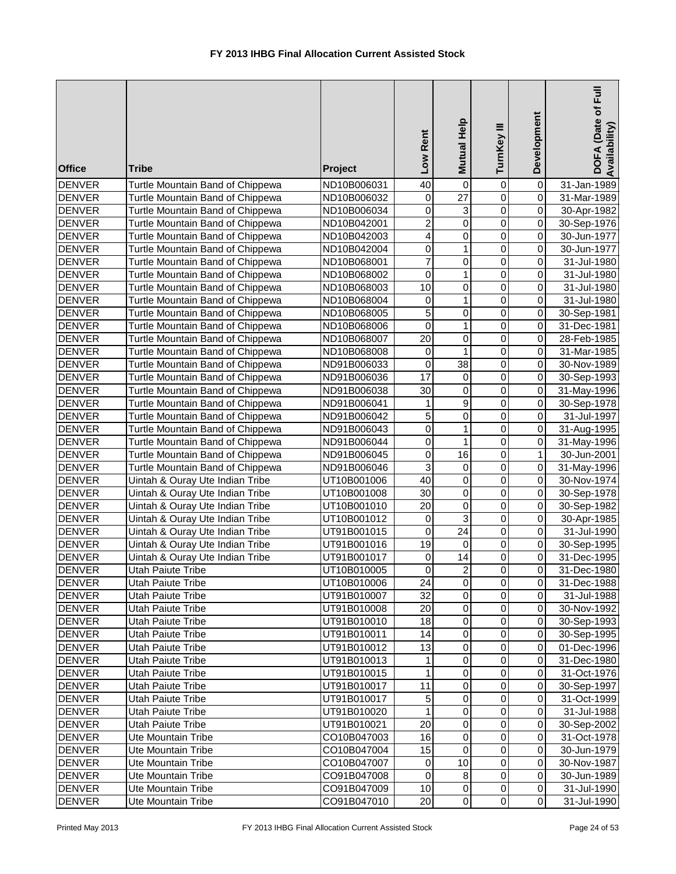| <b>Office</b>                  | <b>Tribe</b>                                                         | Project                    | Rent<br>Low     | Mutual Help      | TurnKey III      | Development             | DOFA (Date of Full<br>Availability) |
|--------------------------------|----------------------------------------------------------------------|----------------------------|-----------------|------------------|------------------|-------------------------|-------------------------------------|
| <b>DENVER</b>                  | Turtle Mountain Band of Chippewa                                     | ND10B006031                | 40              | 0                | 0                | 0                       | 31-Jan-1989                         |
| <b>DENVER</b>                  | Turtle Mountain Band of Chippewa                                     | ND10B006032                | 0               | $\overline{27}$  | $\mathbf 0$      | $\overline{\mathsf{o}}$ | 31-Mar-1989                         |
| <b>DENVER</b>                  | Turtle Mountain Band of Chippewa                                     | ND10B006034                | $\mathsf 0$     | 3                | $\overline{0}$   | $\overline{0}$          | 30-Apr-1982                         |
| <b>DENVER</b>                  | Turtle Mountain Band of Chippewa                                     | ND10B042001                | $\overline{c}$  | $\overline{0}$   | $\overline{0}$   | $\pmb{0}$               | 30-Sep-1976                         |
| <b>DENVER</b>                  | Turtle Mountain Band of Chippewa                                     | ND10B042003                | 4               | $\overline{0}$   | $\overline{0}$   | $\pmb{0}$               | 30-Jun-1977                         |
| <b>DENVER</b>                  | Turtle Mountain Band of Chippewa                                     | ND10B042004                | 0               | $\mathbf{1}$     | $\mathbf 0$      | $\pmb{0}$               | 30-Jun-1977                         |
| <b>DENVER</b>                  | Turtle Mountain Band of Chippewa                                     | ND10B068001                | 7               | $\pmb{0}$        | 0                | $\pmb{0}$               | 31-Jul-1980                         |
| <b>DENVER</b>                  | Turtle Mountain Band of Chippewa                                     | ND10B068002                | 0               | 1                | 0                | $\overline{\mathsf{o}}$ | 31-Jul-1980                         |
| <b>DENVER</b>                  | Turtle Mountain Band of Chippewa                                     | ND10B068003                | $\overline{10}$ | $\pmb{0}$        | $\mathbf 0$      | $\overline{0}$          | 31-Jul-1980                         |
| <b>DENVER</b>                  | Turtle Mountain Band of Chippewa                                     | ND10B068004                | 0               | 1                | $\mathbf 0$      | $\overline{0}$          | 31-Jul-1980                         |
| <b>DENVER</b>                  | Turtle Mountain Band of Chippewa                                     | ND10B068005                | 5               | $\pmb{0}$        | $\mathsf 0$      | $\overline{0}$          | 30-Sep-1981                         |
| <b>DENVER</b>                  | Turtle Mountain Band of Chippewa                                     | ND10B068006                | 0               | $\mathbf{1}$     | $\mathsf 0$      | $\overline{0}$          | 31-Dec-1981                         |
| <b>DENVER</b>                  | Turtle Mountain Band of Chippewa                                     | ND10B068007                | 20              | $\pmb{0}$        | $\pmb{0}$        | $\overline{0}$          | 28-Feb-1985                         |
| <b>DENVER</b>                  | Turtle Mountain Band of Chippewa                                     | ND10B068008                | 0               | $\mathbf{1}$     | $\mathsf 0$      | $\mathbf 0$             | 31-Mar-1985                         |
| <b>DENVER</b>                  | Turtle Mountain Band of Chippewa                                     | ND91B006033                | 0<br>17         | 38               | 0                | 0<br>$\overline{0}$     | 30-Nov-1989                         |
| <b>DENVER</b>                  | Turtle Mountain Band of Chippewa                                     | ND91B006036                | 30              | 0<br>$\mathbf 0$ | 0<br>$\mathsf 0$ | $\mathbf 0$             | 30-Sep-1993                         |
| <b>DENVER</b><br><b>DENVER</b> | Turtle Mountain Band of Chippewa<br>Turtle Mountain Band of Chippewa | ND91B006038                | 1               | $\overline{9}$   | $\overline{0}$   | $\overline{\mathsf{o}}$ | 31-May-1996<br>30-Sep-1978          |
| <b>DENVER</b>                  | Turtle Mountain Band of Chippewa                                     | ND91B006041                | 5               | $\pmb{0}$        | $\overline{0}$   | $\overline{0}$          |                                     |
| <b>DENVER</b>                  | Turtle Mountain Band of Chippewa                                     | ND91B006042<br>ND91B006043 | $\mathsf 0$     | $\mathbf{1}$     | $\overline{0}$   | $\pmb{0}$               | 31-Jul-1997<br>31-Aug-1995          |
| <b>DENVER</b>                  | Turtle Mountain Band of Chippewa                                     | ND91B006044                | $\mathsf 0$     | $\mathbf{1}$     | $\mathsf 0$      | $\pmb{0}$               | 31-May-1996                         |
| <b>DENVER</b>                  | Turtle Mountain Band of Chippewa                                     | ND91B006045                | 0               | $\overline{16}$  | $\mathsf 0$      | $\mathbf{1}$            | 30-Jun-2001                         |
| <b>DENVER</b>                  | Turtle Mountain Band of Chippewa                                     | ND91B006046                | 3               | $\pmb{0}$        | $\mathsf 0$      | $\overline{\mathsf{o}}$ | 31-May-1996                         |
| <b>DENVER</b>                  | Uintah & Ouray Ute Indian Tribe                                      | UT10B001006                | $\overline{40}$ | $\pmb{0}$        | 0                | $\pmb{0}$               | 30-Nov-1974                         |
| <b>DENVER</b>                  | Uintah & Ouray Ute Indian Tribe                                      | UT10B001008                | $\overline{30}$ | $\pmb{0}$        | $\mathsf 0$      | $\overline{\mathsf{o}}$ | 30-Sep-1978                         |
| <b>DENVER</b>                  | Uintah & Ouray Ute Indian Tribe                                      | UT10B001010                | $\overline{20}$ | 0                | $\mathsf 0$      | $\overline{0}$          | 30-Sep-1982                         |
| <b>DENVER</b>                  | Uintah & Ouray Ute Indian Tribe                                      | UT10B001012                | $\mathbf 0$     | 3                | $\mathsf 0$      | $\overline{0}$          | 30-Apr-1985                         |
| <b>DENVER</b>                  | Uintah & Ouray Ute Indian Tribe                                      | UT91B001015                | 0               | 24               | $\pmb{0}$        | $\overline{0}$          | 31-Jul-1990                         |
| <b>DENVER</b>                  | Uintah & Ouray Ute Indian Tribe                                      | UT91B001016                | 19              | $\mathbf 0$      | 0                | $\overline{0}$          | 30-Sep-1995                         |
| <b>DENVER</b>                  | Uintah & Ouray Ute Indian Tribe                                      | UT91B001017                | 0               | 14               | $\pmb{0}$        | $\overline{0}$          | 31-Dec-1995                         |
| <b>DENVER</b>                  | Utah Paiute Tribe                                                    | UT10B010005                | $\Omega$        | $\overline{2}$   | $\overline{0}$   | $\overline{0}$          | 31-Dec-1980                         |
| <b>DENVER</b>                  | Utah Paiute Tribe                                                    | UT10B010006                | 24              | 0                | 0                | $\overline{0}$          | 31-Dec-1988                         |
| <b>DENVER</b>                  | Utah Paiute Tribe                                                    | UT91B010007                | 32              | 0                | $\mathbf 0$      | $\overline{0}$          | 31-Jul-1988                         |
| <b>DENVER</b>                  | Utah Paiute Tribe                                                    | UT91B010008                | 20              | $\pmb{0}$        | $\mathbf 0$      | $\overline{0}$          | 30-Nov-1992                         |
| <b>DENVER</b>                  | <b>Utah Paiute Tribe</b>                                             | UT91B010010                | 18              | $\pmb{0}$        | $\pmb{0}$        | $\overline{0}$          | 30-Sep-1993                         |
| <b>DENVER</b>                  | Utah Paiute Tribe                                                    | UT91B010011                | 14              | $\pmb{0}$        | $\pmb{0}$        | $\Omega$                | 30-Sep-1995                         |
| <b>DENVER</b>                  | Utah Paiute Tribe                                                    | UT91B010012                | 13              | $\pmb{0}$        | $\pmb{0}$        | $\Omega$                | 01-Dec-1996                         |
| <b>DENVER</b>                  | Utah Paiute Tribe                                                    | UT91B010013                | 1               | $\mathbf 0$      | $\pmb{0}$        | $\Omega$                | 31-Dec-1980                         |
| <b>DENVER</b>                  | Utah Paiute Tribe                                                    | UT91B010015                | 1               | $\pmb{0}$        | $\pmb{0}$        | $\overline{0}$          | 31-Oct-1976                         |
| <b>DENVER</b>                  | Utah Paiute Tribe                                                    | UT91B010017                | 11              | $\pmb{0}$        | $\pmb{0}$        | $\overline{0}$          | 30-Sep-1997                         |
| <b>DENVER</b>                  | Utah Paiute Tribe                                                    | UT91B010017                | 5               | $\pmb{0}$        | 0                | $\overline{0}$          | 31-Oct-1999                         |
| <b>DENVER</b>                  | Utah Paiute Tribe                                                    | UT91B010020                | 1               | $\pmb{0}$        | 0                | $\overline{0}$          | 31-Jul-1988                         |
| <b>DENVER</b>                  | Utah Paiute Tribe                                                    | UT91B010021                | 20              | $\pmb{0}$        | 0                | $\overline{0}$          | 30-Sep-2002                         |
| <b>DENVER</b>                  | Ute Mountain Tribe                                                   | CO10B047003                | 16              | $\pmb{0}$        | 0                | $\overline{0}$          | 31-Oct-1978                         |
| <b>DENVER</b>                  | Ute Mountain Tribe                                                   | CO10B047004                | 15              | $\pmb{0}$        | $\pmb{0}$        | $\overline{0}$          | 30-Jun-1979                         |
| <b>DENVER</b>                  | <b>Ute Mountain Tribe</b>                                            | CO10B047007                | 0               | 10               | $\pmb{0}$        | $\overline{0}$          | 30-Nov-1987                         |
| <b>DENVER</b>                  | Ute Mountain Tribe                                                   | CO91B047008                | 0               | 8                | $\pmb{0}$        | $\overline{0}$          | 30-Jun-1989                         |
| <b>DENVER</b>                  | Ute Mountain Tribe                                                   | CO91B047009                | 10              | 0                | $\pmb{0}$        | $\overline{0}$          | 31-Jul-1990                         |
| <b>DENVER</b>                  | Ute Mountain Tribe                                                   | CO91B047010                | 20              | $\mathbf 0$      | $\pmb{0}$        | $\overline{0}$          | 31-Jul-1990                         |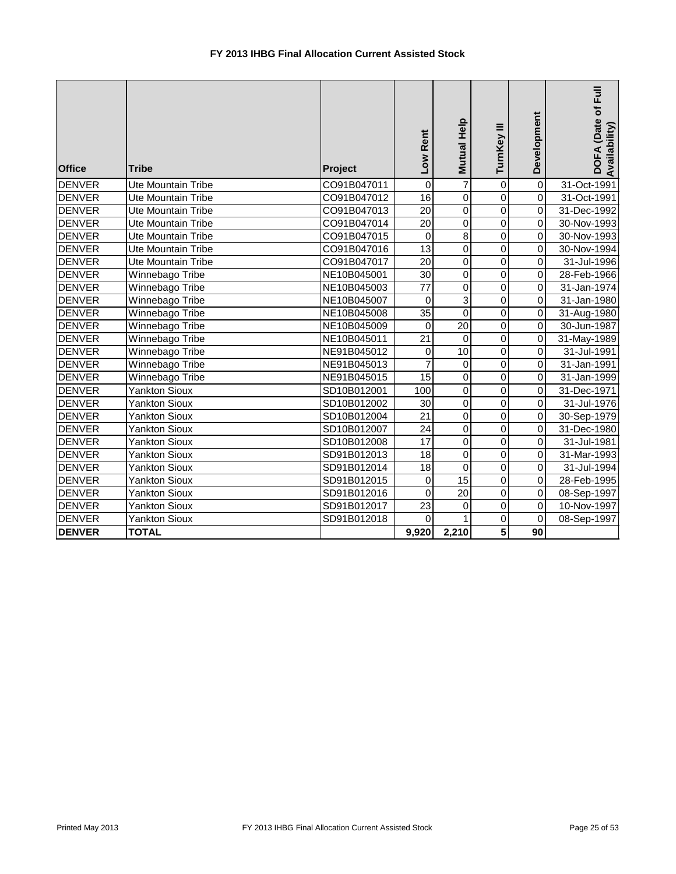| <b>Office</b> | <b>Tribe</b>              | Project     | Low Rent        | Mutual Help     | TurnKey III    | Development    | DOFA (Date of Full<br>Availability) |
|---------------|---------------------------|-------------|-----------------|-----------------|----------------|----------------|-------------------------------------|
| <b>DENVER</b> | Ute Mountain Tribe        | CO91B047011 | $\mathbf 0$     | $\overline{7}$  | $\mathbf 0$    | $\overline{0}$ | 31-Oct-1991                         |
| <b>DENVER</b> | Ute Mountain Tribe        | CO91B047012 | 16              | $\mathsf 0$     | $\pmb{0}$      | $\overline{0}$ | 31-Oct-1991                         |
| <b>DENVER</b> | Ute Mountain Tribe        | CO91B047013 | $\overline{20}$ | $\mathbf 0$     | $\mathbf 0$    | $\overline{0}$ | 31-Dec-1992                         |
| <b>DENVER</b> | <b>Ute Mountain Tribe</b> | CO91B047014 | $\overline{20}$ | $\mathbf 0$     | $\mathbf 0$    | $\overline{0}$ | 30-Nov-1993                         |
| <b>DENVER</b> | <b>Ute Mountain Tribe</b> | CO91B047015 | $\Omega$        | $\overline{8}$  | $\Omega$       | $\overline{0}$ | 30-Nov-1993                         |
| <b>DENVER</b> | <b>Ute Mountain Tribe</b> | CO91B047016 | $\overline{13}$ | $\overline{0}$  | $\Omega$       | $\overline{0}$ | 30-Nov-1994                         |
| <b>DENVER</b> | <b>Ute Mountain Tribe</b> | CO91B047017 | $\overline{20}$ | $\mathbf 0$     | $\Omega$       | $\overline{0}$ | 31-Jul-1996                         |
| <b>DENVER</b> | Winnebago Tribe           | NE10B045001 | 30              | 0               | $\mathbf 0$    | $\overline{0}$ | 28-Feb-1966                         |
| <b>DENVER</b> | Winnebago Tribe           | NE10B045003 | $\overline{77}$ | $\overline{0}$  | $\overline{0}$ | $\overline{0}$ | 31-Jan-1974                         |
| <b>DENVER</b> | Winnebago Tribe           | NE10B045007 | $\mathbf 0$     | $\overline{3}$  | $\overline{0}$ | $\overline{0}$ | 31-Jan-1980                         |
| <b>DENVER</b> | Winnebago Tribe           | NE10B045008 | 35              | $\overline{0}$  | $\mathbf 0$    | $\overline{0}$ | 31-Aug-1980                         |
| <b>DENVER</b> | Winnebago Tribe           | NE10B045009 | $\mathbf 0$     | 20              | $\mathbf 0$    | $\overline{0}$ | 30-Jun-1987                         |
| <b>DENVER</b> | Winnebago Tribe           | NE10B045011 | $\overline{21}$ | $\overline{0}$  | $\overline{0}$ | $\overline{0}$ | 31-May-1989                         |
| <b>DENVER</b> | Winnebago Tribe           | NE91B045012 | 0               | 10              | $\overline{0}$ | $\overline{0}$ | 31-Jul-1991                         |
| <b>DENVER</b> | Winnebago Tribe           | NE91B045013 | $\overline{7}$  | 0               | $\mathbf 0$    | $\overline{0}$ | 31-Jan-1991                         |
| <b>DENVER</b> | Winnebago Tribe           | NE91B045015 | $\overline{15}$ | $\mathsf 0$     | $\mathbf 0$    | $\overline{0}$ | 31-Jan-1999                         |
| <b>DENVER</b> | Yankton Sioux             | SD10B012001 | 100             | $\overline{0}$  | $\mathbf 0$    | $\overline{0}$ | 31-Dec-1971                         |
| <b>DENVER</b> | <b>Yankton Sioux</b>      | SD10B012002 | $\overline{30}$ | $\overline{0}$  | $\overline{0}$ | $\overline{0}$ | 31-Jul-1976                         |
| <b>DENVER</b> | <b>Yankton Sioux</b>      | SD10B012004 | $\overline{21}$ | $\mathsf 0$     | $\mathbf 0$    | $\overline{0}$ | 30-Sep-1979                         |
| <b>DENVER</b> | <b>Yankton Sioux</b>      | SD10B012007 | $\overline{24}$ | $\overline{0}$  | $\overline{0}$ | $\overline{0}$ | 31-Dec-1980                         |
| <b>DENVER</b> | <b>Yankton Sioux</b>      | SD10B012008 | 17              | $\mathsf 0$     | $\mathbf 0$    | $\overline{0}$ | 31-Jul-1981                         |
| <b>DENVER</b> | <b>Yankton Sioux</b>      | SD91B012013 | $\overline{18}$ | $\mathsf 0$     | $\overline{0}$ | $\overline{0}$ | 31-Mar-1993                         |
| <b>DENVER</b> | <b>Yankton Sioux</b>      | SD91B012014 | $\overline{18}$ | $\mathbf 0$     | $\overline{0}$ | $\overline{0}$ | 31-Jul-1994                         |
| <b>DENVER</b> | <b>Yankton Sioux</b>      | SD91B012015 | $\mathbf 0$     | 15              | $\overline{0}$ | $\overline{0}$ | 28-Feb-1995                         |
| <b>DENVER</b> | <b>Yankton Sioux</b>      | SD91B012016 | $\mathbf 0$     | $\overline{20}$ | $\overline{0}$ | $\overline{0}$ | 08-Sep-1997                         |
| <b>DENVER</b> | <b>Yankton Sioux</b>      | SD91B012017 | $\overline{23}$ | $\pmb{0}$       | $\overline{0}$ | $\overline{0}$ | 10-Nov-1997                         |
| <b>DENVER</b> | <b>Yankton Sioux</b>      | SD91B012018 | $\Omega$        | 1               | $\overline{0}$ | $\overline{0}$ | 08-Sep-1997                         |
| <b>DENVER</b> | <b>TOTAL</b>              |             | 9,920           | 2,210           | $\overline{5}$ | 90             |                                     |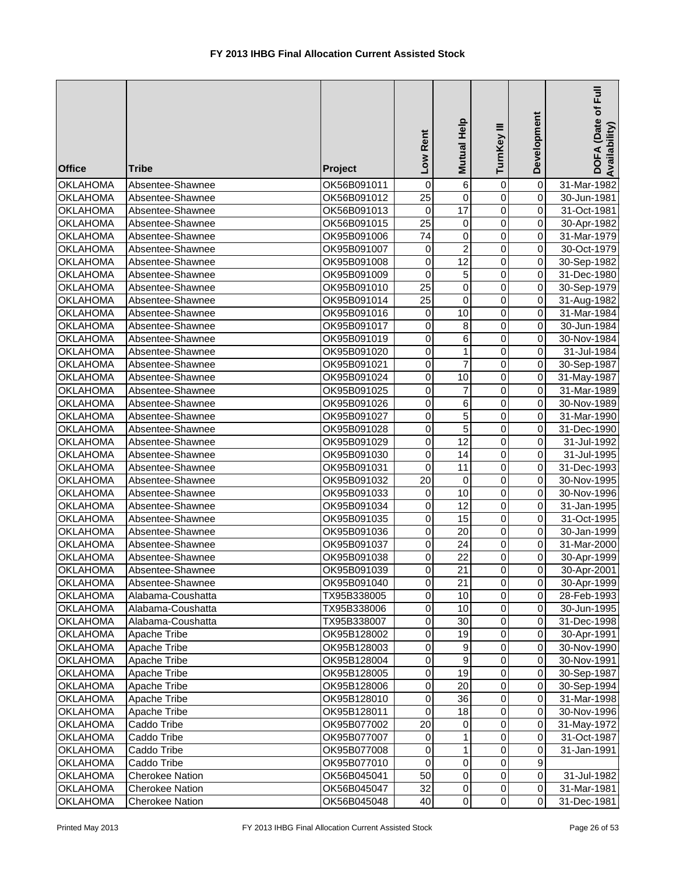| <b>Office</b>                      | <b>Tribe</b>                         | <b>Project</b>             | Low Rent            | Mutual Help         | Ξ<br>TurnKey               | Development                 | DOFA (Date of Full<br>Availability |
|------------------------------------|--------------------------------------|----------------------------|---------------------|---------------------|----------------------------|-----------------------------|------------------------------------|
| <b>OKLAHOMA</b>                    | Absentee-Shawnee                     | OK56B091011                | 0                   | 6                   | $\pmb{0}$                  | $\overline{\mathsf{o}}$     | 31-Mar-1982                        |
| <b>OKLAHOMA</b>                    | Absentee-Shawnee                     | OK56B091012                | $\overline{25}$     | $\pmb{0}$           | $\mathbf 0$                | $\overline{0}$              | 30-Jun-1981                        |
| <b>OKLAHOMA</b>                    | Absentee-Shawnee                     | OK56B091013                | $\mathbf 0$         | $\overline{17}$     | $\mathbf 0$                | $\overline{0}$              | 31-Oct-1981                        |
| <b>OKLAHOMA</b>                    | Absentee-Shawnee                     | OK56B091015                | $\overline{25}$     | $\pmb{0}$           | $\overline{0}$             | $\overline{0}$              | 30-Apr-1982                        |
| <b>OKLAHOMA</b>                    | Absentee-Shawnee                     | OK95B091006                | $\overline{74}$     | $\overline{0}$      | $\overline{0}$             | $\overline{0}$              | 31-Mar-1979                        |
| <b>OKLAHOMA</b>                    | Absentee-Shawnee                     | OK95B091007                | 0                   | $\overline{2}$      | $\overline{0}$             | $\overline{0}$              | 30-Oct-1979                        |
| <b>OKLAHOMA</b>                    | Absentee-Shawnee                     | OK95B091008                | $\mathbf 0$         | 12                  | $\pmb{0}$                  | $\overline{0}$              | 30-Sep-1982                        |
| <b>OKLAHOMA</b>                    | Absentee-Shawnee                     | OK95B091009                | $\mathbf 0$         | 5                   | $\mathbf 0$                | $\overline{0}$              | 31-Dec-1980                        |
| <b>OKLAHOMA</b>                    | Absentee-Shawnee                     | OK95B091010                | $\overline{25}$     | $\pmb{0}$           | 0                          | $\overline{0}$              | 30-Sep-1979                        |
| <b>OKLAHOMA</b>                    | Absentee-Shawnee                     | OK95B091014                | $\overline{25}$     | 0                   | $\mathbf 0$                | $\overline{0}$              | 31-Aug-1982                        |
| <b>OKLAHOMA</b>                    | Absentee-Shawnee                     | OK95B091016                | 0                   | 10                  | $\mathbf 0$                | $\overline{0}$              | 31-Mar-1984                        |
| <b>OKLAHOMA</b>                    | Absentee-Shawnee                     | OK95B091017                | 0                   | 8                   | $\pmb{0}$                  | $\overline{0}$              | 30-Jun-1984                        |
| <b>OKLAHOMA</b>                    | Absentee-Shawnee                     | OK95B091019                | $\mathbf 0$         | 6                   | $\mathbf 0$                | $\overline{0}$              | 30-Nov-1984                        |
| <b>OKLAHOMA</b>                    | Absentee-Shawnee                     | OK95B091020                | 0                   | 1                   | $\mathbf 0$                | $\overline{0}$              | 31-Jul-1984                        |
| <b>OKLAHOMA</b>                    | Absentee-Shawnee                     | OK95B091021                | $\mathsf 0$         | $\overline{7}$      | $\mathbf 0$                | $\overline{0}$              | 30-Sep-1987                        |
| <b>OKLAHOMA</b>                    | Absentee-Shawnee                     | OK95B091024                | 0                   | 10                  | $\pmb{0}$                  | $\overline{0}$              | 31-May-1987                        |
| <b>OKLAHOMA</b>                    | Absentee-Shawnee                     | OK95B091025                | 0                   | 7                   | 0                          | $\overline{0}$              | 31-Mar-1989                        |
| <b>OKLAHOMA</b>                    | Absentee-Shawnee                     | OK95B091026                | 0                   | 6                   | 0                          | $\overline{0}$              | 30-Nov-1989                        |
| <b>OKLAHOMA</b>                    | Absentee-Shawnee                     | OK95B091027                | 0<br>$\overline{0}$ | 5<br>$\overline{5}$ | $\mathbf 0$<br>$\mathbf 0$ | $\overline{0}$<br>$\pmb{0}$ | 31-Mar-1990                        |
| <b>OKLAHOMA</b><br><b>OKLAHOMA</b> | Absentee-Shawnee<br>Absentee-Shawnee | OK95B091028                | $\mathbf 0$         | $\overline{12}$     | $\overline{0}$             | $\overline{0}$              | 31-Dec-1990                        |
| <b>OKLAHOMA</b>                    | Absentee-Shawnee                     | OK95B091029<br>OK95B091030 | $\mathbf 0$         | $\overline{14}$     | $\overline{0}$             | $\overline{0}$              | 31-Jul-1992<br>31-Jul-1995         |
| <b>OKLAHOMA</b>                    | Absentee-Shawnee                     | OK95B091031                | $\mathbf 0$         | $\overline{11}$     | $\overline{0}$             | $\overline{0}$              | 31-Dec-1993                        |
| <b>OKLAHOMA</b>                    | Absentee-Shawnee                     | OK95B091032                | $\overline{20}$     | $\pmb{0}$           | $\overline{0}$             | $\overline{\mathsf{o}}$     | 30-Nov-1995                        |
| <b>OKLAHOMA</b>                    | Absentee-Shawnee                     | OK95B091033                | 0                   | 10                  | $\mathbf 0$                | $\overline{0}$              | 30-Nov-1996                        |
| <b>OKLAHOMA</b>                    | Absentee-Shawnee                     | OK95B091034                | 0                   | $\overline{12}$     | 0                          | $\overline{0}$              | 31-Jan-1995                        |
| <b>OKLAHOMA</b>                    | Absentee-Shawnee                     | OK95B091035                | 0                   | 15                  | 0                          | $\overline{0}$              | 31-Oct-1995                        |
| <b>OKLAHOMA</b>                    | Absentee-Shawnee                     | OK95B091036                | $\mathbf 0$         | 20                  | $\mathbf 0$                | $\overline{0}$              | 30-Jan-1999                        |
| <b>OKLAHOMA</b>                    | Absentee-Shawnee                     | OK95B091037                | 0                   | 24                  | $\pmb{0}$                  | $\overline{0}$              | 31-Mar-2000                        |
| <b>OKLAHOMA</b>                    | Absentee-Shawnee                     | OK95B091038                | 0                   | 22                  | 0                          | $\overline{0}$              | 30-Apr-1999                        |
| <b>OKLAHOMA</b>                    | Absentee-Shawnee                     | OK95B091039                | 0                   | $\overline{21}$     | $\overline{\mathsf{o}}$    | $\overline{0}$              | 30-Apr-2001                        |
| <b>OKLAHOMA</b>                    | Absentee-Shawnee                     | OK95B091040                | $\mathbf 0$         | 21                  | $\pmb{0}$                  | οI                          | 30-Apr-1999                        |
| <b>OKLAHOMA</b>                    | Alabama-Coushatta                    | TX95B338005                | 0                   | 10                  | $\pmb{0}$                  | $\overline{0}$              | 28-Feb-1993                        |
| <b>OKLAHOMA</b>                    | Alabama-Coushatta                    | TX95B338006                | 0                   | 10                  | $\pmb{0}$                  | οI                          | 30-Jun-1995                        |
| <b>OKLAHOMA</b>                    | Alabama-Coushatta                    | TX95B338007                | 0                   | 30                  | 0                          | $\overline{0}$              | 31-Dec-1998                        |
| <b>OKLAHOMA</b>                    | Apache Tribe                         | OK95B128002                | 0                   | 19                  | $\pmb{0}$                  | $\overline{0}$              | 30-Apr-1991                        |
| <b>OKLAHOMA</b>                    | Apache Tribe                         | OK95B128003                | 0                   | $\boldsymbol{9}$    | $\pmb{0}$                  | $\overline{0}$              | 30-Nov-1990                        |
| <b>OKLAHOMA</b>                    | Apache Tribe                         | OK95B128004                | $\pmb{0}$           | $\boldsymbol{9}$    | $\pmb{0}$                  | $\overline{0}$              | 30-Nov-1991                        |
| <b>OKLAHOMA</b>                    | Apache Tribe                         | OK95B128005                | $\pmb{0}$           | 19                  | $\pmb{0}$                  | $\overline{0}$              | 30-Sep-1987                        |
| <b>OKLAHOMA</b>                    | Apache Tribe                         | OK95B128006                | 0                   | 20                  | $\pmb{0}$                  | $\overline{0}$              | 30-Sep-1994                        |
| <b>OKLAHOMA</b>                    | Apache Tribe                         | OK95B128010                | 0                   | 36                  | $\pmb{0}$                  | $\overline{0}$              | 31-Mar-1998                        |
| <b>OKLAHOMA</b>                    | Apache Tribe                         | OK95B128011                | 0                   | 18                  | 0                          | $\overline{0}$              | 30-Nov-1996                        |
| <b>OKLAHOMA</b>                    | Caddo Tribe                          | OK95B077002                | 20                  | 0                   | 0                          | $\overline{0}$              | 31-May-1972                        |
| <b>OKLAHOMA</b>                    | Caddo Tribe                          | OK95B077007                | 0                   | 1                   | 0                          | $\overline{0}$              | 31-Oct-1987                        |
| <b>OKLAHOMA</b>                    | Caddo Tribe                          | OK95B077008                | 0                   | 1                   | $\mathbf 0$                | $\overline{0}$              | 31-Jan-1991                        |
| <b>OKLAHOMA</b>                    | Caddo Tribe                          | OK95B077010                | 0                   | $\mathbf 0$         | $\pmb{0}$                  | $\overline{9}$              |                                    |
| <b>OKLAHOMA</b>                    | <b>Cherokee Nation</b>               | OK56B045041                | 50                  | $\mathbf 0$         | $\pmb{0}$                  | $\overline{0}$              | 31-Jul-1982                        |
| <b>OKLAHOMA</b>                    | <b>Cherokee Nation</b>               | OK56B045047                | 32                  | $\mathbf 0$         | $\pmb{0}$                  | $\overline{0}$              | 31-Mar-1981                        |
| <b>OKLAHOMA</b>                    | Cherokee Nation                      | OK56B045048                | 40                  | $\pmb{0}$           | $\pmb{0}$                  | $\overline{0}$              | 31-Dec-1981                        |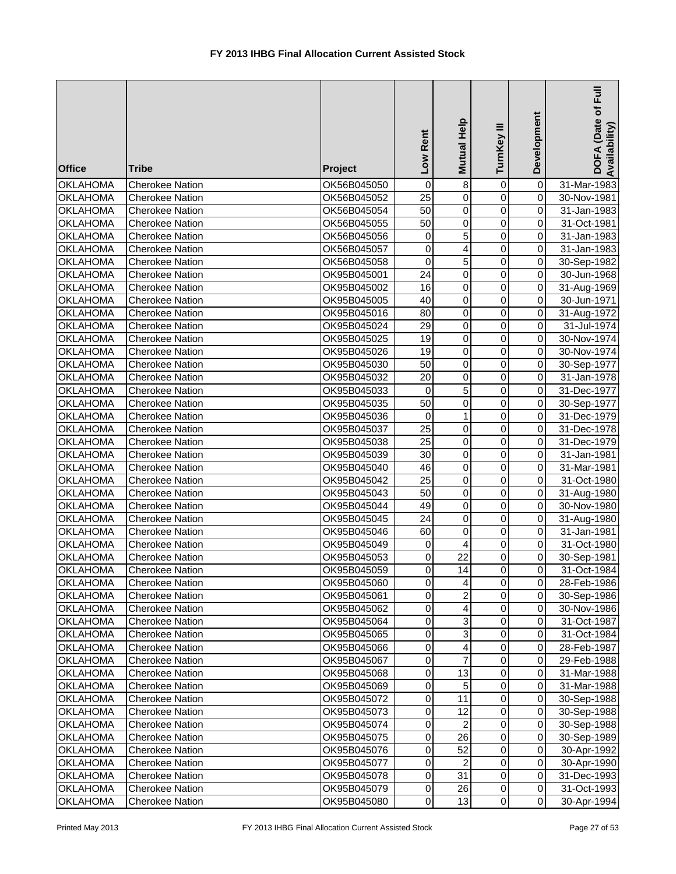| <b>Office</b>                      | <b>Tribe</b>                              | <b>Project</b>             | Low Rent              | Mutual Help                      | TurnKey III                | Development             | Full<br>DOFA (Date of<br>Availability |
|------------------------------------|-------------------------------------------|----------------------------|-----------------------|----------------------------------|----------------------------|-------------------------|---------------------------------------|
| <b>OKLAHOMA</b>                    | <b>Cherokee Nation</b>                    | OK56B045050                | 0                     | $\bf8$                           | 0                          | 0                       | 31-Mar-1983                           |
| <b>OKLAHOMA</b>                    | <b>Cherokee Nation</b>                    | OK56B045052                | 25                    | $\overline{0}$                   | $\mathbf 0$                | 0                       | 30-Nov-1981                           |
| <b>OKLAHOMA</b>                    | <b>Cherokee Nation</b>                    | OK56B045054                | $\overline{50}$       | $\overline{0}$                   | $\mathbf 0$                | $\pmb{0}$               | 31-Jan-1983                           |
| <b>OKLAHOMA</b>                    | <b>Cherokee Nation</b>                    | OK56B045055                | 50                    | $\overline{0}$                   | $\mathbf 0$                | $\pmb{0}$               | 31-Oct-1981                           |
| <b>OKLAHOMA</b>                    | <b>Cherokee Nation</b>                    | OK56B045056                | 0                     | 5                                | 0                          | $\pmb{0}$               | 31-Jan-1983                           |
| <b>OKLAHOMA</b>                    | <b>Cherokee Nation</b>                    | OK56B045057                | $\mathbf 0$           | 4                                | $\mathsf 0$                | $\pmb{0}$               | 31-Jan-1983                           |
| <b>OKLAHOMA</b>                    | <b>Cherokee Nation</b>                    | OK56B045058                | $\mathbf 0$           | $\overline{5}$                   | $\mathbf 0$                | $\pmb{0}$               | 30-Sep-1982                           |
| <b>OKLAHOMA</b>                    | <b>Cherokee Nation</b>                    | OK95B045001                | $\overline{24}$       | $\pmb{0}$                        | 0                          | 0                       | 30-Jun-1968                           |
| <b>OKLAHOMA</b>                    | <b>Cherokee Nation</b>                    | OK95B045002                | 16                    | 0                                | 0                          | $\pmb{0}$               | 31-Aug-1969                           |
| <b>OKLAHOMA</b>                    | <b>Cherokee Nation</b>                    | OK95B045005                | 40                    | 0                                | $\mathbf 0$                | $\pmb{0}$               | 30-Jun-1971                           |
| <b>OKLAHOMA</b>                    | <b>Cherokee Nation</b>                    | OK95B045016                | 80                    | 0                                | $\mathbf 0$                | $\mathbf 0$             | 31-Aug-1972                           |
| <b>OKLAHOMA</b>                    | <b>Cherokee Nation</b>                    | OK95B045024                | 29                    | $\mathbf 0$                      | 0                          | $\pmb{0}$               | 31-Jul-1974                           |
| <b>OKLAHOMA</b>                    | <b>Cherokee Nation</b>                    | OK95B045025                | 19                    | $\mbox{O}$                       | $\mathbf 0$                | $\mathsf{O}\xspace$     | 30-Nov-1974                           |
| <b>OKLAHOMA</b>                    | <b>Cherokee Nation</b>                    | OK95B045026                | 19                    | $\mbox{O}$                       | $\mathbf 0$                | $\pmb{0}$               | 30-Nov-1974                           |
| <b>OKLAHOMA</b>                    | <b>Cherokee Nation</b>                    | OK95B045030                | 50                    | $\mathbf 0$                      | $\mathbf 0$                | $\mathsf{O}\xspace$     | 30-Sep-1977                           |
| <b>OKLAHOMA</b>                    | <b>Cherokee Nation</b>                    | OK95B045032                | 20                    | $\boldsymbol{0}$                 | $\mathbf 0$                | $\pmb{0}$               | 31-Jan-1978                           |
| <b>OKLAHOMA</b>                    | <b>Cherokee Nation</b>                    | OK95B045033                | 0                     | 5                                | 0                          | $\mathbf 0$             | 31-Dec-1977                           |
| <b>OKLAHOMA</b>                    | <b>Cherokee Nation</b>                    | OK95B045035                | 50                    | $\pmb{0}$                        | $\mathbf 0$                | $\mathbf 0$             | 30-Sep-1977                           |
| <b>OKLAHOMA</b>                    | <b>Cherokee Nation</b>                    | OK95B045036                | 0                     | $\overline{1}$                   | $\mathbf 0$                | $\overline{\mathsf{o}}$ | 31-Dec-1979                           |
| <b>OKLAHOMA</b>                    | <b>Cherokee Nation</b>                    | OK95B045037                | $\overline{25}$       | $\overline{0}$<br>$\overline{0}$ | $\mathsf 0$<br>$\mathsf 0$ | 0<br>$\pmb{0}$          | 31-Dec-1978                           |
| <b>OKLAHOMA</b><br><b>OKLAHOMA</b> | <b>Cherokee Nation</b><br>Cherokee Nation | OK95B045038                | 25<br>$\overline{30}$ | $\overline{0}$                   | $\mathsf 0$                | $\overline{\mathsf{o}}$ | 31-Dec-1979                           |
| <b>OKLAHOMA</b>                    | <b>Cherokee Nation</b>                    | OK95B045039<br>OK95B045040 | 46                    | $\overline{0}$                   | $\mathbf 0$                | $\pmb{0}$               | 31-Jan-1981<br>31-Mar-1981            |
| <b>OKLAHOMA</b>                    | <b>Cherokee Nation</b>                    | OK95B045042                | $\overline{25}$       | $\overline{0}$                   | $\mathbf 0$                | $\overline{\mathsf{o}}$ | 31-Oct-1980                           |
| <b>OKLAHOMA</b>                    | <b>Cherokee Nation</b>                    | OK95B045043                | 50                    | $\mathbf 0$                      | 0                          | $\pmb{0}$               | 31-Aug-1980                           |
| <b>OKLAHOMA</b>                    | <b>Cherokee Nation</b>                    | OK95B045044                | 49                    | 0                                | 0                          | $\overline{\mathsf{o}}$ | 30-Nov-1980                           |
| <b>OKLAHOMA</b>                    | <b>Cherokee Nation</b>                    | OK95B045045                | $\overline{24}$       | 0                                | 0                          | $\overline{\mathsf{o}}$ | 31-Aug-1980                           |
| <b>OKLAHOMA</b>                    | <b>Cherokee Nation</b>                    | OK95B045046                | 60                    | $\mathbf 0$                      | $\mathbf 0$                | $\overline{\mathsf{o}}$ | 31-Jan-1981                           |
| <b>OKLAHOMA</b>                    | <b>Cherokee Nation</b>                    | OK95B045049                | 0                     | 4                                | 0                          | $\pmb{0}$               | 31-Oct-1980                           |
| <b>OKLAHOMA</b>                    | <b>Cherokee Nation</b>                    | OK95B045053                | 0                     | 22                               | $\mathbf 0$                | $\overline{0}$          | 30-Sep-1981                           |
| <b>OKLAHOMA</b>                    | <b>Cherokee Nation</b>                    | OK95B045059                | 0                     | 14                               | $\overline{\mathsf{o}}$    | $\overline{0}$          | 31-Oct-1984                           |
| <b>OKLAHOMA</b>                    | <b>Cherokee Nation</b>                    | OK95B045060                | 0                     | $\overline{4}$                   | $\mathbf 0$                | 0                       | 28-Feb-1986                           |
| <b>OKLAHOMA</b>                    | <b>Cherokee Nation</b>                    | OK95B045061                | 0                     | $\overline{\mathbf{c}}$          | 0                          | $\Omega$                | 30-Sep-1986                           |
| <b>OKLAHOMA</b>                    | <b>Cherokee Nation</b>                    | OK95B045062                | 0                     | 4                                | 0                          | $\overline{0}$          | 30-Nov-1986                           |
| <b>OKLAHOMA</b>                    | <b>Cherokee Nation</b>                    | OK95B045064                | 0                     | 3                                | 0                          | 0                       | 31-Oct-1987                           |
| <b>OKLAHOMA</b>                    | <b>Cherokee Nation</b>                    | OK95B045065                | 0                     | $\overline{3}$                   | 0                          | $\overline{0}$          | 31-Oct-1984                           |
| <b>OKLAHOMA</b>                    | <b>Cherokee Nation</b>                    | OK95B045066                | $\boldsymbol{0}$      | $\overline{\mathbf{4}}$          | 0                          | $\Omega$                | 28-Feb-1987                           |
| <b>OKLAHOMA</b>                    | <b>Cherokee Nation</b>                    | OK95B045067                | 0                     | $\overline{7}$                   | 0                          | $\mathbf 0$             | 29-Feb-1988                           |
| <b>OKLAHOMA</b>                    | <b>Cherokee Nation</b>                    | OK95B045068                | 0                     | 13                               | 0                          | $\Omega$                | 31-Mar-1988                           |
| <b>OKLAHOMA</b>                    | <b>Cherokee Nation</b>                    | OK95B045069                | 0                     | $\overline{5}$                   | 0                          | $\mathbf 0$             | 31-Mar-1988                           |
| <b>OKLAHOMA</b>                    | <b>Cherokee Nation</b>                    | OK95B045072                | $\mathsf 0$           | 11                               | 0                          | $\pmb{0}$               | 30-Sep-1988                           |
| <b>OKLAHOMA</b>                    | <b>Cherokee Nation</b>                    | OK95B045073                | 0                     | 12                               | 0                          | $\mathbf 0$             | 30-Sep-1988                           |
| <b>OKLAHOMA</b>                    | <b>Cherokee Nation</b>                    | OK95B045074                | 0                     | $\overline{c}$                   | 0                          | $\mathbf 0$             | 30-Sep-1988                           |
| <b>OKLAHOMA</b>                    | Cherokee Nation                           | OK95B045075                | 0                     | 26                               | 0                          | $\mathbf 0$             | 30-Sep-1989                           |
| <b>OKLAHOMA</b>                    | Cherokee Nation                           | OK95B045076                | 0                     | 52                               | 0                          | $\overline{0}$          | 30-Apr-1992                           |
| <b>OKLAHOMA</b>                    | <b>Cherokee Nation</b>                    | OK95B045077                | 0                     | 2                                | 0                          | $\overline{0}$          | 30-Apr-1990                           |
| <b>OKLAHOMA</b>                    | <b>Cherokee Nation</b>                    | OK95B045078                | 0                     | 31                               | 0                          | $\Omega$                | 31-Dec-1993                           |
| <b>OKLAHOMA</b>                    | <b>Cherokee Nation</b>                    | OK95B045079                | 0                     | 26                               | $\pmb{0}$                  | $\overline{0}$          | 31-Oct-1993                           |
| <b>OKLAHOMA</b>                    | <b>Cherokee Nation</b>                    | OK95B045080                | $\mathsf{O}\xspace$   | 13                               | $\pmb{0}$                  | $\overline{0}$          | 30-Apr-1994                           |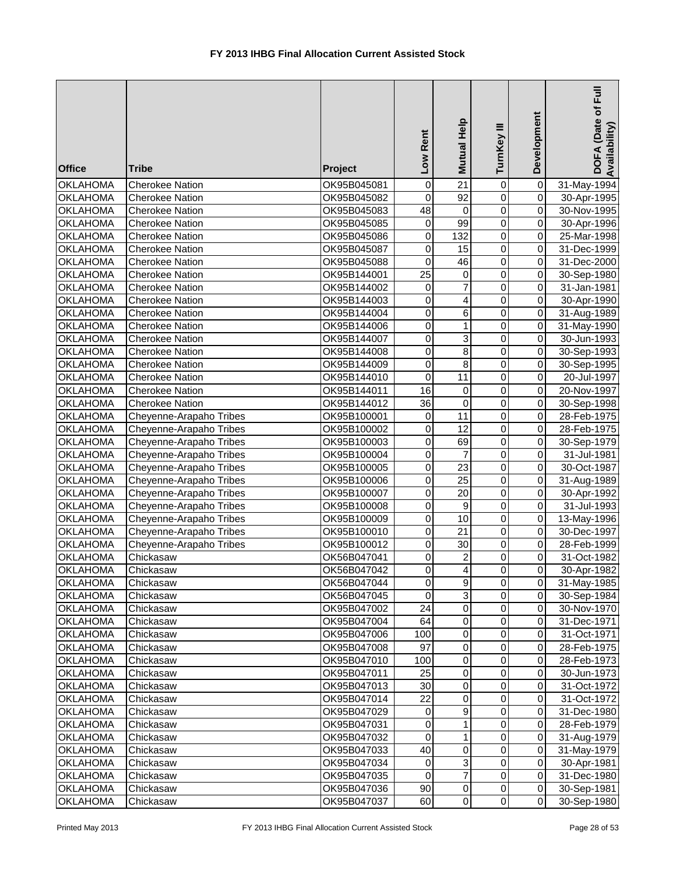| <b>Office</b>                      | <b>Tribe</b>                         | Project                    | Low Rent         | Mutual Help                               | TurnKey III      | Development                      | DOFA (Date of Full<br>Availability) |
|------------------------------------|--------------------------------------|----------------------------|------------------|-------------------------------------------|------------------|----------------------------------|-------------------------------------|
| <b>OKLAHOMA</b>                    | <b>Cherokee Nation</b>               | OK95B045081                | $\mathbf 0$      | $\overline{21}$                           | $\pmb{0}$        | $\overline{\mathsf{o}}$          | 31-May-1994                         |
| <b>OKLAHOMA</b>                    | <b>Cherokee Nation</b>               | OK95B045082                | $\mathbf 0$      | $\overline{92}$                           | $\overline{0}$   | $\overline{0}$                   | 30-Apr-1995                         |
| <b>OKLAHOMA</b>                    | <b>Cherokee Nation</b>               | OK95B045083                | $\overline{48}$  | $\pmb{0}$                                 | $\overline{0}$   | $\overline{0}$                   | 30-Nov-1995                         |
| <b>OKLAHOMA</b>                    | <b>Cherokee Nation</b>               | OK95B045085                | $\boldsymbol{0}$ | 99                                        | $\overline{0}$   | $\overline{0}$                   | 30-Apr-1996                         |
| <b>OKLAHOMA</b>                    | <b>Cherokee Nation</b>               | OK95B045086                | 0                | 132                                       | $\mathbf 0$      | $\overline{0}$                   | 25-Mar-1998                         |
| <b>OKLAHOMA</b>                    | <b>Cherokee Nation</b>               | OK95B045087                | 0                | 15                                        | $\pmb{0}$        | $\overline{0}$                   | 31-Dec-1999                         |
| <b>OKLAHOMA</b>                    | <b>Cherokee Nation</b>               | OK95B045088                | 0                | 46                                        | $\mathbf 0$      | $\overline{0}$                   | 31-Dec-2000                         |
| <b>OKLAHOMA</b>                    | <b>Cherokee Nation</b>               | OK95B144001                | $\overline{25}$  | 0                                         | 0                | $\overline{0}$                   | 30-Sep-1980                         |
| <b>OKLAHOMA</b>                    | <b>Cherokee Nation</b>               | OK95B144002                | $\mathbf 0$      | $\overline{7}$                            | $\mathbf 0$      | $\overline{0}$                   | 31-Jan-1981                         |
| <b>OKLAHOMA</b>                    | <b>Cherokee Nation</b>               | OK95B144003                | $\boldsymbol{0}$ | 4                                         | $\mathbf 0$      | $\overline{0}$                   | 30-Apr-1990                         |
| <b>OKLAHOMA</b>                    | <b>Cherokee Nation</b>               | OK95B144004                | 0                | 6                                         | $\mathbf 0$      | $\overline{0}$                   | 31-Aug-1989                         |
| <b>OKLAHOMA</b>                    | <b>Cherokee Nation</b>               | OK95B144006                | 0                | $\mathbf{1}$                              | 0                | $\overline{0}$                   | 31-May-1990                         |
| <b>OKLAHOMA</b>                    | <b>Cherokee Nation</b>               | OK95B144007                | 0                | $\ensuremath{\mathsf{3}}$                 | $\mathbf 0$      | $\overline{0}$                   | 30-Jun-1993                         |
| <b>OKLAHOMA</b>                    | <b>Cherokee Nation</b>               | OK95B144008                | 0                | 8                                         | $\mathbf 0$      | $\overline{0}$                   | 30-Sep-1993                         |
| <b>OKLAHOMA</b>                    | <b>Cherokee Nation</b>               | OK95B144009                | 0                | 8                                         | $\mathbf 0$      | $\overline{0}$                   | 30-Sep-1995                         |
| <b>OKLAHOMA</b>                    | <b>Cherokee Nation</b>               | OK95B144010                | 0                | 11                                        | $\mathbf 0$      | $\overline{0}$                   | 20-Jul-1997                         |
| <b>OKLAHOMA</b>                    | <b>Cherokee Nation</b>               | OK95B144011                | 16               | 0                                         | $\mathbf 0$      | $\overline{0}$                   | 20-Nov-1997                         |
| <b>OKLAHOMA</b>                    | <b>Cherokee Nation</b>               | OK95B144012                | $\overline{36}$  | $\overline{0}$                            | $\overline{0}$   | $\overline{0}$                   | 30-Sep-1998                         |
| <b>OKLAHOMA</b>                    | Cheyenne-Arapaho Tribes              | OK95B100001                | $\boldsymbol{0}$ | 11                                        | $\overline{0}$   | $\overline{0}$                   | 28-Feb-1975                         |
| <b>OKLAHOMA</b>                    | Cheyenne-Arapaho Tribes              | OK95B100002                | $\mathbf 0$      | $\overline{12}$                           | $\overline{0}$   | $\overline{0}$                   | 28-Feb-1975                         |
| <b>OKLAHOMA</b>                    | Cheyenne-Arapaho Tribes              | OK95B100003                | $\boldsymbol{0}$ | 69                                        | $\overline{0}$   | $\overline{0}$                   | 30-Sep-1979                         |
| <b>OKLAHOMA</b>                    | Cheyenne-Arapaho Tribes              | OK95B100004                | 0                | $\overline{7}$                            | $\overline{0}$   | $\overline{0}$                   | $31 -$ Jul-1981                     |
| <b>OKLAHOMA</b>                    | Cheyenne-Arapaho Tribes              | OK95B100005                | $\mathbf 0$      | $\overline{23}$                           | $\pmb{0}$        | $\overline{0}$                   | 30-Oct-1987                         |
| <b>OKLAHOMA</b>                    | Cheyenne-Arapaho Tribes              | OK95B100006                | 0                | $\overline{25}$                           | $\mathbf 0$      | $\overline{0}$                   | 31-Aug-1989                         |
| <b>OKLAHOMA</b>                    | Cheyenne-Arapaho Tribes              | OK95B100007                | 0                | 20                                        | $\mathbf 0$      | $\overline{0}$                   | 30-Apr-1992                         |
| <b>OKLAHOMA</b>                    | Cheyenne-Arapaho Tribes              | OK95B100008                | $\mathbf 0$      | $\boldsymbol{9}$                          | $\mathbf 0$      | $\overline{0}$                   | 31-Jul-1993                         |
| <b>OKLAHOMA</b>                    | Cheyenne-Arapaho Tribes              | OK95B100009                | $\pmb{0}$        | 10                                        | $\pmb{0}$        | $\overline{0}$                   | 13-May-1996                         |
| <b>OKLAHOMA</b><br><b>OKLAHOMA</b> | Cheyenne-Arapaho Tribes              | OK95B100010                | 0<br>0           | $\overline{21}$<br>30                     | $\mathbf 0$<br>0 | $\overline{0}$<br>$\overline{0}$ | 30-Dec-1997                         |
| <b>OKLAHOMA</b>                    | Cheyenne-Arapaho Tribes<br>Chickasaw | OK95B100012<br>OK56B047041 | 0                |                                           | 0                | $\overline{0}$                   | 28-Feb-1999<br>31-Oct-1982          |
| <b>OKLAHOMA</b>                    | Chickasaw                            | OK56B047042                | $\Omega$         | $\overline{\mathbf{c}}$<br>$\overline{4}$ | $\Omega$         | οI                               | 30-Apr-1982                         |
| <b>OKLAHOMA</b>                    | Chickasaw                            | OK56B047044                | 0                | 9                                         | 0                | 0                                | 31-May-1985                         |
|                                    |                                      |                            | 0                | 3                                         | 0                | $\overline{0}$                   |                                     |
| <b>OKLAHOMA</b><br><b>OKLAHOMA</b> | Chickasaw<br>Chickasaw               | OK56B047045<br>OK95B047002 | 24               | 0                                         | $\pmb{0}$        | $\overline{0}$                   | 30-Sep-1984<br>30-Nov-1970          |
| <b>OKLAHOMA</b>                    | Chickasaw                            | OK95B047004                | 64               | $\pmb{0}$                                 | $\pmb{0}$        | $\overline{0}$                   |                                     |
| <b>OKLAHOMA</b>                    | Chickasaw                            | OK95B047006                | 100              | $\pmb{0}$                                 | $\pmb{0}$        | $\Omega$                         | 31-Dec-1971<br>31-Oct-1971          |
| <b>OKLAHOMA</b>                    | Chickasaw                            | OK95B047008                | 97               | $\pmb{0}$                                 | $\mathbf 0$      | $\overline{0}$                   | 28-Feb-1975                         |
| <b>OKLAHOMA</b>                    | Chickasaw                            | OK95B047010                | 100              | 0                                         | 0                | $\overline{0}$                   | 28-Feb-1973                         |
| <b>OKLAHOMA</b>                    | Chickasaw                            | OK95B047011                | 25               | 0                                         | 0                | $\overline{0}$                   | 30-Jun-1973                         |
| <b>OKLAHOMA</b>                    | Chickasaw                            | OK95B047013                | 30               | 0                                         | 0                | $\Omega$                         | 31-Oct-1972                         |
| <b>OKLAHOMA</b>                    | Chickasaw                            | OK95B047014                | 22               | 0                                         | 0                | $\overline{0}$                   | 31-Oct-1972                         |
| <b>OKLAHOMA</b>                    | Chickasaw                            | OK95B047029                | 0                | 9                                         | 0                | $\Omega$                         | 31-Dec-1980                         |
| <b>OKLAHOMA</b>                    | Chickasaw                            | OK95B047031                | $\mathbf 0$      | $\mathbf{1}$                              | 0                | $\overline{0}$                   | 28-Feb-1979                         |
| <b>OKLAHOMA</b>                    | Chickasaw                            | OK95B047032                | 0                | 1                                         | 0                | $\overline{0}$                   | 31-Aug-1979                         |
| <b>OKLAHOMA</b>                    | Chickasaw                            | OK95B047033                | 40               | 0                                         | 0                | $\overline{O}$                   | 31-May-1979                         |
| <b>OKLAHOMA</b>                    | Chickasaw                            | OK95B047034                | 0                | 3                                         | 0                | $\overline{O}$                   | 30-Apr-1981                         |
| <b>OKLAHOMA</b>                    | Chickasaw                            | OK95B047035                | 0                | 7                                         | 0                | $\overline{O}$                   | 31-Dec-1980                         |
| <b>OKLAHOMA</b>                    | Chickasaw                            | OK95B047036                | 90               | 0                                         | $\pmb{0}$        | $\overline{0}$                   | 30-Sep-1981                         |
| <b>OKLAHOMA</b>                    | Chickasaw                            | OK95B047037                | 60               | $\pmb{0}$                                 | $\mathbf 0$      | $\overline{0}$                   | 30-Sep-1980                         |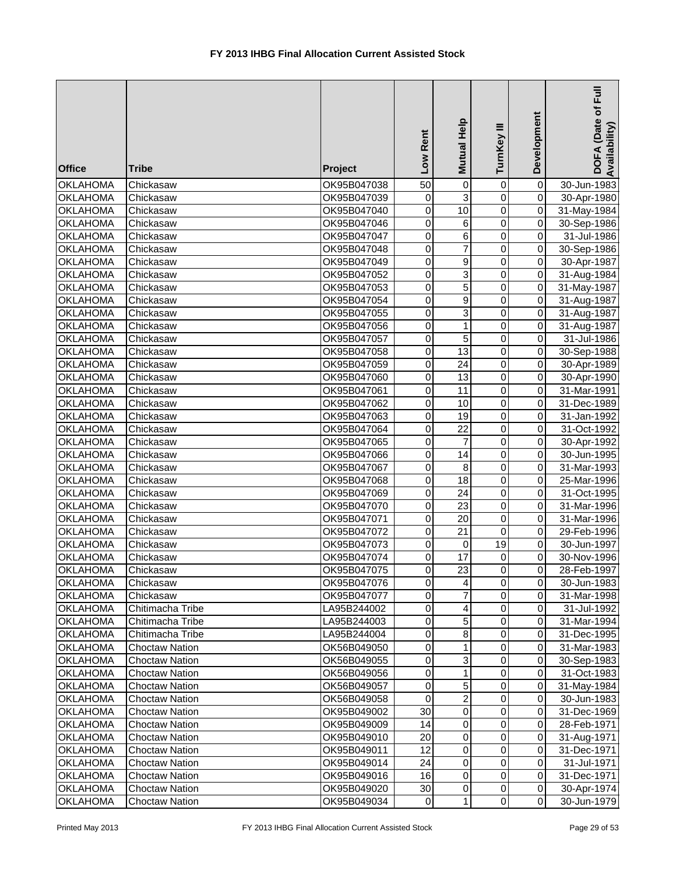| <b>Office</b>                      | <b>Tribe</b>           | <b>Project</b>             | Rent<br><b>NOT</b> | Help<br>Mutual            | Ξ<br>TurnKey               | Development                                        | Ē<br>DOFA (Date of<br>Availability |
|------------------------------------|------------------------|----------------------------|--------------------|---------------------------|----------------------------|----------------------------------------------------|------------------------------------|
| <b>OKLAHOMA</b>                    | Chickasaw              | OK95B047038                | 50                 | $\pmb{0}$                 | $\mathbf 0$                | 0                                                  | 30-Jun-1983                        |
| <b>OKLAHOMA</b>                    | Chickasaw              | OK95B047039                | 0                  | $\overline{3}$            | $\mathbf 0$                | $\overline{\mathsf{o}}$                            | 30-Apr-1980                        |
| <b>OKLAHOMA</b>                    | Chickasaw              | OK95B047040                | $\overline{0}$     | $\overline{10}$           | $\mathbf 0$                | $\pmb{0}$                                          | 31-May-1984                        |
| <b>OKLAHOMA</b>                    | Chickasaw              | OK95B047046                | 0                  | $\,6$                     | 0                          | 0                                                  | 30-Sep-1986                        |
| <b>OKLAHOMA</b>                    | Chickasaw              | OK95B047047                | 0                  | $\overline{6}$            | $\mathbf 0$                | $\pmb{0}$                                          | 31-Jul-1986                        |
| <b>OKLAHOMA</b>                    | Chickasaw              | OK95B047048                | $\mathsf 0$        | $\overline{7}$            | $\mathbf 0$                | 0                                                  | 30-Sep-1986                        |
| <b>OKLAHOMA</b>                    | Chickasaw              | OK95B047049                | 0                  | 9                         | $\mathbf 0$                | 0                                                  | 30-Apr-1987                        |
| <b>OKLAHOMA</b>                    | Chickasaw              | OK95B047052                | 0                  | 3                         | $\mathbf 0$                | $\pmb{0}$                                          | 31-Aug-1984                        |
| <b>OKLAHOMA</b>                    | Chickasaw              | OK95B047053                | 0                  | 5                         | $\mathbf 0$                | 0                                                  | 31-May-1987                        |
| <b>OKLAHOMA</b>                    | Chickasaw              | OK95B047054                | 0                  | $\mathsf g$               | $\mathbf 0$                | $\overline{\mathsf{o}}$                            | 31-Aug-1987                        |
| <b>OKLAHOMA</b>                    | Chickasaw              | OK95B047055                | 0                  | $\ensuremath{\mathsf{3}}$ | 0                          | $\pmb{0}$                                          | 31-Aug-1987                        |
| <b>OKLAHOMA</b>                    | Chickasaw              | OK95B047056                | $\mathbf 0$        | $\mathbf{1}$              | $\mathbf 0$                | $\pmb{0}$                                          | 31-Aug-1987                        |
| <b>OKLAHOMA</b>                    | Chickasaw              | OK95B047057                | 0                  | 5                         | $\mathbf 0$                | $\pmb{0}$                                          | 31-Jul-1986                        |
| OKLAHOMA                           | Chickasaw              | OK95B047058                | 0                  | 13                        | $\mathbf 0$                | $\pmb{0}$                                          | 30-Sep-1988                        |
| <b>OKLAHOMA</b>                    | Chickasaw              | OK95B047059                | 0                  | 24                        | 0                          | $\pmb{0}$                                          | 30-Apr-1989                        |
| <b>OKLAHOMA</b>                    | Chickasaw              | OK95B047060                | 0                  | 13                        | 0                          | $\mathbf 0$                                        | 30-Apr-1990                        |
| <b>OKLAHOMA</b>                    | Chickasaw              | OK95B047061                | 0                  | 11                        | 0                          | $\mathsf{O}\xspace$                                | 31-Mar-1991                        |
| <b>OKLAHOMA</b>                    | Chickasaw              | OK95B047062                | 0                  | 10                        | $\mathbf 0$                | 0                                                  | 31-Dec-1989                        |
| <b>OKLAHOMA</b>                    | Chickasaw              | OK95B047063                | 0                  | 19                        | $\mathbf 0$                | 0                                                  | 31-Jan-1992                        |
| <b>OKLAHOMA</b>                    | Chickasaw              | OK95B047064                | 0                  | 22                        | $\mathbf 0$                | $\pmb{0}$                                          | 31-Oct-1992                        |
| <b>OKLAHOMA</b>                    | Chickasaw              | OK95B047065                | 0                  | $\overline{7}$            | $\mathbf 0$                | $\pmb{0}$                                          | 30-Apr-1992                        |
| <b>OKLAHOMA</b>                    | Chickasaw              | OK95B047066                | 0                  | $\overline{14}$           | $\mathbf 0$                | $\pmb{0}$                                          | 30-Jun-1995                        |
| <b>OKLAHOMA</b>                    | Chickasaw              | OK95B047067                | 0                  | 8                         | $\mathbf 0$                | 0                                                  | 31-Mar-1993                        |
| <b>OKLAHOMA</b>                    | Chickasaw              | OK95B047068                | 0                  | 18                        | 0                          | 0                                                  | 25-Mar-1996                        |
| <b>OKLAHOMA</b>                    | Chickasaw              | OK95B047069                | 0                  | 24                        | 0                          | $\pmb{0}$                                          | 31-Oct-1995                        |
| <b>OKLAHOMA</b>                    | Chickasaw              | OK95B047070                | 0                  | 23                        | 0                          | $\overline{\mathsf{o}}$<br>$\overline{\mathsf{o}}$ | 31-Mar-1996                        |
| <b>OKLAHOMA</b>                    | Chickasaw              | OK95B047071<br>OK95B047072 | 0                  | 20                        | $\mathbf 0$<br>$\mathbf 0$ | $\pmb{0}$                                          | 31-Mar-1996                        |
| <b>OKLAHOMA</b>                    | Chickasaw              |                            | 0<br>0             | 21                        | 19                         | $\pmb{0}$                                          | 29-Feb-1996                        |
| <b>OKLAHOMA</b><br><b>OKLAHOMA</b> | Chickasaw<br>Chickasaw | OK95B047073<br>OK95B047074 | 0                  | 0<br>17                   | 0                          | $\mathbf 0$                                        | 30-Jun-1997<br>30-Nov-1996         |
| <b>OKLAHOMA</b>                    | Chickasaw              | OK95B047075                | 0                  | 23                        | $\Omega$                   | $\overline{0}$                                     | 28-Feb-1997                        |
| <b>OKLAHOMA</b>                    | Chickasaw              | OK95B047076                | 0                  | $\overline{4}$            | $\mathbf 0$                | $\Omega$                                           | 30-Jun-1983                        |
| <b>OKLAHOMA</b>                    | Chickasaw              | OK95B047077                | 0                  | 7                         | 0                          | $\overline{0}$                                     | 31-Mar-1998                        |
| <b>OKLAHOMA</b>                    | Chitimacha Tribe       | LA95B244002                | 0                  | 4                         | 0                          | 0                                                  | 31-Jul-1992                        |
| <b>OKLAHOMA</b>                    | Chitimacha Tribe       | LA95B244003                | 0                  | 5                         | $\mathbf 0$                | $\overline{0}$                                     | 31-Mar-1994                        |
| <b>OKLAHOMA</b>                    | Chitimacha Tribe       | LA95B244004                | $\boldsymbol{0}$   | $\bf8$                    | 0                          | $\mathbf 0$                                        | 31-Dec-1995                        |
| <b>OKLAHOMA</b>                    | <b>Choctaw Nation</b>  | OK56B049050                | 0                  | 1                         | 0                          | $\mathbf 0$                                        | 31-Mar-1983                        |
| <b>OKLAHOMA</b>                    | <b>Choctaw Nation</b>  | OK56B049055                | 0                  | 3                         | 0                          | $\mathbf 0$                                        | 30-Sep-1983                        |
| <b>OKLAHOMA</b>                    | <b>Choctaw Nation</b>  | OK56B049056                | 0                  | $\mathbf{1}$              | $\mathbf 0$                | $\overline{0}$                                     | 31-Oct-1983                        |
| <b>OKLAHOMA</b>                    | <b>Choctaw Nation</b>  | OK56B049057                | 0                  | $\overline{5}$            | 0                          | $\pmb{0}$                                          | 31-May-1984                        |
| <b>OKLAHOMA</b>                    | <b>Choctaw Nation</b>  | OK56B049058                | 0                  | $\overline{\mathbf{c}}$   | 0                          | $\mathbf 0$                                        | 30-Jun-1983                        |
| <b>OKLAHOMA</b>                    | <b>Choctaw Nation</b>  | OK95B049002                | 30                 | $\pmb{0}$                 | 0                          | $\mathbf{0}$                                       | 31-Dec-1969                        |
| <b>OKLAHOMA</b>                    | <b>Choctaw Nation</b>  | OK95B049009                | 14                 | 0                         | 0                          | $\mathbf{0}$                                       | 28-Feb-1971                        |
| <b>OKLAHOMA</b>                    | Choctaw Nation         | OK95B049010                | 20                 | 0                         | $\mathbf 0$                | $\overline{0}$                                     | 31-Aug-1971                        |
| <b>OKLAHOMA</b>                    | <b>Choctaw Nation</b>  | OK95B049011                | 12                 | $\,0\,$                   | 0                          | $\overline{0}$                                     | 31-Dec-1971                        |
| <b>OKLAHOMA</b>                    | <b>Choctaw Nation</b>  | OK95B049014                | 24                 | $\pmb{0}$                 | 0                          | $\overline{0}$                                     | 31-Jul-1971                        |
| <b>OKLAHOMA</b>                    | <b>Choctaw Nation</b>  | OK95B049016                | 16                 | $\,0\,$                   | $\mathbf 0$                | $\overline{0}$                                     | 31-Dec-1971                        |
| <b>OKLAHOMA</b>                    | <b>Choctaw Nation</b>  | OK95B049020                | 30                 | $\,0\,$                   | $\mathbf 0$                | $\Omega$                                           | 30-Apr-1974                        |
| <b>OKLAHOMA</b>                    | <b>Choctaw Nation</b>  | OK95B049034                | 0                  | 1                         | $\pmb{0}$                  | $\overline{0}$                                     | 30-Jun-1979                        |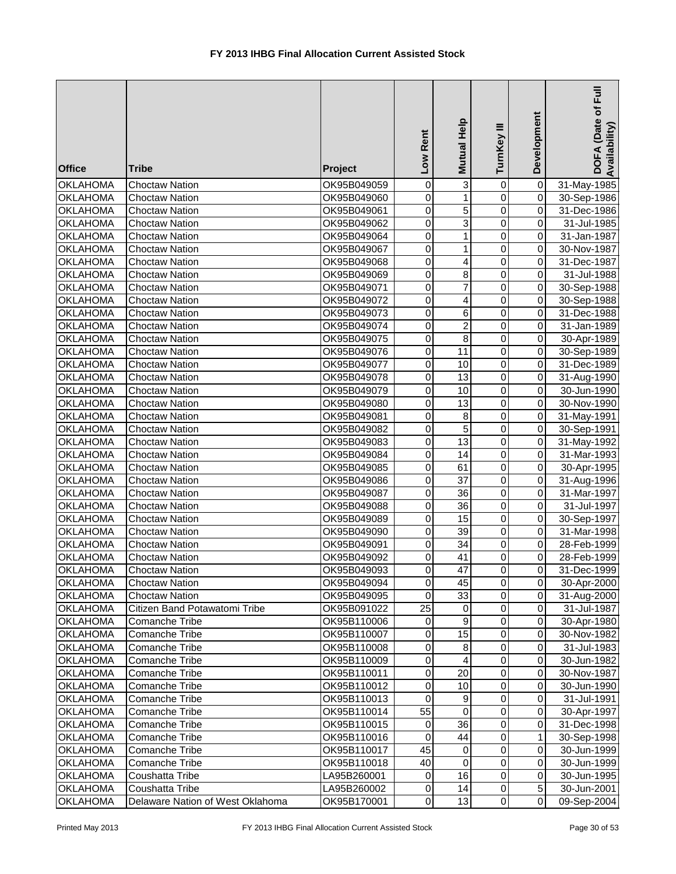| <b>Office</b>                      | <b>Tribe</b>                                           | <b>Project</b>             | Low Rent        | Mutual Help             | TurnKey III              | Development                      | DOFA (Date of Full<br>Availability) |
|------------------------------------|--------------------------------------------------------|----------------------------|-----------------|-------------------------|--------------------------|----------------------------------|-------------------------------------|
| <b>OKLAHOMA</b>                    | <b>Choctaw Nation</b>                                  | OK95B049059                | 0               | 3                       | 0                        | $\overline{\mathsf{o}}$          | 31-May-1985                         |
| <b>OKLAHOMA</b>                    | <b>Choctaw Nation</b>                                  | OK95B049060                | $\mathbf 0$     | $\mathbf{1}$            | $\overline{0}$           | $\overline{0}$                   | 30-Sep-1986                         |
| <b>OKLAHOMA</b>                    | <b>Choctaw Nation</b>                                  | OK95B049061                | $\mathbf 0$     | 5                       | $\overline{0}$           | $\overline{0}$                   | 31-Dec-1986                         |
| <b>OKLAHOMA</b>                    | <b>Choctaw Nation</b>                                  | OK95B049062                | $\mathbf 0$     | $\overline{3}$          | $\mathbf 0$              | $\overline{0}$                   | 31-Jul-1985                         |
| <b>OKLAHOMA</b>                    | <b>Choctaw Nation</b>                                  | OK95B049064                | $\mathbf 0$     | 1                       | $\mathbf 0$              | $\overline{0}$                   | 31-Jan-1987                         |
| <b>OKLAHOMA</b>                    | <b>Choctaw Nation</b>                                  | OK95B049067                | $\mathbf 0$     | 1                       | $\mathbf 0$              | $\overline{0}$                   | 30-Nov-1987                         |
| <b>OKLAHOMA</b>                    | <b>Choctaw Nation</b>                                  | OK95B049068                | 0               | 4                       | $\mathbf 0$              | $\overline{0}$                   | 31-Dec-1987                         |
| <b>OKLAHOMA</b>                    | <b>Choctaw Nation</b>                                  | OK95B049069                | 0               | 8                       | $\mathbf 0$              | $\overline{0}$                   | 31-Jul-1988                         |
| <b>OKLAHOMA</b>                    | <b>Choctaw Nation</b>                                  | OK95B049071                | $\mathbf 0$     | 7                       | $\mathbf 0$              | $\overline{0}$                   | 30-Sep-1988                         |
| <b>OKLAHOMA</b>                    | <b>Choctaw Nation</b>                                  | OK95B049072                | 0               | 4                       | $\pmb{0}$                | $\overline{0}$                   | 30-Sep-1988                         |
| <b>OKLAHOMA</b>                    | <b>Choctaw Nation</b>                                  | OK95B049073                | $\mathbf 0$     | 6                       | $\mathbf 0$              | $\overline{0}$                   | 31-Dec-1988                         |
| <b>OKLAHOMA</b>                    | <b>Choctaw Nation</b>                                  | OK95B049074                | $\mathbf 0$     | $\overline{\mathbf{c}}$ | $\mathbf 0$              | $\overline{0}$                   | 31-Jan-1989                         |
| <b>OKLAHOMA</b>                    | <b>Choctaw Nation</b>                                  | OK95B049075                | $\mathbf 0$     | 8                       | $\mathbf 0$              | $\overline{0}$                   | 30-Apr-1989                         |
| <b>OKLAHOMA</b>                    | <b>Choctaw Nation</b>                                  | OK95B049076                | 0               | 11                      | $\mathbf 0$              | $\overline{0}$                   | 30-Sep-1989                         |
| <b>OKLAHOMA</b>                    | <b>Choctaw Nation</b>                                  | OK95B049077                | 0               | 10                      | $\pmb{0}$                | $\overline{0}$                   | 31-Dec-1989                         |
| <b>OKLAHOMA</b>                    | <b>Choctaw Nation</b>                                  | OK95B049078                | 0               | 13                      | 0                        | $\overline{0}$                   | 31-Aug-1990                         |
| <b>OKLAHOMA</b>                    | <b>Choctaw Nation</b>                                  | OK95B049079                | $\mathbf 0$     | 10                      | $\overline{0}$           | $\overline{0}$                   | 30-Jun-1990                         |
| <b>OKLAHOMA</b>                    | <b>Choctaw Nation</b>                                  | OK95B049080                | $\mathbf 0$     | 13                      | $\overline{0}$           | $\overline{0}$                   | 30-Nov-1990                         |
| <b>OKLAHOMA</b>                    | <b>Choctaw Nation</b>                                  | OK95B049081                | $\mathbf 0$     | $\bf 8$                 | $\overline{0}$           | $\overline{0}$                   | 31-May-1991                         |
| <b>OKLAHOMA</b>                    | <b>Choctaw Nation</b>                                  | OK95B049082                | 0               | $\overline{5}$          | $\overline{0}$           | $\overline{0}$                   | 30-Sep-1991                         |
| <b>OKLAHOMA</b>                    | <b>Choctaw Nation</b>                                  | OK95B049083                | 0               | $\overline{13}$         | $\overline{0}$           | $\overline{0}$                   | 31-May-1992                         |
| <b>OKLAHOMA</b>                    | <b>Choctaw Nation</b>                                  | OK95B049084                | 0               | $\overline{14}$         | $\overline{0}$           | $\overline{0}$                   | 31-Mar-1993                         |
| <b>OKLAHOMA</b>                    | <b>Choctaw Nation</b>                                  | OK95B049085                | 0               | 61                      | $\overline{0}$           | $\overline{0}$                   | 30-Apr-1995                         |
| <b>OKLAHOMA</b>                    | <b>Choctaw Nation</b>                                  | OK95B049086                | 0               | $\overline{37}$         | 0                        | $\overline{0}$                   | 31-Aug-1996                         |
| <b>OKLAHOMA</b>                    | <b>Choctaw Nation</b>                                  | OK95B049087                | 0               | 36                      | 0                        | $\overline{0}$                   | 31-Mar-1997                         |
| <b>OKLAHOMA</b>                    | <b>Choctaw Nation</b>                                  | OK95B049088                | $\mathbf 0$     | 36                      | $\mathbf 0$              | $\overline{0}$                   | 31-Jul-1997                         |
| <b>OKLAHOMA</b>                    | <b>Choctaw Nation</b>                                  | OK95B049089                | 0               | 15                      | $\pmb{0}$                | $\overline{O}$                   | 30-Sep-1997                         |
| <b>OKLAHOMA</b>                    | <b>Choctaw Nation</b>                                  | OK95B049090                | $\mathbf 0$     | $\overline{39}$         | $\pmb{0}$                | $\overline{0}$<br>$\overline{0}$ | 31-Mar-1998                         |
| <b>OKLAHOMA</b>                    | <b>Choctaw Nation</b>                                  | OK95B049091                | 0               | 34                      | $\mathbf 0$              |                                  | 28-Feb-1999                         |
| <b>OKLAHOMA</b>                    | <b>Choctaw Nation</b>                                  | OK95B049092                | 0<br>$\Omega$   | 41<br>$\overline{47}$   | 0<br>$\Omega$            | $\overline{0}$<br>$\Omega$       | 28-Feb-1999                         |
| <b>OKLAHOMA</b>                    | <b>Choctaw Nation</b>                                  | OK95B049093                |                 |                         |                          | $\overline{0}$                   | 31-Dec-1999                         |
| <b>OKLAHOMA</b>                    | <b>Choctaw Nation</b>                                  | OK95B049094                | $\mathbf 0$     | 45                      | 0                        | $\overline{0}$                   | 30-Apr-2000                         |
| <b>OKLAHOMA</b><br><b>OKLAHOMA</b> | <b>Choctaw Nation</b><br>Citizen Band Potawatomi Tribe | OK95B049095                | 0<br>25         | 33                      | $\pmb{0}$<br>$\mathbf 0$ | $\overline{0}$                   | 31-Aug-2000                         |
| <b>OKLAHOMA</b>                    | <b>Comanche Tribe</b>                                  | OK95B091022                | $\mathbf 0$     | 0<br>$\boldsymbol{9}$   | $\mathbf 0$              | $\overline{0}$                   | 31-Jul-1987                         |
|                                    | Comanche Tribe                                         | OK95B110006<br>OK95B110007 | $\mathbf 0$     | 15                      | $\pmb{0}$                | $\overline{0}$                   | 30-Apr-1980                         |
| <b>OKLAHOMA</b><br><b>OKLAHOMA</b> | Comanche Tribe                                         | OK95B110008                | 0               | $\bf 8$                 | $\pmb{0}$                | $\overline{0}$                   | 30-Nov-1982<br>31-Jul-1983          |
| <b>OKLAHOMA</b>                    | <b>Comanche Tribe</b>                                  | OK95B110009                | 0               | 4                       | $\pmb{0}$                | $\overline{0}$                   | 30-Jun-1982                         |
| <b>OKLAHOMA</b>                    | <b>Comanche Tribe</b>                                  | OK95B110011                | 0               | 20                      | $\pmb{0}$                | $\overline{0}$                   | 30-Nov-1987                         |
| <b>OKLAHOMA</b>                    | <b>Comanche Tribe</b>                                  | OK95B110012                | 0               | 10                      | 0                        | $\overline{0}$                   | 30-Jun-1990                         |
| <b>OKLAHOMA</b>                    | <b>Comanche Tribe</b>                                  | OK95B110013                | 0               | 9                       | 0                        | $\overline{0}$                   | 31-Jul-1991                         |
| <b>OKLAHOMA</b>                    | <b>Comanche Tribe</b>                                  | OK95B110014                | $\overline{55}$ | $\mathbf 0$             | 0                        | $\overline{0}$                   | 30-Apr-1997                         |
| <b>OKLAHOMA</b>                    | <b>Comanche Tribe</b>                                  | OK95B110015                | 0               | 36                      | $\mathbf 0$              | $\overline{0}$                   | 31-Dec-1998                         |
| <b>OKLAHOMA</b>                    | Comanche Tribe                                         | OK95B110016                | 0               | 44                      | $\pmb{0}$                | 1                                | 30-Sep-1998                         |
| <b>OKLAHOMA</b>                    | <b>Comanche Tribe</b>                                  | OK95B110017                | 45              | $\mathbf 0$             | $\pmb{0}$                | $\overline{0}$                   | 30-Jun-1999                         |
| <b>OKLAHOMA</b>                    | Comanche Tribe                                         | OK95B110018                | 40              | $\mathbf 0$             | $\pmb{0}$                | $\overline{O}$                   | 30-Jun-1999                         |
| <b>OKLAHOMA</b>                    | Coushatta Tribe                                        | LA95B260001                | 0               | 16                      | $\pmb{0}$                | $\overline{O}$                   | 30-Jun-1995                         |
| <b>OKLAHOMA</b>                    | Coushatta Tribe                                        | LA95B260002                | $\pmb{0}$       | 14                      | $\,0\,$                  | $\overline{5}$                   | 30-Jun-2001                         |
| <b>OKLAHOMA</b>                    | Delaware Nation of West Oklahoma                       | OK95B170001                | $\mathbf 0$     | 13                      | $\pmb{0}$                | $\overline{O}$                   | 09-Sep-2004                         |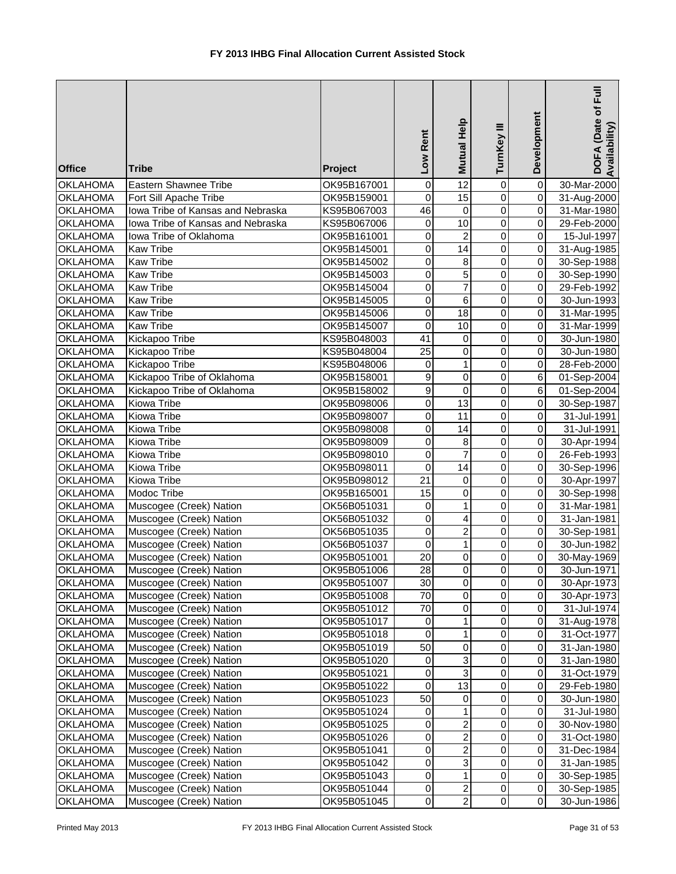| $\overline{12}$<br>Eastern Shawnee Tribe<br>$\pmb{0}$<br>30-Mar-2000<br><b>OKLAHOMA</b><br>OK95B167001<br>$\mathbf 0$<br>0<br>$\overline{15}$<br>$\overline{\mathbf{0}}$<br>$\mathbf 0$<br>$\mathbf 0$<br><b>OKLAHOMA</b><br>Fort Sill Apache Tribe<br>OK95B159001<br>31-Aug-2000<br>46<br>$\overline{0}$<br>Iowa Tribe of Kansas and Nebraska<br>$\pmb{0}$<br><b>OKLAHOMA</b><br>KS95B067003<br>$\mathbf 0$<br>31-Mar-1980<br>$\overline{10}$<br>$\mathbf 0$<br>Iowa Tribe of Kansas and Nebraska<br>$\pmb{0}$<br>$\pmb{0}$<br><b>OKLAHOMA</b><br>KS95B067006<br>29-Feb-2000<br>$\overline{c}$<br>Iowa Tribe of Oklahoma<br>0<br>$\mathbf 0$<br>$\pmb{0}$<br><b>OKLAHOMA</b><br>OK95B161001<br>15-Jul-1997<br>0<br>$\overline{14}$<br>0<br>$\overline{0}$<br><b>OKLAHOMA</b><br><b>Kaw Tribe</b><br>OK95B145001<br>31-Aug-1985<br>0<br>$\mathbf 0$<br><b>OKLAHOMA</b><br><b>Kaw Tribe</b><br>OK95B145002<br>8<br>$\mathbf 0$<br>30-Sep-1988<br>5<br><b>OKLAHOMA</b><br>0<br>$\mathbf 0$<br>$\pmb{0}$<br><b>Kaw Tribe</b><br>OK95B145003<br>30-Sep-1990<br>$\overline{7}$<br>$\overline{0}$<br>0<br>$\mathbf 0$<br><b>OKLAHOMA</b><br><b>Kaw Tribe</b><br>OK95B145004<br>29-Feb-1992<br>$\mathbf 0$<br>$\mathbf 0$<br>$\overline{0}$<br><b>OKLAHOMA</b><br>$\,6$<br><b>Kaw Tribe</b><br>OK95B145005<br>30-Jun-1993<br>$\pmb{0}$<br><b>OKLAHOMA</b><br>$\mathbf 0$<br>18<br>$\mathbf 0$<br><b>Kaw Tribe</b><br>OK95B145006<br>31-Mar-1995<br><b>OKLAHOMA</b><br><b>Kaw Tribe</b><br>OK95B145007<br>$\mathbf 0$<br>10<br>$\mathbf 0$<br>$\pmb{0}$<br>31-Mar-1999<br>Kickapoo Tribe<br>41<br>0<br>$\pmb{0}$<br><b>OKLAHOMA</b><br>KS95B048003<br>$\mathbf 0$<br>30-Jun-1980<br>$\mathbf 0$<br><b>OKLAHOMA</b><br>25<br>0<br>$\pmb{0}$<br>Kickapoo Tribe<br>KS95B048004<br>30-Jun-1980<br>$\mathbf{1}$<br>0<br>$\pmb{0}$<br><b>OKLAHOMA</b><br>Kickapoo Tribe<br>KS95B048006<br>0<br>28-Feb-2000<br>9<br>Kickapoo Tribe of Oklahoma<br>$\,6\,$<br><b>OKLAHOMA</b><br>OK95B158001<br>0<br>0<br>01-Sep-2004<br>9<br>$\,6$<br>Kickapoo Tribe of Oklahoma<br>$\mathbf 0$<br>0<br><b>OKLAHOMA</b><br>OK95B158002<br>01-Sep-2004<br>$\mathbf 0$<br>$\overline{13}$<br>$\mathbf 0$<br>$\overline{0}$<br><b>OKLAHOMA</b><br>Kiowa Tribe<br>OK95B098006<br>30-Sep-1987<br>$\mathbf 0$<br>$\overline{11}$<br>$\overline{0}$<br>$\overline{0}$<br><b>OKLAHOMA</b><br>Kiowa Tribe<br>OK95B098007<br>31-Jul-1991<br>$\overline{0}$<br>$\overline{0}$<br>$\overline{0}$<br>Kiowa Tribe<br>14<br><b>OKLAHOMA</b><br>31-Jul-1991<br>OK95B098008<br>$\overline{0}$<br>$\overline{0}$<br>Kiowa Tribe<br>$\pmb{0}$<br>$\bf 8$<br><b>OKLAHOMA</b><br>OK95B098009<br>30-Apr-1994<br>$\overline{7}$<br>$\overline{0}$<br>$\overline{0}$<br>$\overline{0}$<br>Kiowa Tribe<br><b>OKLAHOMA</b><br>OK95B098010<br>26-Feb-1993<br>$\overline{0}$<br>$\overline{14}$<br>$\mathbf 0$<br>$\overline{0}$<br><b>OKLAHOMA</b><br>Kiowa Tribe<br>OK95B098011<br>30-Sep-1996<br>$\overline{21}$<br>Kiowa Tribe<br>$\mathbf 0$<br>$\pmb{0}$<br><b>OKLAHOMA</b><br>OK95B098012<br>$\mathbf 0$<br>30-Apr-1997<br><b>Modoc Tribe</b><br>$\overline{15}$<br><b>OKLAHOMA</b><br>OK95B165001<br>$\pmb{0}$<br>$\mathbf 0$<br>$\pmb{0}$<br>30-Sep-1998<br>$\mathbf 1$<br>$\overline{0}$<br>$\mathbf 0$<br>$\mathbf 0$<br><b>OKLAHOMA</b><br>Muscogee (Creek) Nation<br>OK56B051031<br>31-Mar-1981<br>$\overline{4}$<br>$\mathbf 0$<br>$\mathbf 0$<br>$\overline{0}$<br>Muscogee (Creek) Nation<br><b>OKLAHOMA</b><br>OK56B051032<br>31-Jan-1981<br>$\boldsymbol{2}$<br>Muscogee (Creek) Nation<br>0<br>$\mathbf 0$<br>$\pmb{0}$<br><b>OKLAHOMA</b><br>OK56B051035<br>30-Sep-1981<br>$\overline{\mathsf{o}}$<br><b>OKLAHOMA</b><br>Muscogee (Creek) Nation<br>$\mathbf 0$<br>$\mathbf{1}$<br>0<br>OK56B051037<br>30-Jun-1982<br><b>OKLAHOMA</b><br>20<br>$\pmb{0}$<br>$\overline{0}$<br>Muscogee (Creek) Nation<br>OK95B051001<br>0<br>30-May-1969<br>$\overline{0}$<br>28<br>$\overline{0}$<br>$\overline{0}$<br><b>OKLAHOMA</b><br>Muscogee (Creek) Nation<br>OK95B051006<br>30-Jun-1971<br>0<br>30<br>0<br><b>OKLAHOMA</b><br>Muscogee (Creek) Nation<br>OK95B051007<br>$\mathbf 0$<br>30-Apr-1973<br><b>OKLAHOMA</b><br>Muscogee (Creek) Nation<br>70<br>0<br>0<br>$\mathbf 0$<br>OK95B051008<br>30-Apr-1973<br>70<br>0<br>0<br><b>OKLAHOMA</b><br>Muscogee (Creek) Nation<br>OK95B051012<br>$\mathbf 0$<br>31-Jul-1974<br>$\mathbf{1}$<br>$\mathbf 0$<br>$\mathbf 0$<br>$\mathbf 0$<br><b>OKLAHOMA</b><br>Muscogee (Creek) Nation<br>OK95B051017<br>31-Aug-1978<br>$\mathsf{O}\xspace$<br>$\mathbf{1}$<br>$\pmb{0}$<br>$\mathbf 0$<br><b>OKLAHOMA</b><br>Muscogee (Creek) Nation<br>OK95B051018<br>31-Oct-1977<br>50<br>$\pmb{0}$<br>$\pmb{0}$<br>$\mathbf 0$<br><b>OKLAHOMA</b><br>Muscogee (Creek) Nation<br>31-Jan-1980<br>OK95B051019<br>3<br>$\pmb{0}$<br>$\mathbf 0$<br>$\mathbf 0$<br><b>OKLAHOMA</b><br>Muscogee (Creek) Nation<br>OK95B051020<br>31-Jan-1980<br>$\overline{3}$<br>$\pmb{0}$<br>$\pmb{0}$<br>$\pmb{0}$<br>Muscogee (Creek) Nation<br><b>OKLAHOMA</b><br>OK95B051021<br>31-Oct-1979<br>$\overline{0}$<br>$\overline{13}$<br>$\overline{0}$<br><b>OKLAHOMA</b><br>$\mathbf 0$<br>Muscogee (Creek) Nation<br>OK95B051022<br>29-Feb-1980<br>50<br>$\pmb{0}$<br>0<br>$\mathbf 0$<br><b>OKLAHOMA</b><br>Muscogee (Creek) Nation<br>OK95B051023<br>30-Jun-1980<br>1<br>$\mathbf 0$<br>0<br>$\mathbf 0$<br><b>OKLAHOMA</b><br>Muscogee (Creek) Nation<br>OK95B051024<br>31-Jul-1980<br>$\overline{\mathbf{c}}$<br>Muscogee (Creek) Nation<br>0<br>0<br>$\mathbf 0$<br><b>OKLAHOMA</b><br>OK95B051025<br>30-Nov-1980<br>$\boldsymbol{2}$<br>$\pmb{0}$<br>$\pmb{0}$<br><b>OKLAHOMA</b><br>Muscogee (Creek) Nation<br>$\mathbf 0$<br>OK95B051026<br>31-Oct-1980<br>$\overline{c}$<br>$\pmb{0}$<br>Muscogee (Creek) Nation<br>$\mathbf 0$<br>$\mathbf 0$<br><b>OKLAHOMA</b><br>OK95B051041<br>31-Dec-1984<br>0<br>3<br>Muscogee (Creek) Nation<br>0<br>$\mathbf 0$<br><b>OKLAHOMA</b><br>OK95B051042<br>31-Jan-1985<br>$\pmb{0}$<br>$\mathbf{1}$<br>$\mathbf 0$<br><b>OKLAHOMA</b><br>Muscogee (Creek) Nation<br>OK95B051043<br>$\overline{0}$<br>30-Sep-1985<br>$\boldsymbol{2}$<br><b>OKLAHOMA</b><br>$\mathsf{O}\xspace$<br>0<br>Muscogee (Creek) Nation<br>OK95B051044<br>$\overline{0}$<br>30-Sep-1985<br>$\overline{2}$<br>$\overline{0}$<br>$\overline{0}$ | <b>Office</b>   | <b>Tribe</b>            | Project     | Low Rent | Mutual Help | TurnKey III | Development | DOFA (Date of Full<br>Availability) |
|-----------------------------------------------------------------------------------------------------------------------------------------------------------------------------------------------------------------------------------------------------------------------------------------------------------------------------------------------------------------------------------------------------------------------------------------------------------------------------------------------------------------------------------------------------------------------------------------------------------------------------------------------------------------------------------------------------------------------------------------------------------------------------------------------------------------------------------------------------------------------------------------------------------------------------------------------------------------------------------------------------------------------------------------------------------------------------------------------------------------------------------------------------------------------------------------------------------------------------------------------------------------------------------------------------------------------------------------------------------------------------------------------------------------------------------------------------------------------------------------------------------------------------------------------------------------------------------------------------------------------------------------------------------------------------------------------------------------------------------------------------------------------------------------------------------------------------------------------------------------------------------------------------------------------------------------------------------------------------------------------------------------------------------------------------------------------------------------------------------------------------------------------------------------------------------------------------------------------------------------------------------------------------------------------------------------------------------------------------------------------------------------------------------------------------------------------------------------------------------------------------------------------------------------------------------------------------------------------------------------------------------------------------------------------------------------------------------------------------------------------------------------------------------------------------------------------------------------------------------------------------------------------------------------------------------------------------------------------------------------------------------------------------------------------------------------------------------------------------------------------------------------------------------------------------------------------------------------------------------------------------------------------------------------------------------------------------------------------------------------------------------------------------------------------------------------------------------------------------------------------------------------------------------------------------------------------------------------------------------------------------------------------------------------------------------------------------------------------------------------------------------------------------------------------------------------------------------------------------------------------------------------------------------------------------------------------------------------------------------------------------------------------------------------------------------------------------------------------------------------------------------------------------------------------------------------------------------------------------------------------------------------------------------------------------------------------------------------------------------------------------------------------------------------------------------------------------------------------------------------------------------------------------------------------------------------------------------------------------------------------------------------------------------------------------------------------------------------------------------------------------------------------------------------------------------------------------------------------------------------------------------------------------------------------------------------------------------------------------------------------------------------------------------------------------------------------------------------------------------------------------------------------------------------------------------------------------------------------------------------------------------------------------------------------------------------------------------------------------------------------------------------------------------------------------------------------------------------------------------------------------------------------------------------------------------------------------------------------------------------------------------------------------------------------------------------------------------------------------------------------------------------------------------------------------------------------------------------------------------------------------------------------------------------------------------------------------------------------------------------------------------------------------------------------------------------------------------------------------------------------------------------------------------------------------------------------------------------------------------------------------------------------------------------------------------------------------------|-----------------|-------------------------|-------------|----------|-------------|-------------|-------------|-------------------------------------|
|                                                                                                                                                                                                                                                                                                                                                                                                                                                                                                                                                                                                                                                                                                                                                                                                                                                                                                                                                                                                                                                                                                                                                                                                                                                                                                                                                                                                                                                                                                                                                                                                                                                                                                                                                                                                                                                                                                                                                                                                                                                                                                                                                                                                                                                                                                                                                                                                                                                                                                                                                                                                                                                                                                                                                                                                                                                                                                                                                                                                                                                                                                                                                                                                                                                                                                                                                                                                                                                                                                                                                                                                                                                                                                                                                                                                                                                                                                                                                                                                                                                                                                                                                                                                                                                                                                                                                                                                                                                                                                                                                                                                                                                                                                                                                                                                                                                                                                                                                                                                                                                                                                                                                                                                                                                                                                                                                                                                                                                                                                                                                                                                                                                                                                                                                                                                                                                                                                                                                                                                                                                                                                                                                                                                                                                                                                                                   |                 |                         |             |          |             |             |             |                                     |
|                                                                                                                                                                                                                                                                                                                                                                                                                                                                                                                                                                                                                                                                                                                                                                                                                                                                                                                                                                                                                                                                                                                                                                                                                                                                                                                                                                                                                                                                                                                                                                                                                                                                                                                                                                                                                                                                                                                                                                                                                                                                                                                                                                                                                                                                                                                                                                                                                                                                                                                                                                                                                                                                                                                                                                                                                                                                                                                                                                                                                                                                                                                                                                                                                                                                                                                                                                                                                                                                                                                                                                                                                                                                                                                                                                                                                                                                                                                                                                                                                                                                                                                                                                                                                                                                                                                                                                                                                                                                                                                                                                                                                                                                                                                                                                                                                                                                                                                                                                                                                                                                                                                                                                                                                                                                                                                                                                                                                                                                                                                                                                                                                                                                                                                                                                                                                                                                                                                                                                                                                                                                                                                                                                                                                                                                                                                                   |                 |                         |             |          |             |             |             |                                     |
|                                                                                                                                                                                                                                                                                                                                                                                                                                                                                                                                                                                                                                                                                                                                                                                                                                                                                                                                                                                                                                                                                                                                                                                                                                                                                                                                                                                                                                                                                                                                                                                                                                                                                                                                                                                                                                                                                                                                                                                                                                                                                                                                                                                                                                                                                                                                                                                                                                                                                                                                                                                                                                                                                                                                                                                                                                                                                                                                                                                                                                                                                                                                                                                                                                                                                                                                                                                                                                                                                                                                                                                                                                                                                                                                                                                                                                                                                                                                                                                                                                                                                                                                                                                                                                                                                                                                                                                                                                                                                                                                                                                                                                                                                                                                                                                                                                                                                                                                                                                                                                                                                                                                                                                                                                                                                                                                                                                                                                                                                                                                                                                                                                                                                                                                                                                                                                                                                                                                                                                                                                                                                                                                                                                                                                                                                                                                   |                 |                         |             |          |             |             |             |                                     |
|                                                                                                                                                                                                                                                                                                                                                                                                                                                                                                                                                                                                                                                                                                                                                                                                                                                                                                                                                                                                                                                                                                                                                                                                                                                                                                                                                                                                                                                                                                                                                                                                                                                                                                                                                                                                                                                                                                                                                                                                                                                                                                                                                                                                                                                                                                                                                                                                                                                                                                                                                                                                                                                                                                                                                                                                                                                                                                                                                                                                                                                                                                                                                                                                                                                                                                                                                                                                                                                                                                                                                                                                                                                                                                                                                                                                                                                                                                                                                                                                                                                                                                                                                                                                                                                                                                                                                                                                                                                                                                                                                                                                                                                                                                                                                                                                                                                                                                                                                                                                                                                                                                                                                                                                                                                                                                                                                                                                                                                                                                                                                                                                                                                                                                                                                                                                                                                                                                                                                                                                                                                                                                                                                                                                                                                                                                                                   |                 |                         |             |          |             |             |             |                                     |
|                                                                                                                                                                                                                                                                                                                                                                                                                                                                                                                                                                                                                                                                                                                                                                                                                                                                                                                                                                                                                                                                                                                                                                                                                                                                                                                                                                                                                                                                                                                                                                                                                                                                                                                                                                                                                                                                                                                                                                                                                                                                                                                                                                                                                                                                                                                                                                                                                                                                                                                                                                                                                                                                                                                                                                                                                                                                                                                                                                                                                                                                                                                                                                                                                                                                                                                                                                                                                                                                                                                                                                                                                                                                                                                                                                                                                                                                                                                                                                                                                                                                                                                                                                                                                                                                                                                                                                                                                                                                                                                                                                                                                                                                                                                                                                                                                                                                                                                                                                                                                                                                                                                                                                                                                                                                                                                                                                                                                                                                                                                                                                                                                                                                                                                                                                                                                                                                                                                                                                                                                                                                                                                                                                                                                                                                                                                                   |                 |                         |             |          |             |             |             |                                     |
|                                                                                                                                                                                                                                                                                                                                                                                                                                                                                                                                                                                                                                                                                                                                                                                                                                                                                                                                                                                                                                                                                                                                                                                                                                                                                                                                                                                                                                                                                                                                                                                                                                                                                                                                                                                                                                                                                                                                                                                                                                                                                                                                                                                                                                                                                                                                                                                                                                                                                                                                                                                                                                                                                                                                                                                                                                                                                                                                                                                                                                                                                                                                                                                                                                                                                                                                                                                                                                                                                                                                                                                                                                                                                                                                                                                                                                                                                                                                                                                                                                                                                                                                                                                                                                                                                                                                                                                                                                                                                                                                                                                                                                                                                                                                                                                                                                                                                                                                                                                                                                                                                                                                                                                                                                                                                                                                                                                                                                                                                                                                                                                                                                                                                                                                                                                                                                                                                                                                                                                                                                                                                                                                                                                                                                                                                                                                   |                 |                         |             |          |             |             |             |                                     |
|                                                                                                                                                                                                                                                                                                                                                                                                                                                                                                                                                                                                                                                                                                                                                                                                                                                                                                                                                                                                                                                                                                                                                                                                                                                                                                                                                                                                                                                                                                                                                                                                                                                                                                                                                                                                                                                                                                                                                                                                                                                                                                                                                                                                                                                                                                                                                                                                                                                                                                                                                                                                                                                                                                                                                                                                                                                                                                                                                                                                                                                                                                                                                                                                                                                                                                                                                                                                                                                                                                                                                                                                                                                                                                                                                                                                                                                                                                                                                                                                                                                                                                                                                                                                                                                                                                                                                                                                                                                                                                                                                                                                                                                                                                                                                                                                                                                                                                                                                                                                                                                                                                                                                                                                                                                                                                                                                                                                                                                                                                                                                                                                                                                                                                                                                                                                                                                                                                                                                                                                                                                                                                                                                                                                                                                                                                                                   |                 |                         |             |          |             |             |             |                                     |
|                                                                                                                                                                                                                                                                                                                                                                                                                                                                                                                                                                                                                                                                                                                                                                                                                                                                                                                                                                                                                                                                                                                                                                                                                                                                                                                                                                                                                                                                                                                                                                                                                                                                                                                                                                                                                                                                                                                                                                                                                                                                                                                                                                                                                                                                                                                                                                                                                                                                                                                                                                                                                                                                                                                                                                                                                                                                                                                                                                                                                                                                                                                                                                                                                                                                                                                                                                                                                                                                                                                                                                                                                                                                                                                                                                                                                                                                                                                                                                                                                                                                                                                                                                                                                                                                                                                                                                                                                                                                                                                                                                                                                                                                                                                                                                                                                                                                                                                                                                                                                                                                                                                                                                                                                                                                                                                                                                                                                                                                                                                                                                                                                                                                                                                                                                                                                                                                                                                                                                                                                                                                                                                                                                                                                                                                                                                                   |                 |                         |             |          |             |             |             |                                     |
|                                                                                                                                                                                                                                                                                                                                                                                                                                                                                                                                                                                                                                                                                                                                                                                                                                                                                                                                                                                                                                                                                                                                                                                                                                                                                                                                                                                                                                                                                                                                                                                                                                                                                                                                                                                                                                                                                                                                                                                                                                                                                                                                                                                                                                                                                                                                                                                                                                                                                                                                                                                                                                                                                                                                                                                                                                                                                                                                                                                                                                                                                                                                                                                                                                                                                                                                                                                                                                                                                                                                                                                                                                                                                                                                                                                                                                                                                                                                                                                                                                                                                                                                                                                                                                                                                                                                                                                                                                                                                                                                                                                                                                                                                                                                                                                                                                                                                                                                                                                                                                                                                                                                                                                                                                                                                                                                                                                                                                                                                                                                                                                                                                                                                                                                                                                                                                                                                                                                                                                                                                                                                                                                                                                                                                                                                                                                   |                 |                         |             |          |             |             |             |                                     |
|                                                                                                                                                                                                                                                                                                                                                                                                                                                                                                                                                                                                                                                                                                                                                                                                                                                                                                                                                                                                                                                                                                                                                                                                                                                                                                                                                                                                                                                                                                                                                                                                                                                                                                                                                                                                                                                                                                                                                                                                                                                                                                                                                                                                                                                                                                                                                                                                                                                                                                                                                                                                                                                                                                                                                                                                                                                                                                                                                                                                                                                                                                                                                                                                                                                                                                                                                                                                                                                                                                                                                                                                                                                                                                                                                                                                                                                                                                                                                                                                                                                                                                                                                                                                                                                                                                                                                                                                                                                                                                                                                                                                                                                                                                                                                                                                                                                                                                                                                                                                                                                                                                                                                                                                                                                                                                                                                                                                                                                                                                                                                                                                                                                                                                                                                                                                                                                                                                                                                                                                                                                                                                                                                                                                                                                                                                                                   |                 |                         |             |          |             |             |             |                                     |
|                                                                                                                                                                                                                                                                                                                                                                                                                                                                                                                                                                                                                                                                                                                                                                                                                                                                                                                                                                                                                                                                                                                                                                                                                                                                                                                                                                                                                                                                                                                                                                                                                                                                                                                                                                                                                                                                                                                                                                                                                                                                                                                                                                                                                                                                                                                                                                                                                                                                                                                                                                                                                                                                                                                                                                                                                                                                                                                                                                                                                                                                                                                                                                                                                                                                                                                                                                                                                                                                                                                                                                                                                                                                                                                                                                                                                                                                                                                                                                                                                                                                                                                                                                                                                                                                                                                                                                                                                                                                                                                                                                                                                                                                                                                                                                                                                                                                                                                                                                                                                                                                                                                                                                                                                                                                                                                                                                                                                                                                                                                                                                                                                                                                                                                                                                                                                                                                                                                                                                                                                                                                                                                                                                                                                                                                                                                                   |                 |                         |             |          |             |             |             |                                     |
|                                                                                                                                                                                                                                                                                                                                                                                                                                                                                                                                                                                                                                                                                                                                                                                                                                                                                                                                                                                                                                                                                                                                                                                                                                                                                                                                                                                                                                                                                                                                                                                                                                                                                                                                                                                                                                                                                                                                                                                                                                                                                                                                                                                                                                                                                                                                                                                                                                                                                                                                                                                                                                                                                                                                                                                                                                                                                                                                                                                                                                                                                                                                                                                                                                                                                                                                                                                                                                                                                                                                                                                                                                                                                                                                                                                                                                                                                                                                                                                                                                                                                                                                                                                                                                                                                                                                                                                                                                                                                                                                                                                                                                                                                                                                                                                                                                                                                                                                                                                                                                                                                                                                                                                                                                                                                                                                                                                                                                                                                                                                                                                                                                                                                                                                                                                                                                                                                                                                                                                                                                                                                                                                                                                                                                                                                                                                   |                 |                         |             |          |             |             |             |                                     |
|                                                                                                                                                                                                                                                                                                                                                                                                                                                                                                                                                                                                                                                                                                                                                                                                                                                                                                                                                                                                                                                                                                                                                                                                                                                                                                                                                                                                                                                                                                                                                                                                                                                                                                                                                                                                                                                                                                                                                                                                                                                                                                                                                                                                                                                                                                                                                                                                                                                                                                                                                                                                                                                                                                                                                                                                                                                                                                                                                                                                                                                                                                                                                                                                                                                                                                                                                                                                                                                                                                                                                                                                                                                                                                                                                                                                                                                                                                                                                                                                                                                                                                                                                                                                                                                                                                                                                                                                                                                                                                                                                                                                                                                                                                                                                                                                                                                                                                                                                                                                                                                                                                                                                                                                                                                                                                                                                                                                                                                                                                                                                                                                                                                                                                                                                                                                                                                                                                                                                                                                                                                                                                                                                                                                                                                                                                                                   |                 |                         |             |          |             |             |             |                                     |
|                                                                                                                                                                                                                                                                                                                                                                                                                                                                                                                                                                                                                                                                                                                                                                                                                                                                                                                                                                                                                                                                                                                                                                                                                                                                                                                                                                                                                                                                                                                                                                                                                                                                                                                                                                                                                                                                                                                                                                                                                                                                                                                                                                                                                                                                                                                                                                                                                                                                                                                                                                                                                                                                                                                                                                                                                                                                                                                                                                                                                                                                                                                                                                                                                                                                                                                                                                                                                                                                                                                                                                                                                                                                                                                                                                                                                                                                                                                                                                                                                                                                                                                                                                                                                                                                                                                                                                                                                                                                                                                                                                                                                                                                                                                                                                                                                                                                                                                                                                                                                                                                                                                                                                                                                                                                                                                                                                                                                                                                                                                                                                                                                                                                                                                                                                                                                                                                                                                                                                                                                                                                                                                                                                                                                                                                                                                                   |                 |                         |             |          |             |             |             |                                     |
|                                                                                                                                                                                                                                                                                                                                                                                                                                                                                                                                                                                                                                                                                                                                                                                                                                                                                                                                                                                                                                                                                                                                                                                                                                                                                                                                                                                                                                                                                                                                                                                                                                                                                                                                                                                                                                                                                                                                                                                                                                                                                                                                                                                                                                                                                                                                                                                                                                                                                                                                                                                                                                                                                                                                                                                                                                                                                                                                                                                                                                                                                                                                                                                                                                                                                                                                                                                                                                                                                                                                                                                                                                                                                                                                                                                                                                                                                                                                                                                                                                                                                                                                                                                                                                                                                                                                                                                                                                                                                                                                                                                                                                                                                                                                                                                                                                                                                                                                                                                                                                                                                                                                                                                                                                                                                                                                                                                                                                                                                                                                                                                                                                                                                                                                                                                                                                                                                                                                                                                                                                                                                                                                                                                                                                                                                                                                   |                 |                         |             |          |             |             |             |                                     |
|                                                                                                                                                                                                                                                                                                                                                                                                                                                                                                                                                                                                                                                                                                                                                                                                                                                                                                                                                                                                                                                                                                                                                                                                                                                                                                                                                                                                                                                                                                                                                                                                                                                                                                                                                                                                                                                                                                                                                                                                                                                                                                                                                                                                                                                                                                                                                                                                                                                                                                                                                                                                                                                                                                                                                                                                                                                                                                                                                                                                                                                                                                                                                                                                                                                                                                                                                                                                                                                                                                                                                                                                                                                                                                                                                                                                                                                                                                                                                                                                                                                                                                                                                                                                                                                                                                                                                                                                                                                                                                                                                                                                                                                                                                                                                                                                                                                                                                                                                                                                                                                                                                                                                                                                                                                                                                                                                                                                                                                                                                                                                                                                                                                                                                                                                                                                                                                                                                                                                                                                                                                                                                                                                                                                                                                                                                                                   |                 |                         |             |          |             |             |             |                                     |
|                                                                                                                                                                                                                                                                                                                                                                                                                                                                                                                                                                                                                                                                                                                                                                                                                                                                                                                                                                                                                                                                                                                                                                                                                                                                                                                                                                                                                                                                                                                                                                                                                                                                                                                                                                                                                                                                                                                                                                                                                                                                                                                                                                                                                                                                                                                                                                                                                                                                                                                                                                                                                                                                                                                                                                                                                                                                                                                                                                                                                                                                                                                                                                                                                                                                                                                                                                                                                                                                                                                                                                                                                                                                                                                                                                                                                                                                                                                                                                                                                                                                                                                                                                                                                                                                                                                                                                                                                                                                                                                                                                                                                                                                                                                                                                                                                                                                                                                                                                                                                                                                                                                                                                                                                                                                                                                                                                                                                                                                                                                                                                                                                                                                                                                                                                                                                                                                                                                                                                                                                                                                                                                                                                                                                                                                                                                                   |                 |                         |             |          |             |             |             |                                     |
|                                                                                                                                                                                                                                                                                                                                                                                                                                                                                                                                                                                                                                                                                                                                                                                                                                                                                                                                                                                                                                                                                                                                                                                                                                                                                                                                                                                                                                                                                                                                                                                                                                                                                                                                                                                                                                                                                                                                                                                                                                                                                                                                                                                                                                                                                                                                                                                                                                                                                                                                                                                                                                                                                                                                                                                                                                                                                                                                                                                                                                                                                                                                                                                                                                                                                                                                                                                                                                                                                                                                                                                                                                                                                                                                                                                                                                                                                                                                                                                                                                                                                                                                                                                                                                                                                                                                                                                                                                                                                                                                                                                                                                                                                                                                                                                                                                                                                                                                                                                                                                                                                                                                                                                                                                                                                                                                                                                                                                                                                                                                                                                                                                                                                                                                                                                                                                                                                                                                                                                                                                                                                                                                                                                                                                                                                                                                   |                 |                         |             |          |             |             |             |                                     |
|                                                                                                                                                                                                                                                                                                                                                                                                                                                                                                                                                                                                                                                                                                                                                                                                                                                                                                                                                                                                                                                                                                                                                                                                                                                                                                                                                                                                                                                                                                                                                                                                                                                                                                                                                                                                                                                                                                                                                                                                                                                                                                                                                                                                                                                                                                                                                                                                                                                                                                                                                                                                                                                                                                                                                                                                                                                                                                                                                                                                                                                                                                                                                                                                                                                                                                                                                                                                                                                                                                                                                                                                                                                                                                                                                                                                                                                                                                                                                                                                                                                                                                                                                                                                                                                                                                                                                                                                                                                                                                                                                                                                                                                                                                                                                                                                                                                                                                                                                                                                                                                                                                                                                                                                                                                                                                                                                                                                                                                                                                                                                                                                                                                                                                                                                                                                                                                                                                                                                                                                                                                                                                                                                                                                                                                                                                                                   |                 |                         |             |          |             |             |             |                                     |
|                                                                                                                                                                                                                                                                                                                                                                                                                                                                                                                                                                                                                                                                                                                                                                                                                                                                                                                                                                                                                                                                                                                                                                                                                                                                                                                                                                                                                                                                                                                                                                                                                                                                                                                                                                                                                                                                                                                                                                                                                                                                                                                                                                                                                                                                                                                                                                                                                                                                                                                                                                                                                                                                                                                                                                                                                                                                                                                                                                                                                                                                                                                                                                                                                                                                                                                                                                                                                                                                                                                                                                                                                                                                                                                                                                                                                                                                                                                                                                                                                                                                                                                                                                                                                                                                                                                                                                                                                                                                                                                                                                                                                                                                                                                                                                                                                                                                                                                                                                                                                                                                                                                                                                                                                                                                                                                                                                                                                                                                                                                                                                                                                                                                                                                                                                                                                                                                                                                                                                                                                                                                                                                                                                                                                                                                                                                                   |                 |                         |             |          |             |             |             |                                     |
|                                                                                                                                                                                                                                                                                                                                                                                                                                                                                                                                                                                                                                                                                                                                                                                                                                                                                                                                                                                                                                                                                                                                                                                                                                                                                                                                                                                                                                                                                                                                                                                                                                                                                                                                                                                                                                                                                                                                                                                                                                                                                                                                                                                                                                                                                                                                                                                                                                                                                                                                                                                                                                                                                                                                                                                                                                                                                                                                                                                                                                                                                                                                                                                                                                                                                                                                                                                                                                                                                                                                                                                                                                                                                                                                                                                                                                                                                                                                                                                                                                                                                                                                                                                                                                                                                                                                                                                                                                                                                                                                                                                                                                                                                                                                                                                                                                                                                                                                                                                                                                                                                                                                                                                                                                                                                                                                                                                                                                                                                                                                                                                                                                                                                                                                                                                                                                                                                                                                                                                                                                                                                                                                                                                                                                                                                                                                   |                 |                         |             |          |             |             |             |                                     |
|                                                                                                                                                                                                                                                                                                                                                                                                                                                                                                                                                                                                                                                                                                                                                                                                                                                                                                                                                                                                                                                                                                                                                                                                                                                                                                                                                                                                                                                                                                                                                                                                                                                                                                                                                                                                                                                                                                                                                                                                                                                                                                                                                                                                                                                                                                                                                                                                                                                                                                                                                                                                                                                                                                                                                                                                                                                                                                                                                                                                                                                                                                                                                                                                                                                                                                                                                                                                                                                                                                                                                                                                                                                                                                                                                                                                                                                                                                                                                                                                                                                                                                                                                                                                                                                                                                                                                                                                                                                                                                                                                                                                                                                                                                                                                                                                                                                                                                                                                                                                                                                                                                                                                                                                                                                                                                                                                                                                                                                                                                                                                                                                                                                                                                                                                                                                                                                                                                                                                                                                                                                                                                                                                                                                                                                                                                                                   |                 |                         |             |          |             |             |             |                                     |
|                                                                                                                                                                                                                                                                                                                                                                                                                                                                                                                                                                                                                                                                                                                                                                                                                                                                                                                                                                                                                                                                                                                                                                                                                                                                                                                                                                                                                                                                                                                                                                                                                                                                                                                                                                                                                                                                                                                                                                                                                                                                                                                                                                                                                                                                                                                                                                                                                                                                                                                                                                                                                                                                                                                                                                                                                                                                                                                                                                                                                                                                                                                                                                                                                                                                                                                                                                                                                                                                                                                                                                                                                                                                                                                                                                                                                                                                                                                                                                                                                                                                                                                                                                                                                                                                                                                                                                                                                                                                                                                                                                                                                                                                                                                                                                                                                                                                                                                                                                                                                                                                                                                                                                                                                                                                                                                                                                                                                                                                                                                                                                                                                                                                                                                                                                                                                                                                                                                                                                                                                                                                                                                                                                                                                                                                                                                                   |                 |                         |             |          |             |             |             |                                     |
|                                                                                                                                                                                                                                                                                                                                                                                                                                                                                                                                                                                                                                                                                                                                                                                                                                                                                                                                                                                                                                                                                                                                                                                                                                                                                                                                                                                                                                                                                                                                                                                                                                                                                                                                                                                                                                                                                                                                                                                                                                                                                                                                                                                                                                                                                                                                                                                                                                                                                                                                                                                                                                                                                                                                                                                                                                                                                                                                                                                                                                                                                                                                                                                                                                                                                                                                                                                                                                                                                                                                                                                                                                                                                                                                                                                                                                                                                                                                                                                                                                                                                                                                                                                                                                                                                                                                                                                                                                                                                                                                                                                                                                                                                                                                                                                                                                                                                                                                                                                                                                                                                                                                                                                                                                                                                                                                                                                                                                                                                                                                                                                                                                                                                                                                                                                                                                                                                                                                                                                                                                                                                                                                                                                                                                                                                                                                   |                 |                         |             |          |             |             |             |                                     |
|                                                                                                                                                                                                                                                                                                                                                                                                                                                                                                                                                                                                                                                                                                                                                                                                                                                                                                                                                                                                                                                                                                                                                                                                                                                                                                                                                                                                                                                                                                                                                                                                                                                                                                                                                                                                                                                                                                                                                                                                                                                                                                                                                                                                                                                                                                                                                                                                                                                                                                                                                                                                                                                                                                                                                                                                                                                                                                                                                                                                                                                                                                                                                                                                                                                                                                                                                                                                                                                                                                                                                                                                                                                                                                                                                                                                                                                                                                                                                                                                                                                                                                                                                                                                                                                                                                                                                                                                                                                                                                                                                                                                                                                                                                                                                                                                                                                                                                                                                                                                                                                                                                                                                                                                                                                                                                                                                                                                                                                                                                                                                                                                                                                                                                                                                                                                                                                                                                                                                                                                                                                                                                                                                                                                                                                                                                                                   |                 |                         |             |          |             |             |             |                                     |
|                                                                                                                                                                                                                                                                                                                                                                                                                                                                                                                                                                                                                                                                                                                                                                                                                                                                                                                                                                                                                                                                                                                                                                                                                                                                                                                                                                                                                                                                                                                                                                                                                                                                                                                                                                                                                                                                                                                                                                                                                                                                                                                                                                                                                                                                                                                                                                                                                                                                                                                                                                                                                                                                                                                                                                                                                                                                                                                                                                                                                                                                                                                                                                                                                                                                                                                                                                                                                                                                                                                                                                                                                                                                                                                                                                                                                                                                                                                                                                                                                                                                                                                                                                                                                                                                                                                                                                                                                                                                                                                                                                                                                                                                                                                                                                                                                                                                                                                                                                                                                                                                                                                                                                                                                                                                                                                                                                                                                                                                                                                                                                                                                                                                                                                                                                                                                                                                                                                                                                                                                                                                                                                                                                                                                                                                                                                                   |                 |                         |             |          |             |             |             |                                     |
|                                                                                                                                                                                                                                                                                                                                                                                                                                                                                                                                                                                                                                                                                                                                                                                                                                                                                                                                                                                                                                                                                                                                                                                                                                                                                                                                                                                                                                                                                                                                                                                                                                                                                                                                                                                                                                                                                                                                                                                                                                                                                                                                                                                                                                                                                                                                                                                                                                                                                                                                                                                                                                                                                                                                                                                                                                                                                                                                                                                                                                                                                                                                                                                                                                                                                                                                                                                                                                                                                                                                                                                                                                                                                                                                                                                                                                                                                                                                                                                                                                                                                                                                                                                                                                                                                                                                                                                                                                                                                                                                                                                                                                                                                                                                                                                                                                                                                                                                                                                                                                                                                                                                                                                                                                                                                                                                                                                                                                                                                                                                                                                                                                                                                                                                                                                                                                                                                                                                                                                                                                                                                                                                                                                                                                                                                                                                   |                 |                         |             |          |             |             |             |                                     |
|                                                                                                                                                                                                                                                                                                                                                                                                                                                                                                                                                                                                                                                                                                                                                                                                                                                                                                                                                                                                                                                                                                                                                                                                                                                                                                                                                                                                                                                                                                                                                                                                                                                                                                                                                                                                                                                                                                                                                                                                                                                                                                                                                                                                                                                                                                                                                                                                                                                                                                                                                                                                                                                                                                                                                                                                                                                                                                                                                                                                                                                                                                                                                                                                                                                                                                                                                                                                                                                                                                                                                                                                                                                                                                                                                                                                                                                                                                                                                                                                                                                                                                                                                                                                                                                                                                                                                                                                                                                                                                                                                                                                                                                                                                                                                                                                                                                                                                                                                                                                                                                                                                                                                                                                                                                                                                                                                                                                                                                                                                                                                                                                                                                                                                                                                                                                                                                                                                                                                                                                                                                                                                                                                                                                                                                                                                                                   |                 |                         |             |          |             |             |             |                                     |
|                                                                                                                                                                                                                                                                                                                                                                                                                                                                                                                                                                                                                                                                                                                                                                                                                                                                                                                                                                                                                                                                                                                                                                                                                                                                                                                                                                                                                                                                                                                                                                                                                                                                                                                                                                                                                                                                                                                                                                                                                                                                                                                                                                                                                                                                                                                                                                                                                                                                                                                                                                                                                                                                                                                                                                                                                                                                                                                                                                                                                                                                                                                                                                                                                                                                                                                                                                                                                                                                                                                                                                                                                                                                                                                                                                                                                                                                                                                                                                                                                                                                                                                                                                                                                                                                                                                                                                                                                                                                                                                                                                                                                                                                                                                                                                                                                                                                                                                                                                                                                                                                                                                                                                                                                                                                                                                                                                                                                                                                                                                                                                                                                                                                                                                                                                                                                                                                                                                                                                                                                                                                                                                                                                                                                                                                                                                                   |                 |                         |             |          |             |             |             |                                     |
|                                                                                                                                                                                                                                                                                                                                                                                                                                                                                                                                                                                                                                                                                                                                                                                                                                                                                                                                                                                                                                                                                                                                                                                                                                                                                                                                                                                                                                                                                                                                                                                                                                                                                                                                                                                                                                                                                                                                                                                                                                                                                                                                                                                                                                                                                                                                                                                                                                                                                                                                                                                                                                                                                                                                                                                                                                                                                                                                                                                                                                                                                                                                                                                                                                                                                                                                                                                                                                                                                                                                                                                                                                                                                                                                                                                                                                                                                                                                                                                                                                                                                                                                                                                                                                                                                                                                                                                                                                                                                                                                                                                                                                                                                                                                                                                                                                                                                                                                                                                                                                                                                                                                                                                                                                                                                                                                                                                                                                                                                                                                                                                                                                                                                                                                                                                                                                                                                                                                                                                                                                                                                                                                                                                                                                                                                                                                   |                 |                         |             |          |             |             |             |                                     |
|                                                                                                                                                                                                                                                                                                                                                                                                                                                                                                                                                                                                                                                                                                                                                                                                                                                                                                                                                                                                                                                                                                                                                                                                                                                                                                                                                                                                                                                                                                                                                                                                                                                                                                                                                                                                                                                                                                                                                                                                                                                                                                                                                                                                                                                                                                                                                                                                                                                                                                                                                                                                                                                                                                                                                                                                                                                                                                                                                                                                                                                                                                                                                                                                                                                                                                                                                                                                                                                                                                                                                                                                                                                                                                                                                                                                                                                                                                                                                                                                                                                                                                                                                                                                                                                                                                                                                                                                                                                                                                                                                                                                                                                                                                                                                                                                                                                                                                                                                                                                                                                                                                                                                                                                                                                                                                                                                                                                                                                                                                                                                                                                                                                                                                                                                                                                                                                                                                                                                                                                                                                                                                                                                                                                                                                                                                                                   |                 |                         |             |          |             |             |             |                                     |
|                                                                                                                                                                                                                                                                                                                                                                                                                                                                                                                                                                                                                                                                                                                                                                                                                                                                                                                                                                                                                                                                                                                                                                                                                                                                                                                                                                                                                                                                                                                                                                                                                                                                                                                                                                                                                                                                                                                                                                                                                                                                                                                                                                                                                                                                                                                                                                                                                                                                                                                                                                                                                                                                                                                                                                                                                                                                                                                                                                                                                                                                                                                                                                                                                                                                                                                                                                                                                                                                                                                                                                                                                                                                                                                                                                                                                                                                                                                                                                                                                                                                                                                                                                                                                                                                                                                                                                                                                                                                                                                                                                                                                                                                                                                                                                                                                                                                                                                                                                                                                                                                                                                                                                                                                                                                                                                                                                                                                                                                                                                                                                                                                                                                                                                                                                                                                                                                                                                                                                                                                                                                                                                                                                                                                                                                                                                                   |                 |                         |             |          |             |             |             |                                     |
|                                                                                                                                                                                                                                                                                                                                                                                                                                                                                                                                                                                                                                                                                                                                                                                                                                                                                                                                                                                                                                                                                                                                                                                                                                                                                                                                                                                                                                                                                                                                                                                                                                                                                                                                                                                                                                                                                                                                                                                                                                                                                                                                                                                                                                                                                                                                                                                                                                                                                                                                                                                                                                                                                                                                                                                                                                                                                                                                                                                                                                                                                                                                                                                                                                                                                                                                                                                                                                                                                                                                                                                                                                                                                                                                                                                                                                                                                                                                                                                                                                                                                                                                                                                                                                                                                                                                                                                                                                                                                                                                                                                                                                                                                                                                                                                                                                                                                                                                                                                                                                                                                                                                                                                                                                                                                                                                                                                                                                                                                                                                                                                                                                                                                                                                                                                                                                                                                                                                                                                                                                                                                                                                                                                                                                                                                                                                   |                 |                         |             |          |             |             |             |                                     |
|                                                                                                                                                                                                                                                                                                                                                                                                                                                                                                                                                                                                                                                                                                                                                                                                                                                                                                                                                                                                                                                                                                                                                                                                                                                                                                                                                                                                                                                                                                                                                                                                                                                                                                                                                                                                                                                                                                                                                                                                                                                                                                                                                                                                                                                                                                                                                                                                                                                                                                                                                                                                                                                                                                                                                                                                                                                                                                                                                                                                                                                                                                                                                                                                                                                                                                                                                                                                                                                                                                                                                                                                                                                                                                                                                                                                                                                                                                                                                                                                                                                                                                                                                                                                                                                                                                                                                                                                                                                                                                                                                                                                                                                                                                                                                                                                                                                                                                                                                                                                                                                                                                                                                                                                                                                                                                                                                                                                                                                                                                                                                                                                                                                                                                                                                                                                                                                                                                                                                                                                                                                                                                                                                                                                                                                                                                                                   |                 |                         |             |          |             |             |             |                                     |
|                                                                                                                                                                                                                                                                                                                                                                                                                                                                                                                                                                                                                                                                                                                                                                                                                                                                                                                                                                                                                                                                                                                                                                                                                                                                                                                                                                                                                                                                                                                                                                                                                                                                                                                                                                                                                                                                                                                                                                                                                                                                                                                                                                                                                                                                                                                                                                                                                                                                                                                                                                                                                                                                                                                                                                                                                                                                                                                                                                                                                                                                                                                                                                                                                                                                                                                                                                                                                                                                                                                                                                                                                                                                                                                                                                                                                                                                                                                                                                                                                                                                                                                                                                                                                                                                                                                                                                                                                                                                                                                                                                                                                                                                                                                                                                                                                                                                                                                                                                                                                                                                                                                                                                                                                                                                                                                                                                                                                                                                                                                                                                                                                                                                                                                                                                                                                                                                                                                                                                                                                                                                                                                                                                                                                                                                                                                                   |                 |                         |             |          |             |             |             |                                     |
|                                                                                                                                                                                                                                                                                                                                                                                                                                                                                                                                                                                                                                                                                                                                                                                                                                                                                                                                                                                                                                                                                                                                                                                                                                                                                                                                                                                                                                                                                                                                                                                                                                                                                                                                                                                                                                                                                                                                                                                                                                                                                                                                                                                                                                                                                                                                                                                                                                                                                                                                                                                                                                                                                                                                                                                                                                                                                                                                                                                                                                                                                                                                                                                                                                                                                                                                                                                                                                                                                                                                                                                                                                                                                                                                                                                                                                                                                                                                                                                                                                                                                                                                                                                                                                                                                                                                                                                                                                                                                                                                                                                                                                                                                                                                                                                                                                                                                                                                                                                                                                                                                                                                                                                                                                                                                                                                                                                                                                                                                                                                                                                                                                                                                                                                                                                                                                                                                                                                                                                                                                                                                                                                                                                                                                                                                                                                   |                 |                         |             |          |             |             |             |                                     |
|                                                                                                                                                                                                                                                                                                                                                                                                                                                                                                                                                                                                                                                                                                                                                                                                                                                                                                                                                                                                                                                                                                                                                                                                                                                                                                                                                                                                                                                                                                                                                                                                                                                                                                                                                                                                                                                                                                                                                                                                                                                                                                                                                                                                                                                                                                                                                                                                                                                                                                                                                                                                                                                                                                                                                                                                                                                                                                                                                                                                                                                                                                                                                                                                                                                                                                                                                                                                                                                                                                                                                                                                                                                                                                                                                                                                                                                                                                                                                                                                                                                                                                                                                                                                                                                                                                                                                                                                                                                                                                                                                                                                                                                                                                                                                                                                                                                                                                                                                                                                                                                                                                                                                                                                                                                                                                                                                                                                                                                                                                                                                                                                                                                                                                                                                                                                                                                                                                                                                                                                                                                                                                                                                                                                                                                                                                                                   |                 |                         |             |          |             |             |             |                                     |
|                                                                                                                                                                                                                                                                                                                                                                                                                                                                                                                                                                                                                                                                                                                                                                                                                                                                                                                                                                                                                                                                                                                                                                                                                                                                                                                                                                                                                                                                                                                                                                                                                                                                                                                                                                                                                                                                                                                                                                                                                                                                                                                                                                                                                                                                                                                                                                                                                                                                                                                                                                                                                                                                                                                                                                                                                                                                                                                                                                                                                                                                                                                                                                                                                                                                                                                                                                                                                                                                                                                                                                                                                                                                                                                                                                                                                                                                                                                                                                                                                                                                                                                                                                                                                                                                                                                                                                                                                                                                                                                                                                                                                                                                                                                                                                                                                                                                                                                                                                                                                                                                                                                                                                                                                                                                                                                                                                                                                                                                                                                                                                                                                                                                                                                                                                                                                                                                                                                                                                                                                                                                                                                                                                                                                                                                                                                                   |                 |                         |             |          |             |             |             |                                     |
|                                                                                                                                                                                                                                                                                                                                                                                                                                                                                                                                                                                                                                                                                                                                                                                                                                                                                                                                                                                                                                                                                                                                                                                                                                                                                                                                                                                                                                                                                                                                                                                                                                                                                                                                                                                                                                                                                                                                                                                                                                                                                                                                                                                                                                                                                                                                                                                                                                                                                                                                                                                                                                                                                                                                                                                                                                                                                                                                                                                                                                                                                                                                                                                                                                                                                                                                                                                                                                                                                                                                                                                                                                                                                                                                                                                                                                                                                                                                                                                                                                                                                                                                                                                                                                                                                                                                                                                                                                                                                                                                                                                                                                                                                                                                                                                                                                                                                                                                                                                                                                                                                                                                                                                                                                                                                                                                                                                                                                                                                                                                                                                                                                                                                                                                                                                                                                                                                                                                                                                                                                                                                                                                                                                                                                                                                                                                   |                 |                         |             |          |             |             |             |                                     |
|                                                                                                                                                                                                                                                                                                                                                                                                                                                                                                                                                                                                                                                                                                                                                                                                                                                                                                                                                                                                                                                                                                                                                                                                                                                                                                                                                                                                                                                                                                                                                                                                                                                                                                                                                                                                                                                                                                                                                                                                                                                                                                                                                                                                                                                                                                                                                                                                                                                                                                                                                                                                                                                                                                                                                                                                                                                                                                                                                                                                                                                                                                                                                                                                                                                                                                                                                                                                                                                                                                                                                                                                                                                                                                                                                                                                                                                                                                                                                                                                                                                                                                                                                                                                                                                                                                                                                                                                                                                                                                                                                                                                                                                                                                                                                                                                                                                                                                                                                                                                                                                                                                                                                                                                                                                                                                                                                                                                                                                                                                                                                                                                                                                                                                                                                                                                                                                                                                                                                                                                                                                                                                                                                                                                                                                                                                                                   |                 |                         |             |          |             |             |             |                                     |
|                                                                                                                                                                                                                                                                                                                                                                                                                                                                                                                                                                                                                                                                                                                                                                                                                                                                                                                                                                                                                                                                                                                                                                                                                                                                                                                                                                                                                                                                                                                                                                                                                                                                                                                                                                                                                                                                                                                                                                                                                                                                                                                                                                                                                                                                                                                                                                                                                                                                                                                                                                                                                                                                                                                                                                                                                                                                                                                                                                                                                                                                                                                                                                                                                                                                                                                                                                                                                                                                                                                                                                                                                                                                                                                                                                                                                                                                                                                                                                                                                                                                                                                                                                                                                                                                                                                                                                                                                                                                                                                                                                                                                                                                                                                                                                                                                                                                                                                                                                                                                                                                                                                                                                                                                                                                                                                                                                                                                                                                                                                                                                                                                                                                                                                                                                                                                                                                                                                                                                                                                                                                                                                                                                                                                                                                                                                                   |                 |                         |             |          |             |             |             |                                     |
|                                                                                                                                                                                                                                                                                                                                                                                                                                                                                                                                                                                                                                                                                                                                                                                                                                                                                                                                                                                                                                                                                                                                                                                                                                                                                                                                                                                                                                                                                                                                                                                                                                                                                                                                                                                                                                                                                                                                                                                                                                                                                                                                                                                                                                                                                                                                                                                                                                                                                                                                                                                                                                                                                                                                                                                                                                                                                                                                                                                                                                                                                                                                                                                                                                                                                                                                                                                                                                                                                                                                                                                                                                                                                                                                                                                                                                                                                                                                                                                                                                                                                                                                                                                                                                                                                                                                                                                                                                                                                                                                                                                                                                                                                                                                                                                                                                                                                                                                                                                                                                                                                                                                                                                                                                                                                                                                                                                                                                                                                                                                                                                                                                                                                                                                                                                                                                                                                                                                                                                                                                                                                                                                                                                                                                                                                                                                   |                 |                         |             |          |             |             |             |                                     |
|                                                                                                                                                                                                                                                                                                                                                                                                                                                                                                                                                                                                                                                                                                                                                                                                                                                                                                                                                                                                                                                                                                                                                                                                                                                                                                                                                                                                                                                                                                                                                                                                                                                                                                                                                                                                                                                                                                                                                                                                                                                                                                                                                                                                                                                                                                                                                                                                                                                                                                                                                                                                                                                                                                                                                                                                                                                                                                                                                                                                                                                                                                                                                                                                                                                                                                                                                                                                                                                                                                                                                                                                                                                                                                                                                                                                                                                                                                                                                                                                                                                                                                                                                                                                                                                                                                                                                                                                                                                                                                                                                                                                                                                                                                                                                                                                                                                                                                                                                                                                                                                                                                                                                                                                                                                                                                                                                                                                                                                                                                                                                                                                                                                                                                                                                                                                                                                                                                                                                                                                                                                                                                                                                                                                                                                                                                                                   |                 |                         |             |          |             |             |             |                                     |
|                                                                                                                                                                                                                                                                                                                                                                                                                                                                                                                                                                                                                                                                                                                                                                                                                                                                                                                                                                                                                                                                                                                                                                                                                                                                                                                                                                                                                                                                                                                                                                                                                                                                                                                                                                                                                                                                                                                                                                                                                                                                                                                                                                                                                                                                                                                                                                                                                                                                                                                                                                                                                                                                                                                                                                                                                                                                                                                                                                                                                                                                                                                                                                                                                                                                                                                                                                                                                                                                                                                                                                                                                                                                                                                                                                                                                                                                                                                                                                                                                                                                                                                                                                                                                                                                                                                                                                                                                                                                                                                                                                                                                                                                                                                                                                                                                                                                                                                                                                                                                                                                                                                                                                                                                                                                                                                                                                                                                                                                                                                                                                                                                                                                                                                                                                                                                                                                                                                                                                                                                                                                                                                                                                                                                                                                                                                                   |                 |                         |             |          |             |             |             |                                     |
|                                                                                                                                                                                                                                                                                                                                                                                                                                                                                                                                                                                                                                                                                                                                                                                                                                                                                                                                                                                                                                                                                                                                                                                                                                                                                                                                                                                                                                                                                                                                                                                                                                                                                                                                                                                                                                                                                                                                                                                                                                                                                                                                                                                                                                                                                                                                                                                                                                                                                                                                                                                                                                                                                                                                                                                                                                                                                                                                                                                                                                                                                                                                                                                                                                                                                                                                                                                                                                                                                                                                                                                                                                                                                                                                                                                                                                                                                                                                                                                                                                                                                                                                                                                                                                                                                                                                                                                                                                                                                                                                                                                                                                                                                                                                                                                                                                                                                                                                                                                                                                                                                                                                                                                                                                                                                                                                                                                                                                                                                                                                                                                                                                                                                                                                                                                                                                                                                                                                                                                                                                                                                                                                                                                                                                                                                                                                   |                 |                         |             |          |             |             |             |                                     |
|                                                                                                                                                                                                                                                                                                                                                                                                                                                                                                                                                                                                                                                                                                                                                                                                                                                                                                                                                                                                                                                                                                                                                                                                                                                                                                                                                                                                                                                                                                                                                                                                                                                                                                                                                                                                                                                                                                                                                                                                                                                                                                                                                                                                                                                                                                                                                                                                                                                                                                                                                                                                                                                                                                                                                                                                                                                                                                                                                                                                                                                                                                                                                                                                                                                                                                                                                                                                                                                                                                                                                                                                                                                                                                                                                                                                                                                                                                                                                                                                                                                                                                                                                                                                                                                                                                                                                                                                                                                                                                                                                                                                                                                                                                                                                                                                                                                                                                                                                                                                                                                                                                                                                                                                                                                                                                                                                                                                                                                                                                                                                                                                                                                                                                                                                                                                                                                                                                                                                                                                                                                                                                                                                                                                                                                                                                                                   |                 |                         |             |          |             |             |             |                                     |
|                                                                                                                                                                                                                                                                                                                                                                                                                                                                                                                                                                                                                                                                                                                                                                                                                                                                                                                                                                                                                                                                                                                                                                                                                                                                                                                                                                                                                                                                                                                                                                                                                                                                                                                                                                                                                                                                                                                                                                                                                                                                                                                                                                                                                                                                                                                                                                                                                                                                                                                                                                                                                                                                                                                                                                                                                                                                                                                                                                                                                                                                                                                                                                                                                                                                                                                                                                                                                                                                                                                                                                                                                                                                                                                                                                                                                                                                                                                                                                                                                                                                                                                                                                                                                                                                                                                                                                                                                                                                                                                                                                                                                                                                                                                                                                                                                                                                                                                                                                                                                                                                                                                                                                                                                                                                                                                                                                                                                                                                                                                                                                                                                                                                                                                                                                                                                                                                                                                                                                                                                                                                                                                                                                                                                                                                                                                                   |                 |                         |             |          |             |             |             |                                     |
|                                                                                                                                                                                                                                                                                                                                                                                                                                                                                                                                                                                                                                                                                                                                                                                                                                                                                                                                                                                                                                                                                                                                                                                                                                                                                                                                                                                                                                                                                                                                                                                                                                                                                                                                                                                                                                                                                                                                                                                                                                                                                                                                                                                                                                                                                                                                                                                                                                                                                                                                                                                                                                                                                                                                                                                                                                                                                                                                                                                                                                                                                                                                                                                                                                                                                                                                                                                                                                                                                                                                                                                                                                                                                                                                                                                                                                                                                                                                                                                                                                                                                                                                                                                                                                                                                                                                                                                                                                                                                                                                                                                                                                                                                                                                                                                                                                                                                                                                                                                                                                                                                                                                                                                                                                                                                                                                                                                                                                                                                                                                                                                                                                                                                                                                                                                                                                                                                                                                                                                                                                                                                                                                                                                                                                                                                                                                   | <b>OKLAHOMA</b> | Muscogee (Creek) Nation | OK95B051045 |          |             | $\pmb{0}$   |             | 30-Jun-1986                         |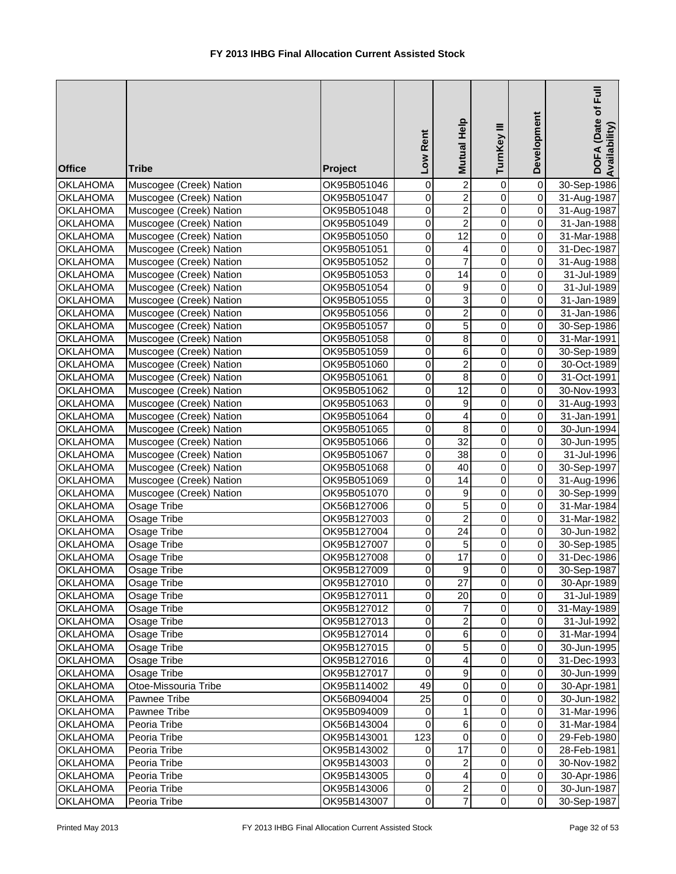| <b>Office</b>                      | <b>Tribe</b>                                       | Project                    | Low Rent                | Mutual Help             | TurnKey III      | Development                      | $\bar{E}$<br>DOFA (Date of<br>Availability |
|------------------------------------|----------------------------------------------------|----------------------------|-------------------------|-------------------------|------------------|----------------------------------|--------------------------------------------|
| <b>OKLAHOMA</b>                    | Muscogee (Creek) Nation                            | OK95B051046                | 0                       | $\overline{c}$          | $\mathbf 0$      | $\overline{0}$                   | 30-Sep-1986                                |
| <b>OKLAHOMA</b>                    | Muscogee (Creek) Nation                            | OK95B051047                | $\mathbf 0$             | $\overline{2}$          | $\mathbf 0$      | $\overline{0}$                   | 31-Aug-1987                                |
| <b>OKLAHOMA</b>                    | Muscogee (Creek) Nation                            | OK95B051048                | $\mathbf 0$             | $\overline{2}$          | $\mathbf 0$      | $\overline{0}$                   | 31-Aug-1987                                |
| <b>OKLAHOMA</b>                    | Muscogee (Creek) Nation                            | OK95B051049                | $\mathbf 0$             | $\overline{2}$          | $\overline{0}$   | $\overline{0}$                   | 31-Jan-1988                                |
| <b>OKLAHOMA</b>                    | Muscogee (Creek) Nation                            | OK95B051050                | $\mathbf 0$             | $\overline{12}$         | $\overline{0}$   | $\overline{0}$                   | 31-Mar-1988                                |
| <b>OKLAHOMA</b>                    | Muscogee (Creek) Nation                            | OK95B051051                | $\mathbf 0$             | 4                       | $\overline{0}$   | $\overline{0}$                   | 31-Dec-1987                                |
| <b>OKLAHOMA</b>                    | Muscogee (Creek) Nation                            | OK95B051052                | 0                       | 7                       | $\overline{0}$   | $\overline{0}$                   | 31-Aug-1988                                |
| <b>OKLAHOMA</b>                    | Muscogee (Creek) Nation                            | OK95B051053                | $\mathbf 0$             | 14                      | 0                | $\overline{0}$                   | 31-Jul-1989                                |
| <b>OKLAHOMA</b>                    | Muscogee (Creek) Nation                            | OK95B051054                | $\mathbf 0$             | 9                       | $\mathbf 0$      | $\overline{0}$                   | 31-Jul-1989                                |
| <b>OKLAHOMA</b>                    | Muscogee (Creek) Nation                            | OK95B051055                | 0                       | 3                       | $\mathbf 0$      | $\overline{0}$                   | 31-Jan-1989                                |
| OKLAHOMA                           | Muscogee (Creek) Nation                            | OK95B051056                | $\mathbf 0$             | $\overline{c}$          | $\mathbf 0$      | $\overline{0}$                   | 31-Jan-1986                                |
| <b>OKLAHOMA</b>                    | Muscogee (Creek) Nation                            | OK95B051057                | 0                       | 5                       | $\pmb{0}$        | $\overline{O}$                   | 30-Sep-1986                                |
| <b>OKLAHOMA</b>                    | Muscogee (Creek) Nation                            | OK95B051058                | $\mathbf 0$             | 8                       | $\pmb{0}$        | $\overline{0}$                   | 31-Mar-1991                                |
| <b>OKLAHOMA</b>                    | Muscogee (Creek) Nation                            | OK95B051059                | 0                       | 6                       | $\pmb{0}$        | οI                               | 30-Sep-1989                                |
| <b>OKLAHOMA</b>                    | Muscogee (Creek) Nation                            | OK95B051060                | $\mathbf 0$             | $\overline{\mathbf{c}}$ | $\mathbf 0$      | $\overline{0}$                   | 30-Oct-1989                                |
| <b>OKLAHOMA</b>                    | Muscogee (Creek) Nation                            | OK95B051061                | 0                       | 8<br>12                 | $\pmb{0}$        | $\overline{0}$<br>$\overline{0}$ | 31-Oct-1991                                |
| <b>OKLAHOMA</b>                    | Muscogee (Creek) Nation                            | OK95B051062                | 0<br>0                  |                         | 0<br>$\mathbf 0$ | οI                               | 30-Nov-1993                                |
| <b>OKLAHOMA</b>                    | Muscogee (Creek) Nation                            | OK95B051063                | 0                       | 9<br>4                  | $\mathbf 0$      | $\overline{0}$                   | 31-Aug-1993                                |
| <b>OKLAHOMA</b><br><b>OKLAHOMA</b> | Muscogee (Creek) Nation<br>Muscogee (Creek) Nation | OK95B051064                | $\overline{0}$          | $\overline{8}$          | $\mathbf 0$      | $\overline{0}$                   | 31-Jan-1991<br>30-Jun-1994                 |
| <b>OKLAHOMA</b>                    | Muscogee (Creek) Nation                            | OK95B051065<br>OK95B051066 | $\overline{0}$          | $\overline{32}$         | $\overline{0}$   | $\overline{O}$                   | 30-Jun-1995                                |
| <b>OKLAHOMA</b>                    | Muscogee (Creek) Nation                            | OK95B051067                | $\mathbf 0$             | 38                      | $\overline{0}$   | $\overline{0}$                   | 31-Jul-1996                                |
| <b>OKLAHOMA</b>                    | Muscogee (Creek) Nation                            | OK95B051068                | 0                       | 40                      | $\overline{0}$   | $\overline{0}$                   | 30-Sep-1997                                |
| <b>OKLAHOMA</b>                    | Muscogee (Creek) Nation                            | OK95B051069                | 0                       | $\overline{14}$         | $\overline{0}$   | $\overline{0}$                   | 31-Aug-1996                                |
| <b>OKLAHOMA</b>                    | Muscogee (Creek) Nation                            | OK95B051070                | 0                       | 9                       | $\mathbf 0$      | $\overline{0}$                   | 30-Sep-1999                                |
| <b>OKLAHOMA</b>                    | Osage Tribe                                        | OK56B127006                | 0                       | 5                       | 0                | $\overline{0}$                   | 31-Mar-1984                                |
| <b>OKLAHOMA</b>                    | Osage Tribe                                        | OK95B127003                | 0                       | $\overline{c}$          | 0                | $\overline{0}$                   | 31-Mar-1982                                |
| <b>OKLAHOMA</b>                    | Osage Tribe                                        | OK95B127004                | $\mathbf 0$             | $\overline{24}$         | $\mathbf 0$      | $\overline{0}$                   | 30-Jun-1982                                |
| <b>OKLAHOMA</b>                    | Osage Tribe                                        | OK95B127007                | 0                       | 5                       | $\pmb{0}$        | $\overline{O}$                   | 30-Sep-1985                                |
| <b>OKLAHOMA</b>                    | Osage Tribe                                        | OK95B127008                | 0                       | 17                      | $\pmb{0}$        | οI                               | 31-Dec-1986                                |
| <b>OKLAHOMA</b>                    | Osage Tribe                                        | OK95B127009                | $\overline{\mathsf{o}}$ | $\mathsf{Q}$            | $\overline{0}$   | $\overline{0}$                   | 30-Sep-1987                                |
| <b>OKLAHOMA</b>                    | Osage Tribe                                        | OK95B127010                | $\mathbf 0$             | 27                      | $\pmb{0}$        | $\overline{0}$                   | 30-Apr-1989                                |
| <b>OKLAHOMA</b>                    | Osage Tribe                                        | OK95B127011                | 0                       | 20                      | $\pmb{0}$        | οI                               | 31-Jul-1989                                |
| <b>OKLAHOMA</b>                    | Osage Tribe                                        | OK95B127012                | 0                       | 7                       | $\pmb{0}$        | οI                               | 31-May-1989                                |
| <b>OKLAHOMA</b>                    | Osage Tribe                                        | OK95B127013                | 0                       | $\overline{\mathbf{c}}$ | 0                | οI                               | 31-Jul-1992                                |
| <b>OKLAHOMA</b>                    | Osage Tribe                                        | OK95B127014                | $\mathbf 0$             | 6                       | $\pmb{0}$        | $\overline{0}$                   | 31-Mar-1994                                |
| <b>OKLAHOMA</b>                    | Osage Tribe                                        | OK95B127015                | $\mathbf 0$             | 5                       | $\pmb{0}$        | $\overline{0}$                   | 30-Jun-1995                                |
| <b>OKLAHOMA</b>                    | Osage Tribe                                        | OK95B127016                | $\pmb{0}$               | 4                       | $\pmb{0}$        | $\overline{0}$                   | 31-Dec-1993                                |
| <b>OKLAHOMA</b>                    | Osage Tribe                                        | OK95B127017                | $\mathbf 0$             | 9                       | $\pmb{0}$        | $\overline{0}$                   | 30-Jun-1999                                |
| <b>OKLAHOMA</b>                    | Otoe-Missouria Tribe                               | OK95B114002                | 49                      | $\pmb{0}$               | $\pmb{0}$        | $\overline{0}$                   | 30-Apr-1981                                |
| <b>OKLAHOMA</b>                    | Pawnee Tribe                                       | OK56B094004                | $\overline{25}$         | $\mathbf 0$             | $\pmb{0}$        | $\overline{O}$                   | 30-Jun-1982                                |
| <b>OKLAHOMA</b>                    | Pawnee Tribe                                       | OK95B094009                | $\mathbf 0$             | 1                       | 0                | $\overline{0}$                   | 31-Mar-1996                                |
| <b>OKLAHOMA</b>                    | Peoria Tribe                                       | OK56B143004                | 0                       | $\,6$                   | 0                | $\overline{0}$                   | 31-Mar-1984                                |
| <b>OKLAHOMA</b>                    | Peoria Tribe                                       | OK95B143001                | 123                     | $\mathbf 0$             | 0                | $\overline{0}$                   | 29-Feb-1980                                |
| <b>OKLAHOMA</b>                    | Peoria Tribe                                       | OK95B143002                | 0                       | 17                      | $\mathbf 0$      | $\overline{0}$                   | 28-Feb-1981                                |
| <b>OKLAHOMA</b>                    | Peoria Tribe                                       | OK95B143003                | 0                       | 2                       | $\pmb{0}$        | $\overline{0}$                   | 30-Nov-1982                                |
| <b>OKLAHOMA</b>                    | Peoria Tribe                                       | OK95B143005                | $\pmb{0}$               | 4                       | $\pmb{0}$        | $\overline{0}$                   | 30-Apr-1986                                |
| <b>OKLAHOMA</b>                    | Peoria Tribe                                       | OK95B143006                | $\,0\,$                 | $\boldsymbol{2}$        | $\mathbf 0$      | $\overline{0}$                   | 30-Jun-1987                                |
| <b>OKLAHOMA</b>                    | Peoria Tribe                                       | OK95B143007                | $\pmb{0}$               | $\overline{7}$          | $\mathbf 0$      | $\overline{0}$                   | 30-Sep-1987                                |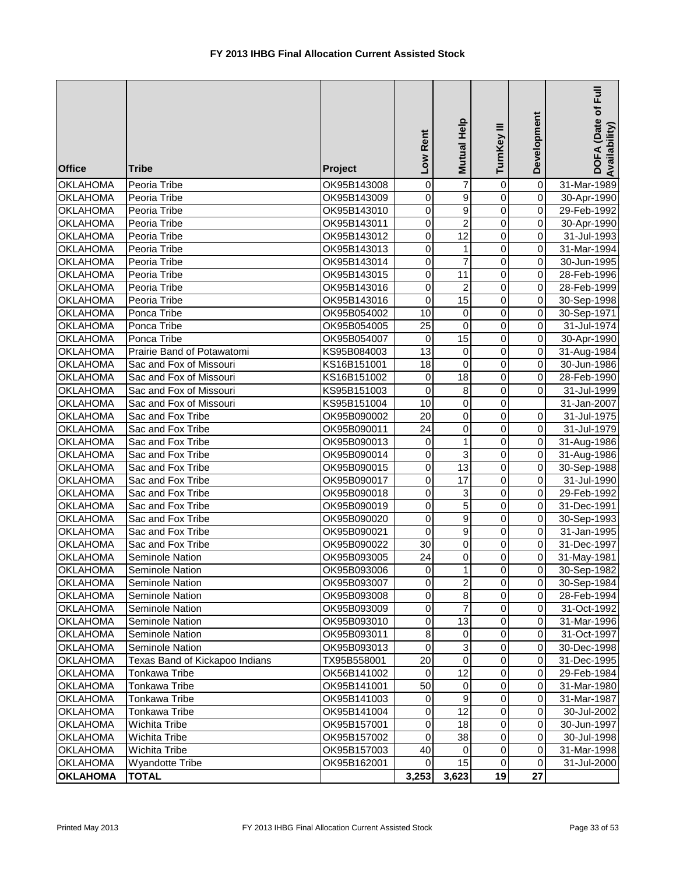| <b>Office</b>                      | <b>Tribe</b>                           | <b>Project</b>             | Low Rent                      | Mutual Help                    | TurnKey III                | Development                          | Full<br>DOFA (Date of<br>Availability |
|------------------------------------|----------------------------------------|----------------------------|-------------------------------|--------------------------------|----------------------------|--------------------------------------|---------------------------------------|
| <b>OKLAHOMA</b>                    | Peoria Tribe                           | OK95B143008                | 0                             | $\overline{7}$                 | 0                          | $\pmb{0}$                            | 31-Mar-1989                           |
| <b>OKLAHOMA</b>                    | Peoria Tribe                           | OK95B143009                | 0                             | $\overline{9}$                 | $\mathbf 0$                | $\mathbf 0$                          | 30-Apr-1990                           |
| <b>OKLAHOMA</b>                    | Peoria Tribe                           | OK95B143010                | $\overline{0}$                | $\overline{9}$                 | $\mathbf 0$                | $\pmb{0}$                            | 29-Feb-1992                           |
| <b>OKLAHOMA</b>                    | Peoria Tribe                           | OK95B143011                | $\overline{0}$                | $\overline{2}$                 | $\mathbf 0$                | $\overline{0}$                       | 30-Apr-1990                           |
| <b>OKLAHOMA</b>                    | Peoria Tribe                           | OK95B143012                | $\boldsymbol{0}$              | 12                             | $\mathbf 0$                | $\overline{0}$                       | 31-Jul-1993                           |
| <b>OKLAHOMA</b>                    | Peoria Tribe                           | OK95B143013                | $\boldsymbol{0}$              | $\mathbf{1}$                   | $\mathbf 0$                | $\pmb{0}$                            | 31-Mar-1994                           |
| <b>OKLAHOMA</b>                    | Peoria Tribe                           | OK95B143014                | $\mathsf 0$                   | $\overline{7}$                 | $\mathbf 0$                | $\pmb{0}$                            | 30-Jun-1995                           |
| <b>OKLAHOMA</b>                    | Peoria Tribe                           | OK95B143015                | 0                             | 11                             | 0                          | 0                                    | 28-Feb-1996                           |
| <b>OKLAHOMA</b>                    | Peoria Tribe                           | OK95B143016                | 0                             | $\overline{c}$                 | $\mathbf 0$                | 0                                    | 28-Feb-1999                           |
| <b>OKLAHOMA</b>                    | Peoria Tribe                           | OK95B143016                | $\mathbf 0$                   | $\overline{15}$                | $\mathbf 0$                | $\pmb{0}$                            | 30-Sep-1998                           |
| <b>OKLAHOMA</b>                    | Ponca Tribe                            | OK95B054002                | 10                            | $\mathbf 0$                    | $\mathbf 0$                | $\mathbf 0$                          | 30-Sep-1971                           |
| <b>OKLAHOMA</b>                    | Ponca Tribe                            | OK95B054005                | 25                            | $\pmb{0}$                      | 0                          | $\overline{0}$                       | 31-Jul-1974                           |
| <b>OKLAHOMA</b>                    | Ponca Tribe                            | OK95B054007                | $\mathbf 0$                   | 15                             | $\mathbf 0$                | $\overline{0}$                       | 30-Apr-1990                           |
| <b>OKLAHOMA</b>                    | Prairie Band of Potawatomi             | KS95B084003                | 13                            | $\pmb{0}$                      | $\mathbf 0$                | $\overline{0}$                       | 31-Aug-1984                           |
| <b>OKLAHOMA</b>                    | Sac and Fox of Missouri                | KS16B151001                | 18                            | $\mathbf 0$                    | $\mathbf 0$                | $\mathbf 0$                          | 30-Jun-1986                           |
| <b>OKLAHOMA</b>                    | Sac and Fox of Missouri                | KS16B151002                | 0                             | 18                             | $\mathbf 0$                | $\pmb{0}$                            | 28-Feb-1990                           |
| <b>OKLAHOMA</b>                    | Sac and Fox of Missouri                | KS95B151003                | 0                             | 8                              | 0                          | $\overline{0}$                       | 31-Jul-1999                           |
| <b>OKLAHOMA</b>                    | Sac and Fox of Missouri                | KS95B151004                | 10                            | $\pmb{0}$                      | $\mathbf 0$                |                                      | 31-Jan-2007                           |
| <b>OKLAHOMA</b>                    | Sac and Fox Tribe                      | OK95B090002                | 20                            | $\overline{0}$                 | $\mathbf 0$                | $\mathbf 0$                          | 31-Jul-1975                           |
| <b>OKLAHOMA</b>                    | Sac and Fox Tribe                      | OK95B090011                | 24                            | $\mathbf 0$                    | $\mathbf 0$                | $\overline{0}$                       | 31-Jul-1979                           |
| <b>OKLAHOMA</b>                    | Sac and Fox Tribe                      | OK95B090013                | $\mathbf 0$<br>$\overline{0}$ | $\mathbf{1}$<br>$\overline{3}$ | $\mathbf 0$<br>$\mathbf 0$ | $\pmb{0}$<br>$\overline{\mathsf{o}}$ | 31-Aug-1986                           |
| <b>OKLAHOMA</b>                    | Sac and Fox Tribe                      | OK95B090014                |                               | $\overline{13}$                | $\mathbf 0$                | $\pmb{0}$                            | 31-Aug-1986                           |
| <b>OKLAHOMA</b><br><b>OKLAHOMA</b> | Sac and Fox Tribe<br>Sac and Fox Tribe | OK95B090015<br>OK95B090017 | 0<br>$\mathsf 0$              | $\overline{17}$                | $\mathbf 0$                | $\overline{\mathsf{o}}$              | 30-Sep-1988<br>31-Jul-1990            |
| <b>OKLAHOMA</b>                    | Sac and Fox Tribe                      | OK95B090018                | 0                             | $\overline{3}$                 | 0                          | $\pmb{0}$                            | 29-Feb-1992                           |
| <b>OKLAHOMA</b>                    | Sac and Fox Tribe                      | OK95B090019                | 0                             | $\overline{5}$                 | $\mathbf 0$                | $\overline{0}$                       | 31-Dec-1991                           |
| <b>OKLAHOMA</b>                    | Sac and Fox Tribe                      | OK95B090020                | 0                             | $\overline{9}$                 | $\mathbf 0$                | $\overline{0}$                       | 30-Sep-1993                           |
| <b>OKLAHOMA</b>                    | Sac and Fox Tribe                      | OK95B090021                | $\mathbf 0$                   | $\overline{9}$                 | $\mathbf 0$                | $\overline{\mathsf{o}}$              | 31-Jan-1995                           |
| <b>OKLAHOMA</b>                    | Sac and Fox Tribe                      | OK95B090022                | 30                            | $\pmb{0}$                      | $\mathbf 0$                | $\overline{0}$                       | 31-Dec-1997                           |
| <b>OKLAHOMA</b>                    | Seminole Nation                        | OK95B093005                | 24                            | $\pmb{0}$                      | $\mathbf 0$                | $\overline{0}$                       | 31-May-1981                           |
| <b>OKLAHOMA</b>                    | Seminole Nation                        | OK95B093006                | $\Omega$                      | $\mathbf{1}$                   | $\Omega$                   | $\overline{0}$                       | 30-Sep-1982                           |
| <b>OKLAHOMA</b>                    | Seminole Nation                        | OK95B093007                | 0                             | $\overline{c}$                 | 0                          | $\overline{0}$                       | 30-Sep-1984                           |
| <b>OKLAHOMA</b>                    | Seminole Nation                        | OK95B093008                | 0                             | $\bf8$                         | 0                          | $\Omega$                             | 28-Feb-1994                           |
| <b>OKLAHOMA</b>                    | Seminole Nation                        | OK95B093009                | 0                             | 7                              | 0                          | $\overline{0}$                       | 31-Oct-1992                           |
| <b>OKLAHOMA</b>                    | Seminole Nation                        | OK95B093010                | 0                             | 13                             | 0                          | $\overline{0}$                       | 31-Mar-1996                           |
| <b>OKLAHOMA</b>                    | Seminole Nation                        | OK95B093011                | 8                             | $\mathbf 0$                    | 0                          | $\overline{0}$                       | 31-Oct-1997                           |
| <b>OKLAHOMA</b>                    | Seminole Nation                        | OK95B093013                | $\boldsymbol{0}$              | $\ensuremath{\mathsf{3}}$      | 0                          | $\mathbf 0$                          | 30-Dec-1998                           |
| <b>OKLAHOMA</b>                    | Texas Band of Kickapoo Indians         | TX95B558001                | 20                            | $\pmb{0}$                      | 0                          | $\mathbf 0$                          | 31-Dec-1995                           |
| <b>OKLAHOMA</b>                    | Tonkawa Tribe                          | OK56B141002                | $\mathbf 0$                   | 12                             | 0                          | $\mathbf 0$                          | 29-Feb-1984                           |
| <b>OKLAHOMA</b>                    | Tonkawa Tribe                          | OK95B141001                | 50                            | $\pmb{0}$                      | 0                          | $\mathbf 0$                          | 31-Mar-1980                           |
| <b>OKLAHOMA</b>                    | Tonkawa Tribe                          | OK95B141003                | $\mathbf 0$                   | $\overline{9}$                 | 0                          | $\pmb{0}$                            | 31-Mar-1987                           |
| <b>OKLAHOMA</b>                    | Tonkawa Tribe                          | OK95B141004                | 0                             | $\overline{12}$                | 0                          | $\mathbf 0$                          | 30-Jul-2002                           |
| <b>OKLAHOMA</b>                    | Wichita Tribe                          | OK95B157001                | 0                             | 18                             | 0                          | $\mathbf 0$                          | 30-Jun-1997                           |
| <b>OKLAHOMA</b>                    | Wichita Tribe                          | OK95B157002                | 0                             | 38                             | 0                          | $\overline{0}$                       | 30-Jul-1998                           |
| <b>OKLAHOMA</b>                    | Wichita Tribe                          | OK95B157003                | 40                            | 0                              | 0                          | $\pmb{0}$                            | 31-Mar-1998                           |
| <b>OKLAHOMA</b>                    | <b>Wyandotte Tribe</b>                 | OK95B162001                | $\mathbf 0$                   | 15                             | $\pmb{0}$                  | $\mathbf 0$                          | 31-Jul-2000                           |
| <b>OKLAHOMA</b>                    | <b>TOTAL</b>                           |                            | 3,253                         | 3,623                          | 19                         | 27                                   |                                       |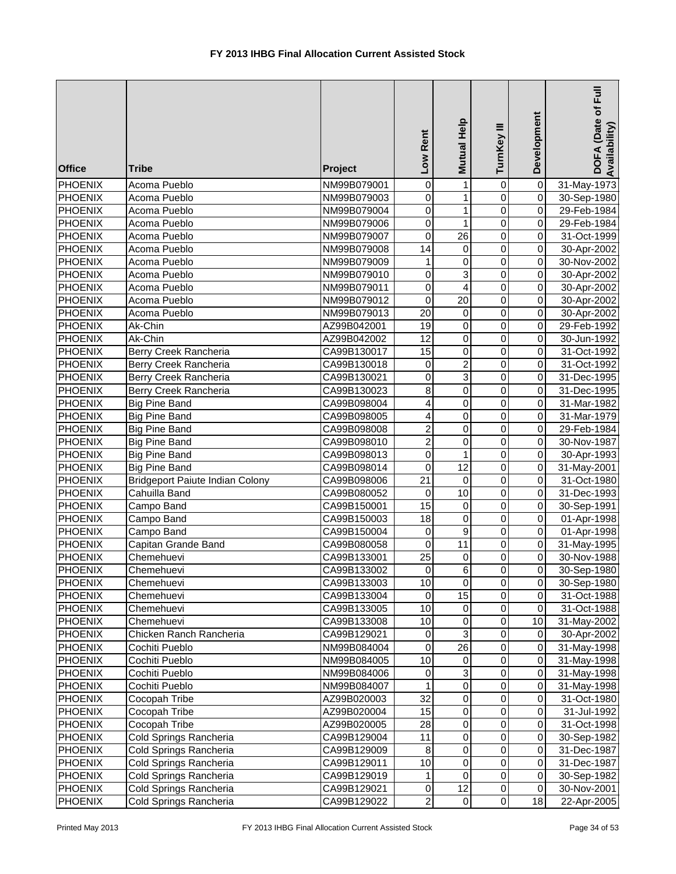| <b>Office</b>  | <b>Tribe</b>                           | Project     | Low Rent                | Mutual Help               | TurnKey III             | Development         | $\bar{E}$<br>DOFA (Date of<br>Availability) |
|----------------|----------------------------------------|-------------|-------------------------|---------------------------|-------------------------|---------------------|---------------------------------------------|
| <b>PHOENIX</b> | Acoma Pueblo                           | NM99B079001 | $\mathbf 0$             | 1                         | $\mathbf 0$             | $\pmb{0}$           | 31-May-1973                                 |
| <b>PHOENIX</b> | Acoma Pueblo                           | NM99B079003 | $\mathbf 0$             | $\mathbf{1}$              | $\overline{0}$          | $\overline{0}$      | 30-Sep-1980                                 |
| <b>PHOENIX</b> | Acoma Pueblo                           | NM99B079004 | $\overline{0}$          | $\mathbf{1}$              | $\overline{0}$          | $\mathsf{O}\xspace$ | 29-Feb-1984                                 |
| <b>PHOENIX</b> | Acoma Pueblo                           | NM99B079006 | $\mathbf 0$             | $\mathbf{1}$              | $\overline{0}$          | $\mathsf{O}\xspace$ | 29-Feb-1984                                 |
| PHOENIX        | Acoma Pueblo                           | NM99B079007 | $\mathbf 0$             | $\overline{26}$           | 0                       | $\mathsf{O}\xspace$ | 31-Oct-1999                                 |
| PHOENIX        | Acoma Pueblo                           | NM99B079008 | $\overline{14}$         | 0                         | 0                       | $\mathsf{O}\xspace$ | 30-Apr-2002                                 |
| PHOENIX        | Acoma Pueblo                           | NM99B079009 | 1                       | $\mathbf 0$               | 0                       | 0                   | 30-Nov-2002                                 |
| <b>PHOENIX</b> | Acoma Pueblo                           | NM99B079010 | 0                       | $\ensuremath{\mathsf{3}}$ | 0                       | $\mathbf 0$         | 30-Apr-2002                                 |
| PHOENIX        | Acoma Pueblo                           | NM99B079011 | 0                       | $\overline{\mathbf{4}}$   | 0                       | $\mathbf 0$         | 30-Apr-2002                                 |
| PHOENIX        | Acoma Pueblo                           | NM99B079012 | $\mathbf 0$             | $\overline{20}$           | $\mathbf 0$             | O                   | 30-Apr-2002                                 |
| PHOENIX        | Acoma Pueblo                           | NM99B079013 | 20                      | 0                         | $\pmb{0}$               | $\overline{0}$      | 30-Apr-2002                                 |
| PHOENIX        | Ak-Chin                                | AZ99B042001 | 19                      | $\mathbf 0$               | $\pmb{0}$               | $\mathsf{O}\xspace$ | 29-Feb-1992                                 |
| PHOENIX        | Ak-Chin                                | AZ99B042002 | 12                      | $\mathbf 0$               | 0                       | $\mathsf{O}\xspace$ | 30-Jun-1992                                 |
| PHOENIX        | Berry Creek Rancheria                  | CA99B130017 | 15                      | $\mathbf 0$               | 0                       | $\mathsf{O}$        | 31-Oct-1992                                 |
| <b>PHOENIX</b> | Berry Creek Rancheria                  | CA99B130018 | 0                       | $\boldsymbol{2}$          | 0                       | 0                   | 31-Oct-1992                                 |
| <b>PHOENIX</b> | Berry Creek Rancheria                  | CA99B130021 | 0                       | $\ensuremath{\mathsf{3}}$ | 0                       | $\overline{O}$      | 31-Dec-1995                                 |
| <b>PHOENIX</b> | Berry Creek Rancheria                  | CA99B130023 | 8                       | $\mathbf 0$               | $\mathbf 0$             | $\mathbf 0$         | 31-Dec-1995                                 |
| <b>PHOENIX</b> | <b>Big Pine Band</b>                   | CA99B098004 | $\overline{\mathbf{4}}$ | $\mathbf 0$               | $\overline{0}$          | $\mathbf 0$         | 31-Mar-1982                                 |
| <b>PHOENIX</b> | <b>Big Pine Band</b>                   | CA99B098005 | $\overline{4}$          | $\overline{0}$            | $\overline{0}$          | $\mathbf 0$         | 31-Mar-1979                                 |
| PHOENIX        | <b>Big Pine Band</b>                   | CA99B098008 | $\overline{c}$          | $\overline{0}$            | $\overline{0}$          | $\pmb{0}$           | 29-Feb-1984                                 |
| <b>PHOENIX</b> | <b>Big Pine Band</b>                   | CA99B098010 | $\overline{2}$          | $\overline{0}$            | $\overline{0}$          | $\pmb{0}$           | 30-Nov-1987                                 |
| <b>PHOENIX</b> | <b>Big Pine Band</b>                   | CA99B098013 | $\overline{0}$          | $\mathbf{1}$              | $\overline{0}$          | $\overline{0}$      | 30-Apr-1993                                 |
| PHOENIX        | <b>Big Pine Band</b>                   | CA99B098014 | $\overline{0}$          | 12                        | $\overline{0}$          | $\overline{0}$      | 31-May-2001                                 |
| <b>PHOENIX</b> | <b>Bridgeport Paiute Indian Colony</b> | CA99B098006 | $\overline{21}$         | $\pmb{0}$                 | 0                       | 0                   | 31-Oct-1980                                 |
| <b>PHOENIX</b> | Cahuilla Band                          | CA99B080052 | 0                       | 10                        | 0                       | $\overline{0}$      | 31-Dec-1993                                 |
| <b>PHOENIX</b> | Campo Band                             | CA99B150001 | $\overline{15}$         | $\pmb{0}$                 | 0                       | O                   | 30-Sep-1991                                 |
| <b>PHOENIX</b> | Campo Band                             | CA99B150003 | 18                      | $\overline{0}$            | $\mathbf 0$             | $\overline{0}$      | 01-Apr-1998                                 |
| PHOENIX        | Campo Band                             | CA99B150004 | 0                       | 9                         | $\pmb{0}$               | $\overline{0}$      | 01-Apr-1998                                 |
| PHOENIX        | Capitan Grande Band                    | CA99B080058 | $\mathbf 0$             | 11                        | 0                       | $\overline{0}$      | 31-May-1995                                 |
| <b>PHOENIX</b> | Chemehuevi                             | CA99B133001 | 25                      | $\mathbf 0$               | 0                       | $\mathsf{O}\xspace$ | 30-Nov-1988                                 |
| PHOENIX        | Chemehuevi                             | CA99B133002 | $\overline{0}$          | $\overline{6}$            | $\overline{\mathsf{o}}$ | $\overline{0}$      | 30-Sep-1980                                 |
| PHOENIX        | Chemehuevi                             | CA99B133003 | 10                      | 0                         | 0                       | 0                   | 30-Sep-1980                                 |
| PHOENIX        | Chemehuevi                             | CA99B133004 | 0                       | 15                        | 0                       | $\overline{O}$      | 31-Oct-1988                                 |
| PHOENIX        | Chemehuevi                             | CA99B133005 | 10                      | 0                         | $\mathbf 0$             | $\overline{O}$      | 31-Oct-1988                                 |
| <b>PHOENIX</b> | Chemehuevi                             | CA99B133008 | 10                      | $\pmb{0}$                 | $\pmb{0}$               | 10                  | 31-May-2002                                 |
| <b>PHOENIX</b> | Chicken Ranch Rancheria                | CA99B129021 | $\mathbf 0$             | $\ensuremath{\mathsf{3}}$ | $\pmb{0}$               | 0                   | 30-Apr-2002                                 |
| PHOENIX        | Cochiti Pueblo                         | NM99B084004 | $\mathbf 0$             | 26                        | $\pmb{0}$               | $\mathbf 0$         | 31-May-1998                                 |
| <b>PHOENIX</b> | Cochiti Pueblo                         | NM99B084005 | 10                      | $\pmb{0}$                 | $\pmb{0}$               | $\mathsf{O}\xspace$ | 31-May-1998                                 |
| <b>PHOENIX</b> | Cochiti Pueblo                         | NM99B084006 | $\pmb{0}$               | $\ensuremath{\mathsf{3}}$ | $\pmb{0}$               | $\pmb{0}$           | 31-May-1998                                 |
| <b>PHOENIX</b> | Cochiti Pueblo                         | NM99B084007 | 1                       | $\overline{0}$            | 0                       | $\mathsf{O}\xspace$ | 31-May-1998                                 |
| PHOENIX        | Cocopah Tribe                          | AZ99B020003 | $\overline{32}$         | $\pmb{0}$                 | 0                       | 0                   | 31-Oct-1980                                 |
| PHOENIX        | Cocopah Tribe                          | AZ99B020004 | 15                      | $\pmb{0}$                 | 0                       | $\pmb{0}$           | 31-Jul-1992                                 |
| PHOENIX        | Cocopah Tribe                          | AZ99B020005 | 28                      | $\pmb{0}$                 | 0                       | $\mathsf{O}\xspace$ | 31-Oct-1998                                 |
| PHOENIX        | Cold Springs Rancheria                 | CA99B129004 | 11                      | $\overline{0}$            | 0                       | $\mathsf{O}\xspace$ | 30-Sep-1982                                 |
| PHOENIX        | Cold Springs Rancheria                 | CA99B129009 | 8                       | $\pmb{0}$                 | 0                       | 0                   | 31-Dec-1987                                 |
| PHOENIX        | Cold Springs Rancheria                 | CA99B129011 | 10                      | 0                         | 0                       | 0                   | 31-Dec-1987                                 |
| PHOENIX        | Cold Springs Rancheria                 | CA99B129019 | 1                       | 0                         | $\pmb{0}$               | 0                   | 30-Sep-1982                                 |
| <b>PHOENIX</b> | Cold Springs Rancheria                 | CA99B129021 | $\,0\,$                 | 12                        | $\pmb{0}$               | 0                   | 30-Nov-2001                                 |
| PHOENIX        | Cold Springs Rancheria                 | CA99B129022 | $\overline{2}$          | $\pmb{0}$                 | $\pmb{0}$               | 18                  | 22-Apr-2005                                 |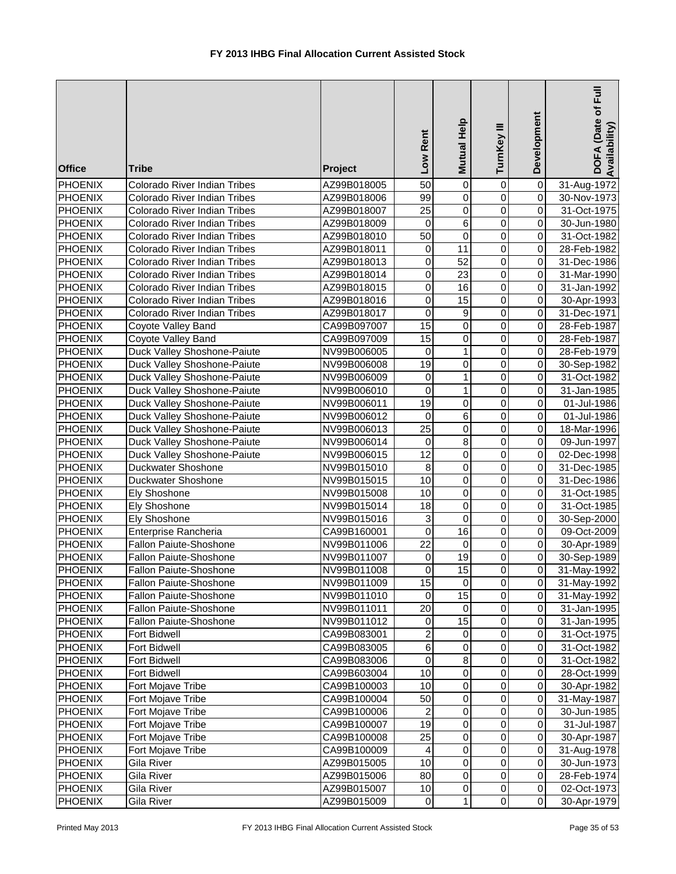| <b>Office</b>                    | <b>Tribe</b>                        | Project                    | Low Rent                | Mutual Help                      | TurnKey III                      | Development                 | DOFA (Date of Full<br>Availability) |
|----------------------------------|-------------------------------------|----------------------------|-------------------------|----------------------------------|----------------------------------|-----------------------------|-------------------------------------|
| <b>PHOENIX</b>                   | Colorado River Indian Tribes        | AZ99B018005                | 50                      | $\mathbf 0$                      | 0                                | $\pmb{0}$                   | 31-Aug-1972                         |
| <b>PHOENIX</b>                   | Colorado River Indian Tribes        | AZ99B018006                | 99                      | $\mathbf 0$                      | $\mathbf 0$                      | $\overline{\mathsf{o}}$     | 30-Nov-1973                         |
| <b>PHOENIX</b>                   | Colorado River Indian Tribes        | AZ99B018007                | $\overline{25}$         | $\pmb{0}$                        | $\mathbf 0$                      | $\overline{0}$              | 31-Oct-1975                         |
| <b>PHOENIX</b>                   | Colorado River Indian Tribes        | AZ99B018009                | $\mathbf 0$             | $\overline{6}$                   | $\overline{0}$                   | $\overline{0}$              | 30-Jun-1980                         |
| <b>PHOENIX</b>                   | Colorado River Indian Tribes        | AZ99B018010                | $\overline{50}$         | $\mathbf 0$                      | $\overline{0}$                   | $\overline{0}$              | 31-Oct-1982                         |
| <b>PHOENIX</b>                   | Colorado River Indian Tribes        | AZ99B018011                | 0                       | 11                               | $\overline{0}$                   | $\overline{0}$              | 28-Feb-1982                         |
| <b>PHOENIX</b>                   | Colorado River Indian Tribes        | AZ99B018013                | 0                       | $\overline{52}$                  | $\overline{0}$                   | $\pmb{0}$                   | 31-Dec-1986                         |
| <b>PHOENIX</b>                   | Colorado River Indian Tribes        | AZ99B018014                | 0                       | $\overline{23}$                  | 0                                | $\pmb{0}$                   | 31-Mar-1990                         |
| <b>PHOENIX</b>                   | Colorado River Indian Tribes        | AZ99B018015                | 0                       | 16                               | 0                                | $\overline{0}$              | 31-Jan-1992                         |
| PHOENIX                          | Colorado River Indian Tribes        | AZ99B018016                | 0                       | 15                               | $\mathbf 0$                      | $\overline{0}$              | 30-Apr-1993                         |
| <b>PHOENIX</b>                   | Colorado River Indian Tribes        | AZ99B018017                | 0                       | $\boldsymbol{9}$                 | $\mathbf 0$                      | $\overline{0}$              | 31-Dec-1971                         |
| <b>PHOENIX</b>                   | Coyote Valley Band                  | CA99B097007                | 15                      | $\pmb{0}$                        | $\pmb{0}$                        | $\overline{0}$              | 28-Feb-1987                         |
| PHOENIX                          | Coyote Valley Band                  | CA99B097009                | 15                      | $\pmb{0}$                        | $\pmb{0}$                        | $\overline{0}$              | 28-Feb-1987                         |
| <b>PHOENIX</b>                   | Duck Valley Shoshone-Paiute         | NV99B006005                | 0                       | $\mathbf{1}$                     | $\pmb{0}$                        | $\overline{0}$              | 28-Feb-1979                         |
| <b>PHOENIX</b>                   | Duck Valley Shoshone-Paiute         | NV99B006008                | 19                      | $\mathbf 0$                      | $\mathbf 0$                      | $\overline{0}$              | 30-Sep-1982                         |
| <b>PHOENIX</b>                   | Duck Valley Shoshone-Paiute         | NV99B006009                | 0                       | 1                                | $\mathbf 0$                      | $\overline{0}$              | 31-Oct-1982                         |
| <b>PHOENIX</b>                   | Duck Valley Shoshone-Paiute         | NV99B006010                | 0                       | 1                                | 0                                | $\overline{0}$              | 31-Jan-1985                         |
| <b>PHOENIX</b>                   | Duck Valley Shoshone-Paiute         | NV99B006011                | 19                      | $\pmb{0}$                        | $\mathbf 0$                      | $\overline{0}$              | 01-Jul-1986                         |
| <b>PHOENIX</b>                   | Duck Valley Shoshone-Paiute         | NV99B006012                | $\mathbf 0$             | $\overline{6}$                   | $\overline{0}$                   | $\overline{0}$              | 01-Jul-1986                         |
| <b>PHOENIX</b>                   | Duck Valley Shoshone-Paiute         | NV99B006013                | $\overline{25}$         | $\overline{0}$                   | $\overline{0}$                   | $\overline{0}$              | 18-Mar-1996                         |
| <b>PHOENIX</b>                   | Duck Valley Shoshone-Paiute         | NV99B006014                | $\mathbf 0$             | $\overline{8}$                   | $\overline{0}$                   | $\overline{0}$              | 09-Jun-1997                         |
| <b>PHOENIX</b>                   | Duck Valley Shoshone-Paiute         | NV99B006015                | $\overline{12}$         | $\overline{0}$                   | $\overline{0}$<br>$\overline{0}$ | $\overline{0}$              | 02-Dec-1998                         |
| <b>PHOENIX</b>                   | Duckwater Shoshone                  | NV99B015010                | $\overline{8}$<br>10    | $\overline{0}$<br>$\overline{0}$ | $\overline{0}$                   | $\pmb{0}$                   | 31-Dec-1985                         |
| <b>PHOENIX</b>                   | Duckwater Shoshone                  | NV99B015015                | 10                      | $\pmb{0}$                        |                                  | $\pmb{0}$<br>$\overline{0}$ | 31-Dec-1986                         |
| <b>PHOENIX</b>                   | <b>Ely Shoshone</b>                 | NV99B015008                | $\overline{18}$         | $\pmb{0}$                        | 0                                | $\overline{0}$              | 31-Oct-1985                         |
| <b>PHOENIX</b><br><b>PHOENIX</b> | <b>Ely Shoshone</b><br>Ely Shoshone | NV99B015014<br>NV99B015016 | 3                       | $\mathbf 0$                      | 0<br>0                           | $\overline{0}$              | 31-Oct-1985                         |
| <b>PHOENIX</b>                   | Enterprise Rancheria                | CA99B160001                | 0                       | 16                               | $\mathbf 0$                      | $\overline{0}$              | 30-Sep-2000<br>09-Oct-2009          |
| <b>PHOENIX</b>                   | Fallon Paiute-Shoshone              | NV99B011006                | 22                      | $\pmb{0}$                        | $\pmb{0}$                        | $\overline{0}$              | 30-Apr-1989                         |
| PHOENIX                          | Fallon Paiute-Shoshone              | NV99B011007                | 0                       | 19                               | $\pmb{0}$                        | $\overline{0}$              | 30-Sep-1989                         |
| PHOENIX                          | Fallon Paiute-Shoshone              | NV99B011008                | $\Omega$                | 15                               | $\overline{0}$                   | $\overline{0}$              | 31-May-1992                         |
| <b>PHOENIX</b>                   | Fallon Paiute-Shoshone              | NV99B011009                | 15                      | $\pmb{0}$                        | 0                                | 0                           | 31-May-1992                         |
| <b>PHOENIX</b>                   | Fallon Paiute-Shoshone              | NV99B011010                | 0                       | 15                               | $\mathbf 0$                      | $\overline{0}$              | 31-May-1992                         |
| <b>PHOENIX</b>                   | Fallon Paiute-Shoshone              | NV99B011011                | 20                      | 0                                | $\mathbf 0$                      | $\overline{O}$              | 31-Jan-1995                         |
| <b>PHOENIX</b>                   | Fallon Paiute-Shoshone              | NV99B011012                | 0                       | 15                               | 0                                | $\overline{0}$              | 31-Jan-1995                         |
| <b>PHOENIX</b>                   | <b>Fort Bidwell</b>                 | CA99B083001                | 2                       | 0                                | 0                                | $\overline{O}$              | 31-Oct-1975                         |
| <b>PHOENIX</b>                   | Fort Bidwell                        | CA99B083005                | $\,6$                   | $\pmb{0}$                        | $\pmb{0}$                        | $\overline{0}$              | 31-Oct-1982                         |
| <b>PHOENIX</b>                   | Fort Bidwell                        | CA99B083006                | 0                       | $\bf8$                           | $\pmb{0}$                        | $\Omega$                    | 31-Oct-1982                         |
| PHOENIX                          | <b>Fort Bidwell</b>                 | CA99B603004                | 10                      | $\pmb{0}$                        | $\pmb{0}$                        | $\overline{0}$              | 28-Oct-1999                         |
| PHOENIX                          | Fort Mojave Tribe                   | CA99B100003                | 10                      | $\pmb{0}$                        | $\pmb{0}$                        | $\overline{0}$              | 30-Apr-1982                         |
| <b>PHOENIX</b>                   | Fort Mojave Tribe                   | CA99B100004                | 50                      | $\mathbf 0$                      | $\pmb{0}$                        | $\overline{0}$              | 31-May-1987                         |
| <b>PHOENIX</b>                   | Fort Mojave Tribe                   | CA99B100006                | $\overline{\mathbf{c}}$ | $\,0\,$                          | 0                                | $\Omega$                    | 30-Jun-1985                         |
| <b>PHOENIX</b>                   | Fort Mojave Tribe                   | CA99B100007                | 19                      | $\,0\,$                          | 0                                | $\overline{0}$              | 31-Jul-1987                         |
| <b>PHOENIX</b>                   | Fort Mojave Tribe                   | CA99B100008                | 25                      | $\pmb{0}$                        | 0                                | $\overline{0}$              | 30-Apr-1987                         |
| <b>PHOENIX</b>                   | Fort Mojave Tribe                   | CA99B100009                | 4                       | $\pmb{0}$                        | 0                                | $\overline{0}$              | 31-Aug-1978                         |
| <b>PHOENIX</b>                   | Gila River                          | AZ99B015005                | 10                      | $\mathbf 0$                      | $\pmb{0}$                        | $\overline{0}$              | 30-Jun-1973                         |
| <b>PHOENIX</b>                   | Gila River                          | AZ99B015006                | 80                      | $\pmb{0}$                        | $\pmb{0}$                        | $\overline{0}$              | 28-Feb-1974                         |
| <b>PHOENIX</b>                   | Gila River                          | AZ99B015007                | 10                      | $\pmb{0}$                        | $\pmb{0}$                        | $\overline{0}$              | 02-Oct-1973                         |
| <b>PHOENIX</b>                   | Gila River                          | AZ99B015009                | $\mathbf 0$             | $\mathbf{1}$                     | $\pmb{0}$                        | $\overline{O}$              | 30-Apr-1979                         |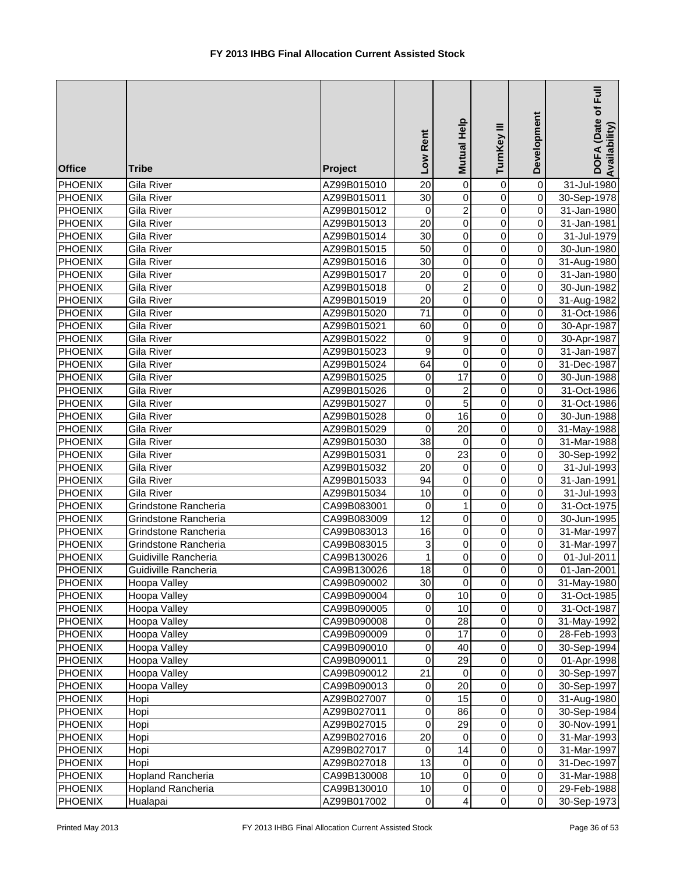| <b>Office</b>  | <b>Tribe</b>         | Project     | Low Rent         | Help<br><b>Mutual</b>   | Ξ<br>TurnKey            | Development    | DOFA (Date of Full<br>Availability |
|----------------|----------------------|-------------|------------------|-------------------------|-------------------------|----------------|------------------------------------|
| <b>PHOENIX</b> | Gila River           | AZ99B015010 | 20               | $\pmb{0}$               | $\mathbf 0$             | 0              | 31-Jul-1980                        |
| <b>PHOENIX</b> | Gila River           | AZ99B015011 | 30               | $\overline{0}$          | $\mathbf 0$             | $\overline{0}$ | 30-Sep-1978                        |
| <b>PHOENIX</b> | Gila River           | AZ99B015012 | 0                | $\overline{c}$          | $\mathbf 0$             | $\mathbf 0$    | 31-Jan-1980                        |
| <b>PHOENIX</b> | Gila River           | AZ99B015013 | $\overline{20}$  | $\overline{0}$          | $\mathbf 0$             | $\mathbf 0$    | 31-Jan-1981                        |
| <b>PHOENIX</b> | Gila River           | AZ99B015014 | 30               | $\overline{0}$          | $\mathbf 0$             | $\mathbf 0$    | 31-Jul-1979                        |
| PHOENIX        | Gila River           | AZ99B015015 | 50               | $\overline{0}$          | $\mathbf 0$             | $\mathbf 0$    | 30-Jun-1980                        |
| PHOENIX        | Gila River           | AZ99B015016 | 30               | $\mathbf 0$             | 0                       | 0              | 31-Aug-1980                        |
| PHOENIX        | Gila River           | AZ99B015017 | 20               | 0                       | 0                       | 0              | 31-Jan-1980                        |
| <b>PHOENIX</b> | Gila River           | AZ99B015018 | 0                | $\overline{\mathbf{c}}$ | $\mathbf 0$             | 0              | 30-Jun-1982                        |
| <b>PHOENIX</b> | Gila River           | AZ99B015019 | $\overline{20}$  | $\overline{0}$          | $\mathbf 0$             | $\overline{0}$ | 31-Aug-1982                        |
| <b>PHOENIX</b> | Gila River           | AZ99B015020 | 71               | $\mathbf 0$             | 0                       | $\mathbf 0$    | 31-Oct-1986                        |
| PHOENIX        | Gila River           | AZ99B015021 | 60               | $\mbox{O}$              | 0                       | $\mathbf 0$    | 30-Apr-1987                        |
| PHOENIX        | Gila River           | AZ99B015022 | 0                | 9                       | 0                       | $\overline{0}$ | 30-Apr-1987                        |
| PHOENIX        | Gila River           | AZ99B015023 | 9                | $\mathbf 0$             | $\mathbf 0$             | $\mathbf 0$    | 31-Jan-1987                        |
| PHOENIX        | Gila River           | AZ99B015024 | 64               | 0                       | 0                       | 0              | 31-Dec-1987                        |
| <b>PHOENIX</b> | Gila River           | AZ99B015025 | 0                | 17                      | 0                       | $\mathbf 0$    | 30-Jun-1988                        |
| <b>PHOENIX</b> | Gila River           | AZ99B015026 | 0                | $\overline{c}$          | 0                       | $\mathbf 0$    | 31-Oct-1986                        |
| <b>PHOENIX</b> | Gila River           | AZ99B015027 | 0                | $\overline{5}$          | $\mathbf 0$             | $\mathbf 0$    | 31-Oct-1986                        |
| PHOENIX        | Gila River           | AZ99B015028 | $\overline{0}$   | 16                      | $\overline{0}$          | $\mathbf 0$    | 30-Jun-1988                        |
| <b>PHOENIX</b> | Gila River           | AZ99B015029 | $\boldsymbol{0}$ | $\overline{20}$         | $\overline{0}$          | $\mathbf 0$    | 31-May-1988                        |
| <b>PHOENIX</b> | Gila River           | AZ99B015030 | $\overline{38}$  | $\mathbf 0$             | $\mathbf 0$             | $\mathbf 0$    | 31-Mar-1988                        |
| PHOENIX        | Gila River           | AZ99B015031 | $\boldsymbol{0}$ | $\overline{23}$         | $\overline{0}$          | $\mathbf 0$    | 30-Sep-1992                        |
| PHOENIX        | Gila River           | AZ99B015032 | $\overline{20}$  | $\overline{0}$          | $\overline{0}$          | $\overline{0}$ | 31-Jul-1993                        |
| PHOENIX        | Gila River           | AZ99B015033 | 94               | $\mathbf 0$             | 0                       | 0              | 31-Jan-1991                        |
| <b>PHOENIX</b> | Gila River           | AZ99B015034 | 10               | $\mathbf 0$             | 0                       | 0              | 31-Jul-1993                        |
| <b>PHOENIX</b> | Grindstone Rancheria | CA99B083001 | $\mathbf 0$      | $\mathbf{1}$            | 0                       | $\overline{0}$ | 31-Oct-1975                        |
| <b>PHOENIX</b> | Grindstone Rancheria | CA99B083009 | $\overline{12}$  | $\overline{0}$          | $\mathbf 0$             | $\overline{0}$ | 30-Jun-1995                        |
| PHOENIX        | Grindstone Rancheria | CA99B083013 | 16               | $\mathbf 0$             | 0                       | $\mathbf 0$    | 31-Mar-1997                        |
| PHOENIX        | Grindstone Rancheria | CA99B083015 | 3                | $\pmb{0}$               | 0                       | $\mathbf 0$    | 31-Mar-1997                        |
| <b>PHOENIX</b> | Guidiville Rancheria | CA99B130026 | 1                | $\pmb{0}$               | 0                       | $\Omega$       | 01-Jul-2011                        |
| <b>PHOENIX</b> | Guidiville Rancheria | CA99B130026 | 18               | $\overline{0}$          | $\overline{\mathsf{o}}$ | $\overline{0}$ | 01-Jan-2001                        |
| PHOENIX        | Hoopa Valley         | CA99B090002 | 30               | $\pmb{0}$               | $\pmb{0}$               | 0              | 31-May-1980                        |
| PHOENIX        | Hoopa Valley         | CA99B090004 | 0                | 10                      | $\pmb{0}$               | $\mathbf 0$    | 31-Oct-1985                        |
| PHOENIX        | Hoopa Valley         | CA99B090005 | 0                | 10                      | $\,0\,$                 | $\mathbf 0$    | 31-Oct-1987                        |
| <b>PHOENIX</b> | Hoopa Valley         | CA99B090008 | $\mathbf 0$      | 28                      | $\mathbf 0$             | 0              | 31-May-1992                        |
| <b>PHOENIX</b> | Hoopa Valley         | CA99B090009 | $\mathbf 0$      | 17                      | $\mathbf 0$             | $\mathbf 0$    | 28-Feb-1993                        |
| PHOENIX        | Hoopa Valley         | CA99B090010 | $\pmb{0}$        | 40                      | $\mbox{O}$              | $\mathbf 0$    | 30-Sep-1994                        |
| <b>PHOENIX</b> | Hoopa Valley         | CA99B090011 | $\boldsymbol{0}$ | 29                      | $\mathbf 0$             | $\overline{0}$ | 01-Apr-1998                        |
| <b>PHOENIX</b> | Hoopa Valley         | CA99B090012 | $\overline{21}$  | $\pmb{0}$               | $\mathbf 0$             | $\overline{0}$ | 30-Sep-1997                        |
| <b>PHOENIX</b> | Hoopa Valley         | CA99B090013 | $\pmb{0}$        | $\overline{20}$         | $\mathbf 0$             | $\mathbf 0$    | 30-Sep-1997                        |
| <b>PHOENIX</b> | Hopi                 | AZ99B027007 | 0                | 15                      | 0                       | 0              | 31-Aug-1980                        |
| PHOENIX        | Hopi                 | AZ99B027011 | 0                | 86                      | 0                       | $\mathbf 0$    | 30-Sep-1984                        |
| PHOENIX        | Hopi                 | AZ99B027015 | 0                | 29                      | 0                       | $\mathbf 0$    | 30-Nov-1991                        |
| PHOENIX        | Hopi                 | AZ99B027016 | $\overline{20}$  | 0                       | $\mathbf 0$             | $\mathbf 0$    | 31-Mar-1993                        |
| PHOENIX        | Hopi                 | AZ99B027017 | $\mathbf 0$      | 14                      | $\pmb{0}$               | $\Omega$       | 31-Mar-1997                        |
| PHOENIX        | Hopi                 | AZ99B027018 | 13               | $\,0\,$                 | 0                       | 0              | 31-Dec-1997                        |
| PHOENIX        | Hopland Rancheria    | CA99B130008 | 10               | $\pmb{0}$               | $\pmb{0}$               | $\Omega$       | 31-Mar-1988                        |
| <b>PHOENIX</b> | Hopland Rancheria    | CA99B130010 | 10               | $\pmb{0}$               | $\pmb{0}$               | $\overline{0}$ | 29-Feb-1988                        |
| <b>PHOENIX</b> | Hualapai             | AZ99B017002 | $\mathbf 0$      | 4                       | $\pmb{0}$               | $\overline{0}$ | 30-Sep-1973                        |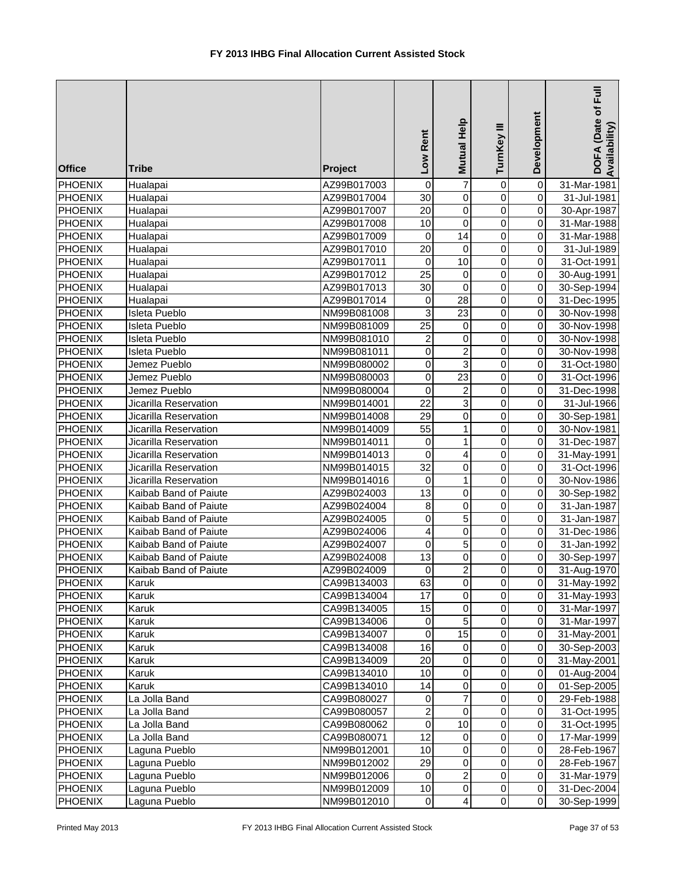| <b>Office</b>                    | <b>Tribe</b>                   | Project     | Low Rent             | Mutual Help                          | Ξ<br>TurnKey           | Development                | DOFA (Date of Full<br>Availability) |
|----------------------------------|--------------------------------|-------------|----------------------|--------------------------------------|------------------------|----------------------------|-------------------------------------|
| <b>PHOENIX</b>                   | Hualapai                       | AZ99B017003 | 0                    | $\overline{7}$                       | 0                      | 0                          | 31-Mar-1981                         |
| <b>PHOENIX</b>                   | Hualapai                       | AZ99B017004 | 30                   | $\overline{0}$                       | $\overline{0}$         | $\overline{0}$             | 31-Jul-1981                         |
| <b>PHOENIX</b>                   | Hualapai                       | AZ99B017007 | 20                   | $\overline{0}$                       | $\overline{0}$         | $\overline{0}$             | 30-Apr-1987                         |
| <b>PHOENIX</b>                   | Hualapai                       | AZ99B017008 | $\overline{10}$      | $\overline{0}$                       | $\overline{0}$         | $\overline{0}$             | 31-Mar-1988                         |
| <b>PHOENIX</b>                   | Hualapai                       | AZ99B017009 | 0                    | $\overline{14}$                      | $\overline{0}$         | $\overline{\mathsf{o}}$    | 31-Mar-1988                         |
| <b>PHOENIX</b>                   | Hualapai                       | AZ99B017010 | 20                   | 0                                    | 0                      | $\pmb{0}$                  | 31-Jul-1989                         |
| <b>PHOENIX</b>                   | Hualapai                       | AZ99B017011 | 0                    | 10                                   | 0                      | $\overline{0}$             | 31-Oct-1991                         |
| PHOENIX                          | Hualapai                       | AZ99B017012 | $\overline{25}$      | 0                                    | 0                      | $\overline{0}$             | 30-Aug-1991                         |
| <b>PHOENIX</b>                   | Hualapai                       | AZ99B017013 | $\overline{30}$      | $\mathbf 0$                          | $\mathbf 0$            | $\overline{0}$             | 30-Sep-1994                         |
| <b>PHOENIX</b>                   | Hualapai                       | AZ99B017014 | 0                    | 28                                   | $\overline{0}$         | $\overline{0}$             | 31-Dec-1995                         |
| <b>PHOENIX</b>                   | <b>Isleta Pueblo</b>           | NM99B081008 | 3                    | 23                                   | $\pmb{0}$              | $\overline{0}$             | 30-Nov-1998                         |
| <b>PHOENIX</b>                   | <b>Isleta Pueblo</b>           | NM99B081009 | 25                   | $\pmb{0}$                            | $\pmb{0}$              | $\overline{0}$             | 30-Nov-1998                         |
| <b>PHOENIX</b>                   | Isleta Pueblo                  | NM99B081010 | 2                    | $\pmb{0}$                            | $\pmb{0}$              | $\overline{0}$             | 30-Nov-1998                         |
| <b>PHOENIX</b>                   | Isleta Pueblo                  | NM99B081011 | 0                    | $\overline{\mathbf{c}}$              | $\pmb{0}$              | $\overline{0}$             | 30-Nov-1998                         |
| <b>PHOENIX</b>                   | Jemez Pueblo                   | NM99B080002 | 0                    | 3                                    | $\pmb{0}$              | $\overline{0}$             | 31-Oct-1980                         |
| <b>PHOENIX</b>                   | Jemez Pueblo                   | NM99B080003 | 0                    | 23                                   | $\overline{0}$         | $\overline{0}$             | 31-Oct-1996                         |
| <b>PHOENIX</b>                   | Jemez Pueblo                   | NM99B080004 | 0                    | $\overline{c}$                       | $\overline{0}$         | $\overline{0}$             | 31-Dec-1998                         |
| <b>PHOENIX</b>                   | Jicarilla Reservation          | NM99B014001 | $\overline{22}$      | 3                                    | $\overline{0}$         | $\overline{0}$             | 31-Jul-1966                         |
| <b>PHOENIX</b>                   | Jicarilla Reservation          | NM99B014008 | 29                   | $\overline{0}$                       | $\overline{0}$         | $\overline{0}$             | 30-Sep-1981                         |
| <b>PHOENIX</b>                   | Jicarilla Reservation          | NM99B014009 | $\overline{55}$      | $\mathbf{1}$                         | $\overline{0}$         | $\overline{0}$             | 30-Nov-1981                         |
| <b>PHOENIX</b>                   | Jicarilla Reservation          | NM99B014011 | 0                    | 1                                    | $\overline{0}$         | $\pmb{0}$                  | 31-Dec-1987                         |
| <b>PHOENIX</b>                   | Jicarilla Reservation          | NM99B014013 | $\Omega$             | 4                                    | $\overline{0}$         | $\overline{\mathsf{o}}$    | 31-May-1991                         |
| <b>PHOENIX</b>                   | Jicarilla Reservation          | NM99B014015 | $\overline{32}$      | $\pmb{0}$                            | 0                      | $\overline{0}$             | 31-Oct-1996                         |
| <b>PHOENIX</b>                   | Jicarilla Reservation          | NM99B014016 | 0                    | 1                                    | $\mathbf 0$            | $\overline{0}$             | 30-Nov-1986                         |
| <b>PHOENIX</b>                   | Kaibab Band of Paiute          | AZ99B024003 | $\overline{13}$      | $\pmb{0}$                            | $\mathbf 0$            | $\overline{0}$             | 30-Sep-1982                         |
| <b>PHOENIX</b>                   | Kaibab Band of Paiute          | AZ99B024004 | 8                    | $\overline{0}$                       | $\mathbf 0$            | $\overline{0}$             | 31-Jan-1987                         |
| <b>PHOENIX</b>                   | Kaibab Band of Paiute          | AZ99B024005 | 0                    | 5                                    | $\pmb{0}$              | $\overline{0}$             | 31-Jan-1987                         |
| <b>PHOENIX</b>                   | Kaibab Band of Paiute          | AZ99B024006 | 4                    | $\pmb{0}$                            | $\pmb{0}$              | $\overline{0}$             | 31-Dec-1986                         |
| <b>PHOENIX</b>                   | Kaibab Band of Paiute          | AZ99B024007 | 0                    | 5                                    | $\mathbf 0$            | $\overline{0}$             | 31-Jan-1992                         |
| <b>PHOENIX</b>                   | Kaibab Band of Paiute          | AZ99B024008 | 13                   | 0                                    | $\mathbf 0$            | $\overline{0}$             | 30-Sep-1997                         |
| <b>PHOENIX</b>                   | Kaibab Band of Paiute          | AZ99B024009 | $\Omega$             | $\overline{2}$                       | $\Omega$               | οI                         | 31-Aug-1970                         |
| <b>PHOENIX</b>                   | Karuk                          | CA99B134003 | 63                   | 0                                    | 0                      | $\overline{0}$             | 31-May-1992                         |
| <b>PHOENIX</b>                   | Karuk                          | CA99B134004 | 17                   | 0                                    | $\mathbf 0$            | $\overline{0}$             | 31-May-1993                         |
| <b>PHOENIX</b>                   | Karuk                          | CA99B134005 | 15                   | $\pmb{0}$                            | $\mathsf 0$            | $\overline{0}$             | 31-Mar-1997                         |
| <b>PHOENIX</b>                   | Karuk                          | CA99B134006 | 0                    | 5                                    | $\mathsf 0$            | $\Omega$                   | 31-Mar-1997                         |
| <b>PHOENIX</b>                   | Karuk                          | CA99B134007 | 0                    | 15                                   | $\pmb{0}$              | $\mathbf 0$                | 31-May-2001                         |
| <b>PHOENIX</b>                   | Karuk                          | CA99B134008 | 16                   | $\,0\,$                              | $\pmb{0}$              | $\Omega$                   | 30-Sep-2003                         |
| <b>PHOENIX</b>                   | Karuk                          | CA99B134009 | 20                   | $\mathbf 0$                          | $\mathsf 0$            | $\pmb{0}$                  | 31-May-2001                         |
| <b>PHOENIX</b>                   | Karuk                          | CA99B134010 | 10                   | $\mathbf 0$                          | $\pmb{0}$              | $\overline{0}$             | 01-Aug-2004                         |
| <b>PHOENIX</b>                   | Karuk                          | CA99B134010 | 14                   | $\mathbf 0$                          | 0                      | $\pmb{0}$                  | 01-Sep-2005                         |
| <b>PHOENIX</b>                   | La Jolla Band                  | CA99B080027 | 0                    | $\overline{7}$                       | 0                      | $\overline{0}$             | 29-Feb-1988                         |
| <b>PHOENIX</b>                   | La Jolla Band                  | CA99B080057 | 2                    | $\mathbf 0$                          | 0                      | $\Omega$                   | 31-Oct-1995                         |
| <b>PHOENIX</b>                   | La Jolla Band                  | CA99B080062 | 0<br>$\overline{12}$ | $\overline{10}$                      | 0                      | $\overline{0}$             | 31-Oct-1995                         |
| <b>PHOENIX</b>                   | La Jolla Band                  | CA99B080071 |                      | $\pmb{0}$                            | $\pmb{0}$              | $\overline{0}$             | 17-Mar-1999                         |
| <b>PHOENIX</b>                   | Laguna Pueblo                  | NM99B012001 | 10                   | $\mathbf 0$                          | $\pmb{0}$              | $\Omega$                   | 28-Feb-1967                         |
| <b>PHOENIX</b>                   | Laguna Pueblo                  | NM99B012002 | 29                   | $\pmb{0}$                            | $\pmb{0}$              | $\Omega$                   | 28-Feb-1967                         |
| <b>PHOENIX</b>                   | Laguna Pueblo                  | NM99B012006 | 0                    | $\overline{\mathbf{c}}$              | $\pmb{0}$              | $\Omega$                   | 31-Mar-1979                         |
| <b>PHOENIX</b><br><b>PHOENIX</b> | Laguna Pueblo<br>Laguna Pueblo | NM99B012009 | 10<br>$\mathbf 0$    | $\pmb{0}$<br>$\overline{\mathbf{4}}$ | $\pmb{0}$<br>$\pmb{0}$ | $\Omega$<br>$\overline{0}$ | 31-Dec-2004                         |
|                                  |                                | NM99B012010 |                      |                                      |                        |                            | 30-Sep-1999                         |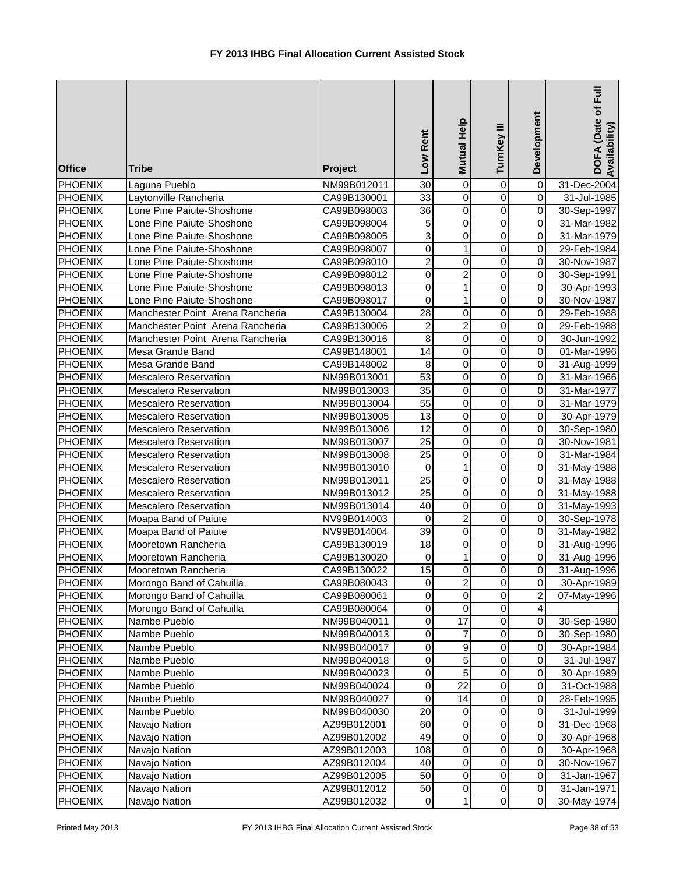| <b>Office</b>                    | <b>Tribe</b>                               | Project                    | Low Rent                       | Mutual Help              | TurnKey III                | Development             | DOFA (Date of Full<br>Availability) |
|----------------------------------|--------------------------------------------|----------------------------|--------------------------------|--------------------------|----------------------------|-------------------------|-------------------------------------|
| <b>PHOENIX</b>                   | Laguna Pueblo                              | NM99B012011                | 30                             | $\overline{0}$           | $\pmb{0}$                  | $\overline{0}$          | 31-Dec-2004                         |
| <b>PHOENIX</b>                   | Laytonville Rancheria                      | CA99B130001                | 33                             | $\overline{0}$           | $\overline{0}$             | $\overline{0}$          | 31-Jul-1985                         |
| <b>PHOENIX</b>                   | Lone Pine Paiute-Shoshone                  | CA99B098003                | $\overline{36}$                | $\mathbf 0$              | $\mathbf 0$                | $\pmb{0}$               | 30-Sep-1997                         |
| <b>PHOENIX</b>                   | Lone Pine Paiute-Shoshone                  | CA99B098004                | 5                              | $\overline{0}$           | $\mathbf 0$                | $\pmb{0}$               | 31-Mar-1982                         |
| <b>PHOENIX</b>                   | Lone Pine Paiute-Shoshone                  | CA99B098005                | 3                              | $\mathbf 0$              | $\mathbf 0$                | 0                       | 31-Mar-1979                         |
| <b>PHOENIX</b>                   | Lone Pine Paiute-Shoshone                  | CA99B098007                | 0                              | $\mathbf{1}$             | $\mathbf 0$                | 0                       | 29-Feb-1984                         |
| <b>PHOENIX</b>                   | Lone Pine Paiute-Shoshone                  | CA99B098010                | $\overline{c}$                 | 0                        | $\mathbf 0$                | 0                       | 30-Nov-1987                         |
| <b>PHOENIX</b>                   | Lone Pine Paiute-Shoshone                  | CA99B098012                | $\mathbf 0$                    | $\boldsymbol{2}$         | $\mathbf 0$                | $\mathbf 0$             | 30-Sep-1991                         |
| <b>PHOENIX</b>                   | Lone Pine Paiute-Shoshone                  | CA99B098013                | $\mathbf 0$                    | $\mathbf{1}$             | $\mathbf 0$                | $\overline{\mathsf{o}}$ | 30-Apr-1993                         |
| <b>PHOENIX</b>                   | Lone Pine Paiute-Shoshone                  | CA99B098017                | $\pmb{0}$                      | $\mathbf{1}$             | $\mathbf 0$                | $\pmb{0}$               | 30-Nov-1987                         |
| <b>PHOENIX</b>                   | Manchester Point Arena Rancheria           | CA99B130004                | 28                             | $\mathbf 0$              | $\mathbf 0$                | $\pmb{0}$               | 29-Feb-1988                         |
| <b>PHOENIX</b>                   | Manchester Point Arena Rancheria           | CA99B130006                | $\overline{c}$                 | $\boldsymbol{2}$         | $\mathbf 0$                | $\pmb{0}$               | 29-Feb-1988                         |
| <b>PHOENIX</b>                   | Manchester Point Arena Rancheria           | CA99B130016                | 8                              | 0                        | $\mathbf 0$                | $\mathbf 0$             | 30-Jun-1992                         |
| <b>PHOENIX</b>                   | Mesa Grande Band                           | CA99B148001                | 14                             | 0                        | $\mathbf 0$                | $\pmb{0}$               | 01-Mar-1996                         |
| <b>PHOENIX</b>                   | Mesa Grande Band                           | CA99B148002                | 8                              | 0                        | 0                          | $\mathbf 0$             | 31-Aug-1999                         |
| <b>PHOENIX</b>                   | Mescalero Reservation                      | NM99B013001                | 53                             | 0                        | 0                          | $\mathbf 0$             | 31-Mar-1966                         |
| <b>PHOENIX</b>                   | <b>Mescalero Reservation</b>               | NM99B013003                | 35                             | $\mathbf 0$              | $\mathbf 0$                | $\mathbf 0$             | 31-Mar-1977                         |
| <b>PHOENIX</b>                   | <b>Mescalero Reservation</b>               | NM99B013004                | $\overline{55}$                | $\mathbf 0$              | $\mathbf 0$                | $\overline{\mathsf{o}}$ | 31-Mar-1979                         |
| <b>PHOENIX</b>                   | <b>Mescalero Reservation</b>               | NM99B013005                | 13                             | $\overline{0}$           | $\overline{0}$             | $\overline{0}$          | 30-Apr-1979                         |
| <b>PHOENIX</b>                   | <b>Mescalero Reservation</b>               | NM99B013006                | $\overline{12}$                | $\overline{0}$           | $\mathbf 0$                | $\pmb{0}$               | 30-Sep-1980                         |
| <b>PHOENIX</b>                   | Mescalero Reservation                      | NM99B013007                | $\overline{25}$                | $\overline{0}$           | $\mathbf 0$                | $\pmb{0}$               | 30-Nov-1981                         |
| <b>PHOENIX</b>                   | <b>Mescalero Reservation</b>               | NM99B013008                | $\overline{25}$                | $\mathbf 0$              | $\mathbf 0$                | 0                       | 31-Mar-1984                         |
| <b>PHOENIX</b>                   | <b>Mescalero Reservation</b>               | NM99B013010                | $\mathbf 0$                    | $\mathbf{1}$             | 0                          | 0                       | 31-May-1988                         |
| <b>PHOENIX</b>                   | <b>Mescalero Reservation</b>               | NM99B013011                | $\overline{25}$                | $\mathbf 0$              | 0                          | $\overline{0}$          | 31-May-1988                         |
| <b>PHOENIX</b>                   | <b>Mescalero Reservation</b>               | NM99B013012                | $\overline{25}$                | 0                        | $\mathbf 0$                | $\overline{0}$          | 31-May-1988                         |
| <b>PHOENIX</b>                   | <b>Mescalero Reservation</b>               | NM99B013014                | 40                             | $\mathbf 0$              | $\mathbf 0$                | $\overline{0}$          | 31-May-1993                         |
| <b>PHOENIX</b>                   | Moapa Band of Paiute                       | NV99B014003                | $\mathbf 0$<br>$\overline{39}$ | $\boldsymbol{2}$         | 0                          | $\pmb{0}$               | 30-Sep-1978                         |
| <b>PHOENIX</b>                   | Moapa Band of Paiute                       | NV99B014004                | 18                             | $\mathbf 0$<br>$\pmb{0}$ | $\mathbf 0$<br>$\mathbf 0$ | $\pmb{0}$<br>$\pmb{0}$  | 31-May-1982                         |
| <b>PHOENIX</b><br><b>PHOENIX</b> | Mooretown Rancheria<br>Mooretown Rancheria | CA99B130019                |                                |                          | 0                          |                         | 31-Aug-1996                         |
| <b>PHOENIX</b>                   | Mooretown Rancheria                        | CA99B130020<br>CA99B130022 | 0<br>15                        | 1<br>$\overline{0}$      | $\Omega$                   | $\mathbf 0$<br>$\Omega$ | 31-Aug-1996<br>31-Aug-1996          |
| <b>PHOENIX</b>                   | Morongo Band of Cahuilla                   | CA99B080043                | 0                              | $\overline{c}$           | 0                          | $\mathbf 0$             | 30-Apr-1989                         |
| <b>PHOENIX</b>                   | Morongo Band of Cahuilla                   |                            | 0                              |                          | 0                          | $\overline{c}$          |                                     |
| <b>PHOENIX</b>                   | Morongo Band of Cahuilla                   | CA99B080061<br>CA99B080064 | $\mathbf 0$                    | 0<br>$\pmb{0}$           | $\pmb{0}$                  | $\overline{\mathbf{A}}$ | 07-May-1996                         |
| <b>PHOENIX</b>                   | Nambe Pueblo                               | NM99B040011                | $\boldsymbol{0}$               | 17                       | $\pmb{0}$                  | $\pmb{0}$               | 30-Sep-1980                         |
| <b>PHOENIX</b>                   | Nambe Pueblo                               | NM99B040013                | $\pmb{0}$                      | $\overline{7}$           | $\pmb{0}$                  | 0                       | 30-Sep-1980                         |
| <b>PHOENIX</b>                   | Nambe Pueblo                               | NM99B040017                | 0                              | $\boldsymbol{9}$         | 0                          | $\mathsf{O}\xspace$     | 30-Apr-1984                         |
| <b>PHOENIX</b>                   | Nambe Pueblo                               | NM99B040018                | $\mathbf 0$                    | $\overline{5}$           | $\mathsf 0$                | $\mathsf{O}\xspace$     | 31-Jul-1987                         |
| <b>PHOENIX</b>                   | Nambe Pueblo                               | NM99B040023                | 0                              | 5                        | 0                          | $\pmb{0}$               | 30-Apr-1989                         |
| <b>PHOENIX</b>                   | Nambe Pueblo                               | NM99B040024                | $\pmb{0}$                      | $\overline{22}$          | 0                          | 0                       | 31-Oct-1988                         |
| <b>PHOENIX</b>                   | Nambe Pueblo                               | NM99B040027                | $\mathbf 0$                    | 14                       | 0                          | 0                       | 28-Feb-1995                         |
| <b>PHOENIX</b>                   | Nambe Pueblo                               | NM99B040030                | $\overline{20}$                | 0                        | 0                          | $\pmb{0}$               | 31-Jul-1999                         |
| <b>PHOENIX</b>                   | Navajo Nation                              | AZ99B012001                | 60                             | $\overline{0}$           | $\mathbf 0$                | $\pmb{0}$               | 31-Dec-1968                         |
| <b>PHOENIX</b>                   | Navajo Nation                              | AZ99B012002                | 49                             | $\pmb{0}$                | 0                          | $\pmb{0}$               | 30-Apr-1968                         |
| <b>PHOENIX</b>                   | Navajo Nation                              | AZ99B012003                | 108                            | 0                        | 0                          | $\pmb{0}$               | 30-Apr-1968                         |
| <b>PHOENIX</b>                   | Navajo Nation                              | AZ99B012004                | 40                             | $\pmb{0}$                | 0                          | $\mathbf 0$             | 30-Nov-1967                         |
| <b>PHOENIX</b>                   | Navajo Nation                              | AZ99B012005                | 50                             | 0                        | 0                          | $\mathbf 0$             | 31-Jan-1967                         |
| <b>PHOENIX</b>                   | Navajo Nation                              | AZ99B012012                | 50                             | $\pmb{0}$                | 0                          | $\pmb{0}$               | 31-Jan-1971                         |
| <b>PHOENIX</b>                   | Navajo Nation                              | AZ99B012032                | $\pmb{0}$                      | $\mathbf{1}$             | $\pmb{0}$                  | $\overline{0}$          | 30-May-1974                         |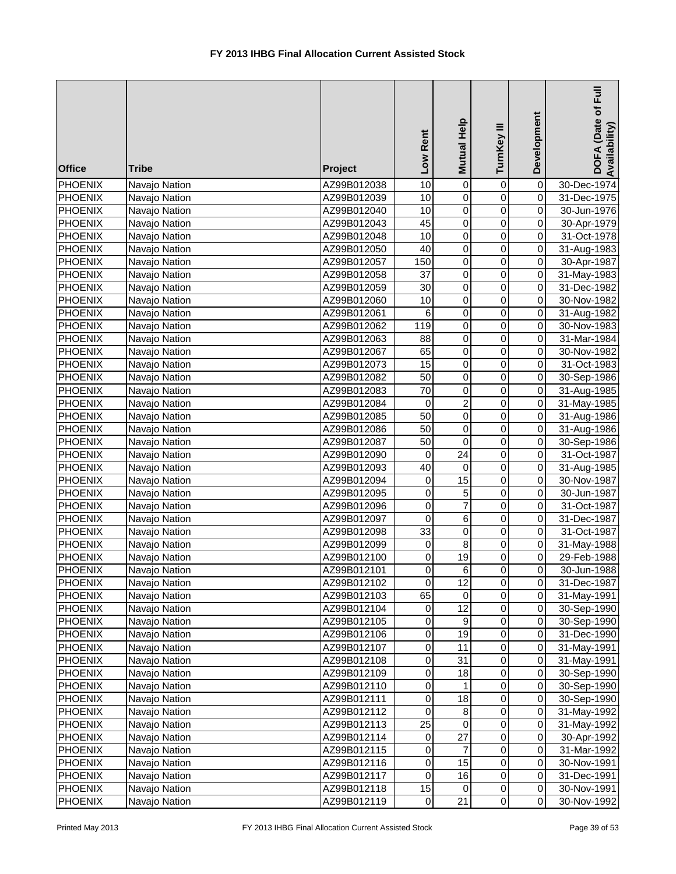| <b>Office</b>             | <b>Tribe</b>                   | Project                    | Low Rent              | Mutual Help                      | TurnKey III                      | Development                 | Ē<br>DOFA (Date of<br>Availability) |
|---------------------------|--------------------------------|----------------------------|-----------------------|----------------------------------|----------------------------------|-----------------------------|-------------------------------------|
| <b>PHOENIX</b>            | Navajo Nation                  | AZ99B012038                | 10                    | $\overline{0}$                   | $\pmb{0}$                        | $\overline{0}$              | 30-Dec-1974                         |
| <b>PHOENIX</b>            | Navajo Nation                  | AZ99B012039                | 10                    | $\overline{0}$                   | $\overline{0}$                   | $\overline{0}$              | 31-Dec-1975                         |
| <b>PHOENIX</b>            | Navajo Nation                  | AZ99B012040                | 10                    | $\overline{0}$                   | $\overline{0}$                   | $\mathsf{O}\xspace$         | 30-Jun-1976                         |
| <b>PHOENIX</b>            | Navajo Nation                  | AZ99B012043                | 45                    | $\overline{0}$                   | $\overline{0}$                   | $\mathsf{O}\xspace$         | 30-Apr-1979                         |
| PHOENIX                   | Navajo Nation                  | AZ99B012048                | $\overline{10}$       | $\overline{0}$                   | $\overline{0}$                   | $\mathsf{O}\xspace$         | 31-Oct-1978                         |
| PHOENIX                   | Navajo Nation                  | AZ99B012050                | 40                    | $\overline{0}$                   | $\overline{0}$                   | O                           | 31-Aug-1983                         |
| PHOENIX                   | Navajo Nation                  | AZ99B012057                | 150                   | $\mathbf 0$                      | $\overline{0}$                   | O                           | 30-Apr-1987                         |
| <b>PHOENIX</b>            | Navajo Nation                  | AZ99B012058                | 37                    | $\pmb{0}$                        | $\pmb{0}$                        | $\mathsf{O}\xspace$         | 31-May-1983                         |
| <b>PHOENIX</b>            | Navajo Nation                  | AZ99B012059                | 30                    | 0                                | 0                                | $\mathbf 0$                 | 31-Dec-1982                         |
| PHOENIX                   | Navajo Nation                  | AZ99B012060                | 10                    | $\overline{0}$                   | $\overline{0}$                   | O                           | 30-Nov-1982                         |
| PHOENIX                   | Navajo Nation                  | AZ99B012061                | 6                     | $\pmb{0}$                        | $\pmb{0}$                        | $\mathsf{O}\xspace$         | 31-Aug-1982                         |
| <b>PHOENIX</b>            | Navajo Nation                  | AZ99B012062                | 119                   | $\pmb{0}$                        | $\pmb{0}$                        | $\mathsf{O}\xspace$         | 30-Nov-1983                         |
| PHOENIX                   | Navajo Nation                  | AZ99B012063                | 88                    | $\mathbf 0$                      | 0                                | $\mathsf{O}\xspace$         | 31-Mar-1984                         |
| PHOENIX                   | Navajo Nation                  | AZ99B012067                | 65                    | $\mathsf 0$                      | 0                                | $\mathsf{O}\xspace$         | 30-Nov-1982                         |
| <b>PHOENIX</b>            | Navajo Nation                  | AZ99B012073                | 15                    | 0                                | 0                                | $\mathsf{O}\xspace$         | 31-Oct-1983                         |
| <b>PHOENIX</b>            | Navajo Nation                  | AZ99B012082                | 50                    | 0                                | $\pmb{0}$                        | $\overline{O}$              | 30-Sep-1986                         |
| <b>PHOENIX</b>            | Navajo Nation                  | AZ99B012083                | 70                    | $\mathbf 0$                      | $\pmb{0}$                        | $\mathsf{O}$                | 31-Aug-1985                         |
| <b>PHOENIX</b>            | Navajo Nation                  | AZ99B012084                | $\mathbf 0$           | $\overline{2}$                   | $\overline{0}$                   | O                           | 31-May-1985                         |
| <b>PHOENIX</b>            | Navajo Nation                  | AZ99B012085                | $\overline{50}$       | $\overline{0}$                   | $\overline{0}$                   | O                           | 31-Aug-1986                         |
| <b>PHOENIX</b>            | Navajo Nation                  | AZ99B012086                | 50<br>$\overline{50}$ | $\overline{0}$<br>$\overline{0}$ | $\overline{0}$<br>$\overline{0}$ | $\pmb{0}$                   | 31-Aug-1986                         |
| <b>PHOENIX</b><br>PHOENIX | Navajo Nation                  | AZ99B012087<br>AZ99B012090 | $\boldsymbol{0}$      | $\overline{24}$                  | $\overline{0}$                   | $\pmb{0}$<br>$\overline{0}$ | 30-Sep-1986<br>31-Oct-1987          |
| PHOENIX                   | Navajo Nation<br>Navajo Nation | AZ99B012093                | 40                    | $\overline{0}$                   | $\overline{0}$                   | $\overline{0}$              | 31-Aug-1985                         |
| PHOENIX                   | Navajo Nation                  | AZ99B012094                | 0                     | 15                               | $\pmb{0}$                        | 0                           | 30-Nov-1987                         |
| <b>PHOENIX</b>            | Navajo Nation                  | AZ99B012095                | 0                     | 5                                | $\pmb{0}$                        | $\overline{0}$              | 30-Jun-1987                         |
| <b>PHOENIX</b>            | Navajo Nation                  | AZ99B012096                | $\mathbf 0$           | $\overline{7}$                   | 0                                | $\overline{0}$              | 31-Oct-1987                         |
| PHOENIX                   | Navajo Nation                  | AZ99B012097                | $\mathbf 0$           | 6                                | $\overline{0}$                   | $\overline{0}$              | 31-Dec-1987                         |
| PHOENIX                   | Navajo Nation                  | AZ99B012098                | 33                    | $\overline{0}$                   | $\pmb{0}$                        | O                           | 31-Oct-1987                         |
| <b>PHOENIX</b>            | Navajo Nation                  | AZ99B012099                | 0                     | $\overline{8}$                   | 0                                | $\overline{0}$              | 31-May-1988                         |
| <b>PHOENIX</b>            | Navajo Nation                  | AZ99B012100                | 0                     | 19                               | 0                                | $\mathsf{O}\xspace$         | 29-Feb-1988                         |
| <b>PHOENIX</b>            | Navajo Nation                  | AZ99B012101                | $\mathbf 0$           | $6 \mid$                         | $\mathbf 0$                      | οI                          | 30-Jun-1988                         |
| PHOENIX                   | Navajo Nation                  | AZ99B012102                | $\mathbf 0$           | 12                               | $\mathbf 0$                      | $\mathbf 0$                 | 31-Dec-1987                         |
| PHOENIX                   | Navajo Nation                  | AZ99B012103                | 65                    | 0                                | 0                                | $\overline{O}$              | 31-May-1991                         |
| PHOENIX                   | Navajo Nation                  | AZ99B012104                | 0                     | 12                               | $\mathbf 0$                      | $\overline{O}$              | 30-Sep-1990                         |
| <b>PHOENIX</b>            | Navajo Nation                  | AZ99B012105                | 0                     | $\boldsymbol{9}$                 | $\pmb{0}$                        | $\mathbf 0$                 | 30-Sep-1990                         |
| <b>PHOENIX</b>            | Navajo Nation                  | AZ99B012106                | $\mathbf 0$           | 19                               | $\pmb{0}$                        | 0                           | 31-Dec-1990                         |
| PHOENIX                   | Navajo Nation                  | AZ99B012107                | $\mathbf 0$           | 11                               | $\pmb{0}$                        | 0                           | 31-May-1991                         |
| <b>PHOENIX</b>            | Navajo Nation                  | AZ99B012108                | $\pmb{0}$             | 31                               | $\pmb{0}$                        | $\mathsf{O}\xspace$         | 31-May-1991                         |
| <b>PHOENIX</b>            | Navajo Nation                  | AZ99B012109                | $\mathbf 0$           | 18                               | $\mathsf 0$                      | $\mathsf{O}\xspace$         | 30-Sep-1990                         |
| PHOENIX                   | Navajo Nation                  | AZ99B012110                | $\mathbf 0$           | $\mathbf{1}$                     | $\pmb{0}$                        | $\mathsf{O}\xspace$         | 30-Sep-1990                         |
| PHOENIX                   | Navajo Nation                  | AZ99B012111                | 0                     | 18                               | $\mathbf 0$                      | 0                           | 30-Sep-1990                         |
| PHOENIX                   | Navajo Nation                  | AZ99B012112                | $\mathbf 0$           | 8                                | 0                                | $\pmb{0}$                   | 31-May-1992                         |
| PHOENIX                   | Navajo Nation                  | AZ99B012113                | $\overline{25}$       | 0                                | $\pmb{0}$                        | $\mathsf{O}\xspace$         | 31-May-1992                         |
| PHOENIX                   | Navajo Nation                  | AZ99B012114                | 0                     | 27                               | $\pmb{0}$                        | O                           | 30-Apr-1992                         |
| PHOENIX                   | Navajo Nation                  | AZ99B012115                | $\mathbf 0$           | 7                                | $\pmb{0}$                        | $\mathsf{O}\xspace$         | 31-Mar-1992                         |
| PHOENIX                   | Navajo Nation                  | AZ99B012116                | 0                     | 15                               | $\pmb{0}$                        | 0                           | 30-Nov-1991                         |
| PHOENIX                   | Navajo Nation                  | AZ99B012117                | 0                     | 16                               | $\pmb{0}$                        | 0                           | 31-Dec-1991                         |
| <b>PHOENIX</b>            | Navajo Nation                  | AZ99B012118                | 15                    | 0                                | $\pmb{0}$                        | 0                           | 30-Nov-1991                         |
| <b>PHOENIX</b>            | Navajo Nation                  | AZ99B012119                | $\mathbf 0$           | 21                               | $\mathbf 0$                      | 0                           | 30-Nov-1992                         |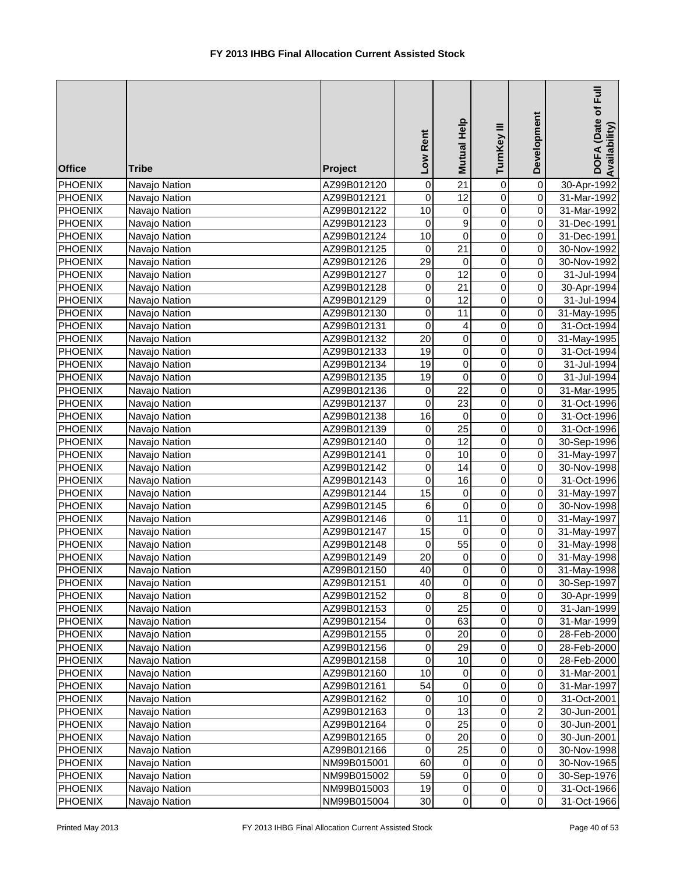| PHOENIX<br>$\mathbf 0$<br>$\mathbf 0$<br>Navajo Nation<br>AZ99B012120<br>$\overline{12}$<br>$\overline{0}$<br>$\overline{0}$<br>$\boldsymbol{0}$<br>PHOENIX<br>AZ99B012121<br>Navajo Nation<br>31-Mar-1992<br>10<br>$\overline{0}$<br>$\mathbf 0$<br>$\mathbf 0$<br><b>PHOENIX</b><br>Navajo Nation<br>AZ99B012122<br>31-Mar-1992<br>$\overline{9}$<br>$\mathbf 0$<br>PHOENIX<br>$\mathbf 0$<br>Navajo Nation<br>AZ99B012123<br>$\mathbf 0$<br>31-Dec-1991<br>10<br>$\overline{0}$<br>$\mathbf 0$<br>PHOENIX<br>$\mathbf 0$<br>Navajo Nation<br>AZ99B012124<br>31-Dec-1991<br>$\overline{21}$<br>$\mathbf 0$<br><b>PHOENIX</b><br>$\mathbf 0$<br>0<br>Navajo Nation<br>AZ99B012125<br>30-Nov-1992<br>$\overline{29}$<br>PHOENIX<br>0<br>0<br>0<br>Navajo Nation<br>AZ99B012126<br>30-Nov-1992<br>$\overline{12}$<br>$\mathsf 0$<br><b>PHOENIX</b><br>0<br>31-Jul-1994<br>Navajo Nation<br>AZ99B012127<br>0<br>$\mathbf 0$<br>$\overline{21}$<br>$\mathbf 0$<br>$\overline{0}$<br><b>PHOENIX</b><br>AZ99B012128<br>Navajo Nation<br>30-Apr-1994<br>$\overline{0}$<br><b>PHOENIX</b><br>0<br>12<br>$\pmb{0}$<br>Navajo Nation<br>AZ99B012129<br>31-Jul-1994<br>$\mathbf 0$<br>$\mathbf 0$<br><b>PHOENIX</b><br>Navajo Nation<br>AZ99B012130<br>0<br>11<br>31-May-1995<br>$\mathbf 0$<br>PHOENIX<br>Navajo Nation<br>0<br>4<br>$\overline{0}$<br>AZ99B012131<br>31-Oct-1994<br>PHOENIX<br>20<br>$\mathbf 0$<br>$\mathbf 0$<br>$\mathbf 0$<br>AZ99B012132<br>31-May-1995<br>Navajo Nation<br><b>PHOENIX</b><br>AZ99B012133<br>19<br>$\pmb{0}$<br>0<br>$\mathbf 0$<br>Navajo Nation<br>31-Oct-1994<br><b>PHOENIX</b><br>19<br>$\mathbf 0$<br>0<br>$\mathbf 0$<br>Navajo Nation<br>AZ99B012134<br>31-Jul-1994<br>$\mathbf 0$<br>$\mathbf 0$<br>19<br>$\mathbf 0$<br><b>PHOENIX</b><br>Navajo Nation<br>AZ99B012135<br>31-Jul-1994<br>$\mathbf 0$<br>22<br>$\mathbf 0$<br>$\mathbf 0$<br><b>PHOENIX</b><br>Navajo Nation<br>31-Mar-1995<br>AZ99B012136<br>$\overline{0}$<br>$\overline{23}$<br>$\overline{0}$<br><b>PHOENIX</b><br>Navajo Nation<br>$\mathbf 0$<br>AZ99B012137<br>31-Oct-1996<br>16<br>$\overline{0}$<br>$\mathbf 0$<br><b>PHOENIX</b><br>Navajo Nation<br>AZ99B012138<br>$\mathbf 0$<br>31-Oct-1996<br>$\overline{25}$<br>$\overline{0}$<br>$\boldsymbol{0}$<br>$\mathbf 0$<br><b>PHOENIX</b><br>Navajo Nation<br>AZ99B012139<br>31-Oct-1996<br>$\overline{12}$<br>$\overline{0}$<br>$\overline{0}$<br>PHOENIX<br>$\boldsymbol{0}$<br>Navajo Nation<br>AZ99B012140<br>30-Sep-1996<br>$\overline{0}$<br>$\mathsf 0$<br>$\overline{10}$<br>$\overline{0}$<br>PHOENIX<br>AZ99B012141<br>Navajo Nation<br>31-May-1997<br>PHOENIX<br>0<br>14<br>0<br>$\mathbf 0$<br>Navajo Nation<br>AZ99B012142<br>30-Nov-1998<br><b>PHOENIX</b><br>AZ99B012143<br>0<br>16<br>0<br>$\mathbf 0$<br>31-Oct-1996<br>Navajo Nation<br>$\overline{15}$<br>$\overline{0}$<br><b>PHOENIX</b><br>AZ99B012144<br>$\pmb{0}$<br>0<br>Navajo Nation<br>31-May-1997<br>$\overline{6}$<br>$\overline{0}$<br>$\mathbf 0$<br>$\overline{0}$<br>PHOENIX<br>AZ99B012145<br>Navajo Nation<br>30-Nov-1998<br>$\overline{0}$<br>$\overline{0}$<br><b>PHOENIX</b><br>$\boldsymbol{0}$<br>11<br>Navajo Nation<br>AZ99B012146<br>31-May-1997<br><b>PHOENIX</b><br>15<br>0<br>0<br>$\overline{0}$<br>Navajo Nation<br>AZ99B012147<br>31-May-1997<br>$\overline{55}$<br><b>PHOENIX</b><br>AZ99B012148<br>$\pmb{0}$<br>$\overline{0}$<br>Navajo Nation<br>0<br>31-May-1998<br><b>PHOENIX</b><br>20<br>0<br>$\overline{0}$<br>Navajo Nation<br>AZ99B012149<br>$\pmb{0}$<br>31-May-1998<br>$\overline{0}$<br>$\mathbf 0$<br>40<br>$\overline{0}$<br><b>PHOENIX</b><br>Navajo Nation<br>AZ99B012150<br>31-May-1998<br>PHOENIX<br>40<br>$\,0\,$<br>$\pmb{0}$<br>0<br>Navajo Nation<br>AZ99B012151<br>30-Sep-1997<br><b>PHOENIX</b><br>8<br>0<br>Navajo Nation<br>AZ99B012152<br>0<br>0<br>30-Apr-1999<br>25<br>$\mathbf 0$<br>$\boldsymbol{0}$<br>$\mathbf 0$<br><b>PHOENIX</b><br>Navajo Nation<br>AZ99B012153<br>31-Jan-1999<br>$\pmb{0}$<br>$\pmb{0}$<br>63<br><b>PHOENIX</b><br>Navajo Nation<br>0<br>AZ99B012154<br>31-Mar-1999<br>$\pmb{0}$<br>$\pmb{0}$<br>20<br>PHOENIX<br>Navajo Nation<br>0<br>AZ99B012155<br>28-Feb-2000<br>$\pmb{0}$<br>29<br>$\mathbf 0$<br><b>PHOENIX</b><br>Navajo Nation<br>0<br>AZ99B012156<br>28-Feb-2000<br>$\mathbf 0$<br>$\mathbf 0$<br>10<br>$\mathbf 0$<br>PHOENIX<br>Navajo Nation<br>AZ99B012158<br>28-Feb-2000<br>10<br>0<br><b>PHOENIX</b><br>0<br>0<br>Navajo Nation<br>AZ99B012160<br>31-Mar-2001<br>54<br>0<br>0<br><b>PHOENIX</b><br>AZ99B012161<br>0<br>Navajo Nation<br>31-Mar-1997<br>10<br>0<br>PHOENIX<br>AZ99B012162<br>0<br>0<br>Navajo Nation<br>31-Oct-2001<br>$\overline{2}$<br>0<br>13<br>0<br>PHOENIX<br>Navajo Nation<br>AZ99B012163<br>30-Jun-2001<br>$\mathbf 0$<br>$\boldsymbol{0}$<br>25<br>$\mathbf 0$<br>PHOENIX<br>AZ99B012164<br>Navajo Nation<br>30-Jun-2001<br>0<br>$\pmb{0}$<br>$\mathbf 0$<br>PHOENIX<br>AZ99B012165<br>20<br>Navajo Nation<br>30-Jun-2001<br>0<br>25<br>$\boldsymbol{0}$<br>PHOENIX<br>Navajo Nation<br>0<br>AZ99B012166<br>30-Nov-1998<br>$\mathbf 0$<br>PHOENIX<br>60<br>$\,0\,$<br>0<br>Navajo Nation<br>NM99B015001<br>30-Nov-1965<br>59<br>$\mathbf 0$<br>$\mathbf 0$<br><b>PHOENIX</b><br>NM99B015002<br>0<br>Navajo Nation<br>30-Sep-1976<br><b>PHOENIX</b><br>19<br>$\,0\,$<br>$\,0\,$<br>0<br>Navajo Nation<br>NM99B015003<br>31-Oct-1966<br>$\mathbf 0$<br><b>PHOENIX</b><br>30<br>$\,0\,$<br>0<br>Navajo Nation<br>NM99B015004<br>31-Oct-1966 | <b>Office</b> | <b>Tribe</b> | Project | Low Rent | Mutual Help     | TurnKey III | Development    | Ē<br>DOFA (Date of<br>Availability) |
|----------------------------------------------------------------------------------------------------------------------------------------------------------------------------------------------------------------------------------------------------------------------------------------------------------------------------------------------------------------------------------------------------------------------------------------------------------------------------------------------------------------------------------------------------------------------------------------------------------------------------------------------------------------------------------------------------------------------------------------------------------------------------------------------------------------------------------------------------------------------------------------------------------------------------------------------------------------------------------------------------------------------------------------------------------------------------------------------------------------------------------------------------------------------------------------------------------------------------------------------------------------------------------------------------------------------------------------------------------------------------------------------------------------------------------------------------------------------------------------------------------------------------------------------------------------------------------------------------------------------------------------------------------------------------------------------------------------------------------------------------------------------------------------------------------------------------------------------------------------------------------------------------------------------------------------------------------------------------------------------------------------------------------------------------------------------------------------------------------------------------------------------------------------------------------------------------------------------------------------------------------------------------------------------------------------------------------------------------------------------------------------------------------------------------------------------------------------------------------------------------------------------------------------------------------------------------------------------------------------------------------------------------------------------------------------------------------------------------------------------------------------------------------------------------------------------------------------------------------------------------------------------------------------------------------------------------------------------------------------------------------------------------------------------------------------------------------------------------------------------------------------------------------------------------------------------------------------------------------------------------------------------------------------------------------------------------------------------------------------------------------------------------------------------------------------------------------------------------------------------------------------------------------------------------------------------------------------------------------------------------------------------------------------------------------------------------------------------------------------------------------------------------------------------------------------------------------------------------------------------------------------------------------------------------------------------------------------------------------------------------------------------------------------------------------------------------------------------------------------------------------------------------------------------------------------------------------------------------------------------------------------------------------------------------------------------------------------------------------------------------------------------------------------------------------------------------------------------------------------------------------------------------------------------------------------------------------------------------------------------------------------------------------------------------------------------------------------------------------------------------------------------------------------------------------------------------------------------------------------------------------------------------------------------------------------------------------------------------------------------------------------------------------------------------------------------------------------------------------------------------------------------------------------------------------------------------------------------------------------------------------------------------------------------------------------------------------------------------------------------------------------------------------------------------------------------------------------------------------------------------------|---------------|--------------|---------|----------|-----------------|-------------|----------------|-------------------------------------|
|                                                                                                                                                                                                                                                                                                                                                                                                                                                                                                                                                                                                                                                                                                                                                                                                                                                                                                                                                                                                                                                                                                                                                                                                                                                                                                                                                                                                                                                                                                                                                                                                                                                                                                                                                                                                                                                                                                                                                                                                                                                                                                                                                                                                                                                                                                                                                                                                                                                                                                                                                                                                                                                                                                                                                                                                                                                                                                                                                                                                                                                                                                                                                                                                                                                                                                                                                                                                                                                                                                                                                                                                                                                                                                                                                                                                                                                                                                                                                                                                                                                                                                                                                                                                                                                                                                                                                                                                                                                                                                                                                                                                                                                                                                                                                                                                                                                                                                                                                                                                                                                                                                                                                                                                                                                                                                                                                                                                                                                                                                          |               |              |         |          | $\overline{21}$ |             | $\overline{0}$ | 30-Apr-1992                         |
|                                                                                                                                                                                                                                                                                                                                                                                                                                                                                                                                                                                                                                                                                                                                                                                                                                                                                                                                                                                                                                                                                                                                                                                                                                                                                                                                                                                                                                                                                                                                                                                                                                                                                                                                                                                                                                                                                                                                                                                                                                                                                                                                                                                                                                                                                                                                                                                                                                                                                                                                                                                                                                                                                                                                                                                                                                                                                                                                                                                                                                                                                                                                                                                                                                                                                                                                                                                                                                                                                                                                                                                                                                                                                                                                                                                                                                                                                                                                                                                                                                                                                                                                                                                                                                                                                                                                                                                                                                                                                                                                                                                                                                                                                                                                                                                                                                                                                                                                                                                                                                                                                                                                                                                                                                                                                                                                                                                                                                                                                                          |               |              |         |          |                 |             |                |                                     |
|                                                                                                                                                                                                                                                                                                                                                                                                                                                                                                                                                                                                                                                                                                                                                                                                                                                                                                                                                                                                                                                                                                                                                                                                                                                                                                                                                                                                                                                                                                                                                                                                                                                                                                                                                                                                                                                                                                                                                                                                                                                                                                                                                                                                                                                                                                                                                                                                                                                                                                                                                                                                                                                                                                                                                                                                                                                                                                                                                                                                                                                                                                                                                                                                                                                                                                                                                                                                                                                                                                                                                                                                                                                                                                                                                                                                                                                                                                                                                                                                                                                                                                                                                                                                                                                                                                                                                                                                                                                                                                                                                                                                                                                                                                                                                                                                                                                                                                                                                                                                                                                                                                                                                                                                                                                                                                                                                                                                                                                                                                          |               |              |         |          |                 |             |                |                                     |
|                                                                                                                                                                                                                                                                                                                                                                                                                                                                                                                                                                                                                                                                                                                                                                                                                                                                                                                                                                                                                                                                                                                                                                                                                                                                                                                                                                                                                                                                                                                                                                                                                                                                                                                                                                                                                                                                                                                                                                                                                                                                                                                                                                                                                                                                                                                                                                                                                                                                                                                                                                                                                                                                                                                                                                                                                                                                                                                                                                                                                                                                                                                                                                                                                                                                                                                                                                                                                                                                                                                                                                                                                                                                                                                                                                                                                                                                                                                                                                                                                                                                                                                                                                                                                                                                                                                                                                                                                                                                                                                                                                                                                                                                                                                                                                                                                                                                                                                                                                                                                                                                                                                                                                                                                                                                                                                                                                                                                                                                                                          |               |              |         |          |                 |             |                |                                     |
|                                                                                                                                                                                                                                                                                                                                                                                                                                                                                                                                                                                                                                                                                                                                                                                                                                                                                                                                                                                                                                                                                                                                                                                                                                                                                                                                                                                                                                                                                                                                                                                                                                                                                                                                                                                                                                                                                                                                                                                                                                                                                                                                                                                                                                                                                                                                                                                                                                                                                                                                                                                                                                                                                                                                                                                                                                                                                                                                                                                                                                                                                                                                                                                                                                                                                                                                                                                                                                                                                                                                                                                                                                                                                                                                                                                                                                                                                                                                                                                                                                                                                                                                                                                                                                                                                                                                                                                                                                                                                                                                                                                                                                                                                                                                                                                                                                                                                                                                                                                                                                                                                                                                                                                                                                                                                                                                                                                                                                                                                                          |               |              |         |          |                 |             |                |                                     |
|                                                                                                                                                                                                                                                                                                                                                                                                                                                                                                                                                                                                                                                                                                                                                                                                                                                                                                                                                                                                                                                                                                                                                                                                                                                                                                                                                                                                                                                                                                                                                                                                                                                                                                                                                                                                                                                                                                                                                                                                                                                                                                                                                                                                                                                                                                                                                                                                                                                                                                                                                                                                                                                                                                                                                                                                                                                                                                                                                                                                                                                                                                                                                                                                                                                                                                                                                                                                                                                                                                                                                                                                                                                                                                                                                                                                                                                                                                                                                                                                                                                                                                                                                                                                                                                                                                                                                                                                                                                                                                                                                                                                                                                                                                                                                                                                                                                                                                                                                                                                                                                                                                                                                                                                                                                                                                                                                                                                                                                                                                          |               |              |         |          |                 |             |                |                                     |
|                                                                                                                                                                                                                                                                                                                                                                                                                                                                                                                                                                                                                                                                                                                                                                                                                                                                                                                                                                                                                                                                                                                                                                                                                                                                                                                                                                                                                                                                                                                                                                                                                                                                                                                                                                                                                                                                                                                                                                                                                                                                                                                                                                                                                                                                                                                                                                                                                                                                                                                                                                                                                                                                                                                                                                                                                                                                                                                                                                                                                                                                                                                                                                                                                                                                                                                                                                                                                                                                                                                                                                                                                                                                                                                                                                                                                                                                                                                                                                                                                                                                                                                                                                                                                                                                                                                                                                                                                                                                                                                                                                                                                                                                                                                                                                                                                                                                                                                                                                                                                                                                                                                                                                                                                                                                                                                                                                                                                                                                                                          |               |              |         |          |                 |             |                |                                     |
|                                                                                                                                                                                                                                                                                                                                                                                                                                                                                                                                                                                                                                                                                                                                                                                                                                                                                                                                                                                                                                                                                                                                                                                                                                                                                                                                                                                                                                                                                                                                                                                                                                                                                                                                                                                                                                                                                                                                                                                                                                                                                                                                                                                                                                                                                                                                                                                                                                                                                                                                                                                                                                                                                                                                                                                                                                                                                                                                                                                                                                                                                                                                                                                                                                                                                                                                                                                                                                                                                                                                                                                                                                                                                                                                                                                                                                                                                                                                                                                                                                                                                                                                                                                                                                                                                                                                                                                                                                                                                                                                                                                                                                                                                                                                                                                                                                                                                                                                                                                                                                                                                                                                                                                                                                                                                                                                                                                                                                                                                                          |               |              |         |          |                 |             |                |                                     |
|                                                                                                                                                                                                                                                                                                                                                                                                                                                                                                                                                                                                                                                                                                                                                                                                                                                                                                                                                                                                                                                                                                                                                                                                                                                                                                                                                                                                                                                                                                                                                                                                                                                                                                                                                                                                                                                                                                                                                                                                                                                                                                                                                                                                                                                                                                                                                                                                                                                                                                                                                                                                                                                                                                                                                                                                                                                                                                                                                                                                                                                                                                                                                                                                                                                                                                                                                                                                                                                                                                                                                                                                                                                                                                                                                                                                                                                                                                                                                                                                                                                                                                                                                                                                                                                                                                                                                                                                                                                                                                                                                                                                                                                                                                                                                                                                                                                                                                                                                                                                                                                                                                                                                                                                                                                                                                                                                                                                                                                                                                          |               |              |         |          |                 |             |                |                                     |
|                                                                                                                                                                                                                                                                                                                                                                                                                                                                                                                                                                                                                                                                                                                                                                                                                                                                                                                                                                                                                                                                                                                                                                                                                                                                                                                                                                                                                                                                                                                                                                                                                                                                                                                                                                                                                                                                                                                                                                                                                                                                                                                                                                                                                                                                                                                                                                                                                                                                                                                                                                                                                                                                                                                                                                                                                                                                                                                                                                                                                                                                                                                                                                                                                                                                                                                                                                                                                                                                                                                                                                                                                                                                                                                                                                                                                                                                                                                                                                                                                                                                                                                                                                                                                                                                                                                                                                                                                                                                                                                                                                                                                                                                                                                                                                                                                                                                                                                                                                                                                                                                                                                                                                                                                                                                                                                                                                                                                                                                                                          |               |              |         |          |                 |             |                |                                     |
|                                                                                                                                                                                                                                                                                                                                                                                                                                                                                                                                                                                                                                                                                                                                                                                                                                                                                                                                                                                                                                                                                                                                                                                                                                                                                                                                                                                                                                                                                                                                                                                                                                                                                                                                                                                                                                                                                                                                                                                                                                                                                                                                                                                                                                                                                                                                                                                                                                                                                                                                                                                                                                                                                                                                                                                                                                                                                                                                                                                                                                                                                                                                                                                                                                                                                                                                                                                                                                                                                                                                                                                                                                                                                                                                                                                                                                                                                                                                                                                                                                                                                                                                                                                                                                                                                                                                                                                                                                                                                                                                                                                                                                                                                                                                                                                                                                                                                                                                                                                                                                                                                                                                                                                                                                                                                                                                                                                                                                                                                                          |               |              |         |          |                 |             |                |                                     |
|                                                                                                                                                                                                                                                                                                                                                                                                                                                                                                                                                                                                                                                                                                                                                                                                                                                                                                                                                                                                                                                                                                                                                                                                                                                                                                                                                                                                                                                                                                                                                                                                                                                                                                                                                                                                                                                                                                                                                                                                                                                                                                                                                                                                                                                                                                                                                                                                                                                                                                                                                                                                                                                                                                                                                                                                                                                                                                                                                                                                                                                                                                                                                                                                                                                                                                                                                                                                                                                                                                                                                                                                                                                                                                                                                                                                                                                                                                                                                                                                                                                                                                                                                                                                                                                                                                                                                                                                                                                                                                                                                                                                                                                                                                                                                                                                                                                                                                                                                                                                                                                                                                                                                                                                                                                                                                                                                                                                                                                                                                          |               |              |         |          |                 |             |                |                                     |
|                                                                                                                                                                                                                                                                                                                                                                                                                                                                                                                                                                                                                                                                                                                                                                                                                                                                                                                                                                                                                                                                                                                                                                                                                                                                                                                                                                                                                                                                                                                                                                                                                                                                                                                                                                                                                                                                                                                                                                                                                                                                                                                                                                                                                                                                                                                                                                                                                                                                                                                                                                                                                                                                                                                                                                                                                                                                                                                                                                                                                                                                                                                                                                                                                                                                                                                                                                                                                                                                                                                                                                                                                                                                                                                                                                                                                                                                                                                                                                                                                                                                                                                                                                                                                                                                                                                                                                                                                                                                                                                                                                                                                                                                                                                                                                                                                                                                                                                                                                                                                                                                                                                                                                                                                                                                                                                                                                                                                                                                                                          |               |              |         |          |                 |             |                |                                     |
|                                                                                                                                                                                                                                                                                                                                                                                                                                                                                                                                                                                                                                                                                                                                                                                                                                                                                                                                                                                                                                                                                                                                                                                                                                                                                                                                                                                                                                                                                                                                                                                                                                                                                                                                                                                                                                                                                                                                                                                                                                                                                                                                                                                                                                                                                                                                                                                                                                                                                                                                                                                                                                                                                                                                                                                                                                                                                                                                                                                                                                                                                                                                                                                                                                                                                                                                                                                                                                                                                                                                                                                                                                                                                                                                                                                                                                                                                                                                                                                                                                                                                                                                                                                                                                                                                                                                                                                                                                                                                                                                                                                                                                                                                                                                                                                                                                                                                                                                                                                                                                                                                                                                                                                                                                                                                                                                                                                                                                                                                                          |               |              |         |          |                 |             |                |                                     |
|                                                                                                                                                                                                                                                                                                                                                                                                                                                                                                                                                                                                                                                                                                                                                                                                                                                                                                                                                                                                                                                                                                                                                                                                                                                                                                                                                                                                                                                                                                                                                                                                                                                                                                                                                                                                                                                                                                                                                                                                                                                                                                                                                                                                                                                                                                                                                                                                                                                                                                                                                                                                                                                                                                                                                                                                                                                                                                                                                                                                                                                                                                                                                                                                                                                                                                                                                                                                                                                                                                                                                                                                                                                                                                                                                                                                                                                                                                                                                                                                                                                                                                                                                                                                                                                                                                                                                                                                                                                                                                                                                                                                                                                                                                                                                                                                                                                                                                                                                                                                                                                                                                                                                                                                                                                                                                                                                                                                                                                                                                          |               |              |         |          |                 |             |                |                                     |
|                                                                                                                                                                                                                                                                                                                                                                                                                                                                                                                                                                                                                                                                                                                                                                                                                                                                                                                                                                                                                                                                                                                                                                                                                                                                                                                                                                                                                                                                                                                                                                                                                                                                                                                                                                                                                                                                                                                                                                                                                                                                                                                                                                                                                                                                                                                                                                                                                                                                                                                                                                                                                                                                                                                                                                                                                                                                                                                                                                                                                                                                                                                                                                                                                                                                                                                                                                                                                                                                                                                                                                                                                                                                                                                                                                                                                                                                                                                                                                                                                                                                                                                                                                                                                                                                                                                                                                                                                                                                                                                                                                                                                                                                                                                                                                                                                                                                                                                                                                                                                                                                                                                                                                                                                                                                                                                                                                                                                                                                                                          |               |              |         |          |                 |             |                |                                     |
|                                                                                                                                                                                                                                                                                                                                                                                                                                                                                                                                                                                                                                                                                                                                                                                                                                                                                                                                                                                                                                                                                                                                                                                                                                                                                                                                                                                                                                                                                                                                                                                                                                                                                                                                                                                                                                                                                                                                                                                                                                                                                                                                                                                                                                                                                                                                                                                                                                                                                                                                                                                                                                                                                                                                                                                                                                                                                                                                                                                                                                                                                                                                                                                                                                                                                                                                                                                                                                                                                                                                                                                                                                                                                                                                                                                                                                                                                                                                                                                                                                                                                                                                                                                                                                                                                                                                                                                                                                                                                                                                                                                                                                                                                                                                                                                                                                                                                                                                                                                                                                                                                                                                                                                                                                                                                                                                                                                                                                                                                                          |               |              |         |          |                 |             |                |                                     |
|                                                                                                                                                                                                                                                                                                                                                                                                                                                                                                                                                                                                                                                                                                                                                                                                                                                                                                                                                                                                                                                                                                                                                                                                                                                                                                                                                                                                                                                                                                                                                                                                                                                                                                                                                                                                                                                                                                                                                                                                                                                                                                                                                                                                                                                                                                                                                                                                                                                                                                                                                                                                                                                                                                                                                                                                                                                                                                                                                                                                                                                                                                                                                                                                                                                                                                                                                                                                                                                                                                                                                                                                                                                                                                                                                                                                                                                                                                                                                                                                                                                                                                                                                                                                                                                                                                                                                                                                                                                                                                                                                                                                                                                                                                                                                                                                                                                                                                                                                                                                                                                                                                                                                                                                                                                                                                                                                                                                                                                                                                          |               |              |         |          |                 |             |                |                                     |
|                                                                                                                                                                                                                                                                                                                                                                                                                                                                                                                                                                                                                                                                                                                                                                                                                                                                                                                                                                                                                                                                                                                                                                                                                                                                                                                                                                                                                                                                                                                                                                                                                                                                                                                                                                                                                                                                                                                                                                                                                                                                                                                                                                                                                                                                                                                                                                                                                                                                                                                                                                                                                                                                                                                                                                                                                                                                                                                                                                                                                                                                                                                                                                                                                                                                                                                                                                                                                                                                                                                                                                                                                                                                                                                                                                                                                                                                                                                                                                                                                                                                                                                                                                                                                                                                                                                                                                                                                                                                                                                                                                                                                                                                                                                                                                                                                                                                                                                                                                                                                                                                                                                                                                                                                                                                                                                                                                                                                                                                                                          |               |              |         |          |                 |             |                |                                     |
|                                                                                                                                                                                                                                                                                                                                                                                                                                                                                                                                                                                                                                                                                                                                                                                                                                                                                                                                                                                                                                                                                                                                                                                                                                                                                                                                                                                                                                                                                                                                                                                                                                                                                                                                                                                                                                                                                                                                                                                                                                                                                                                                                                                                                                                                                                                                                                                                                                                                                                                                                                                                                                                                                                                                                                                                                                                                                                                                                                                                                                                                                                                                                                                                                                                                                                                                                                                                                                                                                                                                                                                                                                                                                                                                                                                                                                                                                                                                                                                                                                                                                                                                                                                                                                                                                                                                                                                                                                                                                                                                                                                                                                                                                                                                                                                                                                                                                                                                                                                                                                                                                                                                                                                                                                                                                                                                                                                                                                                                                                          |               |              |         |          |                 |             |                |                                     |
|                                                                                                                                                                                                                                                                                                                                                                                                                                                                                                                                                                                                                                                                                                                                                                                                                                                                                                                                                                                                                                                                                                                                                                                                                                                                                                                                                                                                                                                                                                                                                                                                                                                                                                                                                                                                                                                                                                                                                                                                                                                                                                                                                                                                                                                                                                                                                                                                                                                                                                                                                                                                                                                                                                                                                                                                                                                                                                                                                                                                                                                                                                                                                                                                                                                                                                                                                                                                                                                                                                                                                                                                                                                                                                                                                                                                                                                                                                                                                                                                                                                                                                                                                                                                                                                                                                                                                                                                                                                                                                                                                                                                                                                                                                                                                                                                                                                                                                                                                                                                                                                                                                                                                                                                                                                                                                                                                                                                                                                                                                          |               |              |         |          |                 |             |                |                                     |
|                                                                                                                                                                                                                                                                                                                                                                                                                                                                                                                                                                                                                                                                                                                                                                                                                                                                                                                                                                                                                                                                                                                                                                                                                                                                                                                                                                                                                                                                                                                                                                                                                                                                                                                                                                                                                                                                                                                                                                                                                                                                                                                                                                                                                                                                                                                                                                                                                                                                                                                                                                                                                                                                                                                                                                                                                                                                                                                                                                                                                                                                                                                                                                                                                                                                                                                                                                                                                                                                                                                                                                                                                                                                                                                                                                                                                                                                                                                                                                                                                                                                                                                                                                                                                                                                                                                                                                                                                                                                                                                                                                                                                                                                                                                                                                                                                                                                                                                                                                                                                                                                                                                                                                                                                                                                                                                                                                                                                                                                                                          |               |              |         |          |                 |             |                |                                     |
|                                                                                                                                                                                                                                                                                                                                                                                                                                                                                                                                                                                                                                                                                                                                                                                                                                                                                                                                                                                                                                                                                                                                                                                                                                                                                                                                                                                                                                                                                                                                                                                                                                                                                                                                                                                                                                                                                                                                                                                                                                                                                                                                                                                                                                                                                                                                                                                                                                                                                                                                                                                                                                                                                                                                                                                                                                                                                                                                                                                                                                                                                                                                                                                                                                                                                                                                                                                                                                                                                                                                                                                                                                                                                                                                                                                                                                                                                                                                                                                                                                                                                                                                                                                                                                                                                                                                                                                                                                                                                                                                                                                                                                                                                                                                                                                                                                                                                                                                                                                                                                                                                                                                                                                                                                                                                                                                                                                                                                                                                                          |               |              |         |          |                 |             |                |                                     |
|                                                                                                                                                                                                                                                                                                                                                                                                                                                                                                                                                                                                                                                                                                                                                                                                                                                                                                                                                                                                                                                                                                                                                                                                                                                                                                                                                                                                                                                                                                                                                                                                                                                                                                                                                                                                                                                                                                                                                                                                                                                                                                                                                                                                                                                                                                                                                                                                                                                                                                                                                                                                                                                                                                                                                                                                                                                                                                                                                                                                                                                                                                                                                                                                                                                                                                                                                                                                                                                                                                                                                                                                                                                                                                                                                                                                                                                                                                                                                                                                                                                                                                                                                                                                                                                                                                                                                                                                                                                                                                                                                                                                                                                                                                                                                                                                                                                                                                                                                                                                                                                                                                                                                                                                                                                                                                                                                                                                                                                                                                          |               |              |         |          |                 |             |                |                                     |
|                                                                                                                                                                                                                                                                                                                                                                                                                                                                                                                                                                                                                                                                                                                                                                                                                                                                                                                                                                                                                                                                                                                                                                                                                                                                                                                                                                                                                                                                                                                                                                                                                                                                                                                                                                                                                                                                                                                                                                                                                                                                                                                                                                                                                                                                                                                                                                                                                                                                                                                                                                                                                                                                                                                                                                                                                                                                                                                                                                                                                                                                                                                                                                                                                                                                                                                                                                                                                                                                                                                                                                                                                                                                                                                                                                                                                                                                                                                                                                                                                                                                                                                                                                                                                                                                                                                                                                                                                                                                                                                                                                                                                                                                                                                                                                                                                                                                                                                                                                                                                                                                                                                                                                                                                                                                                                                                                                                                                                                                                                          |               |              |         |          |                 |             |                |                                     |
|                                                                                                                                                                                                                                                                                                                                                                                                                                                                                                                                                                                                                                                                                                                                                                                                                                                                                                                                                                                                                                                                                                                                                                                                                                                                                                                                                                                                                                                                                                                                                                                                                                                                                                                                                                                                                                                                                                                                                                                                                                                                                                                                                                                                                                                                                                                                                                                                                                                                                                                                                                                                                                                                                                                                                                                                                                                                                                                                                                                                                                                                                                                                                                                                                                                                                                                                                                                                                                                                                                                                                                                                                                                                                                                                                                                                                                                                                                                                                                                                                                                                                                                                                                                                                                                                                                                                                                                                                                                                                                                                                                                                                                                                                                                                                                                                                                                                                                                                                                                                                                                                                                                                                                                                                                                                                                                                                                                                                                                                                                          |               |              |         |          |                 |             |                |                                     |
|                                                                                                                                                                                                                                                                                                                                                                                                                                                                                                                                                                                                                                                                                                                                                                                                                                                                                                                                                                                                                                                                                                                                                                                                                                                                                                                                                                                                                                                                                                                                                                                                                                                                                                                                                                                                                                                                                                                                                                                                                                                                                                                                                                                                                                                                                                                                                                                                                                                                                                                                                                                                                                                                                                                                                                                                                                                                                                                                                                                                                                                                                                                                                                                                                                                                                                                                                                                                                                                                                                                                                                                                                                                                                                                                                                                                                                                                                                                                                                                                                                                                                                                                                                                                                                                                                                                                                                                                                                                                                                                                                                                                                                                                                                                                                                                                                                                                                                                                                                                                                                                                                                                                                                                                                                                                                                                                                                                                                                                                                                          |               |              |         |          |                 |             |                |                                     |
|                                                                                                                                                                                                                                                                                                                                                                                                                                                                                                                                                                                                                                                                                                                                                                                                                                                                                                                                                                                                                                                                                                                                                                                                                                                                                                                                                                                                                                                                                                                                                                                                                                                                                                                                                                                                                                                                                                                                                                                                                                                                                                                                                                                                                                                                                                                                                                                                                                                                                                                                                                                                                                                                                                                                                                                                                                                                                                                                                                                                                                                                                                                                                                                                                                                                                                                                                                                                                                                                                                                                                                                                                                                                                                                                                                                                                                                                                                                                                                                                                                                                                                                                                                                                                                                                                                                                                                                                                                                                                                                                                                                                                                                                                                                                                                                                                                                                                                                                                                                                                                                                                                                                                                                                                                                                                                                                                                                                                                                                                                          |               |              |         |          |                 |             |                |                                     |
|                                                                                                                                                                                                                                                                                                                                                                                                                                                                                                                                                                                                                                                                                                                                                                                                                                                                                                                                                                                                                                                                                                                                                                                                                                                                                                                                                                                                                                                                                                                                                                                                                                                                                                                                                                                                                                                                                                                                                                                                                                                                                                                                                                                                                                                                                                                                                                                                                                                                                                                                                                                                                                                                                                                                                                                                                                                                                                                                                                                                                                                                                                                                                                                                                                                                                                                                                                                                                                                                                                                                                                                                                                                                                                                                                                                                                                                                                                                                                                                                                                                                                                                                                                                                                                                                                                                                                                                                                                                                                                                                                                                                                                                                                                                                                                                                                                                                                                                                                                                                                                                                                                                                                                                                                                                                                                                                                                                                                                                                                                          |               |              |         |          |                 |             |                |                                     |
|                                                                                                                                                                                                                                                                                                                                                                                                                                                                                                                                                                                                                                                                                                                                                                                                                                                                                                                                                                                                                                                                                                                                                                                                                                                                                                                                                                                                                                                                                                                                                                                                                                                                                                                                                                                                                                                                                                                                                                                                                                                                                                                                                                                                                                                                                                                                                                                                                                                                                                                                                                                                                                                                                                                                                                                                                                                                                                                                                                                                                                                                                                                                                                                                                                                                                                                                                                                                                                                                                                                                                                                                                                                                                                                                                                                                                                                                                                                                                                                                                                                                                                                                                                                                                                                                                                                                                                                                                                                                                                                                                                                                                                                                                                                                                                                                                                                                                                                                                                                                                                                                                                                                                                                                                                                                                                                                                                                                                                                                                                          |               |              |         |          |                 |             |                |                                     |
|                                                                                                                                                                                                                                                                                                                                                                                                                                                                                                                                                                                                                                                                                                                                                                                                                                                                                                                                                                                                                                                                                                                                                                                                                                                                                                                                                                                                                                                                                                                                                                                                                                                                                                                                                                                                                                                                                                                                                                                                                                                                                                                                                                                                                                                                                                                                                                                                                                                                                                                                                                                                                                                                                                                                                                                                                                                                                                                                                                                                                                                                                                                                                                                                                                                                                                                                                                                                                                                                                                                                                                                                                                                                                                                                                                                                                                                                                                                                                                                                                                                                                                                                                                                                                                                                                                                                                                                                                                                                                                                                                                                                                                                                                                                                                                                                                                                                                                                                                                                                                                                                                                                                                                                                                                                                                                                                                                                                                                                                                                          |               |              |         |          |                 |             |                |                                     |
|                                                                                                                                                                                                                                                                                                                                                                                                                                                                                                                                                                                                                                                                                                                                                                                                                                                                                                                                                                                                                                                                                                                                                                                                                                                                                                                                                                                                                                                                                                                                                                                                                                                                                                                                                                                                                                                                                                                                                                                                                                                                                                                                                                                                                                                                                                                                                                                                                                                                                                                                                                                                                                                                                                                                                                                                                                                                                                                                                                                                                                                                                                                                                                                                                                                                                                                                                                                                                                                                                                                                                                                                                                                                                                                                                                                                                                                                                                                                                                                                                                                                                                                                                                                                                                                                                                                                                                                                                                                                                                                                                                                                                                                                                                                                                                                                                                                                                                                                                                                                                                                                                                                                                                                                                                                                                                                                                                                                                                                                                                          |               |              |         |          |                 |             |                |                                     |
|                                                                                                                                                                                                                                                                                                                                                                                                                                                                                                                                                                                                                                                                                                                                                                                                                                                                                                                                                                                                                                                                                                                                                                                                                                                                                                                                                                                                                                                                                                                                                                                                                                                                                                                                                                                                                                                                                                                                                                                                                                                                                                                                                                                                                                                                                                                                                                                                                                                                                                                                                                                                                                                                                                                                                                                                                                                                                                                                                                                                                                                                                                                                                                                                                                                                                                                                                                                                                                                                                                                                                                                                                                                                                                                                                                                                                                                                                                                                                                                                                                                                                                                                                                                                                                                                                                                                                                                                                                                                                                                                                                                                                                                                                                                                                                                                                                                                                                                                                                                                                                                                                                                                                                                                                                                                                                                                                                                                                                                                                                          |               |              |         |          |                 |             |                |                                     |
|                                                                                                                                                                                                                                                                                                                                                                                                                                                                                                                                                                                                                                                                                                                                                                                                                                                                                                                                                                                                                                                                                                                                                                                                                                                                                                                                                                                                                                                                                                                                                                                                                                                                                                                                                                                                                                                                                                                                                                                                                                                                                                                                                                                                                                                                                                                                                                                                                                                                                                                                                                                                                                                                                                                                                                                                                                                                                                                                                                                                                                                                                                                                                                                                                                                                                                                                                                                                                                                                                                                                                                                                                                                                                                                                                                                                                                                                                                                                                                                                                                                                                                                                                                                                                                                                                                                                                                                                                                                                                                                                                                                                                                                                                                                                                                                                                                                                                                                                                                                                                                                                                                                                                                                                                                                                                                                                                                                                                                                                                                          |               |              |         |          |                 |             |                |                                     |
|                                                                                                                                                                                                                                                                                                                                                                                                                                                                                                                                                                                                                                                                                                                                                                                                                                                                                                                                                                                                                                                                                                                                                                                                                                                                                                                                                                                                                                                                                                                                                                                                                                                                                                                                                                                                                                                                                                                                                                                                                                                                                                                                                                                                                                                                                                                                                                                                                                                                                                                                                                                                                                                                                                                                                                                                                                                                                                                                                                                                                                                                                                                                                                                                                                                                                                                                                                                                                                                                                                                                                                                                                                                                                                                                                                                                                                                                                                                                                                                                                                                                                                                                                                                                                                                                                                                                                                                                                                                                                                                                                                                                                                                                                                                                                                                                                                                                                                                                                                                                                                                                                                                                                                                                                                                                                                                                                                                                                                                                                                          |               |              |         |          |                 |             |                |                                     |
|                                                                                                                                                                                                                                                                                                                                                                                                                                                                                                                                                                                                                                                                                                                                                                                                                                                                                                                                                                                                                                                                                                                                                                                                                                                                                                                                                                                                                                                                                                                                                                                                                                                                                                                                                                                                                                                                                                                                                                                                                                                                                                                                                                                                                                                                                                                                                                                                                                                                                                                                                                                                                                                                                                                                                                                                                                                                                                                                                                                                                                                                                                                                                                                                                                                                                                                                                                                                                                                                                                                                                                                                                                                                                                                                                                                                                                                                                                                                                                                                                                                                                                                                                                                                                                                                                                                                                                                                                                                                                                                                                                                                                                                                                                                                                                                                                                                                                                                                                                                                                                                                                                                                                                                                                                                                                                                                                                                                                                                                                                          |               |              |         |          |                 |             |                |                                     |
|                                                                                                                                                                                                                                                                                                                                                                                                                                                                                                                                                                                                                                                                                                                                                                                                                                                                                                                                                                                                                                                                                                                                                                                                                                                                                                                                                                                                                                                                                                                                                                                                                                                                                                                                                                                                                                                                                                                                                                                                                                                                                                                                                                                                                                                                                                                                                                                                                                                                                                                                                                                                                                                                                                                                                                                                                                                                                                                                                                                                                                                                                                                                                                                                                                                                                                                                                                                                                                                                                                                                                                                                                                                                                                                                                                                                                                                                                                                                                                                                                                                                                                                                                                                                                                                                                                                                                                                                                                                                                                                                                                                                                                                                                                                                                                                                                                                                                                                                                                                                                                                                                                                                                                                                                                                                                                                                                                                                                                                                                                          |               |              |         |          |                 |             |                |                                     |
|                                                                                                                                                                                                                                                                                                                                                                                                                                                                                                                                                                                                                                                                                                                                                                                                                                                                                                                                                                                                                                                                                                                                                                                                                                                                                                                                                                                                                                                                                                                                                                                                                                                                                                                                                                                                                                                                                                                                                                                                                                                                                                                                                                                                                                                                                                                                                                                                                                                                                                                                                                                                                                                                                                                                                                                                                                                                                                                                                                                                                                                                                                                                                                                                                                                                                                                                                                                                                                                                                                                                                                                                                                                                                                                                                                                                                                                                                                                                                                                                                                                                                                                                                                                                                                                                                                                                                                                                                                                                                                                                                                                                                                                                                                                                                                                                                                                                                                                                                                                                                                                                                                                                                                                                                                                                                                                                                                                                                                                                                                          |               |              |         |          |                 |             |                |                                     |
|                                                                                                                                                                                                                                                                                                                                                                                                                                                                                                                                                                                                                                                                                                                                                                                                                                                                                                                                                                                                                                                                                                                                                                                                                                                                                                                                                                                                                                                                                                                                                                                                                                                                                                                                                                                                                                                                                                                                                                                                                                                                                                                                                                                                                                                                                                                                                                                                                                                                                                                                                                                                                                                                                                                                                                                                                                                                                                                                                                                                                                                                                                                                                                                                                                                                                                                                                                                                                                                                                                                                                                                                                                                                                                                                                                                                                                                                                                                                                                                                                                                                                                                                                                                                                                                                                                                                                                                                                                                                                                                                                                                                                                                                                                                                                                                                                                                                                                                                                                                                                                                                                                                                                                                                                                                                                                                                                                                                                                                                                                          |               |              |         |          |                 |             |                |                                     |
|                                                                                                                                                                                                                                                                                                                                                                                                                                                                                                                                                                                                                                                                                                                                                                                                                                                                                                                                                                                                                                                                                                                                                                                                                                                                                                                                                                                                                                                                                                                                                                                                                                                                                                                                                                                                                                                                                                                                                                                                                                                                                                                                                                                                                                                                                                                                                                                                                                                                                                                                                                                                                                                                                                                                                                                                                                                                                                                                                                                                                                                                                                                                                                                                                                                                                                                                                                                                                                                                                                                                                                                                                                                                                                                                                                                                                                                                                                                                                                                                                                                                                                                                                                                                                                                                                                                                                                                                                                                                                                                                                                                                                                                                                                                                                                                                                                                                                                                                                                                                                                                                                                                                                                                                                                                                                                                                                                                                                                                                                                          |               |              |         |          |                 |             |                |                                     |
|                                                                                                                                                                                                                                                                                                                                                                                                                                                                                                                                                                                                                                                                                                                                                                                                                                                                                                                                                                                                                                                                                                                                                                                                                                                                                                                                                                                                                                                                                                                                                                                                                                                                                                                                                                                                                                                                                                                                                                                                                                                                                                                                                                                                                                                                                                                                                                                                                                                                                                                                                                                                                                                                                                                                                                                                                                                                                                                                                                                                                                                                                                                                                                                                                                                                                                                                                                                                                                                                                                                                                                                                                                                                                                                                                                                                                                                                                                                                                                                                                                                                                                                                                                                                                                                                                                                                                                                                                                                                                                                                                                                                                                                                                                                                                                                                                                                                                                                                                                                                                                                                                                                                                                                                                                                                                                                                                                                                                                                                                                          |               |              |         |          |                 |             |                |                                     |
|                                                                                                                                                                                                                                                                                                                                                                                                                                                                                                                                                                                                                                                                                                                                                                                                                                                                                                                                                                                                                                                                                                                                                                                                                                                                                                                                                                                                                                                                                                                                                                                                                                                                                                                                                                                                                                                                                                                                                                                                                                                                                                                                                                                                                                                                                                                                                                                                                                                                                                                                                                                                                                                                                                                                                                                                                                                                                                                                                                                                                                                                                                                                                                                                                                                                                                                                                                                                                                                                                                                                                                                                                                                                                                                                                                                                                                                                                                                                                                                                                                                                                                                                                                                                                                                                                                                                                                                                                                                                                                                                                                                                                                                                                                                                                                                                                                                                                                                                                                                                                                                                                                                                                                                                                                                                                                                                                                                                                                                                                                          |               |              |         |          |                 |             |                |                                     |
|                                                                                                                                                                                                                                                                                                                                                                                                                                                                                                                                                                                                                                                                                                                                                                                                                                                                                                                                                                                                                                                                                                                                                                                                                                                                                                                                                                                                                                                                                                                                                                                                                                                                                                                                                                                                                                                                                                                                                                                                                                                                                                                                                                                                                                                                                                                                                                                                                                                                                                                                                                                                                                                                                                                                                                                                                                                                                                                                                                                                                                                                                                                                                                                                                                                                                                                                                                                                                                                                                                                                                                                                                                                                                                                                                                                                                                                                                                                                                                                                                                                                                                                                                                                                                                                                                                                                                                                                                                                                                                                                                                                                                                                                                                                                                                                                                                                                                                                                                                                                                                                                                                                                                                                                                                                                                                                                                                                                                                                                                                          |               |              |         |          |                 |             |                |                                     |
|                                                                                                                                                                                                                                                                                                                                                                                                                                                                                                                                                                                                                                                                                                                                                                                                                                                                                                                                                                                                                                                                                                                                                                                                                                                                                                                                                                                                                                                                                                                                                                                                                                                                                                                                                                                                                                                                                                                                                                                                                                                                                                                                                                                                                                                                                                                                                                                                                                                                                                                                                                                                                                                                                                                                                                                                                                                                                                                                                                                                                                                                                                                                                                                                                                                                                                                                                                                                                                                                                                                                                                                                                                                                                                                                                                                                                                                                                                                                                                                                                                                                                                                                                                                                                                                                                                                                                                                                                                                                                                                                                                                                                                                                                                                                                                                                                                                                                                                                                                                                                                                                                                                                                                                                                                                                                                                                                                                                                                                                                                          |               |              |         |          |                 |             |                |                                     |
|                                                                                                                                                                                                                                                                                                                                                                                                                                                                                                                                                                                                                                                                                                                                                                                                                                                                                                                                                                                                                                                                                                                                                                                                                                                                                                                                                                                                                                                                                                                                                                                                                                                                                                                                                                                                                                                                                                                                                                                                                                                                                                                                                                                                                                                                                                                                                                                                                                                                                                                                                                                                                                                                                                                                                                                                                                                                                                                                                                                                                                                                                                                                                                                                                                                                                                                                                                                                                                                                                                                                                                                                                                                                                                                                                                                                                                                                                                                                                                                                                                                                                                                                                                                                                                                                                                                                                                                                                                                                                                                                                                                                                                                                                                                                                                                                                                                                                                                                                                                                                                                                                                                                                                                                                                                                                                                                                                                                                                                                                                          |               |              |         |          |                 |             |                |                                     |
|                                                                                                                                                                                                                                                                                                                                                                                                                                                                                                                                                                                                                                                                                                                                                                                                                                                                                                                                                                                                                                                                                                                                                                                                                                                                                                                                                                                                                                                                                                                                                                                                                                                                                                                                                                                                                                                                                                                                                                                                                                                                                                                                                                                                                                                                                                                                                                                                                                                                                                                                                                                                                                                                                                                                                                                                                                                                                                                                                                                                                                                                                                                                                                                                                                                                                                                                                                                                                                                                                                                                                                                                                                                                                                                                                                                                                                                                                                                                                                                                                                                                                                                                                                                                                                                                                                                                                                                                                                                                                                                                                                                                                                                                                                                                                                                                                                                                                                                                                                                                                                                                                                                                                                                                                                                                                                                                                                                                                                                                                                          |               |              |         |          |                 |             |                |                                     |
|                                                                                                                                                                                                                                                                                                                                                                                                                                                                                                                                                                                                                                                                                                                                                                                                                                                                                                                                                                                                                                                                                                                                                                                                                                                                                                                                                                                                                                                                                                                                                                                                                                                                                                                                                                                                                                                                                                                                                                                                                                                                                                                                                                                                                                                                                                                                                                                                                                                                                                                                                                                                                                                                                                                                                                                                                                                                                                                                                                                                                                                                                                                                                                                                                                                                                                                                                                                                                                                                                                                                                                                                                                                                                                                                                                                                                                                                                                                                                                                                                                                                                                                                                                                                                                                                                                                                                                                                                                                                                                                                                                                                                                                                                                                                                                                                                                                                                                                                                                                                                                                                                                                                                                                                                                                                                                                                                                                                                                                                                                          |               |              |         |          |                 |             |                |                                     |
|                                                                                                                                                                                                                                                                                                                                                                                                                                                                                                                                                                                                                                                                                                                                                                                                                                                                                                                                                                                                                                                                                                                                                                                                                                                                                                                                                                                                                                                                                                                                                                                                                                                                                                                                                                                                                                                                                                                                                                                                                                                                                                                                                                                                                                                                                                                                                                                                                                                                                                                                                                                                                                                                                                                                                                                                                                                                                                                                                                                                                                                                                                                                                                                                                                                                                                                                                                                                                                                                                                                                                                                                                                                                                                                                                                                                                                                                                                                                                                                                                                                                                                                                                                                                                                                                                                                                                                                                                                                                                                                                                                                                                                                                                                                                                                                                                                                                                                                                                                                                                                                                                                                                                                                                                                                                                                                                                                                                                                                                                                          |               |              |         |          |                 |             |                |                                     |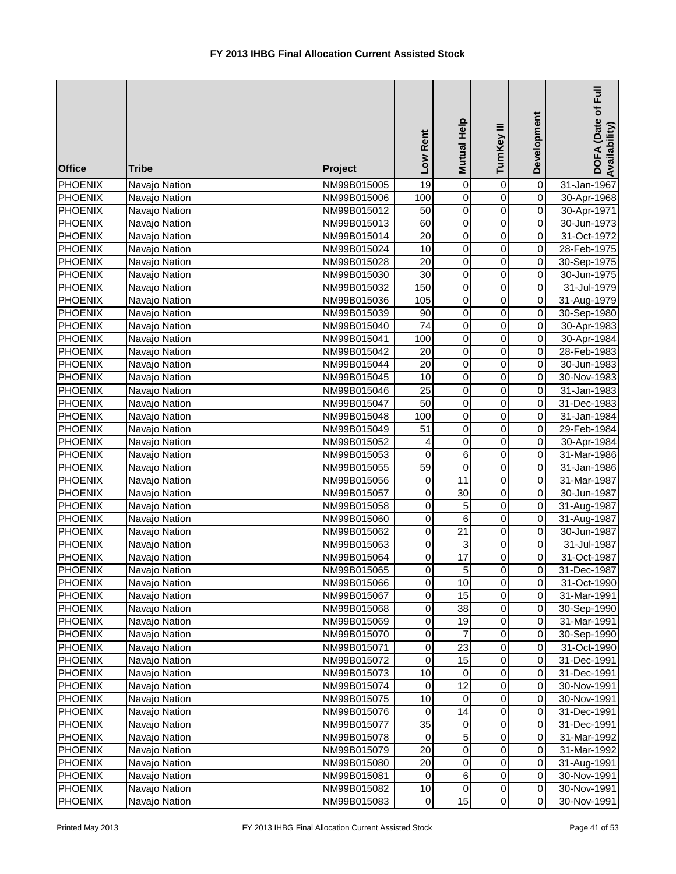| <b>Office</b>                    | <b>Tribe</b>                   | Project                    | Low Rent        | Mutual Help          | TurnKey III             | Development                      | DOFA (Date of Full<br>Availability) |
|----------------------------------|--------------------------------|----------------------------|-----------------|----------------------|-------------------------|----------------------------------|-------------------------------------|
| <b>PHOENIX</b>                   | Navajo Nation                  | NM99B015005                | $\overline{19}$ | $\overline{0}$       | 0                       | $\overline{\mathsf{o}}$          | 31-Jan-1967                         |
| <b>PHOENIX</b>                   | Navajo Nation                  | NM99B015006                | 100             | $\overline{0}$       | $\overline{0}$          | $\overline{0}$                   | 30-Apr-1968                         |
| <b>PHOENIX</b>                   | Navajo Nation                  | NM99B015012                | 50              | $\overline{0}$       | $\overline{0}$          | $\overline{0}$                   | 30-Apr-1971                         |
| <b>PHOENIX</b>                   | Navajo Nation                  | NM99B015013                | 60              | $\overline{0}$       | $\overline{0}$          | $\overline{0}$                   | 30-Jun-1973                         |
| <b>PHOENIX</b>                   | Navajo Nation                  | NM99B015014                | $\overline{20}$ | $\overline{0}$       | $\overline{0}$          | $\overline{0}$                   | 31-Oct-1972                         |
| <b>PHOENIX</b>                   | Navajo Nation                  | NM99B015024                | 10              | $\pmb{0}$            | $\mathsf 0$             | $\pmb{0}$                        | 28-Feb-1975                         |
| <b>PHOENIX</b>                   | Navajo Nation                  | NM99B015028                | $\overline{20}$ | $\pmb{0}$            | 0                       | $\overline{0}$                   | 30-Sep-1975                         |
| <b>PHOENIX</b>                   | Navajo Nation                  | NM99B015030                | $\overline{30}$ | $\pmb{0}$            | $\mathsf 0$             | $\overline{0}$                   | 30-Jun-1975                         |
| <b>PHOENIX</b>                   | Navajo Nation                  | NM99B015032                | 150             | $\overline{0}$       | $\mathsf 0$             | $\overline{0}$                   | 31-Jul-1979                         |
| <b>PHOENIX</b>                   | Navajo Nation                  | NM99B015036                | 105             | $\overline{0}$       | $\overline{0}$          | $\overline{0}$                   | 31-Aug-1979                         |
| <b>PHOENIX</b>                   | Navajo Nation                  | NM99B015039                | 90              | $\mathbf 0$          | $\mathsf 0$             | $\overline{0}$                   | 30-Sep-1980                         |
| <b>PHOENIX</b>                   | Navajo Nation                  | NM99B015040                | 74              | $\pmb{0}$            | $\pmb{0}$               | $\overline{0}$                   | 30-Apr-1983                         |
| <b>PHOENIX</b>                   | Navajo Nation                  | NM99B015041                | 100             | $\mathbf 0$          | $\mathsf 0$             | $\overline{0}$                   | 30-Apr-1984                         |
| <b>PHOENIX</b>                   | Navajo Nation                  | NM99B015042                | 20              | $\pmb{0}$            | $\pmb{0}$               | $\overline{0}$                   | 28-Feb-1983                         |
| <b>PHOENIX</b>                   | Navajo Nation                  | NM99B015044                | 20              | $\pmb{0}$            | $\pmb{0}$               | $\overline{0}$                   | 30-Jun-1983                         |
| <b>PHOENIX</b>                   | Navajo Nation                  | NM99B015045                | 10              | $\mathbf 0$          | $\overline{0}$          | $\overline{0}$                   | 30-Nov-1983                         |
| <b>PHOENIX</b>                   | Navajo Nation                  | NM99B015046                | 25              | $\mathbf 0$          | $\overline{0}$          | $\overline{0}$                   | 31-Jan-1983                         |
| <b>PHOENIX</b>                   | Navajo Nation                  | NM99B015047                | $\overline{50}$ | $\overline{0}$       | $\overline{0}$          | $\overline{0}$                   | 31-Dec-1983                         |
| <b>PHOENIX</b>                   | Navajo Nation                  | NM99B015048                | 100             | $\overline{0}$       | $\overline{0}$          | $\overline{0}$                   | 31-Jan-1984                         |
| <b>PHOENIX</b>                   | Navajo Nation                  | NM99B015049                | 51              | $\overline{0}$       | $\overline{0}$          | $\overline{0}$                   | 29-Feb-1984                         |
| <b>PHOENIX</b>                   | Navajo Nation                  | NM99B015052                | 4               | $\overline{0}$       | $\overline{0}$          | $\overline{0}$                   | 30-Apr-1984                         |
| <b>PHOENIX</b>                   | Navajo Nation                  | NM99B015053                | 0               | 6                    | $\overline{0}$          | $\overline{0}$                   | 31-Mar-1986                         |
| <b>PHOENIX</b>                   | Navajo Nation                  | NM99B015055                | $\overline{59}$ | $\pmb{0}$            | $\overline{0}$          | $\overline{0}$                   | 31-Jan-1986                         |
| <b>PHOENIX</b>                   | Navajo Nation                  | NM99B015056                | 0               | 11                   | $\overline{0}$          | $\overline{0}$                   | 31-Mar-1987                         |
| <b>PHOENIX</b>                   | Navajo Nation                  | NM99B015057                | 0               | $\overline{30}$      | $\mathsf 0$             | $\overline{0}$                   | 30-Jun-1987                         |
| PHOENIX                          | Navajo Nation                  | NM99B015058                | $\mathsf 0$     | $\overline{5}$       | $\overline{0}$          | $\overline{0}$                   | 31-Aug-1987                         |
| <b>PHOENIX</b>                   | Navajo Nation                  | NM99B015060                | 0               | $\,6\,$              | $\pmb{0}$               | $\overline{0}$<br>$\overline{0}$ | 31-Aug-1987                         |
| <b>PHOENIX</b>                   | Navajo Nation                  | NM99B015062                | 0               | $\overline{21}$      | $\pmb{0}$<br>$\pmb{0}$  | $\overline{0}$                   | 30-Jun-1987                         |
| <b>PHOENIX</b><br><b>PHOENIX</b> | Navajo Nation                  | NM99B015063                | 0<br>0          | 3<br>$\overline{17}$ |                         | $\overline{0}$                   | 31-Jul-1987                         |
| <b>PHOENIX</b>                   | Navajo Nation<br>Navajo Nation | NM99B015064<br>NM99B015065 | $\Omega$        | $\overline{5}$       | $\mathbf 0$<br>$\Omega$ | οI                               | 31-Oct-1987<br>31-Dec-1987          |
| <b>PHOENIX</b>                   | Navajo Nation                  | NM99B015066                | $\mathbf 0$     | 10                   | $\pmb{0}$               | $\overline{0}$                   | 31-Oct-1990                         |
|                                  |                                |                            | 0               | 15                   | $\pmb{0}$               | $\overline{0}$                   |                                     |
| <b>PHOENIX</b><br><b>PHOENIX</b> | Navajo Nation<br>Navajo Nation | NM99B015067<br>NM99B015068 | 0               | 38                   | $\mathbf 0$             | $\pmb{0}$                        | 31-Mar-1991<br>30-Sep-1990          |
| <b>PHOENIX</b>                   | Navajo Nation                  | NM99B015069                | 0               | 19                   | $\mathbf 0$             | $\Omega$                         | 31-Mar-1991                         |
| <b>PHOENIX</b>                   | Navajo Nation                  | NM99B015070                | 0               | 7                    | $\mathsf 0$             | $\mathbf 0$                      | 30-Sep-1990                         |
| <b>PHOENIX</b>                   | Navajo Nation                  | NM99B015071                | $\pmb{0}$       | 23                   | $\mathbf 0$             | $\Omega$                         | 31-Oct-1990                         |
| <b>PHOENIX</b>                   | Navajo Nation                  | NM99B015072                | 0               | 15                   | $\mathbf 0$             | $\mathsf{O}\xspace$              | 31-Dec-1991                         |
| <b>PHOENIX</b>                   | Navajo Nation                  | NM99B015073                | 10              | $\pmb{0}$            | $\pmb{0}$               | $\mathsf{O}\xspace$              | 31-Dec-1991                         |
| <b>PHOENIX</b>                   | Navajo Nation                  | NM99B015074                | 0               | $\overline{12}$      | $\mathsf 0$             | $\mathsf{O}\xspace$              | 30-Nov-1991                         |
| <b>PHOENIX</b>                   | Navajo Nation                  | NM99B015075                | 10              | $\pmb{0}$            | 0                       | $\overline{0}$                   | 30-Nov-1991                         |
| <b>PHOENIX</b>                   | Navajo Nation                  | NM99B015076                | 0               | $\overline{14}$      | 0                       | $\overline{0}$                   | 31-Dec-1991                         |
| <b>PHOENIX</b>                   | Navajo Nation                  | NM99B015077                | $\overline{35}$ | $\pmb{0}$            | $\mathsf 0$             | $\overline{0}$                   | 31-Dec-1991                         |
| <b>PHOENIX</b>                   | Navajo Nation                  | NM99B015078                | 0               | 5                    | $\pmb{0}$               | $\Omega$                         | 31-Mar-1992                         |
| <b>PHOENIX</b>                   | Navajo Nation                  | NM99B015079                | 20              | $\mathbf 0$          | $\pmb{0}$               | $\Omega$                         | 31-Mar-1992                         |
| <b>PHOENIX</b>                   | Navajo Nation                  | NM99B015080                | 20              | $\mathbf 0$          | $\pmb{0}$               | $\Omega$                         | 31-Aug-1991                         |
| <b>PHOENIX</b>                   | Navajo Nation                  | NM99B015081                | 0               | $\,6$                | $\pmb{0}$               | $\overline{0}$                   | 30-Nov-1991                         |
| <b>PHOENIX</b>                   | Navajo Nation                  | NM99B015082                | 10              | $\,0\,$              | $\pmb{0}$               | $\overline{0}$                   | 30-Nov-1991                         |
| <b>PHOENIX</b>                   | Navajo Nation                  | NM99B015083                | $\mathbf 0$     | 15                   | $\pmb{0}$               | $\overline{0}$                   | 30-Nov-1991                         |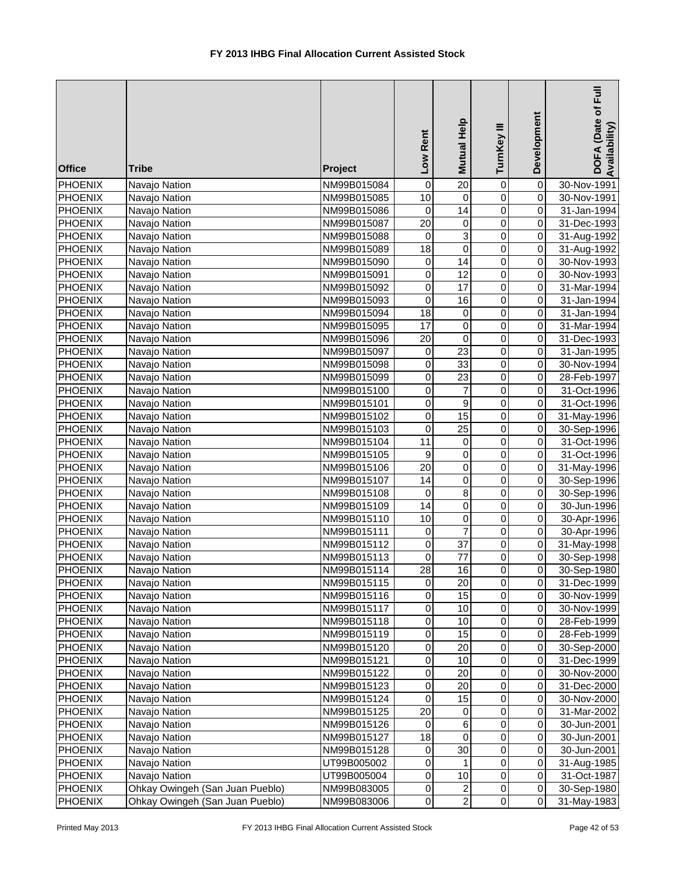| <b>Office</b>  | <b>Tribe</b>                    | Project     | Low Rent         | Mutual Help     | TurnKey III             | Development         | Ē<br>DOFA (Date of<br>Availability) |
|----------------|---------------------------------|-------------|------------------|-----------------|-------------------------|---------------------|-------------------------------------|
| <b>PHOENIX</b> | Navajo Nation                   | NM99B015084 | $\boldsymbol{0}$ | $\overline{20}$ | $\pmb{0}$               | $\overline{0}$      | 30-Nov-1991                         |
| <b>PHOENIX</b> | Navajo Nation                   | NM99B015085 | $\overline{10}$  | $\mathbf 0$     | $\overline{0}$          | $\overline{0}$      | 30-Nov-1991                         |
| <b>PHOENIX</b> | Navajo Nation                   | NM99B015086 | $\boldsymbol{0}$ | $\overline{14}$ | $\overline{0}$          | $\mathsf{O}\xspace$ | 31-Jan-1994                         |
| PHOENIX        | Navajo Nation                   | NM99B015087 | $\overline{20}$  | $\pmb{0}$       | $\overline{0}$          | $\mathsf{O}\xspace$ | 31-Dec-1993                         |
| PHOENIX        | Navajo Nation                   | NM99B015088 | $\mathbf 0$      | $\overline{3}$  | $\overline{0}$          | $\pmb{0}$           | 31-Aug-1992                         |
| PHOENIX        | Navajo Nation                   | NM99B015089 | 18               | $\overline{0}$  | $\overline{0}$          | $\pmb{0}$           | 31-Aug-1992                         |
| PHOENIX        | Navajo Nation                   | NM99B015090 | 0                | $\overline{14}$ | $\overline{0}$          | $\overline{0}$      | 30-Nov-1993                         |
| <b>PHOENIX</b> | Navajo Nation                   | NM99B015091 | 0                | $\overline{12}$ | $\pmb{0}$               | O                   | 30-Nov-1993                         |
| PHOENIX        | Navajo Nation                   | NM99B015092 | 0                | $\overline{17}$ | $\pmb{0}$               | O                   | 31-Mar-1994                         |
| PHOENIX        | Navajo Nation                   | NM99B015093 | $\mathbf 0$      | 16              | $\overline{0}$          | O                   | 31-Jan-1994                         |
| PHOENIX        | Navajo Nation                   | NM99B015094 | 18               | 0               | $\pmb{0}$               | $\mathsf{O}\xspace$ | 31-Jan-1994                         |
| PHOENIX        | Navajo Nation                   | NM99B015095 | 17               | $\pmb{0}$       | $\pmb{0}$               | $\mathsf{O}\xspace$ | 31-Mar-1994                         |
| PHOENIX        | Navajo Nation                   | NM99B015096 | 20               | $\pmb{0}$       | 0                       | $\mathsf{O}\xspace$ | 31-Dec-1993                         |
| PHOENIX        | Navajo Nation                   | NM99B015097 | 0                | $\overline{23}$ | 0                       | $\mathsf{O}\xspace$ | 31-Jan-1995                         |
| <b>PHOENIX</b> | Navajo Nation                   | NM99B015098 | 0                | 33              | 0                       | $\mathsf{O}\xspace$ | 30-Nov-1994                         |
| <b>PHOENIX</b> | Navajo Nation                   | NM99B015099 | 0                | 23              | $\pmb{0}$               | 0                   | 28-Feb-1997                         |
| <b>PHOENIX</b> | Navajo Nation                   | NM99B015100 | 0                | $\overline{7}$  | $\pmb{0}$               | $\mathsf{O}$        | 31-Oct-1996                         |
| <b>PHOENIX</b> | Navajo Nation                   | NM99B015101 | $\mathbf 0$      | $\overline{9}$  | $\overline{0}$          | $\mathbf 0$         | 31-Oct-1996                         |
| <b>PHOENIX</b> | Navajo Nation                   | NM99B015102 | $\overline{0}$   | $\overline{15}$ | $\overline{0}$          | 0                   | 31-May-1996                         |
| <b>PHOENIX</b> | Navajo Nation                   | NM99B015103 | $\overline{0}$   | $\overline{25}$ | $\overline{0}$          | $\pmb{0}$           | 30-Sep-1996                         |
| <b>PHOENIX</b> | Navajo Nation                   | NM99B015104 | $\overline{11}$  | $\pmb{0}$       | $\overline{0}$          | $\pmb{0}$           | 31-Oct-1996                         |
| PHOENIX        | Navajo Nation                   | NM99B015105 | $\boldsymbol{9}$ | $\overline{0}$  | $\overline{0}$          | $\overline{0}$      | 31-Oct-1996                         |
| PHOENIX        | Navajo Nation                   | NM99B015106 | $\overline{20}$  | $\overline{0}$  | $\overline{0}$          | $\overline{0}$      | 31-May-1996                         |
| PHOENIX        | Navajo Nation                   | NM99B015107 | $\overline{14}$  | $\mathsf 0$     | $\pmb{0}$               | $\mathsf{O}\xspace$ | 30-Sep-1996                         |
| PHOENIX        | Navajo Nation                   | NM99B015108 | 0                | $\overline{8}$  | $\pmb{0}$               | $\overline{0}$      | 30-Sep-1996                         |
| PHOENIX        | Navajo Nation                   | NM99B015109 | $\overline{14}$  | $\overline{0}$  | 0                       | $\overline{0}$      | 30-Jun-1996                         |
| PHOENIX        | Navajo Nation                   | NM99B015110 | $\overline{10}$  | $\overline{0}$  | $\overline{0}$          | $\overline{0}$      | 30-Apr-1996                         |
| PHOENIX        | Navajo Nation                   | NM99B015111 | $\pmb{0}$        | $\overline{7}$  | $\pmb{0}$               | $\overline{0}$      | 30-Apr-1996                         |
| PHOENIX        | Navajo Nation                   | NM99B015112 | $\mathbf 0$      | $\overline{37}$ | $\pmb{0}$               | $\overline{0}$      | 31-May-1998                         |
| PHOENIX        | Navajo Nation                   | NM99B015113 | 0                | 77              | 0                       | $\mathsf{O}\xspace$ | 30-Sep-1998                         |
| <b>PHOENIX</b> | Navajo Nation                   | NM99B015114 | $\overline{28}$  | 16              | $\overline{\mathsf{o}}$ | οI                  | 30-Sep-1980                         |
| PHOENIX        | Navajo Nation                   | NM99B015115 | $\mathbf 0$      | 20              | 0                       | $\mathbf{O}$        | 31-Dec-1999                         |
| PHOENIX        | Navajo Nation                   | NM99B015116 | 0                | 15              | 0                       | $\mathbf{O}$        | 30-Nov-1999                         |
| <b>PHOENIX</b> | Navajo Nation                   | NM99B015117 | 0                | 10              | $\mathbf 0$             | $\overline{O}$      | 30-Nov-1999                         |
| <b>PHOENIX</b> | Navajo Nation                   | NM99B015118 | 0                | 10              | $\mathbf 0$             | 0                   | 28-Feb-1999                         |
| <b>PHOENIX</b> | Navajo Nation                   | NM99B015119 | $\,0\,$          | 15              | $\pmb{0}$               | 0                   | 28-Feb-1999                         |
| PHOENIX        | Navajo Nation                   | NM99B015120 | $\mathbf 0$      | 20              | $\pmb{0}$               | 0                   | 30-Sep-2000                         |
| <b>PHOENIX</b> | Navajo Nation                   | NM99B015121 | $\pmb{0}$        | 10              | $\mathbf 0$             | $\mathsf{O}\xspace$ | 31-Dec-1999                         |
| PHOENIX        | Navajo Nation                   | NM99B015122 | $\mathbf 0$      | 20              | $\pmb{0}$               | $\mathsf{O}\xspace$ | 30-Nov-2000                         |
| PHOENIX        | Navajo Nation                   | NM99B015123 | 0                | 20              | $\pmb{0}$               | 0                   | 31-Dec-2000                         |
| PHOENIX        | Navajo Nation                   | NM99B015124 | 0                | 15              | $\mathbf 0$             | 0                   | 30-Nov-2000                         |
| <b>PHOENIX</b> | Navajo Nation                   | NM99B015125 | 20               | 0               | 0                       | $\pmb{0}$           | 31-Mar-2002                         |
| PHOENIX        | Navajo Nation                   | NM99B015126 | 0                | 6               | 0                       | 0                   | 30-Jun-2001                         |
| PHOENIX        | Navajo Nation                   | NM99B015127 | 18               | $\pmb{0}$       | 0                       | $\mathsf{O}\xspace$ | 30-Jun-2001                         |
| <b>PHOENIX</b> | Navajo Nation                   | NM99B015128 | $\mathbf 0$      | 30              | $\mathbf 0$             | 0                   | 30-Jun-2001                         |
| <b>PHOENIX</b> | Navajo Nation                   | UT99B005002 | 0                | 1               | 0                       | 0                   | 31-Aug-1985                         |
| PHOENIX        | Navajo Nation                   | UT99B005004 | $\pmb{0}$        | 10              | $\mathbf 0$             | $\overline{0}$      | 31-Oct-1987                         |
| <b>PHOENIX</b> | Ohkay Owingeh (San Juan Pueblo) | NM99B083005 | $\pmb{0}$        | $\overline{2}$  | $\pmb{0}$               | $\overline{0}$      | 30-Sep-1980                         |
| PHOENIX        | Ohkay Owingeh (San Juan Pueblo) | NM99B083006 | $\pmb{0}$        | $\overline{2}$  | $\pmb{0}$               | $\overline{0}$      | 31-May-1983                         |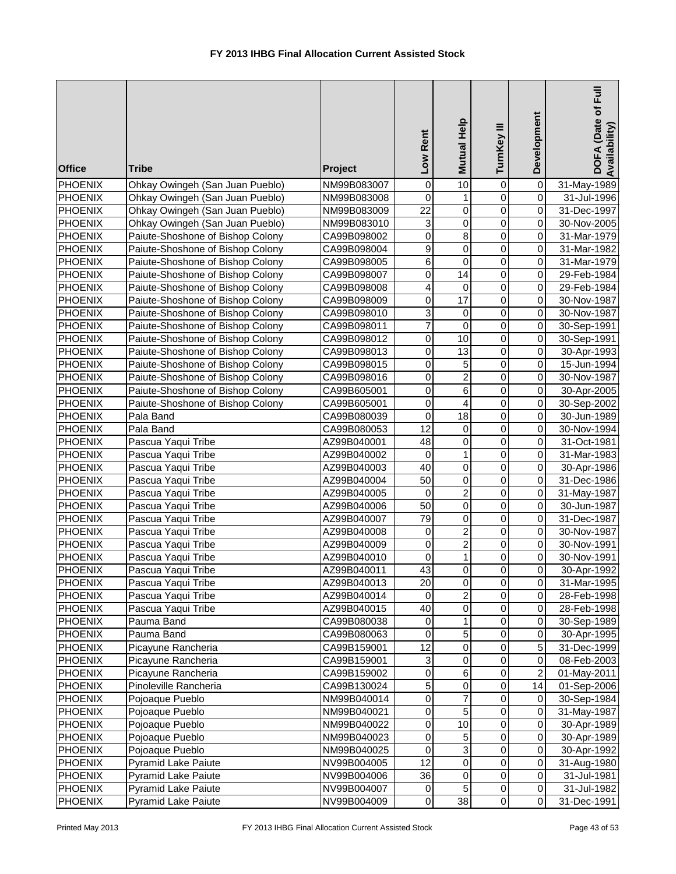| 0<br>$\overline{0}$<br>$\overline{\mathsf{o}}$<br>0<br>$\mathbf{1}$<br><b>PHOENIX</b><br>Ohkay Owingeh (San Juan Pueblo)<br>31-Jul-1996<br>NM99B083008<br>$\overline{0}$<br>$\overline{22}$<br>$\overline{0}$<br>Ohkay Owingeh (San Juan Pueblo)<br>$\pmb{0}$<br><b>PHOENIX</b><br>31-Dec-1997<br>NM99B083009<br>$\overline{0}$<br>3<br>$\overline{0}$<br>Ohkay Owingeh (San Juan Pueblo)<br>$\pmb{0}$<br><b>PHOENIX</b><br>NM99B083010<br>30-Nov-2005<br>$\mathsf 0$<br>$\overline{8}$<br>$\mathbf 0$<br>Paiute-Shoshone of Bishop Colony<br>$\mathsf{O}\xspace$<br>PHOENIX<br>31-Mar-1979<br>CA99B098002<br>9<br>$\overline{0}$<br>$\mathbf 0$<br>$\pmb{0}$<br><b>PHOENIX</b><br>Paiute-Shoshone of Bishop Colony<br>CA99B098004<br>31-Mar-1982<br>6<br>$\overline{0}$<br>$\mathbf 0$<br>PHOENIX<br>Paiute-Shoshone of Bishop Colony<br>$\pmb{0}$<br>CA99B098005<br>31-Mar-1979<br>$\mathbf 0$<br>Paiute-Shoshone of Bishop Colony<br>0<br>14<br>$\pmb{0}$<br><b>PHOENIX</b><br>CA99B098007<br>29-Feb-1984<br>$\mathbf 0$<br>$\overline{\mathsf{o}}$<br><b>PHOENIX</b><br>Paiute-Shoshone of Bishop Colony<br>CA99B098008<br>4<br>0<br>29-Feb-1984<br>17<br>$\mathbf 0$<br>$\overline{\mathsf{o}}$<br>PHOENIX<br>0<br>Paiute-Shoshone of Bishop Colony<br>30-Nov-1987<br>CA99B098009<br>$\mathsf 0$<br>3<br>$\mathsf{O}\xspace$<br>PHOENIX<br>Paiute-Shoshone of Bishop Colony<br>0<br>CA99B098010<br>30-Nov-1987<br>$\overline{7}$<br>$\mathsf 0$<br>PHOENIX<br>Paiute-Shoshone of Bishop Colony<br>$\pmb{0}$<br>$\overline{0}$<br>CA99B098011<br>30-Sep-1991<br>10<br>$\mathbf 0$<br>PHOENIX<br>Paiute-Shoshone of Bishop Colony<br>0<br>$\pmb{0}$<br>CA99B098012<br>30-Sep-1991<br>PHOENIX<br>Paiute-Shoshone of Bishop Colony<br>0<br>13<br>$\pmb{0}$<br>$\overline{0}$<br>CA99B098013<br>30-Apr-1993<br>$\mathbf 0$<br>$\overline{0}$<br>PHOENIX<br>Paiute-Shoshone of Bishop Colony<br>0<br>5<br>CA99B098015<br>15-Jun-1994<br>$\overline{\mathbf{c}}$<br>PHOENIX<br>Paiute-Shoshone of Bishop Colony<br>0<br>$\pmb{0}$<br>CA99B098016<br>0<br>30-Nov-1987<br>$\,6$<br>0<br>$\pmb{0}$<br><b>PHOENIX</b><br>Paiute-Shoshone of Bishop Colony<br>CA99B605001<br>0<br>30-Apr-2005<br>$\overline{4}$<br>0<br>$\pmb{0}$<br><b>PHOENIX</b><br>Paiute-Shoshone of Bishop Colony<br>0<br>CA99B605001<br>30-Sep-2002<br>$\overline{0}$<br>$\mathsf 0$<br>$\overline{18}$<br>$\overline{\mathsf{o}}$<br><b>PHOENIX</b><br>Pala Band<br>30-Jun-1989<br>CA99B080039<br>$\overline{0}$<br>$\overline{12}$<br>$\overline{\mathsf{o}}$<br><b>PHOENIX</b><br>$\pmb{0}$<br>Pala Band<br>30-Nov-1994<br>CA99B080053<br>$\overline{0}$<br>48<br>$\overline{0}$<br>$\overline{0}$<br>Pascua Yaqui Tribe<br><b>PHOENIX</b><br>AZ99B040001<br>31-Oct-1981<br>$\mathbf{1}$<br>$\overline{0}$<br>Pascua Yaqui Tribe<br>$\pmb{0}$<br>$\pmb{0}$<br><b>PHOENIX</b><br>AZ99B040002<br>31-Mar-1983<br>$\overline{0}$<br>$\overline{0}$<br>PHOENIX<br>Pascua Yaqui Tribe<br>40<br>$\pmb{0}$<br>AZ99B040003<br>30-Apr-1986<br>$\overline{0}$<br>$\overline{50}$<br>$\overline{0}$<br>$\overline{\mathsf{o}}$<br>PHOENIX<br>Pascua Yaqui Tribe<br>AZ99B040004<br>31-Dec-1986<br>$\overline{2}$<br>Pascua Yaqui Tribe<br>$\mathbf 0$<br>0<br>$\mathsf{O}\xspace$<br><b>PHOENIX</b><br>AZ99B040005<br>31-May-1987<br>$\overline{50}$<br>$\overline{0}$<br>$\mathbf 0$<br>$\overline{\mathsf{o}}$<br>PHOENIX<br>Pascua Yaqui Tribe<br>AZ99B040006<br>30-Jun-1987<br>79<br>$\overline{0}$<br>$\mathbf 0$<br>$\mathbf 0$<br>PHOENIX<br>Pascua Yaqui Tribe<br>AZ99B040007<br>31-Dec-1987<br>$\overline{2}$<br>$\overline{0}$<br>$\overline{0}$<br>PHOENIX<br>Pascua Yaqui Tribe<br>AZ99B040008<br>0<br>30-Nov-1987<br>$\overline{2}$<br>$\overline{0}$<br>PHOENIX<br>Pascua Yaqui Tribe<br>0<br>$\overline{0}$<br>AZ99B040009<br>30-Nov-1991<br>$\mathbf{1}$<br>PHOENIX<br>Pascua Yaqui Tribe<br>0<br>$\pmb{0}$<br>$\pmb{0}$<br>AZ99B040010<br>30-Nov-1991<br>43<br>$\overline{0}$<br>$\overline{0}$<br>$\overline{0}$<br>PHOENIX<br>Pascua Yaqui Tribe<br>AZ99B040011<br>30-Apr-1992<br><b>PHOENIX</b><br>Pascua Yaqui Tribe<br>20<br>$\mathbf 0$<br>$\mathbf 0$<br>AZ99B040013<br>0<br>31-Mar-1995<br>$\overline{\mathbf{c}}$<br>$\pmb{0}$<br><b>PHOENIX</b><br>Pascua Yaqui Tribe<br>AZ99B040014<br>$\overline{0}$<br>0<br>28-Feb-1998<br>Pascua Yaqui Tribe<br>40<br>$\pmb{0}$<br>$\mathbf 0$<br>$\Omega$<br><b>PHOENIX</b><br>AZ99B040015<br>28-Feb-1998<br>1<br>$\mathbf 0$<br>$\overline{0}$<br><b>PHOENIX</b><br>Pauma Band<br>0<br>CA99B080038<br>30-Sep-1989<br>5<br>$\pmb{0}$<br>$\overline{0}$<br><b>PHOENIX</b><br>Pauma Band<br>0<br>CA99B080063<br>30-Apr-1995<br>$\mathsf 0$<br>5 <sup>1</sup><br>12<br>$\pmb{0}$<br>PHOENIX<br>Picayune Rancheria<br>31-Dec-1999<br>CA99B159001<br>$\ensuremath{\mathsf{3}}$<br>$\pmb{0}$<br>$\pmb{0}$<br>$\overline{0}$<br>Picayune Rancheria<br>PHOENIX<br>CA99B159001<br>08-Feb-2003<br>$\,6\,$<br>$\pmb{0}$<br>$\overline{a}$<br>0<br>PHOENIX<br>Picayune Rancheria<br>01-May-2011<br>CA99B159002<br>5<br>$\pmb{0}$<br>$\pmb{0}$<br>14<br>PHOENIX<br>Pinoleville Rancheria<br>01-Sep-2006<br>CA99B130024<br>$\overline{7}$<br>$\overline{0}$<br>0<br>PHOENIX<br>Pojoaque Pueblo<br>$\mathbf 0$<br>30-Sep-1984<br>NM99B040014<br>$\overline{5}$<br>0<br>0<br>$\mathbf 0$<br>PHOENIX<br>Pojoaque Pueblo<br>NM99B040021<br>31-May-1987<br>0<br>0<br>$\overline{0}$<br>10<br><b>PHOENIX</b><br>Pojoaque Pueblo<br>NM99B040022<br>30-Apr-1989<br>0<br>5<br>0<br>$\overline{0}$<br>PHOENIX<br>Pojoaque Pueblo<br>NM99B040023<br>30-Apr-1989<br>$\overline{3}$<br>$\overline{0}$<br>0<br>$\overline{0}$<br>PHOENIX<br>Pojoaque Pueblo<br>NM99B040025<br>30-Apr-1992<br>$\overline{12}$<br>$\pmb{0}$<br>$\pmb{0}$<br>$\overline{0}$<br>PHOENIX<br><b>Pyramid Lake Paiute</b><br>NV99B004005<br>31-Aug-1980<br>$\pmb{0}$<br>$\overline{0}$<br>Pyramid Lake Paiute<br>36<br>$\pmb{0}$<br><b>PHOENIX</b><br>NV99B004006<br>31-Jul-1981<br>$\sqrt{5}$<br><b>Pyramid Lake Paiute</b><br>$\pmb{0}$<br>$\overline{0}$<br><b>PHOENIX</b><br>NV99B004007<br>0<br>31-Jul-1982<br>38<br>$\pmb{0}$<br><b>Pyramid Lake Paiute</b><br>NV99B004009<br>0<br>$\overline{0}$<br>31-Dec-1991 | <b>Office</b>  | <b>Tribe</b>                    | Project     | Low Rent | Mutual Help     | TurnKey III | Development | DOFA (Date of Full<br>Availability) |
|------------------------------------------------------------------------------------------------------------------------------------------------------------------------------------------------------------------------------------------------------------------------------------------------------------------------------------------------------------------------------------------------------------------------------------------------------------------------------------------------------------------------------------------------------------------------------------------------------------------------------------------------------------------------------------------------------------------------------------------------------------------------------------------------------------------------------------------------------------------------------------------------------------------------------------------------------------------------------------------------------------------------------------------------------------------------------------------------------------------------------------------------------------------------------------------------------------------------------------------------------------------------------------------------------------------------------------------------------------------------------------------------------------------------------------------------------------------------------------------------------------------------------------------------------------------------------------------------------------------------------------------------------------------------------------------------------------------------------------------------------------------------------------------------------------------------------------------------------------------------------------------------------------------------------------------------------------------------------------------------------------------------------------------------------------------------------------------------------------------------------------------------------------------------------------------------------------------------------------------------------------------------------------------------------------------------------------------------------------------------------------------------------------------------------------------------------------------------------------------------------------------------------------------------------------------------------------------------------------------------------------------------------------------------------------------------------------------------------------------------------------------------------------------------------------------------------------------------------------------------------------------------------------------------------------------------------------------------------------------------------------------------------------------------------------------------------------------------------------------------------------------------------------------------------------------------------------------------------------------------------------------------------------------------------------------------------------------------------------------------------------------------------------------------------------------------------------------------------------------------------------------------------------------------------------------------------------------------------------------------------------------------------------------------------------------------------------------------------------------------------------------------------------------------------------------------------------------------------------------------------------------------------------------------------------------------------------------------------------------------------------------------------------------------------------------------------------------------------------------------------------------------------------------------------------------------------------------------------------------------------------------------------------------------------------------------------------------------------------------------------------------------------------------------------------------------------------------------------------------------------------------------------------------------------------------------------------------------------------------------------------------------------------------------------------------------------------------------------------------------------------------------------------------------------------------------------------------------------------------------------------------------------------------------------------------------------------------------------------------------------------------------------------------------------------------------------------------------------------------------------------------------------------------------------------------------------------------------------------------------------------------------------------------------------------------------------------------------------------------------------------------------------------------------------------------------------------------------------------------------------------------------------------------------------------------------------------------------------------------------------------------------------------------------------------------------------------------------------------------------------------------------------------------------------------------------------------------------------------------------------------------------------------------------------------------------------------------------------------------------------------------------------------------------------------------------------------------------------------------------------------------------------------------------------------------|----------------|---------------------------------|-------------|----------|-----------------|-------------|-------------|-------------------------------------|
|                                                                                                                                                                                                                                                                                                                                                                                                                                                                                                                                                                                                                                                                                                                                                                                                                                                                                                                                                                                                                                                                                                                                                                                                                                                                                                                                                                                                                                                                                                                                                                                                                                                                                                                                                                                                                                                                                                                                                                                                                                                                                                                                                                                                                                                                                                                                                                                                                                                                                                                                                                                                                                                                                                                                                                                                                                                                                                                                                                                                                                                                                                                                                                                                                                                                                                                                                                                                                                                                                                                                                                                                                                                                                                                                                                                                                                                                                                                                                                                                                                                                                                                                                                                                                                                                                                                                                                                                                                                                                                                                                                                                                                                                                                                                                                                                                                                                                                                                                                                                                                                                                                                                                                                                                                                                                                                                                                                                                                                                                                                                                                                                                                                                                                                                                                                                                                                                                                                                                                                                                                                                                                                                                                                          | <b>PHOENIX</b> | Ohkay Owingeh (San Juan Pueblo) | NM99B083007 |          | $\overline{10}$ | 0           | 0           | 31-May-1989                         |
|                                                                                                                                                                                                                                                                                                                                                                                                                                                                                                                                                                                                                                                                                                                                                                                                                                                                                                                                                                                                                                                                                                                                                                                                                                                                                                                                                                                                                                                                                                                                                                                                                                                                                                                                                                                                                                                                                                                                                                                                                                                                                                                                                                                                                                                                                                                                                                                                                                                                                                                                                                                                                                                                                                                                                                                                                                                                                                                                                                                                                                                                                                                                                                                                                                                                                                                                                                                                                                                                                                                                                                                                                                                                                                                                                                                                                                                                                                                                                                                                                                                                                                                                                                                                                                                                                                                                                                                                                                                                                                                                                                                                                                                                                                                                                                                                                                                                                                                                                                                                                                                                                                                                                                                                                                                                                                                                                                                                                                                                                                                                                                                                                                                                                                                                                                                                                                                                                                                                                                                                                                                                                                                                                                                          |                |                                 |             |          |                 |             |             |                                     |
|                                                                                                                                                                                                                                                                                                                                                                                                                                                                                                                                                                                                                                                                                                                                                                                                                                                                                                                                                                                                                                                                                                                                                                                                                                                                                                                                                                                                                                                                                                                                                                                                                                                                                                                                                                                                                                                                                                                                                                                                                                                                                                                                                                                                                                                                                                                                                                                                                                                                                                                                                                                                                                                                                                                                                                                                                                                                                                                                                                                                                                                                                                                                                                                                                                                                                                                                                                                                                                                                                                                                                                                                                                                                                                                                                                                                                                                                                                                                                                                                                                                                                                                                                                                                                                                                                                                                                                                                                                                                                                                                                                                                                                                                                                                                                                                                                                                                                                                                                                                                                                                                                                                                                                                                                                                                                                                                                                                                                                                                                                                                                                                                                                                                                                                                                                                                                                                                                                                                                                                                                                                                                                                                                                                          |                |                                 |             |          |                 |             |             |                                     |
|                                                                                                                                                                                                                                                                                                                                                                                                                                                                                                                                                                                                                                                                                                                                                                                                                                                                                                                                                                                                                                                                                                                                                                                                                                                                                                                                                                                                                                                                                                                                                                                                                                                                                                                                                                                                                                                                                                                                                                                                                                                                                                                                                                                                                                                                                                                                                                                                                                                                                                                                                                                                                                                                                                                                                                                                                                                                                                                                                                                                                                                                                                                                                                                                                                                                                                                                                                                                                                                                                                                                                                                                                                                                                                                                                                                                                                                                                                                                                                                                                                                                                                                                                                                                                                                                                                                                                                                                                                                                                                                                                                                                                                                                                                                                                                                                                                                                                                                                                                                                                                                                                                                                                                                                                                                                                                                                                                                                                                                                                                                                                                                                                                                                                                                                                                                                                                                                                                                                                                                                                                                                                                                                                                                          |                |                                 |             |          |                 |             |             |                                     |
|                                                                                                                                                                                                                                                                                                                                                                                                                                                                                                                                                                                                                                                                                                                                                                                                                                                                                                                                                                                                                                                                                                                                                                                                                                                                                                                                                                                                                                                                                                                                                                                                                                                                                                                                                                                                                                                                                                                                                                                                                                                                                                                                                                                                                                                                                                                                                                                                                                                                                                                                                                                                                                                                                                                                                                                                                                                                                                                                                                                                                                                                                                                                                                                                                                                                                                                                                                                                                                                                                                                                                                                                                                                                                                                                                                                                                                                                                                                                                                                                                                                                                                                                                                                                                                                                                                                                                                                                                                                                                                                                                                                                                                                                                                                                                                                                                                                                                                                                                                                                                                                                                                                                                                                                                                                                                                                                                                                                                                                                                                                                                                                                                                                                                                                                                                                                                                                                                                                                                                                                                                                                                                                                                                                          |                |                                 |             |          |                 |             |             |                                     |
|                                                                                                                                                                                                                                                                                                                                                                                                                                                                                                                                                                                                                                                                                                                                                                                                                                                                                                                                                                                                                                                                                                                                                                                                                                                                                                                                                                                                                                                                                                                                                                                                                                                                                                                                                                                                                                                                                                                                                                                                                                                                                                                                                                                                                                                                                                                                                                                                                                                                                                                                                                                                                                                                                                                                                                                                                                                                                                                                                                                                                                                                                                                                                                                                                                                                                                                                                                                                                                                                                                                                                                                                                                                                                                                                                                                                                                                                                                                                                                                                                                                                                                                                                                                                                                                                                                                                                                                                                                                                                                                                                                                                                                                                                                                                                                                                                                                                                                                                                                                                                                                                                                                                                                                                                                                                                                                                                                                                                                                                                                                                                                                                                                                                                                                                                                                                                                                                                                                                                                                                                                                                                                                                                                                          |                |                                 |             |          |                 |             |             |                                     |
|                                                                                                                                                                                                                                                                                                                                                                                                                                                                                                                                                                                                                                                                                                                                                                                                                                                                                                                                                                                                                                                                                                                                                                                                                                                                                                                                                                                                                                                                                                                                                                                                                                                                                                                                                                                                                                                                                                                                                                                                                                                                                                                                                                                                                                                                                                                                                                                                                                                                                                                                                                                                                                                                                                                                                                                                                                                                                                                                                                                                                                                                                                                                                                                                                                                                                                                                                                                                                                                                                                                                                                                                                                                                                                                                                                                                                                                                                                                                                                                                                                                                                                                                                                                                                                                                                                                                                                                                                                                                                                                                                                                                                                                                                                                                                                                                                                                                                                                                                                                                                                                                                                                                                                                                                                                                                                                                                                                                                                                                                                                                                                                                                                                                                                                                                                                                                                                                                                                                                                                                                                                                                                                                                                                          |                |                                 |             |          |                 |             |             |                                     |
|                                                                                                                                                                                                                                                                                                                                                                                                                                                                                                                                                                                                                                                                                                                                                                                                                                                                                                                                                                                                                                                                                                                                                                                                                                                                                                                                                                                                                                                                                                                                                                                                                                                                                                                                                                                                                                                                                                                                                                                                                                                                                                                                                                                                                                                                                                                                                                                                                                                                                                                                                                                                                                                                                                                                                                                                                                                                                                                                                                                                                                                                                                                                                                                                                                                                                                                                                                                                                                                                                                                                                                                                                                                                                                                                                                                                                                                                                                                                                                                                                                                                                                                                                                                                                                                                                                                                                                                                                                                                                                                                                                                                                                                                                                                                                                                                                                                                                                                                                                                                                                                                                                                                                                                                                                                                                                                                                                                                                                                                                                                                                                                                                                                                                                                                                                                                                                                                                                                                                                                                                                                                                                                                                                                          |                |                                 |             |          |                 |             |             |                                     |
|                                                                                                                                                                                                                                                                                                                                                                                                                                                                                                                                                                                                                                                                                                                                                                                                                                                                                                                                                                                                                                                                                                                                                                                                                                                                                                                                                                                                                                                                                                                                                                                                                                                                                                                                                                                                                                                                                                                                                                                                                                                                                                                                                                                                                                                                                                                                                                                                                                                                                                                                                                                                                                                                                                                                                                                                                                                                                                                                                                                                                                                                                                                                                                                                                                                                                                                                                                                                                                                                                                                                                                                                                                                                                                                                                                                                                                                                                                                                                                                                                                                                                                                                                                                                                                                                                                                                                                                                                                                                                                                                                                                                                                                                                                                                                                                                                                                                                                                                                                                                                                                                                                                                                                                                                                                                                                                                                                                                                                                                                                                                                                                                                                                                                                                                                                                                                                                                                                                                                                                                                                                                                                                                                                                          |                |                                 |             |          |                 |             |             |                                     |
|                                                                                                                                                                                                                                                                                                                                                                                                                                                                                                                                                                                                                                                                                                                                                                                                                                                                                                                                                                                                                                                                                                                                                                                                                                                                                                                                                                                                                                                                                                                                                                                                                                                                                                                                                                                                                                                                                                                                                                                                                                                                                                                                                                                                                                                                                                                                                                                                                                                                                                                                                                                                                                                                                                                                                                                                                                                                                                                                                                                                                                                                                                                                                                                                                                                                                                                                                                                                                                                                                                                                                                                                                                                                                                                                                                                                                                                                                                                                                                                                                                                                                                                                                                                                                                                                                                                                                                                                                                                                                                                                                                                                                                                                                                                                                                                                                                                                                                                                                                                                                                                                                                                                                                                                                                                                                                                                                                                                                                                                                                                                                                                                                                                                                                                                                                                                                                                                                                                                                                                                                                                                                                                                                                                          |                |                                 |             |          |                 |             |             |                                     |
|                                                                                                                                                                                                                                                                                                                                                                                                                                                                                                                                                                                                                                                                                                                                                                                                                                                                                                                                                                                                                                                                                                                                                                                                                                                                                                                                                                                                                                                                                                                                                                                                                                                                                                                                                                                                                                                                                                                                                                                                                                                                                                                                                                                                                                                                                                                                                                                                                                                                                                                                                                                                                                                                                                                                                                                                                                                                                                                                                                                                                                                                                                                                                                                                                                                                                                                                                                                                                                                                                                                                                                                                                                                                                                                                                                                                                                                                                                                                                                                                                                                                                                                                                                                                                                                                                                                                                                                                                                                                                                                                                                                                                                                                                                                                                                                                                                                                                                                                                                                                                                                                                                                                                                                                                                                                                                                                                                                                                                                                                                                                                                                                                                                                                                                                                                                                                                                                                                                                                                                                                                                                                                                                                                                          |                |                                 |             |          |                 |             |             |                                     |
|                                                                                                                                                                                                                                                                                                                                                                                                                                                                                                                                                                                                                                                                                                                                                                                                                                                                                                                                                                                                                                                                                                                                                                                                                                                                                                                                                                                                                                                                                                                                                                                                                                                                                                                                                                                                                                                                                                                                                                                                                                                                                                                                                                                                                                                                                                                                                                                                                                                                                                                                                                                                                                                                                                                                                                                                                                                                                                                                                                                                                                                                                                                                                                                                                                                                                                                                                                                                                                                                                                                                                                                                                                                                                                                                                                                                                                                                                                                                                                                                                                                                                                                                                                                                                                                                                                                                                                                                                                                                                                                                                                                                                                                                                                                                                                                                                                                                                                                                                                                                                                                                                                                                                                                                                                                                                                                                                                                                                                                                                                                                                                                                                                                                                                                                                                                                                                                                                                                                                                                                                                                                                                                                                                                          |                |                                 |             |          |                 |             |             |                                     |
|                                                                                                                                                                                                                                                                                                                                                                                                                                                                                                                                                                                                                                                                                                                                                                                                                                                                                                                                                                                                                                                                                                                                                                                                                                                                                                                                                                                                                                                                                                                                                                                                                                                                                                                                                                                                                                                                                                                                                                                                                                                                                                                                                                                                                                                                                                                                                                                                                                                                                                                                                                                                                                                                                                                                                                                                                                                                                                                                                                                                                                                                                                                                                                                                                                                                                                                                                                                                                                                                                                                                                                                                                                                                                                                                                                                                                                                                                                                                                                                                                                                                                                                                                                                                                                                                                                                                                                                                                                                                                                                                                                                                                                                                                                                                                                                                                                                                                                                                                                                                                                                                                                                                                                                                                                                                                                                                                                                                                                                                                                                                                                                                                                                                                                                                                                                                                                                                                                                                                                                                                                                                                                                                                                                          |                |                                 |             |          |                 |             |             |                                     |
|                                                                                                                                                                                                                                                                                                                                                                                                                                                                                                                                                                                                                                                                                                                                                                                                                                                                                                                                                                                                                                                                                                                                                                                                                                                                                                                                                                                                                                                                                                                                                                                                                                                                                                                                                                                                                                                                                                                                                                                                                                                                                                                                                                                                                                                                                                                                                                                                                                                                                                                                                                                                                                                                                                                                                                                                                                                                                                                                                                                                                                                                                                                                                                                                                                                                                                                                                                                                                                                                                                                                                                                                                                                                                                                                                                                                                                                                                                                                                                                                                                                                                                                                                                                                                                                                                                                                                                                                                                                                                                                                                                                                                                                                                                                                                                                                                                                                                                                                                                                                                                                                                                                                                                                                                                                                                                                                                                                                                                                                                                                                                                                                                                                                                                                                                                                                                                                                                                                                                                                                                                                                                                                                                                                          |                |                                 |             |          |                 |             |             |                                     |
|                                                                                                                                                                                                                                                                                                                                                                                                                                                                                                                                                                                                                                                                                                                                                                                                                                                                                                                                                                                                                                                                                                                                                                                                                                                                                                                                                                                                                                                                                                                                                                                                                                                                                                                                                                                                                                                                                                                                                                                                                                                                                                                                                                                                                                                                                                                                                                                                                                                                                                                                                                                                                                                                                                                                                                                                                                                                                                                                                                                                                                                                                                                                                                                                                                                                                                                                                                                                                                                                                                                                                                                                                                                                                                                                                                                                                                                                                                                                                                                                                                                                                                                                                                                                                                                                                                                                                                                                                                                                                                                                                                                                                                                                                                                                                                                                                                                                                                                                                                                                                                                                                                                                                                                                                                                                                                                                                                                                                                                                                                                                                                                                                                                                                                                                                                                                                                                                                                                                                                                                                                                                                                                                                                                          |                |                                 |             |          |                 |             |             |                                     |
|                                                                                                                                                                                                                                                                                                                                                                                                                                                                                                                                                                                                                                                                                                                                                                                                                                                                                                                                                                                                                                                                                                                                                                                                                                                                                                                                                                                                                                                                                                                                                                                                                                                                                                                                                                                                                                                                                                                                                                                                                                                                                                                                                                                                                                                                                                                                                                                                                                                                                                                                                                                                                                                                                                                                                                                                                                                                                                                                                                                                                                                                                                                                                                                                                                                                                                                                                                                                                                                                                                                                                                                                                                                                                                                                                                                                                                                                                                                                                                                                                                                                                                                                                                                                                                                                                                                                                                                                                                                                                                                                                                                                                                                                                                                                                                                                                                                                                                                                                                                                                                                                                                                                                                                                                                                                                                                                                                                                                                                                                                                                                                                                                                                                                                                                                                                                                                                                                                                                                                                                                                                                                                                                                                                          |                |                                 |             |          |                 |             |             |                                     |
|                                                                                                                                                                                                                                                                                                                                                                                                                                                                                                                                                                                                                                                                                                                                                                                                                                                                                                                                                                                                                                                                                                                                                                                                                                                                                                                                                                                                                                                                                                                                                                                                                                                                                                                                                                                                                                                                                                                                                                                                                                                                                                                                                                                                                                                                                                                                                                                                                                                                                                                                                                                                                                                                                                                                                                                                                                                                                                                                                                                                                                                                                                                                                                                                                                                                                                                                                                                                                                                                                                                                                                                                                                                                                                                                                                                                                                                                                                                                                                                                                                                                                                                                                                                                                                                                                                                                                                                                                                                                                                                                                                                                                                                                                                                                                                                                                                                                                                                                                                                                                                                                                                                                                                                                                                                                                                                                                                                                                                                                                                                                                                                                                                                                                                                                                                                                                                                                                                                                                                                                                                                                                                                                                                                          |                |                                 |             |          |                 |             |             |                                     |
|                                                                                                                                                                                                                                                                                                                                                                                                                                                                                                                                                                                                                                                                                                                                                                                                                                                                                                                                                                                                                                                                                                                                                                                                                                                                                                                                                                                                                                                                                                                                                                                                                                                                                                                                                                                                                                                                                                                                                                                                                                                                                                                                                                                                                                                                                                                                                                                                                                                                                                                                                                                                                                                                                                                                                                                                                                                                                                                                                                                                                                                                                                                                                                                                                                                                                                                                                                                                                                                                                                                                                                                                                                                                                                                                                                                                                                                                                                                                                                                                                                                                                                                                                                                                                                                                                                                                                                                                                                                                                                                                                                                                                                                                                                                                                                                                                                                                                                                                                                                                                                                                                                                                                                                                                                                                                                                                                                                                                                                                                                                                                                                                                                                                                                                                                                                                                                                                                                                                                                                                                                                                                                                                                                                          |                |                                 |             |          |                 |             |             |                                     |
|                                                                                                                                                                                                                                                                                                                                                                                                                                                                                                                                                                                                                                                                                                                                                                                                                                                                                                                                                                                                                                                                                                                                                                                                                                                                                                                                                                                                                                                                                                                                                                                                                                                                                                                                                                                                                                                                                                                                                                                                                                                                                                                                                                                                                                                                                                                                                                                                                                                                                                                                                                                                                                                                                                                                                                                                                                                                                                                                                                                                                                                                                                                                                                                                                                                                                                                                                                                                                                                                                                                                                                                                                                                                                                                                                                                                                                                                                                                                                                                                                                                                                                                                                                                                                                                                                                                                                                                                                                                                                                                                                                                                                                                                                                                                                                                                                                                                                                                                                                                                                                                                                                                                                                                                                                                                                                                                                                                                                                                                                                                                                                                                                                                                                                                                                                                                                                                                                                                                                                                                                                                                                                                                                                                          |                |                                 |             |          |                 |             |             |                                     |
|                                                                                                                                                                                                                                                                                                                                                                                                                                                                                                                                                                                                                                                                                                                                                                                                                                                                                                                                                                                                                                                                                                                                                                                                                                                                                                                                                                                                                                                                                                                                                                                                                                                                                                                                                                                                                                                                                                                                                                                                                                                                                                                                                                                                                                                                                                                                                                                                                                                                                                                                                                                                                                                                                                                                                                                                                                                                                                                                                                                                                                                                                                                                                                                                                                                                                                                                                                                                                                                                                                                                                                                                                                                                                                                                                                                                                                                                                                                                                                                                                                                                                                                                                                                                                                                                                                                                                                                                                                                                                                                                                                                                                                                                                                                                                                                                                                                                                                                                                                                                                                                                                                                                                                                                                                                                                                                                                                                                                                                                                                                                                                                                                                                                                                                                                                                                                                                                                                                                                                                                                                                                                                                                                                                          |                |                                 |             |          |                 |             |             |                                     |
|                                                                                                                                                                                                                                                                                                                                                                                                                                                                                                                                                                                                                                                                                                                                                                                                                                                                                                                                                                                                                                                                                                                                                                                                                                                                                                                                                                                                                                                                                                                                                                                                                                                                                                                                                                                                                                                                                                                                                                                                                                                                                                                                                                                                                                                                                                                                                                                                                                                                                                                                                                                                                                                                                                                                                                                                                                                                                                                                                                                                                                                                                                                                                                                                                                                                                                                                                                                                                                                                                                                                                                                                                                                                                                                                                                                                                                                                                                                                                                                                                                                                                                                                                                                                                                                                                                                                                                                                                                                                                                                                                                                                                                                                                                                                                                                                                                                                                                                                                                                                                                                                                                                                                                                                                                                                                                                                                                                                                                                                                                                                                                                                                                                                                                                                                                                                                                                                                                                                                                                                                                                                                                                                                                                          |                |                                 |             |          |                 |             |             |                                     |
|                                                                                                                                                                                                                                                                                                                                                                                                                                                                                                                                                                                                                                                                                                                                                                                                                                                                                                                                                                                                                                                                                                                                                                                                                                                                                                                                                                                                                                                                                                                                                                                                                                                                                                                                                                                                                                                                                                                                                                                                                                                                                                                                                                                                                                                                                                                                                                                                                                                                                                                                                                                                                                                                                                                                                                                                                                                                                                                                                                                                                                                                                                                                                                                                                                                                                                                                                                                                                                                                                                                                                                                                                                                                                                                                                                                                                                                                                                                                                                                                                                                                                                                                                                                                                                                                                                                                                                                                                                                                                                                                                                                                                                                                                                                                                                                                                                                                                                                                                                                                                                                                                                                                                                                                                                                                                                                                                                                                                                                                                                                                                                                                                                                                                                                                                                                                                                                                                                                                                                                                                                                                                                                                                                                          |                |                                 |             |          |                 |             |             |                                     |
|                                                                                                                                                                                                                                                                                                                                                                                                                                                                                                                                                                                                                                                                                                                                                                                                                                                                                                                                                                                                                                                                                                                                                                                                                                                                                                                                                                                                                                                                                                                                                                                                                                                                                                                                                                                                                                                                                                                                                                                                                                                                                                                                                                                                                                                                                                                                                                                                                                                                                                                                                                                                                                                                                                                                                                                                                                                                                                                                                                                                                                                                                                                                                                                                                                                                                                                                                                                                                                                                                                                                                                                                                                                                                                                                                                                                                                                                                                                                                                                                                                                                                                                                                                                                                                                                                                                                                                                                                                                                                                                                                                                                                                                                                                                                                                                                                                                                                                                                                                                                                                                                                                                                                                                                                                                                                                                                                                                                                                                                                                                                                                                                                                                                                                                                                                                                                                                                                                                                                                                                                                                                                                                                                                                          |                |                                 |             |          |                 |             |             |                                     |
|                                                                                                                                                                                                                                                                                                                                                                                                                                                                                                                                                                                                                                                                                                                                                                                                                                                                                                                                                                                                                                                                                                                                                                                                                                                                                                                                                                                                                                                                                                                                                                                                                                                                                                                                                                                                                                                                                                                                                                                                                                                                                                                                                                                                                                                                                                                                                                                                                                                                                                                                                                                                                                                                                                                                                                                                                                                                                                                                                                                                                                                                                                                                                                                                                                                                                                                                                                                                                                                                                                                                                                                                                                                                                                                                                                                                                                                                                                                                                                                                                                                                                                                                                                                                                                                                                                                                                                                                                                                                                                                                                                                                                                                                                                                                                                                                                                                                                                                                                                                                                                                                                                                                                                                                                                                                                                                                                                                                                                                                                                                                                                                                                                                                                                                                                                                                                                                                                                                                                                                                                                                                                                                                                                                          |                |                                 |             |          |                 |             |             |                                     |
|                                                                                                                                                                                                                                                                                                                                                                                                                                                                                                                                                                                                                                                                                                                                                                                                                                                                                                                                                                                                                                                                                                                                                                                                                                                                                                                                                                                                                                                                                                                                                                                                                                                                                                                                                                                                                                                                                                                                                                                                                                                                                                                                                                                                                                                                                                                                                                                                                                                                                                                                                                                                                                                                                                                                                                                                                                                                                                                                                                                                                                                                                                                                                                                                                                                                                                                                                                                                                                                                                                                                                                                                                                                                                                                                                                                                                                                                                                                                                                                                                                                                                                                                                                                                                                                                                                                                                                                                                                                                                                                                                                                                                                                                                                                                                                                                                                                                                                                                                                                                                                                                                                                                                                                                                                                                                                                                                                                                                                                                                                                                                                                                                                                                                                                                                                                                                                                                                                                                                                                                                                                                                                                                                                                          |                |                                 |             |          |                 |             |             |                                     |
|                                                                                                                                                                                                                                                                                                                                                                                                                                                                                                                                                                                                                                                                                                                                                                                                                                                                                                                                                                                                                                                                                                                                                                                                                                                                                                                                                                                                                                                                                                                                                                                                                                                                                                                                                                                                                                                                                                                                                                                                                                                                                                                                                                                                                                                                                                                                                                                                                                                                                                                                                                                                                                                                                                                                                                                                                                                                                                                                                                                                                                                                                                                                                                                                                                                                                                                                                                                                                                                                                                                                                                                                                                                                                                                                                                                                                                                                                                                                                                                                                                                                                                                                                                                                                                                                                                                                                                                                                                                                                                                                                                                                                                                                                                                                                                                                                                                                                                                                                                                                                                                                                                                                                                                                                                                                                                                                                                                                                                                                                                                                                                                                                                                                                                                                                                                                                                                                                                                                                                                                                                                                                                                                                                                          |                |                                 |             |          |                 |             |             |                                     |
|                                                                                                                                                                                                                                                                                                                                                                                                                                                                                                                                                                                                                                                                                                                                                                                                                                                                                                                                                                                                                                                                                                                                                                                                                                                                                                                                                                                                                                                                                                                                                                                                                                                                                                                                                                                                                                                                                                                                                                                                                                                                                                                                                                                                                                                                                                                                                                                                                                                                                                                                                                                                                                                                                                                                                                                                                                                                                                                                                                                                                                                                                                                                                                                                                                                                                                                                                                                                                                                                                                                                                                                                                                                                                                                                                                                                                                                                                                                                                                                                                                                                                                                                                                                                                                                                                                                                                                                                                                                                                                                                                                                                                                                                                                                                                                                                                                                                                                                                                                                                                                                                                                                                                                                                                                                                                                                                                                                                                                                                                                                                                                                                                                                                                                                                                                                                                                                                                                                                                                                                                                                                                                                                                                                          |                |                                 |             |          |                 |             |             |                                     |
|                                                                                                                                                                                                                                                                                                                                                                                                                                                                                                                                                                                                                                                                                                                                                                                                                                                                                                                                                                                                                                                                                                                                                                                                                                                                                                                                                                                                                                                                                                                                                                                                                                                                                                                                                                                                                                                                                                                                                                                                                                                                                                                                                                                                                                                                                                                                                                                                                                                                                                                                                                                                                                                                                                                                                                                                                                                                                                                                                                                                                                                                                                                                                                                                                                                                                                                                                                                                                                                                                                                                                                                                                                                                                                                                                                                                                                                                                                                                                                                                                                                                                                                                                                                                                                                                                                                                                                                                                                                                                                                                                                                                                                                                                                                                                                                                                                                                                                                                                                                                                                                                                                                                                                                                                                                                                                                                                                                                                                                                                                                                                                                                                                                                                                                                                                                                                                                                                                                                                                                                                                                                                                                                                                                          |                |                                 |             |          |                 |             |             |                                     |
|                                                                                                                                                                                                                                                                                                                                                                                                                                                                                                                                                                                                                                                                                                                                                                                                                                                                                                                                                                                                                                                                                                                                                                                                                                                                                                                                                                                                                                                                                                                                                                                                                                                                                                                                                                                                                                                                                                                                                                                                                                                                                                                                                                                                                                                                                                                                                                                                                                                                                                                                                                                                                                                                                                                                                                                                                                                                                                                                                                                                                                                                                                                                                                                                                                                                                                                                                                                                                                                                                                                                                                                                                                                                                                                                                                                                                                                                                                                                                                                                                                                                                                                                                                                                                                                                                                                                                                                                                                                                                                                                                                                                                                                                                                                                                                                                                                                                                                                                                                                                                                                                                                                                                                                                                                                                                                                                                                                                                                                                                                                                                                                                                                                                                                                                                                                                                                                                                                                                                                                                                                                                                                                                                                                          |                |                                 |             |          |                 |             |             |                                     |
|                                                                                                                                                                                                                                                                                                                                                                                                                                                                                                                                                                                                                                                                                                                                                                                                                                                                                                                                                                                                                                                                                                                                                                                                                                                                                                                                                                                                                                                                                                                                                                                                                                                                                                                                                                                                                                                                                                                                                                                                                                                                                                                                                                                                                                                                                                                                                                                                                                                                                                                                                                                                                                                                                                                                                                                                                                                                                                                                                                                                                                                                                                                                                                                                                                                                                                                                                                                                                                                                                                                                                                                                                                                                                                                                                                                                                                                                                                                                                                                                                                                                                                                                                                                                                                                                                                                                                                                                                                                                                                                                                                                                                                                                                                                                                                                                                                                                                                                                                                                                                                                                                                                                                                                                                                                                                                                                                                                                                                                                                                                                                                                                                                                                                                                                                                                                                                                                                                                                                                                                                                                                                                                                                                                          |                |                                 |             |          |                 |             |             |                                     |
|                                                                                                                                                                                                                                                                                                                                                                                                                                                                                                                                                                                                                                                                                                                                                                                                                                                                                                                                                                                                                                                                                                                                                                                                                                                                                                                                                                                                                                                                                                                                                                                                                                                                                                                                                                                                                                                                                                                                                                                                                                                                                                                                                                                                                                                                                                                                                                                                                                                                                                                                                                                                                                                                                                                                                                                                                                                                                                                                                                                                                                                                                                                                                                                                                                                                                                                                                                                                                                                                                                                                                                                                                                                                                                                                                                                                                                                                                                                                                                                                                                                                                                                                                                                                                                                                                                                                                                                                                                                                                                                                                                                                                                                                                                                                                                                                                                                                                                                                                                                                                                                                                                                                                                                                                                                                                                                                                                                                                                                                                                                                                                                                                                                                                                                                                                                                                                                                                                                                                                                                                                                                                                                                                                                          |                |                                 |             |          |                 |             |             |                                     |
|                                                                                                                                                                                                                                                                                                                                                                                                                                                                                                                                                                                                                                                                                                                                                                                                                                                                                                                                                                                                                                                                                                                                                                                                                                                                                                                                                                                                                                                                                                                                                                                                                                                                                                                                                                                                                                                                                                                                                                                                                                                                                                                                                                                                                                                                                                                                                                                                                                                                                                                                                                                                                                                                                                                                                                                                                                                                                                                                                                                                                                                                                                                                                                                                                                                                                                                                                                                                                                                                                                                                                                                                                                                                                                                                                                                                                                                                                                                                                                                                                                                                                                                                                                                                                                                                                                                                                                                                                                                                                                                                                                                                                                                                                                                                                                                                                                                                                                                                                                                                                                                                                                                                                                                                                                                                                                                                                                                                                                                                                                                                                                                                                                                                                                                                                                                                                                                                                                                                                                                                                                                                                                                                                                                          |                |                                 |             |          |                 |             |             |                                     |
|                                                                                                                                                                                                                                                                                                                                                                                                                                                                                                                                                                                                                                                                                                                                                                                                                                                                                                                                                                                                                                                                                                                                                                                                                                                                                                                                                                                                                                                                                                                                                                                                                                                                                                                                                                                                                                                                                                                                                                                                                                                                                                                                                                                                                                                                                                                                                                                                                                                                                                                                                                                                                                                                                                                                                                                                                                                                                                                                                                                                                                                                                                                                                                                                                                                                                                                                                                                                                                                                                                                                                                                                                                                                                                                                                                                                                                                                                                                                                                                                                                                                                                                                                                                                                                                                                                                                                                                                                                                                                                                                                                                                                                                                                                                                                                                                                                                                                                                                                                                                                                                                                                                                                                                                                                                                                                                                                                                                                                                                                                                                                                                                                                                                                                                                                                                                                                                                                                                                                                                                                                                                                                                                                                                          |                |                                 |             |          |                 |             |             |                                     |
|                                                                                                                                                                                                                                                                                                                                                                                                                                                                                                                                                                                                                                                                                                                                                                                                                                                                                                                                                                                                                                                                                                                                                                                                                                                                                                                                                                                                                                                                                                                                                                                                                                                                                                                                                                                                                                                                                                                                                                                                                                                                                                                                                                                                                                                                                                                                                                                                                                                                                                                                                                                                                                                                                                                                                                                                                                                                                                                                                                                                                                                                                                                                                                                                                                                                                                                                                                                                                                                                                                                                                                                                                                                                                                                                                                                                                                                                                                                                                                                                                                                                                                                                                                                                                                                                                                                                                                                                                                                                                                                                                                                                                                                                                                                                                                                                                                                                                                                                                                                                                                                                                                                                                                                                                                                                                                                                                                                                                                                                                                                                                                                                                                                                                                                                                                                                                                                                                                                                                                                                                                                                                                                                                                                          |                |                                 |             |          |                 |             |             |                                     |
|                                                                                                                                                                                                                                                                                                                                                                                                                                                                                                                                                                                                                                                                                                                                                                                                                                                                                                                                                                                                                                                                                                                                                                                                                                                                                                                                                                                                                                                                                                                                                                                                                                                                                                                                                                                                                                                                                                                                                                                                                                                                                                                                                                                                                                                                                                                                                                                                                                                                                                                                                                                                                                                                                                                                                                                                                                                                                                                                                                                                                                                                                                                                                                                                                                                                                                                                                                                                                                                                                                                                                                                                                                                                                                                                                                                                                                                                                                                                                                                                                                                                                                                                                                                                                                                                                                                                                                                                                                                                                                                                                                                                                                                                                                                                                                                                                                                                                                                                                                                                                                                                                                                                                                                                                                                                                                                                                                                                                                                                                                                                                                                                                                                                                                                                                                                                                                                                                                                                                                                                                                                                                                                                                                                          |                |                                 |             |          |                 |             |             |                                     |
|                                                                                                                                                                                                                                                                                                                                                                                                                                                                                                                                                                                                                                                                                                                                                                                                                                                                                                                                                                                                                                                                                                                                                                                                                                                                                                                                                                                                                                                                                                                                                                                                                                                                                                                                                                                                                                                                                                                                                                                                                                                                                                                                                                                                                                                                                                                                                                                                                                                                                                                                                                                                                                                                                                                                                                                                                                                                                                                                                                                                                                                                                                                                                                                                                                                                                                                                                                                                                                                                                                                                                                                                                                                                                                                                                                                                                                                                                                                                                                                                                                                                                                                                                                                                                                                                                                                                                                                                                                                                                                                                                                                                                                                                                                                                                                                                                                                                                                                                                                                                                                                                                                                                                                                                                                                                                                                                                                                                                                                                                                                                                                                                                                                                                                                                                                                                                                                                                                                                                                                                                                                                                                                                                                                          |                |                                 |             |          |                 |             |             |                                     |
|                                                                                                                                                                                                                                                                                                                                                                                                                                                                                                                                                                                                                                                                                                                                                                                                                                                                                                                                                                                                                                                                                                                                                                                                                                                                                                                                                                                                                                                                                                                                                                                                                                                                                                                                                                                                                                                                                                                                                                                                                                                                                                                                                                                                                                                                                                                                                                                                                                                                                                                                                                                                                                                                                                                                                                                                                                                                                                                                                                                                                                                                                                                                                                                                                                                                                                                                                                                                                                                                                                                                                                                                                                                                                                                                                                                                                                                                                                                                                                                                                                                                                                                                                                                                                                                                                                                                                                                                                                                                                                                                                                                                                                                                                                                                                                                                                                                                                                                                                                                                                                                                                                                                                                                                                                                                                                                                                                                                                                                                                                                                                                                                                                                                                                                                                                                                                                                                                                                                                                                                                                                                                                                                                                                          |                |                                 |             |          |                 |             |             |                                     |
|                                                                                                                                                                                                                                                                                                                                                                                                                                                                                                                                                                                                                                                                                                                                                                                                                                                                                                                                                                                                                                                                                                                                                                                                                                                                                                                                                                                                                                                                                                                                                                                                                                                                                                                                                                                                                                                                                                                                                                                                                                                                                                                                                                                                                                                                                                                                                                                                                                                                                                                                                                                                                                                                                                                                                                                                                                                                                                                                                                                                                                                                                                                                                                                                                                                                                                                                                                                                                                                                                                                                                                                                                                                                                                                                                                                                                                                                                                                                                                                                                                                                                                                                                                                                                                                                                                                                                                                                                                                                                                                                                                                                                                                                                                                                                                                                                                                                                                                                                                                                                                                                                                                                                                                                                                                                                                                                                                                                                                                                                                                                                                                                                                                                                                                                                                                                                                                                                                                                                                                                                                                                                                                                                                                          |                |                                 |             |          |                 |             |             |                                     |
|                                                                                                                                                                                                                                                                                                                                                                                                                                                                                                                                                                                                                                                                                                                                                                                                                                                                                                                                                                                                                                                                                                                                                                                                                                                                                                                                                                                                                                                                                                                                                                                                                                                                                                                                                                                                                                                                                                                                                                                                                                                                                                                                                                                                                                                                                                                                                                                                                                                                                                                                                                                                                                                                                                                                                                                                                                                                                                                                                                                                                                                                                                                                                                                                                                                                                                                                                                                                                                                                                                                                                                                                                                                                                                                                                                                                                                                                                                                                                                                                                                                                                                                                                                                                                                                                                                                                                                                                                                                                                                                                                                                                                                                                                                                                                                                                                                                                                                                                                                                                                                                                                                                                                                                                                                                                                                                                                                                                                                                                                                                                                                                                                                                                                                                                                                                                                                                                                                                                                                                                                                                                                                                                                                                          |                |                                 |             |          |                 |             |             |                                     |
|                                                                                                                                                                                                                                                                                                                                                                                                                                                                                                                                                                                                                                                                                                                                                                                                                                                                                                                                                                                                                                                                                                                                                                                                                                                                                                                                                                                                                                                                                                                                                                                                                                                                                                                                                                                                                                                                                                                                                                                                                                                                                                                                                                                                                                                                                                                                                                                                                                                                                                                                                                                                                                                                                                                                                                                                                                                                                                                                                                                                                                                                                                                                                                                                                                                                                                                                                                                                                                                                                                                                                                                                                                                                                                                                                                                                                                                                                                                                                                                                                                                                                                                                                                                                                                                                                                                                                                                                                                                                                                                                                                                                                                                                                                                                                                                                                                                                                                                                                                                                                                                                                                                                                                                                                                                                                                                                                                                                                                                                                                                                                                                                                                                                                                                                                                                                                                                                                                                                                                                                                                                                                                                                                                                          |                |                                 |             |          |                 |             |             |                                     |
|                                                                                                                                                                                                                                                                                                                                                                                                                                                                                                                                                                                                                                                                                                                                                                                                                                                                                                                                                                                                                                                                                                                                                                                                                                                                                                                                                                                                                                                                                                                                                                                                                                                                                                                                                                                                                                                                                                                                                                                                                                                                                                                                                                                                                                                                                                                                                                                                                                                                                                                                                                                                                                                                                                                                                                                                                                                                                                                                                                                                                                                                                                                                                                                                                                                                                                                                                                                                                                                                                                                                                                                                                                                                                                                                                                                                                                                                                                                                                                                                                                                                                                                                                                                                                                                                                                                                                                                                                                                                                                                                                                                                                                                                                                                                                                                                                                                                                                                                                                                                                                                                                                                                                                                                                                                                                                                                                                                                                                                                                                                                                                                                                                                                                                                                                                                                                                                                                                                                                                                                                                                                                                                                                                                          |                |                                 |             |          |                 |             |             |                                     |
|                                                                                                                                                                                                                                                                                                                                                                                                                                                                                                                                                                                                                                                                                                                                                                                                                                                                                                                                                                                                                                                                                                                                                                                                                                                                                                                                                                                                                                                                                                                                                                                                                                                                                                                                                                                                                                                                                                                                                                                                                                                                                                                                                                                                                                                                                                                                                                                                                                                                                                                                                                                                                                                                                                                                                                                                                                                                                                                                                                                                                                                                                                                                                                                                                                                                                                                                                                                                                                                                                                                                                                                                                                                                                                                                                                                                                                                                                                                                                                                                                                                                                                                                                                                                                                                                                                                                                                                                                                                                                                                                                                                                                                                                                                                                                                                                                                                                                                                                                                                                                                                                                                                                                                                                                                                                                                                                                                                                                                                                                                                                                                                                                                                                                                                                                                                                                                                                                                                                                                                                                                                                                                                                                                                          |                |                                 |             |          |                 |             |             |                                     |
|                                                                                                                                                                                                                                                                                                                                                                                                                                                                                                                                                                                                                                                                                                                                                                                                                                                                                                                                                                                                                                                                                                                                                                                                                                                                                                                                                                                                                                                                                                                                                                                                                                                                                                                                                                                                                                                                                                                                                                                                                                                                                                                                                                                                                                                                                                                                                                                                                                                                                                                                                                                                                                                                                                                                                                                                                                                                                                                                                                                                                                                                                                                                                                                                                                                                                                                                                                                                                                                                                                                                                                                                                                                                                                                                                                                                                                                                                                                                                                                                                                                                                                                                                                                                                                                                                                                                                                                                                                                                                                                                                                                                                                                                                                                                                                                                                                                                                                                                                                                                                                                                                                                                                                                                                                                                                                                                                                                                                                                                                                                                                                                                                                                                                                                                                                                                                                                                                                                                                                                                                                                                                                                                                                                          |                |                                 |             |          |                 |             |             |                                     |
|                                                                                                                                                                                                                                                                                                                                                                                                                                                                                                                                                                                                                                                                                                                                                                                                                                                                                                                                                                                                                                                                                                                                                                                                                                                                                                                                                                                                                                                                                                                                                                                                                                                                                                                                                                                                                                                                                                                                                                                                                                                                                                                                                                                                                                                                                                                                                                                                                                                                                                                                                                                                                                                                                                                                                                                                                                                                                                                                                                                                                                                                                                                                                                                                                                                                                                                                                                                                                                                                                                                                                                                                                                                                                                                                                                                                                                                                                                                                                                                                                                                                                                                                                                                                                                                                                                                                                                                                                                                                                                                                                                                                                                                                                                                                                                                                                                                                                                                                                                                                                                                                                                                                                                                                                                                                                                                                                                                                                                                                                                                                                                                                                                                                                                                                                                                                                                                                                                                                                                                                                                                                                                                                                                                          |                |                                 |             |          |                 |             |             |                                     |
|                                                                                                                                                                                                                                                                                                                                                                                                                                                                                                                                                                                                                                                                                                                                                                                                                                                                                                                                                                                                                                                                                                                                                                                                                                                                                                                                                                                                                                                                                                                                                                                                                                                                                                                                                                                                                                                                                                                                                                                                                                                                                                                                                                                                                                                                                                                                                                                                                                                                                                                                                                                                                                                                                                                                                                                                                                                                                                                                                                                                                                                                                                                                                                                                                                                                                                                                                                                                                                                                                                                                                                                                                                                                                                                                                                                                                                                                                                                                                                                                                                                                                                                                                                                                                                                                                                                                                                                                                                                                                                                                                                                                                                                                                                                                                                                                                                                                                                                                                                                                                                                                                                                                                                                                                                                                                                                                                                                                                                                                                                                                                                                                                                                                                                                                                                                                                                                                                                                                                                                                                                                                                                                                                                                          |                |                                 |             |          |                 |             |             |                                     |
|                                                                                                                                                                                                                                                                                                                                                                                                                                                                                                                                                                                                                                                                                                                                                                                                                                                                                                                                                                                                                                                                                                                                                                                                                                                                                                                                                                                                                                                                                                                                                                                                                                                                                                                                                                                                                                                                                                                                                                                                                                                                                                                                                                                                                                                                                                                                                                                                                                                                                                                                                                                                                                                                                                                                                                                                                                                                                                                                                                                                                                                                                                                                                                                                                                                                                                                                                                                                                                                                                                                                                                                                                                                                                                                                                                                                                                                                                                                                                                                                                                                                                                                                                                                                                                                                                                                                                                                                                                                                                                                                                                                                                                                                                                                                                                                                                                                                                                                                                                                                                                                                                                                                                                                                                                                                                                                                                                                                                                                                                                                                                                                                                                                                                                                                                                                                                                                                                                                                                                                                                                                                                                                                                                                          |                |                                 |             |          |                 |             |             |                                     |
|                                                                                                                                                                                                                                                                                                                                                                                                                                                                                                                                                                                                                                                                                                                                                                                                                                                                                                                                                                                                                                                                                                                                                                                                                                                                                                                                                                                                                                                                                                                                                                                                                                                                                                                                                                                                                                                                                                                                                                                                                                                                                                                                                                                                                                                                                                                                                                                                                                                                                                                                                                                                                                                                                                                                                                                                                                                                                                                                                                                                                                                                                                                                                                                                                                                                                                                                                                                                                                                                                                                                                                                                                                                                                                                                                                                                                                                                                                                                                                                                                                                                                                                                                                                                                                                                                                                                                                                                                                                                                                                                                                                                                                                                                                                                                                                                                                                                                                                                                                                                                                                                                                                                                                                                                                                                                                                                                                                                                                                                                                                                                                                                                                                                                                                                                                                                                                                                                                                                                                                                                                                                                                                                                                                          |                |                                 |             |          |                 |             |             |                                     |
|                                                                                                                                                                                                                                                                                                                                                                                                                                                                                                                                                                                                                                                                                                                                                                                                                                                                                                                                                                                                                                                                                                                                                                                                                                                                                                                                                                                                                                                                                                                                                                                                                                                                                                                                                                                                                                                                                                                                                                                                                                                                                                                                                                                                                                                                                                                                                                                                                                                                                                                                                                                                                                                                                                                                                                                                                                                                                                                                                                                                                                                                                                                                                                                                                                                                                                                                                                                                                                                                                                                                                                                                                                                                                                                                                                                                                                                                                                                                                                                                                                                                                                                                                                                                                                                                                                                                                                                                                                                                                                                                                                                                                                                                                                                                                                                                                                                                                                                                                                                                                                                                                                                                                                                                                                                                                                                                                                                                                                                                                                                                                                                                                                                                                                                                                                                                                                                                                                                                                                                                                                                                                                                                                                                          | PHOENIX        |                                 |             |          |                 |             |             |                                     |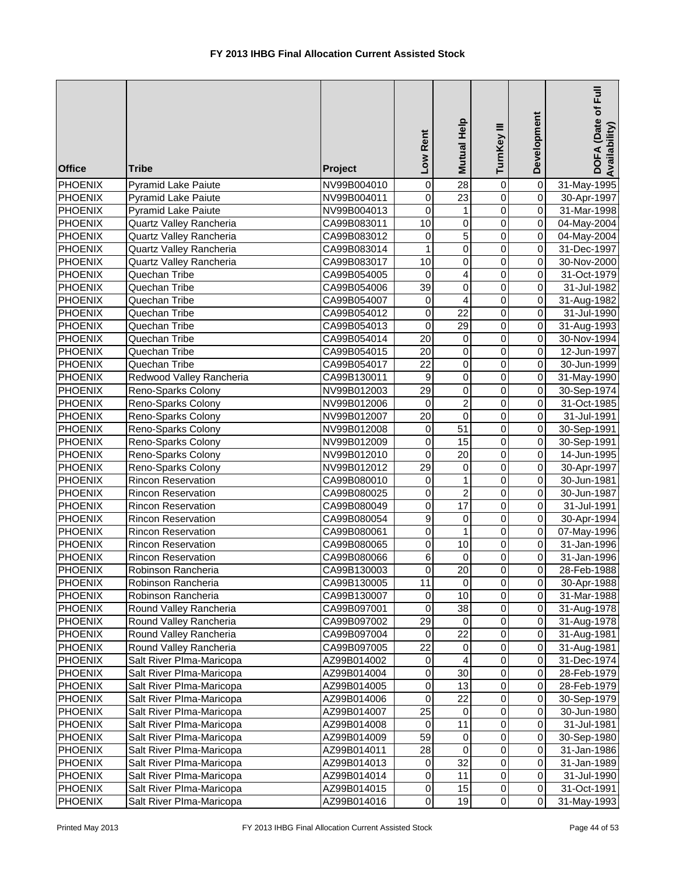| <b>Office</b>             | <b>Tribe</b>                             | Project                    | Rent<br>Low                 | Mutual Help                   | TurnKey III                      | Development                           | DOFA (Date of Full<br>Availability) |
|---------------------------|------------------------------------------|----------------------------|-----------------------------|-------------------------------|----------------------------------|---------------------------------------|-------------------------------------|
| <b>PHOENIX</b>            | <b>Pyramid Lake Paiute</b>               | NV99B004010                | $\pmb{0}$                   | 28                            | 0                                | $\overline{0}$                        | 31-May-1995                         |
| <b>PHOENIX</b>            | <b>Pyramid Lake Paiute</b>               | NV99B004011                | 0                           | $\overline{23}$               | $\overline{0}$                   | $\overline{0}$                        | 30-Apr-1997                         |
| <b>PHOENIX</b>            | <b>Pyramid Lake Paiute</b>               | NV99B004013                | $\pmb{0}$                   | $\mathbf{1}$                  | $\overline{0}$                   | $\overline{0}$                        | 31-Mar-1998                         |
| <b>PHOENIX</b>            | Quartz Valley Rancheria                  | CA99B083011                | $\overline{10}$             | $\overline{0}$                | $\overline{0}$                   | $\pmb{0}$                             | 04-May-2004                         |
| <b>PHOENIX</b>            | Quartz Valley Rancheria                  | CA99B083012                | 0                           | $\overline{5}$                | $\mathbf 0$                      | $\pmb{0}$                             | 04-May-2004                         |
| PHOENIX                   | Quartz Valley Rancheria                  | CA99B083014                |                             | $\overline{0}$                | $\mathbf 0$                      | $\overline{\mathsf{o}}$               | 31-Dec-1997                         |
| <b>PHOENIX</b>            | Quartz Valley Rancheria                  | CA99B083017                | 10                          | $\pmb{0}$                     | $\mathbf 0$                      | $\pmb{0}$                             | 30-Nov-2000                         |
| <b>PHOENIX</b>            | Quechan Tribe                            | CA99B054005                | 0                           | 4                             | $\mathbf 0$                      | $\overline{\mathsf{o}}$               | 31-Oct-1979                         |
| PHOENIX                   | Quechan Tribe                            | CA99B054006                | $\overline{39}$             | $\mathbf 0$                   | $\mathbf 0$                      | $\overline{0}$                        | 31-Jul-1982                         |
| PHOENIX                   | Quechan Tribe                            | CA99B054007                | 0                           | $\overline{\mathbf{4}}$       | $\mathbf 0$                      | $\overline{0}$                        | 31-Aug-1982                         |
| PHOENIX                   | Quechan Tribe                            | CA99B054012                | 0                           | 22                            | $\mathsf 0$                      | $\overline{0}$                        | 31-Jul-1990                         |
| PHOENIX                   | Quechan Tribe                            | CA99B054013                | 0                           | 29                            | $\mathsf 0$                      | $\overline{0}$                        | 31-Aug-1993                         |
| PHOENIX                   | Quechan Tribe                            | CA99B054014                | 20                          | $\pmb{0}$                     | $\pmb{0}$                        | $\overline{0}$                        | 30-Nov-1994                         |
| PHOENIX                   | Quechan Tribe                            | CA99B054015                | 20                          | $\pmb{0}$                     | 0                                | $\overline{0}$                        | 12-Jun-1997                         |
| PHOENIX                   | Quechan Tribe                            | CA99B054017                | 22                          | $\pmb{0}$                     | 0                                | $\overline{0}$                        | 30-Jun-1999                         |
| <b>PHOENIX</b>            | Redwood Valley Rancheria                 | CA99B130011                | 9                           | $\pmb{0}$                     | 0                                | $\overline{0}$                        | 31-May-1990                         |
| <b>PHOENIX</b>            | Reno-Sparks Colony                       | NV99B012003                | 29                          | $\mathbf 0$<br>$\overline{2}$ | $\mathbf 0$                      | $\overline{0}$<br>$\overline{0}$      | 30-Sep-1974                         |
| <b>PHOENIX</b>            | Reno-Sparks Colony                       | NV99B012006                | $\mathbf 0$                 | $\overline{0}$                | $\overline{0}$                   | $\overline{0}$                        | 31-Oct-1985                         |
| <b>PHOENIX</b>            | Reno-Sparks Colony                       | NV99B012007                | $\overline{20}$             | 51                            | $\overline{0}$<br>$\overline{0}$ | $\overline{0}$                        | 31-Jul-1991                         |
| <b>PHOENIX</b>            | Reno-Sparks Colony                       | NV99B012008                | $\pmb{0}$<br>$\overline{0}$ |                               | $\overline{0}$                   |                                       | 30-Sep-1991                         |
| <b>PHOENIX</b><br>PHOENIX | Reno-Sparks Colony                       | NV99B012009<br>NV99B012010 | 0                           | 15<br>$\overline{20}$         | $\overline{0}$                   | $\mathsf{O}\xspace$<br>$\overline{0}$ | 30-Sep-1991                         |
| PHOENIX                   | Reno-Sparks Colony<br>Reno-Sparks Colony | NV99B012012                | $\overline{29}$             | $\overline{0}$                | $\overline{0}$                   | $\overline{0}$                        | 14-Jun-1995<br>30-Apr-1997          |
| <b>PHOENIX</b>            | <b>Rincon Reservation</b>                | CA99B080010                | $\pmb{0}$                   | $\mathbf{1}$                  | $\mathbf 0$                      | $\overline{\mathsf{o}}$               | 30-Jun-1981                         |
| PHOENIX                   | <b>Rincon Reservation</b>                | CA99B080025                | 0                           | $\overline{2}$                | $\mathbf 0$                      | $\overline{0}$                        | 30-Jun-1987                         |
| PHOENIX                   | <b>Rincon Reservation</b>                | CA99B080049                | 0                           | 17                            | $\mathbf 0$                      | $\overline{0}$                        | 31-Jul-1991                         |
| PHOENIX                   | <b>Rincon Reservation</b>                | CA99B080054                | 9                           | $\pmb{0}$                     | $\mathbf 0$                      | $\overline{0}$                        | 30-Apr-1994                         |
| PHOENIX                   | <b>Rincon Reservation</b>                | CA99B080061                | 0                           | $\mathbf{1}$                  | $\overline{0}$                   | $\overline{0}$                        | 07-May-1996                         |
| PHOENIX                   | <b>Rincon Reservation</b>                | CA99B080065                | 0                           | 10                            | $\pmb{0}$                        | $\overline{0}$                        | 31-Jan-1996                         |
| PHOENIX                   | Rincon Reservation                       | CA99B080066                | 6                           | $\mathbf 0$                   | $\pmb{0}$                        | $\overline{0}$                        | 31-Jan-1996                         |
| <b>PHOENIX</b>            | Robinson Rancheria                       | CA99B130003                | $\overline{0}$              | 20                            | $\overline{0}$                   | $\overline{0}$                        | 28-Feb-1988                         |
| PHOENIX                   | Robinson Rancheria                       | CA99B130005                | 11                          | $\pmb{0}$                     | $\pmb{0}$                        | $\Omega$                              | 30-Apr-1988                         |
| <b>PHOENIX</b>            | Robinson Rancheria                       | CA99B130007                | 0                           | 10                            | $\pmb{0}$                        | 0                                     | 31-Mar-1988                         |
| PHOENIX                   | Round Valley Rancheria                   | CA99B097001                | 0                           | 38                            | $\pmb{0}$                        | $\mathbf 0$                           | 31-Aug-1978                         |
| <b>PHOENIX</b>            | Round Valley Rancheria                   | CA99B097002                | 29                          | 0                             | $\mathbf 0$                      | $\mathbf 0$                           | 31-Aug-1978                         |
| PHOENIX                   | Round Valley Rancheria                   | CA99B097004                | 0                           | 22                            | $\mathbf 0$                      | $\mathbf 0$                           | 31-Aug-1981                         |
| <b>PHOENIX</b>            | Round Valley Rancheria                   | CA99B097005                | 22                          | $\pmb{0}$                     | $\pmb{0}$                        | $\mathbf 0$                           | 31-Aug-1981                         |
| PHOENIX                   | Salt River PIma-Maricopa                 | AZ99B014002                | 0                           | 4                             | $\pmb{0}$                        | $\mathbf 0$                           | 31-Dec-1974                         |
| PHOENIX                   | Salt River PIma-Maricopa                 | AZ99B014004                | $\mathbf 0$                 | 30                            | $\mathbf 0$                      | $\mathsf{O}\xspace$                   | 28-Feb-1979                         |
| PHOENIX                   | Salt River PIma-Maricopa                 | AZ99B014005                | 0                           | 13                            | $\overline{0}$                   | $\pmb{0}$                             | 28-Feb-1979                         |
| PHOENIX                   | Salt River PIma-Maricopa                 | AZ99B014006                | 0                           | 22                            | 0                                | 0                                     | 30-Sep-1979                         |
| <b>PHOENIX</b>            | Salt River PIma-Maricopa                 | AZ99B014007                | 25                          | $\mathbf 0$                   | 0                                | $\pmb{0}$                             | 30-Jun-1980                         |
| PHOENIX                   | Salt River PIma-Maricopa                 | AZ99B014008                | 0                           | 11                            | $\mathbf 0$                      | $\overline{0}$                        | 31-Jul-1981                         |
| PHOENIX                   | Salt River PIma-Maricopa                 | AZ99B014009                | 59                          | $\pmb{0}$                     | $\mathbf 0$                      | $\overline{0}$                        | 30-Sep-1980                         |
| PHOENIX                   | Salt River PIma-Maricopa                 | AZ99B014011                | 28                          | $\mathbf 0$                   | $\pmb{0}$                        | $\Omega$                              | 31-Jan-1986                         |
| PHOENIX                   | Salt River PIma-Maricopa                 | AZ99B014013                | 0                           | 32                            | $\pmb{0}$                        | $\Omega$                              | 31-Jan-1989                         |
| <b>PHOENIX</b>            | Salt River PIma-Maricopa                 | AZ99B014014                | 0                           | 11                            | $\pmb{0}$                        | $\Omega$                              | 31-Jul-1990                         |
| PHOENIX                   | Salt River PIma-Maricopa                 | AZ99B014015                | 0                           | 15                            | $\pmb{0}$                        | $\overline{0}$                        | 31-Oct-1991                         |
| PHOENIX                   | Salt River PIma-Maricopa                 | AZ99B014016                | 0                           | 19                            | $\pmb{0}$                        | $\overline{0}$                        | 31-May-1993                         |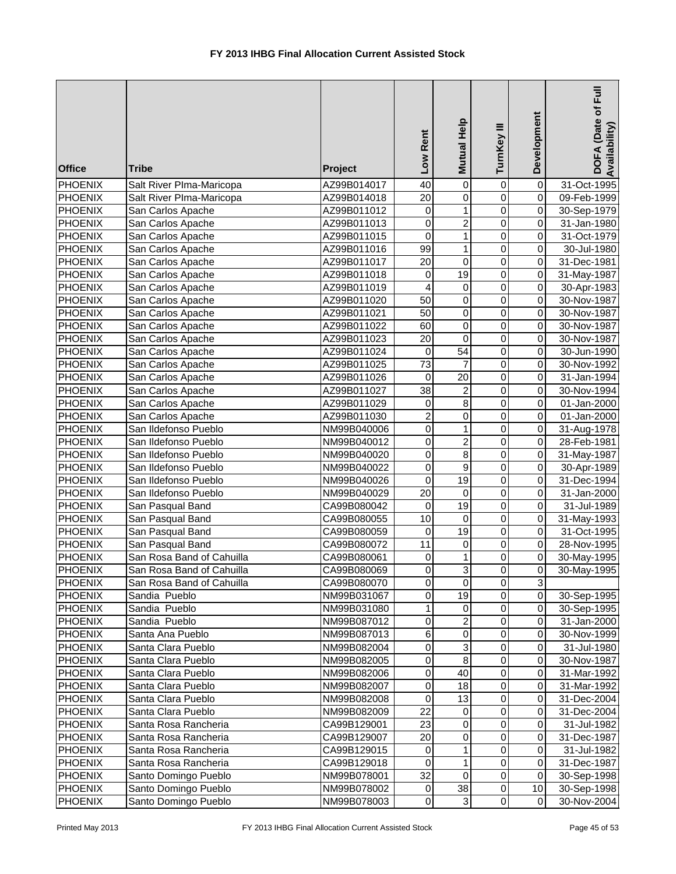| <b>Office</b>  | <b>Tribe</b>              | Project     | Low Rent        | <b>Mutual Help</b>        | TurnKey III    | Development             | DOFA (Date of Full<br>Availability) |
|----------------|---------------------------|-------------|-----------------|---------------------------|----------------|-------------------------|-------------------------------------|
| <b>PHOENIX</b> | Salt River Plma-Maricopa  | AZ99B014017 | 40              | $\mathbf 0$               | 0              | $\mathsf 0$             | 31-Oct-1995                         |
| <b>PHOENIX</b> | Salt River Plma-Maricopa  | AZ99B014018 | $\overline{20}$ | $\overline{0}$            | 0              | $\overline{\mathsf{o}}$ | 09-Feb-1999                         |
| <b>PHOENIX</b> | San Carlos Apache         | AZ99B011012 | $\pmb{0}$       | $\mathbf{1}$              | 0              | 0                       | 30-Sep-1979                         |
| <b>PHOENIX</b> | San Carlos Apache         | AZ99B011013 | $\overline{0}$  | $\overline{2}$            | $\mathbf 0$    | 0                       | 31-Jan-1980                         |
| <b>PHOENIX</b> | San Carlos Apache         | AZ99B011015 | $\mathbf 0$     | $\overline{1}$            | $\mathbf 0$    | 0                       | 31-Oct-1979                         |
| <b>PHOENIX</b> | San Carlos Apache         | AZ99B011016 | 99              | $\overline{1}$            | $\mathbf 0$    | $\mathbf 0$             | 30-Jul-1980                         |
| <b>PHOENIX</b> | San Carlos Apache         | AZ99B011017 | 20              | $\mathbf 0$               | $\mathbf 0$    | $\mathbf 0$             | 31-Dec-1981                         |
| PHOENIX        | San Carlos Apache         | AZ99B011018 | 0               | $\overline{19}$           | $\mathbf 0$    | $\mathbf 0$             | 31-May-1987                         |
| <b>PHOENIX</b> | San Carlos Apache         | AZ99B011019 | 4               | $\overline{0}$            | $\overline{0}$ | $\overline{\mathsf{o}}$ | 30-Apr-1983                         |
| <b>PHOENIX</b> | San Carlos Apache         | AZ99B011020 | 50              | $\overline{0}$            | 0              | $\overline{0}$          | 30-Nov-1987                         |
| <b>PHOENIX</b> | San Carlos Apache         | AZ99B011021 | 50              | $\mathsf 0$               | $\mathbf 0$    | 0                       | 30-Nov-1987                         |
| <b>PHOENIX</b> | San Carlos Apache         | AZ99B011022 | 60              | $\pmb{0}$                 | 0              | 0                       | 30-Nov-1987                         |
| <b>PHOENIX</b> | San Carlos Apache         | AZ99B011023 | 20              | $\mathbf 0$               | 0              | 0                       | 30-Nov-1987                         |
| <b>PHOENIX</b> | San Carlos Apache         | AZ99B011024 | 0               | 54                        | 0              | 0                       | 30-Jun-1990                         |
| <b>PHOENIX</b> | San Carlos Apache         | AZ99B011025 | 73              | 7                         | 0              | 0                       | 30-Nov-1992                         |
| <b>PHOENIX</b> | San Carlos Apache         | AZ99B011026 | 0               | 20                        | 0              | $\mathbf 0$             | 31-Jan-1994                         |
| <b>PHOENIX</b> | San Carlos Apache         | AZ99B011027 | 38              | $\boldsymbol{2}$          | $\mathbf 0$    | 0                       | 30-Nov-1994                         |
| <b>PHOENIX</b> | San Carlos Apache         | AZ99B011029 | 0               | $\overline{8}$            | $\overline{0}$ | $\overline{\mathsf{o}}$ | 01-Jan-2000                         |
| <b>PHOENIX</b> | San Carlos Apache         | AZ99B011030 | $\overline{c}$  | $\overline{0}$            | 0              | $\pmb{0}$               | 01-Jan-2000                         |
| <b>PHOENIX</b> | San Ildefonso Pueblo      | NM99B040006 | $\overline{0}$  | $\overline{1}$            | 0              | 0                       | 31-Aug-1978                         |
| <b>PHOENIX</b> | San Ildefonso Pueblo      | NM99B040012 | $\overline{0}$  | $\overline{2}$            | $\mathbf 0$    | 0                       | 28-Feb-1981                         |
| <b>PHOENIX</b> | San Ildefonso Pueblo      | NM99B040020 | $\overline{0}$  | $\overline{8}$            | $\mathbf 0$    | 0                       | 31-May-1987                         |
| <b>PHOENIX</b> | San Ildefonso Pueblo      | NM99B040022 | $\mathbf 0$     | $\overline{9}$            | $\mathbf 0$    | $\mathsf{O}\xspace$     | 30-Apr-1989                         |
| <b>PHOENIX</b> | San Ildefonso Pueblo      | NM99B040026 | $\mathbf 0$     | $\overline{19}$           | $\mathbf 0$    | $\mathbf 0$             | 31-Dec-1994                         |
| <b>PHOENIX</b> | San Ildefonso Pueblo      | NM99B040029 | 20              | 0                         | $\mathbf 0$    | $\mathbf 0$             | 31-Jan-2000                         |
| <b>PHOENIX</b> | San Pasqual Band          | CA99B080042 | $\mathbf 0$     | 19                        | $\overline{0}$ | $\overline{0}$          | 31-Jul-1989                         |
| <b>PHOENIX</b> | San Pasqual Band          | CA99B080055 | 10              | $\pmb{0}$                 | 0              | $\overline{0}$          | 31-May-1993                         |
| <b>PHOENIX</b> | San Pasqual Band          | CA99B080059 | $\pmb{0}$       | 19                        | 0              | 0                       | 31-Oct-1995                         |
| <b>PHOENIX</b> | San Pasqual Band          | CA99B080072 | 11              | $\pmb{0}$                 | 0              | 0                       | 28-Nov-1995                         |
| <b>PHOENIX</b> | San Rosa Band of Cahuilla | CA99B080061 | 0               | $\mathbf{1}$              | 0              | 0                       | 30-May-1995                         |
| <b>PHOENIX</b> | San Rosa Band of Cahuilla | CA99B080069 | $\Omega$        | $\overline{3}$            | $\mathbf 0$    | $\overline{0}$          | 30-May-1995                         |
| <b>PHOENIX</b> | San Rosa Band of Cahuilla | CA99B080070 | 0               | 0                         | 0              | $\overline{3}$          |                                     |
| <b>PHOENIX</b> | Sandia Pueblo             | NM99B031067 | 0               | 19                        | 0              | 0                       | 30-Sep-1995                         |
| <b>PHOENIX</b> | Sandia Pueblo             | NM99B031080 | 1               | $\mathbf 0$               | 0              | 0                       | 30-Sep-1995                         |
| <b>PHOENIX</b> | Sandia Pueblo             | NM99B087012 | $\pmb{0}$       | $\boldsymbol{2}$          | 0              | 0                       | 31-Jan-2000                         |
| <b>PHOENIX</b> | Santa Ana Pueblo          | NM99B087013 | 6               | $\pmb{0}$                 | 0              | 0                       | 30-Nov-1999                         |
| <b>PHOENIX</b> | Santa Clara Pueblo        | NM99B082004 | $\mathbf 0$     | $\ensuremath{\mathsf{3}}$ | 0              | 0                       | 31-Jul-1980                         |
| PHOENIX        | Santa Clara Pueblo        | NM99B082005 | 0               | 8                         | 0              | 0                       | 30-Nov-1987                         |
| <b>PHOENIX</b> | Santa Clara Pueblo        | NM99B082006 | 0               | 40                        | 0              | 0                       | 31-Mar-1992                         |
| <b>PHOENIX</b> | Santa Clara Pueblo        | NM99B082007 | 0               | 18                        | 0              | 0                       | 31-Mar-1992                         |
| <b>PHOENIX</b> | Santa Clara Pueblo        | NM99B082008 | 0               | 13                        | 0              | 0                       | 31-Dec-2004                         |
| <b>PHOENIX</b> | Santa Clara Pueblo        | NM99B082009 | 22              | 0                         | 0              | 0                       | 31-Dec-2004                         |
| <b>PHOENIX</b> | Santa Rosa Rancheria      | CA99B129001 | 23              | $\overline{0}$            | $\mathbf 0$    | 0                       | 31-Jul-1982                         |
| <b>PHOENIX</b> | Santa Rosa Rancheria      | CA99B129007 | 20              | $\pmb{0}$                 | 0              | 0                       | 31-Dec-1987                         |
| <b>PHOENIX</b> | Santa Rosa Rancheria      | CA99B129015 | $\mathbf 0$     | 1                         | 0              | 0                       | 31-Jul-1982                         |
| <b>PHOENIX</b> | Santa Rosa Rancheria      | CA99B129018 | 0               | 1                         | 0              | 0                       | 31-Dec-1987                         |
| <b>PHOENIX</b> | Santo Domingo Pueblo      | NM99B078001 | 32              | $\mathbf 0$               | 0              | 0                       | 30-Sep-1998                         |
| <b>PHOENIX</b> | Santo Domingo Pueblo      | NM99B078002 | $\mathbf 0$     | 38                        | 0              | 10                      | 30-Sep-1998                         |
| <b>PHOENIX</b> | Santo Domingo Pueblo      | NM99B078003 | $\mathbf 0$     | 3                         | 0              | $\mathbf 0$             | 30-Nov-2004                         |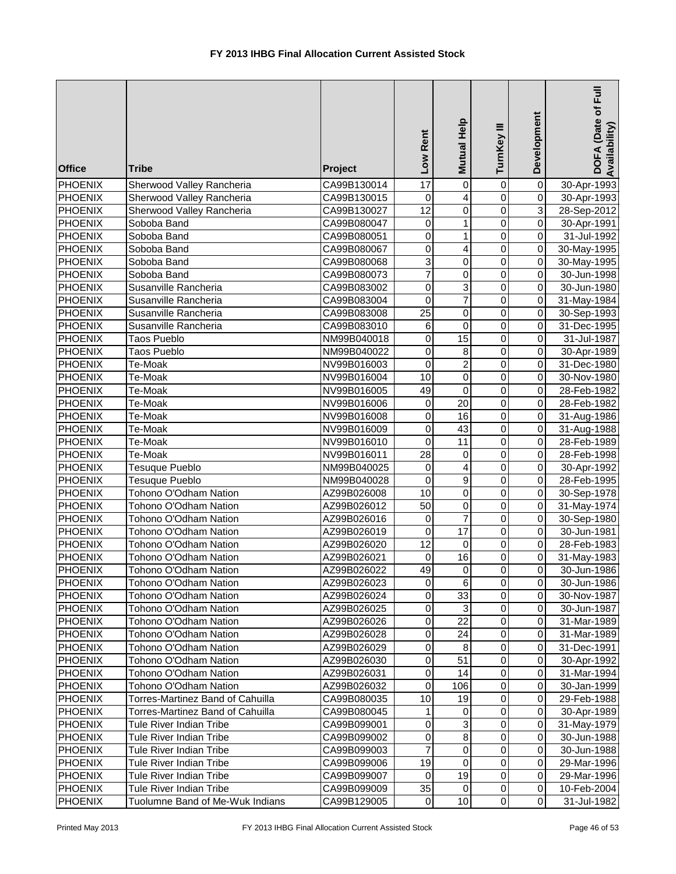| 0<br>Sherwood Valley Rancheria<br>CA99B130014<br>4<br>$\overline{0}$<br>$\boldsymbol{0}$<br>$\overline{0}$<br><b>PHOENIX</b><br>Sherwood Valley Rancheria<br>CA99B130015<br>30-Apr-1993<br>$\overline{12}$<br>$\overline{0}$<br>3<br>$\pmb{0}$<br><b>PHOENIX</b><br>Sherwood Valley Rancheria<br>28-Sep-2012<br>CA99B130027<br>$\overline{0}$<br>$\overline{0}$<br>0<br>$\mathbf{1}$<br><b>PHOENIX</b><br>Soboba Band<br>CA99B080047<br>30-Apr-1991<br>$\mathsf 0$<br>1<br>$\overline{0}$<br>$\overline{0}$<br><b>PHOENIX</b><br>31-Jul-1992<br>Soboba Band<br>CA99B080051<br>0<br>4<br>0<br>$\overline{0}$<br><b>PHOENIX</b><br>Soboba Band<br>CA99B080067<br>30-May-1995<br>3<br><b>PHOENIX</b><br>$\pmb{0}$<br>0<br>$\overline{0}$<br>CA99B080068<br>30-May-1995<br>Soboba Band<br>7<br>$\overline{0}$<br>PHOENIX<br>0<br>$\mathbf 0$<br>Soboba Band<br>CA99B080073<br>30-Jun-1998<br>3<br>$\mathbf 0$<br><b>PHOENIX</b><br>Susanville Rancheria<br>0<br>$\overline{0}$<br>CA99B083002<br>30-Jun-1980<br>$\overline{7}$<br>0<br>$\overline{0}$<br>$\overline{0}$<br><b>PHOENIX</b><br>Susanville Rancheria<br>CA99B083004<br>31-May-1984<br>25<br><b>PHOENIX</b><br>Susanville Rancheria<br>$\pmb{0}$<br>0<br>$\overline{0}$<br>CA99B083008<br>30-Sep-1993<br><b>PHOENIX</b><br>Susanville Rancheria<br>6<br>$\pmb{0}$<br>$\pmb{0}$<br>$\overline{0}$<br>CA99B083010<br>31-Dec-1995<br><b>PHOENIX</b><br>15<br>$\overline{0}$<br>Taos Pueblo<br>NM99B040018<br>0<br>0<br>31-Jul-1987<br><b>PHOENIX</b><br>Taos Pueblo<br>$\pmb{0}$<br>$\overline{0}$<br>NM99B040022<br>0<br>8<br>30-Apr-1989<br>$\overline{\mathbf{c}}$<br>0<br>$\overline{0}$<br><b>PHOENIX</b><br>Te-Moak<br>NV99B016003<br>0<br>31-Dec-1980<br>$\mathsf 0$<br>$\mathbf 0$<br>$\overline{0}$<br>10<br><b>PHOENIX</b><br>Te-Moak<br>30-Nov-1980<br>NV99B016004<br>$\mathsf 0$<br>$\mathbf 0$<br>$\overline{0}$<br><b>PHOENIX</b><br>Te-Moak<br>49<br>28-Feb-1982<br>NV99B016005<br>$\overline{0}$<br>$\overline{20}$<br>$\overline{0}$<br>0<br><b>PHOENIX</b><br>Te-Moak<br>28-Feb-1982<br>NV99B016006<br>16<br>$\overline{0}$<br>0<br>$\overline{0}$<br><b>PHOENIX</b><br>Te-Moak<br>NV99B016008<br>31-Aug-1986<br>43<br>$\overline{0}$<br>0<br>$\overline{0}$<br><b>PHOENIX</b><br>Te-Moak<br>31-Aug-1988<br>NV99B016009<br>$\overline{11}$<br>$\overline{0}$<br>0<br>$\overline{0}$<br><b>PHOENIX</b><br>Te-Moak<br>NV99B016010<br>28-Feb-1989<br>$\overline{28}$<br>$\mathbf 0$<br>$\overline{0}$<br><b>PHOENIX</b><br>Te-Moak<br>$\pmb{0}$<br>NV99B016011<br>28-Feb-1998<br>4<br>0<br>$\overline{0}$<br><b>PHOENIX</b><br>Tesuque Pueblo<br>NM99B040025<br>0<br>30-Apr-1992<br>$\overline{9}$<br>$\mathbf 0$<br>$\overline{0}$<br>0<br><b>PHOENIX</b><br>Tesuque Pueblo<br>NM99B040028<br>28-Feb-1995<br>$\overline{10}$<br>$\mathbf 0$<br>$\overline{0}$<br><b>PHOENIX</b><br>Tohono O'Odham Nation<br>$\pmb{0}$<br>AZ99B026008<br>30-Sep-1978<br>$\overline{50}$<br>$\overline{0}$<br>$\mathbf 0$<br>$\overline{0}$<br><b>PHOENIX</b><br>Tohono O'Odham Nation<br>AZ99B026012<br>31-May-1974<br>$\overline{7}$<br>0<br>$\pmb{0}$<br>$\overline{0}$<br><b>PHOENIX</b><br>Tohono O'Odham Nation<br>AZ99B026016<br>30-Sep-1980<br>$\overline{17}$<br>Tohono O'Odham Nation<br>0<br>$\pmb{0}$<br>$\overline{0}$<br><b>PHOENIX</b><br>AZ99B026019<br>30-Jun-1981<br><b>PHOENIX</b><br>12<br>$\overline{0}$<br>Tohono O'Odham Nation<br>AZ99B026020<br>$\mathbf 0$<br>0<br>28-Feb-1983<br><b>PHOENIX</b><br>16<br>$\overline{0}$<br>Tohono O'Odham Nation<br>AZ99B026021<br>0<br>0<br>31-May-1983<br>οI<br>49<br>$\Omega$<br><b>PHOENIX</b><br>$\Omega$<br>Tohono O'Odham Nation<br>AZ99B026022<br>30-Jun-1986<br><b>PHOENIX</b><br>$\overline{0}$<br>Tohono O'Odham Nation<br>AZ99B026023<br>0<br>6<br>0<br>30-Jun-1986<br>33<br><b>PHOENIX</b><br>$\mathbf 0$<br>$\overline{0}$<br>Tohono O'Odham Nation<br>AZ99B026024<br>0<br>30-Nov-1987<br>3<br>$\pmb{0}$<br>$\overline{0}$<br><b>PHOENIX</b><br>0<br>Tohono O'Odham Nation<br>AZ99B026025<br>30-Jun-1987<br>$\mathsf 0$<br>$\mathsf 0$<br>22<br><b>PHOENIX</b><br>$\Omega$<br>Tohono O'Odham Nation<br>AZ99B026026<br>31-Mar-1989<br>0<br>24<br>$\pmb{0}$<br><b>PHOENIX</b><br>Tohono O'Odham Nation<br>$\Omega$<br>AZ99B026028<br>31-Mar-1989<br>$\pmb{0}$<br>Tohono O'Odham Nation<br>0<br>8<br>$\Omega$<br><b>PHOENIX</b><br>AZ99B026029<br>31-Dec-1991<br>$\mathbf 0$<br>51<br>$\mathsf 0$<br>$\overline{0}$<br><b>PHOENIX</b><br>Tohono O'Odham Nation<br>AZ99B026030<br>30-Apr-1992<br>0<br>14<br>$\pmb{0}$<br>$\overline{0}$<br><b>PHOENIX</b><br>Tohono O'Odham Nation<br>AZ99B026031<br>31-Mar-1994<br>0<br>$\overline{0}$<br><b>PHOENIX</b><br>Tohono O'Odham Nation<br>0<br>106<br>AZ99B026032<br>30-Jan-1999<br>0<br>$\overline{0}$<br>10<br>19<br><b>PHOENIX</b><br>Torres-Martinez Band of Cahuilla<br>CA99B080035<br>29-Feb-1988<br>0<br>$\overline{0}$<br><b>PHOENIX</b><br>0<br>Torres-Martinez Band of Cahuilla<br>CA99B080045<br>1<br>30-Apr-1989<br>0<br>$\ensuremath{\mathsf{3}}$<br>0<br>$\overline{0}$<br><b>PHOENIX</b><br>31-May-1979<br>Tule River Indian Tribe<br>CA99B099001<br>0<br>$\bf8$<br>$\pmb{0}$<br><b>PHOENIX</b><br>$\overline{0}$<br>Tule River Indian Tribe<br>CA99B099002<br>30-Jun-1988<br>7<br>$\pmb{0}$<br><b>PHOENIX</b><br>Tule River Indian Tribe<br>$\,0\,$<br>$\Omega$<br>CA99B099003<br>30-Jun-1988<br><b>PHOENIX</b><br>19<br>$\mathbf 0$<br>$\mathbf 0$<br>$\Omega$<br>Tule River Indian Tribe<br>CA99B099006<br>29-Mar-1996<br>19<br><b>PHOENIX</b><br>Tule River Indian Tribe<br>0<br>$\mathbf 0$<br>$\Omega$<br>CA99B099007<br>29-Mar-1996<br><b>PHOENIX</b><br>Tule River Indian Tribe<br>35<br>$\pmb{0}$<br>$\Omega$<br>CA99B099009<br>0<br>10-Feb-2004<br>10<br>$\pmb{0}$<br>$\overline{0}$<br><b>PHOENIX</b><br>Tuolumne Band of Me-Wuk Indians<br>CA99B129005<br>0<br>31-Jul-1982 | <b>Office</b>  | <b>Tribe</b> | Project | Low Rent        | Mutual Help    | TurnKey III | Development    | DOFA (Date of Full<br>Availability) |
|---------------------------------------------------------------------------------------------------------------------------------------------------------------------------------------------------------------------------------------------------------------------------------------------------------------------------------------------------------------------------------------------------------------------------------------------------------------------------------------------------------------------------------------------------------------------------------------------------------------------------------------------------------------------------------------------------------------------------------------------------------------------------------------------------------------------------------------------------------------------------------------------------------------------------------------------------------------------------------------------------------------------------------------------------------------------------------------------------------------------------------------------------------------------------------------------------------------------------------------------------------------------------------------------------------------------------------------------------------------------------------------------------------------------------------------------------------------------------------------------------------------------------------------------------------------------------------------------------------------------------------------------------------------------------------------------------------------------------------------------------------------------------------------------------------------------------------------------------------------------------------------------------------------------------------------------------------------------------------------------------------------------------------------------------------------------------------------------------------------------------------------------------------------------------------------------------------------------------------------------------------------------------------------------------------------------------------------------------------------------------------------------------------------------------------------------------------------------------------------------------------------------------------------------------------------------------------------------------------------------------------------------------------------------------------------------------------------------------------------------------------------------------------------------------------------------------------------------------------------------------------------------------------------------------------------------------------------------------------------------------------------------------------------------------------------------------------------------------------------------------------------------------------------------------------------------------------------------------------------------------------------------------------------------------------------------------------------------------------------------------------------------------------------------------------------------------------------------------------------------------------------------------------------------------------------------------------------------------------------------------------------------------------------------------------------------------------------------------------------------------------------------------------------------------------------------------------------------------------------------------------------------------------------------------------------------------------------------------------------------------------------------------------------------------------------------------------------------------------------------------------------------------------------------------------------------------------------------------------------------------------------------------------------------------------------------------------------------------------------------------------------------------------------------------------------------------------------------------------------------------------------------------------------------------------------------------------------------------------------------------------------------------------------------------------------------------------------------------------------------------------------------------------------------------------------------------------------------------------------------------------------------------------------------------------------------------------------------------------------------------------------------------------------------------------------------------------------------------------------------------------------------------------------------------------------------------------------------------------------------------------------------------------------------------------------------------------------------------------------------------------------------------------------------------------------------------------------------------------------------------------------------------------------------------------------------------------------------------------------------------------------------------------------------------------------------------------------------------------------------------------------------------------------------------------------------------------------------------------------------------|----------------|--------------|---------|-----------------|----------------|-------------|----------------|-------------------------------------|
|                                                                                                                                                                                                                                                                                                                                                                                                                                                                                                                                                                                                                                                                                                                                                                                                                                                                                                                                                                                                                                                                                                                                                                                                                                                                                                                                                                                                                                                                                                                                                                                                                                                                                                                                                                                                                                                                                                                                                                                                                                                                                                                                                                                                                                                                                                                                                                                                                                                                                                                                                                                                                                                                                                                                                                                                                                                                                                                                                                                                                                                                                                                                                                                                                                                                                                                                                                                                                                                                                                                                                                                                                                                                                                                                                                                                                                                                                                                                                                                                                                                                                                                                                                                                                                                                                                                                                                                                                                                                                                                                                                                                                                                                                                                                                                                                                                                                                                                                                                                                                                                                                                                                                                                                                                                                                                                                                                                                                                                                                                                                                                                                                                                                                                                                                                                                                                                                           | <b>PHOENIX</b> |              |         | $\overline{17}$ | $\overline{0}$ |             | $\overline{0}$ | 30-Apr-1993                         |
|                                                                                                                                                                                                                                                                                                                                                                                                                                                                                                                                                                                                                                                                                                                                                                                                                                                                                                                                                                                                                                                                                                                                                                                                                                                                                                                                                                                                                                                                                                                                                                                                                                                                                                                                                                                                                                                                                                                                                                                                                                                                                                                                                                                                                                                                                                                                                                                                                                                                                                                                                                                                                                                                                                                                                                                                                                                                                                                                                                                                                                                                                                                                                                                                                                                                                                                                                                                                                                                                                                                                                                                                                                                                                                                                                                                                                                                                                                                                                                                                                                                                                                                                                                                                                                                                                                                                                                                                                                                                                                                                                                                                                                                                                                                                                                                                                                                                                                                                                                                                                                                                                                                                                                                                                                                                                                                                                                                                                                                                                                                                                                                                                                                                                                                                                                                                                                                                           |                |              |         |                 |                |             |                |                                     |
|                                                                                                                                                                                                                                                                                                                                                                                                                                                                                                                                                                                                                                                                                                                                                                                                                                                                                                                                                                                                                                                                                                                                                                                                                                                                                                                                                                                                                                                                                                                                                                                                                                                                                                                                                                                                                                                                                                                                                                                                                                                                                                                                                                                                                                                                                                                                                                                                                                                                                                                                                                                                                                                                                                                                                                                                                                                                                                                                                                                                                                                                                                                                                                                                                                                                                                                                                                                                                                                                                                                                                                                                                                                                                                                                                                                                                                                                                                                                                                                                                                                                                                                                                                                                                                                                                                                                                                                                                                                                                                                                                                                                                                                                                                                                                                                                                                                                                                                                                                                                                                                                                                                                                                                                                                                                                                                                                                                                                                                                                                                                                                                                                                                                                                                                                                                                                                                                           |                |              |         |                 |                |             |                |                                     |
|                                                                                                                                                                                                                                                                                                                                                                                                                                                                                                                                                                                                                                                                                                                                                                                                                                                                                                                                                                                                                                                                                                                                                                                                                                                                                                                                                                                                                                                                                                                                                                                                                                                                                                                                                                                                                                                                                                                                                                                                                                                                                                                                                                                                                                                                                                                                                                                                                                                                                                                                                                                                                                                                                                                                                                                                                                                                                                                                                                                                                                                                                                                                                                                                                                                                                                                                                                                                                                                                                                                                                                                                                                                                                                                                                                                                                                                                                                                                                                                                                                                                                                                                                                                                                                                                                                                                                                                                                                                                                                                                                                                                                                                                                                                                                                                                                                                                                                                                                                                                                                                                                                                                                                                                                                                                                                                                                                                                                                                                                                                                                                                                                                                                                                                                                                                                                                                                           |                |              |         |                 |                |             |                |                                     |
|                                                                                                                                                                                                                                                                                                                                                                                                                                                                                                                                                                                                                                                                                                                                                                                                                                                                                                                                                                                                                                                                                                                                                                                                                                                                                                                                                                                                                                                                                                                                                                                                                                                                                                                                                                                                                                                                                                                                                                                                                                                                                                                                                                                                                                                                                                                                                                                                                                                                                                                                                                                                                                                                                                                                                                                                                                                                                                                                                                                                                                                                                                                                                                                                                                                                                                                                                                                                                                                                                                                                                                                                                                                                                                                                                                                                                                                                                                                                                                                                                                                                                                                                                                                                                                                                                                                                                                                                                                                                                                                                                                                                                                                                                                                                                                                                                                                                                                                                                                                                                                                                                                                                                                                                                                                                                                                                                                                                                                                                                                                                                                                                                                                                                                                                                                                                                                                                           |                |              |         |                 |                |             |                |                                     |
|                                                                                                                                                                                                                                                                                                                                                                                                                                                                                                                                                                                                                                                                                                                                                                                                                                                                                                                                                                                                                                                                                                                                                                                                                                                                                                                                                                                                                                                                                                                                                                                                                                                                                                                                                                                                                                                                                                                                                                                                                                                                                                                                                                                                                                                                                                                                                                                                                                                                                                                                                                                                                                                                                                                                                                                                                                                                                                                                                                                                                                                                                                                                                                                                                                                                                                                                                                                                                                                                                                                                                                                                                                                                                                                                                                                                                                                                                                                                                                                                                                                                                                                                                                                                                                                                                                                                                                                                                                                                                                                                                                                                                                                                                                                                                                                                                                                                                                                                                                                                                                                                                                                                                                                                                                                                                                                                                                                                                                                                                                                                                                                                                                                                                                                                                                                                                                                                           |                |              |         |                 |                |             |                |                                     |
|                                                                                                                                                                                                                                                                                                                                                                                                                                                                                                                                                                                                                                                                                                                                                                                                                                                                                                                                                                                                                                                                                                                                                                                                                                                                                                                                                                                                                                                                                                                                                                                                                                                                                                                                                                                                                                                                                                                                                                                                                                                                                                                                                                                                                                                                                                                                                                                                                                                                                                                                                                                                                                                                                                                                                                                                                                                                                                                                                                                                                                                                                                                                                                                                                                                                                                                                                                                                                                                                                                                                                                                                                                                                                                                                                                                                                                                                                                                                                                                                                                                                                                                                                                                                                                                                                                                                                                                                                                                                                                                                                                                                                                                                                                                                                                                                                                                                                                                                                                                                                                                                                                                                                                                                                                                                                                                                                                                                                                                                                                                                                                                                                                                                                                                                                                                                                                                                           |                |              |         |                 |                |             |                |                                     |
|                                                                                                                                                                                                                                                                                                                                                                                                                                                                                                                                                                                                                                                                                                                                                                                                                                                                                                                                                                                                                                                                                                                                                                                                                                                                                                                                                                                                                                                                                                                                                                                                                                                                                                                                                                                                                                                                                                                                                                                                                                                                                                                                                                                                                                                                                                                                                                                                                                                                                                                                                                                                                                                                                                                                                                                                                                                                                                                                                                                                                                                                                                                                                                                                                                                                                                                                                                                                                                                                                                                                                                                                                                                                                                                                                                                                                                                                                                                                                                                                                                                                                                                                                                                                                                                                                                                                                                                                                                                                                                                                                                                                                                                                                                                                                                                                                                                                                                                                                                                                                                                                                                                                                                                                                                                                                                                                                                                                                                                                                                                                                                                                                                                                                                                                                                                                                                                                           |                |              |         |                 |                |             |                |                                     |
|                                                                                                                                                                                                                                                                                                                                                                                                                                                                                                                                                                                                                                                                                                                                                                                                                                                                                                                                                                                                                                                                                                                                                                                                                                                                                                                                                                                                                                                                                                                                                                                                                                                                                                                                                                                                                                                                                                                                                                                                                                                                                                                                                                                                                                                                                                                                                                                                                                                                                                                                                                                                                                                                                                                                                                                                                                                                                                                                                                                                                                                                                                                                                                                                                                                                                                                                                                                                                                                                                                                                                                                                                                                                                                                                                                                                                                                                                                                                                                                                                                                                                                                                                                                                                                                                                                                                                                                                                                                                                                                                                                                                                                                                                                                                                                                                                                                                                                                                                                                                                                                                                                                                                                                                                                                                                                                                                                                                                                                                                                                                                                                                                                                                                                                                                                                                                                                                           |                |              |         |                 |                |             |                |                                     |
|                                                                                                                                                                                                                                                                                                                                                                                                                                                                                                                                                                                                                                                                                                                                                                                                                                                                                                                                                                                                                                                                                                                                                                                                                                                                                                                                                                                                                                                                                                                                                                                                                                                                                                                                                                                                                                                                                                                                                                                                                                                                                                                                                                                                                                                                                                                                                                                                                                                                                                                                                                                                                                                                                                                                                                                                                                                                                                                                                                                                                                                                                                                                                                                                                                                                                                                                                                                                                                                                                                                                                                                                                                                                                                                                                                                                                                                                                                                                                                                                                                                                                                                                                                                                                                                                                                                                                                                                                                                                                                                                                                                                                                                                                                                                                                                                                                                                                                                                                                                                                                                                                                                                                                                                                                                                                                                                                                                                                                                                                                                                                                                                                                                                                                                                                                                                                                                                           |                |              |         |                 |                |             |                |                                     |
|                                                                                                                                                                                                                                                                                                                                                                                                                                                                                                                                                                                                                                                                                                                                                                                                                                                                                                                                                                                                                                                                                                                                                                                                                                                                                                                                                                                                                                                                                                                                                                                                                                                                                                                                                                                                                                                                                                                                                                                                                                                                                                                                                                                                                                                                                                                                                                                                                                                                                                                                                                                                                                                                                                                                                                                                                                                                                                                                                                                                                                                                                                                                                                                                                                                                                                                                                                                                                                                                                                                                                                                                                                                                                                                                                                                                                                                                                                                                                                                                                                                                                                                                                                                                                                                                                                                                                                                                                                                                                                                                                                                                                                                                                                                                                                                                                                                                                                                                                                                                                                                                                                                                                                                                                                                                                                                                                                                                                                                                                                                                                                                                                                                                                                                                                                                                                                                                           |                |              |         |                 |                |             |                |                                     |
|                                                                                                                                                                                                                                                                                                                                                                                                                                                                                                                                                                                                                                                                                                                                                                                                                                                                                                                                                                                                                                                                                                                                                                                                                                                                                                                                                                                                                                                                                                                                                                                                                                                                                                                                                                                                                                                                                                                                                                                                                                                                                                                                                                                                                                                                                                                                                                                                                                                                                                                                                                                                                                                                                                                                                                                                                                                                                                                                                                                                                                                                                                                                                                                                                                                                                                                                                                                                                                                                                                                                                                                                                                                                                                                                                                                                                                                                                                                                                                                                                                                                                                                                                                                                                                                                                                                                                                                                                                                                                                                                                                                                                                                                                                                                                                                                                                                                                                                                                                                                                                                                                                                                                                                                                                                                                                                                                                                                                                                                                                                                                                                                                                                                                                                                                                                                                                                                           |                |              |         |                 |                |             |                |                                     |
|                                                                                                                                                                                                                                                                                                                                                                                                                                                                                                                                                                                                                                                                                                                                                                                                                                                                                                                                                                                                                                                                                                                                                                                                                                                                                                                                                                                                                                                                                                                                                                                                                                                                                                                                                                                                                                                                                                                                                                                                                                                                                                                                                                                                                                                                                                                                                                                                                                                                                                                                                                                                                                                                                                                                                                                                                                                                                                                                                                                                                                                                                                                                                                                                                                                                                                                                                                                                                                                                                                                                                                                                                                                                                                                                                                                                                                                                                                                                                                                                                                                                                                                                                                                                                                                                                                                                                                                                                                                                                                                                                                                                                                                                                                                                                                                                                                                                                                                                                                                                                                                                                                                                                                                                                                                                                                                                                                                                                                                                                                                                                                                                                                                                                                                                                                                                                                                                           |                |              |         |                 |                |             |                |                                     |
|                                                                                                                                                                                                                                                                                                                                                                                                                                                                                                                                                                                                                                                                                                                                                                                                                                                                                                                                                                                                                                                                                                                                                                                                                                                                                                                                                                                                                                                                                                                                                                                                                                                                                                                                                                                                                                                                                                                                                                                                                                                                                                                                                                                                                                                                                                                                                                                                                                                                                                                                                                                                                                                                                                                                                                                                                                                                                                                                                                                                                                                                                                                                                                                                                                                                                                                                                                                                                                                                                                                                                                                                                                                                                                                                                                                                                                                                                                                                                                                                                                                                                                                                                                                                                                                                                                                                                                                                                                                                                                                                                                                                                                                                                                                                                                                                                                                                                                                                                                                                                                                                                                                                                                                                                                                                                                                                                                                                                                                                                                                                                                                                                                                                                                                                                                                                                                                                           |                |              |         |                 |                |             |                |                                     |
|                                                                                                                                                                                                                                                                                                                                                                                                                                                                                                                                                                                                                                                                                                                                                                                                                                                                                                                                                                                                                                                                                                                                                                                                                                                                                                                                                                                                                                                                                                                                                                                                                                                                                                                                                                                                                                                                                                                                                                                                                                                                                                                                                                                                                                                                                                                                                                                                                                                                                                                                                                                                                                                                                                                                                                                                                                                                                                                                                                                                                                                                                                                                                                                                                                                                                                                                                                                                                                                                                                                                                                                                                                                                                                                                                                                                                                                                                                                                                                                                                                                                                                                                                                                                                                                                                                                                                                                                                                                                                                                                                                                                                                                                                                                                                                                                                                                                                                                                                                                                                                                                                                                                                                                                                                                                                                                                                                                                                                                                                                                                                                                                                                                                                                                                                                                                                                                                           |                |              |         |                 |                |             |                |                                     |
|                                                                                                                                                                                                                                                                                                                                                                                                                                                                                                                                                                                                                                                                                                                                                                                                                                                                                                                                                                                                                                                                                                                                                                                                                                                                                                                                                                                                                                                                                                                                                                                                                                                                                                                                                                                                                                                                                                                                                                                                                                                                                                                                                                                                                                                                                                                                                                                                                                                                                                                                                                                                                                                                                                                                                                                                                                                                                                                                                                                                                                                                                                                                                                                                                                                                                                                                                                                                                                                                                                                                                                                                                                                                                                                                                                                                                                                                                                                                                                                                                                                                                                                                                                                                                                                                                                                                                                                                                                                                                                                                                                                                                                                                                                                                                                                                                                                                                                                                                                                                                                                                                                                                                                                                                                                                                                                                                                                                                                                                                                                                                                                                                                                                                                                                                                                                                                                                           |                |              |         |                 |                |             |                |                                     |
|                                                                                                                                                                                                                                                                                                                                                                                                                                                                                                                                                                                                                                                                                                                                                                                                                                                                                                                                                                                                                                                                                                                                                                                                                                                                                                                                                                                                                                                                                                                                                                                                                                                                                                                                                                                                                                                                                                                                                                                                                                                                                                                                                                                                                                                                                                                                                                                                                                                                                                                                                                                                                                                                                                                                                                                                                                                                                                                                                                                                                                                                                                                                                                                                                                                                                                                                                                                                                                                                                                                                                                                                                                                                                                                                                                                                                                                                                                                                                                                                                                                                                                                                                                                                                                                                                                                                                                                                                                                                                                                                                                                                                                                                                                                                                                                                                                                                                                                                                                                                                                                                                                                                                                                                                                                                                                                                                                                                                                                                                                                                                                                                                                                                                                                                                                                                                                                                           |                |              |         |                 |                |             |                |                                     |
|                                                                                                                                                                                                                                                                                                                                                                                                                                                                                                                                                                                                                                                                                                                                                                                                                                                                                                                                                                                                                                                                                                                                                                                                                                                                                                                                                                                                                                                                                                                                                                                                                                                                                                                                                                                                                                                                                                                                                                                                                                                                                                                                                                                                                                                                                                                                                                                                                                                                                                                                                                                                                                                                                                                                                                                                                                                                                                                                                                                                                                                                                                                                                                                                                                                                                                                                                                                                                                                                                                                                                                                                                                                                                                                                                                                                                                                                                                                                                                                                                                                                                                                                                                                                                                                                                                                                                                                                                                                                                                                                                                                                                                                                                                                                                                                                                                                                                                                                                                                                                                                                                                                                                                                                                                                                                                                                                                                                                                                                                                                                                                                                                                                                                                                                                                                                                                                                           |                |              |         |                 |                |             |                |                                     |
|                                                                                                                                                                                                                                                                                                                                                                                                                                                                                                                                                                                                                                                                                                                                                                                                                                                                                                                                                                                                                                                                                                                                                                                                                                                                                                                                                                                                                                                                                                                                                                                                                                                                                                                                                                                                                                                                                                                                                                                                                                                                                                                                                                                                                                                                                                                                                                                                                                                                                                                                                                                                                                                                                                                                                                                                                                                                                                                                                                                                                                                                                                                                                                                                                                                                                                                                                                                                                                                                                                                                                                                                                                                                                                                                                                                                                                                                                                                                                                                                                                                                                                                                                                                                                                                                                                                                                                                                                                                                                                                                                                                                                                                                                                                                                                                                                                                                                                                                                                                                                                                                                                                                                                                                                                                                                                                                                                                                                                                                                                                                                                                                                                                                                                                                                                                                                                                                           |                |              |         |                 |                |             |                |                                     |
|                                                                                                                                                                                                                                                                                                                                                                                                                                                                                                                                                                                                                                                                                                                                                                                                                                                                                                                                                                                                                                                                                                                                                                                                                                                                                                                                                                                                                                                                                                                                                                                                                                                                                                                                                                                                                                                                                                                                                                                                                                                                                                                                                                                                                                                                                                                                                                                                                                                                                                                                                                                                                                                                                                                                                                                                                                                                                                                                                                                                                                                                                                                                                                                                                                                                                                                                                                                                                                                                                                                                                                                                                                                                                                                                                                                                                                                                                                                                                                                                                                                                                                                                                                                                                                                                                                                                                                                                                                                                                                                                                                                                                                                                                                                                                                                                                                                                                                                                                                                                                                                                                                                                                                                                                                                                                                                                                                                                                                                                                                                                                                                                                                                                                                                                                                                                                                                                           |                |              |         |                 |                |             |                |                                     |
|                                                                                                                                                                                                                                                                                                                                                                                                                                                                                                                                                                                                                                                                                                                                                                                                                                                                                                                                                                                                                                                                                                                                                                                                                                                                                                                                                                                                                                                                                                                                                                                                                                                                                                                                                                                                                                                                                                                                                                                                                                                                                                                                                                                                                                                                                                                                                                                                                                                                                                                                                                                                                                                                                                                                                                                                                                                                                                                                                                                                                                                                                                                                                                                                                                                                                                                                                                                                                                                                                                                                                                                                                                                                                                                                                                                                                                                                                                                                                                                                                                                                                                                                                                                                                                                                                                                                                                                                                                                                                                                                                                                                                                                                                                                                                                                                                                                                                                                                                                                                                                                                                                                                                                                                                                                                                                                                                                                                                                                                                                                                                                                                                                                                                                                                                                                                                                                                           |                |              |         |                 |                |             |                |                                     |
|                                                                                                                                                                                                                                                                                                                                                                                                                                                                                                                                                                                                                                                                                                                                                                                                                                                                                                                                                                                                                                                                                                                                                                                                                                                                                                                                                                                                                                                                                                                                                                                                                                                                                                                                                                                                                                                                                                                                                                                                                                                                                                                                                                                                                                                                                                                                                                                                                                                                                                                                                                                                                                                                                                                                                                                                                                                                                                                                                                                                                                                                                                                                                                                                                                                                                                                                                                                                                                                                                                                                                                                                                                                                                                                                                                                                                                                                                                                                                                                                                                                                                                                                                                                                                                                                                                                                                                                                                                                                                                                                                                                                                                                                                                                                                                                                                                                                                                                                                                                                                                                                                                                                                                                                                                                                                                                                                                                                                                                                                                                                                                                                                                                                                                                                                                                                                                                                           |                |              |         |                 |                |             |                |                                     |
|                                                                                                                                                                                                                                                                                                                                                                                                                                                                                                                                                                                                                                                                                                                                                                                                                                                                                                                                                                                                                                                                                                                                                                                                                                                                                                                                                                                                                                                                                                                                                                                                                                                                                                                                                                                                                                                                                                                                                                                                                                                                                                                                                                                                                                                                                                                                                                                                                                                                                                                                                                                                                                                                                                                                                                                                                                                                                                                                                                                                                                                                                                                                                                                                                                                                                                                                                                                                                                                                                                                                                                                                                                                                                                                                                                                                                                                                                                                                                                                                                                                                                                                                                                                                                                                                                                                                                                                                                                                                                                                                                                                                                                                                                                                                                                                                                                                                                                                                                                                                                                                                                                                                                                                                                                                                                                                                                                                                                                                                                                                                                                                                                                                                                                                                                                                                                                                                           |                |              |         |                 |                |             |                |                                     |
|                                                                                                                                                                                                                                                                                                                                                                                                                                                                                                                                                                                                                                                                                                                                                                                                                                                                                                                                                                                                                                                                                                                                                                                                                                                                                                                                                                                                                                                                                                                                                                                                                                                                                                                                                                                                                                                                                                                                                                                                                                                                                                                                                                                                                                                                                                                                                                                                                                                                                                                                                                                                                                                                                                                                                                                                                                                                                                                                                                                                                                                                                                                                                                                                                                                                                                                                                                                                                                                                                                                                                                                                                                                                                                                                                                                                                                                                                                                                                                                                                                                                                                                                                                                                                                                                                                                                                                                                                                                                                                                                                                                                                                                                                                                                                                                                                                                                                                                                                                                                                                                                                                                                                                                                                                                                                                                                                                                                                                                                                                                                                                                                                                                                                                                                                                                                                                                                           |                |              |         |                 |                |             |                |                                     |
|                                                                                                                                                                                                                                                                                                                                                                                                                                                                                                                                                                                                                                                                                                                                                                                                                                                                                                                                                                                                                                                                                                                                                                                                                                                                                                                                                                                                                                                                                                                                                                                                                                                                                                                                                                                                                                                                                                                                                                                                                                                                                                                                                                                                                                                                                                                                                                                                                                                                                                                                                                                                                                                                                                                                                                                                                                                                                                                                                                                                                                                                                                                                                                                                                                                                                                                                                                                                                                                                                                                                                                                                                                                                                                                                                                                                                                                                                                                                                                                                                                                                                                                                                                                                                                                                                                                                                                                                                                                                                                                                                                                                                                                                                                                                                                                                                                                                                                                                                                                                                                                                                                                                                                                                                                                                                                                                                                                                                                                                                                                                                                                                                                                                                                                                                                                                                                                                           |                |              |         |                 |                |             |                |                                     |
|                                                                                                                                                                                                                                                                                                                                                                                                                                                                                                                                                                                                                                                                                                                                                                                                                                                                                                                                                                                                                                                                                                                                                                                                                                                                                                                                                                                                                                                                                                                                                                                                                                                                                                                                                                                                                                                                                                                                                                                                                                                                                                                                                                                                                                                                                                                                                                                                                                                                                                                                                                                                                                                                                                                                                                                                                                                                                                                                                                                                                                                                                                                                                                                                                                                                                                                                                                                                                                                                                                                                                                                                                                                                                                                                                                                                                                                                                                                                                                                                                                                                                                                                                                                                                                                                                                                                                                                                                                                                                                                                                                                                                                                                                                                                                                                                                                                                                                                                                                                                                                                                                                                                                                                                                                                                                                                                                                                                                                                                                                                                                                                                                                                                                                                                                                                                                                                                           |                |              |         |                 |                |             |                |                                     |
|                                                                                                                                                                                                                                                                                                                                                                                                                                                                                                                                                                                                                                                                                                                                                                                                                                                                                                                                                                                                                                                                                                                                                                                                                                                                                                                                                                                                                                                                                                                                                                                                                                                                                                                                                                                                                                                                                                                                                                                                                                                                                                                                                                                                                                                                                                                                                                                                                                                                                                                                                                                                                                                                                                                                                                                                                                                                                                                                                                                                                                                                                                                                                                                                                                                                                                                                                                                                                                                                                                                                                                                                                                                                                                                                                                                                                                                                                                                                                                                                                                                                                                                                                                                                                                                                                                                                                                                                                                                                                                                                                                                                                                                                                                                                                                                                                                                                                                                                                                                                                                                                                                                                                                                                                                                                                                                                                                                                                                                                                                                                                                                                                                                                                                                                                                                                                                                                           |                |              |         |                 |                |             |                |                                     |
|                                                                                                                                                                                                                                                                                                                                                                                                                                                                                                                                                                                                                                                                                                                                                                                                                                                                                                                                                                                                                                                                                                                                                                                                                                                                                                                                                                                                                                                                                                                                                                                                                                                                                                                                                                                                                                                                                                                                                                                                                                                                                                                                                                                                                                                                                                                                                                                                                                                                                                                                                                                                                                                                                                                                                                                                                                                                                                                                                                                                                                                                                                                                                                                                                                                                                                                                                                                                                                                                                                                                                                                                                                                                                                                                                                                                                                                                                                                                                                                                                                                                                                                                                                                                                                                                                                                                                                                                                                                                                                                                                                                                                                                                                                                                                                                                                                                                                                                                                                                                                                                                                                                                                                                                                                                                                                                                                                                                                                                                                                                                                                                                                                                                                                                                                                                                                                                                           |                |              |         |                 |                |             |                |                                     |
|                                                                                                                                                                                                                                                                                                                                                                                                                                                                                                                                                                                                                                                                                                                                                                                                                                                                                                                                                                                                                                                                                                                                                                                                                                                                                                                                                                                                                                                                                                                                                                                                                                                                                                                                                                                                                                                                                                                                                                                                                                                                                                                                                                                                                                                                                                                                                                                                                                                                                                                                                                                                                                                                                                                                                                                                                                                                                                                                                                                                                                                                                                                                                                                                                                                                                                                                                                                                                                                                                                                                                                                                                                                                                                                                                                                                                                                                                                                                                                                                                                                                                                                                                                                                                                                                                                                                                                                                                                                                                                                                                                                                                                                                                                                                                                                                                                                                                                                                                                                                                                                                                                                                                                                                                                                                                                                                                                                                                                                                                                                                                                                                                                                                                                                                                                                                                                                                           |                |              |         |                 |                |             |                |                                     |
|                                                                                                                                                                                                                                                                                                                                                                                                                                                                                                                                                                                                                                                                                                                                                                                                                                                                                                                                                                                                                                                                                                                                                                                                                                                                                                                                                                                                                                                                                                                                                                                                                                                                                                                                                                                                                                                                                                                                                                                                                                                                                                                                                                                                                                                                                                                                                                                                                                                                                                                                                                                                                                                                                                                                                                                                                                                                                                                                                                                                                                                                                                                                                                                                                                                                                                                                                                                                                                                                                                                                                                                                                                                                                                                                                                                                                                                                                                                                                                                                                                                                                                                                                                                                                                                                                                                                                                                                                                                                                                                                                                                                                                                                                                                                                                                                                                                                                                                                                                                                                                                                                                                                                                                                                                                                                                                                                                                                                                                                                                                                                                                                                                                                                                                                                                                                                                                                           |                |              |         |                 |                |             |                |                                     |
|                                                                                                                                                                                                                                                                                                                                                                                                                                                                                                                                                                                                                                                                                                                                                                                                                                                                                                                                                                                                                                                                                                                                                                                                                                                                                                                                                                                                                                                                                                                                                                                                                                                                                                                                                                                                                                                                                                                                                                                                                                                                                                                                                                                                                                                                                                                                                                                                                                                                                                                                                                                                                                                                                                                                                                                                                                                                                                                                                                                                                                                                                                                                                                                                                                                                                                                                                                                                                                                                                                                                                                                                                                                                                                                                                                                                                                                                                                                                                                                                                                                                                                                                                                                                                                                                                                                                                                                                                                                                                                                                                                                                                                                                                                                                                                                                                                                                                                                                                                                                                                                                                                                                                                                                                                                                                                                                                                                                                                                                                                                                                                                                                                                                                                                                                                                                                                                                           |                |              |         |                 |                |             |                |                                     |
|                                                                                                                                                                                                                                                                                                                                                                                                                                                                                                                                                                                                                                                                                                                                                                                                                                                                                                                                                                                                                                                                                                                                                                                                                                                                                                                                                                                                                                                                                                                                                                                                                                                                                                                                                                                                                                                                                                                                                                                                                                                                                                                                                                                                                                                                                                                                                                                                                                                                                                                                                                                                                                                                                                                                                                                                                                                                                                                                                                                                                                                                                                                                                                                                                                                                                                                                                                                                                                                                                                                                                                                                                                                                                                                                                                                                                                                                                                                                                                                                                                                                                                                                                                                                                                                                                                                                                                                                                                                                                                                                                                                                                                                                                                                                                                                                                                                                                                                                                                                                                                                                                                                                                                                                                                                                                                                                                                                                                                                                                                                                                                                                                                                                                                                                                                                                                                                                           |                |              |         |                 |                |             |                |                                     |
|                                                                                                                                                                                                                                                                                                                                                                                                                                                                                                                                                                                                                                                                                                                                                                                                                                                                                                                                                                                                                                                                                                                                                                                                                                                                                                                                                                                                                                                                                                                                                                                                                                                                                                                                                                                                                                                                                                                                                                                                                                                                                                                                                                                                                                                                                                                                                                                                                                                                                                                                                                                                                                                                                                                                                                                                                                                                                                                                                                                                                                                                                                                                                                                                                                                                                                                                                                                                                                                                                                                                                                                                                                                                                                                                                                                                                                                                                                                                                                                                                                                                                                                                                                                                                                                                                                                                                                                                                                                                                                                                                                                                                                                                                                                                                                                                                                                                                                                                                                                                                                                                                                                                                                                                                                                                                                                                                                                                                                                                                                                                                                                                                                                                                                                                                                                                                                                                           |                |              |         |                 |                |             |                |                                     |
|                                                                                                                                                                                                                                                                                                                                                                                                                                                                                                                                                                                                                                                                                                                                                                                                                                                                                                                                                                                                                                                                                                                                                                                                                                                                                                                                                                                                                                                                                                                                                                                                                                                                                                                                                                                                                                                                                                                                                                                                                                                                                                                                                                                                                                                                                                                                                                                                                                                                                                                                                                                                                                                                                                                                                                                                                                                                                                                                                                                                                                                                                                                                                                                                                                                                                                                                                                                                                                                                                                                                                                                                                                                                                                                                                                                                                                                                                                                                                                                                                                                                                                                                                                                                                                                                                                                                                                                                                                                                                                                                                                                                                                                                                                                                                                                                                                                                                                                                                                                                                                                                                                                                                                                                                                                                                                                                                                                                                                                                                                                                                                                                                                                                                                                                                                                                                                                                           |                |              |         |                 |                |             |                |                                     |
|                                                                                                                                                                                                                                                                                                                                                                                                                                                                                                                                                                                                                                                                                                                                                                                                                                                                                                                                                                                                                                                                                                                                                                                                                                                                                                                                                                                                                                                                                                                                                                                                                                                                                                                                                                                                                                                                                                                                                                                                                                                                                                                                                                                                                                                                                                                                                                                                                                                                                                                                                                                                                                                                                                                                                                                                                                                                                                                                                                                                                                                                                                                                                                                                                                                                                                                                                                                                                                                                                                                                                                                                                                                                                                                                                                                                                                                                                                                                                                                                                                                                                                                                                                                                                                                                                                                                                                                                                                                                                                                                                                                                                                                                                                                                                                                                                                                                                                                                                                                                                                                                                                                                                                                                                                                                                                                                                                                                                                                                                                                                                                                                                                                                                                                                                                                                                                                                           |                |              |         |                 |                |             |                |                                     |
|                                                                                                                                                                                                                                                                                                                                                                                                                                                                                                                                                                                                                                                                                                                                                                                                                                                                                                                                                                                                                                                                                                                                                                                                                                                                                                                                                                                                                                                                                                                                                                                                                                                                                                                                                                                                                                                                                                                                                                                                                                                                                                                                                                                                                                                                                                                                                                                                                                                                                                                                                                                                                                                                                                                                                                                                                                                                                                                                                                                                                                                                                                                                                                                                                                                                                                                                                                                                                                                                                                                                                                                                                                                                                                                                                                                                                                                                                                                                                                                                                                                                                                                                                                                                                                                                                                                                                                                                                                                                                                                                                                                                                                                                                                                                                                                                                                                                                                                                                                                                                                                                                                                                                                                                                                                                                                                                                                                                                                                                                                                                                                                                                                                                                                                                                                                                                                                                           |                |              |         |                 |                |             |                |                                     |
|                                                                                                                                                                                                                                                                                                                                                                                                                                                                                                                                                                                                                                                                                                                                                                                                                                                                                                                                                                                                                                                                                                                                                                                                                                                                                                                                                                                                                                                                                                                                                                                                                                                                                                                                                                                                                                                                                                                                                                                                                                                                                                                                                                                                                                                                                                                                                                                                                                                                                                                                                                                                                                                                                                                                                                                                                                                                                                                                                                                                                                                                                                                                                                                                                                                                                                                                                                                                                                                                                                                                                                                                                                                                                                                                                                                                                                                                                                                                                                                                                                                                                                                                                                                                                                                                                                                                                                                                                                                                                                                                                                                                                                                                                                                                                                                                                                                                                                                                                                                                                                                                                                                                                                                                                                                                                                                                                                                                                                                                                                                                                                                                                                                                                                                                                                                                                                                                           |                |              |         |                 |                |             |                |                                     |
|                                                                                                                                                                                                                                                                                                                                                                                                                                                                                                                                                                                                                                                                                                                                                                                                                                                                                                                                                                                                                                                                                                                                                                                                                                                                                                                                                                                                                                                                                                                                                                                                                                                                                                                                                                                                                                                                                                                                                                                                                                                                                                                                                                                                                                                                                                                                                                                                                                                                                                                                                                                                                                                                                                                                                                                                                                                                                                                                                                                                                                                                                                                                                                                                                                                                                                                                                                                                                                                                                                                                                                                                                                                                                                                                                                                                                                                                                                                                                                                                                                                                                                                                                                                                                                                                                                                                                                                                                                                                                                                                                                                                                                                                                                                                                                                                                                                                                                                                                                                                                                                                                                                                                                                                                                                                                                                                                                                                                                                                                                                                                                                                                                                                                                                                                                                                                                                                           |                |              |         |                 |                |             |                |                                     |
|                                                                                                                                                                                                                                                                                                                                                                                                                                                                                                                                                                                                                                                                                                                                                                                                                                                                                                                                                                                                                                                                                                                                                                                                                                                                                                                                                                                                                                                                                                                                                                                                                                                                                                                                                                                                                                                                                                                                                                                                                                                                                                                                                                                                                                                                                                                                                                                                                                                                                                                                                                                                                                                                                                                                                                                                                                                                                                                                                                                                                                                                                                                                                                                                                                                                                                                                                                                                                                                                                                                                                                                                                                                                                                                                                                                                                                                                                                                                                                                                                                                                                                                                                                                                                                                                                                                                                                                                                                                                                                                                                                                                                                                                                                                                                                                                                                                                                                                                                                                                                                                                                                                                                                                                                                                                                                                                                                                                                                                                                                                                                                                                                                                                                                                                                                                                                                                                           |                |              |         |                 |                |             |                |                                     |
|                                                                                                                                                                                                                                                                                                                                                                                                                                                                                                                                                                                                                                                                                                                                                                                                                                                                                                                                                                                                                                                                                                                                                                                                                                                                                                                                                                                                                                                                                                                                                                                                                                                                                                                                                                                                                                                                                                                                                                                                                                                                                                                                                                                                                                                                                                                                                                                                                                                                                                                                                                                                                                                                                                                                                                                                                                                                                                                                                                                                                                                                                                                                                                                                                                                                                                                                                                                                                                                                                                                                                                                                                                                                                                                                                                                                                                                                                                                                                                                                                                                                                                                                                                                                                                                                                                                                                                                                                                                                                                                                                                                                                                                                                                                                                                                                                                                                                                                                                                                                                                                                                                                                                                                                                                                                                                                                                                                                                                                                                                                                                                                                                                                                                                                                                                                                                                                                           |                |              |         |                 |                |             |                |                                     |
|                                                                                                                                                                                                                                                                                                                                                                                                                                                                                                                                                                                                                                                                                                                                                                                                                                                                                                                                                                                                                                                                                                                                                                                                                                                                                                                                                                                                                                                                                                                                                                                                                                                                                                                                                                                                                                                                                                                                                                                                                                                                                                                                                                                                                                                                                                                                                                                                                                                                                                                                                                                                                                                                                                                                                                                                                                                                                                                                                                                                                                                                                                                                                                                                                                                                                                                                                                                                                                                                                                                                                                                                                                                                                                                                                                                                                                                                                                                                                                                                                                                                                                                                                                                                                                                                                                                                                                                                                                                                                                                                                                                                                                                                                                                                                                                                                                                                                                                                                                                                                                                                                                                                                                                                                                                                                                                                                                                                                                                                                                                                                                                                                                                                                                                                                                                                                                                                           |                |              |         |                 |                |             |                |                                     |
|                                                                                                                                                                                                                                                                                                                                                                                                                                                                                                                                                                                                                                                                                                                                                                                                                                                                                                                                                                                                                                                                                                                                                                                                                                                                                                                                                                                                                                                                                                                                                                                                                                                                                                                                                                                                                                                                                                                                                                                                                                                                                                                                                                                                                                                                                                                                                                                                                                                                                                                                                                                                                                                                                                                                                                                                                                                                                                                                                                                                                                                                                                                                                                                                                                                                                                                                                                                                                                                                                                                                                                                                                                                                                                                                                                                                                                                                                                                                                                                                                                                                                                                                                                                                                                                                                                                                                                                                                                                                                                                                                                                                                                                                                                                                                                                                                                                                                                                                                                                                                                                                                                                                                                                                                                                                                                                                                                                                                                                                                                                                                                                                                                                                                                                                                                                                                                                                           |                |              |         |                 |                |             |                |                                     |
|                                                                                                                                                                                                                                                                                                                                                                                                                                                                                                                                                                                                                                                                                                                                                                                                                                                                                                                                                                                                                                                                                                                                                                                                                                                                                                                                                                                                                                                                                                                                                                                                                                                                                                                                                                                                                                                                                                                                                                                                                                                                                                                                                                                                                                                                                                                                                                                                                                                                                                                                                                                                                                                                                                                                                                                                                                                                                                                                                                                                                                                                                                                                                                                                                                                                                                                                                                                                                                                                                                                                                                                                                                                                                                                                                                                                                                                                                                                                                                                                                                                                                                                                                                                                                                                                                                                                                                                                                                                                                                                                                                                                                                                                                                                                                                                                                                                                                                                                                                                                                                                                                                                                                                                                                                                                                                                                                                                                                                                                                                                                                                                                                                                                                                                                                                                                                                                                           |                |              |         |                 |                |             |                |                                     |
|                                                                                                                                                                                                                                                                                                                                                                                                                                                                                                                                                                                                                                                                                                                                                                                                                                                                                                                                                                                                                                                                                                                                                                                                                                                                                                                                                                                                                                                                                                                                                                                                                                                                                                                                                                                                                                                                                                                                                                                                                                                                                                                                                                                                                                                                                                                                                                                                                                                                                                                                                                                                                                                                                                                                                                                                                                                                                                                                                                                                                                                                                                                                                                                                                                                                                                                                                                                                                                                                                                                                                                                                                                                                                                                                                                                                                                                                                                                                                                                                                                                                                                                                                                                                                                                                                                                                                                                                                                                                                                                                                                                                                                                                                                                                                                                                                                                                                                                                                                                                                                                                                                                                                                                                                                                                                                                                                                                                                                                                                                                                                                                                                                                                                                                                                                                                                                                                           |                |              |         |                 |                |             |                |                                     |
|                                                                                                                                                                                                                                                                                                                                                                                                                                                                                                                                                                                                                                                                                                                                                                                                                                                                                                                                                                                                                                                                                                                                                                                                                                                                                                                                                                                                                                                                                                                                                                                                                                                                                                                                                                                                                                                                                                                                                                                                                                                                                                                                                                                                                                                                                                                                                                                                                                                                                                                                                                                                                                                                                                                                                                                                                                                                                                                                                                                                                                                                                                                                                                                                                                                                                                                                                                                                                                                                                                                                                                                                                                                                                                                                                                                                                                                                                                                                                                                                                                                                                                                                                                                                                                                                                                                                                                                                                                                                                                                                                                                                                                                                                                                                                                                                                                                                                                                                                                                                                                                                                                                                                                                                                                                                                                                                                                                                                                                                                                                                                                                                                                                                                                                                                                                                                                                                           |                |              |         |                 |                |             |                |                                     |
|                                                                                                                                                                                                                                                                                                                                                                                                                                                                                                                                                                                                                                                                                                                                                                                                                                                                                                                                                                                                                                                                                                                                                                                                                                                                                                                                                                                                                                                                                                                                                                                                                                                                                                                                                                                                                                                                                                                                                                                                                                                                                                                                                                                                                                                                                                                                                                                                                                                                                                                                                                                                                                                                                                                                                                                                                                                                                                                                                                                                                                                                                                                                                                                                                                                                                                                                                                                                                                                                                                                                                                                                                                                                                                                                                                                                                                                                                                                                                                                                                                                                                                                                                                                                                                                                                                                                                                                                                                                                                                                                                                                                                                                                                                                                                                                                                                                                                                                                                                                                                                                                                                                                                                                                                                                                                                                                                                                                                                                                                                                                                                                                                                                                                                                                                                                                                                                                           |                |              |         |                 |                |             |                |                                     |
|                                                                                                                                                                                                                                                                                                                                                                                                                                                                                                                                                                                                                                                                                                                                                                                                                                                                                                                                                                                                                                                                                                                                                                                                                                                                                                                                                                                                                                                                                                                                                                                                                                                                                                                                                                                                                                                                                                                                                                                                                                                                                                                                                                                                                                                                                                                                                                                                                                                                                                                                                                                                                                                                                                                                                                                                                                                                                                                                                                                                                                                                                                                                                                                                                                                                                                                                                                                                                                                                                                                                                                                                                                                                                                                                                                                                                                                                                                                                                                                                                                                                                                                                                                                                                                                                                                                                                                                                                                                                                                                                                                                                                                                                                                                                                                                                                                                                                                                                                                                                                                                                                                                                                                                                                                                                                                                                                                                                                                                                                                                                                                                                                                                                                                                                                                                                                                                                           |                |              |         |                 |                |             |                |                                     |
|                                                                                                                                                                                                                                                                                                                                                                                                                                                                                                                                                                                                                                                                                                                                                                                                                                                                                                                                                                                                                                                                                                                                                                                                                                                                                                                                                                                                                                                                                                                                                                                                                                                                                                                                                                                                                                                                                                                                                                                                                                                                                                                                                                                                                                                                                                                                                                                                                                                                                                                                                                                                                                                                                                                                                                                                                                                                                                                                                                                                                                                                                                                                                                                                                                                                                                                                                                                                                                                                                                                                                                                                                                                                                                                                                                                                                                                                                                                                                                                                                                                                                                                                                                                                                                                                                                                                                                                                                                                                                                                                                                                                                                                                                                                                                                                                                                                                                                                                                                                                                                                                                                                                                                                                                                                                                                                                                                                                                                                                                                                                                                                                                                                                                                                                                                                                                                                                           |                |              |         |                 |                |             |                |                                     |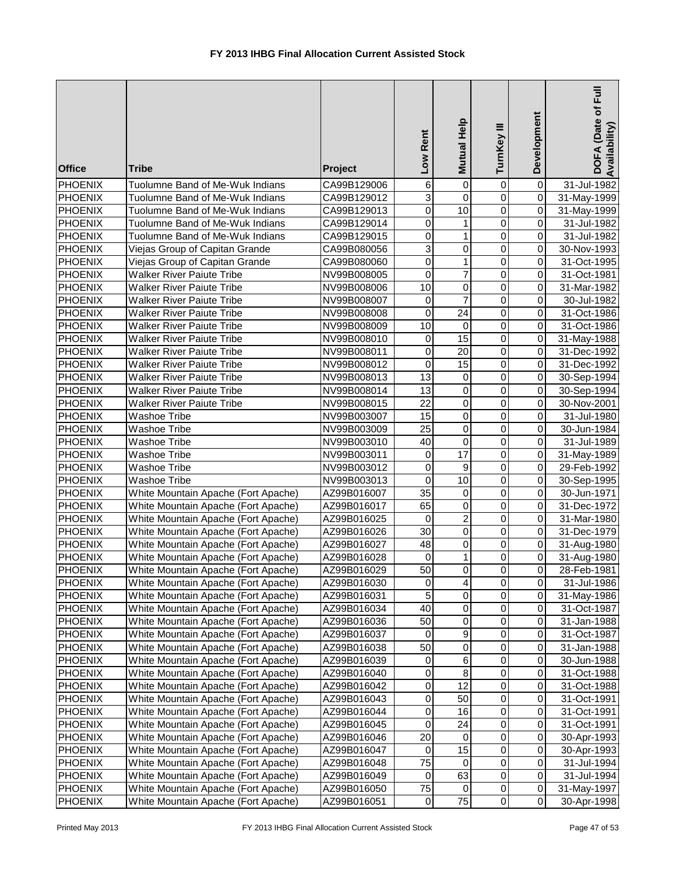| <b>Office</b>                    | <b>Tribe</b>                                     | Project                    | Rent<br><b>Mo7</b>    | Mutual Help      | TurnKey III                   | Development                | DOFA (Date of Full<br>Availability) |
|----------------------------------|--------------------------------------------------|----------------------------|-----------------------|------------------|-------------------------------|----------------------------|-------------------------------------|
| <b>PHOENIX</b>                   | Tuolumne Band of Me-Wuk Indians                  | CA99B129006                | 6                     | $\overline{0}$   | $\mathbf 0$                   | $\pmb{0}$                  | 31-Jul-1982                         |
| <b>PHOENIX</b>                   | Tuolumne Band of Me-Wuk Indians                  | CA99B129012                | $\overline{3}$        | $\overline{0}$   | $\overline{0}$                | $\overline{0}$             | 31-May-1999                         |
| PHOENIX                          | Tuolumne Band of Me-Wuk Indians                  | CA99B129013                | $\mathbf 0$           | $\overline{10}$  | $\overline{0}$                | 0                          | 31-May-1999                         |
| <b>PHOENIX</b>                   | Tuolumne Band of Me-Wuk Indians                  | CA99B129014                | 0                     | 1                | $\overline{0}$                | $\mathsf{O}\xspace$        | 31-Jul-1982                         |
| <b>PHOENIX</b>                   | Tuolumne Band of Me-Wuk Indians                  | CA99B129015                | $\mathbf 0$           | 1                | $\mathbf 0$                   | $\mathbf 0$                | 31-Jul-1982                         |
| <b>PHOENIX</b>                   | Viejas Group of Capitan Grande                   | CA99B080056                | 3                     | 0                | 0                             | 0                          | 30-Nov-1993                         |
| <b>PHOENIX</b>                   | Viejas Group of Capitan Grande                   | CA99B080060                | $\mathbf 0$           | $\mathbf{1}$     | $\mathbf 0$                   | 0                          | 31-Oct-1995                         |
| <b>PHOENIX</b>                   | <b>Walker River Paiute Tribe</b>                 | NV99B008005                | $\mathbf 0$           | $\overline{7}$   | 0                             | $\mathbf 0$                | 31-Oct-1981                         |
| PHOENIX                          | <b>Walker River Paiute Tribe</b>                 | NV99B008006                | 10                    | 0                | 0                             | $\mathbf 0$                | 31-Mar-1982                         |
| PHOENIX                          | <b>Walker River Paiute Tribe</b>                 | NV99B008007                | $\mathbf 0$           | $\overline{7}$   | $\mathbf 0$                   | O                          | 30-Jul-1982                         |
| PHOENIX                          | <b>Walker River Paiute Tribe</b>                 | NV99B008008                | 0                     | 24               | $\mathbf 0$                   | $\mathsf{O}\xspace$        | 31-Oct-1986                         |
| PHOENIX                          | <b>Walker River Paiute Tribe</b>                 | NV99B008009                | 10                    | $\mathbf 0$      | $\mathbf 0$                   | $\mathbf 0$                | 31-Oct-1986                         |
| PHOENIX                          | <b>Walker River Paiute Tribe</b>                 | NV99B008010                | $\mathbf 0$           | 15               | 0                             | $\mathbf 0$                | 31-May-1988                         |
| PHOENIX                          | <b>Walker River Paiute Tribe</b>                 | NV99B008011                | $\mathbf 0$           | 20               | 0                             | $\mathsf{O}$               | 31-Dec-1992                         |
| <b>PHOENIX</b>                   | <b>Walker River Paiute Tribe</b>                 | NV99B008012                | 0                     | 15               | 0                             | $\overline{O}$             | 31-Dec-1992                         |
| <b>PHOENIX</b>                   | Walker River Paiute Tribe                        | NV99B008013                | 13                    | 0                | 0                             | $\overline{O}$             | 30-Sep-1994                         |
| <b>PHOENIX</b>                   | <b>Walker River Paiute Tribe</b>                 | NV99B008014                | 13<br>$\overline{22}$ | 0<br>$\mathsf 0$ | $\mathbf 0$<br>$\overline{0}$ | $\mathbf 0$<br>$\mathbf 0$ | 30-Sep-1994                         |
| <b>PHOENIX</b><br><b>PHOENIX</b> | <b>Walker River Paiute Tribe</b><br>Washoe Tribe | NV99B008015                | 15                    | $\overline{0}$   | $\overline{0}$                | $\mathbf 0$                | 30-Nov-2001<br>31-Jul-1980          |
| <b>PHOENIX</b>                   | Washoe Tribe                                     | NV99B003007                | $\overline{25}$       | $\overline{0}$   | $\overline{0}$                | $\pmb{0}$                  | 30-Jun-1984                         |
| <b>PHOENIX</b>                   | Washoe Tribe                                     | NV99B003009<br>NV99B003010 | 40                    | $\overline{0}$   | $\overline{0}$                | $\mathbf 0$                | 31-Jul-1989                         |
| PHOENIX                          | Washoe Tribe                                     | NV99B003011                | $\pmb{0}$             | 17               | $\overline{0}$                | $\overline{0}$             | 31-May-1989                         |
| <b>PHOENIX</b>                   | Washoe Tribe                                     | NV99B003012                | $\mathbf 0$           | $\overline{9}$   | $\overline{0}$                | O                          | 29-Feb-1992                         |
| <b>PHOENIX</b>                   | Washoe Tribe                                     | NV99B003013                | $\mathbf 0$           | 10               | $\pmb{0}$                     | 0                          | 30-Sep-1995                         |
| <b>PHOENIX</b>                   | White Mountain Apache (Fort Apache)              | AZ99B016007                | $\overline{35}$       | $\pmb{0}$        | 0                             | O                          | 30-Jun-1971                         |
| PHOENIX                          | White Mountain Apache (Fort Apache)              | AZ99B016017                | 65                    | 0                | 0                             | $\overline{0}$             | 31-Dec-1972                         |
| PHOENIX                          | White Mountain Apache (Fort Apache)              | AZ99B016025                | $\mathbf 0$           | $\overline{2}$   | $\overline{0}$                | $\overline{0}$             | 31-Mar-1980                         |
| PHOENIX                          | White Mountain Apache (Fort Apache)              | AZ99B016026                | 30                    | $\pmb{0}$        | $\mathbf 0$                   | O                          | 31-Dec-1979                         |
| PHOENIX                          | White Mountain Apache (Fort Apache)              | AZ99B016027                | 48                    | 0                | 0                             | $\overline{0}$             | 31-Aug-1980                         |
| <b>PHOENIX</b>                   | White Mountain Apache (Fort Apache)              | AZ99B016028                | 0                     | 1                | 0                             | $\mathsf{O}\xspace$        | 31-Aug-1980                         |
| <b>PHOENIX</b>                   | White Mountain Apache (Fort Apache)              | AZ99B016029                | 50                    | $\overline{0}$   | $\Omega$                      | οI                         | 28-Feb-1981                         |
| PHOENIX                          | White Mountain Apache (Fort Apache)              | AZ99B016030                | 0                     | 4                | 0                             | $\mathbf{O}$               | 31-Jul-1986                         |
| PHOENIX                          | White Mountain Apache (Fort Apache)              | AZ99B016031                | 5                     | 0                | 0                             | $\mathbf{O}$               | 31-May-1986                         |
| PHOENIX                          | White Mountain Apache (Fort Apache)              | AZ99B016034                | 40                    | 0                | $\mathbf 0$                   | 0                          | 31-Oct-1987                         |
| <b>PHOENIX</b>                   | White Mountain Apache (Fort Apache)              | AZ99B016036                | 50                    | 0                | $\mathbf 0$                   | 0                          | 31-Jan-1988                         |
| PHOENIX                          | White Mountain Apache (Fort Apache)              | AZ99B016037                | $\mathbf 0$           | $\boldsymbol{9}$ | $\pmb{0}$                     | 0                          | 31-Oct-1987                         |
| PHOENIX                          | White Mountain Apache (Fort Apache)              | AZ99B016038                | 50                    | $\pmb{0}$        | $\pmb{0}$                     | 0                          | 31-Jan-1988                         |
| PHOENIX                          | White Mountain Apache (Fort Apache)              | AZ99B016039                | $\,0\,$               | 6                | 0                             | $\mathsf{O}\xspace$        | 30-Jun-1988                         |
| PHOENIX                          | White Mountain Apache (Fort Apache)              | AZ99B016040                | $\mathbf 0$           | $\bf 8$          | $\pmb{0}$                     | $\mathsf{O}\xspace$        | 31-Oct-1988                         |
| PHOENIX                          | White Mountain Apache (Fort Apache)              | AZ99B016042                | $\mathbf 0$           | $\overline{12}$  | $\pmb{0}$                     | 0                          | 31-Oct-1988                         |
| PHOENIX                          | White Mountain Apache (Fort Apache)              | AZ99B016043                | $\,0\,$               | 50               | $\mathbf 0$                   | 0                          | 31-Oct-1991                         |
| PHOENIX                          | White Mountain Apache (Fort Apache)              | AZ99B016044                | $\,0\,$               | 16               | 0                             | $\mathsf{O}\xspace$        | 31-Oct-1991                         |
| PHOENIX                          | White Mountain Apache (Fort Apache)              | AZ99B016045                | 0                     | 24               | 0                             | 0                          | 31-Oct-1991                         |
| PHOENIX                          | White Mountain Apache (Fort Apache)              | AZ99B016046                | 20                    | $\mathbf 0$      | $\pmb{0}$                     | $\mathsf{O}\xspace$        | 30-Apr-1993                         |
| PHOENIX                          | White Mountain Apache (Fort Apache)              | AZ99B016047                | 0                     | 15               | $\mathbf 0$                   | 0                          | 30-Apr-1993                         |
| PHOENIX                          | White Mountain Apache (Fort Apache)              | AZ99B016048                | 75                    | 0                | 0                             | 0                          | 31-Jul-1994                         |
| PHOENIX                          | White Mountain Apache (Fort Apache)              | AZ99B016049                | $\mathbf 0$           | 63               | 0                             | $\mathbf{O}$               | 31-Jul-1994                         |
| <b>PHOENIX</b>                   | White Mountain Apache (Fort Apache)              | AZ99B016050                | 75                    | 0                | 0                             | 0                          | 31-May-1997                         |
| PHOENIX                          | White Mountain Apache (Fort Apache)              | AZ99B016051                | $\pmb{0}$             | 75               | $\pmb{0}$                     | $\overline{0}$             | 30-Apr-1998                         |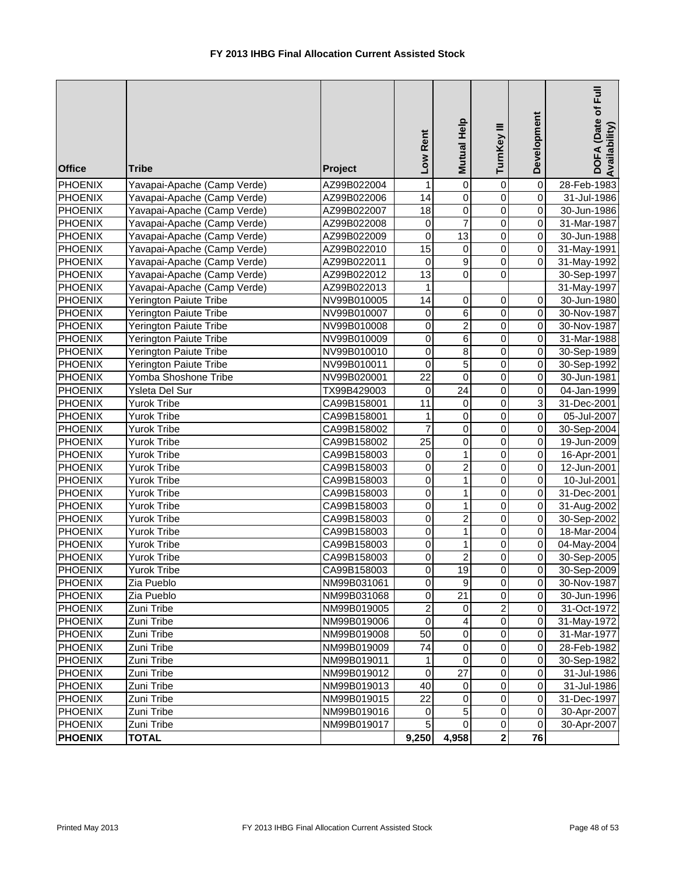| <b>Office</b>  | <b>Tribe</b>                | Project     | Low Rent                | Mutual Help             | TurnKey III             | Development             | Ē<br>DOFA (Date of<br>Availability |
|----------------|-----------------------------|-------------|-------------------------|-------------------------|-------------------------|-------------------------|------------------------------------|
| <b>PHOENIX</b> | Yavapai-Apache (Camp Verde) | AZ99B022004 | 1                       | $\pmb{0}$               | $\pmb{0}$               | $\overline{\mathsf{o}}$ | 28-Feb-1983                        |
| <b>PHOENIX</b> | Yavapai-Apache (Camp Verde) | AZ99B022006 | 14                      | $\mathbf 0$             | $\mathbf 0$             | $\overline{0}$          | 31-Jul-1986                        |
| <b>PHOENIX</b> | Yavapai-Apache (Camp Verde) | AZ99B022007 | 18                      | $\pmb{0}$               | $\mathbf 0$             | $\overline{0}$          | 30-Jun-1986                        |
| <b>PHOENIX</b> | Yavapai-Apache (Camp Verde) | AZ99B022008 | $\boldsymbol{0}$        | $\overline{7}$          | $\mathbf 0$             | $\overline{0}$          | 31-Mar-1987                        |
| <b>PHOENIX</b> | Yavapai-Apache (Camp Verde) | AZ99B022009 | $\overline{0}$          | $\overline{13}$         | $\overline{0}$          | $\overline{0}$          | 30-Jun-1988                        |
| <b>PHOENIX</b> | Yavapai-Apache (Camp Verde) | AZ99B022010 | $\overline{15}$         | $\pmb{0}$               | $\overline{0}$          | $\overline{0}$          | 31-May-1991                        |
| <b>PHOENIX</b> | Yavapai-Apache (Camp Verde) | AZ99B022011 | $\mathbf 0$             | 9                       | $\overline{0}$          | $\overline{0}$          | 31-May-1992                        |
| <b>PHOENIX</b> | Yavapai-Apache (Camp Verde) | AZ99B022012 | 13                      | $\mathbf 0$             | $\mathbf 0$             |                         | 30-Sep-1997                        |
| <b>PHOENIX</b> | Yavapai-Apache (Camp Verde) | AZ99B022013 | 1                       |                         |                         |                         | 31-May-1997                        |
| <b>PHOENIX</b> | Yerington Paiute Tribe      | NV99B010005 | 14                      | $\mathbf 0$             | $\pmb{0}$               | $\overline{0}$          | 30-Jun-1980                        |
| PHOENIX        | Yerington Paiute Tribe      | NV99B010007 | 0                       | 6                       | $\pmb{0}$               | $\overline{0}$          | 30-Nov-1987                        |
| <b>PHOENIX</b> | Yerington Paiute Tribe      | NV99B010008 | $\mathbf 0$             | $\overline{c}$          | $\mathbf 0$             | $\overline{0}$          | 30-Nov-1987                        |
| PHOENIX        | Yerington Paiute Tribe      | NV99B010009 | 0                       | 6                       | $\pmb{0}$               | $\overline{0}$          | 31-Mar-1988                        |
| PHOENIX        | Yerington Paiute Tribe      | NV99B010010 | $\mathbf 0$             | 8                       | $\pmb{0}$               | $\overline{0}$          | 30-Sep-1989                        |
| PHOENIX        | Yerington Paiute Tribe      | NV99B010011 | $\mathbf 0$             | 5                       | $\pmb{0}$               | $\overline{0}$          | 30-Sep-1992                        |
| <b>PHOENIX</b> | Yomba Shoshone Tribe        | NV99B020001 | 22                      | $\mathbf 0$             | $\mathbf 0$             | $\overline{0}$          | 30-Jun-1981                        |
| <b>PHOENIX</b> | Ysleta Del Sur              | TX99B429003 | 0                       | 24                      | $\mathbf 0$             | $\overline{0}$          | 04-Jan-1999                        |
| <b>PHOENIX</b> | Yurok Tribe                 | CA99B158001 | 11                      | $\mathbf 0$             | 0                       | $\overline{3}$          | 31-Dec-2001                        |
| <b>PHOENIX</b> | Yurok Tribe                 | CA99B158001 | 1                       | $\mathbf 0$             | 0                       | $\overline{0}$          | 05-Jul-2007                        |
| <b>PHOENIX</b> | Yurok Tribe                 | CA99B158002 | $\overline{7}$          | $\pmb{0}$               | $\mathbf 0$             | $\overline{0}$          | 30-Sep-2004                        |
| PHOENIX        | Yurok Tribe                 | CA99B158002 | $\overline{25}$         | $\overline{0}$          | $\overline{0}$          | $\overline{0}$          | 19-Jun-2009                        |
| <b>PHOENIX</b> | Yurok Tribe                 | CA99B158003 | $\pmb{0}$               | $\mathbf{1}$            | $\overline{0}$          | $\overline{0}$          | 16-Apr-2001                        |
| <b>PHOENIX</b> | Yurok Tribe                 | CA99B158003 | $\mathbf 0$             | $\overline{2}$          | $\overline{0}$          | $\overline{0}$          | 12-Jun-2001                        |
| <b>PHOENIX</b> | Yurok Tribe                 | CA99B158003 | $\mathbf 0$             | 1                       | $\overline{0}$          | $\overline{0}$          | 10-Jul-2001                        |
| <b>PHOENIX</b> | <b>Yurok Tribe</b>          | CA99B158003 | $\mathbf 0$             | $\mathbf{1}$            | $\overline{0}$          | $\overline{0}$          | 31-Dec-2001                        |
| <b>PHOENIX</b> | Yurok Tribe                 | CA99B158003 | $\mathbf 0$             | $\mathbf{1}$            | $\overline{0}$          | $\overline{0}$          | 31-Aug-2002                        |
| <b>PHOENIX</b> | Yurok Tribe                 | CA99B158003 | 0                       | $\overline{c}$          | 0                       | $\overline{0}$          | 30-Sep-2002                        |
| <b>PHOENIX</b> | Yurok Tribe                 | CA99B158003 | 0                       | 1                       | 0                       | $\overline{0}$          | 18-Mar-2004                        |
| <b>PHOENIX</b> | <b>Yurok Tribe</b>          | CA99B158003 | $\mathbf 0$             | 1                       | $\mathbf 0$             | $\overline{0}$          | 04-May-2004                        |
| <b>PHOENIX</b> | Yurok Tribe                 | CA99B158003 | $\pmb{0}$               | $\overline{\mathbf{c}}$ | $\pmb{0}$               | $\overline{0}$          | 30-Sep-2005                        |
| <b>PHOENIX</b> | <b>Yurok Tribe</b>          | CA99B158003 | $\overline{\mathsf{o}}$ | 19                      | $\overline{0}$          | $\overline{0}$          | 30-Sep-2009                        |
| <b>PHOENIX</b> | Zia Pueblo                  | NM99B031061 | $\mathbf 0$             | 9                       | 0                       | 01                      | 30-Nov-1987                        |
| <b>PHOENIX</b> | Zia Pueblo                  | NM99B031068 | 0                       | 21                      | $\mathbf 0$             | οI                      | 30-Jun-1996                        |
| <b>PHOENIX</b> | Zuni Tribe                  | NM99B019005 | $\overline{\mathbf{c}}$ | 0                       | $\overline{\mathbf{c}}$ | οI                      | 31-Oct-1972                        |
| <b>PHOENIX</b> | Zuni Tribe                  | NM99B019006 | 0                       | 4                       | 0                       | 01                      | 31-May-1972                        |
| <b>PHOENIX</b> | Zuni Tribe                  | NM99B019008 | 50                      | 0                       | 0                       | $\overline{0}$          | 31-Mar-1977                        |
| <b>PHOENIX</b> | Zuni Tribe                  | NM99B019009 | 74                      | $\mathbf 0$             | $\pmb{0}$               | $\overline{0}$          | 28-Feb-1982                        |
| PHOENIX        | Zuni Tribe                  | NM99B019011 | 1                       | $\pmb{0}$               | $\pmb{0}$               | $\overline{0}$          | 30-Sep-1982                        |
| PHOENIX        | Zuni Tribe                  | NM99B019012 | $\pmb{0}$               | 27                      | $\pmb{0}$               | $\overline{0}$          | 31-Jul-1986                        |
| <b>PHOENIX</b> | Zuni Tribe                  | NM99B019013 | 40                      | 0                       | $\pmb{0}$               | $\overline{0}$          | 31-Jul-1986                        |
| PHOENIX        | Zuni Tribe                  | NM99B019015 | 22                      | $\mathbf 0$             | $\pmb{0}$               | $\overline{0}$          | 31-Dec-1997                        |
| PHOENIX        | Zuni Tribe                  | NM99B019016 | $\mathbf 0$             | 5                       | $\pmb{0}$               | $\overline{0}$          | 30-Apr-2007                        |
| PHOENIX        | Zuni Tribe                  | NM99B019017 | 5                       | $\mathbf 0$             | $\pmb{0}$               | $\overline{0}$          | 30-Apr-2007                        |
| <b>PHOENIX</b> | <b>TOTAL</b>                |             | 9,250                   | 4,958                   | $\overline{2}$          | 76                      |                                    |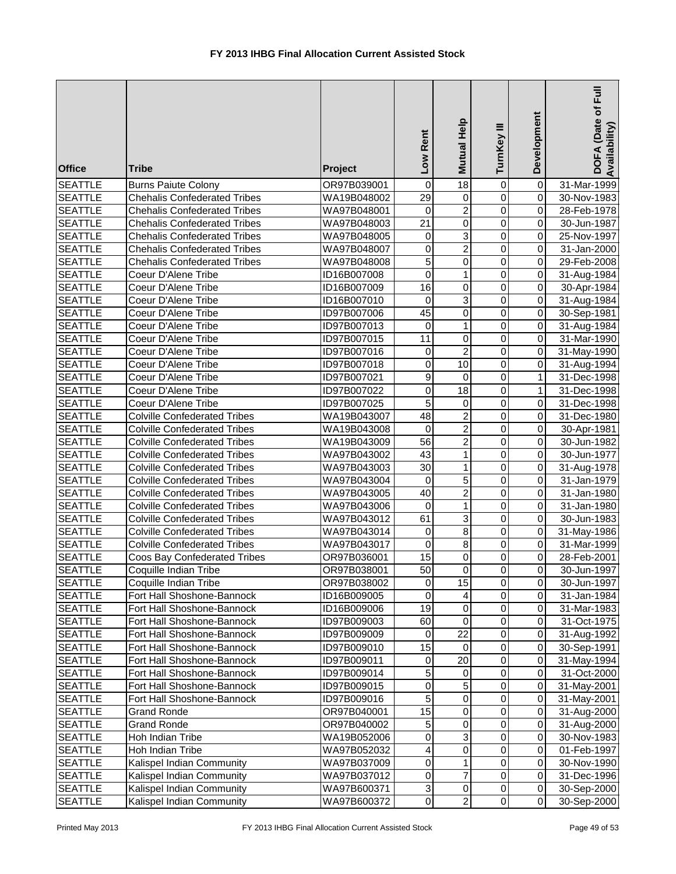| <b>Office</b>                    | <b>Tribe</b>                                                               | Project                    | Low Rent                  | Mutual Help                      | TurnKey III                   | Development                               | Ē<br>DOFA (Date of<br>Availability) |
|----------------------------------|----------------------------------------------------------------------------|----------------------------|---------------------------|----------------------------------|-------------------------------|-------------------------------------------|-------------------------------------|
| <b>SEATTLE</b>                   | <b>Burns Paiute Colony</b>                                                 | OR97B039001                | 0                         | $\overline{18}$                  | 0                             | 0                                         | 31-Mar-1999                         |
| <b>SEATTLE</b>                   | <b>Chehalis Confederated Tribes</b>                                        | WA19B048002                | $\overline{29}$           | 0                                | $\mathbf 0$                   | 0                                         | 30-Nov-1983                         |
| <b>SEATTLE</b>                   | <b>Chehalis Confederated Tribes</b>                                        | WA97B048001                | 0                         | $\overline{2}$                   | $\mathbf 0$                   | 0                                         | 28-Feb-1978                         |
| <b>SEATTLE</b>                   | <b>Chehalis Confederated Tribes</b>                                        | WA97B048003                | $\overline{21}$           | $\overline{0}$                   | 0                             | $\pmb{0}$                                 | 30-Jun-1987                         |
| <b>SEATTLE</b>                   | <b>Chehalis Confederated Tribes</b>                                        | WA97B048005                | $\pmb{0}$                 | $\overline{3}$                   | $\mathbf 0$                   | 0                                         | 25-Nov-1997                         |
| <b>SEATTLE</b>                   | <b>Chehalis Confederated Tribes</b>                                        | WA97B048007                | $\mathbf 0$               | $\overline{2}$                   | 0                             | 0                                         | 31-Jan-2000                         |
| <b>SEATTLE</b>                   | <b>Chehalis Confederated Tribes</b>                                        | WA97B048008                | 5                         | $\overline{0}$                   | 0                             | 0                                         | 29-Feb-2008                         |
| <b>SEATTLE</b>                   | Coeur D'Alene Tribe                                                        | ID16B007008                | $\mathbf 0$               | $\mathbf{1}$                     | $\mathbf 0$                   | 0                                         | 31-Aug-1984                         |
| <b>SEATTLE</b>                   | Coeur D'Alene Tribe                                                        | ID16B007009                | 16                        | 0                                | 0                             | $\overline{0}$                            | 30-Apr-1984                         |
| <b>SEATTLE</b>                   | Coeur D'Alene Tribe                                                        | ID16B007010                | 0                         | $\overline{3}$                   | 0                             | $\overline{0}$                            | 31-Aug-1984                         |
| <b>SEATTLE</b>                   | Coeur D'Alene Tribe                                                        | ID97B007006                | 45                        | $\mathbf 0$                      | $\mathbf 0$                   | $\mathbf 0$                               | 30-Sep-1981                         |
| <b>SEATTLE</b>                   | Coeur D'Alene Tribe                                                        | ID97B007013                | $\pmb{0}$                 | $\mathbf{1}$                     | 0                             | $\overline{0}$                            | 31-Aug-1984                         |
| <b>SEATTLE</b>                   | Coeur D'Alene Tribe                                                        | ID97B007015                | 11                        | $\pmb{0}$                        | 0                             | $\overline{0}$                            | 31-Mar-1990                         |
| <b>SEATTLE</b>                   | Coeur D'Alene Tribe                                                        | ID97B007016                | $\mathbf 0$               | $\boldsymbol{2}$                 | 0                             | 0                                         | 31-May-1990                         |
| <b>SEATTLE</b>                   | Coeur D'Alene Tribe                                                        | ID97B007018                | 0                         | 10                               | 0                             | $\overline{0}$                            | 31-Aug-1994                         |
| <b>SEATTLE</b>                   | Coeur D'Alene Tribe                                                        | ID97B007021                | 9                         | 0                                | 0                             | $\mathbf{1}$                              | 31-Dec-1998                         |
| <b>SEATTLE</b>                   | Coeur D'Alene Tribe                                                        | ID97B007022                | 0                         | 18                               | 0                             | $\mathbf{1}$                              | 31-Dec-1998                         |
| <b>SEATTLE</b>                   | Coeur D'Alene Tribe                                                        | ID97B007025                | 5                         | 0                                | 0                             | $\Omega$                                  | 31-Dec-1998                         |
| <b>SEATTLE</b>                   | <b>Colville Confederated Tribes</b>                                        | WA19B043007                | 48                        | $\overline{2}$                   | $\mathbf 0$<br>$\overline{0}$ | 0                                         | 31-Dec-1980                         |
| <b>SEATTLE</b>                   | <b>Colville Confederated Tribes</b>                                        | WA19B043008                | 0<br>$\overline{56}$      | $\overline{2}$<br>$\overline{2}$ | 0                             | $\overline{\mathsf{o}}$<br>$\overline{0}$ | 30-Apr-1981                         |
| <b>SEATTLE</b><br><b>SEATTLE</b> | <b>Colville Confederated Tribes</b><br><b>Colville Confederated Tribes</b> | WA19B043009<br>WA97B043002 | $\overline{43}$           | $\mathbf{1}$                     | 0                             | 0                                         | 30-Jun-1982<br>30-Jun-1977          |
| <b>SEATTLE</b>                   | <b>Colville Confederated Tribes</b>                                        | WA97B043003                | $\overline{30}$           | 1                                | 0                             | $\pmb{0}$                                 |                                     |
| <b>SEATTLE</b>                   | <b>Colville Confederated Tribes</b>                                        | WA97B043004                | $\pmb{0}$                 | $\overline{5}$                   | $\mathbf 0$                   | $\mathbf 0$                               | 31-Aug-1978<br>31-Jan-1979          |
| <b>SEATTLE</b>                   | <b>Colville Confederated Tribes</b>                                        | WA97B043005                | 40                        | $\overline{2}$                   | $\mathbf 0$                   | $\overline{\mathsf{o}}$                   | 31-Jan-1980                         |
| <b>SEATTLE</b>                   | <b>Colville Confederated Tribes</b>                                        | WA97B043006                | $\mathbf 0$               | $\mathbf{1}$                     | 0                             | $\mathbf 0$                               | 31-Jan-1980                         |
| <b>SEATTLE</b>                   | <b>Colville Confederated Tribes</b>                                        | WA97B043012                | 61                        | $\overline{3}$                   | 0                             | $\mathbf 0$                               | 30-Jun-1983                         |
| <b>SEATTLE</b>                   | <b>Colville Confederated Tribes</b>                                        | WA97B043014                | 0                         | $\overline{8}$                   | 0                             | $\overline{\mathsf{o}}$                   | 31-May-1986                         |
| <b>SEATTLE</b>                   | <b>Colville Confederated Tribes</b>                                        | WA97B043017                | $\mathbf 0$               | $\bf 8$                          | 0                             | $\overline{0}$                            | 31-Mar-1999                         |
| <b>SEATTLE</b>                   | Coos Bay Confederated Tribes                                               | OR97B036001                | 15                        | $\pmb{0}$                        | 0                             | 0                                         | 28-Feb-2001                         |
| <b>SEATTLE</b>                   | Coquille Indian Tribe                                                      | OR97B038001                | 50                        | $\overline{0}$                   | $\overline{0}$                | $\overline{0}$                            | 30-Jun-1997                         |
| <b>SEATTLE</b>                   | Coquille Indian Tribe                                                      | OR97B038002                | 0                         | 15                               | 0                             | 0                                         | 30-Jun-1997                         |
| <b>SEATTLE</b>                   | Fort Hall Shoshone-Bannock                                                 | ID16B009005                | 0                         | 4                                | 0                             | 0                                         | 31-Jan-1984                         |
| <b>SEATTLE</b>                   | Fort Hall Shoshone-Bannock                                                 | ID16B009006                | 19                        | $\pmb{0}$                        | 0                             | 0                                         | 31-Mar-1983                         |
| <b>SEATTLE</b>                   | Fort Hall Shoshone-Bannock                                                 | ID97B009003                | 60                        | $\pmb{0}$                        | 0                             | 0                                         | 31-Oct-1975                         |
| <b>SEATTLE</b>                   | Fort Hall Shoshone-Bannock                                                 | ID97B009009                | 0                         | 22                               | 0                             | 0                                         | 31-Aug-1992                         |
| <b>SEATTLE</b>                   | Fort Hall Shoshone-Bannock                                                 | ID97B009010                | 15                        | $\mathbf 0$                      | 0                             | $\mathbf 0$                               | 30-Sep-1991                         |
| <b>SEATTLE</b>                   | Fort Hall Shoshone-Bannock                                                 | ID97B009011                | $\mathbf 0$               | 20                               | 0                             | $\mathbf 0$                               | 31-May-1994                         |
| <b>SEATTLE</b>                   | Fort Hall Shoshone-Bannock                                                 | ID97B009014                | 5                         | $\mathbf 0$                      | 0                             | $\mathbf 0$                               | 31-Oct-2000                         |
| <b>SEATTLE</b>                   | Fort Hall Shoshone-Bannock                                                 | ID97B009015                | $\pmb{0}$                 | $\overline{5}$                   | 0                             | $\pmb{0}$                                 | 31-May-2001                         |
| <b>SEATTLE</b>                   | Fort Hall Shoshone-Bannock                                                 | ID97B009016                | 5                         | $\pmb{0}$                        | 0                             | 0                                         | 31-May-2001                         |
| <b>SEATTLE</b>                   | Grand Ronde                                                                | OR97B040001                | 15                        | $\pmb{0}$                        | 0                             | $\mathsf{O}\xspace$                       | 31-Aug-2000                         |
| <b>SEATTLE</b>                   | Grand Ronde                                                                | OR97B040002                | 5                         | 0                                | 0                             | 0                                         | 31-Aug-2000                         |
| <b>SEATTLE</b>                   | Hoh Indian Tribe                                                           | WA19B052006                | 0                         | $\overline{3}$                   | 0                             | $\pmb{0}$                                 | 30-Nov-1983                         |
| <b>SEATTLE</b>                   | Hoh Indian Tribe                                                           | WA97B052032                | $\overline{\mathbf{4}}$   | $\overline{0}$                   | $\mathbf 0$                   | $\pmb{0}$                                 | 01-Feb-1997                         |
| <b>SEATTLE</b>                   | Kalispel Indian Community                                                  | WA97B037009                | $\pmb{0}$                 | 1                                | 0                             | $\Omega$                                  | 30-Nov-1990                         |
| <b>SEATTLE</b>                   | Kalispel Indian Community                                                  | WA97B037012                | $\pmb{0}$                 | $\overline{7}$                   | 0                             | $\overline{0}$                            | 31-Dec-1996                         |
| <b>SEATTLE</b>                   | Kalispel Indian Community                                                  | WA97B600371                | $\ensuremath{\mathsf{3}}$ | $\pmb{0}$                        | 0                             | $\overline{0}$                            | 30-Sep-2000                         |
| <b>SEATTLE</b>                   | Kalispel Indian Community                                                  | WA97B600372                | $\mathsf{O}\xspace$       | $\overline{c}$                   | $\pmb{0}$                     | $\overline{0}$                            | 30-Sep-2000                         |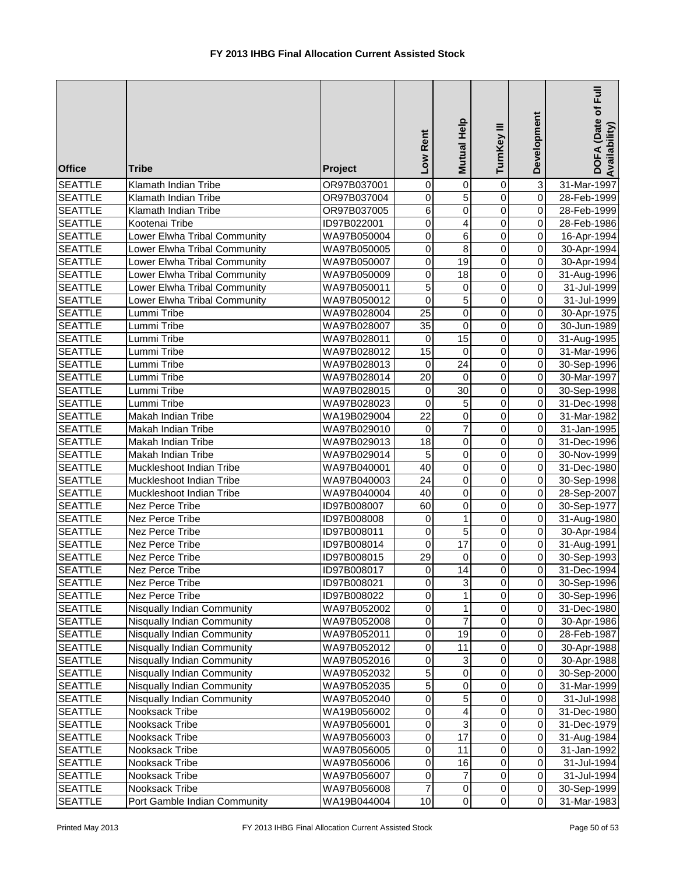| <b>Office</b>                    | <b>Tribe</b>                 | Project                    | Low Rent         | Mutual Help       | TurnKey III      | Development                      | DOFA (Date of Full<br>Availability) |
|----------------------------------|------------------------------|----------------------------|------------------|-------------------|------------------|----------------------------------|-------------------------------------|
| <b>SEATTLE</b>                   | Klamath Indian Tribe         | OR97B037001                | 0                | $\overline{0}$    | 0                | $\overline{3}$                   | 31-Mar-1997                         |
| <b>SEATTLE</b>                   | Klamath Indian Tribe         | OR97B037004                | $\mathbf 0$      | $\overline{5}$    | $\overline{0}$   | $\overline{0}$                   | 28-Feb-1999                         |
| <b>SEATTLE</b>                   | Klamath Indian Tribe         | OR97B037005                | 6                | $\overline{0}$    | $\overline{0}$   | $\overline{0}$                   | 28-Feb-1999                         |
| <b>SEATTLE</b>                   | Kootenai Tribe               | ID97B022001                | $\mathbf 0$      | 4                 | $\overline{0}$   | $\overline{0}$                   | 28-Feb-1986                         |
| <b>SEATTLE</b>                   | Lower Elwha Tribal Community | WA97B050004                | $\mathbf 0$      | 6                 | $\overline{0}$   | $\overline{0}$                   | 16-Apr-1994                         |
| <b>SEATTLE</b>                   | Lower Elwha Tribal Community | WA97B050005                | $\mathbf 0$      | $\overline{8}$    | 0                | $\overline{0}$                   | 30-Apr-1994                         |
| <b>SEATTLE</b>                   | Lower Elwha Tribal Community | WA97B050007                | $\mathbf 0$      | 19                | $\mathbf 0$      | $\overline{0}$                   | 30-Apr-1994                         |
| <b>SEATTLE</b>                   | Lower Elwha Tribal Community | WA97B050009                | 0                | 18                | $\mathbf 0$      | $\overline{0}$                   | 31-Aug-1996                         |
| <b>SEATTLE</b>                   | Lower Elwha Tribal Community | WA97B050011                | $\overline{5}$   | $\pmb{0}$         | $\mathbf 0$      | $\overline{0}$                   | 31-Jul-1999                         |
| <b>SEATTLE</b>                   | Lower Elwha Tribal Community | WA97B050012                | 0                | 5                 | $\pmb{0}$        | $\overline{0}$                   | 31-Jul-1999                         |
| <b>SEATTLE</b>                   | Lummi Tribe                  | WA97B028004                | 25               | $\pmb{0}$         | $\mathbf 0$      | $\overline{0}$                   | 30-Apr-1975                         |
| <b>SEATTLE</b>                   | Lummi Tribe                  | WA97B028007                | 35               | $\pmb{0}$         | $\mathbf 0$      | $\overline{0}$                   | 30-Jun-1989                         |
| <b>SEATTLE</b>                   | Lummi Tribe                  | WA97B028011                | 0                | 15                | $\mathbf 0$      | $\overline{0}$                   | 31-Aug-1995                         |
| <b>SEATTLE</b>                   | Lummi Tribe                  | WA97B028012                | 15               | $\mathbf 0$<br>24 | $\mathbf 0$      | $\overline{0}$<br>$\overline{0}$ | 31-Mar-1996                         |
| <b>SEATTLE</b><br><b>SEATTLE</b> | Lummi Tribe<br>Lummi Tribe   | WA97B028013<br>WA97B028014 | 0<br>20          | 0                 | 0<br>$\mathbf 0$ | $\overline{0}$                   | 30-Sep-1996                         |
| <b>SEATTLE</b>                   | Lummi Tribe                  | WA97B028015                | 0                | 30                | $\mathbf 0$      | $\overline{0}$                   | 30-Mar-1997<br>30-Sep-1998          |
| <b>SEATTLE</b>                   | Lummi Tribe                  | WA97B028023                | $\overline{0}$   | $\overline{5}$    | $\mathbf 0$      | $\overline{0}$                   | 31-Dec-1998                         |
| <b>SEATTLE</b>                   | Makah Indian Tribe           | WA19B029004                | $\overline{22}$  | $\overline{0}$    | $\overline{0}$   | $\overline{0}$                   | 31-Mar-1982                         |
| <b>SEATTLE</b>                   | Makah Indian Tribe           | WA97B029010                | $\boldsymbol{0}$ | $\overline{7}$    | $\overline{0}$   | $\overline{0}$                   | 31-Jan-1995                         |
| <b>SEATTLE</b>                   | Makah Indian Tribe           | WA97B029013                | 18               | $\overline{0}$    | $\overline{0}$   | $\overline{0}$                   | 31-Dec-1996                         |
| <b>SEATTLE</b>                   | Makah Indian Tribe           | WA97B029014                | $\overline{5}$   | $\overline{0}$    | $\overline{0}$   | $\overline{0}$                   | 30-Nov-1999                         |
| <b>SEATTLE</b>                   | Muckleshoot Indian Tribe     | WA97B040001                | 40               | $\overline{0}$    | $\mathbf 0$      | $\overline{0}$                   | 31-Dec-1980                         |
| <b>SEATTLE</b>                   | Muckleshoot Indian Tribe     | WA97B040003                | $\overline{24}$  | $\pmb{0}$         | 0                | $\overline{0}$                   | 30-Sep-1998                         |
| <b>SEATTLE</b>                   | Muckleshoot Indian Tribe     | WA97B040004                | 40               | $\pmb{0}$         | $\mathbf 0$      | $\overline{0}$                   | 28-Sep-2007                         |
| <b>SEATTLE</b>                   | Nez Perce Tribe              | ID97B008007                | 60               | $\overline{0}$    | $\mathbf 0$      | $\overline{0}$                   | 30-Sep-1977                         |
| <b>SEATTLE</b>                   | Nez Perce Tribe              | ID97B008008                | 0                | 1                 | $\pmb{0}$        | $\overline{0}$                   | 31-Aug-1980                         |
| <b>SEATTLE</b>                   | Nez Perce Tribe              | ID97B008011                | 0                | 5                 | $\pmb{0}$        | $\overline{0}$                   | 30-Apr-1984                         |
| <b>SEATTLE</b>                   | Nez Perce Tribe              | ID97B008014                | $\Omega$         | 17                | $\mathbf 0$      | $\overline{0}$                   | 31-Aug-1991                         |
| <b>SEATTLE</b>                   | Nez Perce Tribe              | ID97B008015                | 29               | 0                 | $\mathbf 0$      | $\overline{0}$                   | 30-Sep-1993                         |
| <b>SEATTLE</b>                   | Nez Perce Tribe              | ID97B008017                | $\Omega$         | 14                | $\Omega$         | οI                               | 31-Dec-1994                         |
| <b>SEATTLE</b>                   | Nez Perce Tribe              | ID97B008021                | $\mathbf 0$      | 3                 | 0                | $\Omega$                         | 30-Sep-1996                         |
| <b>SEATTLE</b>                   | Nez Perce Tribe              | ID97B008022                | 0                | 1                 | $\pmb{0}$        | $\overline{0}$                   | 30-Sep-1996                         |
| <b>SEATTLE</b>                   | Nisqually Indian Community   | WA97B052002                | $\mathbf 0$      | 1                 | $\pmb{0}$        | $\overline{0}$                   | 31-Dec-1980                         |
| <b>SEATTLE</b>                   | Nisqually Indian Community   | WA97B052008                | $\mathbf 0$      | $\overline{7}$    | $\mathbf 0$      | $\Omega$                         | 30-Apr-1986                         |
| <b>SEATTLE</b>                   | Nisqually Indian Community   | WA97B052011                | $\mathbf 0$      | 19                | $\pmb{0}$        | $\overline{0}$                   | 28-Feb-1987                         |
| <b>SEATTLE</b>                   | Nisqually Indian Community   | WA97B052012                | 0                | 11                | $\pmb{0}$        | $\Omega$                         | 30-Apr-1988                         |
| <b>SEATTLE</b>                   | Nisqually Indian Community   | WA97B052016                | 0                | 3                 | $\pmb{0}$        | $\overline{0}$                   | 30-Apr-1988                         |
| <b>SEATTLE</b>                   | Nisqually Indian Community   | WA97B052032                | 5                | $\pmb{0}$         | $\pmb{0}$        | $\overline{0}$                   | 30-Sep-2000                         |
| <b>SEATTLE</b>                   | Nisqually Indian Community   | WA97B052035                | $\overline{5}$   | $\pmb{0}$         | $\mathbf 0$      | $\overline{0}$                   | 31-Mar-1999                         |
| <b>SEATTLE</b>                   | Nisqually Indian Community   | WA97B052040                | 0                | 5                 | 0                | $\overline{0}$                   | 31-Jul-1998                         |
| <b>SEATTLE</b>                   | Nooksack Tribe               | WA19B056002                | 0                | 4                 | 0                | $\overline{0}$                   | 31-Dec-1980                         |
| <b>SEATTLE</b>                   | Nooksack Tribe               | WA97B056001                | $\overline{0}$   | 3                 | $\mathbf 0$      | $\overline{0}$                   | 31-Dec-1979                         |
| <b>SEATTLE</b>                   | Nooksack Tribe               | WA97B056003                | $\overline{0}$   | 17                | $\pmb{0}$        | $\overline{0}$                   | 31-Aug-1984                         |
| <b>SEATTLE</b>                   | Nooksack Tribe               | WA97B056005                | 0                | 11                | $\pmb{0}$        | $\overline{0}$                   | 31-Jan-1992                         |
| <b>SEATTLE</b>                   | Nooksack Tribe               | WA97B056006                | 0                | 16                | $\pmb{0}$        | $\overline{0}$                   | 31-Jul-1994                         |
| <b>SEATTLE</b>                   | Nooksack Tribe               | WA97B056007                | 0                | 7                 | $\pmb{0}$        | $\overline{O}$                   | 31-Jul-1994                         |
| <b>SEATTLE</b>                   | Nooksack Tribe               | WA97B056008                | 7                | $\pmb{0}$         | $\,0\,$          | $\overline{0}$                   | 30-Sep-1999                         |
| <b>SEATTLE</b>                   | Port Gamble Indian Community | WA19B044004                | 10               | $\pmb{0}$         | $\pmb{0}$        | $\overline{0}$                   | 31-Mar-1983                         |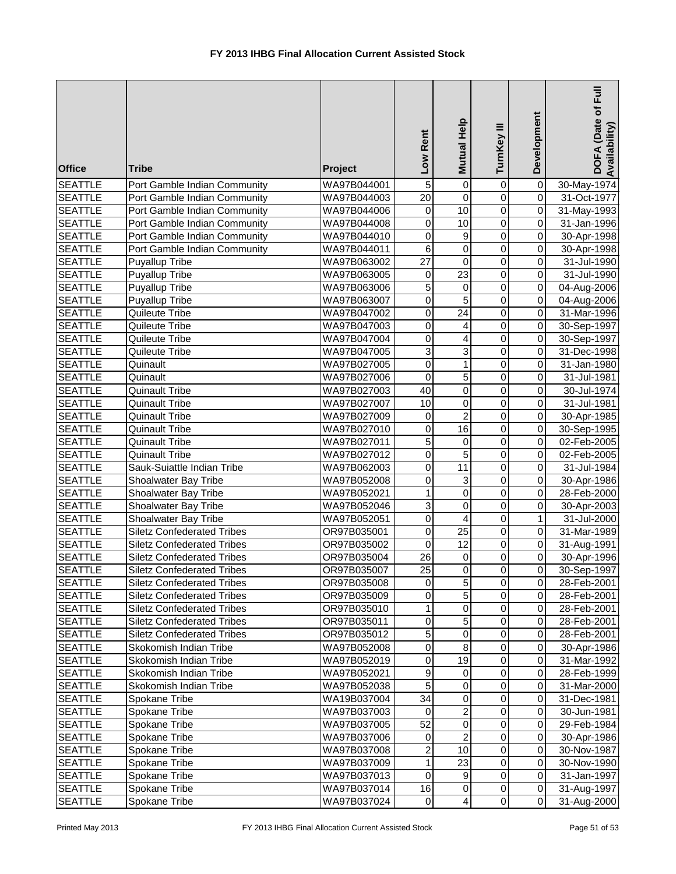| <b>Office</b>                    | <b>Tribe</b>                                   | Project                    | Low Rent                           | <b>Mutual Help</b>            | TurnKey III                      | Development                               | DOFA (Date of Full<br>Availability) |
|----------------------------------|------------------------------------------------|----------------------------|------------------------------------|-------------------------------|----------------------------------|-------------------------------------------|-------------------------------------|
| <b>SEATTLE</b>                   | Port Gamble Indian Community                   | WA97B044001                | $\overline{5}$                     | $\mathbf 0$                   | $\pmb{0}$                        | $\pmb{0}$                                 | 30-May-1974                         |
| <b>SEATTLE</b>                   | Port Gamble Indian Community                   | WA97B044003                | $\overline{20}$                    | $\overline{0}$                | $\mathbf 0$                      | $\overline{\mathbf{0}}$                   | 31-Oct-1977                         |
| <b>SEATTLE</b>                   | Port Gamble Indian Community                   | WA97B044006                | $\boldsymbol{0}$                   | $\overline{10}$               | $\mathbf 0$                      | $\pmb{0}$                                 | 31-May-1993                         |
| <b>SEATTLE</b>                   | Port Gamble Indian Community                   | WA97B044008                | $\boldsymbol{0}$                   | $\overline{10}$               | $\mathbf 0$                      | $\pmb{0}$                                 | 31-Jan-1996                         |
| <b>SEATTLE</b>                   | Port Gamble Indian Community                   | WA97B044010                | $\mathbf 0$                        | $\boldsymbol{9}$              | $\mathbf 0$                      | $\overline{\mathsf{o}}$                   | 30-Apr-1998                         |
| <b>SEATTLE</b>                   | Port Gamble Indian Community                   | WA97B044011                | $\overline{6}$                     | $\overline{0}$                | $\mathbf 0$                      | $\overline{\mathsf{o}}$                   | 30-Apr-1998                         |
| <b>SEATTLE</b>                   | <b>Puyallup Tribe</b>                          | WA97B063002                | $\overline{27}$                    | 0                             | 0                                | $\pmb{0}$                                 | 31-Jul-1990                         |
| <b>SEATTLE</b>                   | Puyallup Tribe                                 | WA97B063005                | $\mathbf 0$                        | $\overline{23}$               | 0                                | $\overline{\mathsf{o}}$                   | 31-Jul-1990                         |
| <b>SEATTLE</b>                   | Puyallup Tribe                                 | WA97B063006                | $\overline{5}$                     | 0                             | $\mathbf 0$                      | $\overline{0}$                            | 04-Aug-2006                         |
| <b>SEATTLE</b>                   | Puyallup Tribe                                 | WA97B063007                | $\overline{0}$                     | 5                             | $\mathbf 0$                      | $\overline{0}$                            | 04-Aug-2006                         |
| <b>SEATTLE</b>                   | Quileute Tribe                                 | WA97B047002                | $\boldsymbol{0}$                   | 24                            | 0                                | $\overline{0}$                            | 31-Mar-1996                         |
| <b>SEATTLE</b>                   | Quileute Tribe                                 | WA97B047003                | $\mathbf 0$                        | 4                             | $\mathbf 0$                      | $\overline{0}$                            | 30-Sep-1997                         |
| <b>SEATTLE</b>                   | Quileute Tribe                                 | WA97B047004                | 0                                  | $\overline{\mathbf{4}}$       | $\mathbf 0$                      | $\overline{0}$                            | 30-Sep-1997                         |
| <b>SEATTLE</b>                   | Quileute Tribe                                 | WA97B047005                | 3                                  | $\overline{3}$                | $\mathbf 0$                      | $\mathsf{O}\xspace$                       | 31-Dec-1998                         |
| <b>SEATTLE</b>                   | Quinault                                       | WA97B027005                | 0                                  | 1                             | $\mathbf 0$                      | $\pmb{0}$                                 | 31-Jan-1980                         |
| <b>SEATTLE</b>                   | Quinault                                       | WA97B027006                | 0                                  | 5                             | $\mathbf 0$                      | $\mathbf 0$                               | 31-Jul-1981                         |
| <b>SEATTLE</b>                   | <b>Quinault Tribe</b>                          | WA97B027003                | 40                                 | $\pmb{0}$                     | $\mathbf 0$                      | $\overline{0}$<br>$\overline{\mathsf{o}}$ | 30-Jul-1974                         |
| <b>SEATTLE</b>                   | <b>Quinault Tribe</b>                          | WA97B027007                | 10                                 | $\mathbf 0$<br>$\overline{2}$ | $\overline{0}$<br>$\overline{0}$ | $\overline{\mathsf{o}}$                   | 31-Jul-1981                         |
| <b>SEATTLE</b>                   | <b>Quinault Tribe</b>                          | WA97B027009                | $\boldsymbol{0}$<br>$\overline{0}$ | 16                            | $\overline{0}$                   | $\pmb{0}$                                 | 30-Apr-1985                         |
| <b>SEATTLE</b>                   | Quinault Tribe                                 | WA97B027010                | 5                                  | $\overline{0}$                | $\mathbf 0$                      | $\overline{\mathsf{o}}$                   | 30-Sep-1995                         |
| <b>SEATTLE</b><br><b>SEATTLE</b> | <b>Quinault Tribe</b><br><b>Quinault Tribe</b> | WA97B027011<br>WA97B027012 | $\boldsymbol{0}$                   | $\overline{5}$                | $\mathbf 0$                      | $\pmb{0}$                                 | 02-Feb-2005<br>02-Feb-2005          |
| <b>SEATTLE</b>                   | Sauk-Suiattle Indian Tribe                     | WA97B062003                | $\mathbf 0$                        | 11                            | $\mathbf 0$                      | $\overline{\mathsf{o}}$                   | 31-Jul-1984                         |
| <b>SEATTLE</b>                   | Shoalwater Bay Tribe                           | WA97B052008                | 0                                  | $\overline{3}$                | 0                                | $\pmb{0}$                                 | 30-Apr-1986                         |
| <b>SEATTLE</b>                   | Shoalwater Bay Tribe                           | WA97B052021                | 1                                  | $\pmb{0}$                     | 0                                | $\overline{0}$                            | 28-Feb-2000                         |
| <b>SEATTLE</b>                   | Shoalwater Bay Tribe                           | WA97B052046                | 3                                  | 0                             | 0                                | $\overline{\mathsf{o}}$                   | 30-Apr-2003                         |
| <b>SEATTLE</b>                   | Shoalwater Bay Tribe                           | WA97B052051                | $\overline{0}$                     | $\overline{4}$                | $\mathbf 0$                      | $\overline{1}$                            | 31-Jul-2000                         |
| <b>SEATTLE</b>                   | <b>Siletz Confederated Tribes</b>              | OR97B035001                | $\overline{0}$                     | $\overline{25}$               | 0                                | $\overline{0}$                            | 31-Mar-1989                         |
| <b>SEATTLE</b>                   | <b>Siletz Confederated Tribes</b>              | OR97B035002                | $\mathbf 0$                        | 12                            | 0                                | $\overline{0}$                            | 31-Aug-1991                         |
| <b>SEATTLE</b>                   | <b>Siletz Confederated Tribes</b>              | OR97B035004                | 26                                 | $\,0\,$                       | $\mathbf 0$                      | $\overline{0}$                            | 30-Apr-1996                         |
| <b>SEATTLE</b>                   | <b>Siletz Confederated Tribes</b>              | OR97B035007                | 25                                 | $\overline{0}$                | $\Omega$                         | $\overline{0}$                            | 30-Sep-1997                         |
| <b>SEATTLE</b>                   | <b>Siletz Confederated Tribes</b>              | OR97B035008                | 0                                  | $\overline{5}$                | 0                                | $\overline{0}$                            | 28-Feb-2001                         |
| <b>SEATTLE</b>                   | <b>Siletz Confederated Tribes</b>              | OR97B035009                | 0                                  | $\sqrt{5}$                    | 0                                | $\overline{0}$                            | 28-Feb-2001                         |
| <b>SEATTLE</b>                   | <b>Siletz Confederated Tribes</b>              | OR97B035010                | 1                                  | $\,0\,$                       | 0                                | 0                                         | 28-Feb-2001                         |
| <b>SEATTLE</b>                   | <b>Siletz Confederated Tribes</b>              | OR97B035011                | 0                                  | 5                             | 0                                | $\overline{0}$                            | 28-Feb-2001                         |
| <b>SEATTLE</b>                   | <b>Siletz Confederated Tribes</b>              | OR97B035012                | 5                                  | $\pmb{0}$                     | 0                                | $\mathbf 0$                               | 28-Feb-2001                         |
| <b>SEATTLE</b>                   | Skokomish Indian Tribe                         | WA97B052008                | 0                                  | 8                             | 0                                | $\mathbf 0$                               | 30-Apr-1986                         |
| <b>SEATTLE</b>                   | Skokomish Indian Tribe                         | WA97B052019                | 0                                  | 19                            | 0                                | $\Omega$                                  | 31-Mar-1992                         |
| <b>SEATTLE</b>                   | Skokomish Indian Tribe                         | WA97B052021                | 9                                  | $\pmb{0}$                     | 0                                | $\pmb{0}$                                 | 28-Feb-1999                         |
| <b>SEATTLE</b>                   | Skokomish Indian Tribe                         | WA97B052038                | $\overline{5}$                     | $\pmb{0}$                     | 0                                | $\mathbf 0$                               | 31-Mar-2000                         |
| <b>SEATTLE</b>                   | Spokane Tribe                                  | WA19B037004                | 34                                 | $\mathbf 0$                   | 0                                | $\mathbf 0$                               | 31-Dec-1981                         |
| <b>SEATTLE</b>                   | Spokane Tribe                                  | WA97B037003                | 0                                  | $\overline{c}$                | 0                                | $\mathbf 0$                               | 30-Jun-1981                         |
| <b>SEATTLE</b>                   | Spokane Tribe                                  | WA97B037005                | $\overline{52}$                    | 0                             | 0                                | $\mathbf 0$                               | 29-Feb-1984                         |
| <b>SEATTLE</b>                   | Spokane Tribe                                  | WA97B037006                | $\mathbf 0$                        | $\overline{c}$                | $\mathbf 0$                      | $\mathbf 0$                               | 30-Apr-1986                         |
| <b>SEATTLE</b>                   | Spokane Tribe                                  | WA97B037008                | $\overline{c}$                     | 10                            | 0                                | $\overline{0}$                            | 30-Nov-1987                         |
| <b>SEATTLE</b>                   | Spokane Tribe                                  | WA97B037009                | 1                                  | 23                            | 0                                | $\Omega$                                  | 30-Nov-1990                         |
| <b>SEATTLE</b>                   | Spokane Tribe                                  | WA97B037013                | $\boldsymbol{0}$                   | 9                             | $\pmb{0}$                        | $\overline{0}$                            | 31-Jan-1997                         |
| <b>SEATTLE</b>                   | Spokane Tribe                                  | WA97B037014                | 16                                 | $\,0\,$                       | $\pmb{0}$                        | $\overline{0}$                            | 31-Aug-1997                         |
| <b>SEATTLE</b>                   | Spokane Tribe                                  | WA97B037024                | $\pmb{0}$                          | $\overline{\mathbf{4}}$       | $\overline{0}$                   | $\overline{0}$                            | 31-Aug-2000                         |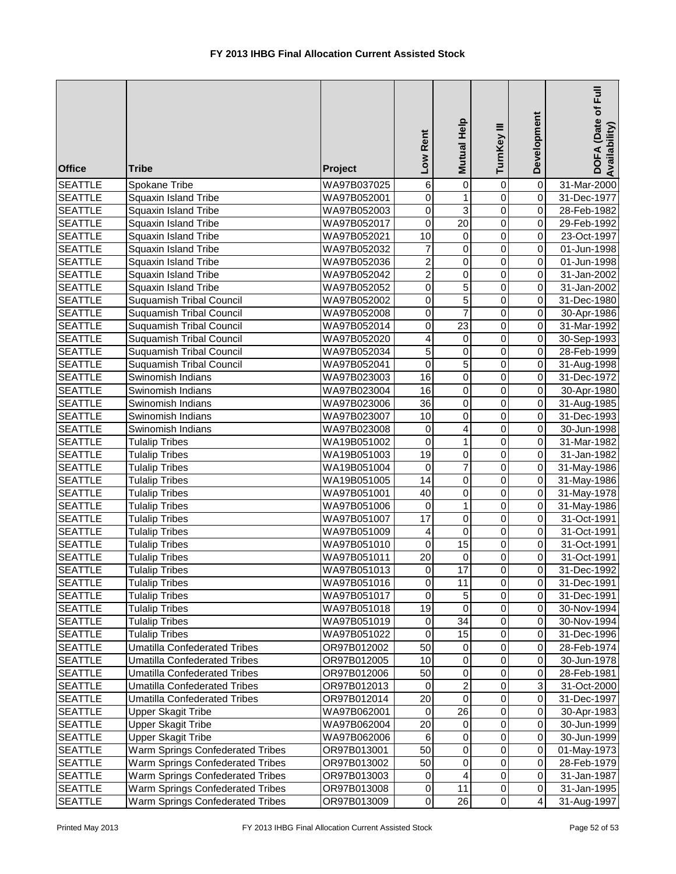| <b>Office</b>                    | <b>Tribe</b>                                                               | Project                    | Low Rent                | Mutual Help       | TurnKey III                   | Development             | DOFA (Date of Full<br>Availability) |
|----------------------------------|----------------------------------------------------------------------------|----------------------------|-------------------------|-------------------|-------------------------------|-------------------------|-------------------------------------|
| <b>SEATTLE</b>                   | Spokane Tribe                                                              | WA97B037025                | $\,6$                   | $\overline{0}$    | $\mathbf 0$                   | $\pmb{0}$               | 31-Mar-2000                         |
| <b>SEATTLE</b>                   | Squaxin Island Tribe                                                       | WA97B052001                | $\mathbf 0$             | $\mathbf{1}$      | $\mathbf 0$                   | $\overline{0}$          | 31-Dec-1977                         |
| <b>SEATTLE</b>                   | <b>Squaxin Island Tribe</b>                                                | WA97B052003                | $\overline{0}$          | $\overline{3}$    | $\overline{0}$                | $\pmb{0}$               | 28-Feb-1982                         |
| <b>SEATTLE</b>                   | <b>Squaxin Island Tribe</b>                                                | WA97B052017                | $\overline{0}$          | $\overline{20}$   | $\overline{0}$                | $\overline{\mathsf{o}}$ | 29-Feb-1992                         |
| <b>SEATTLE</b>                   | Squaxin Island Tribe                                                       | WA97B052021                | $\overline{10}$         | $\pmb{0}$         | $\overline{0}$                | $\pmb{0}$               | 23-Oct-1997                         |
| <b>SEATTLE</b>                   | Squaxin Island Tribe                                                       | WA97B052032                | $\overline{7}$          | $\mathsf 0$       | $\mathbf 0$                   | $\overline{\mathsf{o}}$ | 01-Jun-1998                         |
| <b>SEATTLE</b>                   | Squaxin Island Tribe                                                       | WA97B052036                | $\overline{\mathbf{c}}$ | 0                 | 0                             | $\pmb{0}$               | 01-Jun-1998                         |
| <b>SEATTLE</b>                   | Squaxin Island Tribe                                                       | WA97B052042                | $\overline{c}$          | 0                 | 0                             | $\overline{0}$          | 31-Jan-2002                         |
| <b>SEATTLE</b>                   | Squaxin Island Tribe                                                       | WA97B052052                | $\overline{0}$          | 5                 | 0                             | $\overline{\mathsf{o}}$ | 31-Jan-2002                         |
| <b>SEATTLE</b>                   | <b>Suquamish Tribal Council</b>                                            | WA97B052002                | $\overline{0}$          | $\overline{5}$    | $\mathbf 0$                   | $\overline{0}$          | 31-Dec-1980                         |
| <b>SEATTLE</b>                   | <b>Suquamish Tribal Council</b>                                            | WA97B052008                | $\boldsymbol{0}$        | $\overline{7}$    | $\pmb{0}$                     | $\mathsf{O}\xspace$     | 30-Apr-1986                         |
| <b>SEATTLE</b>                   | <b>Suquamish Tribal Council</b>                                            | WA97B052014                | $\mathbf 0$             | 23                | $\mathsf 0$                   | $\pmb{0}$               | 31-Mar-1992                         |
| <b>SEATTLE</b>                   | <b>Suquamish Tribal Council</b>                                            | WA97B052020                | 4                       | 0                 | $\mathbf 0$                   | $\overline{0}$          | 30-Sep-1993                         |
| <b>SEATTLE</b>                   | <b>Suquamish Tribal Council</b>                                            | WA97B052034                | 5                       | $\mathsf 0$       | $\mathbf 0$                   | $\mathbf 0$             | 28-Feb-1999                         |
| <b>SEATTLE</b>                   | Suquamish Tribal Council                                                   | WA97B052041                | $\mathbf 0$             | $\overline{5}$    | $\mathbf 0$                   | $\pmb{0}$               | 31-Aug-1998                         |
| <b>SEATTLE</b>                   | Swinomish Indians                                                          | WA97B023003                | 16                      | 0                 | 0                             | $\mathbf 0$             | 31-Dec-1972                         |
| <b>SEATTLE</b>                   | Swinomish Indians                                                          | WA97B023004                | 16                      | $\mathsf 0$       | $\mathbf 0$                   | $\overline{0}$          | 30-Apr-1980                         |
| <b>SEATTLE</b>                   | Swinomish Indians                                                          | WA97B023006                | 36                      | $\mathsf 0$       | $\mathbf 0$                   | $\mathbf 0$             | 31-Aug-1985                         |
| <b>SEATTLE</b>                   | Swinomish Indians                                                          | WA97B023007                | $\overline{10}$         | $\overline{0}$    | $\overline{0}$                | $\overline{\mathbf{0}}$ | 31-Dec-1993                         |
| <b>SEATTLE</b>                   | Swinomish Indians                                                          | WA97B023008                | $\overline{0}$          | $\overline{4}$    | $\overline{0}$                | $\overline{0}$          | 30-Jun-1998                         |
| <b>SEATTLE</b>                   | <b>Tulalip Tribes</b>                                                      | WA19B051002                | $\overline{0}$          | $\mathbf{1}$      | $\overline{0}$                | $\overline{0}$          | 31-Mar-1982                         |
| <b>SEATTLE</b>                   | <b>Tulalip Tribes</b>                                                      | WA19B051003                | 19                      | $\overline{0}$    | $\overline{0}$                | $\overline{0}$          | 31-Jan-1982                         |
| <b>SEATTLE</b>                   | <b>Tulalip Tribes</b>                                                      | WA19B051004                | $\mathbf 0$             | $\overline{7}$    | $\overline{0}$                | $\overline{0}$          | 31-May-1986                         |
| <b>SEATTLE</b>                   | <b>Tulalip Tribes</b>                                                      | WA19B051005                | $\overline{14}$         | 0                 | 0                             | $\pmb{0}$               | 31-May-1986                         |
| <b>SEATTLE</b>                   | <b>Tulalip Tribes</b>                                                      | WA97B051001                | 40                      | 0                 | 0                             | $\overline{0}$          | 31-May-1978                         |
| <b>SEATTLE</b>                   | <b>Tulalip Tribes</b>                                                      | WA97B051006                | $\mathbf 0$             | $\mathbf{1}$      | $\mathsf 0$                   | $\overline{0}$          | 31-May-1986                         |
| <b>SEATTLE</b>                   | <b>Tulalip Tribes</b>                                                      | WA97B051007                | 17                      | $\overline{0}$    | $\overline{0}$                | $\overline{0}$          | 31-Oct-1991                         |
| <b>SEATTLE</b>                   | <b>Tulalip Tribes</b>                                                      | WA97B051009                | 4                       | $\pmb{0}$         | 0                             | $\overline{\mathsf{o}}$ | 31-Oct-1991                         |
| <b>SEATTLE</b>                   | <b>Tulalip Tribes</b>                                                      | WA97B051010                | $\mathbf 0$             | 15                | $\mathbf 0$                   | $\overline{0}$          | 31-Oct-1991                         |
| <b>SEATTLE</b>                   | <b>Tulalip Tribes</b>                                                      | WA97B051011                | 20                      | $\mathbf 0$<br>17 | $\mathbf 0$<br>$\overline{0}$ | $\pmb{0}$               | 31-Oct-1991                         |
| <b>SEATTLE</b>                   | <b>Tulalip Tribes</b>                                                      | WA97B051013                | $\mathbf 0$             |                   |                               | $\overline{0}$          | 31-Dec-1992                         |
| <b>SEATTLE</b><br><b>SEATTLE</b> | <b>Tulalip Tribes</b><br><b>Tulalip Tribes</b>                             | WA97B051016                | 0                       | 11                | 0                             | $\mathbf 0$             | 31-Dec-1991                         |
| <b>SEATTLE</b>                   |                                                                            | WA97B051017                | 0<br>19                 | 5                 | 0                             | $\mathbf 0$             | 31-Dec-1991                         |
|                                  | <b>Tulalip Tribes</b>                                                      | WA97B051018                | 0                       | 0<br>34           | $\mathbf 0$<br>$\pmb{0}$      | $\mathbf 0$<br>0        | 30-Nov-1994                         |
| <b>SEATTLE</b><br><b>SEATTLE</b> | <b>Tulalip Tribes</b><br><b>Tulalip Tribes</b>                             | WA97B051019                | $\mathbf 0$             | 15                | $\pmb{0}$                     | $\mathbf 0$             | 30-Nov-1994                         |
|                                  |                                                                            | WA97B051022                | 50                      | $\pmb{0}$         | $\pmb{0}$                     | $\mathbf 0$             | 31-Dec-1996                         |
| <b>SEATTLE</b><br><b>SEATTLE</b> | <b>Umatilla Confederated Tribes</b><br><b>Umatilla Confederated Tribes</b> | OR97B012002                | 10                      | $\pmb{0}$         | 0                             | $\pmb{0}$               | 28-Feb-1974<br>30-Jun-1978          |
| <b>SEATTLE</b>                   | <b>Umatilla Confederated Tribes</b>                                        | OR97B012005                | 50                      | $\mathbf 0$       | $\pmb{0}$                     | $\pmb{0}$               |                                     |
| <b>SEATTLE</b>                   | <b>Umatilla Confederated Tribes</b>                                        | OR97B012006<br>OR97B012013 | $\mathbf 0$             | $\overline{2}$    | $\mathsf 0$                   | ω                       | 28-Feb-1981                         |
| <b>SEATTLE</b>                   | <b>Umatilla Confederated Tribes</b>                                        | OR97B012014                | $\overline{20}$         | 0                 | 0                             | $\mathbf 0$             | 31-Oct-2000<br>31-Dec-1997          |
| <b>SEATTLE</b>                   | Upper Skagit Tribe                                                         | WA97B062001                | 0                       | 26                | 0                             | $\pmb{0}$               | 30-Apr-1983                         |
| <b>SEATTLE</b>                   | <b>Upper Skagit Tribe</b>                                                  | WA97B062004                | $\overline{20}$         | 0                 | 0                             | $\pmb{0}$               | 30-Jun-1999                         |
| <b>SEATTLE</b>                   | <b>Upper Skagit Tribe</b>                                                  | WA97B062006                | 6                       | $\pmb{0}$         | 0                             | $\pmb{0}$               | 30-Jun-1999                         |
| <b>SEATTLE</b>                   | Warm Springs Confederated Tribes                                           | OR97B013001                | 50                      | $\pmb{0}$         | 0                             | $\pmb{0}$               | 01-May-1973                         |
| <b>SEATTLE</b>                   | Warm Springs Confederated Tribes                                           | OR97B013002                | 50                      | 0                 | 0                             | $\pmb{0}$               | 28-Feb-1979                         |
| <b>SEATTLE</b>                   | Warm Springs Confederated Tribes                                           | OR97B013003                | $\pmb{0}$               | 4                 | 0                             | $\mathbf 0$             | 31-Jan-1987                         |
| <b>SEATTLE</b>                   | Warm Springs Confederated Tribes                                           | OR97B013008                | 0                       | 11                | 0                             | $\pmb{0}$               | 31-Jan-1995                         |
| <b>SEATTLE</b>                   | <b>Warm Springs Confederated Tribes</b>                                    | OR97B013009                | $\boldsymbol{0}$        | 26                | 0                             | $\overline{4}$          | 31-Aug-1997                         |